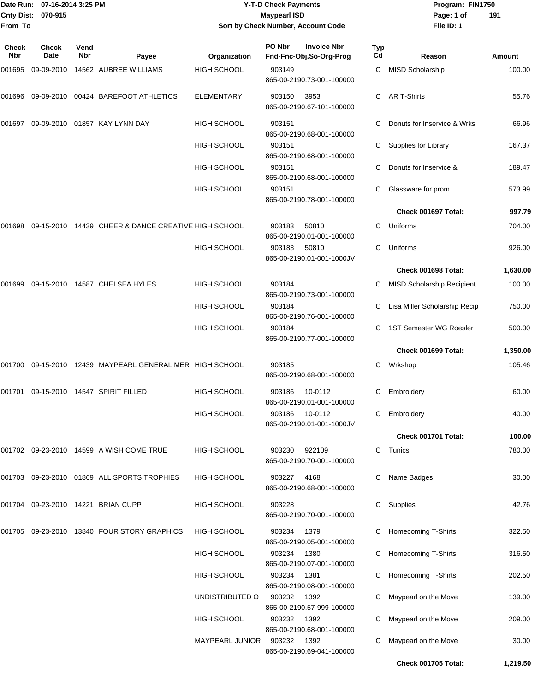### Date Run: 07-16-2014 3:25 PM **Program:** FIN1750 **Cnty Dist:** 070-915 **Page: 1 of Page: 1 of Page: 1 of Page: 1 of Page: 1 of Page: 1 of Y-T-D Check Payments 070-915 Maypearl ISD Sort by Check Number, Account Code**

| Check<br>Nbr | <b>Check</b><br>Date | Vend<br><b>Nbr</b> | Payee                                               | Organization       | PO Nbr | <b>Invoice Nbr</b><br>Fnd-Fnc-Obj.So-Org-Prog | Typ<br>Cd | Reason                            | <b>Amount</b> |
|--------------|----------------------|--------------------|-----------------------------------------------------|--------------------|--------|-----------------------------------------------|-----------|-----------------------------------|---------------|
| 001695       |                      |                    | 09-09-2010  14562  AUBREE WILLIAMS                  | <b>HIGH SCHOOL</b> | 903149 | 865-00-2190.73-001-100000                     | C         | MISD Scholarship                  | 100.00        |
| 001696       | 09-09-2010           |                    | 00424 BAREFOOT ATHLETICS                            | <b>ELEMENTARY</b>  | 903150 | 3953<br>865-00-2190.67-101-100000             | C         | <b>AR T-Shirts</b>                | 55.76         |
| 001697       |                      |                    | 09-09-2010  01857  KAY LYNN DAY                     | <b>HIGH SCHOOL</b> | 903151 | 865-00-2190.68-001-100000                     |           | Donuts for Inservice & Wrks       | 66.96         |
|              |                      |                    |                                                     | <b>HIGH SCHOOL</b> | 903151 | 865-00-2190.68-001-100000                     | С         | Supplies for Library              | 167.37        |
|              |                      |                    |                                                     | <b>HIGH SCHOOL</b> | 903151 | 865-00-2190.68-001-100000                     | С         | Donuts for Inservice &            | 189.47        |
|              |                      |                    |                                                     | <b>HIGH SCHOOL</b> | 903151 | 865-00-2190.78-001-100000                     | С         | Glassware for prom                | 573.99        |
|              |                      |                    |                                                     |                    |        |                                               |           | Check 001697 Total:               | 997.79        |
| 001698       |                      |                    | 09-15-2010 14439 CHEER & DANCE CREATIVE HIGH SCHOOL |                    | 903183 | 50810<br>865-00-2190.01-001-100000            | C.        | Uniforms                          | 704.00        |
|              |                      |                    |                                                     | <b>HIGH SCHOOL</b> | 903183 | 50810<br>865-00-2190.01-001-1000JV            | С         | Uniforms                          | 926.00        |
|              |                      |                    |                                                     |                    |        |                                               |           | Check 001698 Total:               | 1,630.00      |
| 001699       |                      |                    | 09-15-2010 14587 CHELSEA HYLES                      | <b>HIGH SCHOOL</b> | 903184 | 865-00-2190.73-001-100000                     | С         | <b>MISD Scholarship Recipient</b> | 100.00        |
|              |                      |                    |                                                     | HIGH SCHOOL        | 903184 | 865-00-2190.76-001-100000                     | С         | Lisa Miller Scholarship Recip     | 750.00        |
|              |                      |                    |                                                     | HIGH SCHOOL        | 903184 | 865-00-2190.77-001-100000                     |           | 1ST Semester WG Roesler           | 500.00        |
|              |                      |                    |                                                     |                    |        |                                               |           | Check 001699 Total:               | 1,350.00      |
| 001700       |                      |                    | 09-15-2010 12439 MAYPEARL GENERAL MER HIGH SCHOOL   |                    | 903185 | 865-00-2190.68-001-100000                     | С         | Wrkshop                           | 105.46        |
| 001701       |                      |                    | 09-15-2010  14547  SPIRIT FILLED                    | <b>HIGH SCHOOL</b> | 903186 | 10-0112<br>865-00-2190.01-001-100000          | С         | Embroidery                        | 60.00         |
|              |                      |                    |                                                     | <b>HIGH SCHOOL</b> | 903186 | 10-0112<br>865-00-2190.01-001-1000JV          | С         | Embroidery                        | 40.00         |
|              |                      |                    |                                                     |                    |        |                                               |           | Check 001701 Total:               | 100.00        |
|              |                      |                    | 001702 09-23-2010 14599 A WISH COME TRUE            | HIGH SCHOOL        | 903230 | 922109<br>865-00-2190.70-001-100000           | С         | Tunics                            | 780.00        |
|              |                      |                    | 001703 09-23-2010 01869 ALL SPORTS TROPHIES         | <b>HIGH SCHOOL</b> | 903227 | 4168<br>865-00-2190.68-001-100000             | С         | Name Badges                       | 30.00         |
|              |                      |                    | 001704 09-23-2010 14221 BRIAN CUPP                  | <b>HIGH SCHOOL</b> | 903228 | 865-00-2190.70-001-100000                     | C         | Supplies                          | 42.76         |
|              |                      |                    | 001705 09-23-2010 13840 FOUR STORY GRAPHICS         | <b>HIGH SCHOOL</b> | 903234 | 1379<br>865-00-2190.05-001-100000             |           | Homecoming T-Shirts               | 322.50        |
|              |                      |                    |                                                     | HIGH SCHOOL        | 903234 | 1380<br>865-00-2190.07-001-100000             | C         | Homecoming T-Shirts               | 316.50        |
|              |                      |                    |                                                     | HIGH SCHOOL        | 903234 | 1381<br>865-00-2190.08-001-100000             | С         | Homecoming T-Shirts               | 202.50        |
|              |                      |                    |                                                     | UNDISTRIBUTED O    | 903232 | 1392<br>865-00-2190.57-999-100000             |           | Maypearl on the Move              | 139.00        |
|              |                      |                    |                                                     | <b>HIGH SCHOOL</b> | 903232 | 1392<br>865-00-2190.68-001-100000             |           | Maypearl on the Move              | 209.00        |
|              |                      |                    |                                                     | MAYPEARL JUNIOR    | 903232 | 1392<br>865-00-2190.69-041-100000             | С         | Maypearl on the Move              | 30.00         |
|              |                      |                    |                                                     |                    |        |                                               |           | <b>Check 001705 Total:</b>        | 1,219.50      |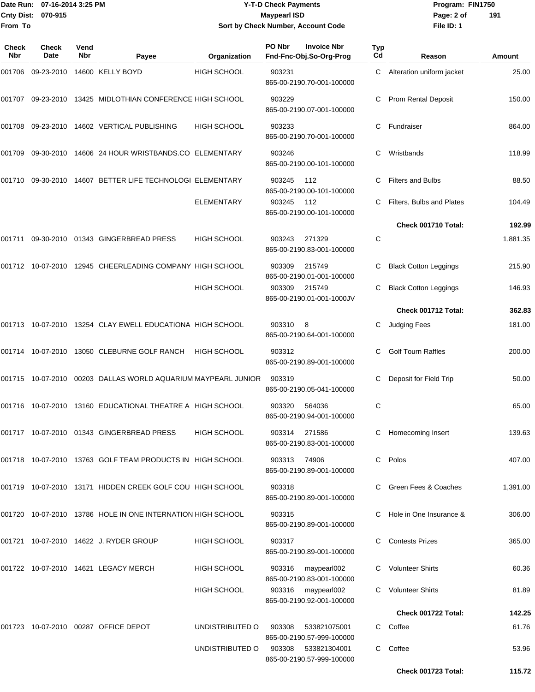### Date Run: 07-16-2014 3:25 PM **Program:** FIN1750 **Cnty Dist:** 070-915 **Page: 2 of Page: 2 of Page: 2 of Page: 2 of Page: 2 of Y-T-D Check Payments 070-915 Maypearl ISD Sort by Check Number, Account Code**

| <b>Check</b><br>Nbr | Check<br>Date | Vend<br>Nbr | Payee                                                         | Organization       | PO Nbr | <b>Invoice Nbr</b><br>Fnd-Fnc-Obj.So-Org-Prog | <b>Typ</b><br>Cd | Reason                       | Amount   |
|---------------------|---------------|-------------|---------------------------------------------------------------|--------------------|--------|-----------------------------------------------|------------------|------------------------------|----------|
| 001706              |               |             | 09-23-2010 14600 KELLY BOYD                                   | <b>HIGH SCHOOL</b> | 903231 | 865-00-2190.70-001-100000                     | C                | Alteration uniform jacket    | 25.00    |
|                     |               |             | 001707 09-23-2010 13425 MIDLOTHIAN CONFERENCE HIGH SCHOOL     |                    | 903229 | 865-00-2190.07-001-100000                     |                  | <b>Prom Rental Deposit</b>   | 150.00   |
| 001708              |               |             | 09-23-2010 14602 VERTICAL PUBLISHING                          | <b>HIGH SCHOOL</b> | 903233 | 865-00-2190.70-001-100000                     | C                | Fundraiser                   | 864.00   |
| 001709              |               |             | 09-30-2010 14606 24 HOUR WRISTBANDS.CO ELEMENTARY             |                    | 903246 | 865-00-2190.00-101-100000                     | С                | Wristbands                   | 118.99   |
| 001710              |               |             | 09-30-2010 14607 BETTER LIFE TECHNOLOGI ELEMENTARY            |                    | 903245 | 112<br>865-00-2190.00-101-100000              | С                | <b>Filters and Bulbs</b>     | 88.50    |
|                     |               |             |                                                               | <b>ELEMENTARY</b>  | 903245 | 112<br>865-00-2190.00-101-100000              |                  | Filters, Bulbs and Plates    | 104.49   |
|                     |               |             |                                                               |                    |        |                                               |                  | Check 001710 Total:          | 192.99   |
| 001711              |               |             | 09-30-2010 01343 GINGERBREAD PRESS                            | <b>HIGH SCHOOL</b> | 903243 | 271329<br>865-00-2190.83-001-100000           | С                |                              | 1,881.35 |
|                     |               |             | 001712 10-07-2010 12945 CHEERLEADING COMPANY HIGH SCHOOL      |                    | 903309 | 215749<br>865-00-2190.01-001-100000           | С                | <b>Black Cotton Leggings</b> | 215.90   |
|                     |               |             |                                                               | <b>HIGH SCHOOL</b> | 903309 | 215749<br>865-00-2190.01-001-1000JV           |                  | <b>Black Cotton Leggings</b> | 146.93   |
|                     |               |             |                                                               |                    |        |                                               |                  | Check 001712 Total:          | 362.83   |
|                     |               |             | 001713 10-07-2010 13254 CLAY EWELL EDUCATIONA HIGH SCHOOL     |                    | 903310 | - 8<br>865-00-2190.64-001-100000              | С                | Judging Fees                 | 181.00   |
| 001714              |               |             | 10-07-2010 13050 CLEBURNE GOLF RANCH                          | <b>HIGH SCHOOL</b> | 903312 | 865-00-2190.89-001-100000                     | С                | <b>Golf Tourn Raffles</b>    | 200.00   |
|                     |               |             | 001715 10-07-2010 00203 DALLAS WORLD AQUARIUM MAYPEARL JUNIOR |                    | 903319 | 865-00-2190.05-041-100000                     | С                | Deposit for Field Trip       | 50.00    |
| 001716              |               |             | 10-07-2010 13160 EDUCATIONAL THEATRE A HIGH SCHOOL            |                    | 903320 | 564036<br>865-00-2190.94-001-100000           | С                |                              | 65.00    |
|                     |               |             | 001717 10-07-2010 01343 GINGERBREAD PRESS                     | HIGH SCHOOL        | 903314 | 271586<br>865-00-2190.83-001-100000           |                  | C Homecoming Insert          | 139.63   |
|                     |               |             | 001718  10-07-2010  13763  GOLF TEAM PRODUCTS IN HIGH SCHOOL  |                    | 903313 | 74906<br>865-00-2190.89-001-100000            |                  | C Polos                      | 407.00   |
|                     |               |             | 001719  10-07-2010  13171  HIDDEN CREEK GOLF COU  HIGH SCHOOL |                    | 903318 | 865-00-2190.89-001-100000                     |                  | Green Fees & Coaches         | 1,391.00 |
|                     |               |             | 001720 10-07-2010 13786 HOLE IN ONE INTERNATION HIGH SCHOOL   |                    | 903315 | 865-00-2190.89-001-100000                     |                  | Hole in One Insurance &      | 306.00   |
|                     |               |             | 001721 10-07-2010 14622 J. RYDER GROUP                        | <b>HIGH SCHOOL</b> | 903317 | 865-00-2190.89-001-100000                     |                  | <b>Contests Prizes</b>       | 365.00   |
|                     |               |             | 001722 10-07-2010 14621 LEGACY MERCH                          | <b>HIGH SCHOOL</b> | 903316 | maypearl002<br>865-00-2190.83-001-100000      |                  | C Volunteer Shirts           | 60.36    |
|                     |               |             |                                                               | HIGH SCHOOL        | 903316 | maypearl002<br>865-00-2190.92-001-100000      |                  | C Volunteer Shirts           | 81.89    |
|                     |               |             |                                                               |                    |        |                                               |                  | Check 001722 Total:          | 142.25   |
|                     |               |             | 001723 10-07-2010 00287 OFFICE DEPOT                          | UNDISTRIBUTED O    | 903308 | 533821075001<br>865-00-2190.57-999-100000     |                  | C Coffee                     | 61.76    |
|                     |               |             |                                                               | UNDISTRIBUTED O    | 903308 | 533821304001<br>865-00-2190.57-999-100000     |                  | C Coffee                     | 53.96    |
|                     |               |             |                                                               |                    |        |                                               |                  | Check 001723 Total:          | 115.72   |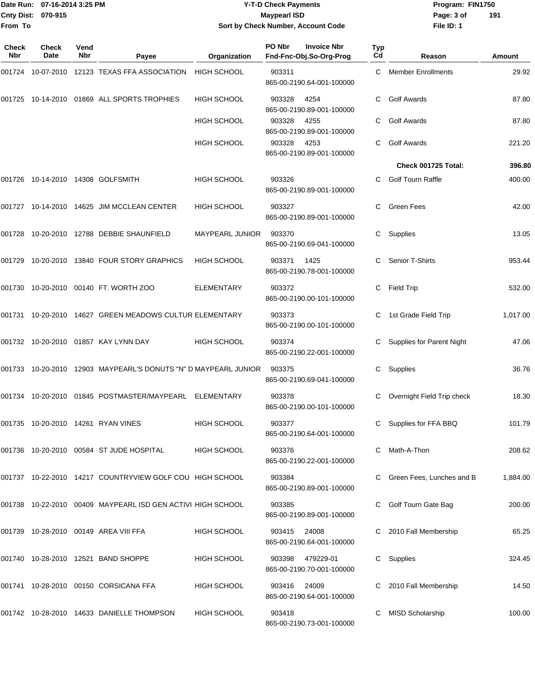### Date Run: 07-16-2014 3:25 PM **Program:** FIN1750 **Cnty Dist:** 070-915 **Page: 3 of Page: 3 of MaypearI ISD Y-T-D Check Payments 070-915 Maypearl ISD Sort by Check Number, Account Code**

| <b>Check</b><br>Nbr | Check<br>Date | Vend<br>Nbr | Payee                                                           | Organization       | PO Nbr       | <b>Invoice Nbr</b><br>Fnd-Fnc-Obj.So-Org-Prog | Typ<br>Cd | Reason                           | <b>Amount</b> |
|---------------------|---------------|-------------|-----------------------------------------------------------------|--------------------|--------------|-----------------------------------------------|-----------|----------------------------------|---------------|
| 001724              |               |             | 10-07-2010  12123  TEXAS FFA ASSOCIATION                        | <b>HIGH SCHOOL</b> | 903311       | 865-00-2190.64-001-100000                     |           | C Member Enrollments             | 29.92         |
|                     |               |             | 001725 10-14-2010 01869 ALL SPORTS TROPHIES                     | <b>HIGH SCHOOL</b> | 903328       | 4254<br>865-00-2190.89-001-100000             |           | <b>Golf Awards</b>               | 87.80         |
|                     |               |             |                                                                 | <b>HIGH SCHOOL</b> | 903328       | 4255<br>865-00-2190.89-001-100000             | C         | <b>Golf Awards</b>               | 87.80         |
|                     |               |             |                                                                 | <b>HIGH SCHOOL</b> | 903328       | 4253<br>865-00-2190.89-001-100000             | C.        | <b>Golf Awards</b>               | 221.20        |
|                     |               |             |                                                                 |                    |              |                                               |           | Check 001725 Total:              | 396.80        |
| 001726              |               |             | 10-14-2010  14308  GOLFSMITH                                    | <b>HIGH SCHOOL</b> | 903326       | 865-00-2190.89-001-100000                     | C.        | <b>Golf Tourn Raffle</b>         | 400.00        |
|                     |               |             | 001727 10-14-2010 14625 JIM MCCLEAN CENTER                      | HIGH SCHOOL        | 903327       | 865-00-2190.89-001-100000                     | C.        | <b>Green Fees</b>                | 42.00         |
| 001728              |               |             | 10-20-2010  12788  DEBBIE SHAUNFIELD                            | MAYPEARL JUNIOR    | 903370       | 865-00-2190.69-041-100000                     | C         | Supplies                         | 13.05         |
| 001729              |               |             | 10-20-2010 13840 FOUR STORY GRAPHICS                            | <b>HIGH SCHOOL</b> | 903371       | 1425<br>865-00-2190.78-001-100000             | C.        | Senior T-Shirts                  | 953.44        |
| 001730              |               |             | 10-20-2010 00140 FT. WORTH ZOO                                  | <b>ELEMENTARY</b>  | 903372       | 865-00-2190.00-101-100000                     | C         | <b>Field Trip</b>                | 532.00        |
|                     |               |             | 001731 10-20-2010 14627 GREEN MEADOWS CULTUR ELEMENTARY         |                    | 903373       | 865-00-2190.00-101-100000                     |           | 1st Grade Field Trip             | 1,017.00      |
|                     |               |             | 001732 10-20-2010 01857 KAY LYNN DAY                            | <b>HIGH SCHOOL</b> | 903374       | 865-00-2190.22-001-100000                     | C         | <b>Supplies for Parent Night</b> | 47.06         |
|                     |               |             | 001733 10-20-2010 12903 MAYPEARL'S DONUTS "N" D MAYPEARL JUNIOR |                    | 903375       | 865-00-2190.69-041-100000                     |           | Supplies                         | 36.76         |
| 001734              |               |             | 10-20-2010   01845   POSTMASTER/MAYPEARL                        | ELEMENTARY         | 903378       | 865-00-2190.00-101-100000                     |           | Overnight Field Trip check       | 18.30         |
|                     |               |             | 001735 10-20-2010 14261 RYAN VINES                              | <b>HIGH SCHOOL</b> | 903377       | 865-00-2190.64-001-100000                     | C         | Supplies for FFA BBQ             | 101.79        |
|                     |               |             | 001736 10-20-2010 00584 ST JUDE HOSPITAL                        | <b>HIGH SCHOOL</b> | 903376       | 865-00-2190.22-001-100000                     |           | C Math-A-Thon                    | 208.62        |
|                     |               |             | 001737 10-22-2010 14217 COUNTRYVIEW GOLF COU HIGH SCHOOL        |                    | 903384       | 865-00-2190.89-001-100000                     |           | C Green Fees, Lunches and B      | 1,884.00      |
|                     |               |             | 001738  10-22-2010  00409  MAYPEARL ISD GEN ACTIVI HIGH SCHOOL  |                    | 903385       | 865-00-2190.89-001-100000                     |           | C Golf Tourn Gate Bag            | 200.00        |
|                     |               |             | 001739 10-28-2010 00149 AREA VIII FFA                           | <b>HIGH SCHOOL</b> | 903415 24008 | 865-00-2190.64-001-100000                     |           | C 2010 Fall Membership           | 65.25         |
|                     |               |             | 001740 10-28-2010 12521 BAND SHOPPE                             | <b>HIGH SCHOOL</b> | 903398       | 479229-01<br>865-00-2190.70-001-100000        |           | C Supplies                       | 324.45        |
|                     |               |             | 001741 10-28-2010 00150 CORSICANA FFA                           | <b>HIGH SCHOOL</b> | 903416 24009 | 865-00-2190.64-001-100000                     |           | C 2010 Fall Membership           | 14.50         |
|                     |               |             | 001742 10-28-2010 14633 DANIELLE THOMPSON                       | HIGH SCHOOL        | 903418       | 865-00-2190.73-001-100000                     |           | <b>MISD Scholarship</b>          | 100.00        |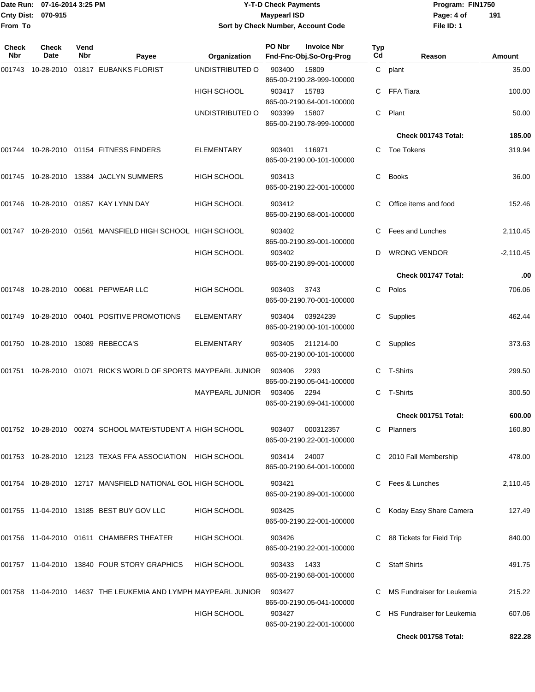### Date Run: 07-16-2014 3:25 PM **Program:** FIN1750 **Cnty Dist:** 070-915 **Page: 4 of Page: 4 of MaypearI ISD Y-T-D Check Payments 070-915 Maypearl ISD Sort by Check Number, Account Code**

| Check<br>Nbr | <b>Check</b><br>Date | Vend<br>Nbr | Payee                                                               | Organization           | PO Nbr | <b>Invoice Nbr</b><br>Fnd-Fnc-Obj.So-Org-Prog | Typ<br>Cd    | Reason                      | Amount      |
|--------------|----------------------|-------------|---------------------------------------------------------------------|------------------------|--------|-----------------------------------------------|--------------|-----------------------------|-------------|
| 001743       | 10-28-2010           |             | 01817 EUBANKS FLORIST                                               | UNDISTRIBUTED O        | 903400 | 15809<br>865-00-2190.28-999-100000            | $\mathsf{C}$ | plant                       | 35.00       |
|              |                      |             |                                                                     | <b>HIGH SCHOOL</b>     | 903417 | 15783<br>865-00-2190.64-001-100000            | C            | FFA Tiara                   | 100.00      |
|              |                      |             |                                                                     | UNDISTRIBUTED O        | 903399 | 15807<br>865-00-2190.78-999-100000            | C.           | Plant                       | 50.00       |
|              |                      |             |                                                                     |                        |        |                                               |              | Check 001743 Total:         | 185.00      |
| 001744       |                      |             | 10-28-2010  01154  FITNESS FINDERS                                  | <b>ELEMENTARY</b>      | 903401 | 116971<br>865-00-2190.00-101-100000           |              | C Toe Tokens                | 319.94      |
| 001745       |                      |             | 10-28-2010  13384  JACLYN SUMMERS                                   | <b>HIGH SCHOOL</b>     | 903413 | 865-00-2190.22-001-100000                     | C            | <b>Books</b>                | 36.00       |
| 001746       |                      |             | 10-28-2010 01857 KAY LYNN DAY                                       | <b>HIGH SCHOOL</b>     | 903412 | 865-00-2190.68-001-100000                     |              | Office items and food       | 152.46      |
| 001747       |                      |             | 10-28-2010 01561 MANSFIELD HIGH SCHOOL HIGH SCHOOL                  |                        | 903402 | 865-00-2190.89-001-100000                     | C            | Fees and Lunches            | 2,110.45    |
|              |                      |             |                                                                     | HIGH SCHOOL            | 903402 | 865-00-2190.89-001-100000                     | D            | <b>WRONG VENDOR</b>         | $-2,110.45$ |
|              |                      |             |                                                                     |                        |        |                                               |              | Check 001747 Total:         | .00         |
| 001748       |                      |             | 10-28-2010    00681    PEPWEAR LLC                                  | <b>HIGH SCHOOL</b>     | 903403 | 3743<br>865-00-2190.70-001-100000             | C.           | Polos                       | 706.06      |
| 001749       |                      |             | 10-28-2010 00401 POSITIVE PROMOTIONS                                | <b>ELEMENTARY</b>      | 903404 | 03924239<br>865-00-2190.00-101-100000         | C            | Supplies                    | 462.44      |
|              |                      |             | 001750  10-28-2010  13089  REBECCA'S                                | <b>ELEMENTARY</b>      | 903405 | 211214-00<br>865-00-2190.00-101-100000        | C            | Supplies                    | 373.63      |
| 001751       |                      |             | 10-28-2010 01071 RICK'S WORLD OF SPORTS MAYPEARL JUNIOR             |                        | 903406 | 2293<br>865-00-2190.05-041-100000             |              | C T-Shirts                  | 299.50      |
|              |                      |             |                                                                     | <b>MAYPEARL JUNIOR</b> | 903406 | 2294<br>865-00-2190.69-041-100000             | C            | T-Shirts                    | 300.50      |
|              |                      |             |                                                                     |                        |        |                                               |              | Check 001751 Total:         | 600.00      |
|              |                      |             | 001752 10-28-2010 00274 SCHOOL MATE/STUDENT A HIGH SCHOOL           |                        | 903407 | 000312357<br>865-00-2190.22-001-100000        | C            | Planners                    | 160.80      |
|              |                      |             | 001753 10-28-2010 12123 TEXAS FFA ASSOCIATION HIGH SCHOOL           |                        | 903414 | 24007<br>865-00-2190.64-001-100000            |              | C 2010 Fall Membership      | 478.00      |
|              |                      |             | 001754    10-28-2010    12717    MANSFIELD NATIONAL GOL HIGH SCHOOL |                        | 903421 | 865-00-2190.89-001-100000                     |              | Fees & Lunches              | 2,110.45    |
|              |                      |             | 001755 11-04-2010 13185 BEST BUY GOV LLC                            | <b>HIGH SCHOOL</b>     | 903425 | 865-00-2190.22-001-100000                     | C            | Koday Easy Share Camera     | 127.49      |
|              |                      |             | 001756 11-04-2010 01611 CHAMBERS THEATER                            | <b>HIGH SCHOOL</b>     | 903426 | 865-00-2190.22-001-100000                     |              | C 88 Tickets for Field Trip | 840.00      |
|              |                      |             | 001757 11-04-2010 13840 FOUR STORY GRAPHICS                         | <b>HIGH SCHOOL</b>     | 903433 | 1433<br>865-00-2190.68-001-100000             |              | <b>Staff Shirts</b>         | 491.75      |
|              |                      |             | 001758 11-04-2010 14637 THE LEUKEMIA AND LYMPH MAYPEARL JUNIOR      |                        | 903427 | 865-00-2190.05-041-100000                     |              | MS Fundraiser for Leukemia  | 215.22      |
|              |                      |             |                                                                     | <b>HIGH SCHOOL</b>     | 903427 | 865-00-2190.22-001-100000                     |              | HS Fundraiser for Leukemia  | 607.06      |
|              |                      |             |                                                                     |                        |        |                                               |              | Check 001758 Total:         | 822.28      |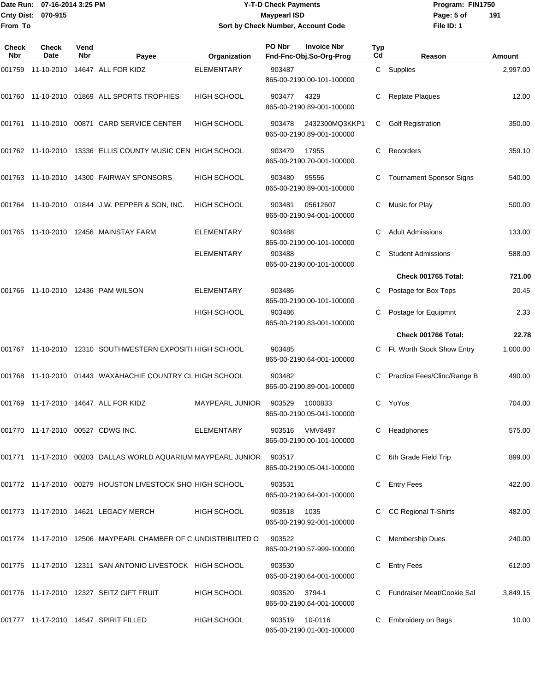### Date Run: 07-16-2014 3:25 PM **Program:** FIN1750 **Cnty Dist:** 070-915 **Page:** 5 of **Y-T-D Check Payments 070-915 Maypearl ISD Sort by Check Number, Account Code**

| Check<br>Nbr | <b>Check</b><br>Date | Vend<br>Nbr | Payee                                                         | Organization           | PO Nbr        | <b>Invoice Nbr</b><br>Fnd-Fnc-Obj.So-Org-Prog | Typ<br>Cd | Reason                          | Amount   |
|--------------|----------------------|-------------|---------------------------------------------------------------|------------------------|---------------|-----------------------------------------------|-----------|---------------------------------|----------|
|              |                      |             | 001759 11-10-2010 14647 ALL FOR KIDZ                          | ELEMENTARY             | 903487        | 865-00-2190.00-101-100000                     |           | C Supplies                      | 2,997.00 |
|              |                      |             | 001760 11-10-2010 01869 ALL SPORTS TROPHIES                   | <b>HIGH SCHOOL</b>     | 903477        | 4329<br>865-00-2190.89-001-100000             |           | <b>Replate Plaques</b>          | 12.00    |
|              |                      |             | 001761 11-10-2010 00871 CARD SERVICE CENTER                   | <b>HIGH SCHOOL</b>     | 903478        | 2432300MQ3KKP1<br>865-00-2190.89-001-100000   | C         | <b>Golf Registration</b>        | 350.00   |
|              |                      |             | 001762  11-10-2010  13336  ELLIS COUNTY MUSIC CEN HIGH SCHOOL |                        | 903479        | 17955<br>865-00-2190.70-001-100000            | C         | Recorders                       | 359.10   |
|              |                      |             | 001763  11-10-2010  14300  FAIRWAY SPONSORS                   | HIGH SCHOOL            | 903480        | 95556<br>865-00-2190.89-001-100000            | C         | <b>Tournament Sponsor Signs</b> | 540.00   |
|              |                      |             | 001764 11-10-2010 01844 J.W. PEPPER & SON, INC.               | <b>HIGH SCHOOL</b>     | 903481        | 05612607<br>865-00-2190.94-001-100000         | C         | Music for Play                  | 500.00   |
|              |                      |             | 001765 11-10-2010 12456 MAINSTAY FARM                         | <b>ELEMENTARY</b>      | 903488        | 865-00-2190.00-101-100000                     | С         | <b>Adult Admissions</b>         | 133.00   |
|              |                      |             |                                                               | <b>ELEMENTARY</b>      | 903488        | 865-00-2190.00-101-100000                     |           | <b>Student Admissions</b>       | 588.00   |
|              |                      |             |                                                               |                        |               |                                               |           | Check 001765 Total:             | 721.00   |
| 001766       |                      |             | 11-10-2010  12436  PAM WILSON                                 | <b>ELEMENTARY</b>      | 903486        | 865-00-2190.00-101-100000                     |           | Postage for Box Tops            | 20.45    |
|              |                      |             |                                                               | HIGH SCHOOL            | 903486        | 865-00-2190.83-001-100000                     | С         | Postage for Equipmnt            | 2.33     |
|              |                      |             |                                                               |                        |               |                                               |           | Check 001766 Total:             | 22.78    |
|              |                      |             | 001767 11-10-2010 12310 SOUTHWESTERN EXPOSITI HIGH SCHOOL     |                        | 903485        | 865-00-2190.64-001-100000                     | C         | Ft. Worth Stock Show Entry      | 1,000.00 |
|              |                      |             | 001768 11-10-2010 01443 WAXAHACHIE COUNTRY CL HIGH SCHOOL     |                        | 903482        | 865-00-2190.89-001-100000                     | C         | Practice Fees/Clinc/Range B     | 490.00   |
|              |                      |             | 001769  11-17-2010  14647  ALL FOR KIDZ                       | <b>MAYPEARL JUNIOR</b> | 903529        | 1000833<br>865-00-2190.05-041-100000          | C         | YoYos                           | 704.00   |
|              |                      |             | 001770 11-17-2010 00527 CDWG INC.                             | ELEMENTARY             |               | 903516 VMV8497<br>865-00-2190.00-101-100000   |           | C Headphones                    | 575.00   |
|              |                      |             | 001771 11-17-2010 00203 DALLAS WORLD AQUARIUM MAYPEARL JUNIOR |                        | 903517        | 865-00-2190.05-041-100000                     |           | C 6th Grade Field Trip          | 899.00   |
|              |                      |             | 001772 11-17-2010 00279 HOUSTON LIVESTOCK SHO HIGH SCHOOL     |                        | 903531        | 865-00-2190.64-001-100000                     |           | <b>Entry Fees</b>               | 422.00   |
|              |                      |             | 001773 11-17-2010 14621 LEGACY MERCH                          | <b>HIGH SCHOOL</b>     | 903518 1035   | 865-00-2190.92-001-100000                     |           | CC Regional T-Shirts            | 482.00   |
|              |                      |             | 001774 11-17-2010 12506 MAYPEARL CHAMBER OF C UNDISTRIBUTED O |                        | 903522        | 865-00-2190.57-999-100000                     |           | Membership Dues                 | 240.00   |
|              |                      |             | 001775 11-17-2010 12311 SAN ANTONIO LIVESTOCK HIGH SCHOOL     |                        | 903530        | 865-00-2190.64-001-100000                     |           | <b>Entry Fees</b>               | 612.00   |
|              |                      |             | 001776 11-17-2010 12327 SEITZ GIFT FRUIT                      | <b>HIGH SCHOOL</b>     | 903520 3794-1 | 865-00-2190.64-001-100000                     |           | C Fundraiser Meat/Cookie Sal    | 3,849.15 |
|              |                      |             | 001777 11-17-2010 14547 SPIRIT FILLED                         | HIGH SCHOOL            |               | 903519 10-0116<br>865-00-2190.01-001-100000   |           | Embroidery on Bags              | 10.00    |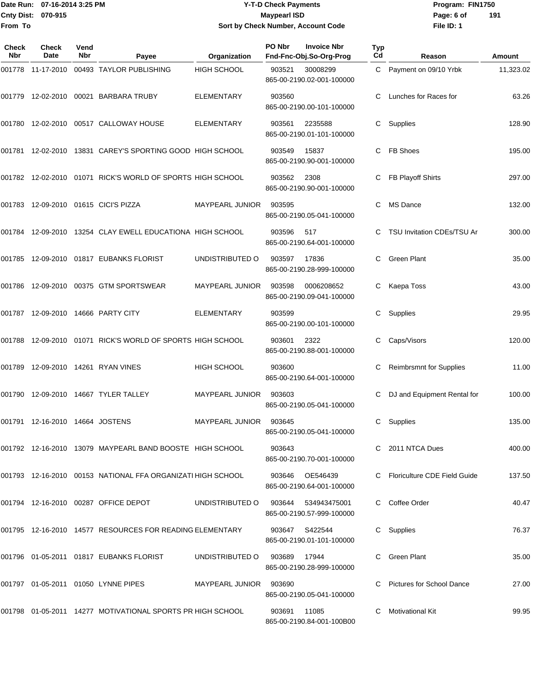### Date Run: 07-16-2014 3:25 PM **Program:** FIN1750 **Cnty Dist:** 070-915 **Page: 6 of Page: 6 of Page: 6 of Page: 6 of Page: 6 of Page: 6 of Y-T-D Check Payments 070-915 Maypearl ISD Sort by Check Number, Account Code**

| Check<br><b>Nbr</b> | Check<br>Date                      | Vend<br><b>Nbr</b> | Payee                                                            | Organization           | PO Nbr | <b>Invoice Nbr</b><br>Fnd-Fnc-Obj.So-Org-Prog    | Typ<br>Cd | Reason                            | Amount    |
|---------------------|------------------------------------|--------------------|------------------------------------------------------------------|------------------------|--------|--------------------------------------------------|-----------|-----------------------------------|-----------|
|                     |                                    |                    | 001778 11-17-2010 00493 TAYLOR PUBLISHING                        | <b>HIGH SCHOOL</b>     | 903521 | 30008299<br>865-00-2190.02-001-100000            |           | C Payment on 09/10 Yrbk           | 11,323.02 |
|                     |                                    |                    | 001779 12-02-2010 00021 BARBARA TRUBY                            | ELEMENTARY             | 903560 | 865-00-2190.00-101-100000                        | C.        | Lunches for Races for             | 63.26     |
|                     |                                    |                    | 001780 12-02-2010 00517 CALLOWAY HOUSE                           | <b>ELEMENTARY</b>      | 903561 | 2235588<br>865-00-2190.01-101-100000             | C         | Supplies                          | 128.90    |
|                     |                                    |                    | 001781 12-02-2010 13831 CAREY'S SPORTING GOOD HIGH SCHOOL        |                        | 903549 | 15837<br>865-00-2190.90-001-100000               | C         | <b>FB Shoes</b>                   | 195.00    |
|                     |                                    |                    | 001782 12-02-2010 01071 RICK'S WORLD OF SPORTS HIGH SCHOOL       |                        | 903562 | 2308<br>865-00-2190.90-001-100000                | C         | FB Playoff Shirts                 | 297.00    |
|                     |                                    |                    | 001783  12-09-2010  01615  CICI'S PIZZA                          | MAYPEARL JUNIOR        | 903595 | 865-00-2190.05-041-100000                        | C         | <b>MS Dance</b>                   | 132.00    |
|                     |                                    |                    | 001784 12-09-2010 13254 CLAY EWELL EDUCATIONA HIGH SCHOOL        |                        | 903596 | 517<br>865-00-2190.64-001-100000                 |           | <b>TSU Invitation CDEs/TSU Ar</b> | 300.00    |
|                     |                                    |                    | 001785 12-09-2010 01817 EUBANKS FLORIST                          | UNDISTRIBUTED O        | 903597 | 17836<br>865-00-2190.28-999-100000               | C         | <b>Green Plant</b>                | 35.00     |
|                     |                                    |                    | 001786 12-09-2010 00375 GTM SPORTSWEAR                           | MAYPEARL JUNIOR        | 903598 | 0006208652<br>865-00-2190.09-041-100000          | C         | Kaepa Toss                        | 43.00     |
|                     |                                    |                    | 001787  12-09-2010  14666  PARTY CITY                            | <b>ELEMENTARY</b>      | 903599 | 865-00-2190.00-101-100000                        | C         | Supplies                          | 29.95     |
| 001788              |                                    |                    | 12-09-2010  01071  RICK'S WORLD OF SPORTS HIGH SCHOOL            |                        | 903601 | 2322<br>865-00-2190.88-001-100000                | С         | Caps/Visors                       | 120.00    |
| 001789              |                                    |                    | 12-09-2010  14261  RYAN VINES                                    | <b>HIGH SCHOOL</b>     | 903600 | 865-00-2190.64-001-100000                        | C         | <b>Reimbrsmnt for Supplies</b>    | 11.00     |
|                     |                                    |                    | 001790 12-09-2010 14667 TYLER TALLEY                             | MAYPEARL JUNIOR        | 903603 | 865-00-2190.05-041-100000                        | С         | DJ and Equipment Rental for       | 100.00    |
|                     | 001791  12-16-2010  14664  JOSTENS |                    |                                                                  | MAYPEARL JUNIOR        | 903645 | 865-00-2190.05-041-100000                        | С         | Supplies                          | 135.00    |
|                     |                                    |                    | 001792   12-16-2010   13079   MAYPEARL BAND BOOSTE   HIGH SCHOOL |                        | 903643 | 865-00-2190.70-001-100000                        |           | C 2011 NTCA Dues                  | 400.00    |
|                     |                                    |                    | 001793 12-16-2010 00153 NATIONAL FFA ORGANIZATI HIGH SCHOOL      |                        | 903646 | OE546439<br>865-00-2190.64-001-100000            |           | C Floriculture CDE Field Guide    | 137.50    |
|                     |                                    |                    | 001794  12-16-2010  00287  OFFICE DEPOT                          | UNDISTRIBUTED O        |        | 903644 534943475001<br>865-00-2190.57-999-100000 |           | Coffee Order                      | 40.47     |
|                     |                                    |                    | 001795  12-16-2010  14577  RESOURCES FOR READING ELEMENTARY      |                        |        | 903647 S422544<br>865-00-2190.01-101-100000      | C         | Supplies                          | 76.37     |
|                     |                                    |                    | 001796  01-05-2011  01817  EUBANKS FLORIST                       | UNDISTRIBUTED O        | 903689 | 17944<br>865-00-2190.28-999-100000               |           | Green Plant                       | 35.00     |
|                     |                                    |                    | 001797  01-05-2011  01050  LYNNE PIPES                           | MAYPEARL JUNIOR 903690 |        | 865-00-2190.05-041-100000                        |           | Pictures for School Dance         | 27.00     |
|                     |                                    |                    | 001798  01-05-2011  14277  MOTIVATIONAL SPORTS PR HIGH SCHOOL    |                        | 903691 | 11085<br>865-00-2190.84-001-100B00               |           | Motivational Kit                  | 99.95     |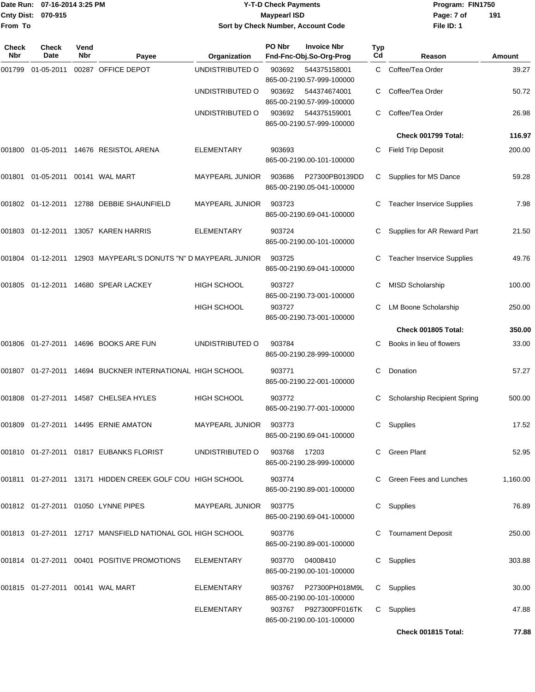| Date Run:           |                                    | 07-16-2014 3:25 PM |                                                                    |                        | <b>Y-T-D Check Payments</b>                             | Program: FIN1750 |                                   |               |
|---------------------|------------------------------------|--------------------|--------------------------------------------------------------------|------------------------|---------------------------------------------------------|------------------|-----------------------------------|---------------|
| <b>Cnty Dist:</b>   | 070-915                            |                    |                                                                    |                        | <b>Maypearl ISD</b>                                     |                  | Page: 7 of                        | 191           |
| From To             |                                    |                    |                                                                    |                        | Sort by Check Number, Account Code                      |                  | File ID: 1                        |               |
| Check<br><b>Nbr</b> | <b>Check</b><br>Date               | Vend<br>Nbr        | Payee                                                              | Organization           | PO Nbr<br><b>Invoice Nbr</b><br>Fnd-Fnc-Obj.So-Org-Prog | Typ<br>Cd        | Reason                            | <b>Amount</b> |
| 001799              | 01-05-2011                         |                    | 00287 OFFICE DEPOT                                                 | UNDISTRIBUTED O        | 903692<br>544375158001                                  | C                | Coffee/Tea Order                  | 39.27         |
|                     |                                    |                    |                                                                    |                        | 865-00-2190.57-999-100000                               |                  |                                   |               |
|                     |                                    |                    |                                                                    | UNDISTRIBUTED O        | 544374674001<br>903692<br>865-00-2190.57-999-100000     | C                | Coffee/Tea Order                  | 50.72         |
|                     |                                    |                    |                                                                    | UNDISTRIBUTED O        | 903692<br>544375159001<br>865-00-2190.57-999-100000     | С                | Coffee/Tea Order                  | 26.98         |
|                     |                                    |                    |                                                                    |                        |                                                         |                  | Check 001799 Total:               | 116.97        |
|                     |                                    |                    | 001800 01-05-2011 14676  RESISTOL ARENA                            | ELEMENTARY             | 903693<br>865-00-2190.00-101-100000                     | С                | <b>Field Trip Deposit</b>         | 200.00        |
|                     | 001801 01-05-2011 00141   WAL MART |                    |                                                                    | <b>MAYPEARL JUNIOR</b> | 903686<br>P27300PB0139DD<br>865-00-2190.05-041-100000   | С                | Supplies for MS Dance             | 59.28         |
|                     |                                    |                    | 001802  01-12-2011  12788  DEBBIE SHAUNFIELD                       | MAYPEARL JUNIOR        | 903723<br>865-00-2190.69-041-100000                     | С                | <b>Teacher Inservice Supplies</b> | 7.98          |
|                     |                                    |                    | 001803 01-12-2011 13057 KAREN HARRIS                               | <b>ELEMENTARY</b>      | 903724<br>865-00-2190.00-101-100000                     |                  | Supplies for AR Reward Part       | 21.50         |
|                     |                                    |                    | 001804  01-12-2011  12903  MAYPEARL'S DONUTS "N" D MAYPEARL JUNIOR |                        | 903725<br>865-00-2190.69-041-100000                     |                  | <b>Teacher Inservice Supplies</b> | 49.76         |
|                     |                                    |                    |                                                                    | <b>HIGH SCHOOL</b>     | 903727<br>865-00-2190.73-001-100000                     | С                | <b>MISD Scholarship</b>           | 100.00        |
|                     |                                    |                    |                                                                    | <b>HIGH SCHOOL</b>     | 903727<br>865-00-2190.73-001-100000                     | С                | LM Boone Scholarship              | 250.00        |
|                     |                                    |                    |                                                                    |                        |                                                         |                  | Check 001805 Total:               | 350.00        |
|                     |                                    |                    |                                                                    | UNDISTRIBUTED O        | 903784<br>865-00-2190.28-999-100000                     | С                | Books in lieu of flowers          | 33.00         |
|                     |                                    |                    | 001807  01-27-2011  14694  BUCKNER INTERNATIONAL  HIGH SCHOOL      |                        | 903771<br>865-00-2190.22-001-100000                     | С                | Donation                          | 57.27         |
|                     |                                    |                    | 001808  01-27-2011  14587  CHELSEA HYLES                           | HIGH SCHOOL            | 903772<br>865-00-2190.77-001-100000                     |                  | C Scholarship Recipient Spring    | 500.00        |
|                     |                                    |                    | 001809  01-27-2011  14495  ERNIE AMATON                            | MAYPEARL JUNIOR 903773 | 865-00-2190.69-041-100000                               |                  | C Supplies                        | 17.52         |
|                     |                                    |                    | 001810  01-27-2011  01817  EUBANKS FLORIST                         | UNDISTRIBUTED O        | 903768 17203<br>865-00-2190.28-999-100000               |                  | C Green Plant                     | 52.95         |
|                     |                                    |                    | 001811  01-27-2011  13171  HIDDEN CREEK GOLF COU  HIGH SCHOOL      |                        | 903774<br>865-00-2190.89-001-100000                     |                  | C Green Fees and Lunches          | 1,160.00      |
|                     |                                    |                    | 001812  01-27-2011  01050  LYNNE  PIPES                            | MAYPEARL JUNIOR 903775 | 865-00-2190.69-041-100000                               |                  | C Supplies                        | 76.89         |
|                     |                                    |                    | 001813  01-27-2011  12717  MANSFIELD NATIONAL GOL HIGH SCHOOL      |                        | 903776<br>865-00-2190.89-001-100000                     |                  | C Tournament Deposit              | 250.00        |
|                     |                                    |                    | 001814  01-27-2011  00401  POSITIVE PROMOTIONS                     | ELEMENTARY             | 903770 04008410<br>865-00-2190.00-101-100000            |                  | C Supplies                        | 303.88        |
|                     |                                    |                    | 001815 01-27-2011 00141   WAL MART                                 | ELEMENTARY             | 903767 P27300PH018M9L<br>865-00-2190.00-101-100000      |                  | C Supplies                        | 30.00         |
|                     |                                    |                    |                                                                    | ELEMENTARY             | 903767 P927300PF016TK C Supplies                        |                  |                                   | 47.88         |

865-00-2190.00-101-100000

**Check 001815 Total: 77.88**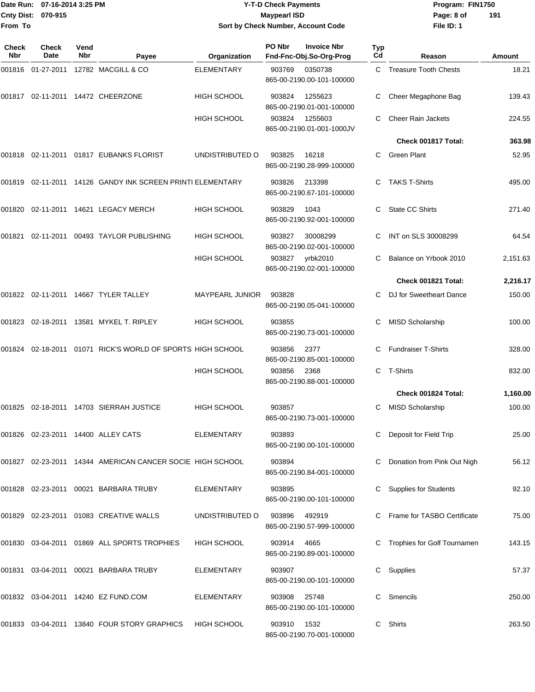|                     | Date Run: 07-16-2014 3:25 PM |             |                                                                |                    | <b>Y-T-D Check Payments</b> |                                               |           | Program: FIN1750              |          |
|---------------------|------------------------------|-------------|----------------------------------------------------------------|--------------------|-----------------------------|-----------------------------------------------|-----------|-------------------------------|----------|
| Cnty Dist:          | 070-915                      |             |                                                                |                    | <b>Maypearl ISD</b>         |                                               |           | Page: 8 of                    | 191      |
| From To             |                              |             |                                                                |                    |                             | Sort by Check Number, Account Code            |           | File ID: 1                    |          |
| Check<br><b>Nbr</b> | <b>Check</b><br>Date         | Vend<br>Nbr | Payee                                                          | Organization       | PO Nbr                      | <b>Invoice Nbr</b><br>Fnd-Fnc-Obj.So-Org-Prog | Typ<br>Cd | Reason                        | Amount   |
|                     |                              |             | 001816 01-27-2011 12782  MACGILL & CO                          | <b>ELEMENTARY</b>  | 903769                      | 0350738                                       |           | C Treasure Tooth Chests       | 18.21    |
|                     |                              |             |                                                                |                    |                             | 865-00-2190.00-101-100000                     |           |                               |          |
|                     |                              |             | 001817    02-11-2011    14472   CHEERZONE                      | <b>HIGH SCHOOL</b> | 903824                      | 1255623<br>865-00-2190.01-001-100000          | С         | Cheer Megaphone Bag           | 139.43   |
|                     |                              |             |                                                                | HIGH SCHOOL        | 903824                      | 1255603<br>865-00-2190.01-001-1000JV          |           | <b>Cheer Rain Jackets</b>     | 224.55   |
|                     |                              |             |                                                                |                    |                             |                                               |           | Check 001817 Total:           | 363.98   |
|                     |                              |             | 001818  02-11-2011  01817  EUBANKS FLORIST                     | UNDISTRIBUTED O    | 903825                      | 16218<br>865-00-2190.28-999-100000            | C         | <b>Green Plant</b>            | 52.95    |
|                     |                              |             | 001819 02-11-2011 14126 GANDY INK SCREEN PRINTI ELEMENTARY     |                    | 903826                      | 213398<br>865-00-2190.67-101-100000           |           | <b>TAKS T-Shirts</b>          | 495.00   |
|                     |                              |             | 001820  02-11-2011  14621  LEGACY MERCH                        | <b>HIGH SCHOOL</b> | 903829                      | 1043<br>865-00-2190.92-001-100000             | C         | <b>State CC Shirts</b>        | 271.40   |
| 001821              |                              |             | 02-11-2011 00493 TAYLOR PUBLISHING                             | <b>HIGH SCHOOL</b> | 903827                      | 30008299<br>865-00-2190.02-001-100000         | С         | INT on SLS 30008299           | 64.54    |
|                     |                              |             |                                                                | HIGH SCHOOL        |                             | 903827 yrbk2010<br>865-00-2190.02-001-100000  |           | Balance on Yrbook 2010        | 2,151.63 |
|                     |                              |             |                                                                |                    |                             |                                               |           | Check 001821 Total:           | 2,216.17 |
|                     |                              |             | 001822 02-11-2011 14667   TYLER TALLEY                         | MAYPEARL JUNIOR    | 903828                      | 865-00-2190.05-041-100000                     |           | DJ for Sweetheart Dance       | 150.00   |
|                     |                              |             | 001823  02-18-2011  13581  MYKEL T. RIPLEY                     | <b>HIGH SCHOOL</b> | 903855                      | 865-00-2190.73-001-100000                     | С         | <b>MISD Scholarship</b>       | 100.00   |
|                     |                              |             | 001824  02-18-2011  01071  RICK'S WORLD OF SPORTS  HIGH SCHOOL |                    | 903856                      | 2377<br>865-00-2190.85-001-100000             |           | <b>Fundraiser T-Shirts</b>    | 328.00   |
|                     |                              |             |                                                                | <b>HIGH SCHOOL</b> | 903856                      | 2368<br>865-00-2190.88-001-100000             | С         | T-Shirts                      | 832.00   |
|                     |                              |             |                                                                |                    |                             |                                               |           | Check 001824 Total:           | 1,160.00 |
|                     |                              |             | 001825  02-18-2011  14703  SIERRAH JUSTICE                     | <b>HIGH SCHOOL</b> | 903857                      | 865-00-2190.73-001-100000                     |           | C MISD Scholarship            | 100.00   |
|                     |                              |             | 001826  02-23-2011  14400  ALLEY CATS                          | ELEMENTARY         | 903893                      | 865-00-2190.00-101-100000                     |           | Deposit for Field Trip        | 25.00    |
|                     |                              |             | 001827 02-23-2011 14344 AMERICAN CANCER SOCIE HIGH SCHOOL      |                    | 903894                      | 865-00-2190.84-001-100000                     |           | C Donation from Pink Out Nigh | 56.12    |
|                     |                              |             | 001828  02-23-2011  00021  BARBARA TRUBY                       | ELEMENTARY         | 903895                      | 865-00-2190.00-101-100000                     |           | C Supplies for Students       | 92.10    |
|                     |                              |             | 001829  02-23-2011  01083  CREATIVE WALLS                      | UNDISTRIBUTED O    | 903896                      | 492919<br>865-00-2190.57-999-100000           |           | C Frame for TASBO Certificate | 75.00    |
|                     |                              |             | 001830  03-04-2011  01869  ALL SPORTS TROPHIES                 | HIGH SCHOOL        | 903914                      | 4665<br>865-00-2190.89-001-100000             |           | C Trophies for Golf Tournamen | 143.15   |
|                     |                              |             | 001831  03-04-2011  00021  BARBARA TRUBY                       | ELEMENTARY         | 903907                      | 865-00-2190.00-101-100000                     |           | C Supplies                    | 57.37    |
|                     |                              |             |                                                                | ELEMENTARY         | 903908                      | 25748<br>865-00-2190.00-101-100000            |           | C Smencils                    | 250.00   |

001833 03-04-2011 13840 FOUR STORY GRAPHICS HIGH SCHOOL 903910 1532 C Shirts C Shirts 263.50

865-00-2190.70-001-100000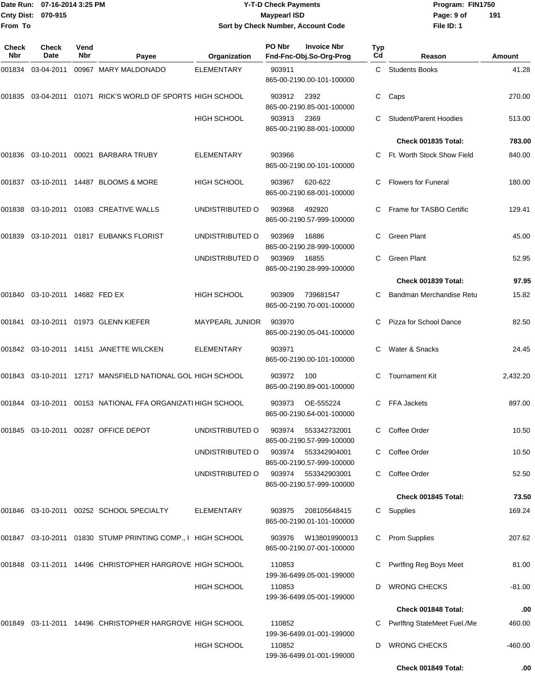### Date Run: 07-16-2014 3:25 PM **Program:** FIN1750 **Cnty Dist:** 070-915 **Page: 9 of Page: 9 of Page: 9 of Page: 9 of Page: 9 of Page: 9 of Y-T-D Check Payments 070-915 Maypearl ISD Sort by Check Number, Account Code**

| Check<br>Nbr | <b>Check</b><br>Date    | Vend<br>Nbr | Payee                                                       | Organization           | PO Nbr | <b>Invoice Nbr</b><br>Fnd-Fnc-Obj.So-Org-Prog                          | Typ<br>Cd | Reason                             | Amount    |
|--------------|-------------------------|-------------|-------------------------------------------------------------|------------------------|--------|------------------------------------------------------------------------|-----------|------------------------------------|-----------|
| 001834       | 03-04-2011              |             | 00967 MARY MALDONADO                                        | <b>ELEMENTARY</b>      | 903911 | 865-00-2190.00-101-100000                                              | C         | <b>Students Books</b>              | 41.28     |
| 001835       | 03-04-2011              |             | 01071 RICK'S WORLD OF SPORTS HIGH SCHOOL                    |                        | 903912 | 2392<br>865-00-2190.85-001-100000                                      | С         | Caps                               | 270.00    |
|              |                         |             |                                                             | HIGH SCHOOL            | 903913 | 2369<br>865-00-2190.88-001-100000                                      |           | <b>Student/Parent Hoodies</b>      | 513.00    |
|              |                         |             |                                                             |                        |        |                                                                        |           | Check 001835 Total:                | 783.00    |
|              |                         |             | 001836  03-10-2011  00021  BARBARA TRUBY                    | <b>ELEMENTARY</b>      | 903966 | 865-00-2190.00-101-100000                                              |           | Ft. Worth Stock Show Field         | 840.00    |
| 001837       |                         |             | 03-10-2011 14487 BLOOMS & MORE                              | <b>HIGH SCHOOL</b>     | 903967 | 620-622<br>865-00-2190.68-001-100000                                   | C         | <b>Flowers for Funeral</b>         | 180.00    |
| 001838       |                         |             | 03-10-2011  01083  CREATIVE WALLS                           | UNDISTRIBUTED O        | 903968 | 492920<br>865-00-2190.57-999-100000                                    |           | Frame for TASBO Certific           | 129.41    |
| 001839       |                         |             | 03-10-2011  01817  EUBANKS FLORIST                          | UNDISTRIBUTED O        | 903969 | 16886<br>865-00-2190.28-999-100000                                     |           | <b>Green Plant</b>                 | 45.00     |
|              |                         |             |                                                             | UNDISTRIBUTED O        | 903969 | 16855<br>865-00-2190.28-999-100000                                     | C         | <b>Green Plant</b>                 | 52.95     |
|              |                         |             |                                                             |                        |        |                                                                        |           | Check 001839 Total:                | 97.95     |
| 001840       | 03-10-2011 14682 FED EX |             |                                                             | HIGH SCHOOL            | 903909 | 739681547<br>865-00-2190.70-001-100000                                 | C         | Bandman Merchandise Retu           | 15.82     |
| 001841       |                         |             | 03-10-2011  01973  GLENN KIEFER                             | <b>MAYPEARL JUNIOR</b> | 903970 | 865-00-2190.05-041-100000                                              |           | Pizza for School Dance             | 82.50     |
|              |                         |             | 001842 03-10-2011 14151 JANETTE WILCKEN                     | <b>ELEMENTARY</b>      | 903971 | 865-00-2190.00-101-100000                                              | C         | Water & Snacks                     | 24.45     |
|              |                         |             | 001843 03-10-2011 12717 MANSFIELD NATIONAL GOL HIGH SCHOOL  |                        | 903972 | 100<br>865-00-2190.89-001-100000                                       | C         | <b>Tournament Kit</b>              | 2,432.20  |
|              |                         |             | 001844 03-10-2011 00153 NATIONAL FFA ORGANIZATI HIGH SCHOOL |                        | 903973 | OE-555224<br>865-00-2190.64-001-100000                                 |           | FFA Jackets                        | 897.00    |
|              |                         |             | 001845 03-10-2011 00287 OFFICE DEPOT                        | UNDISTRIBUTED O        | 903974 | 553342732001<br>865-00-2190.57-999-100000                              | C         | Coffee Order                       | 10.50     |
|              |                         |             |                                                             | UNDISTRIBUTED O        | 903974 | 553342904001                                                           |           | Coffee Order                       | 10.50     |
|              |                         |             |                                                             | UNDISTRIBUTED O        | 903974 | 865-00-2190.57-999-100000<br>553342903001<br>865-00-2190.57-999-100000 |           | Coffee Order                       | 52.50     |
|              |                         |             |                                                             |                        |        |                                                                        |           | Check 001845 Total:                | 73.50     |
|              |                         |             | 001846 03-10-2011 00252 SCHOOL SPECIALTY                    | <b>ELEMENTARY</b>      | 903975 | 208105648415<br>865-00-2190.01-101-100000                              | C.        | Supplies                           | 169.24    |
|              |                         |             | 001847 03-10-2011 01830 STUMP PRINTING COMP., I HIGH SCHOOL |                        | 903976 | W138019900013<br>865-00-2190.07-001-100000                             | C         | <b>Prom Supplies</b>               | 207.62    |
|              |                         |             | 001848 03-11-2011 14496 CHRISTOPHER HARGROVE HIGH SCHOOL    |                        | 110853 | 199-36-6499.05-001-199000                                              |           | Pwrlfing Reg Boys Meet             | 81.00     |
|              |                         |             |                                                             | <b>HIGH SCHOOL</b>     | 110853 | 199-36-6499.05-001-199000                                              | D         | <b>WRONG CHECKS</b>                | $-81.00$  |
|              |                         |             |                                                             |                        |        |                                                                        |           | Check 001848 Total:                | .00       |
|              |                         |             | 001849 03-11-2011 14496 CHRISTOPHER HARGROVE HIGH SCHOOL    |                        | 110852 | 199-36-6499.01-001-199000                                              |           | <b>Pwrlftng StateMeet Fuel./Me</b> | 460.00    |
|              |                         |             |                                                             | HIGH SCHOOL            | 110852 | 199-36-6499.01-001-199000                                              | D         | <b>WRONG CHECKS</b>                | $-460.00$ |
|              |                         |             |                                                             |                        |        |                                                                        |           | Check 001849 Total:                | .00       |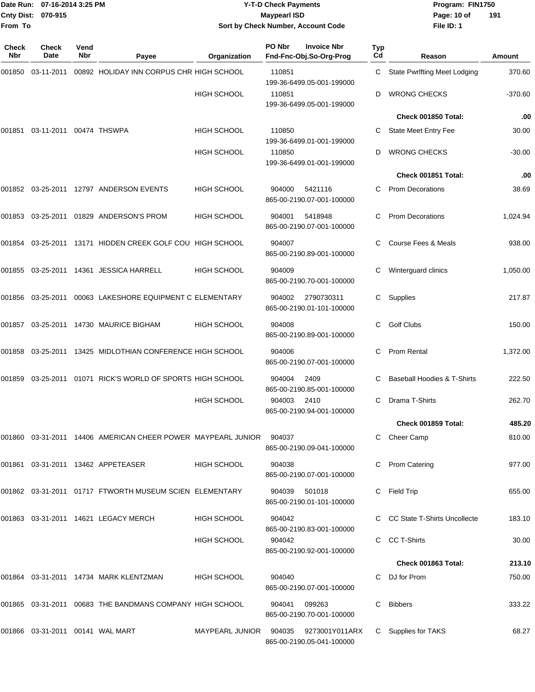### Date Run: 07-16-2014 3:25 PM **Program:** FIN1750 **Cnty Dist:** 070-915 **Page: 10 of** Maypearl ISD **CONTEX 150 Page: 10 of Y-T-D Check Payments 070-915 Maypearl ISD Sort by Check Number, Account Code**

| Check<br><b>Nbr</b> | Check<br>Date                    | Vend<br>Nbr | Payee                                                                    | Organization                          | PO Nbr | <b>Invoice Nbr</b><br>Fnd-Fnc-Obj.So-Org-Prog | <b>Typ</b><br>Cd | Reason                              | Amount    |
|---------------------|----------------------------------|-------------|--------------------------------------------------------------------------|---------------------------------------|--------|-----------------------------------------------|------------------|-------------------------------------|-----------|
| 001850              | 03-11-2011                       |             | 00892 HOLIDAY INN CORPUS CHR HIGH SCHOOL                                 |                                       | 110851 | 199-36-6499.05-001-199000                     | C                | <b>State Pwrlfting Meet Lodging</b> | 370.60    |
|                     |                                  |             |                                                                          | <b>HIGH SCHOOL</b>                    | 110851 | 199-36-6499.05-001-199000                     | D                | <b>WRONG CHECKS</b>                 | $-370.60$ |
|                     |                                  |             |                                                                          |                                       |        |                                               |                  | Check 001850 Total:                 | .00       |
| 001851              | 03-11-2011 00474 THSWPA          |             |                                                                          | <b>HIGH SCHOOL</b>                    | 110850 | 199-36-6499.01-001-199000                     | C                | State Meet Entry Fee                | 30.00     |
|                     |                                  |             |                                                                          | <b>HIGH SCHOOL</b>                    | 110850 | 199-36-6499.01-001-199000                     | D                | <b>WRONG CHECKS</b>                 | $-30.00$  |
|                     |                                  |             |                                                                          |                                       |        |                                               |                  | Check 001851 Total:                 | .00       |
|                     |                                  |             | 001852 03-25-2011 12797 ANDERSON EVENTS                                  | <b>HIGH SCHOOL</b>                    | 904000 | 5421116<br>865-00-2190.07-001-100000          | C.               | <b>Prom Decorations</b>             | 38.69     |
| 001853              | 03-25-2011                       |             | 01829 ANDERSON'S PROM                                                    | HIGH SCHOOL                           | 904001 | 5418948<br>865-00-2190.07-001-100000          |                  | <b>Prom Decorations</b>             | 1,024.94  |
| 001854              | 03-25-2011                       |             | 13171 HIDDEN CREEK GOLF COU HIGH SCHOOL                                  |                                       | 904007 | 865-00-2190.89-001-100000                     |                  | Course Fees & Meals                 | 938.00    |
| 001855              |                                  |             | 03-25-2011  14361  JESSICA HARRELL                                       | <b>HIGH SCHOOL</b>                    | 904009 | 865-00-2190.70-001-100000                     | С                | Winterguard clinics                 | 1,050.00  |
|                     |                                  |             | 00063 LAKESHORE EQUIPMENT C ELEMENTARY                                   |                                       | 904002 | 2790730311<br>865-00-2190.01-101-100000       | С                | Supplies                            | 217.87    |
| 001857              | 03-25-2011                       |             | 14730 MAURICE BIGHAM                                                     | <b>HIGH SCHOOL</b>                    | 904008 | 865-00-2190.89-001-100000                     | C                | <b>Golf Clubs</b>                   | 150.00    |
| 001858              | 03-25-2011                       |             | 13425 MIDLOTHIAN CONFERENCE HIGH SCHOOL                                  |                                       | 904006 | 865-00-2190.07-001-100000                     | C                | Prom Rental                         | 1,372.00  |
| 001859              | 03-25-2011                       |             | 01071 RICK'S WORLD OF SPORTS HIGH SCHOOL                                 |                                       | 904004 | 2409<br>865-00-2190.85-001-100000             |                  | Baseball Hoodies & T-Shirts         | 222.50    |
|                     |                                  |             |                                                                          | <b>HIGH SCHOOL</b>                    | 904003 | 2410<br>865-00-2190.94-001-100000             | C                | Drama T-Shirts                      | 262.70    |
|                     |                                  |             |                                                                          |                                       |        |                                               |                  | Check 001859 Total:                 | 485.20    |
|                     |                                  |             | 001860 03-31-2011 14406  AMERICAN CHEER POWER  MAYPEARL JUNIOR    904037 |                                       |        | 865-00-2190.09-041-100000                     |                  | C Cheer Camp                        | 810.00    |
|                     |                                  |             | 001861  03-31-2011  13462  APPETEASER                                    | <b>HIGH SCHOOL</b>                    | 904038 | 865-00-2190.07-001-100000                     |                  | C Prom Catering                     | 977.00    |
|                     |                                  |             | 001862 03-31-2011 01717 FTWORTH MUSEUM SCIEN ELEMENTARY                  |                                       |        | 904039 501018<br>865-00-2190.01-101-100000    |                  | C Field Trip                        | 655.00    |
|                     |                                  |             | 001863 03-31-2011 14621 LEGACY MERCH                                     | HIGH SCHOOL                           | 904042 | 865-00-2190.83-001-100000                     |                  | C CC State T-Shirts Uncollecte      | 183.10    |
|                     |                                  |             |                                                                          | HIGH SCHOOL                           | 904042 | 865-00-2190.92-001-100000                     |                  | C CC T-Shirts                       | 30.00     |
|                     |                                  |             |                                                                          |                                       |        |                                               |                  | Check 001863 Total:                 | 213.10    |
|                     |                                  |             | 001864  03-31-2011  14734  MARK KLENTZMAN                                | HIGH SCHOOL                           | 904040 | 865-00-2190.07-001-100000                     |                  | C DJ for Prom                       | 750.00    |
|                     |                                  |             | 001865 03-31-2011 00683 THE BANDMANS COMPANY HIGH SCHOOL                 |                                       | 904041 | 099263<br>865-00-2190.70-001-100000           |                  | C Bibbers                           | 333.22    |
|                     | 001866 03-31-2011 00141 WAL MART |             |                                                                          | MAYPEARL JUNIOR 904035 9273001Y011ARX |        | 865-00-2190.05-041-100000                     |                  | C Supplies for TAKS                 | 68.27     |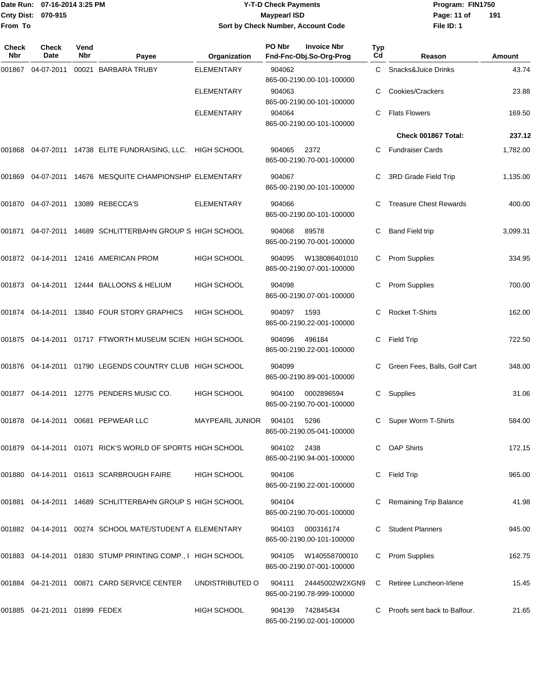### Date Run: 07-16-2014 3:25 PM **Program:** FIN1750 **Cnty Dist:** 070-915 **Page: 11 of** Maypearl ISD **CONTEX 150 Page: 11 of Y-T-D Check Payments 070-915 Maypearl ISD Sort by Check Number, Account Code**

| Check<br><b>Nbr</b> | <b>Check</b><br>Date             | Vend<br><b>Nbr</b> | Payee                                                            | Organization           | PO Nbr<br>Fnd-Fnc-Obj.So-Org-Prog             | <b>Invoice Nbr</b><br><b>Typ</b><br>Cd | Reason                        | Amount   |
|---------------------|----------------------------------|--------------------|------------------------------------------------------------------|------------------------|-----------------------------------------------|----------------------------------------|-------------------------------|----------|
| 001867              | 04-07-2011                       |                    | 00021 BARBARA TRUBY                                              | <b>ELEMENTARY</b>      | 904062<br>865-00-2190.00-101-100000           | C.                                     | Snacks&Juice Drinks           | 43.74    |
|                     |                                  |                    |                                                                  | <b>ELEMENTARY</b>      | 904063<br>865-00-2190.00-101-100000           |                                        | Cookies/Crackers              | 23.88    |
|                     |                                  |                    |                                                                  | <b>ELEMENTARY</b>      | 904064<br>865-00-2190.00-101-100000           | C                                      | <b>Flats Flowers</b>          | 169.50   |
|                     |                                  |                    |                                                                  |                        |                                               |                                        | Check 001867 Total:           | 237.12   |
| 001868              |                                  |                    | 04-07-2011 14738 ELITE FUNDRAISING, LLC. HIGH SCHOOL             |                        | 904065<br>2372<br>865-00-2190.70-001-100000   | C                                      | <b>Fundraiser Cards</b>       | 1,782.00 |
| 001869              |                                  |                    | 04-07-2011 14676 MESQUITE CHAMPIONSHIP ELEMENTARY                |                        | 904067<br>865-00-2190.00-101-100000           | С                                      | 3RD Grade Field Trip          | 1,135.00 |
|                     |                                  |                    | 001870 04-07-2011 13089 REBECCA'S                                | ELEMENTARY             | 904066<br>865-00-2190.00-101-100000           |                                        | <b>Treasure Chest Rewards</b> | 400.00   |
| 001871              |                                  |                    | 04-07-2011 14689 SCHLITTERBAHN GROUP S HIGH SCHOOL               |                        | 904068<br>89578<br>865-00-2190.70-001-100000  | С                                      | <b>Band Field trip</b>        | 3,099.31 |
|                     |                                  |                    | 001872 04-14-2011 12416 AMERICAN PROM                            | <b>HIGH SCHOOL</b>     | 904095<br>865-00-2190.07-001-100000           | W138086401010<br>C                     | <b>Prom Supplies</b>          | 334.95   |
|                     |                                  |                    | 001873  04-14-2011  12444  BALLOONS & HELIUM                     | <b>HIGH SCHOOL</b>     | 904098<br>865-00-2190.07-001-100000           |                                        | <b>Prom Supplies</b>          | 700.00   |
|                     |                                  |                    | 001874 04-14-2011 13840 FOUR STORY GRAPHICS                      | <b>HIGH SCHOOL</b>     | 904097<br>1593<br>865-00-2190.22-001-100000   | C                                      | <b>Rocket T-Shirts</b>        | 162.00   |
|                     |                                  |                    | 001875  04-14-2011  01717  FTWORTH MUSEUM SCIEN  HIGH SCHOOL     |                        | 904096<br>496184<br>865-00-2190.22-001-100000 | С                                      | Field Trip                    | 722.50   |
|                     |                                  |                    | 001876 04-14-2011 01790 LEGENDS COUNTRY CLUB HIGH SCHOOL         |                        | 904099<br>865-00-2190.89-001-100000           |                                        | Green Fees, Balls, Golf Cart  | 348.00   |
|                     |                                  |                    | 001877 04-14-2011 12775 PENDERS MUSIC CO.                        | <b>HIGH SCHOOL</b>     | 904100<br>865-00-2190.70-001-100000           | 0002896594<br>С                        | Supplies                      | 31.06    |
|                     |                                  |                    | 001878  04-14-2011  00681  PEPWEAR LLC                           | <b>MAYPEARL JUNIOR</b> | 904101<br>5296<br>865-00-2190.05-041-100000   | C                                      | Super Worm T-Shirts           | 584.00   |
|                     |                                  |                    | 001879   04-14-2011   01071   RICK'S WORLD OF SPORTS HIGH SCHOOL |                        | 904102 2438<br>865-00-2190.94-001-100000      |                                        | C OAP Shirts                  | 172.15   |
|                     |                                  |                    | 001880 04-14-2011 01613 SCARBROUGH FAIRE                         | <b>HIGH SCHOOL</b>     | 904106<br>865-00-2190.22-001-100000           | C                                      | Field Trip                    | 965.00   |
|                     |                                  |                    | 001881  04-14-2011  14689  SCHLITTERBAHN GROUP S HIGH SCHOOL     |                        | 904104<br>865-00-2190.70-001-100000           |                                        | <b>Remaining Trip Balance</b> | 41.98    |
|                     |                                  |                    | 001882  04-14-2011  00274  SCHOOL MATE/STUDENT A ELEMENTARY      |                        | 904103<br>865-00-2190.00-101-100000           | 000316174                              | <b>Student Planners</b>       | 945.00   |
|                     |                                  |                    | 001883 04-14-2011 01830 STUMP PRINTING COMP., I HIGH SCHOOL      |                        | 904105<br>865-00-2190.07-001-100000           | W140558700010<br>C                     | <b>Prom Supplies</b>          | 162.75   |
|                     |                                  |                    | 001884  04-21-2011  00871  CARD SERVICE CENTER                   | UNDISTRIBUTED O        | 904111<br>865-00-2190.78-999-100000           | 24445002W2XGN9<br>C                    | Retiree Luncheon-Irlene       | 15.45    |
|                     | 001885  04-21-2011  01899  FEDEX |                    |                                                                  | <b>HIGH SCHOOL</b>     | 904139 742845434<br>865-00-2190.02-001-100000 |                                        | Proofs sent back to Balfour.  | 21.65    |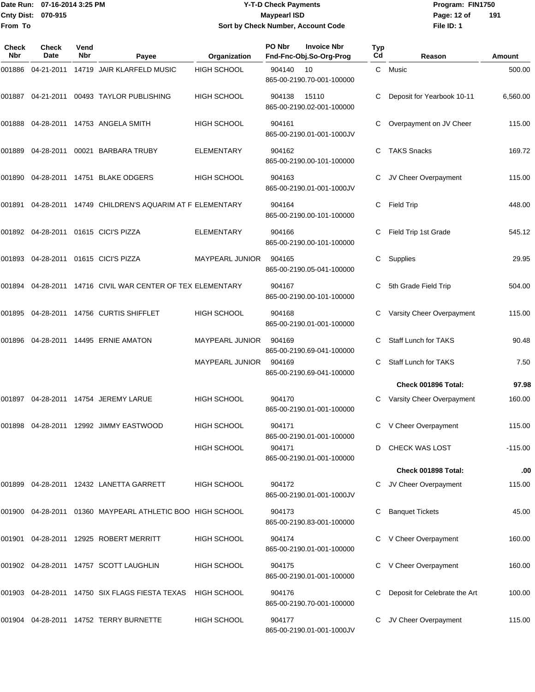### Date Run: 07-16-2014 3:25 PM **Program:** FIN1750 **Cnty Dist:** 070-915 **Page: 12 of** Maypearl ISD **CONTEX 12 of** Maypearl ISD **Y-T-D Check Payments 070-915 Maypearl ISD Sort by Check Number, Account Code**

| <b>Check</b><br><b>Nbr</b> | Check<br>Date | Vend<br>Nbr | Payee                                                     | Organization           | PO Nbr | <b>Invoice Nbr</b><br>Fnd-Fnc-Obj.So-Org-Prog | Typ<br>Cd | Reason                        | Amount    |
|----------------------------|---------------|-------------|-----------------------------------------------------------|------------------------|--------|-----------------------------------------------|-----------|-------------------------------|-----------|
| 001886                     |               |             | 04-21-2011 14719 JAIR KLARFELD MUSIC                      | <b>HIGH SCHOOL</b>     | 904140 | 10<br>865-00-2190.70-001-100000               | C.        | Music                         | 500.00    |
| 001887                     |               |             | 04-21-2011  00493  TAYLOR PUBLISHING                      | <b>HIGH SCHOOL</b>     | 904138 | 15110<br>865-00-2190.02-001-100000            |           | Deposit for Yearbook 10-11    | 6,560.00  |
| 001888                     |               |             | 04-28-2011 14753 ANGELA SMITH                             | HIGH SCHOOL            | 904161 | 865-00-2190.01-001-1000JV                     | С         | Overpayment on JV Cheer       | 115.00    |
| 001889                     | 04-28-2011    |             | 00021 BARBARA TRUBY                                       | <b>ELEMENTARY</b>      | 904162 | 865-00-2190.00-101-100000                     | С         | <b>TAKS Snacks</b>            | 169.72    |
| 001890                     |               |             | 04-28-2011 14751 BLAKE ODGERS                             | HIGH SCHOOL            | 904163 | 865-00-2190.01-001-1000JV                     | С         | JV Cheer Overpayment          | 115.00    |
| 001891                     |               |             | 04-28-2011 14749 CHILDREN'S AQUARIM AT F ELEMENTARY       |                        | 904164 | 865-00-2190.00-101-100000                     | С         | <b>Field Trip</b>             | 448.00    |
|                            |               |             | 001892 04-28-2011 01615 CICI'S PIZZA                      | ELEMENTARY             | 904166 | 865-00-2190.00-101-100000                     | С         | Field Trip 1st Grade          | 545.12    |
| 001893                     |               |             | 04-28-2011 01615 CICI'S PIZZA                             | MAYPEARL JUNIOR        | 904165 | 865-00-2190.05-041-100000                     | С         | Supplies                      | 29.95     |
| 001894                     |               |             | 04-28-2011 14716 CIVIL WAR CENTER OF TEX ELEMENTARY       |                        | 904167 | 865-00-2190.00-101-100000                     |           | 5th Grade Field Trip          | 504.00    |
| 001895                     |               |             | 04-28-2011  14756  CURTIS SHIFFLET                        | HIGH SCHOOL            | 904168 | 865-00-2190.01-001-100000                     | С         | Varsity Cheer Overpayment     | 115.00    |
| 001896                     |               |             | 04-28-2011  14495  ERNIE AMATON                           | <b>MAYPEARL JUNIOR</b> | 904169 | 865-00-2190.69-041-100000                     |           | <b>Staff Lunch for TAKS</b>   | 90.48     |
|                            |               |             |                                                           | MAYPEARL JUNIOR        | 904169 | 865-00-2190.69-041-100000                     | С         | Staff Lunch for TAKS          | 7.50      |
|                            |               |             |                                                           |                        |        |                                               |           | Check 001896 Total:           | 97.98     |
| 001897                     |               |             | 04-28-2011  14754  JEREMY LARUE                           | HIGH SCHOOL            | 904170 | 865-00-2190.01-001-100000                     |           | Varsity Cheer Overpayment     | 160.00    |
|                            |               |             | 001898  04-28-2011  12992  JIMMY EASTWOOD                 | <b>HIGH SCHOOL</b>     | 904171 | 865-00-2190.01-001-100000                     | C         | V Cheer Overpayment           | 115.00    |
|                            |               |             |                                                           | <b>HIGH SCHOOL</b>     | 904171 | 865-00-2190.01-001-100000                     |           | D CHECK WAS LOST              | $-115.00$ |
|                            |               |             |                                                           |                        |        |                                               |           | Check 001898 Total:           | .00       |
|                            |               |             | 001899 04-28-2011 12432 LANETTA GARRETT                   | HIGH SCHOOL            | 904172 | 865-00-2190.01-001-1000JV                     | С         | JV Cheer Overpayment          | 115.00    |
|                            |               |             | 001900 04-28-2011 01360 MAYPEARL ATHLETIC BOO HIGH SCHOOL |                        | 904173 | 865-00-2190.83-001-100000                     |           | <b>Banquet Tickets</b>        | 45.00     |
|                            |               |             | 001901  04-28-2011  12925  ROBERT MERRITT                 | <b>HIGH SCHOOL</b>     | 904174 | 865-00-2190.01-001-100000                     | С         | V Cheer Overpayment           | 160.00    |
|                            |               |             | 001902 04-28-2011 14757 SCOTT LAUGHLIN                    | HIGH SCHOOL            | 904175 | 865-00-2190.01-001-100000                     |           | V Cheer Overpayment           | 160.00    |
|                            |               |             | 001903 04-28-2011 14750 SIX FLAGS FIESTA TEXAS            | HIGH SCHOOL            | 904176 | 865-00-2190.70-001-100000                     |           | Deposit for Celebrate the Art | 100.00    |
|                            |               |             | 001904  04-28-2011  14752  TERRY BURNETTE                 | HIGH SCHOOL            | 904177 | 865-00-2190.01-001-1000JV                     |           | JV Cheer Overpayment          | 115.00    |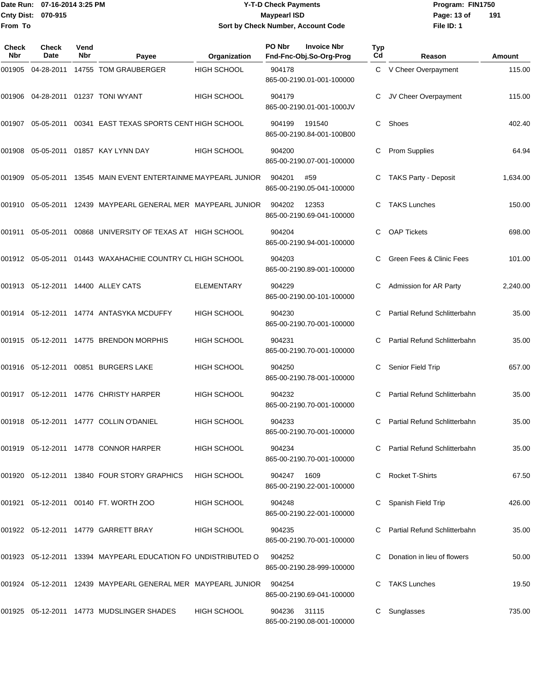### Date Run: 07-16-2014 3:25 PM **Program:** FIN1750 **Cnty Dist:** 070-915 **Page: 13 of** Maypearl ISD **CONTEX 13 OF** Page: 13 of **Y-T-D Check Payments 070-915 Maypearl ISD Sort by Check Number, Account Code**

| Check<br>Nbr | <b>Check</b><br>Date | Vend<br>Nbr | Payee                                                            | Organization       | PO Nbr | <b>Invoice Nbr</b><br>Fnd-Fnc-Obj.So-Org-Prog | Typ<br>Cd | Reason                       | Amount   |
|--------------|----------------------|-------------|------------------------------------------------------------------|--------------------|--------|-----------------------------------------------|-----------|------------------------------|----------|
| 001905       | 04-28-2011           |             | 14755 TOM GRAUBERGER                                             | <b>HIGH SCHOOL</b> | 904178 | 865-00-2190.01-001-100000                     |           | C V Cheer Overpayment        | 115.00   |
|              |                      |             | 001906  04-28-2011  01237  TONI WYANT                            | <b>HIGH SCHOOL</b> | 904179 | 865-00-2190.01-001-1000JV                     | С         | JV Cheer Overpayment         | 115.00   |
| 001907       | 05-05-2011           |             | 00341 EAST TEXAS SPORTS CENT HIGH SCHOOL                         |                    | 904199 | 191540<br>865-00-2190.84-001-100B00           | C         | Shoes                        | 402.40   |
| 001908       | 05-05-2011           |             | 01857 KAY LYNN DAY                                               | <b>HIGH SCHOOL</b> | 904200 | 865-00-2190.07-001-100000                     | С         | <b>Prom Supplies</b>         | 64.94    |
| 001909       |                      |             | 05-05-2011 13545 MAIN EVENT ENTERTAINME MAYPEARL JUNIOR          |                    | 904201 | #59<br>865-00-2190.05-041-100000              | С         | <b>TAKS Party - Deposit</b>  | 1,634.00 |
| 001910       | 05-05-2011           |             | 12439 MAYPEARL GENERAL MER MAYPEARL JUNIOR                       |                    | 904202 | 12353<br>865-00-2190.69-041-100000            | C         | <b>TAKS Lunches</b>          | 150.00   |
| 001911       | 05-05-2011           |             | 00868 UNIVERSITY OF TEXAS AT HIGH SCHOOL                         |                    | 904204 | 865-00-2190.94-001-100000                     | C         | <b>OAP Tickets</b>           | 698.00   |
|              |                      |             | 001912  05-05-2011  01443  WAXAHACHIE COUNTRY CL HIGH SCHOOL     |                    | 904203 | 865-00-2190.89-001-100000                     | C         | Green Fees & Clinic Fees     | 101.00   |
|              |                      |             | 001913 05-12-2011 14400 ALLEY CATS                               | <b>ELEMENTARY</b>  | 904229 | 865-00-2190.00-101-100000                     | С         | Admission for AR Party       | 2,240.00 |
| 001914       |                      |             | 05-12-2011 14774 ANTASYKA MCDUFFY                                | HIGH SCHOOL        | 904230 | 865-00-2190.70-001-100000                     | C         | Partial Refund Schlitterbahn | 35.00    |
|              |                      |             | 001915  05-12-2011  14775  BRENDON MORPHIS                       | <b>HIGH SCHOOL</b> | 904231 | 865-00-2190.70-001-100000                     | C         | Partial Refund Schlitterbahn | 35.00    |
|              |                      |             | 001916  05-12-2011  00851  BURGERS LAKE                          | <b>HIGH SCHOOL</b> | 904250 | 865-00-2190.78-001-100000                     | С         | Senior Field Trip            | 657.00   |
| 001917       |                      |             | 05-12-2011 14776 CHRISTY HARPER                                  | HIGH SCHOOL        | 904232 | 865-00-2190.70-001-100000                     | C         | Partial Refund Schlitterbahn | 35.00    |
|              |                      |             | 001918  05-12-2011  14777  COLLIN O'DANIEL                       | <b>HIGH SCHOOL</b> | 904233 | 865-00-2190.70-001-100000                     | C.        | Partial Refund Schlitterbahn | 35.00    |
|              |                      |             | 001919    05-12-2011    14778    CONNOR HARPER                   | <b>HIGH SCHOOL</b> | 904234 | 865-00-2190.70-001-100000                     |           | Partial Refund Schlitterbahn | 35.00    |
|              |                      |             | 001920 05-12-2011 13840 FOUR STORY GRAPHICS                      | <b>HIGH SCHOOL</b> | 904247 | 1609<br>865-00-2190.22-001-100000             |           | <b>Rocket T-Shirts</b>       | 67.50    |
|              |                      |             | 001921 05-12-2011 00140 FT. WORTH ZOO                            | <b>HIGH SCHOOL</b> | 904248 | 865-00-2190.22-001-100000                     |           | Spanish Field Trip           | 426.00   |
|              |                      |             |                                                                  | HIGH SCHOOL        | 904235 | 865-00-2190.70-001-100000                     |           | Partial Refund Schlitterbahn | 35.00    |
|              |                      |             | 001923  05-12-2011  13394  MAYPEARL EDUCATION FO UNDISTRIBUTED O |                    | 904252 | 865-00-2190.28-999-100000                     |           | Donation in lieu of flowers  | 50.00    |
|              |                      |             | 001924  05-12-2011  12439  MAYPEARL GENERAL MER  MAYPEARL JUNIOR |                    | 904254 | 865-00-2190.69-041-100000                     |           | <b>TAKS Lunches</b>          | 19.50    |
|              |                      |             | 001925 05-12-2011 14773 MUDSLINGER SHADES                        | HIGH SCHOOL        | 904236 | 31115<br>865-00-2190.08-001-100000            |           | Sunglasses                   | 735.00   |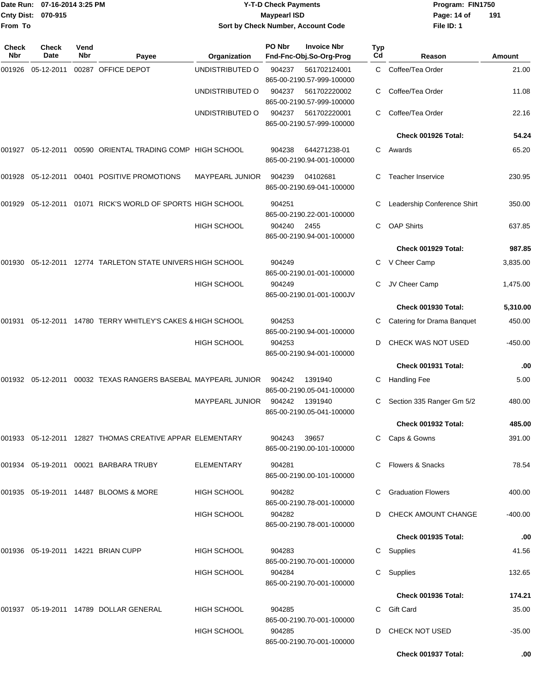|              | Date Run: 07-16-2014 3:25 PM |             |                                                                   | <b>Y-T-D Check Payments</b>        |                     |                                                                        |           | Program: FIN1750            |           |  |
|--------------|------------------------------|-------------|-------------------------------------------------------------------|------------------------------------|---------------------|------------------------------------------------------------------------|-----------|-----------------------------|-----------|--|
|              | Cnty Dist: 070-915           |             |                                                                   |                                    | <b>Maypearl ISD</b> |                                                                        |           | Page: 14 of                 | 191       |  |
| From To      |                              |             |                                                                   | Sort by Check Number, Account Code |                     |                                                                        |           | File ID: 1                  |           |  |
| Check<br>Nbr | <b>Check</b><br>Date         | Vend<br>Nbr | Payee                                                             | Organization                       | PO Nbr              | <b>Invoice Nbr</b><br>Fnd-Fnc-Obj.So-Org-Prog                          | Typ<br>Cd | Reason                      | Amount    |  |
| 001926       | 05-12-2011                   |             | 00287 OFFICE DEPOT                                                | UNDISTRIBUTED O                    | 904237              | 561702124001                                                           | C.        | Coffee/Tea Order            | 21.00     |  |
|              |                              |             |                                                                   | UNDISTRIBUTED O                    | 904237              | 865-00-2190.57-999-100000<br>561702220002                              | С         | Coffee/Tea Order            | 11.08     |  |
|              |                              |             |                                                                   | UNDISTRIBUTED O                    | 904237              | 865-00-2190.57-999-100000<br>561702220001<br>865-00-2190.57-999-100000 | С         | Coffee/Tea Order            | 22.16     |  |
|              |                              |             |                                                                   |                                    |                     |                                                                        |           | Check 001926 Total:         | 54.24     |  |
|              |                              |             | 001927   05-12-2011   00590   ORIENTAL TRADING COMP   HIGH SCHOOL |                                    | 904238              | 644271238-01<br>865-00-2190.94-001-100000                              | C         | Awards                      | 65.20     |  |
|              |                              |             | 001928  05-12-2011  00401  POSITIVE  PROMOTIONS                   | <b>MAYPEARL JUNIOR</b>             | 904239              | 04102681<br>865-00-2190.69-041-100000                                  |           | Teacher Inservice           | 230.95    |  |
| 001929       |                              |             | 05-12-2011  01071  RICK'S WORLD OF SPORTS HIGH SCHOOL             |                                    | 904251              | 865-00-2190.22-001-100000                                              | С         | Leadership Conference Shirt | 350.00    |  |
|              |                              |             |                                                                   | <b>HIGH SCHOOL</b>                 | 904240              | 2455<br>865-00-2190.94-001-100000                                      | C.        | <b>OAP Shirts</b>           | 637.85    |  |
|              |                              |             |                                                                   |                                    |                     |                                                                        |           | Check 001929 Total:         | 987.85    |  |
| 001930       |                              |             | 05-12-2011 12774 TARLETON STATE UNIVERS HIGH SCHOOL               |                                    | 904249              | 865-00-2190.01-001-100000                                              | С         | V Cheer Camp                | 3,835.00  |  |
|              |                              |             |                                                                   | HIGH SCHOOL                        | 904249              | 865-00-2190.01-001-1000JV                                              |           | JV Cheer Camp               | 1,475.00  |  |
|              |                              |             |                                                                   |                                    |                     |                                                                        |           | Check 001930 Total:         | 5,310.00  |  |
|              |                              |             |                                                                   |                                    | 904253              | 865-00-2190.94-001-100000                                              |           | Catering for Drama Banquet  | 450.00    |  |
|              |                              |             |                                                                   | <b>HIGH SCHOOL</b>                 | 904253              | 865-00-2190.94-001-100000                                              | D         | CHECK WAS NOT USED          | $-450.00$ |  |
|              |                              |             |                                                                   |                                    |                     |                                                                        |           | Check 001931 Total:         | .00       |  |
|              |                              |             | 001932 05-12-2011 00032   TEXAS RANGERS BASEBAL MAYPEARL JUNIOR   |                                    | 904242              | 1391940<br>865-00-2190.05-041-100000                                   | С         | <b>Handling Fee</b>         | 5.00      |  |
|              |                              |             |                                                                   | MAYPEARL JUNIOR 904242 1391940     |                     | 865-00-2190.05-041-100000                                              |           | C Section 335 Ranger Gm 5/2 | 480.00    |  |
|              |                              |             |                                                                   |                                    |                     |                                                                        |           | <b>Check 001932 Total:</b>  | 485.00    |  |
|              |                              |             | 001933 05-12-2011 12827 THOMAS CREATIVE APPAR ELEMENTARY          |                                    | 904243              | 39657<br>865-00-2190.00-101-100000                                     |           | C Caps & Gowns              | 391.00    |  |
|              |                              |             | 001934  05-19-2011  00021  BARBARA TRUBY                          | ELEMENTARY                         | 904281              | 865-00-2190.00-101-100000                                              |           | C Flowers & Snacks          | 78.54     |  |
|              |                              |             | 001935  05-19-2011  14487  BLOOMS & MORE                          | <b>HIGH SCHOOL</b>                 | 904282              | 865-00-2190.78-001-100000                                              |           | C Graduation Flowers        | 400.00    |  |
|              |                              |             |                                                                   | HIGH SCHOOL                        | 904282              | 865-00-2190.78-001-100000                                              |           | D CHECK AMOUNT CHANGE       | $-400.00$ |  |
|              |                              |             |                                                                   |                                    |                     |                                                                        |           | Check 001935 Total:         | .00       |  |
|              |                              |             | 001936 05-19-2011 14221 BRIAN CUPP                                | <b>HIGH SCHOOL</b>                 | 904283              | 865-00-2190.70-001-100000                                              |           | C Supplies                  | 41.56     |  |
|              |                              |             |                                                                   | HIGH SCHOOL                        | 904284              | 865-00-2190.70-001-100000                                              |           | C Supplies                  | 132.65    |  |
|              |                              |             |                                                                   |                                    |                     |                                                                        |           | Check 001936 Total:         | 174.21    |  |
|              |                              |             | 001937    05-19-2011    14789    DOLLAR    GENERAL                | <b>HIGH SCHOOL</b>                 | 904285              | 865-00-2190.70-001-100000                                              |           | C Gift Card                 | 35.00     |  |
|              |                              |             |                                                                   | <b>HIGH SCHOOL</b>                 | 904285              | 865-00-2190.70-001-100000                                              |           | D CHECK NOT USED            | $-35.00$  |  |

**Check 001937 Total: .00**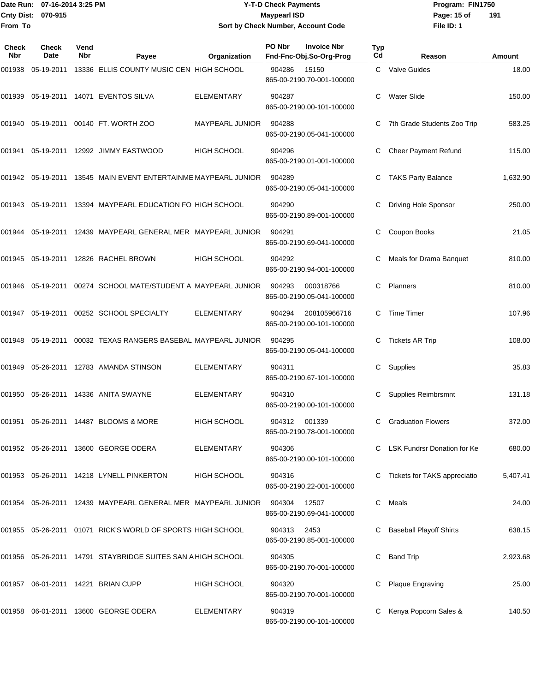### Date Run: 07-16-2014 3:25 PM **Program:** FIN1750 **Cnty Dist:** 070-915 **Page: 15 of** Maypearl ISD **CONSISTS Y-T-D Check Payments 070-915 Maypearl ISD Sort by Check Number, Account Code**

| <b>Check</b><br>Nbr | <b>Check</b><br>Date | Vend<br>Nbr | Payee                                                        | Organization       | <b>PO Nbr</b> | <b>Invoice Nbr</b><br>Fnd-Fnc-Obj.So-Org-Prog | <b>Typ</b><br>Cd | Reason                         | Amount   |
|---------------------|----------------------|-------------|--------------------------------------------------------------|--------------------|---------------|-----------------------------------------------|------------------|--------------------------------|----------|
| 001938              | 05-19-2011           |             | 13336 ELLIS COUNTY MUSIC CEN HIGH SCHOOL                     |                    | 904286        | 15150<br>865-00-2190.70-001-100000            |                  | C Valve Guides                 | 18.00    |
| 001939              |                      |             | 05-19-2011  14071  EVENTOS SILVA                             | <b>ELEMENTARY</b>  | 904287        | 865-00-2190.00-101-100000                     |                  | <b>Water Slide</b>             | 150.00   |
| 001940              |                      |             | 05-19-2011 00140 FT. WORTH ZOO                               | MAYPEARL JUNIOR    | 904288        | 865-00-2190.05-041-100000                     | С                | 7th Grade Students Zoo Trip    | 583.25   |
| 001941              |                      |             | 05-19-2011  12992  JIMMY EASTWOOD                            | <b>HIGH SCHOOL</b> | 904296        | 865-00-2190.01-001-100000                     | С                | Cheer Payment Refund           | 115.00   |
| 001942              | 05-19-2011           |             | 13545 MAIN EVENT ENTERTAINME MAYPEARL JUNIOR                 |                    | 904289        | 865-00-2190.05-041-100000                     |                  | <b>TAKS Party Balance</b>      | 1,632.90 |
| 001943              | 05-19-2011           |             | 13394 MAYPEARL EDUCATION FO HIGH SCHOOL                      |                    | 904290        | 865-00-2190.89-001-100000                     | С                | <b>Driving Hole Sponsor</b>    | 250.00   |
| 001944              | 05-19-2011           |             | 12439 MAYPEARL GENERAL MER MAYPEARL JUNIOR                   |                    | 904291        | 865-00-2190.69-041-100000                     | С                | Coupon Books                   | 21.05    |
| 001945              |                      |             | 05-19-2011 12826 RACHEL BROWN                                | <b>HIGH SCHOOL</b> | 904292        | 865-00-2190.94-001-100000                     |                  | Meals for Drama Banquet        | 810.00   |
| 001946              | 05-19-2011           |             | 00274 SCHOOL MATE/STUDENT A MAYPEARL JUNIOR                  |                    | 904293        | 000318766<br>865-00-2190.05-041-100000        | С                | Planners                       | 810.00   |
| 001947              |                      |             | 05-19-2011  00252  SCHOOL SPECIALTY                          | ELEMENTARY         | 904294        | 208105966716<br>865-00-2190.00-101-100000     | С                | <b>Time Timer</b>              | 107.96   |
| 001948              | 05-19-2011           |             | 00032 TEXAS RANGERS BASEBAL MAYPEARL JUNIOR                  |                    | 904295        | 865-00-2190.05-041-100000                     | С                | <b>Tickets AR Trip</b>         | 108.00   |
| 001949              |                      |             | 05-26-2011 12783 AMANDA STINSON                              | <b>ELEMENTARY</b>  | 904311        | 865-00-2190.67-101-100000                     | С                | Supplies                       | 35.83    |
| 001950              |                      |             | 05-26-2011 14336 ANITA SWAYNE                                | <b>ELEMENTARY</b>  | 904310        | 865-00-2190.00-101-100000                     | С                | Supplies Reimbrsmnt            | 131.18   |
| 001951              |                      |             | 05-26-2011 14487 BLOOMS & MORE                               | <b>HIGH SCHOOL</b> | 904312        | 001339<br>865-00-2190.78-001-100000           | С                | <b>Graduation Flowers</b>      | 372.00   |
|                     |                      |             | 001952 05-26-2011 13600 GEORGE ODERA                         | <b>ELEMENTARY</b>  | 904306        | 865-00-2190.00-101-100000                     |                  | C LSK Fundrsr Donation for Ke  | 680.00   |
|                     |                      |             | 001953 05-26-2011 14218 LYNELL PINKERTON                     | HIGH SCHOOL        | 904316        | 865-00-2190.22-001-100000                     |                  | Tickets for TAKS appreciatio   | 5,407.41 |
|                     |                      |             | 001954 05-26-2011 12439 MAYPEARL GENERAL MER MAYPEARL JUNIOR |                    | 904304        | 12507<br>865-00-2190.69-041-100000            | C.               | Meals                          | 24.00    |
|                     |                      |             | 001955 05-26-2011 01071 RICK'S WORLD OF SPORTS HIGH SCHOOL   |                    | 904313        | 2453<br>865-00-2190.85-001-100000             |                  | <b>Baseball Playoff Shirts</b> | 638.15   |
|                     |                      |             | 001956 05-26-2011 14791 STAYBRIDGE SUITES SAN A HIGH SCHOOL  |                    | 904305        | 865-00-2190.70-001-100000                     | С                | <b>Band Trip</b>               | 2,923.68 |
|                     |                      |             | 001957 06-01-2011 14221 BRIAN CUPP                           | HIGH SCHOOL        | 904320        | 865-00-2190.70-001-100000                     |                  | Plaque Engraving               | 25.00    |
|                     |                      |             | 001958 06-01-2011 13600 GEORGE ODERA                         | <b>ELEMENTARY</b>  | 904319        | 865-00-2190.00-101-100000                     |                  | Kenya Popcorn Sales &          | 140.50   |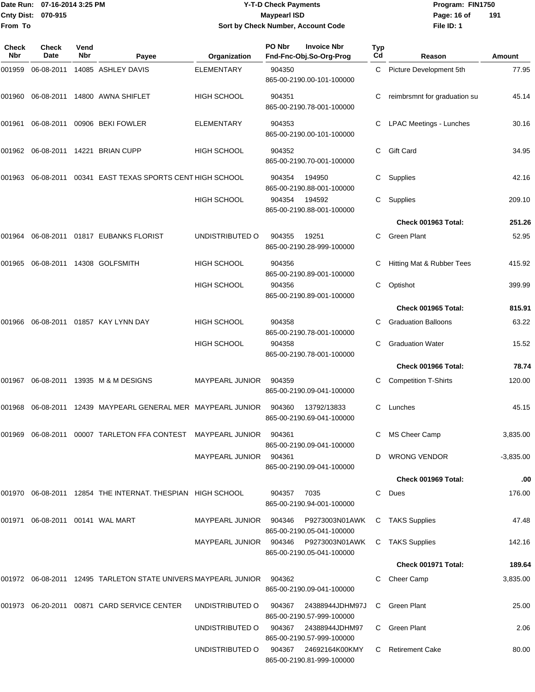### Date Run: 07-16-2014 3:25 PM **Program:** FIN1750 **Cnty Dist:** 070-915 **Page: 16 of** Maypearl ISD **CONSISTS Y-T-D Check Payments 070-915 Maypearl ISD Sort by Check Number, Account Code**

| Check<br><b>Nbr</b> | <b>Check</b><br>Date | Vend<br>Nbr | Payee                                                                     | Organization                          | PO Nbr | <b>Invoice Nbr</b><br>Fnd-Fnc-Obj.So-Org-Prog | Typ<br>Cd | Reason                         | Amount      |
|---------------------|----------------------|-------------|---------------------------------------------------------------------------|---------------------------------------|--------|-----------------------------------------------|-----------|--------------------------------|-------------|
| 001959              | 06-08-2011           |             | 14085 ASHLEY DAVIS                                                        | <b>ELEMENTARY</b>                     | 904350 | 865-00-2190.00-101-100000                     |           | C Picture Development 5th      | 77.95       |
| 001960              |                      |             | 06-08-2011 14800 AWNA SHIFLET                                             | <b>HIGH SCHOOL</b>                    | 904351 | 865-00-2190.78-001-100000                     | C         | reimbrsmnt for graduation su   | 45.14       |
| 001961              |                      |             | 06-08-2011 00906 BEKI FOWLER                                              | <b>ELEMENTARY</b>                     | 904353 | 865-00-2190.00-101-100000                     | C         | <b>LPAC Meetings - Lunches</b> | 30.16       |
|                     |                      |             | 001962 06-08-2011 14221 BRIAN CUPP                                        | HIGH SCHOOL                           | 904352 | 865-00-2190.70-001-100000                     | C         | <b>Gift Card</b>               | 34.95       |
| 001963              | 06-08-2011           |             | 00341 EAST TEXAS SPORTS CENT HIGH SCHOOL                                  |                                       | 904354 | 194950<br>865-00-2190.88-001-100000           | C         | Supplies                       | 42.16       |
|                     |                      |             |                                                                           | <b>HIGH SCHOOL</b>                    | 904354 | 194592<br>865-00-2190.88-001-100000           | C         | Supplies                       | 209.10      |
|                     |                      |             |                                                                           |                                       |        |                                               |           | Check 001963 Total:            | 251.26      |
| 001964              |                      |             | 06-08-2011  01817  EUBANKS FLORIST                                        | UNDISTRIBUTED O                       | 904355 | 19251<br>865-00-2190.28-999-100000            | C         | <b>Green Plant</b>             | 52.95       |
| 001965              |                      |             | 06-08-2011 14308 GOLFSMITH                                                | <b>HIGH SCHOOL</b>                    | 904356 | 865-00-2190.89-001-100000                     |           | Hitting Mat & Rubber Tees      | 415.92      |
|                     |                      |             |                                                                           | <b>HIGH SCHOOL</b>                    | 904356 | 865-00-2190.89-001-100000                     | C         | Optishot                       | 399.99      |
|                     |                      |             |                                                                           |                                       |        |                                               |           | Check 001965 Total:            | 815.91      |
| 001966              |                      |             | 06-08-2011  01857  KAY LYNN DAY                                           | <b>HIGH SCHOOL</b>                    | 904358 | 865-00-2190.78-001-100000                     | C.        | <b>Graduation Balloons</b>     | 63.22       |
|                     |                      |             |                                                                           | <b>HIGH SCHOOL</b>                    | 904358 | 865-00-2190.78-001-100000                     | C         | <b>Graduation Water</b>        | 15.52       |
|                     |                      |             |                                                                           |                                       |        |                                               |           | Check 001966 Total:            | 78.74       |
| 001967              |                      |             | 06-08-2011 13935 M & M DESIGNS                                            | MAYPEARL JUNIOR                       | 904359 | 865-00-2190.09-041-100000                     | С         | <b>Competition T-Shirts</b>    | 120.00      |
| 001968              | 06-08-2011           |             | 12439 MAYPEARL GENERAL MER MAYPEARL JUNIOR                                |                                       | 904360 | 13792/13833<br>865-00-2190.69-041-100000      | C         | Lunches                        | 45.15       |
|                     |                      |             | 001969  06-08-2011  00007  TARLETON FFA CONTEST  MAYPEARL JUNIOR          |                                       | 904361 | 865-00-2190.09-041-100000                     |           | C MS Cheer Camp                | 3,835.00    |
|                     |                      |             |                                                                           | MAYPEARL JUNIOR 904361                |        | 865-00-2190.09-041-100000                     | D         | <b>WRONG VENDOR</b>            | $-3,835.00$ |
|                     |                      |             |                                                                           |                                       |        |                                               |           | Check 001969 Total:            | .00         |
|                     |                      |             | 001970 06-08-2011 12854 THE INTERNAT. THESPIAN HIGH SCHOOL                |                                       | 904357 | 7035<br>865-00-2190.94-001-100000             | C         | Dues                           | 176.00      |
| 001971              |                      |             | 06-08-2011  00141  WAL MART                                               | MAYPEARL JUNIOR 904346 P9273003N01AWK |        | 865-00-2190.05-041-100000                     | C.        | TAKS Supplies                  | 47.48       |
|                     |                      |             |                                                                           | MAYPEARL JUNIOR 904346 P9273003N01AWK |        | 865-00-2190.05-041-100000                     | C.        | <b>TAKS Supplies</b>           | 142.16      |
|                     |                      |             |                                                                           |                                       |        |                                               |           | Check 001971 Total:            | 189.64      |
|                     |                      |             | 001972  06-08-2011  12495  TARLETON STATE UNIVERS MAYPEARL JUNIOR  904362 |                                       |        | 865-00-2190.09-041-100000                     | C.        | Cheer Camp                     | 3,835.00    |
|                     |                      |             | 001973 06-20-2011 00871 CARD SERVICE CENTER                               | UNDISTRIBUTED O                       | 904367 | 24388944JDHM97J<br>865-00-2190.57-999-100000  | C         | Green Plant                    | 25.00       |
|                     |                      |             |                                                                           | UNDISTRIBUTED O                       | 904367 | 24388944JDHM97<br>865-00-2190.57-999-100000   |           | C Green Plant                  | 2.06        |
|                     |                      |             |                                                                           | UNDISTRIBUTED O                       | 904367 | 24692164K00KMY<br>865-00-2190.81-999-100000   |           | C Retirement Cake              | 80.00       |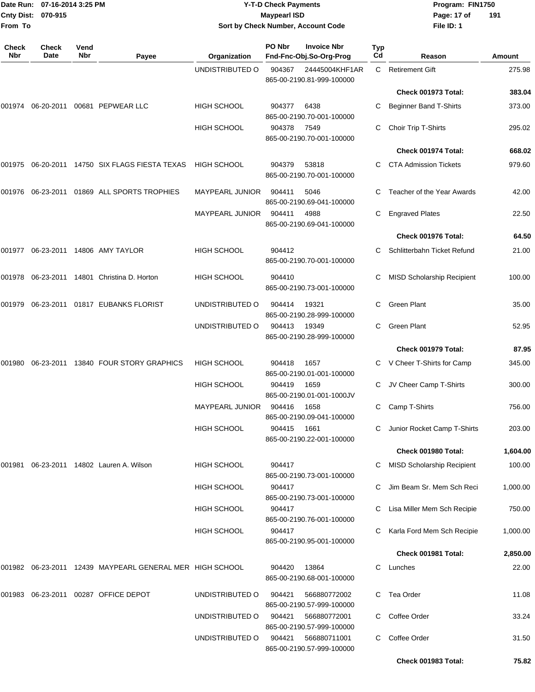| From To             | Date Run: 07-16-2014 3:25 PM<br>Cnty Dist: 070-915 |             |                                                              | <b>Y-T-D Check Payments</b><br><b>Maypearl ISD</b><br>Sort by Check Number, Account Code |                  |                                                           |           | Program: FIN1750<br>Page: 17 of<br>191<br>File ID: 1      |                    |  |
|---------------------|----------------------------------------------------|-------------|--------------------------------------------------------------|------------------------------------------------------------------------------------------|------------------|-----------------------------------------------------------|-----------|-----------------------------------------------------------|--------------------|--|
| <b>Check</b><br>Nbr | <b>Check</b><br>Date                               | Vend<br>Nbr | Payee                                                        | Organization                                                                             | PO Nbr           | <b>Invoice Nbr</b><br>Fnd-Fnc-Obj.So-Org-Prog             | Typ<br>Cd | Reason                                                    | Amount             |  |
|                     |                                                    |             |                                                              | UNDISTRIBUTED O                                                                          | 904367           | 24445004KHF1AR<br>865-00-2190.81-999-100000               | C.        | <b>Retirement Gift</b>                                    | 275.98             |  |
|                     |                                                    |             |                                                              |                                                                                          |                  |                                                           |           | Check 001973 Total:                                       | 383.04             |  |
|                     |                                                    |             | 001974    06-20-2011    00681    PEPWEAR LLC                 | <b>HIGH SCHOOL</b>                                                                       | 904377           | 6438<br>865-00-2190.70-001-100000                         | С         | <b>Beginner Band T-Shirts</b>                             | 373.00             |  |
|                     |                                                    |             |                                                              | <b>HIGH SCHOOL</b>                                                                       | 904378           | 7549<br>865-00-2190.70-001-100000                         | С         | Choir Trip T-Shirts                                       | 295.02             |  |
|                     |                                                    |             |                                                              |                                                                                          |                  |                                                           |           | Check 001974 Total:                                       | 668.02             |  |
|                     |                                                    |             | 001975 06-20-2011 14750  SIX FLAGS FIESTA TEXAS              | <b>HIGH SCHOOL</b>                                                                       | 904379           | 53818<br>865-00-2190.70-001-100000                        | С         | <b>CTA Admission Tickets</b>                              | 979.60             |  |
|                     |                                                    |             | 001976  06-23-2011  01869  ALL SPORTS TROPHIES               | <b>MAYPEARL JUNIOR</b>                                                                   | 904411           | 5046<br>865-00-2190.69-041-100000                         | C         | Teacher of the Year Awards                                | 42.00              |  |
|                     |                                                    |             |                                                              | <b>MAYPEARL JUNIOR</b>                                                                   | 904411           | 4988<br>865-00-2190.69-041-100000                         | С         | <b>Engraved Plates</b>                                    | 22.50              |  |
|                     |                                                    |             |                                                              |                                                                                          |                  |                                                           |           | Check 001976 Total:                                       | 64.50              |  |
|                     |                                                    |             | 001977 06-23-2011 14806 AMY TAYLOR                           | <b>HIGH SCHOOL</b>                                                                       | 904412           | 865-00-2190.70-001-100000                                 | С         | Schlitterbahn Ticket Refund                               | 21.00              |  |
|                     |                                                    |             | 001978 06-23-2011 14801 Christina D. Horton                  | <b>HIGH SCHOOL</b>                                                                       | 904410           | 865-00-2190.73-001-100000                                 | С         | <b>MISD Scholarship Recipient</b>                         | 100.00             |  |
| 001979              |                                                    |             | 06-23-2011 01817 EUBANKS FLORIST                             | UNDISTRIBUTED O                                                                          | 904414           | 19321<br>865-00-2190.28-999-100000                        | С         | Green Plant                                               | 35.00              |  |
|                     |                                                    |             |                                                              | UNDISTRIBUTED O                                                                          | 904413           | 19349<br>865-00-2190.28-999-100000                        | C         | Green Plant                                               | 52.95              |  |
|                     |                                                    |             |                                                              |                                                                                          |                  |                                                           |           | Check 001979 Total:                                       | 87.95              |  |
| 001980              |                                                    |             | 06-23-2011 13840 FOUR STORY GRAPHICS                         | <b>HIGH SCHOOL</b>                                                                       | 904418           | 1657<br>865-00-2190.01-001-100000                         | C         | V Cheer T-Shirts for Camp                                 | 345.00             |  |
|                     |                                                    |             |                                                              | <b>HIGH SCHOOL</b><br><b>MAYPEARL JUNIOR</b>                                             | 904419<br>904416 | 1659<br>865-00-2190.01-001-1000JV<br>1658                 | C         | JV Cheer Camp T-Shirts<br>C Camp T-Shirts                 | 300.00<br>756.00   |  |
|                     |                                                    |             |                                                              |                                                                                          |                  | 865-00-2190.09-041-100000                                 |           |                                                           |                    |  |
|                     |                                                    |             |                                                              | <b>HIGH SCHOOL</b>                                                                       | 904415           | 1661<br>865-00-2190.22-001-100000                         | С         | Junior Rocket Camp T-Shirts                               | 203.00             |  |
|                     |                                                    |             |                                                              |                                                                                          |                  |                                                           |           | Check 001980 Total:                                       | 1,604.00           |  |
|                     |                                                    |             | 001981   06-23-2011  14802   Lauren A. Wilson                | HIGH SCHOOL                                                                              | 904417           | 865-00-2190.73-001-100000                                 | С         | <b>MISD Scholarship Recipient</b>                         | 100.00             |  |
|                     |                                                    |             |                                                              | <b>HIGH SCHOOL</b>                                                                       | 904417           | 865-00-2190.73-001-100000                                 | С         | Jim Beam Sr. Mem Sch Reci                                 | 1,000.00           |  |
|                     |                                                    |             |                                                              | HIGH SCHOOL<br><b>HIGH SCHOOL</b>                                                        | 904417<br>904417 | 865-00-2190.76-001-100000                                 | C<br>C    | Lisa Miller Mem Sch Recipie<br>Karla Ford Mem Sch Recipie | 750.00<br>1,000.00 |  |
|                     |                                                    |             |                                                              |                                                                                          |                  | 865-00-2190.95-001-100000                                 |           | Check 001981 Total:                                       | 2,850.00           |  |
|                     |                                                    |             | 001982  06-23-2011  12439  MAYPEARL GENERAL MER  HIGH SCHOOL |                                                                                          | 904420           | 13864                                                     | C         | Lunches                                                   | 22.00              |  |
|                     |                                                    |             |                                                              |                                                                                          |                  | 865-00-2190.68-001-100000                                 |           |                                                           |                    |  |
|                     |                                                    |             | 001983 06-23-2011 00287 OFFICE DEPOT                         | UNDISTRIBUTED O<br>UNDISTRIBUTED O                                                       | 904421<br>904421 | 566880772002<br>865-00-2190.57-999-100000<br>566880772001 | C.        | C Tea Order<br>Coffee Order                               | 11.08<br>33.24     |  |
|                     |                                                    |             |                                                              | UNDISTRIBUTED O                                                                          | 904421           | 865-00-2190.57-999-100000<br>566880711001                 | C         | Coffee Order                                              | 31.50              |  |
|                     |                                                    |             |                                                              |                                                                                          |                  | 865-00-2190.57-999-100000                                 |           |                                                           |                    |  |
|                     |                                                    |             |                                                              |                                                                                          |                  |                                                           |           | Check 001983 Total:                                       | 75.82              |  |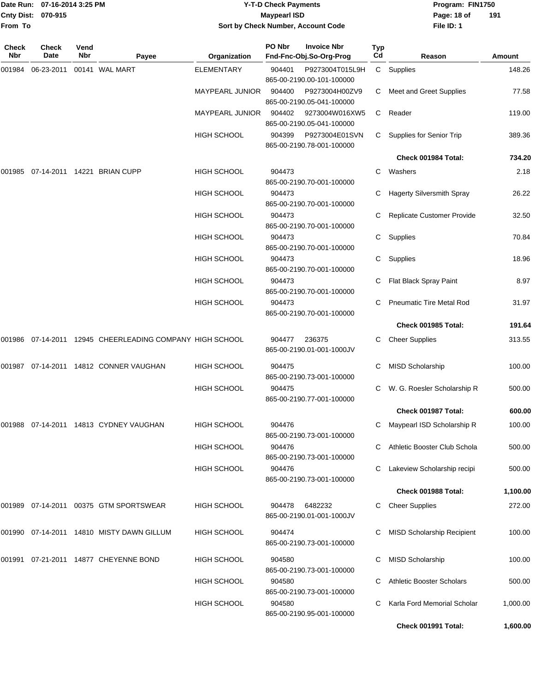| From To      | Date Run: 07-16-2014 3:25 PM<br>Cnty Dist: 070-915 |             |                                                              | <b>Y-T-D Check Payments</b><br><b>Maypearl ISD</b><br>Sort by Check Number, Account Code |        |                                             |                       | Program: FIN1750<br>Page: 18 of<br>191<br>File ID: 1 |                         |  |
|--------------|----------------------------------------------------|-------------|--------------------------------------------------------------|------------------------------------------------------------------------------------------|--------|---------------------------------------------|-----------------------|------------------------------------------------------|-------------------------|--|
| Check<br>Nbr | Check<br>Date                                      | Vend<br>Nbr |                                                              |                                                                                          | PO Nbr | <b>Invoice Nbr</b>                          | Typ<br>C <sub>d</sub> |                                                      |                         |  |
| 001984       | 06-23-2011                                         |             | Payee<br>00141 WAL MART                                      | Organization<br>ELEMENTARY                                                               | 904401 | Fnd-Fnc-Obj.So-Org-Prog<br>P9273004T015L9H  |                       | Reason<br>C Supplies                                 | <b>Amount</b><br>148.26 |  |
|              |                                                    |             |                                                              |                                                                                          |        | 865-00-2190.00-101-100000                   |                       |                                                      |                         |  |
|              |                                                    |             |                                                              | MAYPEARL JUNIOR                                                                          | 904400 | P9273004H00ZV9                              | C                     | Meet and Greet Supplies                              | 77.58                   |  |
|              |                                                    |             |                                                              | <b>MAYPEARL JUNIOR</b>                                                                   | 904402 | 865-00-2190.05-041-100000<br>9273004W016XW5 | $\mathsf{C}^-$        | Reader                                               | 119.00                  |  |
|              |                                                    |             |                                                              |                                                                                          |        | 865-00-2190.05-041-100000                   |                       |                                                      |                         |  |
|              |                                                    |             |                                                              | HIGH SCHOOL                                                                              | 904399 | P9273004E01SVN                              | C                     | Supplies for Senior Trip                             | 389.36                  |  |
|              |                                                    |             |                                                              |                                                                                          |        | 865-00-2190.78-001-100000                   |                       |                                                      |                         |  |
|              |                                                    |             |                                                              |                                                                                          | 904473 |                                             |                       | Check 001984 Total:                                  | 734.20                  |  |
| 001985       |                                                    |             | 07-14-2011  14221  BRIAN CUPP                                | <b>HIGH SCHOOL</b>                                                                       |        | 865-00-2190.70-001-100000                   | C                     | Washers                                              | 2.18                    |  |
|              |                                                    |             |                                                              | HIGH SCHOOL                                                                              | 904473 |                                             | С                     | <b>Hagerty Silversmith Spray</b>                     | 26.22                   |  |
|              |                                                    |             |                                                              |                                                                                          |        | 865-00-2190.70-001-100000                   |                       |                                                      |                         |  |
|              |                                                    |             |                                                              | HIGH SCHOOL                                                                              | 904473 | 865-00-2190.70-001-100000                   |                       | Replicate Customer Provide                           | 32.50                   |  |
|              |                                                    |             |                                                              | <b>HIGH SCHOOL</b>                                                                       | 904473 |                                             | C                     | Supplies                                             | 70.84                   |  |
|              |                                                    |             |                                                              |                                                                                          |        | 865-00-2190.70-001-100000                   |                       |                                                      |                         |  |
|              |                                                    |             |                                                              | <b>HIGH SCHOOL</b>                                                                       | 904473 | 865-00-2190.70-001-100000                   | C                     | Supplies                                             | 18.96                   |  |
|              |                                                    |             |                                                              | <b>HIGH SCHOOL</b>                                                                       | 904473 |                                             |                       | Flat Black Spray Paint                               | 8.97                    |  |
|              |                                                    |             |                                                              |                                                                                          |        | 865-00-2190.70-001-100000                   |                       |                                                      |                         |  |
|              |                                                    |             |                                                              | HIGH SCHOOL                                                                              | 904473 | 865-00-2190.70-001-100000                   | С                     | <b>Pneumatic Tire Metal Rod</b>                      | 31.97                   |  |
|              |                                                    |             |                                                              |                                                                                          |        |                                             |                       | Check 001985 Total:                                  | 191.64                  |  |
|              |                                                    |             | 001986  07-14-2011  12945  CHEERLEADING COMPANY  HIGH SCHOOL |                                                                                          | 904477 | 236375                                      | C                     | <b>Cheer Supplies</b>                                | 313.55                  |  |
|              |                                                    |             |                                                              |                                                                                          |        | 865-00-2190.01-001-1000JV                   |                       |                                                      |                         |  |
|              |                                                    |             | 001987 07-14-2011 14812 CONNER VAUGHAN                       | <b>HIGH SCHOOL</b>                                                                       | 904475 |                                             | C                     | MISD Scholarship                                     | 100.00                  |  |
|              |                                                    |             |                                                              |                                                                                          |        | 865-00-2190.73-001-100000                   |                       |                                                      |                         |  |
|              |                                                    |             |                                                              | <b>HIGH SCHOOL</b>                                                                       | 904475 | 865-00-2190.77-001-100000                   | C.                    | W. G. Roesler Scholarship R                          | 500.00                  |  |
|              |                                                    |             |                                                              |                                                                                          |        |                                             |                       | Check 001987 Total:                                  | 600.00                  |  |
|              |                                                    |             | 001988 07-14-2011 14813  CYDNEY VAUGHAN                      | HIGH SCHOOL                                                                              | 904476 |                                             |                       | Maypearl ISD Scholarship R                           | 100.00                  |  |
|              |                                                    |             |                                                              |                                                                                          |        | 865-00-2190.73-001-100000                   |                       |                                                      |                         |  |
|              |                                                    |             |                                                              | HIGH SCHOOL                                                                              | 904476 | 865-00-2190.73-001-100000                   |                       | Athletic Booster Club Schola                         | 500.00                  |  |
|              |                                                    |             |                                                              | <b>HIGH SCHOOL</b>                                                                       | 904476 |                                             | C                     | Lakeview Scholarship recipi                          | 500.00                  |  |
|              |                                                    |             |                                                              |                                                                                          |        | 865-00-2190.73-001-100000                   |                       |                                                      |                         |  |
|              |                                                    |             |                                                              |                                                                                          |        |                                             |                       | Check 001988 Total:                                  | 1,100.00                |  |
|              |                                                    |             |                                                              | HIGH SCHOOL                                                                              | 904478 | 6482232<br>865-00-2190.01-001-1000JV        | C                     | <b>Cheer Supplies</b>                                | 272.00                  |  |
|              |                                                    |             | 001990 07-14-2011 14810 MISTY DAWN GILLUM                    | <b>HIGH SCHOOL</b>                                                                       | 904474 |                                             | С                     | <b>MISD Scholarship Recipient</b>                    | 100.00                  |  |
|              |                                                    |             |                                                              |                                                                                          |        | 865-00-2190.73-001-100000                   |                       |                                                      |                         |  |
|              |                                                    |             | 001991  07-21-2011  14877  CHEYENNE BOND                     | <b>HIGH SCHOOL</b>                                                                       | 904580 |                                             | С                     | <b>MISD Scholarship</b>                              | 100.00                  |  |
|              |                                                    |             |                                                              |                                                                                          |        | 865-00-2190.73-001-100000                   |                       |                                                      |                         |  |
|              |                                                    |             |                                                              | <b>HIGH SCHOOL</b>                                                                       | 904580 |                                             | С                     | <b>Athletic Booster Scholars</b>                     | 500.00                  |  |
|              |                                                    |             |                                                              | HIGH SCHOOL                                                                              | 904580 | 865-00-2190.73-001-100000                   |                       | Karla Ford Memorial Scholar                          | 1,000.00                |  |
|              |                                                    |             |                                                              |                                                                                          |        | 865-00-2190.95-001-100000                   |                       |                                                      |                         |  |
|              |                                                    |             |                                                              |                                                                                          |        |                                             |                       | Check 001991 Total:                                  | 1,600.00                |  |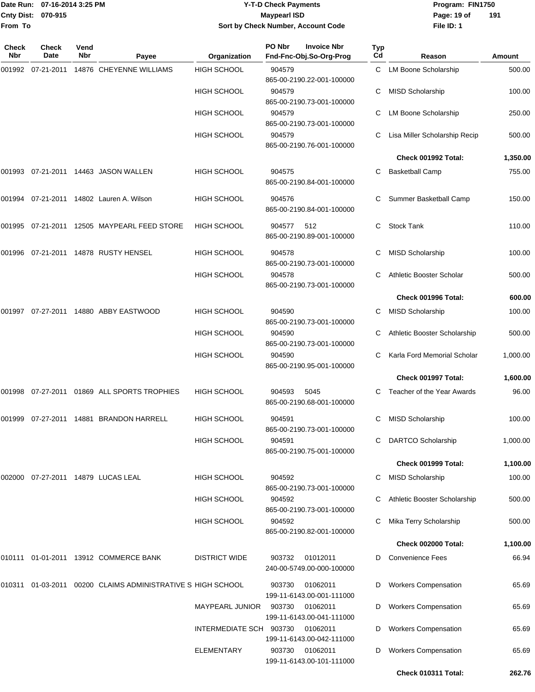### Date Run: 07-16-2014 3:25 PM **Program:** FIN1750 **Cnty Dist:** 070-915 **Page: 19 of** Maypearl ISD **CONTEX 19 of** Maypearl ISD **Page: 19 of Y-T-D Check Payments 070-915 Maypearl ISD Sort by Check Number, Account Code**

| Check<br><b>Nbr</b> | <b>Check</b><br>Date | Vend<br>Nbr | Payee                                                | Organization            | PO Nbr<br>Fnd-Fnc-Obj.So-Org-Prog | <b>Invoice Nbr</b>                    | <b>Typ</b><br>Cd | Reason                        | <b>Amount</b> |
|---------------------|----------------------|-------------|------------------------------------------------------|-------------------------|-----------------------------------|---------------------------------------|------------------|-------------------------------|---------------|
| 001992              |                      |             | 07-21-2011 14876 CHEYENNE WILLIAMS                   | <b>HIGH SCHOOL</b>      | 904579                            | 865-00-2190.22-001-100000             | C.               | LM Boone Scholarship          | 500.00        |
|                     |                      |             |                                                      | <b>HIGH SCHOOL</b>      | 904579                            | 865-00-2190.73-001-100000             |                  | <b>MISD Scholarship</b>       | 100.00        |
|                     |                      |             |                                                      | <b>HIGH SCHOOL</b>      | 904579                            | 865-00-2190.73-001-100000             | С                | LM Boone Scholarship          | 250.00        |
|                     |                      |             |                                                      | <b>HIGH SCHOOL</b>      | 904579                            | 865-00-2190.76-001-100000             | С                | Lisa Miller Scholarship Recip | 500.00        |
|                     |                      |             |                                                      |                         |                                   |                                       |                  | Check 001992 Total:           | 1,350.00      |
|                     |                      |             | 001993 07-21-2011 14463 JASON WALLEN                 | <b>HIGH SCHOOL</b>      | 904575                            | 865-00-2190.84-001-100000             | С                | <b>Basketball Camp</b>        | 755.00        |
| 001994              |                      |             | 07-21-2011  14802  Lauren A. Wilson                  | <b>HIGH SCHOOL</b>      | 904576                            | 865-00-2190.84-001-100000             |                  | Summer Basketball Camp        | 150.00        |
| 001995              |                      |             | 07-21-2011 12505 MAYPEARL FEED STORE                 | <b>HIGH SCHOOL</b>      | 904577                            | 512<br>865-00-2190.89-001-100000      | С                | <b>Stock Tank</b>             | 110.00        |
| 001996              |                      |             | 07-21-2011  14878  RUSTY HENSEL                      | <b>HIGH SCHOOL</b>      | 904578                            | 865-00-2190.73-001-100000             | С                | <b>MISD Scholarship</b>       | 100.00        |
|                     |                      |             |                                                      | <b>HIGH SCHOOL</b>      | 904578                            | 865-00-2190.73-001-100000             |                  | Athletic Booster Scholar      | 500.00        |
|                     |                      |             |                                                      |                         |                                   |                                       |                  | Check 001996 Total:           | 600.00        |
| 001997              |                      |             | 07-27-2011  14880  ABBY EASTWOOD                     | <b>HIGH SCHOOL</b>      | 904590                            | 865-00-2190.73-001-100000             | С                | MISD Scholarship              | 100.00        |
|                     |                      |             |                                                      | <b>HIGH SCHOOL</b>      | 904590                            | 865-00-2190.73-001-100000             | С                | Athletic Booster Scholarship  | 500.00        |
|                     |                      |             |                                                      | <b>HIGH SCHOOL</b>      | 904590                            | 865-00-2190.95-001-100000             | С                | Karla Ford Memorial Scholar   | 1,000.00      |
|                     |                      |             |                                                      |                         |                                   |                                       |                  | Check 001997 Total:           | 1,600.00      |
|                     |                      |             | 001998 07-27-2011 01869 ALL SPORTS TROPHIES          | <b>HIGH SCHOOL</b>      | 904593                            | 5045<br>865-00-2190.68-001-100000     | С                | Teacher of the Year Awards    | 96.00         |
| 001999              |                      |             | 07-27-2011  14881  BRANDON HARRELL                   | <b>HIGH SCHOOL</b>      | 904591                            | 865-00-2190.73-001-100000             | С                | <b>MISD Scholarship</b>       | 100.00        |
|                     |                      |             |                                                      | <b>HIGH SCHOOL</b>      | 904591                            | 865-00-2190.75-001-100000             |                  | <b>DARTCO Scholarship</b>     | 1,000.00      |
|                     |                      |             |                                                      |                         |                                   |                                       |                  | Check 001999 Total:           | 1,100.00      |
| 002000              |                      |             | 07-27-2011  14879  LUCAS LEAL                        | <b>HIGH SCHOOL</b>      | 904592                            | 865-00-2190.73-001-100000             | С                | <b>MISD Scholarship</b>       | 100.00        |
|                     |                      |             |                                                      | <b>HIGH SCHOOL</b>      | 904592                            | 865-00-2190.73-001-100000             | С                | Athletic Booster Scholarship  | 500.00        |
|                     |                      |             |                                                      | <b>HIGH SCHOOL</b>      | 904592                            | 865-00-2190.82-001-100000             |                  | Mika Terry Scholarship        | 500.00        |
|                     |                      |             |                                                      |                         |                                   |                                       |                  | Check 002000 Total:           | 1,100.00      |
|                     |                      |             | 010111 01-01-2011 13912 COMMERCE BANK                | <b>DISTRICT WIDE</b>    | 903732                            | 01012011<br>240-00-5749.00-000-100000 |                  | <b>Convenience Fees</b>       | 66.94         |
| 010311              |                      |             | 01-03-2011 00200 CLAIMS ADMINISTRATIVE S HIGH SCHOOL |                         | 903730                            | 01062011<br>199-11-6143.00-001-111000 | D                | <b>Workers Compensation</b>   | 65.69         |
|                     |                      |             |                                                      | <b>MAYPEARL JUNIOR</b>  | 903730                            | 01062011<br>199-11-6143.00-041-111000 | D                | <b>Workers Compensation</b>   | 65.69         |
|                     |                      |             |                                                      | INTERMEDIATE SCH 903730 |                                   | 01062011<br>199-11-6143.00-042-111000 | D                | <b>Workers Compensation</b>   | 65.69         |
|                     |                      |             |                                                      | <b>ELEMENTARY</b>       | 903730                            | 01062011<br>199-11-6143.00-101-111000 | D                | <b>Workers Compensation</b>   | 65.69         |
|                     |                      |             |                                                      |                         |                                   |                                       |                  | Check 010311 Total:           | 262.76        |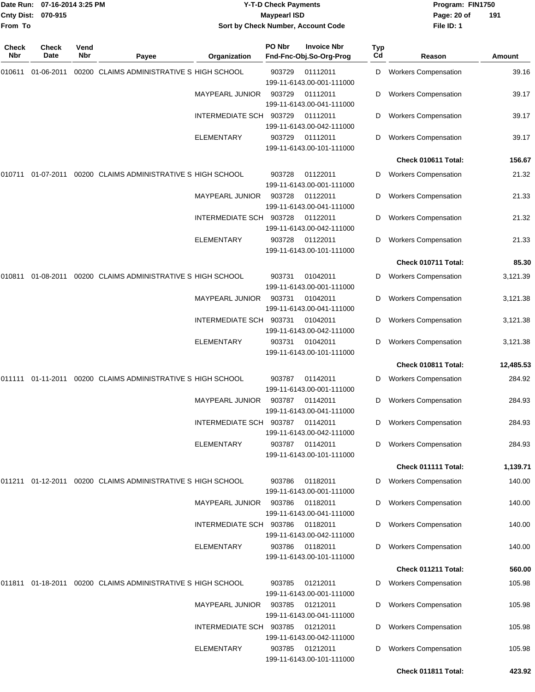| <b>Cnty Dist:</b><br>From To | 07-16-2014 3:25 PM<br>Date Run:<br>070-915 |             |                                                              |                         | <b>Y-T-D Check Payments</b><br><b>Maypearl ISD</b> | Sort by Check Number, Account Code            |           | Program: FIN1750<br>Page: 20 of<br>191<br>File ID: 1 |           |  |
|------------------------------|--------------------------------------------|-------------|--------------------------------------------------------------|-------------------------|----------------------------------------------------|-----------------------------------------------|-----------|------------------------------------------------------|-----------|--|
| Check<br>Nbr                 | <b>Check</b><br>Date                       | Vend<br>Nbr | Payee                                                        | Organization            | PO Nbr                                             | <b>Invoice Nbr</b><br>Fnd-Fnc-Obj.So-Org-Prog | Typ<br>Cd | Reason                                               | Amount    |  |
| 010611                       | 01-06-2011                                 |             | 00200 CLAIMS ADMINISTRATIVE S HIGH SCHOOL                    |                         | 903729                                             | 01112011<br>199-11-6143.00-001-111000         | D         | <b>Workers Compensation</b>                          | 39.16     |  |
|                              |                                            |             |                                                              | MAYPEARL JUNIOR         | 903729                                             | 01112011<br>199-11-6143.00-041-111000         | D         | <b>Workers Compensation</b>                          | 39.17     |  |
|                              |                                            |             |                                                              | INTERMEDIATE SCH 903729 |                                                    | 01112011<br>199-11-6143.00-042-111000         | D         | <b>Workers Compensation</b>                          | 39.17     |  |
|                              |                                            |             |                                                              | ELEMENTARY              | 903729                                             | 01112011<br>199-11-6143.00-101-111000         | D         | <b>Workers Compensation</b>                          | 39.17     |  |
|                              |                                            |             |                                                              |                         |                                                    |                                               |           | Check 010611 Total:                                  | 156.67    |  |
| 010711                       | 01-07-2011                                 |             | 00200 CLAIMS ADMINISTRATIVE S HIGH SCHOOL                    |                         | 903728                                             | 01122011<br>199-11-6143.00-001-111000         | D         | <b>Workers Compensation</b>                          | 21.32     |  |
|                              |                                            |             |                                                              | <b>MAYPEARL JUNIOR</b>  | 903728                                             | 01122011<br>199-11-6143.00-041-111000         | D         | <b>Workers Compensation</b>                          | 21.33     |  |
|                              |                                            |             |                                                              | INTERMEDIATE SCH        | 903728                                             | 01122011<br>199-11-6143.00-042-111000         | D         | <b>Workers Compensation</b>                          | 21.32     |  |
|                              |                                            |             |                                                              | ELEMENTARY              | 903728                                             | 01122011<br>199-11-6143.00-101-111000         | D         | <b>Workers Compensation</b>                          | 21.33     |  |
|                              |                                            |             |                                                              |                         |                                                    |                                               |           | Check 010711 Total:                                  | 85.30     |  |
| 010811                       | 01-08-2011                                 |             | 00200 CLAIMS ADMINISTRATIVE S HIGH SCHOOL                    |                         | 903731                                             | 01042011<br>199-11-6143.00-001-111000         | D         | <b>Workers Compensation</b>                          | 3,121.39  |  |
|                              |                                            |             |                                                              | MAYPEARL JUNIOR         | 903731                                             | 01042011<br>199-11-6143.00-041-111000         | D         | <b>Workers Compensation</b>                          | 3,121.38  |  |
|                              |                                            |             |                                                              | INTERMEDIATE SCH 903731 |                                                    | 01042011<br>199-11-6143.00-042-111000         | D         | <b>Workers Compensation</b>                          | 3,121.38  |  |
|                              |                                            |             |                                                              | <b>ELEMENTARY</b>       | 903731                                             | 01042011<br>199-11-6143.00-101-111000         | D         | <b>Workers Compensation</b>                          | 3,121.38  |  |
|                              |                                            |             |                                                              |                         |                                                    |                                               |           | Check 010811 Total:                                  | 12,485.53 |  |
| 011111                       | 01-11-2011                                 |             | 00200 CLAIMS ADMINISTRATIVE S HIGH SCHOOL                    |                         | 903787                                             | 01142011<br>199-11-6143.00-001-111000         | D         | <b>Workers Compensation</b>                          | 284.92    |  |
|                              |                                            |             |                                                              | MAYPEARL JUNIOR         | 903787                                             | 01142011<br>199-11-6143.00-041-111000         | D         | <b>Workers Compensation</b>                          | 284.93    |  |
|                              |                                            |             |                                                              | INTERMEDIATE SCH 903787 |                                                    | 01142011<br>199-11-6143.00-042-111000         | D         | <b>Workers Compensation</b>                          | 284.93    |  |
|                              |                                            |             |                                                              | <b>ELEMENTARY</b>       | 903787                                             | 01142011<br>199-11-6143.00-101-111000         | D         | <b>Workers Compensation</b>                          | 284.93    |  |
|                              |                                            |             |                                                              |                         |                                                    |                                               |           | Check 011111 Total:                                  | 1,139.71  |  |
|                              |                                            |             | 011211 01-12-2011 00200  CLAIMS ADMINISTRATIVE S HIGH SCHOOL |                         | 903786                                             | 01182011<br>199-11-6143.00-001-111000         | D         | <b>Workers Compensation</b>                          | 140.00    |  |
|                              |                                            |             |                                                              | <b>MAYPEARL JUNIOR</b>  | 903786                                             | 01182011<br>199-11-6143.00-041-111000         | D         | <b>Workers Compensation</b>                          | 140.00    |  |
|                              |                                            |             |                                                              | INTERMEDIATE SCH 903786 |                                                    | 01182011<br>199-11-6143.00-042-111000         | D         | <b>Workers Compensation</b>                          | 140.00    |  |
|                              |                                            |             |                                                              | <b>ELEMENTARY</b>       | 903786                                             | 01182011<br>199-11-6143.00-101-111000         |           | <b>Workers Compensation</b>                          | 140.00    |  |
|                              |                                            |             |                                                              |                         |                                                    |                                               |           | Check 011211 Total:                                  | 560.00    |  |
|                              |                                            |             | 011811 01-18-2011 00200  CLAIMS ADMINISTRATIVE S HIGH SCHOOL |                         | 903785                                             | 01212011<br>199-11-6143.00-001-111000         | D         | <b>Workers Compensation</b>                          | 105.98    |  |
|                              |                                            |             |                                                              | MAYPEARL JUNIOR         | 903785                                             | 01212011<br>199-11-6143.00-041-111000         |           | <b>Workers Compensation</b>                          | 105.98    |  |
|                              |                                            |             |                                                              | INTERMEDIATE SCH 903785 |                                                    | 01212011<br>199-11-6143.00-042-111000         | D         | <b>Workers Compensation</b>                          | 105.98    |  |
|                              |                                            |             |                                                              | <b>ELEMENTARY</b>       | 903785                                             | 01212011<br>199-11-6143.00-101-111000         | D         | <b>Workers Compensation</b>                          | 105.98    |  |
|                              |                                            |             |                                                              |                         |                                                    |                                               |           | Check 011811 Total:                                  | 423.92    |  |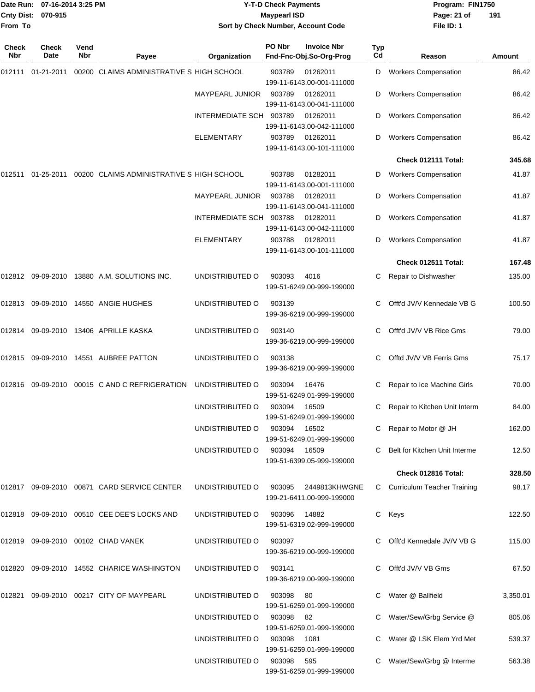|                              | Date Run: 07-16-2014 3:25 PM |                    |                                                      |                         | <b>Y-T-D Check Payments</b> |                                               |           | Program: FIN1750                |               |
|------------------------------|------------------------------|--------------------|------------------------------------------------------|-------------------------|-----------------------------|-----------------------------------------------|-----------|---------------------------------|---------------|
| <b>Cnty Dist:</b><br>From To | 070-915                      |                    |                                                      |                         | <b>Maypearl ISD</b>         | Sort by Check Number, Account Code            |           | Page: 21 of<br>File ID: 1       | 191           |
|                              |                              |                    |                                                      |                         |                             |                                               |           |                                 |               |
| Check<br>Nbr                 | Check<br>Date                | Vend<br><b>Nbr</b> | Payee                                                | Organization            | PO Nbr                      | <b>Invoice Nbr</b><br>Fnd-Fnc-Obj.So-Org-Prog | Typ<br>Cd | Reason                          | <b>Amount</b> |
| 012111                       | 01-21-2011                   |                    | 00200 CLAIMS ADMINISTRATIVE S HIGH SCHOOL            |                         | 903789                      | 01262011<br>199-11-6143.00-001-111000         | D         | <b>Workers Compensation</b>     | 86.42         |
|                              |                              |                    |                                                      | <b>MAYPEARL JUNIOR</b>  | 903789                      | 01262011<br>199-11-6143.00-041-111000         | D         | <b>Workers Compensation</b>     | 86.42         |
|                              |                              |                    |                                                      | <b>INTERMEDIATE SCH</b> | 903789                      | 01262011<br>199-11-6143.00-042-111000         | D         | <b>Workers Compensation</b>     | 86.42         |
|                              |                              |                    |                                                      | <b>ELEMENTARY</b>       | 903789                      | 01262011<br>199-11-6143.00-101-111000         | D         | <b>Workers Compensation</b>     | 86.42         |
|                              |                              |                    |                                                      |                         |                             |                                               |           | Check 012111 Total:             | 345.68        |
| 012511                       |                              |                    | 01-25-2011 00200 CLAIMS ADMINISTRATIVE S HIGH SCHOOL |                         | 903788                      | 01282011<br>199-11-6143.00-001-111000         | D         | <b>Workers Compensation</b>     | 41.87         |
|                              |                              |                    |                                                      | <b>MAYPEARL JUNIOR</b>  | 903788                      | 01282011<br>199-11-6143.00-041-111000         | D         | <b>Workers Compensation</b>     | 41.87         |
|                              |                              |                    |                                                      | INTERMEDIATE SCH        | 903788                      | 01282011<br>199-11-6143.00-042-111000         | D         | <b>Workers Compensation</b>     | 41.87         |
|                              |                              |                    |                                                      | <b>ELEMENTARY</b>       | 903788                      | 01282011<br>199-11-6143.00-101-111000         | D         | <b>Workers Compensation</b>     | 41.87         |
|                              |                              |                    |                                                      |                         |                             |                                               |           | Check 012511 Total:             | 167.48        |
|                              |                              |                    | 012812 09-09-2010 13880 A.M. SOLUTIONS INC.          | UNDISTRIBUTED O         | 903093                      | 4016<br>199-51-6249.00-999-199000             |           | Repair to Dishwasher            | 135.00        |
| 012813                       |                              |                    | 09-09-2010 14550 ANGIE HUGHES                        | UNDISTRIBUTED O         | 903139                      | 199-36-6219.00-999-199000                     |           | Offt'd JV/V Kennedale VB G      | 100.50        |
| 012814                       |                              |                    | 09-09-2010 13406 APRILLE KASKA                       | UNDISTRIBUTED O         | 903140                      | 199-36-6219.00-999-199000                     | С         | Offt'd JV/V VB Rice Gms         | 79.00         |
| 012815                       |                              |                    | 09-09-2010  14551  AUBREE PATTON                     | UNDISTRIBUTED O         | 903138                      | 199-36-6219.00-999-199000                     | С         | Offtd JV/V VB Ferris Gms        | 75.17         |
|                              |                              |                    | 012816 09-09-2010 00015 C AND C REFRIGERATION        | UNDISTRIBUTED O         | 903094                      | 16476<br>199-51-6249.01-999-199000            | С         | Repair to Ice Machine Girls     | 70.00         |
|                              |                              |                    |                                                      | UNDISTRIBUTED O         | 903094                      | 16509<br>199-51-6249.01-999-199000            |           | C Repair to Kitchen Unit Interm | 84.00         |
|                              |                              |                    |                                                      | UNDISTRIBUTED O         | 903094                      | 16502<br>199-51-6249.01-999-199000            |           | Repair to Motor @ JH            | 162.00        |
|                              |                              |                    |                                                      | UNDISTRIBUTED O         | 903094                      | 16509<br>199-51-6399.05-999-199000            |           | Belt for Kitchen Unit Interme   | 12.50         |
|                              |                              |                    |                                                      |                         |                             |                                               |           | Check 012816 Total:             | 328.50        |
|                              |                              |                    | 012817 09-09-2010 00871 CARD SERVICE CENTER          | UNDISTRIBUTED O         | 903095                      | 2449813KHWGNE<br>199-21-6411.00-999-199000    |           | C Curriculum Teacher Training   | 98.17         |
|                              |                              |                    | 012818 09-09-2010 00510 CEE DEE'S LOCKS AND          | UNDISTRIBUTED O         | 903096                      | 14882<br>199-51-6319.02-999-199000            |           | C Keys                          | 122.50        |
|                              |                              |                    | 012819 09-09-2010 00102 CHAD VANEK                   | UNDISTRIBUTED O         | 903097                      | 199-36-6219.00-999-199000                     |           | Offt'd Kennedale JV/V VB G      | 115.00        |
|                              |                              |                    | 012820 09-09-2010 14552 CHARICE WASHINGTON           | UNDISTRIBUTED O         | 903141                      | 199-36-6219.00-999-199000                     |           | Offt'd JV/V VB Gms              | 67.50         |
|                              |                              |                    | 012821 09-09-2010 00217 CITY OF MAYPEARL             | UNDISTRIBUTED O         | 903098                      | 80<br>199-51-6259.01-999-199000               |           | Water @ Ballfield               | 3,350.01      |
|                              |                              |                    |                                                      | UNDISTRIBUTED O         | 903098                      | - 82<br>199-51-6259.01-999-199000             |           | Water/Sew/Grbg Service @        | 805.06        |
|                              |                              |                    |                                                      | UNDISTRIBUTED O         | 903098                      | 1081<br>199-51-6259.01-999-199000             |           | Water @ LSK Elem Yrd Met        | 539.37        |
|                              |                              |                    |                                                      | UNDISTRIBUTED O         | 903098                      | 595                                           |           | C Water/Sew/Grbg @ Interme      | 563.38        |

199-51-6259.01-999-199000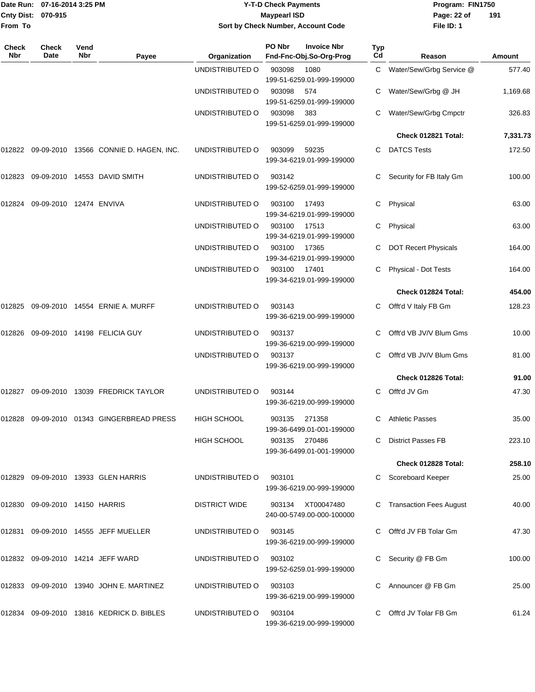|                     | Date Run: 07-16-2014 3:25 PM   |                    |                                           |                        | <b>Y-T-D Check Payments</b>                             |                              | Program: FIN1750            |          |
|---------------------|--------------------------------|--------------------|-------------------------------------------|------------------------|---------------------------------------------------------|------------------------------|-----------------------------|----------|
| From To             | Cnty Dist: 070-915             |                    |                                           |                        | <b>Maypearl ISD</b>                                     |                              | Page: 22 of<br>File ID: 1   | 191      |
|                     |                                |                    |                                           |                        | Sort by Check Number, Account Code                      |                              |                             |          |
| Check<br><b>Nbr</b> | <b>Check</b><br><b>Date</b>    | Vend<br><b>Nbr</b> | Payee                                     | Organization           | PO Nbr<br><b>Invoice Nbr</b><br>Fnd-Fnc-Obj.So-Org-Prog | <b>Typ</b><br>C <sub>d</sub> | Reason                      | Amount   |
|                     |                                |                    |                                           | UNDISTRIBUTED O        | 903098<br>1080<br>199-51-6259.01-999-199000             | C                            | Water/Sew/Grbg Service @    | 577.40   |
|                     |                                |                    |                                           | UNDISTRIBUTED O        | 903098<br>574<br>199-51-6259.01-999-199000              | C                            | Water/Sew/Grbg @ JH         | 1,169.68 |
|                     |                                |                    |                                           | UNDISTRIBUTED O        | 903098<br>383<br>199-51-6259.01-999-199000              | C                            | Water/Sew/Grbg Cmpctr       | 326.83   |
|                     |                                |                    |                                           |                        |                                                         |                              | Check 012821 Total:         | 7,331.73 |
| 012822              |                                |                    | 09-09-2010 13566 CONNIE D. HAGEN, INC.    | UNDISTRIBUTED O        | 903099<br>59235<br>199-34-6219.01-999-199000            | C                            | <b>DATCS Tests</b>          | 172.50   |
| 012823              |                                |                    | 09-09-2010 14553 DAVID SMITH              | UNDISTRIBUTED O        | 903142<br>199-52-6259.01-999-199000                     | C                            | Security for FB Italy Gm    | 100.00   |
| 012824              | 09-09-2010 12474 ENVIVA        |                    |                                           | UNDISTRIBUTED O        | 903100<br>17493<br>199-34-6219.01-999-199000            | С                            | Physical                    | 63.00    |
|                     |                                |                    |                                           | UNDISTRIBUTED O        | 903100<br>17513<br>199-34-6219.01-999-199000            | C                            | Physical                    | 63.00    |
|                     |                                |                    |                                           | UNDISTRIBUTED O        | 903100<br>17365<br>199-34-6219.01-999-199000            | C                            | <b>DOT Recert Physicals</b> | 164.00   |
|                     |                                |                    |                                           | UNDISTRIBUTED O        | 903100<br>17401<br>199-34-6219.01-999-199000            | C                            | Physical - Dot Tests        | 164.00   |
|                     |                                |                    |                                           |                        |                                                         |                              | Check 012824 Total:         | 454.00   |
| 012825              |                                |                    | 09-09-2010  14554  ERNIE A. MURFF         | UNDISTRIBUTED O        | 903143<br>199-36-6219.00-999-199000                     | C                            | Offt'd V Italy FB Gm        | 128.23   |
| 012826              |                                |                    | 09-09-2010 14198 FELICIA GUY              | UNDISTRIBUTED O        | 903137<br>199-36-6219.00-999-199000                     | C                            | Offt'd VB JV/V Blum Gms     | 10.00    |
|                     |                                |                    |                                           | UNDISTRIBUTED O        | 903137<br>199-36-6219.00-999-199000                     | C                            | Offt'd VB JV/V Blum Gms     | 81.00    |
|                     |                                |                    |                                           |                        |                                                         |                              | Check 012826 Total:         | 91.00    |
|                     |                                |                    | 012827 09-09-2010 13039 FREDRICK TAYLOR   | UNDISTRIBUTED O        | 903144<br>199-36-6219.00-999-199000                     |                              | C Offt'd JV Gm              | 47.30    |
|                     |                                |                    | 012828 09-09-2010 01343 GINGERBREAD PRESS | HIGH SCHOOL            | 903135<br>271358<br>199-36-6499.01-001-199000           |                              | C Athletic Passes           | 35.00    |
|                     |                                |                    |                                           | HIGH SCHOOL            | 903135<br>270486<br>199-36-6499.01-001-199000           | C.                           | <b>District Passes FB</b>   | 223.10   |
|                     |                                |                    |                                           |                        |                                                         |                              | Check 012828 Total:         | 258.10   |
|                     |                                |                    | 012829 09-09-2010 13933 GLEN HARRIS       | UNDISTRIBUTED O        | 903101<br>199-36-6219.00-999-199000                     |                              | C Scoreboard Keeper         | 25.00    |
|                     | 012830 09-09-2010 14150 HARRIS |                    |                                           | <b>DISTRICT WIDE</b>   | 903134 XT00047480<br>240-00-5749.00-000-100000          |                              | C Transaction Fees August   | 40.00    |
|                     |                                |                    | 012831 09-09-2010 14555 JEFF MUELLER      | UNDISTRIBUTED O        | 903145<br>199-36-6219.00-999-199000                     |                              | C Offt'd JV FB Tolar Gm     | 47.30    |
|                     |                                |                    | 012832 09-09-2010 14214 JEFF WARD         | UNDISTRIBUTED O        | 903102<br>199-52-6259.01-999-199000                     |                              | Security @ FB Gm            | 100.00   |
|                     |                                |                    | 012833 09-09-2010 13940 JOHN E. MARTINEZ  | UNDISTRIBUTED O        | 903103<br>199-36-6219.00-999-199000                     |                              | C Announcer @ FB Gm         | 25.00    |
|                     |                                |                    | 012834 09-09-2010 13816 KEDRICK D. BIBLES | UNDISTRIBUTED O 903104 |                                                         |                              | C Offt'd JV Tolar FB Gm     | 61.24    |

199-36-6219.00-999-199000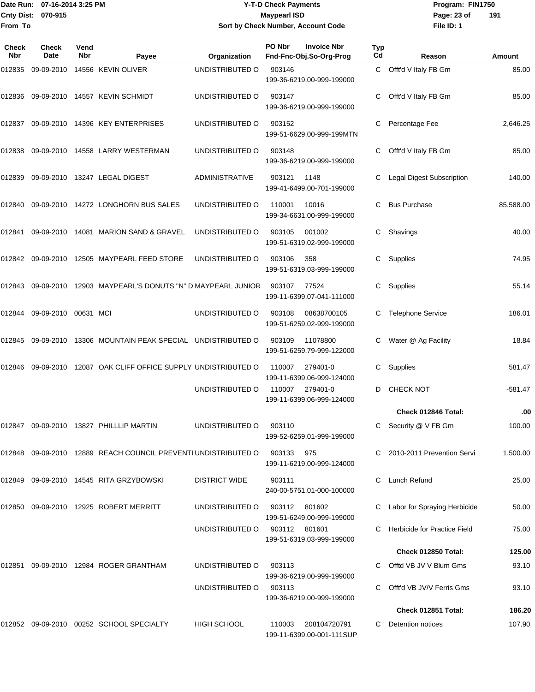Date Run: 07-16-2014 3:25 PM **Program:** FIN1750 **Cnty Dist:** 070-915 **Page: 23 of MaypearI ISD Page: 23 of From To**

# **Y-T-D Check Payments 070-915 Maypearl ISD Sort by Check Number, Account Code**

| <b>Check</b><br><b>Nbr</b> | <b>Check</b><br>Date | Vend<br>Nbr | Payee                                                             | Organization          | PO Nbr        | <b>Invoice Nbr</b><br>Fnd-Fnc-Obj.So-Org-Prog | <b>Typ</b><br>Cd | Reason                       | Amount    |
|----------------------------|----------------------|-------------|-------------------------------------------------------------------|-----------------------|---------------|-----------------------------------------------|------------------|------------------------------|-----------|
| 012835                     |                      |             | 09-09-2010 14556 KEVIN OLIVER                                     | UNDISTRIBUTED O       | 903146        | 199-36-6219.00-999-199000                     | C.               | Offt'd V Italy FB Gm         | 85.00     |
| 012836                     |                      |             | 09-09-2010 14557 KEVIN SCHMIDT                                    | UNDISTRIBUTED O       | 903147        | 199-36-6219.00-999-199000                     | C                | Offt'd V Italy FB Gm         | 85.00     |
| 012837                     |                      |             | 09-09-2010 14396 KEY ENTERPRISES                                  | UNDISTRIBUTED O       | 903152        | 199-51-6629.00-999-199MTN                     | С                | Percentage Fee               | 2,646.25  |
| 012838                     |                      |             | 09-09-2010  14558  LARRY WESTERMAN                                | UNDISTRIBUTED O       | 903148        | 199-36-6219.00-999-199000                     | С                | Offt'd V Italy FB Gm         | 85.00     |
| 012839                     |                      |             | 09-09-2010 13247 LEGAL DIGEST                                     | <b>ADMINISTRATIVE</b> | 903121        | 1148<br>199-41-6499.00-701-199000             | С                | Legal Digest Subscription    | 140.00    |
| 012840                     |                      |             | 09-09-2010 14272 LONGHORN BUS SALES                               | UNDISTRIBUTED O       | 110001        | 10016<br>199-34-6631.00-999-199000            | C                | <b>Bus Purchase</b>          | 85,588.00 |
| 012841                     |                      |             | 09-09-2010 14081 MARION SAND & GRAVEL                             | UNDISTRIBUTED O       | 903105        | 001002<br>199-51-6319.02-999-199000           | C.               | Shavings                     | 40.00     |
| 012842                     | 09-09-2010           |             | 12505 MAYPEARL FEED STORE                                         | UNDISTRIBUTED O       | 903106        | 358<br>199-51-6319.03-999-199000              | C                | Supplies                     | 74.95     |
| 012843                     |                      |             | 09-09-2010 12903 MAYPEARL'S DONUTS "N" D MAYPEARL JUNIOR          |                       | 903107        | 77524<br>199-11-6399.07-041-111000            | C                | Supplies                     | 55.14     |
| 012844                     | 09-09-2010 00631 MCI |             |                                                                   | UNDISTRIBUTED O       | 903108        | 08638700105<br>199-51-6259.02-999-199000      | C                | <b>Telephone Service</b>     | 186.01    |
| 012845                     | 09-09-2010           |             | 13306 MOUNTAIN PEAK SPECIAL UNDISTRIBUTED O                       |                       | 903109        | 11078800<br>199-51-6259.79-999-122000         | С                | Water @ Ag Facility          | 18.84     |
| 012846                     |                      |             | 09-09-2010 12087 OAK CLIFF OFFICE SUPPLY UNDISTRIBUTED O          |                       | 110007        | 279401-0<br>199-11-6399.06-999-124000         | C                | Supplies                     | 581.47    |
|                            |                      |             |                                                                   | UNDISTRIBUTED O       | 110007        | 279401-0<br>199-11-6399.06-999-124000         | D                | <b>CHECK NOT</b>             | -581.47   |
|                            |                      |             |                                                                   |                       |               |                                               |                  | Check 012846 Total:          | .00       |
| 012847                     |                      |             | 09-09-2010 13827 PHILLLIP MARTIN                                  | UNDISTRIBUTED O       | 903110        | 199-52-6259.01-999-199000                     | C                | Security @ V FB Gm           | 100.00    |
|                            |                      |             | 012848  09-09-2010  12889  REACH COUNCIL PREVENTI UNDISTRIBUTED O |                       | 903133 975    | 199-11-6219.00-999-124000                     |                  | C 2010-2011 Prevention Servi | 1,500.00  |
| 012849                     |                      |             | 09-09-2010  14545  RITA GRZYBOWSKI                                | <b>DISTRICT WIDE</b>  | 903111        | 240-00-5751.01-000-100000                     |                  | Lunch Refund                 | 25.00     |
| 012850                     |                      |             | 09-09-2010 12925 ROBERT MERRITT                                   | UNDISTRIBUTED O       | 903112        | 801602<br>199-51-6249.00-999-199000           |                  | Labor for Spraying Herbicide | 50.00     |
|                            |                      |             |                                                                   | UNDISTRIBUTED O       | 903112 801601 | 199-51-6319.03-999-199000                     |                  | Herbicide for Practice Field | 75.00     |
|                            |                      |             |                                                                   |                       |               |                                               |                  | Check 012850 Total:          | 125.00    |
| 012851                     |                      |             | 09-09-2010 12984 ROGER GRANTHAM                                   | UNDISTRIBUTED O       | 903113        | 199-36-6219.00-999-199000                     |                  | Offtd VB JV V Blum Gms       | 93.10     |
|                            |                      |             |                                                                   | UNDISTRIBUTED O       | 903113        | 199-36-6219.00-999-199000                     |                  | Offt'd VB JV/V Ferris Gms    | 93.10     |
|                            |                      |             |                                                                   |                       |               |                                               |                  | Check 012851 Total:          | 186.20    |
|                            |                      |             | 012852 09-09-2010 00252 SCHOOL SPECIALTY                          | <b>HIGH SCHOOL</b>    | 110003        | 208104720791<br>199-11-6399.00-001-111SUP     |                  | C Detention notices          | 107.90    |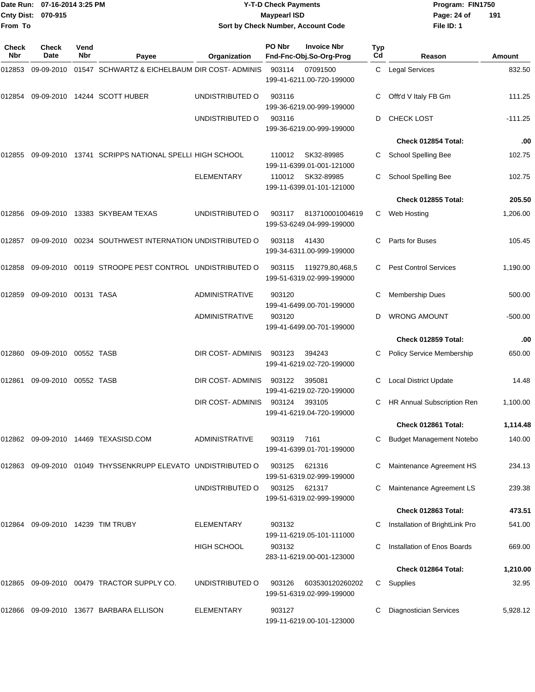| <b>Cnty Dist:</b><br>From To | Date Run: 07-16-2014 3:25 PM<br>070-915 |             |                                                                          | <b>Y-T-D Check Payments</b><br><b>Maypearl ISD</b><br>Sort by Check Number, Account Code |                  |                                              |                  | Program: FIN1750<br>Page: 24 of<br>191<br>File ID: 1          |                         |  |
|------------------------------|-----------------------------------------|-------------|--------------------------------------------------------------------------|------------------------------------------------------------------------------------------|------------------|----------------------------------------------|------------------|---------------------------------------------------------------|-------------------------|--|
| <b>Check</b><br>Nbr          | <b>Check</b><br>Date                    | Vend<br>Nbr |                                                                          |                                                                                          | PO Nbr           | <b>Invoice Nbr</b>                           | <b>Typ</b><br>Cd |                                                               |                         |  |
| 012853                       | 09-09-2010                              |             | Payee<br>01547 SCHWARTZ & EICHELBAUM DIR COST-ADMINIS                    | Organization                                                                             | 903114           | Fnd-Fnc-Obj.So-Org-Prog<br>07091500          |                  | Reason<br>C Legal Services                                    | <b>Amount</b><br>832.50 |  |
|                              |                                         |             |                                                                          |                                                                                          |                  | 199-41-6211.00-720-199000                    |                  |                                                               |                         |  |
| 012854                       |                                         |             | 09-09-2010 14244 SCOTT HUBER                                             | UNDISTRIBUTED O                                                                          | 903116           | 199-36-6219.00-999-199000                    | С                | Offt'd V Italy FB Gm                                          | 111.25                  |  |
|                              |                                         |             |                                                                          | UNDISTRIBUTED O                                                                          | 903116           |                                              | D                | CHECK LOST                                                    | $-111.25$               |  |
|                              |                                         |             |                                                                          |                                                                                          |                  | 199-36-6219.00-999-199000                    |                  | Check 012854 Total:                                           | .00                     |  |
| 012855                       |                                         |             | 09-09-2010 13741 SCRIPPS NATIONAL SPELLI HIGH SCHOOL                     |                                                                                          | 110012           | SK32-89985<br>199-11-6399.01-001-121000      | С                | <b>School Spelling Bee</b>                                    | 102.75                  |  |
|                              |                                         |             |                                                                          | ELEMENTARY                                                                               | 110012           | SK32-89985<br>199-11-6399.01-101-121000      | С                | School Spelling Bee                                           | 102.75                  |  |
|                              |                                         |             |                                                                          |                                                                                          |                  |                                              |                  | Check 012855 Total:                                           | 205.50                  |  |
| 012856                       |                                         |             | 09-09-2010 13383 SKYBEAM TEXAS                                           | UNDISTRIBUTED O                                                                          | 903117           | 813710001004619<br>199-53-6249.04-999-199000 |                  | C Web Hosting                                                 | 1,206.00                |  |
| 012857                       |                                         |             | 09-09-2010  00234  SOUTHWEST INTERNATION UNDISTRIBUTED O                 |                                                                                          | 903118           | 41430<br>199-34-6311.00-999-199000           | С                | Parts for Buses                                               | 105.45                  |  |
| 012858                       |                                         |             | 09-09-2010 00119 STROOPE PEST CONTROL UNDISTRIBUTED O                    |                                                                                          | 903115           | 119279,80,468,5<br>199-51-6319.02-999-199000 | С                | <b>Pest Control Services</b>                                  | 1,190.00                |  |
| 012859                       | 09-09-2010 00131 TASA                   |             |                                                                          | <b>ADMINISTRATIVE</b>                                                                    | 903120           | 199-41-6499.00-701-199000                    | С                | <b>Membership Dues</b>                                        | 500.00                  |  |
|                              |                                         |             |                                                                          | <b>ADMINISTRATIVE</b>                                                                    | 903120           | 199-41-6499.00-701-199000                    | D                | <b>WRONG AMOUNT</b>                                           | $-500.00$               |  |
|                              |                                         |             |                                                                          |                                                                                          |                  |                                              |                  | Check 012859 Total:                                           | .00                     |  |
| 012860                       | 09-09-2010 00552 TASB                   |             |                                                                          | DIR COST- ADMINIS                                                                        | 903123           | 394243<br>199-41-6219.02-720-199000          |                  | <b>Policy Service Membership</b>                              | 650.00                  |  |
| 012861                       | 09-09-2010                              | 00552 TASB  |                                                                          | DIR COST-ADMINIS                                                                         | 903122           | 395081<br>199-41-6219.02-720-199000          | С                | <b>Local District Update</b>                                  | 14.48                   |  |
|                              |                                         |             |                                                                          | DIR COST-ADMINIS                                                                         | 903124           | 393105<br>199-41-6219.04-720-199000          |                  | HR Annual Subscription Ren                                    | 1,100.00                |  |
|                              |                                         |             |                                                                          |                                                                                          |                  |                                              |                  | Check 012861 Total:                                           | 1,114.48                |  |
|                              |                                         |             |                                                                          | <b>ADMINISTRATIVE</b>                                                                    | 903119           | 7161<br>199-41-6399.01-701-199000            |                  | <b>Budget Management Notebo</b>                               | 140.00                  |  |
|                              |                                         |             | 012863   09-09-2010   01049   THYSSENKRUPP   ELEVATO   UNDISTRIBUTED   O |                                                                                          | 903125           | 621316<br>199-51-6319.02-999-199000          |                  | Maintenance Agreement HS                                      | 234.13                  |  |
|                              |                                         |             |                                                                          | UNDISTRIBUTED O                                                                          | 903125           | 621317<br>199-51-6319.02-999-199000          |                  | Maintenance Agreement LS                                      | 239.38                  |  |
|                              |                                         |             |                                                                          |                                                                                          |                  |                                              |                  | Check 012863 Total:                                           | 473.51                  |  |
|                              |                                         |             | 012864 09-09-2010 14239 TIM TRUBY                                        | ELEMENTARY<br><b>HIGH SCHOOL</b>                                                         | 903132<br>903132 | 199-11-6219.05-101-111000                    |                  | Installation of BrightLink Pro<br>Installation of Enos Boards | 541.00<br>669.00        |  |
|                              |                                         |             |                                                                          |                                                                                          |                  | 283-11-6219.00-001-123000                    |                  |                                                               |                         |  |
|                              |                                         |             |                                                                          |                                                                                          |                  |                                              |                  | Check 012864 Total:                                           | 1,210.00                |  |
|                              |                                         |             | 012865 09-09-2010 00479 TRACTOR SUPPLY CO.                               | UNDISTRIBUTED O                                                                          | 903126           | 603530120260202<br>199-51-6319.02-999-199000 | C.               | Supplies                                                      | 32.95                   |  |
|                              |                                         |             |                                                                          | ELEMENTARY                                                                               | 903127           | 199-11-6219.00-101-123000                    |                  | <b>Diagnostician Services</b>                                 | 5,928.12                |  |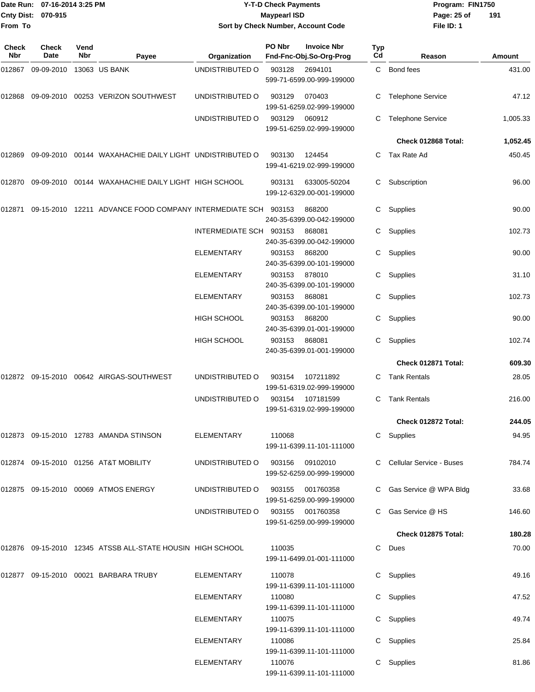| From To      | Date Run: 07-16-2014 3:25 PM<br><b>Cnty Dist:</b><br>070-915 |             |                                                                                   | <b>Y-T-D Check Payments</b><br><b>Maypearl ISD</b><br>Sort by Check Number, Account Code |                                                |                    |           | Program: FIN1750<br>Page: 25 of<br>191<br>File ID: 1 |          |  |
|--------------|--------------------------------------------------------------|-------------|-----------------------------------------------------------------------------------|------------------------------------------------------------------------------------------|------------------------------------------------|--------------------|-----------|------------------------------------------------------|----------|--|
| Check<br>Nbr | <b>Check</b><br>Date                                         | Vend<br>Nbr | Payee                                                                             | Organization                                                                             | PO Nbr<br>Fnd-Fnc-Obj.So-Org-Prog              | <b>Invoice Nbr</b> | Typ<br>Cd | Reason                                               | Amount   |  |
| 012867       | 09-09-2010 13063 US BANK                                     |             |                                                                                   | UNDISTRIBUTED O                                                                          | 903128<br>2694101<br>599-71-6599.00-999-199000 |                    | C         | Bond fees                                            | 431.00   |  |
|              |                                                              |             | 012868  09-09-2010  00253  VERIZON SOUTHWEST                                      | UNDISTRIBUTED O                                                                          | 903129<br>070403<br>199-51-6259.02-999-199000  |                    |           | <b>Telephone Service</b>                             | 47.12    |  |
|              |                                                              |             |                                                                                   | UNDISTRIBUTED O                                                                          | 903129<br>060912<br>199-51-6259.02-999-199000  |                    | C         | <b>Telephone Service</b>                             | 1,005.33 |  |
|              |                                                              |             |                                                                                   |                                                                                          |                                                |                    |           | Check 012868 Total:                                  | 1,052.45 |  |
| 012869       |                                                              |             | 09-09-2010 00144 WAXAHACHIE DAILY LIGHT UNDISTRIBUTED O                           |                                                                                          | 903130<br>124454<br>199-41-6219.02-999-199000  |                    |           | C Tax Rate Ad                                        | 450.45   |  |
|              |                                                              |             | 012870   09-09-2010   00144   WAXAHACHIE                DAILY LIGHT   HIGH SCHOOL |                                                                                          | 903131<br>199-12-6329.00-001-199000            | 633005-50204       | C         | Subscription                                         | 96.00    |  |
| 012871       |                                                              |             | 09-15-2010 12211 ADVANCE FOOD COMPANY INTERMEDIATE SCH 903153                     |                                                                                          | 868200<br>240-35-6399.00-042-199000            |                    | C         | Supplies                                             | 90.00    |  |
|              |                                                              |             |                                                                                   | INTERMEDIATE SCH 903153                                                                  | 868081<br>240-35-6399.00-042-199000            |                    | С         | Supplies                                             | 102.73   |  |
|              |                                                              |             |                                                                                   | ELEMENTARY                                                                               | 868200<br>903153<br>240-35-6399.00-101-199000  |                    | C         | Supplies                                             | 90.00    |  |
|              |                                                              |             |                                                                                   | ELEMENTARY                                                                               | 903153<br>878010<br>240-35-6399.00-101-199000  |                    | C.        | Supplies                                             | 31.10    |  |
|              |                                                              |             |                                                                                   | <b>ELEMENTARY</b>                                                                        | 903153<br>868081<br>240-35-6399.00-101-199000  |                    | C         | Supplies                                             | 102.73   |  |
|              |                                                              |             |                                                                                   | <b>HIGH SCHOOL</b>                                                                       | 903153<br>868200<br>240-35-6399.01-001-199000  |                    | C         | Supplies                                             | 90.00    |  |
|              |                                                              |             |                                                                                   | HIGH SCHOOL                                                                              | 903153<br>868081<br>240-35-6399.01-001-199000  |                    | C.        | Supplies                                             | 102.74   |  |
|              |                                                              |             |                                                                                   |                                                                                          |                                                |                    |           | Check 012871 Total:                                  | 609.30   |  |
|              |                                                              |             | 012872    09-15-2010    00642   AIRGAS-SOUTHWEST                                  | UNDISTRIBUTED O                                                                          | 903154<br>199-51-6319.02-999-199000            | 107211892          | C         | <b>Tank Rentals</b>                                  | 28.05    |  |
|              |                                                              |             |                                                                                   | UNDISTRIBUTED O 903154 107181599                                                         | 199-51-6319.02-999-199000                      |                    |           | C Tank Rentals                                       | 216.00   |  |
|              |                                                              |             |                                                                                   |                                                                                          |                                                |                    |           | Check 012872 Total:                                  | 244.05   |  |
|              |                                                              |             | 012873  09-15-2010  12783  AMANDA STINSON                                         | ELEMENTARY                                                                               | 110068<br>199-11-6399.11-101-111000            |                    |           | C Supplies                                           | 94.95    |  |
|              |                                                              |             | 012874    09-15-2010    01256    AT&T MOBILITY                                    | UNDISTRIBUTED O                                                                          | 903156 09102010<br>199-52-6259.00-999-199000   |                    |           | C Cellular Service - Buses                           | 784.74   |  |
|              |                                                              |             | 012875  09-15-2010  00069  ATMOS ENERGY                                           | UNDISTRIBUTED O                                                                          | 903155 001760358<br>199-51-6259.00-999-199000  |                    |           | C Gas Service @ WPA Bldg                             | 33.68    |  |
|              |                                                              |             |                                                                                   | UNDISTRIBUTED O                                                                          | 903155 001760358<br>199-51-6259.00-999-199000  |                    |           | C Gas Service @ HS                                   | 146.60   |  |
|              |                                                              |             |                                                                                   |                                                                                          |                                                |                    |           | Check 012875 Total:                                  | 180.28   |  |
|              |                                                              |             | 012876 09-15-2010 12345 ATSSB ALL-STATE HOUSIN HIGH SCHOOL                        |                                                                                          | 110035<br>199-11-6499.01-001-111000            |                    |           | C Dues                                               | 70.00    |  |
|              |                                                              |             | 012877 09-15-2010 00021 BARBARA TRUBY                                             | ELEMENTARY                                                                               | 110078<br>199-11-6399.11-101-111000            |                    |           | C Supplies                                           | 49.16    |  |
|              |                                                              |             |                                                                                   | ELEMENTARY                                                                               | 110080<br>199-11-6399.11-101-111000            |                    |           | C Supplies                                           | 47.52    |  |
|              |                                                              |             |                                                                                   | ELEMENTARY                                                                               | 110075<br>199-11-6399.11-101-111000            |                    |           | C Supplies                                           | 49.74    |  |
|              |                                                              |             |                                                                                   | ELEMENTARY                                                                               | 110086<br>199-11-6399.11-101-111000            |                    |           | C Supplies                                           | 25.84    |  |
|              |                                                              |             |                                                                                   | ELEMENTARY                                                                               | 110076<br>199-11-6399.11-101-111000            |                    |           | C Supplies                                           | 81.86    |  |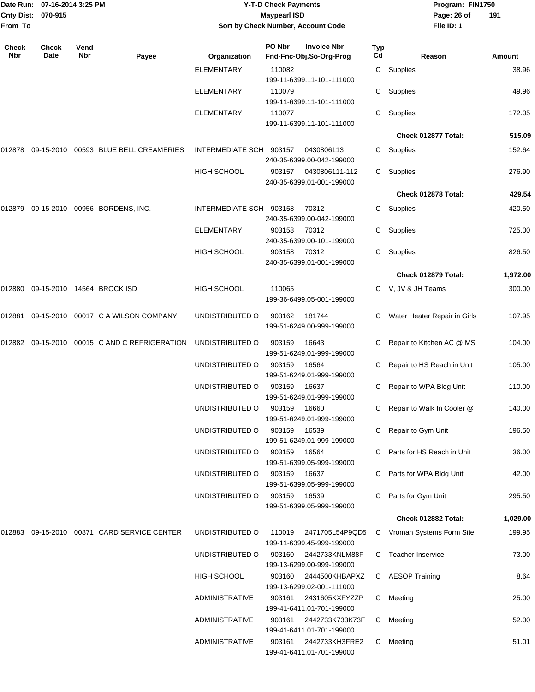|              | Date Run: 07-16-2014 3:25 PM<br>Cnty Dist: 070-915 |             |                                               | <b>Y-T-D Check Payments</b><br><b>Maypearl ISD</b><br>Sort by Check Number, Account Code |        |                                               |           | Program: FIN1750<br>Page: 26 of<br>191 |          |  |
|--------------|----------------------------------------------------|-------------|-----------------------------------------------|------------------------------------------------------------------------------------------|--------|-----------------------------------------------|-----------|----------------------------------------|----------|--|
| From To      |                                                    |             |                                               |                                                                                          |        |                                               |           | File ID: 1                             |          |  |
| Check<br>Nbr | Check<br>Date                                      | Vend<br>Nbr | Payee                                         | Organization                                                                             | PO Nbr | <b>Invoice Nbr</b><br>Fnd-Fnc-Obj.So-Org-Prog | Typ<br>Cd | Reason                                 | Amount   |  |
|              |                                                    |             |                                               | <b>ELEMENTARY</b>                                                                        | 110082 | 199-11-6399.11-101-111000                     |           | C Supplies                             | 38.96    |  |
|              |                                                    |             |                                               | ELEMENTARY                                                                               | 110079 | 199-11-6399.11-101-111000                     |           | Supplies                               | 49.96    |  |
|              |                                                    |             |                                               | <b>ELEMENTARY</b>                                                                        | 110077 | 199-11-6399.11-101-111000                     | С         | Supplies                               | 172.05   |  |
|              |                                                    |             |                                               |                                                                                          |        |                                               |           | Check 012877 Total:                    | 515.09   |  |
| 012878       |                                                    |             | 09-15-2010 00593 BLUE BELL CREAMERIES         | <b>INTERMEDIATE SCH</b>                                                                  | 903157 | 0430806113<br>240-35-6399.00-042-199000       | C.        | Supplies                               | 152.64   |  |
|              |                                                    |             |                                               | <b>HIGH SCHOOL</b>                                                                       | 903157 | 0430806111-112<br>240-35-6399.01-001-199000   |           | C Supplies                             | 276.90   |  |
|              |                                                    |             |                                               |                                                                                          |        |                                               |           | Check 012878 Total:                    | 429.54   |  |
|              |                                                    |             | 012879 09-15-2010 00956 BORDENS, INC.         | INTERMEDIATE SCH                                                                         | 903158 | 70312<br>240-35-6399.00-042-199000            | C.        | Supplies                               | 420.50   |  |
|              |                                                    |             |                                               | ELEMENTARY                                                                               | 903158 | 70312<br>240-35-6399.00-101-199000            | C         | Supplies                               | 725.00   |  |
|              |                                                    |             |                                               | HIGH SCHOOL                                                                              | 903158 | 70312<br>240-35-6399.01-001-199000            | C.        | Supplies                               | 826.50   |  |
|              |                                                    |             |                                               |                                                                                          |        |                                               |           | Check 012879 Total:                    | 1,972.00 |  |
| 012880       |                                                    |             | 09-15-2010 14564 BROCK ISD                    | <b>HIGH SCHOOL</b>                                                                       | 110065 | 199-36-6499.05-001-199000                     |           | C V, JV & JH Teams                     | 300.00   |  |
| 012881       |                                                    |             | 09-15-2010 00017 C A WILSON COMPANY           | UNDISTRIBUTED O                                                                          | 903162 | 181744<br>199-51-6249.00-999-199000           | C.        | Water Heater Repair in Girls           | 107.95   |  |
|              |                                                    |             | 012882 09-15-2010 00015 C AND C REFRIGERATION | UNDISTRIBUTED O                                                                          | 903159 | 16643<br>199-51-6249.01-999-199000            |           | Repair to Kitchen AC @ MS              | 104.00   |  |
|              |                                                    |             |                                               | UNDISTRIBUTED O                                                                          | 903159 | 16564<br>199-51-6249.01-999-199000            | C         | Repair to HS Reach in Unit             | 105.00   |  |
|              |                                                    |             |                                               | UNDISTRIBUTED O                                                                          | 903159 | 16637<br>199-51-6249.01-999-199000            | C.        | Repair to WPA Bldg Unit                | 110.00   |  |
|              |                                                    |             |                                               | UNDISTRIBUTED O                                                                          | 903159 | 16660<br>199-51-6249.01-999-199000            |           | C Repair to Walk In Cooler @           | 140.00   |  |
|              |                                                    |             |                                               | UNDISTRIBUTED O                                                                          | 903159 | 16539<br>199-51-6249.01-999-199000            |           | C Repair to Gym Unit                   | 196.50   |  |
|              |                                                    |             |                                               | UNDISTRIBUTED O                                                                          | 903159 | 16564<br>199-51-6399.05-999-199000            |           | Parts for HS Reach in Unit             | 36.00    |  |
|              |                                                    |             |                                               | UNDISTRIBUTED O                                                                          | 903159 | 16637<br>199-51-6399.05-999-199000            |           | C Parts for WPA Bldg Unit              | 42.00    |  |
|              |                                                    |             |                                               | UNDISTRIBUTED O                                                                          | 903159 | 16539<br>199-51-6399.05-999-199000            |           | Parts for Gym Unit                     | 295.50   |  |
|              |                                                    |             |                                               |                                                                                          |        |                                               |           | Check 012882 Total:                    | 1,029.00 |  |
| 012883       |                                                    |             | 09-15-2010 00871 CARD SERVICE CENTER          | UNDISTRIBUTED O                                                                          | 110019 | 2471705L54P9QD5<br>199-11-6399.45-999-199000  |           | C Vroman Systems Form Site             | 199.95   |  |
|              |                                                    |             |                                               | UNDISTRIBUTED O                                                                          | 903160 | 2442733KNLM88F<br>199-13-6299.00-999-199000   | C.        | <b>Teacher Inservice</b>               | 73.00    |  |
|              |                                                    |             |                                               | <b>HIGH SCHOOL</b>                                                                       | 903160 | 2444500KHBAPXZ<br>199-13-6299.02-001-111000   |           | C AESOP Training                       | 8.64     |  |
|              |                                                    |             |                                               | ADMINISTRATIVE                                                                           | 903161 | 2431605KXFYZZP<br>199-41-6411.01-701-199000   |           | C Meeting                              | 25.00    |  |
|              |                                                    |             |                                               | <b>ADMINISTRATIVE</b>                                                                    | 903161 | 2442733K733K73F<br>199-41-6411.01-701-199000  | C.        | Meeting                                | 52.00    |  |
|              |                                                    |             |                                               | <b>ADMINISTRATIVE</b>                                                                    | 903161 | 2442733KH3FRE2<br>199-41-6411.01-701-199000   |           | C Meeting                              | 51.01    |  |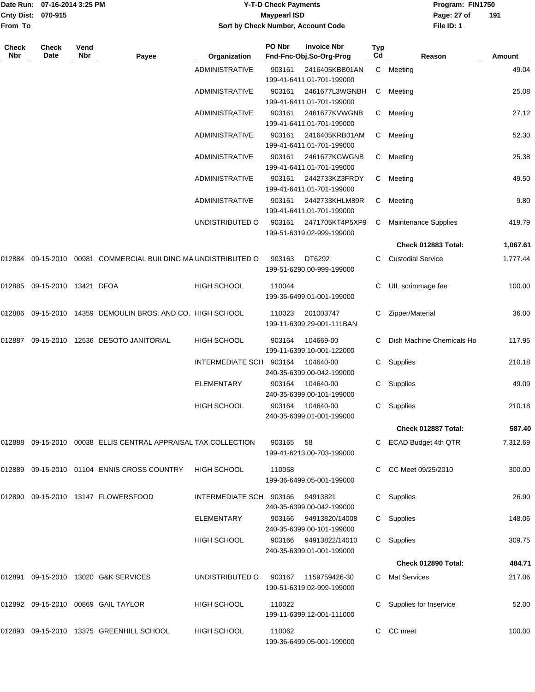|              | Date Run: 07-16-2014 3:25 PM<br>Cnty Dist: 070-915 |             |                                                                | <b>Y-T-D Check Payments</b><br><b>Maypearl ISD</b><br>Sort by Check Number, Account Code |        |                                                                          |           |                             |               |  |
|--------------|----------------------------------------------------|-------------|----------------------------------------------------------------|------------------------------------------------------------------------------------------|--------|--------------------------------------------------------------------------|-----------|-----------------------------|---------------|--|
| From To      |                                                    |             |                                                                |                                                                                          |        |                                                                          |           | File ID: 1                  |               |  |
| Check<br>Nbr | <b>Check</b><br>Date                               | Vend<br>Nbr | Payee                                                          | Organization                                                                             | PO Nbr | <b>Invoice Nbr</b><br>Fnd-Fnc-Obj.So-Org-Prog                            | Typ<br>Cd | Reason                      | <b>Amount</b> |  |
|              |                                                    |             |                                                                | ADMINISTRATIVE                                                                           | 903161 | 2416405KBB01AN                                                           |           | C Meeting                   | 49.04         |  |
|              |                                                    |             |                                                                | ADMINISTRATIVE                                                                           | 903161 | 199-41-6411.01-701-199000<br>2461677L3WGNBH<br>199-41-6411.01-701-199000 | С         | Meeting                     | 25.08         |  |
|              |                                                    |             |                                                                | <b>ADMINISTRATIVE</b>                                                                    | 903161 | 2461677KVWGNB<br>199-41-6411.01-701-199000                               | С         | Meeting                     | 27.12         |  |
|              |                                                    |             |                                                                | ADMINISTRATIVE                                                                           | 903161 | 2416405KRB01AM<br>199-41-6411.01-701-199000                              | С         | Meeting                     | 52.30         |  |
|              |                                                    |             |                                                                | ADMINISTRATIVE                                                                           | 903161 | 2461677KGWGNB<br>199-41-6411.01-701-199000                               | С         | Meeting                     | 25.38         |  |
|              |                                                    |             |                                                                | ADMINISTRATIVE                                                                           | 903161 | 2442733KZ3FRDY<br>199-41-6411.01-701-199000                              | С         | Meeting                     | 49.50         |  |
|              |                                                    |             |                                                                | ADMINISTRATIVE                                                                           | 903161 | 2442733KHLM89R<br>199-41-6411.01-701-199000                              | С         | Meeting                     | 9.80          |  |
|              |                                                    |             |                                                                | UNDISTRIBUTED O                                                                          | 903161 | 2471705KT4P5XP9<br>199-51-6319.02-999-199000                             | С         | <b>Maintenance Supplies</b> | 419.79        |  |
|              |                                                    |             |                                                                |                                                                                          |        |                                                                          |           | Check 012883 Total:         | 1,067.61      |  |
| 012884       |                                                    |             | 09-15-2010 00981 COMMERCIAL BUILDING MA UNDISTRIBUTED O        |                                                                                          | 903163 | DT6292<br>199-51-6290.00-999-199000                                      |           | <b>Custodial Service</b>    | 1,777.44      |  |
|              | 012885    09-15-2010    13421   DFOA               |             |                                                                | <b>HIGH SCHOOL</b>                                                                       | 110044 | 199-36-6499.01-001-199000                                                | С         | UIL scrimmage fee           | 100.00        |  |
|              |                                                    |             | 012886 09-15-2010 14359 DEMOULIN BROS. AND CO. HIGH SCHOOL     |                                                                                          | 110023 | 201003747<br>199-11-6399.29-001-111BAN                                   | С         | Zipper/Material             | 36.00         |  |
|              |                                                    |             | 012887  09-15-2010  12536  DESOTO JANITORIAL                   | <b>HIGH SCHOOL</b>                                                                       | 903164 | 104669-00<br>199-11-6399.10-001-122000                                   |           | Dish Machine Chemicals Ho   | 117.95        |  |
|              |                                                    |             |                                                                | INTERMEDIATE SCH                                                                         | 903164 | 104640-00<br>240-35-6399.00-042-199000                                   | C         | Supplies                    | 210.18        |  |
|              |                                                    |             |                                                                | ELEMENTARY                                                                               | 903164 | 104640-00<br>240-35-6399.00-101-199000                                   | С         | Supplies                    | 49.09         |  |
|              |                                                    |             |                                                                | HIGH SCHOOL                                                                              | 903164 | 104640-00<br>240-35-6399.01-001-199000                                   |           | C Supplies                  | 210.18        |  |
|              |                                                    |             |                                                                |                                                                                          |        |                                                                          |           | Check 012887 Total:         | 587.40        |  |
|              |                                                    |             | 012888 09-15-2010 00038 ELLIS CENTRAL APPRAISAL TAX COLLECTION |                                                                                          | 903165 | 58<br>199-41-6213.00-703-199000                                          |           | C ECAD Budget 4th QTR       | 7,312.69      |  |
|              |                                                    |             | 012889 09-15-2010 01104 ENNIS CROSS COUNTRY                    | <b>HIGH SCHOOL</b>                                                                       | 110058 | 199-36-6499.05-001-199000                                                |           | CC Meet 09/25/2010          | 300.00        |  |
|              |                                                    |             |                                                                | INTERMEDIATE SCH 903166                                                                  |        | 94913821<br>240-35-6399.00-042-199000                                    |           | C Supplies                  | 26.90         |  |
|              |                                                    |             |                                                                | <b>ELEMENTARY</b>                                                                        | 903166 | 94913820/14008<br>240-35-6399.00-101-199000                              |           | C Supplies                  | 148.06        |  |
|              |                                                    |             |                                                                | <b>HIGH SCHOOL</b>                                                                       | 903166 | 94913822/14010<br>240-35-6399.01-001-199000                              |           | C Supplies                  | 309.75        |  |
|              |                                                    |             |                                                                |                                                                                          |        |                                                                          |           | Check 012890 Total:         | 484.71        |  |
|              |                                                    |             | 012891 09-15-2010 13020 G&K SERVICES                           | UNDISTRIBUTED O                                                                          | 903167 | 1159759426-30<br>199-51-6319.02-999-199000                               |           | C Mat Services              | 217.06        |  |
|              |                                                    |             | 012892 09-15-2010 00869 GAIL TAYLOR                            | <b>HIGH SCHOOL</b>                                                                       | 110022 | 199-11-6399.12-001-111000                                                |           | Supplies for Inservice      | 52.00         |  |
|              |                                                    |             | 012893 09-15-2010 13375 GREENHILL SCHOOL                       | <b>HIGH SCHOOL</b>                                                                       | 110062 |                                                                          |           | C CC meet                   | 100.00        |  |

199-36-6499.05-001-199000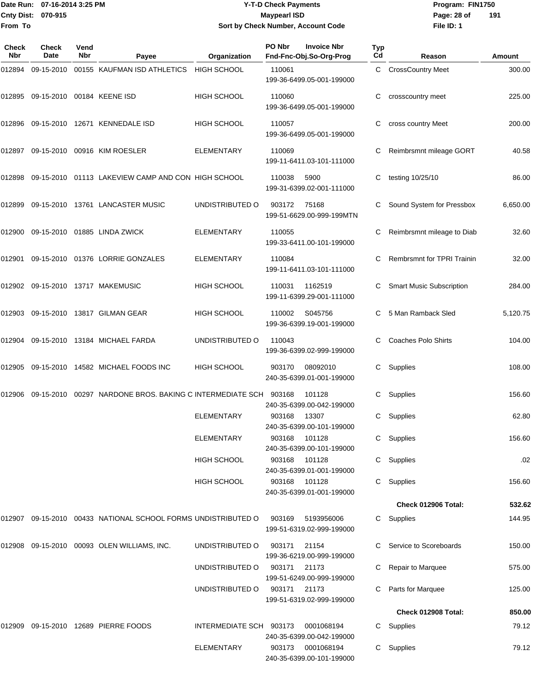### Date Run: 07-16-2014 3:25 PM **Program:** FIN1750 **Cnty Dist:** 070-915 **Page: 28 of MaypearI ISD Page: 28 of Y-T-D Check Payments 070-915 Maypearl ISD Sort by Check Number, Account Code**

| Check<br><b>Nbr</b> | <b>Check</b><br>Date       | Vend<br>Nbr | Payee                                                              | Organization            | PO Nbr        | <b>Invoice Nbr</b><br>Fnd-Fnc-Obj.So-Org-Prog | <b>Typ</b><br>Cd | Reason                            | Amount   |
|---------------------|----------------------------|-------------|--------------------------------------------------------------------|-------------------------|---------------|-----------------------------------------------|------------------|-----------------------------------|----------|
| 012894              | 09-15-2010                 |             | 00155 KAUFMAN ISD ATHLETICS                                        | <b>HIGH SCHOOL</b>      | 110061        | 199-36-6499.05-001-199000                     | C.               | <b>CrossCountry Meet</b>          | 300.00   |
| 012895              | 09-15-2010 00184 KEENE ISD |             |                                                                    | HIGH SCHOOL             | 110060        | 199-36-6499.05-001-199000                     | С                | crosscountry meet                 | 225.00   |
| 012896              |                            |             | 09-15-2010  12671  KENNEDALE ISD                                   | <b>HIGH SCHOOL</b>      | 110057        | 199-36-6499.05-001-199000                     | С                | cross country Meet                | 200.00   |
| 012897              |                            |             | 09-15-2010 00916 KIM ROESLER                                       | <b>ELEMENTARY</b>       | 110069        | 199-11-6411.03-101-111000                     |                  | Reimbrsmnt mileage GORT           | 40.58    |
| 012898              |                            |             | 09-15-2010 01113 LAKEVIEW CAMP AND CON HIGH SCHOOL                 |                         | 110038        | 5900<br>199-31-6399.02-001-111000             | С                | testing 10/25/10                  | 86.00    |
|                     |                            |             | 012899 09-15-2010 13761 LANCASTER MUSIC                            | UNDISTRIBUTED O         | 903172        | 75168<br>199-51-6629.00-999-199MTN            |                  | Sound System for Pressbox         | 6,650.00 |
| 012900              |                            |             | 09-15-2010 01885 LINDA ZWICK                                       | <b>ELEMENTARY</b>       | 110055        | 199-33-6411.00-101-199000                     |                  | Reimbrsmnt mileage to Diab        | 32.60    |
| 012901              |                            |             | 09-15-2010 01376 LORRIE GONZALES                                   | ELEMENTARY              | 110084        | 199-11-6411.03-101-111000                     | C                | <b>Rembrsmnt for TPRI Trainin</b> | 32.00    |
|                     |                            |             | 012902 09-15-2010 13717 MAKEMUSIC                                  | <b>HIGH SCHOOL</b>      | 110031        | 1162519<br>199-11-6399.29-001-111000          | C                | <b>Smart Music Subscription</b>   | 284.00   |
| 012903              |                            |             | 09-15-2010  13817  GILMAN GEAR                                     | <b>HIGH SCHOOL</b>      | 110002        | S045756<br>199-36-6399.19-001-199000          |                  | 5 Man Ramback Sled                | 5,120.75 |
| 012904              |                            |             | 09-15-2010  13184  MICHAEL FARDA                                   | UNDISTRIBUTED O         | 110043        | 199-36-6399.02-999-199000                     |                  | <b>Coaches Polo Shirts</b>        | 104.00   |
| 012905              |                            |             | 09-15-2010  14582  MICHAEL FOODS INC                               | <b>HIGH SCHOOL</b>      | 903170        | 08092010<br>240-35-6399.01-001-199000         | C                | Supplies                          | 108.00   |
| 012906              |                            |             | 09-15-2010  00297  NARDONE BROS. BAKING C INTERMEDIATE SCH  903168 |                         |               | 101128<br>240-35-6399.00-042-199000           | С                | Supplies                          | 156.60   |
|                     |                            |             |                                                                    | <b>ELEMENTARY</b>       | 903168        | 13307<br>240-35-6399.00-101-199000            | С                | Supplies                          | 62.80    |
|                     |                            |             |                                                                    | <b>ELEMENTARY</b>       | 903168        | 101128<br>240-35-6399.00-101-199000           |                  | C Supplies                        | 156.60   |
|                     |                            |             |                                                                    | <b>HIGH SCHOOL</b>      | 903168        | 101128<br>240-35-6399.01-001-199000           |                  | C Supplies                        | .02      |
|                     |                            |             |                                                                    | <b>HIGH SCHOOL</b>      | 903168 101128 | 240-35-6399.01-001-199000                     |                  | Supplies                          | 156.60   |
|                     |                            |             |                                                                    |                         |               |                                               |                  | Check 012906 Total:               | 532.62   |
|                     |                            |             | 012907 09-15-2010 00433 NATIONAL SCHOOL FORMS UNDISTRIBUTED O      |                         | 903169        | 5193956006<br>199-51-6319.02-999-199000       |                  | C Supplies                        | 144.95   |
|                     |                            |             | 012908 09-15-2010 00093 OLEN WILLIAMS, INC.                        | UNDISTRIBUTED O         | 903171        | 21154<br>199-36-6219.00-999-199000            |                  | C Service to Scoreboards          | 150.00   |
|                     |                            |             |                                                                    | UNDISTRIBUTED O         | 903171 21173  | 199-51-6249.00-999-199000                     |                  | C Repair to Marquee               | 575.00   |
|                     |                            |             |                                                                    | UNDISTRIBUTED O         | 903171 21173  | 199-51-6319.02-999-199000                     |                  | C Parts for Marquee               | 125.00   |
|                     |                            |             |                                                                    |                         |               |                                               |                  | Check 012908 Total:               | 850.00   |
| 012909              |                            |             | 09-15-2010 12689 PIERRE FOODS                                      | INTERMEDIATE SCH 903173 |               | 0001068194<br>240-35-6399.00-042-199000       |                  | C Supplies                        | 79.12    |
|                     |                            |             |                                                                    | <b>ELEMENTARY</b>       | 903173        | 0001068194<br>240-35-6399.00-101-199000       |                  | C Supplies                        | 79.12    |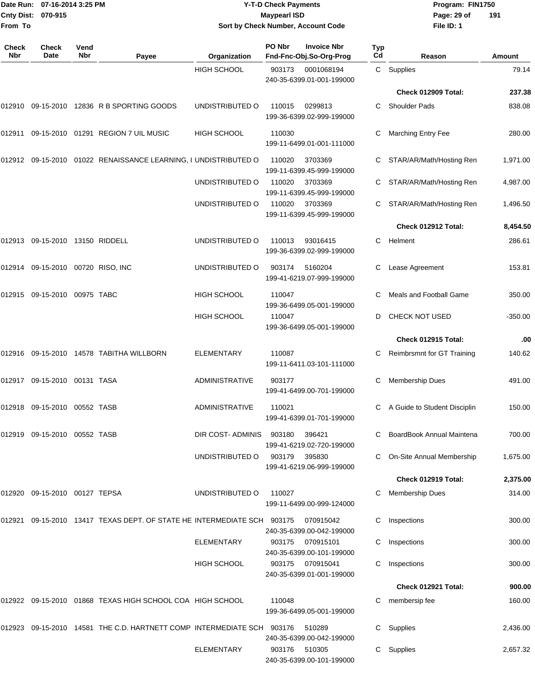|                     | Date Run: 07-16-2014 3:25 PM      |                    |                                                                 |                       | <b>Y-T-D Check Payments</b> |                                               | Program: FIN1750 |                              |           |
|---------------------|-----------------------------------|--------------------|-----------------------------------------------------------------|-----------------------|-----------------------------|-----------------------------------------------|------------------|------------------------------|-----------|
|                     | Cnty Dist: 070-915                |                    |                                                                 |                       | <b>Maypearl ISD</b>         |                                               |                  | Page: 29 of                  | 191       |
| From To             |                                   |                    |                                                                 |                       |                             | Sort by Check Number, Account Code            |                  | File ID: 1                   |           |
| <b>Check</b><br>Nbr | Check<br>Date                     | Vend<br><b>Nbr</b> | Payee                                                           | Organization          | PO Nbr                      | <b>Invoice Nbr</b><br>Fnd-Fnc-Obj.So-Org-Prog | <b>Typ</b><br>Cd | Reason                       | Amount    |
|                     |                                   |                    |                                                                 | <b>HIGH SCHOOL</b>    | 903173                      | 0001068194<br>240-35-6399.01-001-199000       |                  | C Supplies                   | 79.14     |
|                     |                                   |                    |                                                                 |                       |                             |                                               |                  | Check 012909 Total:          | 237.38    |
| 012910              |                                   |                    | 09-15-2010 12836 R B SPORTING GOODS                             | UNDISTRIBUTED O       | 110015                      | 0299813<br>199-36-6399.02-999-199000          | C.               | <b>Shoulder Pads</b>         | 838.08    |
| 012911              |                                   |                    | 09-15-2010  01291  REGION 7 UIL MUSIC                           | <b>HIGH SCHOOL</b>    | 110030                      | 199-11-6499.01-001-111000                     | С                | <b>Marching Entry Fee</b>    | 280.00    |
|                     |                                   |                    | 012912 09-15-2010 01022 RENAISSANCE LEARNING, I UNDISTRIBUTED O |                       | 110020                      | 3703369<br>199-11-6399.45-999-199000          |                  | STAR/AR/Math/Hosting Ren     | 1,971.00  |
|                     |                                   |                    |                                                                 | UNDISTRIBUTED O       | 110020                      | 3703369<br>199-11-6399.45-999-199000          | C.               | STAR/AR/Math/Hosting Ren     | 4,987.00  |
|                     |                                   |                    |                                                                 | UNDISTRIBUTED O       | 110020                      | 3703369<br>199-11-6399.45-999-199000          | C                | STAR/AR/Math/Hosting Ren     | 1,496.50  |
|                     |                                   |                    |                                                                 |                       |                             |                                               |                  | Check 012912 Total:          | 8,454.50  |
| 012913              | 09-15-2010 13150 RIDDELL          |                    |                                                                 | UNDISTRIBUTED O       | 110013                      | 93016415<br>199-36-6399.02-999-199000         | C                | Helment                      | 286.61    |
|                     | 012914 09-15-2010 00720 RISO, INC |                    |                                                                 | UNDISTRIBUTED O       | 903174                      | 5160204<br>199-41-6219.07-999-199000          | C.               | Lease Agreement              | 153.81    |
|                     | 012915 09-15-2010 00975 TABC      |                    |                                                                 | HIGH SCHOOL           | 110047                      | 199-36-6499.05-001-199000                     | С                | Meals and Football Game      | 350.00    |
|                     |                                   |                    |                                                                 | <b>HIGH SCHOOL</b>    | 110047                      | 199-36-6499.05-001-199000                     | D                | CHECK NOT USED               | $-350.00$ |
|                     |                                   |                    |                                                                 |                       |                             |                                               |                  | Check 012915 Total:          | .00       |
| 012916              |                                   |                    | 09-15-2010  14578  TABITHA WILLBORN                             | <b>ELEMENTARY</b>     | 110087                      | 199-11-6411.03-101-111000                     | C                | Reimbrsmnt for GT Training   | 140.62    |
|                     | 012917 09-15-2010 00131 TASA      |                    |                                                                 | <b>ADMINISTRATIVE</b> | 903177                      | 199-41-6499.00-701-199000                     |                  | <b>Membership Dues</b>       | 491.00    |
|                     | 012918 09-15-2010 00552 TASB      |                    |                                                                 | <b>ADMINISTRATIVE</b> | 110021                      | 199-41-6399.01-701-199000                     |                  | A Guide to Student Disciplin | 150.00    |
|                     | 012919 09-15-2010 00552 TASB      |                    |                                                                 | DIR COST-ADMINIS      | 903180                      | 396421<br>199-41-6219.02-720-199000           |                  | C BoardBook Annual Maintena  | 700.00    |
|                     |                                   |                    |                                                                 | UNDISTRIBUTED O       | 903179 395830               | 199-41-6219.06-999-199000                     |                  | C On-Site Annual Membership  | 1,675.00  |
|                     |                                   |                    |                                                                 |                       |                             |                                               |                  | Check 012919 Total:          | 2,375.00  |
|                     | 012920 09-15-2010 00127 TEPSA     |                    |                                                                 | UNDISTRIBUTED O       | 110027                      | 199-11-6499.00-999-124000                     | С                | Membership Dues              | 314.00    |

012921 09-15-2010 13417 TEXAS DEPT. OF STATE HE INTERMEDIATE SCH 903175 070915042 C Inspections 300.00 240-35-6399.00-042-199000 ELEMENTARY 903175 070915101 C Inspections 300.00 240-35-6399.00-101-199000 HIGH SCHOOL 903175 070915041 C Inspections 300.00 240-35-6399.01-001-199000 **Check 012921 Total: 900.00** 012922 09-15-2010 01868 TEXAS HIGH SCHOOL COA HIGH SCHOOL 110048 C membersip fee 160.00 199-36-6499.05-001-199000 012923 09-15-2010 14581 THE C.D. HARTNETT COMP INTERMEDIATE SCH 903176 510289 C Supplies 2,436.00 240-35-6399.00-042-199000

ELEMENTARY 903176 510305 C Supplies 2,657.32 240-35-6399.00-101-199000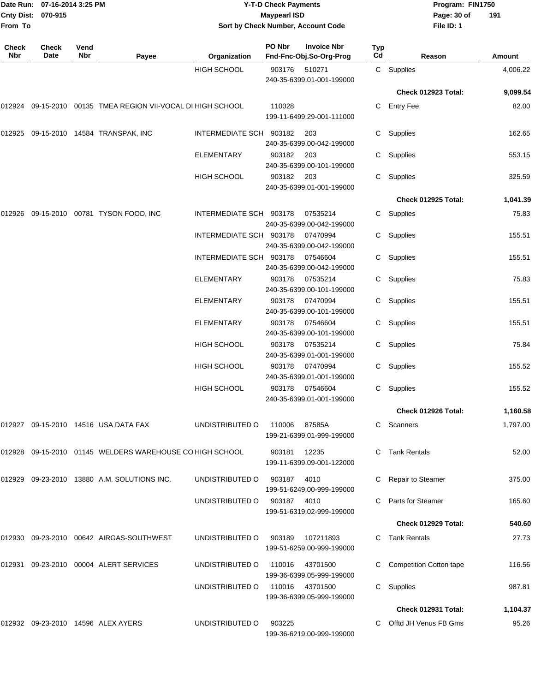| From To      | Date Run: 07-16-2014 3:25 PM<br>Cnty Dist: 070-915 |             |                                                              | <b>Y-T-D Check Payments</b><br><b>Maypearl ISD</b><br>Sort by Check Number, Account Code |                |                                               |           | Program: FIN1750<br>Page: 30 of<br>File ID: 1 | 191           |
|--------------|----------------------------------------------------|-------------|--------------------------------------------------------------|------------------------------------------------------------------------------------------|----------------|-----------------------------------------------|-----------|-----------------------------------------------|---------------|
| Check<br>Nbr | <b>Check</b><br>Date                               | Vend<br>Nbr | Payee                                                        | Organization                                                                             | PO Nbr         | <b>Invoice Nbr</b><br>Fnd-Fnc-Obj.So-Org-Prog | Typ<br>Cd | Reason                                        | <b>Amount</b> |
|              |                                                    |             |                                                              | <b>HIGH SCHOOL</b>                                                                       | 903176         | 510271<br>240-35-6399.01-001-199000           |           | C Supplies                                    | 4,006.22      |
|              |                                                    |             |                                                              |                                                                                          |                |                                               |           | <b>Check 012923 Total:</b>                    | 9,099.54      |
|              |                                                    |             | 012924 09-15-2010 00135 TMEA REGION VII-VOCAL DI HIGH SCHOOL |                                                                                          | 110028         | 199-11-6499.29-001-111000                     | C         | <b>Entry Fee</b>                              | 82.00         |
| 012925       |                                                    |             | 09-15-2010  14584  TRANSPAK, INC                             | INTERMEDIATE SCH 903182                                                                  |                | 203<br>240-35-6399.00-042-199000              |           | C Supplies                                    | 162.65        |
|              |                                                    |             |                                                              | ELEMENTARY                                                                               | 903182         | 203<br>240-35-6399.00-101-199000              | C.        | Supplies                                      | 553.15        |
|              |                                                    |             |                                                              | <b>HIGH SCHOOL</b>                                                                       | 903182         | 203<br>240-35-6399.01-001-199000              | C         | Supplies                                      | 325.59        |
|              |                                                    |             |                                                              |                                                                                          |                |                                               |           | Check 012925 Total:                           | 1,041.39      |
| 012926       |                                                    |             | 09-15-2010 00781 TYSON FOOD, INC                             | INTERMEDIATE SCH 903178                                                                  |                | 07535214<br>240-35-6399.00-042-199000         | C         | Supplies                                      | 75.83         |
|              |                                                    |             |                                                              | INTERMEDIATE SCH 903178                                                                  |                | 07470994<br>240-35-6399.00-042-199000         | C.        | Supplies                                      | 155.51        |
|              |                                                    |             |                                                              | INTERMEDIATE SCH 903178                                                                  |                | 07546604<br>240-35-6399.00-042-199000         | C.        | Supplies                                      | 155.51        |
|              |                                                    |             |                                                              | <b>ELEMENTARY</b>                                                                        | 903178         | 07535214<br>240-35-6399.00-101-199000         | C.        | Supplies                                      | 75.83         |
|              |                                                    |             |                                                              | <b>ELEMENTARY</b>                                                                        | 903178         | 07470994<br>240-35-6399.00-101-199000         | C.        | Supplies                                      | 155.51        |
|              |                                                    |             |                                                              | ELEMENTARY                                                                               | 903178         | 07546604<br>240-35-6399.00-101-199000         | C         | Supplies                                      | 155.51        |
|              |                                                    |             |                                                              | HIGH SCHOOL                                                                              | 903178         | 07535214<br>240-35-6399.01-001-199000         | C         | Supplies                                      | 75.84         |
|              |                                                    |             |                                                              | <b>HIGH SCHOOL</b>                                                                       | 903178         | 07470994<br>240-35-6399.01-001-199000         | C.        | Supplies                                      | 155.52        |
|              |                                                    |             |                                                              | HIGH SCHOOL                                                                              | 903178         | 07546604<br>240-35-6399.01-001-199000         |           | C Supplies                                    | 155.52        |
|              |                                                    |             |                                                              |                                                                                          |                |                                               |           | Check 012926 Total:                           | 1,160.58      |
|              |                                                    |             | 012927 09-15-2010 14516 USA DATA FAX                         | UNDISTRIBUTED O                                                                          | 110006  87585A | 199-21-6399.01-999-199000                     |           | C Scanners                                    | 1,797.00      |
|              |                                                    |             | 012928 09-15-2010 01145 WELDERS WAREHOUSE CO HIGH SCHOOL     |                                                                                          | 903181         | 12235<br>199-11-6399.09-001-122000            |           | C Tank Rentals                                | 52.00         |
|              |                                                    |             | 012929 09-23-2010 13880 A.M. SOLUTIONS INC.                  | UNDISTRIBUTED O                                                                          | 903187         | 4010<br>199-51-6249.00-999-199000             |           | C Repair to Steamer                           | 375.00        |
|              |                                                    |             |                                                              | UNDISTRIBUTED O                                                                          | 903187 4010    | 199-51-6319.02-999-199000                     |           | C Parts for Steamer                           | 165.60        |
|              |                                                    |             |                                                              |                                                                                          |                |                                               |           | Check 012929 Total:                           | 540.60        |
|              |                                                    |             | 012930 09-23-2010 00642 AIRGAS-SOUTHWEST                     | UNDISTRIBUTED O                                                                          | 903189         | 107211893<br>199-51-6259.00-999-199000        |           | C Tank Rentals                                | 27.73         |
|              |                                                    |             | 012931 09-23-2010 00004 ALERT SERVICES                       | UNDISTRIBUTED O                                                                          | 110016         | 43701500<br>199-36-6399.05-999-199000         |           | C Competition Cotton tape                     | 116.56        |
|              |                                                    |             |                                                              | UNDISTRIBUTED O                                                                          |                | 110016 43701500<br>199-36-6399.05-999-199000  |           | C Supplies                                    | 987.81        |
|              |                                                    |             |                                                              |                                                                                          |                |                                               |           | Check 012931 Total:                           | 1,104.37      |
|              |                                                    |             | 012932 09-23-2010 14596 ALEX AYERS                           | UNDISTRIBUTED O                                                                          | 903225         | 199-36-6219.00-999-199000                     |           | C Offtd JH Venus FB Gms                       | 95.26         |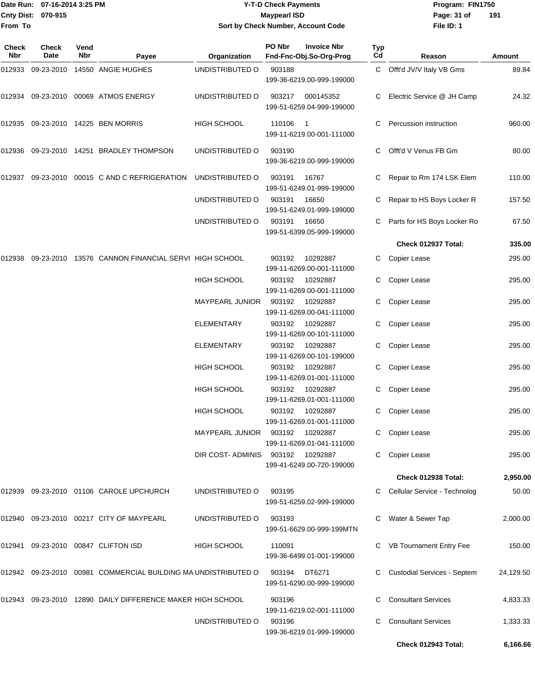|              |                      | Date Run: 07-16-2014 3:25 PM |                                                                | <b>Y-T-D Check Payments</b>      |                     |                                               |                  | Program: FIN1750               |           |  |
|--------------|----------------------|------------------------------|----------------------------------------------------------------|----------------------------------|---------------------|-----------------------------------------------|------------------|--------------------------------|-----------|--|
|              | Cnty Dist: 070-915   |                              |                                                                |                                  | <b>Maypearl ISD</b> |                                               |                  | Page: 31 of                    | 191       |  |
| From To      |                      |                              |                                                                |                                  |                     | Sort by Check Number, Account Code            |                  | File ID: 1                     |           |  |
| Check<br>Nbr | <b>Check</b><br>Date | Vend<br>Nbr                  | Payee                                                          | Organization                     | PO Nbr              | <b>Invoice Nbr</b><br>Fnd-Fnc-Obj.So-Org-Prog | <b>Typ</b><br>Cd | Reason                         | Amount    |  |
| 012933       |                      |                              | 09-23-2010 14550 ANGIE HUGHES                                  | UNDISTRIBUTED O                  | 903188              | 199-36-6219.00-999-199000                     | C                | Offt'd JV/V Italy VB Gms       | 89.84     |  |
| 012934       |                      |                              | 09-23-2010 00069 ATMOS ENERGY                                  | UNDISTRIBUTED O                  | 903217              | 000145352<br>199-51-6259.04-999-199000        |                  | Electric Service @ JH Camp     | 24.32     |  |
| 012935       |                      |                              | 09-23-2010 14225 BEN MORRIS                                    | <b>HIGH SCHOOL</b>               | 110106              | - 1<br>199-11-6219.00-001-111000              |                  | Percussion instruction         | 960.00    |  |
| 012936       |                      |                              | 09-23-2010 14251 BRADLEY THOMPSON                              | UNDISTRIBUTED O                  | 903190              | 199-36-6219.00-999-199000                     | C                | Offt'd V Venus FB Gm           | 80.00     |  |
| 012937       |                      |                              | 09-23-2010 00015 C AND C REFRIGERATION                         | UNDISTRIBUTED O                  | 903191              | 16767<br>199-51-6249.01-999-199000            |                  | Repair to Rm 174 LSK Elem      | 110.00    |  |
|              |                      |                              |                                                                | UNDISTRIBUTED O                  | 903191              | 16650<br>199-51-6249.01-999-199000            |                  | Repair to HS Boys Locker R     | 157.50    |  |
|              |                      |                              |                                                                | UNDISTRIBUTED O                  | 903191              | 16650<br>199-51-6399.05-999-199000            |                  | Parts for HS Boys Locker Ro    | 67.50     |  |
|              |                      |                              |                                                                |                                  |                     |                                               |                  | Check 012937 Total:            | 335.00    |  |
| 012938       |                      |                              | 09-23-2010 13576 CANNON FINANCIAL SERVI HIGH SCHOOL            |                                  | 903192              | 10292887<br>199-11-6269.00-001-111000         | C                | Copier Lease                   | 295.00    |  |
|              |                      |                              |                                                                | <b>HIGH SCHOOL</b>               | 903192              | 10292887<br>199-11-6269.00-001-111000         |                  | Copier Lease                   | 295.00    |  |
|              |                      |                              |                                                                | MAYPEARL JUNIOR                  | 903192              | 10292887<br>199-11-6269.00-041-111000         | C                | <b>Copier Lease</b>            | 295.00    |  |
|              |                      |                              |                                                                | <b>ELEMENTARY</b>                | 903192              | 10292887<br>199-11-6269.00-101-111000         | C                | Copier Lease                   | 295.00    |  |
|              |                      |                              |                                                                | <b>ELEMENTARY</b>                | 903192              | 10292887<br>199-11-6269.00-101-199000         |                  | Copier Lease                   | 295.00    |  |
|              |                      |                              |                                                                | <b>HIGH SCHOOL</b>               | 903192              | 10292887<br>199-11-6269.01-001-111000         | C                | <b>Copier Lease</b>            | 295.00    |  |
|              |                      |                              |                                                                | HIGH SCHOOL                      |                     | 903192 10292887<br>199-11-6269.01-001-111000  |                  | C Copier Lease                 | 295.00    |  |
|              |                      |                              |                                                                | <b>HIGH SCHOOL</b>               |                     | 903192 10292887<br>199-11-6269.01-001-111000  |                  | C Copier Lease                 | 295.00    |  |
|              |                      |                              |                                                                | MAYPEARL JUNIOR 903192 10292887  |                     | 199-11-6269.01-041-111000                     |                  | C Copier Lease                 | 295.00    |  |
|              |                      |                              |                                                                | DIR COST-ADMINIS 903192 10292887 |                     | 199-41-6249.00-720-199000                     |                  | C Copier Lease                 | 295.00    |  |
|              |                      |                              |                                                                |                                  |                     |                                               |                  | Check 012938 Total:            | 2,950.00  |  |
|              |                      |                              | 012939 09-23-2010 01106 CAROLE UPCHURCH                        | UNDISTRIBUTED O                  | 903195              | 199-51-6259.02-999-199000                     |                  | C Cellular Service - Technolog | 50.00     |  |
|              |                      |                              | 012940 09-23-2010 00217 CITY OF MAYPEARL                       | UNDISTRIBUTED O                  | 903193              | 199-51-6629.00-999-199MTN                     |                  | C Water & Sewer Tap            | 2,000.00  |  |
|              |                      |                              | 012941 09-23-2010 00847 CLIFTON ISD                            | <b>HIGH SCHOOL</b>               | 110091              | 199-36-6499.01-001-199000                     |                  | C VB Tournament Entry Fee      | 150.00    |  |
|              |                      |                              | 012942 09-23-2010 00981 COMMERCIAL BUILDING MA UNDISTRIBUTED O |                                  |                     | 903194 DT6271<br>199-51-6290.00-999-199000    |                  | C Custodial Services - Septem  | 24,129.50 |  |
|              |                      |                              | 012943 09-23-2010 12890 DAILY DIFFERENCE MAKER HIGH SCHOOL     |                                  | 903196              | 199-11-6219.02-001-111000                     |                  | <b>Consultant Services</b>     | 4,833.33  |  |
|              |                      |                              |                                                                | UNDISTRIBUTED O                  | 903196              | 199-36-6219.01-999-199000                     |                  | <b>Consultant Services</b>     | 1,333.33  |  |

**Check 012943 Total: 6,166.66**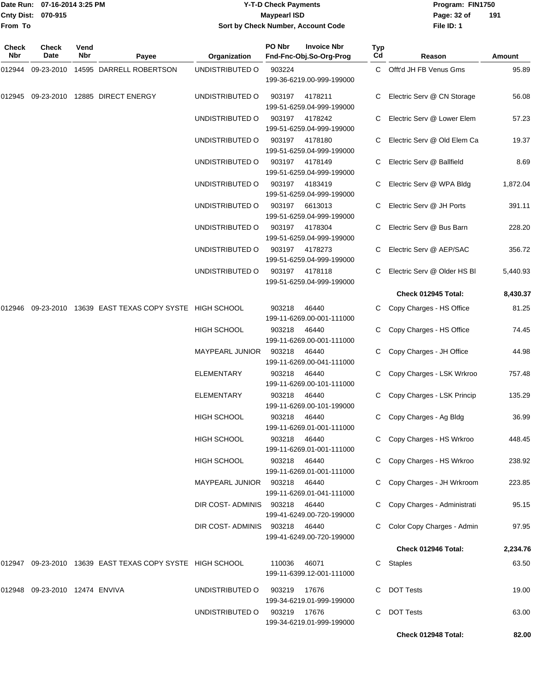|                           | Date Run: 07-16-2014 3:25 PM |
|---------------------------|------------------------------|
| <b>Cnty Dist: 070-915</b> |                              |
| <b>From To</b>            |                              |

## **Date Run: Program: FIN1750 07-16-2014 3:25 PM Y-T-D Check Payments Cnty Dist: Page: 32 of 070-915 Maypearl ISD Sort by Check Number, Account Code**

| Check<br>Nbr | Check<br>Date           | Vend<br>Nbr | Payee                                                     | Organization                  | PO Nbr       | <b>Invoice Nbr</b><br>Fnd-Fnc-Obj.So-Org-Prog | Typ<br>Cd | Reason                        | Amount   |
|--------------|-------------------------|-------------|-----------------------------------------------------------|-------------------------------|--------------|-----------------------------------------------|-----------|-------------------------------|----------|
| 012944       | 09-23-2010              |             | 14595 DARRELL ROBERTSON                                   | UNDISTRIBUTED O               | 903224       | 199-36-6219.00-999-199000                     |           | C Offt'd JH FB Venus Gms      | 95.89    |
| 012945       |                         |             | 09-23-2010 12885 DIRECT ENERGY                            | UNDISTRIBUTED O               | 903197       | 4178211<br>199-51-6259.04-999-199000          | C.        | Electric Serv @ CN Storage    | 56.08    |
|              |                         |             |                                                           | UNDISTRIBUTED O               | 903197       | 4178242<br>199-51-6259.04-999-199000          |           | Electric Serv @ Lower Elem    | 57.23    |
|              |                         |             |                                                           | UNDISTRIBUTED O               | 903197       | 4178180<br>199-51-6259.04-999-199000          |           | Electric Serv @ Old Elem Ca   | 19.37    |
|              |                         |             |                                                           | UNDISTRIBUTED O               | 903197       | 4178149<br>199-51-6259.04-999-199000          | C         | Electric Serv @ Ballfield     | 8.69     |
|              |                         |             |                                                           | UNDISTRIBUTED O               | 903197       | 4183419<br>199-51-6259.04-999-199000          |           | Electric Serv @ WPA Bldg      | 1,872.04 |
|              |                         |             |                                                           | UNDISTRIBUTED O               | 903197       | 6613013<br>199-51-6259.04-999-199000          | C.        | Electric Serv @ JH Ports      | 391.11   |
|              |                         |             |                                                           | UNDISTRIBUTED O               | 903197       | 4178304<br>199-51-6259.04-999-199000          | C.        | Electric Serv @ Bus Barn      | 228.20   |
|              |                         |             |                                                           | UNDISTRIBUTED O               | 903197       | 4178273<br>199-51-6259.04-999-199000          |           | Electric Serv @ AEP/SAC       | 356.72   |
|              |                         |             |                                                           | UNDISTRIBUTED O               | 903197       | 4178118<br>199-51-6259.04-999-199000          | C.        | Electric Serv @ Older HS BI   | 5,440.93 |
|              |                         |             |                                                           |                               |              |                                               |           | Check 012945 Total:           | 8,430.37 |
| 012946       |                         |             | 09-23-2010 13639 EAST TEXAS COPY SYSTE HIGH SCHOOL        |                               | 903218       | 46440<br>199-11-6269.00-001-111000            |           | C Copy Charges - HS Office    | 81.25    |
|              |                         |             |                                                           | <b>HIGH SCHOOL</b>            | 903218       | 46440<br>199-11-6269.00-001-111000            |           | Copy Charges - HS Office      | 74.45    |
|              |                         |             |                                                           | MAYPEARL JUNIOR               | 903218       | 46440<br>199-11-6269.00-041-111000            |           | Copy Charges - JH Office      | 44.98    |
|              |                         |             |                                                           | <b>ELEMENTARY</b>             | 903218       | 46440<br>199-11-6269.00-101-111000            | C.        | Copy Charges - LSK Wrkroo     | 757.48   |
|              |                         |             |                                                           | <b>ELEMENTARY</b>             | 903218       | 46440<br>199-11-6269.00-101-199000            |           | C Copy Charges - LSK Princip  | 135.29   |
|              |                         |             |                                                           | <b>HIGH SCHOOL</b>            | 903218       | 46440<br>199-11-6269.01-001-111000            |           | C Copy Charges - Ag Bldg      | 36.99    |
|              |                         |             |                                                           | <b>HIGH SCHOOL</b>            | 903218 46440 | 199-11-6269.01-001-111000                     |           | C Copy Charges - HS Wrkroo    | 448.45   |
|              |                         |             |                                                           | <b>HIGH SCHOOL</b>            | 903218 46440 | 199-11-6269.01-001-111000                     |           | C Copy Charges - HS Wrkroo    | 238.92   |
|              |                         |             |                                                           | MAYPEARL JUNIOR 903218 46440  |              | 199-11-6269.01-041-111000                     |           | C Copy Charges - JH Wrkroom   | 223.85   |
|              |                         |             |                                                           | DIR COST-ADMINIS 903218 46440 |              | 199-41-6249.00-720-199000                     |           | C Copy Charges - Administrati | 95.15    |
|              |                         |             |                                                           | DIR COST-ADMINIS              | 903218       | 46440<br>199-41-6249.00-720-199000            |           | C Color Copy Charges - Admin  | 97.95    |
|              |                         |             |                                                           |                               |              |                                               |           | Check 012946 Total:           | 2,234.76 |
|              |                         |             | 012947 09-23-2010 13639 EAST TEXAS COPY SYSTE HIGH SCHOOL |                               | 110036       | 46071<br>199-11-6399.12-001-111000            |           | C Staples                     | 63.50    |
| 012948       | 09-23-2010 12474 ENVIVA |             |                                                           | UNDISTRIBUTED O               | 903219       | 17676<br>199-34-6219.01-999-199000            |           | <b>DOT Tests</b>              | 19.00    |
|              |                         |             |                                                           | UNDISTRIBUTED O               | 903219 17676 | 199-34-6219.01-999-199000                     | C.        | <b>DOT Tests</b>              | 63.00    |
|              |                         |             |                                                           |                               |              |                                               |           | Check 012948 Total:           | 82.00    |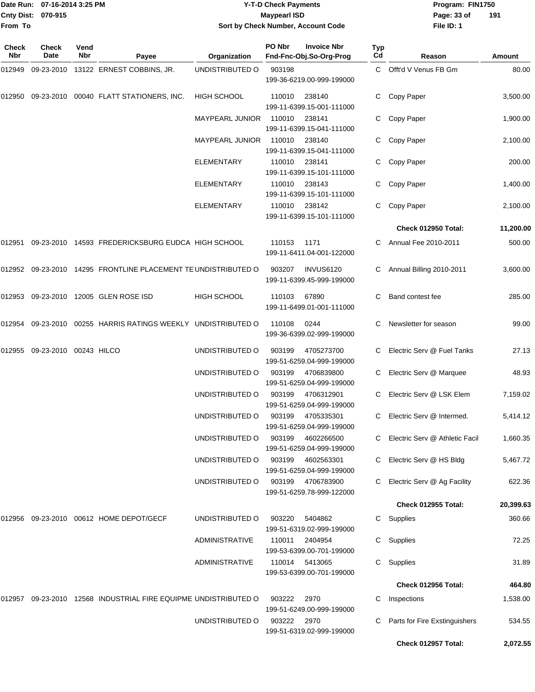### Date Run: 07-16-2014 3:25 PM **Program:** FIN1750 **Cnty Dist:** 070-915 **Page: 33 of Y-T-D Check Payments 070-915 Maypearl ISD Sort by Check Number, Account Code**

| Check<br><b>Nbr</b> | Check<br>Date          | Vend<br><b>Nbr</b> | Payee                                                           | Organization           | PO Nbr      | <b>Invoice Nbr</b><br>Fnd-Fnc-Obj.So-Org-Prog | <b>Typ</b><br>Cd | Reason                           | Amount    |
|---------------------|------------------------|--------------------|-----------------------------------------------------------------|------------------------|-------------|-----------------------------------------------|------------------|----------------------------------|-----------|
| 012949              |                        |                    | 09-23-2010 13122 ERNEST COBBINS, JR.                            | UNDISTRIBUTED O        | 903198      | 199-36-6219.00-999-199000                     |                  | C Offt'd V Venus FB Gm           | 80.00     |
| 012950              |                        |                    | 09-23-2010 00040 FLATT STATIONERS, INC.                         | HIGH SCHOOL            | 110010      | 238140<br>199-11-6399.15-001-111000           | C.               | Copy Paper                       | 3,500.00  |
|                     |                        |                    |                                                                 | <b>MAYPEARL JUNIOR</b> | 110010      | 238141<br>199-11-6399.15-041-111000           | C                | Copy Paper                       | 1,900.00  |
|                     |                        |                    |                                                                 | <b>MAYPEARL JUNIOR</b> | 110010      | 238140<br>199-11-6399.15-041-111000           | C.               | Copy Paper                       | 2,100.00  |
|                     |                        |                    |                                                                 | <b>ELEMENTARY</b>      | 110010      | 238141<br>199-11-6399.15-101-111000           |                  | Copy Paper                       | 200.00    |
|                     |                        |                    |                                                                 | <b>ELEMENTARY</b>      | 110010      | 238143<br>199-11-6399.15-101-111000           | С                | Copy Paper                       | 1,400.00  |
|                     |                        |                    |                                                                 | <b>ELEMENTARY</b>      | 110010      | 238142<br>199-11-6399.15-101-111000           | C                | Copy Paper                       | 2,100.00  |
|                     |                        |                    |                                                                 |                        |             |                                               |                  | Check 012950 Total:              | 11,200.00 |
| 012951              |                        |                    | 09-23-2010 14593 FREDERICKSBURG EUDCA HIGH SCHOOL               |                        | 110153      | 1171<br>199-11-6411.04-001-122000             |                  | Annual Fee 2010-2011             | 500.00    |
|                     |                        |                    | 012952 09-23-2010 14295 FRONTLINE PLACEMENT TE UNDISTRIBUTED O  |                        | 903207      | <b>INVUS6120</b><br>199-11-6399.45-999-199000 |                  | Annual Billing 2010-2011         | 3,600.00  |
| 012953              |                        |                    | 09-23-2010 12005 GLEN ROSE ISD                                  | HIGH SCHOOL            | 110103      | 67890<br>199-11-6499.01-001-111000            | C.               | Band contest fee                 | 285.00    |
| 012954              | 09-23-2010             |                    | 00255 HARRIS RATINGS WEEKLY UNDISTRIBUTED O                     |                        | 110108      | 0244<br>199-36-6399.02-999-199000             | C                | Newsletter for season            | 99.00     |
| 012955              | 09-23-2010 00243 HILCO |                    |                                                                 | UNDISTRIBUTED O        | 903199      | 4705273700<br>199-51-6259.04-999-199000       |                  | Electric Serv @ Fuel Tanks       | 27.13     |
|                     |                        |                    |                                                                 | UNDISTRIBUTED O        | 903199      | 4706839800<br>199-51-6259.04-999-199000       | C                | Electric Serv @ Marquee          | 48.93     |
|                     |                        |                    |                                                                 | UNDISTRIBUTED O        | 903199      | 4706312901<br>199-51-6259.04-999-199000       | C                | Electric Serv @ LSK Elem         | 7,159.02  |
|                     |                        |                    |                                                                 | UNDISTRIBUTED O        | 903199      | 4705335301<br>199-51-6259.04-999-199000       | C.               | Electric Serv @ Intermed.        | 5,414.12  |
|                     |                        |                    |                                                                 | UNDISTRIBUTED O        | 903199      | 4602266500<br>199-51-6259.04-999-199000       |                  | C Electric Serv @ Athletic Facil | 1,660.35  |
|                     |                        |                    |                                                                 | UNDISTRIBUTED O        | 903199      | 4602563301<br>199-51-6259.04-999-199000       | C.               | Electric Serv @ HS Bldg          | 5,467.72  |
|                     |                        |                    |                                                                 | UNDISTRIBUTED O        | 903199      | 4706783900<br>199-51-6259.78-999-122000       |                  | Electric Serv @ Ag Facility      | 622.36    |
|                     |                        |                    |                                                                 |                        |             |                                               |                  | <b>Check 012955 Total:</b>       | 20,399.63 |
| 012956              |                        |                    | 09-23-2010  00612  HOME DEPOT/GECF                              | UNDISTRIBUTED O        | 903220      | 5404862<br>199-51-6319.02-999-199000          |                  | C Supplies                       | 360.66    |
|                     |                        |                    |                                                                 | <b>ADMINISTRATIVE</b>  | 110011      | 2404954<br>199-53-6399.00-701-199000          |                  | C Supplies                       | 72.25     |
|                     |                        |                    |                                                                 | <b>ADMINISTRATIVE</b>  |             | 110014 5413065<br>199-53-6399.00-701-199000   |                  | C Supplies                       | 31.89     |
|                     |                        |                    |                                                                 |                        |             |                                               |                  | Check 012956 Total:              | 464.80    |
|                     |                        |                    | 012957 09-23-2010 12568 INDUSTRIAL FIRE EQUIPME UNDISTRIBUTED O |                        | 903222      | 2970<br>199-51-6249.00-999-199000             | C                | Inspections                      | 1,538.00  |
|                     |                        |                    |                                                                 | UNDISTRIBUTED O        | 903222 2970 | 199-51-6319.02-999-199000                     |                  | Parts for Fire Exstinguishers    | 534.55    |
|                     |                        |                    |                                                                 |                        |             |                                               |                  | Check 012957 Total:              | 2,072.55  |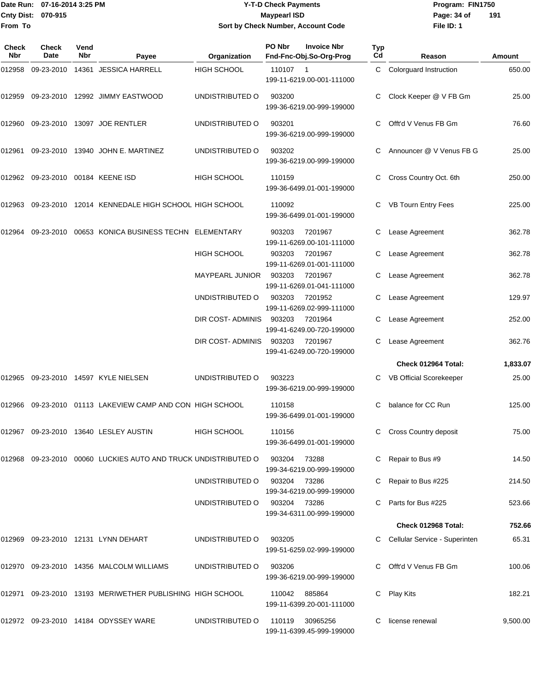Date Run: 07-16-2014 3:25 PM **Program:** FIN1750 **Cnty Dist:** 070-915 **Page: 34 of** Maypearl ISD **CONTEX 150 Page: 34 of From To**

# **Y-T-D Check Payments 070-915 Maypearl ISD Sort by Check Number, Account Code**

| <b>Check</b><br>Nbr | <b>Check</b><br>Date       | Vend<br><b>Nbr</b> | Payee                                                   | Organization       | PO Nbr       | <b>Invoice Nbr</b><br>Fnd-Fnc-Obj.So-Org-Prog | Typ<br>Cd | Reason                          | <b>Amount</b> |
|---------------------|----------------------------|--------------------|---------------------------------------------------------|--------------------|--------------|-----------------------------------------------|-----------|---------------------------------|---------------|
| 012958              |                            |                    | 09-23-2010 14361 JESSICA HARRELL                        | <b>HIGH SCHOOL</b> | 110107 1     | 199-11-6219.00-001-111000                     |           | C Colorguard Instruction        | 650.00        |
| 012959              |                            |                    | 09-23-2010 12992 JIMMY EASTWOOD                         | UNDISTRIBUTED O    | 903200       | 199-36-6219.00-999-199000                     |           | Clock Keeper @ V FB Gm          | 25.00         |
| 012960              |                            |                    | 09-23-2010 13097 JOE RENTLER                            | UNDISTRIBUTED O    | 903201       | 199-36-6219.00-999-199000                     | C.        | Offt'd V Venus FB Gm            | 76.60         |
| 012961              |                            |                    | 09-23-2010 13940 JOHN E. MARTINEZ                       | UNDISTRIBUTED O    | 903202       | 199-36-6219.00-999-199000                     |           | Announcer @ V Venus FB G        | 25.00         |
| 012962              | 09-23-2010 00184 KEENE ISD |                    |                                                         | <b>HIGH SCHOOL</b> | 110159       | 199-36-6499.01-001-199000                     | C         | Cross Country Oct. 6th          | 250.00        |
| 012963              |                            |                    | 09-23-2010 12014 KENNEDALE HIGH SCHOOL HIGH SCHOOL      |                    | 110092       | 199-36-6499.01-001-199000                     | C.        | VB Tourn Entry Fees             | 225.00        |
| 012964              |                            |                    | 09-23-2010 00653 KONICA BUSINESS TECHN ELEMENTARY       |                    | 903203       | 7201967<br>199-11-6269.00-101-111000          |           | Lease Agreement                 | 362.78        |
|                     |                            |                    |                                                         | <b>HIGH SCHOOL</b> | 903203       | 7201967<br>199-11-6269.01-001-111000          | C         | Lease Agreement                 | 362.78        |
|                     |                            |                    |                                                         | MAYPEARL JUNIOR    | 903203       | 7201967<br>199-11-6269.01-041-111000          |           | Lease Agreement                 | 362.78        |
|                     |                            |                    |                                                         | UNDISTRIBUTED O    | 903203       | 7201952<br>199-11-6269.02-999-111000          |           | Lease Agreement                 | 129.97        |
|                     |                            |                    |                                                         | DIR COST- ADMINIS  | 903203       | 7201964<br>199-41-6249.00-720-199000          |           | Lease Agreement                 | 252.00        |
|                     |                            |                    |                                                         | DIR COST- ADMINIS  | 903203       | 7201967<br>199-41-6249.00-720-199000          | C         | Lease Agreement                 | 362.76        |
|                     |                            |                    |                                                         |                    |              |                                               |           | Check 012964 Total:             | 1,833.07      |
| 012965              |                            |                    | 09-23-2010 14597 KYLE NIELSEN                           | UNDISTRIBUTED O    | 903223       | 199-36-6219.00-999-199000                     |           | VB Official Scorekeeper         | 25.00         |
| 012966              |                            |                    | 09-23-2010 01113 LAKEVIEW CAMP AND CON HIGH SCHOOL      |                    | 110158       | 199-36-6499.01-001-199000                     | C.        | balance for CC Run              | 125.00        |
|                     |                            |                    | 012967 09-23-2010 13640 LESLEY AUSTIN                   | HIGH SCHOOL        | 110156       | 199-36-6499.01-001-199000                     |           | <b>Cross Country deposit</b>    | 75.00         |
| 012968              |                            |                    | 09-23-2010 00060 LUCKIES AUTO AND TRUCK UNDISTRIBUTED O |                    | 903204       | 73288<br>199-34-6219.00-999-199000            |           | Repair to Bus #9                | 14.50         |
|                     |                            |                    |                                                         | UNDISTRIBUTED O    | 903204       | 73286<br>199-34-6219.00-999-199000            |           | Repair to Bus #225              | 214.50        |
|                     |                            |                    |                                                         | UNDISTRIBUTED O    | 903204 73286 | 199-34-6311.00-999-199000                     |           | Parts for Bus #225              | 523.66        |
|                     |                            |                    |                                                         |                    |              |                                               |           | Check 012968 Total:             | 752.66        |
|                     |                            |                    | 012969 09-23-2010 12131 LYNN DEHART                     | UNDISTRIBUTED O    | 903205       | 199-51-6259.02-999-199000                     |           | C Cellular Service - Superinten | 65.31         |
|                     |                            |                    | 012970 09-23-2010 14356 MALCOLM WILLIAMS                | UNDISTRIBUTED O    | 903206       | 199-36-6219.00-999-199000                     |           | C Offt'd V Venus FB Gm          | 100.06        |
| 012971              |                            |                    | 09-23-2010 13193 MERIWETHER PUBLISHING HIGH SCHOOL      |                    | 110042       | 885864<br>199-11-6399.20-001-111000           | C         | <b>Play Kits</b>                | 182.21        |
|                     |                            |                    | 012972 09-23-2010 14184 ODYSSEY WARE                    | UNDISTRIBUTED O    | 110119       | 30965256<br>199-11-6399.45-999-199000         |           | license renewal                 | 9,500.00      |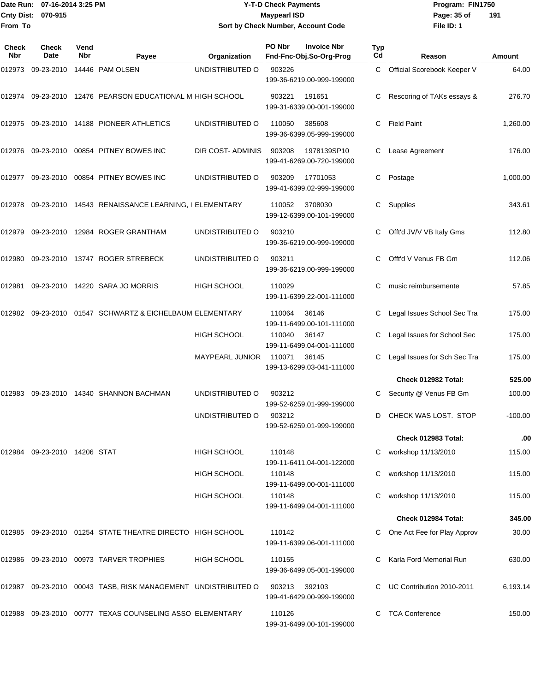### Date Run: 07-16-2014 3:25 PM **Program:** FIN1750 **Cnty Dist:** 070-915 **Page: 35 of MaypearI ISD Page: 35 of Y-T-D Check Payments 070-915 Maypearl ISD Sort by Check Number, Account Code**

| <b>Check</b><br><b>Nbr</b> | Check<br><b>Date</b>         | Vend<br>Nbr | Payee                                                         | Organization       | PO Nbr | <b>Invoice Nbr</b><br>Fnd-Fnc-Obj.So-Org-Prog | <b>Typ</b><br>Cd | Reason                       | <b>Amount</b> |
|----------------------------|------------------------------|-------------|---------------------------------------------------------------|--------------------|--------|-----------------------------------------------|------------------|------------------------------|---------------|
| 012973                     | 09-23-2010                   |             | 14446 PAM OLSEN                                               | UNDISTRIBUTED O    | 903226 | 199-36-6219.00-999-199000                     | C.               | Official Scorebook Keeper V  | 64.00         |
| 012974                     |                              |             | 09-23-2010 12476 PEARSON EDUCATIONAL M HIGH SCHOOL            |                    | 903221 | 191651<br>199-31-6339.00-001-199000           |                  | Rescoring of TAKs essays &   | 276.70        |
| 012975                     |                              |             | 09-23-2010 14188 PIONEER ATHLETICS                            | UNDISTRIBUTED O    | 110050 | 385608<br>199-36-6399.05-999-199000           | С                | <b>Field Paint</b>           | 1,260.00      |
|                            |                              |             | 012976 09-23-2010 00854 PITNEY BOWES INC                      | DIR COST- ADMINIS  | 903208 | 1978139SP10<br>199-41-6269.00-720-199000      | C                | Lease Agreement              | 176.00        |
| 012977                     | 09-23-2010                   |             | 00854 PITNEY BOWES INC                                        | UNDISTRIBUTED O    | 903209 | 17701053<br>199-41-6399.02-999-199000         | C                | Postage                      | 1,000.00      |
| 012978                     |                              |             | 09-23-2010 14543 RENAISSANCE LEARNING, I ELEMENTARY           |                    | 110052 | 3708030<br>199-12-6399.00-101-199000          | С                | Supplies                     | 343.61        |
| 012979                     |                              |             | 09-23-2010 12984 ROGER GRANTHAM                               | UNDISTRIBUTED O    | 903210 | 199-36-6219.00-999-199000                     | C                | Offt'd JV/V VB Italy Gms     | 112.80        |
| 012980                     |                              |             | 09-23-2010 13747 ROGER STREBECK                               | UNDISTRIBUTED O    | 903211 | 199-36-6219.00-999-199000                     |                  | Offt'd V Venus FB Gm         | 112.06        |
| 012981                     | 09-23-2010                   |             | 14220 SARA JO MORRIS                                          | <b>HIGH SCHOOL</b> | 110029 | 199-11-6399.22-001-111000                     | C                | music reimbursemente         | 57.85         |
| 012982                     |                              |             | 09-23-2010 01547 SCHWARTZ & EICHELBAUM ELEMENTARY             |                    | 110064 | 36146<br>199-11-6499.00-101-111000            | C                | Legal Issues School Sec Tra  | 175.00        |
|                            |                              |             |                                                               | HIGH SCHOOL        | 110040 | 36147<br>199-11-6499.04-001-111000            |                  | Legal Issues for School Sec  | 175.00        |
|                            |                              |             |                                                               | MAYPEARL JUNIOR    | 110071 | 36145<br>199-13-6299.03-041-111000            |                  | Legal Issues for Sch Sec Tra | 175.00        |
|                            |                              |             |                                                               |                    |        |                                               |                  | Check 012982 Total:          | 525.00        |
| 012983                     | 09-23-2010                   |             | 14340 SHANNON BACHMAN                                         | UNDISTRIBUTED O    | 903212 | 199-52-6259.01-999-199000                     |                  | Security @ Venus FB Gm       | 100.00        |
|                            |                              |             |                                                               | UNDISTRIBUTED O    | 903212 | 199-52-6259.01-999-199000                     | D                | CHECK WAS LOST. STOP         | $-100.00$     |
|                            |                              |             |                                                               |                    |        |                                               |                  | Check 012983 Total:          | .00           |
|                            | 012984 09-23-2010 14206 STAT |             |                                                               | HIGH SCHOOL        | 110148 | 199-11-6411.04-001-122000                     |                  | workshop 11/13/2010          | 115.00        |
|                            |                              |             |                                                               | HIGH SCHOOL        | 110148 | 199-11-6499.00-001-111000                     |                  | workshop 11/13/2010          | 115.00        |
|                            |                              |             |                                                               | HIGH SCHOOL        | 110148 | 199-11-6499.04-001-111000                     |                  | workshop 11/13/2010          | 115.00        |
|                            |                              |             |                                                               |                    |        |                                               |                  | Check 012984 Total:          | 345.00        |
| 012985                     |                              |             | 09-23-2010 01254 STATE THEATRE DIRECTO HIGH SCHOOL            |                    | 110142 | 199-11-6399.06-001-111000                     |                  | One Act Fee for Play Approv  | 30.00         |
|                            |                              |             | 012986 09-23-2010 00973 TARVER TROPHIES                       | <b>HIGH SCHOOL</b> | 110155 | 199-36-6499.05-001-199000                     |                  | Karla Ford Memorial Run      | 630.00        |
|                            |                              |             | 012987 09-23-2010 00043 TASB, RISK MANAGEMENT UNDISTRIBUTED O |                    | 903213 | 392103<br>199-41-6429.00-999-199000           |                  | UC Contribution 2010-2011    | 6,193.14      |
| 012988                     |                              |             | 09-23-2010 00777 TEXAS COUNSELING ASSO ELEMENTARY             |                    | 110126 | 199-31-6499.00-101-199000                     |                  | <b>TCA Conference</b>        | 150.00        |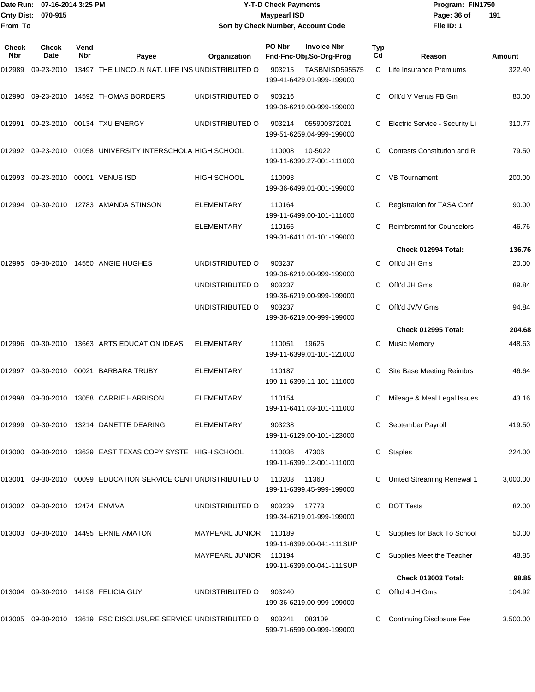|                            | Date Run: 07-16-2014 3:25 PM   |                    |                                                                | <b>Y-T-D Check Payments</b>        |                                                     |                                                    |             |                                  | Program: FIN1750 |  |
|----------------------------|--------------------------------|--------------------|----------------------------------------------------------------|------------------------------------|-----------------------------------------------------|----------------------------------------------------|-------------|----------------------------------|------------------|--|
| <b>Cnty Dist:</b>          | 070-915                        |                    |                                                                |                                    | <b>Maypearl ISD</b>                                 |                                                    | Page: 36 of | 191                              |                  |  |
| From To                    |                                |                    |                                                                | Sort by Check Number, Account Code |                                                     |                                                    | File ID: 1  |                                  |                  |  |
| <b>Check</b><br><b>Nbr</b> | Check<br>Date                  | Vend<br><b>Nbr</b> | Payee                                                          | Organization                       | PO Nbr                                              | <b>Invoice Nbr</b><br>Fnd-Fnc-Obj.So-Org-Prog      | Typ<br>Cd   | Reason                           | <b>Amount</b>    |  |
| 012989                     | 09-23-2010                     |                    | 13497 THE LINCOLN NAT. LIFE INS UNDISTRIBUTED O                |                                    | 903215                                              | <b>TASBMISD595575</b><br>199-41-6429.01-999-199000 |             | C Life Insurance Premiums        | 322.40           |  |
| 012990                     |                                |                    | 09-23-2010 14592 THOMAS BORDERS                                | UNDISTRIBUTED O                    | 903216<br>199-36-6219.00-999-199000                 |                                                    | C           | Offt'd V Venus FB Gm             | 80.00            |  |
| 012991                     |                                |                    | 09-23-2010 00134 TXU ENERGY                                    | UNDISTRIBUTED O                    | 903214<br>055900372021<br>199-51-6259.04-999-199000 |                                                    | С           | Electric Service - Security Li   | 310.77           |  |
| 012992                     | 09-23-2010                     |                    | 01058 UNIVERSITY INTERSCHOLA HIGH SCHOOL                       |                                    | 110008<br>10-5022<br>199-11-6399.27-001-111000      |                                                    | C           | Contests Constitution and R      | 79.50            |  |
| 012993                     | 09-23-2010                     |                    | 00091 VENUS ISD                                                | <b>HIGH SCHOOL</b>                 | 110093<br>199-36-6499.01-001-199000                 |                                                    | C           | <b>VB</b> Tournament             | 200.00           |  |
| 012994                     |                                |                    | 09-30-2010 12783 AMANDA STINSON                                | <b>ELEMENTARY</b>                  | 110164                                              | 199-11-6499.00-101-111000                          | С           | Registration for TASA Conf       | 90.00            |  |
|                            |                                |                    |                                                                | <b>ELEMENTARY</b>                  | 110166                                              | 199-31-6411.01-101-199000                          | C           | <b>Reimbrsmnt for Counselors</b> | 46.76            |  |
|                            |                                |                    |                                                                |                                    |                                                     |                                                    |             | Check 012994 Total:              | 136.76           |  |
| 012995                     | 09-30-2010                     |                    | 14550 ANGIE HUGHES                                             | UNDISTRIBUTED O                    | 903237                                              | 199-36-6219.00-999-199000                          | C           | Offt'd JH Gms                    | 20.00            |  |
|                            |                                |                    |                                                                | UNDISTRIBUTED O                    | 903237                                              | 199-36-6219.00-999-199000                          | С           | Offt'd JH Gms                    | 89.84            |  |
|                            |                                |                    |                                                                | UNDISTRIBUTED O                    | 903237                                              | 199-36-6219.00-999-199000                          | C           | Offt'd JV/V Gms                  | 94.84            |  |
|                            |                                |                    |                                                                |                                    |                                                     |                                                    |             | Check 012995 Total:              | 204.68           |  |
| 012996                     |                                |                    | 09-30-2010 13663 ARTS EDUCATION IDEAS                          | <b>ELEMENTARY</b>                  | 110051                                              | 19625<br>199-11-6399.01-101-121000                 | С           | <b>Music Memory</b>              | 448.63           |  |
| 012997                     | 09-30-2010                     |                    | 00021 BARBARA TRUBY                                            | <b>ELEMENTARY</b>                  | 110187                                              | 199-11-6399.11-101-111000                          | С           | Site Base Meeting Reimbrs        | 46.64            |  |
|                            |                                |                    | 012998 09-30-2010 13058 CARRIE HARRISON                        | <b>ELEMENTARY</b>                  | 110154                                              | 199-11-6411.03-101-111000                          |             | Mileage & Meal Legal Issues      | 43.16            |  |
|                            |                                |                    | 012999 09-30-2010 13214 DANETTE DEARING                        | ELEMENTARY                         | 903238                                              | 199-11-6129.00-101-123000                          |             | September Payroll                | 419.50           |  |
|                            |                                |                    | 013000 09-30-2010 13639 EAST TEXAS COPY SYSTE HIGH SCHOOL      |                                    | 110036                                              | 47306<br>199-11-6399.12-001-111000                 | C           | Staples                          | 224.00           |  |
| 013001                     |                                |                    | 09-30-2010 00099 EDUCATION SERVICE CENT UNDISTRIBUTED O        |                                    | 110203                                              | 11360<br>199-11-6399.45-999-199000                 |             | United Streaming Renewal 1       | 3,000.00         |  |
|                            | 013002 09-30-2010 12474 ENVIVA |                    |                                                                | UNDISTRIBUTED O                    | 903239                                              | 17773<br>199-34-6219.01-999-199000                 | С           | <b>DOT Tests</b>                 | 82.00            |  |
|                            |                                |                    | 013003 09-30-2010 14495 ERNIE AMATON                           | <b>MAYPEARL JUNIOR</b>             | 110189                                              | 199-11-6399.00-041-111SUP                          |             | Supplies for Back To School      | 50.00            |  |
|                            |                                |                    |                                                                | MAYPEARL JUNIOR                    | 110194                                              | 199-11-6399.00-041-111SUP                          |             | Supplies Meet the Teacher        | 48.85            |  |
|                            |                                |                    |                                                                |                                    |                                                     |                                                    |             | <b>Check 013003 Total:</b>       | 98.85            |  |
| 013004                     |                                |                    | 09-30-2010 14198 FELICIA GUY                                   | UNDISTRIBUTED O                    | 903240                                              | 199-36-6219.00-999-199000                          |             | Offtd 4 JH Gms                   | 104.92           |  |
|                            |                                |                    | 013005 09-30-2010 13619 FSC DISCLUSURE SERVICE UNDISTRIBUTED O |                                    | 903241                                              | 083109                                             |             | C Continuing Disclosure Fee      | 3,500.00         |  |

599-71-6599.00-999-199000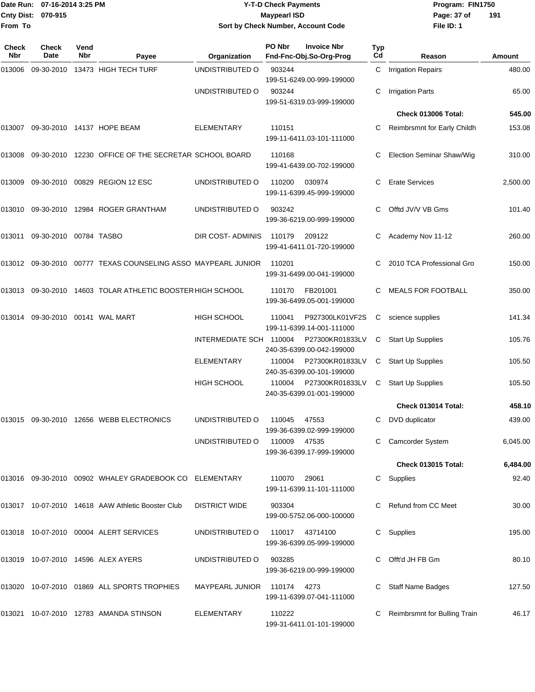|                    | Date Run: 07-16-2014 3:25 PM | <b>Y-T-D Check Payments</b>        | Program: FIN1750              |
|--------------------|------------------------------|------------------------------------|-------------------------------|
| Cnty Dist: 070-915 |                              | <b>Maypearl ISD</b>                | $\overline{1}$<br>Page: 37 of |
| From To            |                              | Sort by Check Number, Account Code | File ID: 1                    |

# **Sort by Check Number, Account Code**

| Check<br><b>Nbr</b> | <b>Check</b><br>Date        | Vend<br><b>Nbr</b> | Payee                                                         | Organization            | PO Nbr      | <b>Invoice Nbr</b><br>Fnd-Fnc-Obj.So-Org-Prog | <b>Typ</b><br>C <sub>d</sub> | Reason                           | Amount   |
|---------------------|-----------------------------|--------------------|---------------------------------------------------------------|-------------------------|-------------|-----------------------------------------------|------------------------------|----------------------------------|----------|
| 013006              |                             |                    | 09-30-2010 13473 HIGH TECH TURF                               | UNDISTRIBUTED O         | 903244      | 199-51-6249.00-999-199000                     | $\mathsf{C}^-$               | <b>Irrigation Repairs</b>        | 480.00   |
|                     |                             |                    |                                                               | UNDISTRIBUTED O         | 903244      | 199-51-6319.03-999-199000                     | С                            | <b>Irrigation Parts</b>          | 65.00    |
|                     |                             |                    |                                                               |                         |             |                                               |                              | <b>Check 013006 Total:</b>       | 545.00   |
| 013007              |                             |                    | 09-30-2010 14137 HOPE BEAM                                    | ELEMENTARY              | 110151      | 199-11-6411.03-101-111000                     |                              | Reimbrsmnt for Early Childh      | 153.08   |
| 013008              |                             |                    | 09-30-2010 12230 OFFICE OF THE SECRETAR SCHOOL BOARD          |                         | 110168      | 199-41-6439.00-702-199000                     | C                            | <b>Election Seminar Shaw/Wig</b> | 310.00   |
| 013009              |                             |                    | 09-30-2010 00829 REGION 12 ESC                                | UNDISTRIBUTED O         | 110200      | 030974<br>199-11-6399.45-999-199000           | C                            | <b>Erate Services</b>            | 2,500.00 |
| 013010              | 09-30-2010                  |                    | 12984 ROGER GRANTHAM                                          | UNDISTRIBUTED O         | 903242      | 199-36-6219.00-999-199000                     | C                            | Offtd JV/V VB Gms                | 101.40   |
| 013011              | 09-30-2010 00784 TASBO      |                    |                                                               | DIR COST- ADMINIS       | 110179      | 209122<br>199-41-6411.01-720-199000           |                              | Academy Nov 11-12                | 260.00   |
|                     |                             |                    | 013012 09-30-2010 00777 TEXAS COUNSELING ASSO MAYPEARL JUNIOR |                         | 110201      | 199-31-6499.00-041-199000                     |                              | 2010 TCA Professional Gro        | 150.00   |
| 013013              |                             |                    | 09-30-2010 14603 TOLAR ATHLETIC BOOSTER HIGH SCHOOL           |                         | 110170      | FB201001<br>199-36-6499.05-001-199000         | C                            | <b>MEALS FOR FOOTBALL</b>        | 350.00   |
| 013014              | 09-30-2010  00141  WAL MART |                    |                                                               | <b>HIGH SCHOOL</b>      | 110041      | P927300LK01VF2S<br>199-11-6399.14-001-111000  | С                            | science supplies                 | 141.34   |
|                     |                             |                    |                                                               | INTERMEDIATE SCH 110004 |             | P27300KR01833LV<br>240-35-6399.00-042-199000  | С                            | Start Up Supplies                | 105.76   |
|                     |                             |                    |                                                               | <b>ELEMENTARY</b>       | 110004      | P27300KR01833LV<br>240-35-6399.00-101-199000  | С                            | Start Up Supplies                | 105.50   |
|                     |                             |                    |                                                               | HIGH SCHOOL             | 110004      | P27300KR01833LV<br>240-35-6399.01-001-199000  | C                            | <b>Start Up Supplies</b>         | 105.50   |
|                     |                             |                    |                                                               |                         |             |                                               |                              | Check 013014 Total:              | 458.10   |
| 013015              |                             |                    | 09-30-2010  12656  WEBB ELECTRONICS                           | UNDISTRIBUTED O         | 110045      | 47553<br>199-36-6399.02-999-199000            | C                            | DVD duplicator                   | 439.00   |
|                     |                             |                    |                                                               | UNDISTRIBUTED O         | 110009      | 47535<br>199-36-6399.17-999-199000            |                              | C Camcorder System               | 6,045.00 |
|                     |                             |                    |                                                               |                         |             |                                               |                              | <b>Check 013015 Total:</b>       | 6,484.00 |
|                     |                             |                    | 013016 09-30-2010 00902 WHALEY GRADEBOOK CO ELEMENTARY        |                         | 110070      | 29061<br>199-11-6399.11-101-111000            |                              | C Supplies                       | 92.40    |
|                     |                             |                    | 013017 10-07-2010 14618 AAW Athletic Booster Club             | <b>DISTRICT WIDE</b>    | 903304      | 199-00-5752.06-000-100000                     |                              | C Refund from CC Meet            | 30.00    |
|                     |                             |                    | 013018 10-07-2010 00004 ALERT SERVICES                        | UNDISTRIBUTED O         |             | 110017 43714100<br>199-36-6399.05-999-199000  | C                            | Supplies                         | 195.00   |
|                     |                             |                    | 013019 10-07-2010 14596 ALEX AYERS                            | UNDISTRIBUTED O         | 903285      | 199-36-6219.00-999-199000                     |                              | C Offt'd JH FB Gm                | 80.10    |
|                     |                             |                    | 013020 10-07-2010 01869 ALL SPORTS TROPHIES                   | MAYPEARL JUNIOR         | 110174 4273 | 199-11-6399.07-041-111000                     |                              | Staff Name Badges                | 127.50   |
|                     |                             |                    | 013021 10-07-2010 12783 AMANDA STINSON                        | ELEMENTARY              | 110222      | 199-31-6411.01-101-199000                     |                              | Reimbrsmnt for Bulling Train     | 46.17    |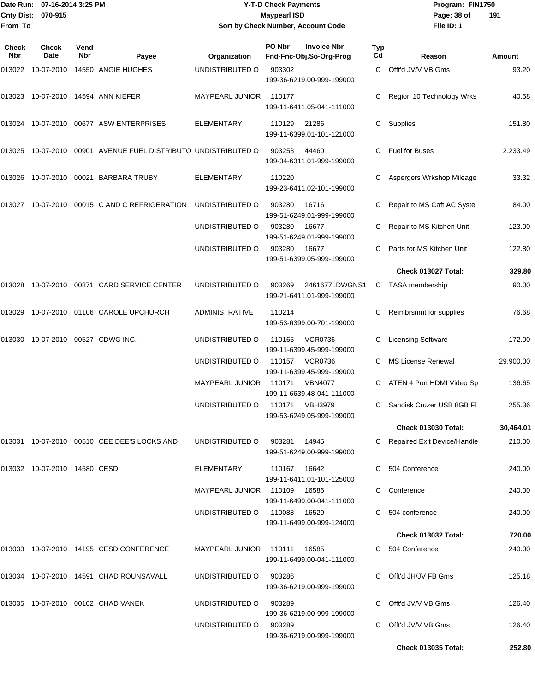#### Date Run: 07-16-2014 3:25 PM **Program:** FIN1750 **Cnty Dist:** 070-915 **Page: 38 of MaypearI ISD Page: 38 of Y-T-D Check Payments 070-915 Maypearl ISD Sort by Check Number, Account Code**

| Check<br>Nbr | <b>Check</b><br>Date         | Vend<br>Nbr | Payee                                                   | Organization                 | PO Nbr       | <b>Invoice Nbr</b><br>Fnd-Fnc-Obj.So-Org-Prog | Typ<br>Cd | Reason                        | Amount    |
|--------------|------------------------------|-------------|---------------------------------------------------------|------------------------------|--------------|-----------------------------------------------|-----------|-------------------------------|-----------|
| 013022       | 10-07-2010                   |             | 14550 ANGIE HUGHES                                      | UNDISTRIBUTED O              | 903302       | 199-36-6219.00-999-199000                     | C.        | Offt'd JV/V VB Gms            | 93.20     |
| 013023       |                              |             | 10-07-2010  14594  ANN KIEFER                           | <b>MAYPEARL JUNIOR</b>       | 110177       | 199-11-6411.05-041-111000                     | C         | Region 10 Technology Wrks     | 40.58     |
| 013024       |                              |             | 10-07-2010 00677 ASW ENTERPRISES                        | <b>ELEMENTARY</b>            | 110129       | 21286<br>199-11-6399.01-101-121000            | С         | Supplies                      | 151.80    |
| 013025       |                              |             | 10-07-2010 00901 AVENUE FUEL DISTRIBUTO UNDISTRIBUTED O |                              | 903253       | 44460<br>199-34-6311.01-999-199000            | C         | <b>Fuel for Buses</b>         | 2,233.49  |
| 013026       |                              |             | 10-07-2010 00021 BARBARA TRUBY                          | <b>ELEMENTARY</b>            | 110220       | 199-23-6411.02-101-199000                     | C         | Aspergers Wrkshop Mileage     | 33.32     |
| 013027       |                              |             | 10-07-2010 00015 C AND C REFRIGERATION                  | UNDISTRIBUTED O              | 903280       | 16716<br>199-51-6249.01-999-199000            |           | Repair to MS Caft AC Syste    | 84.00     |
|              |                              |             |                                                         | UNDISTRIBUTED O              | 903280       | 16677<br>199-51-6249.01-999-199000            | С         | Repair to MS Kitchen Unit     | 123.00    |
|              |                              |             |                                                         | UNDISTRIBUTED O              | 903280       | 16677<br>199-51-6399.05-999-199000            | C         | Parts for MS Kitchen Unit     | 122.80    |
|              |                              |             |                                                         |                              |              |                                               |           | Check 013027 Total:           | 329.80    |
| 013028       |                              |             | 10-07-2010 00871 CARD SERVICE CENTER                    | UNDISTRIBUTED O              | 903269       | 2461677LDWGNS1<br>199-21-6411.01-999-199000   | C         | <b>TASA</b> membership        | 90.00     |
| 013029       |                              |             | 10-07-2010 01106 CAROLE UPCHURCH                        | <b>ADMINISTRATIVE</b>        | 110214       | 199-53-6399.00-701-199000                     | С         | Reimbrsmnt for supplies       | 76.68     |
| 013030       |                              |             | 10-07-2010 00527 CDWG INC.                              | UNDISTRIBUTED O              | 110165       | <b>VCR0736-</b><br>199-11-6399.45-999-199000  | C         | <b>Licensing Software</b>     | 172.00    |
|              |                              |             |                                                         | UNDISTRIBUTED O              | 110157       | <b>VCR0736</b><br>199-11-6399.45-999-199000   | C.        | <b>MS License Renewal</b>     | 29,900.00 |
|              |                              |             |                                                         | MAYPEARL JUNIOR              | 110171       | <b>VBN4077</b><br>199-11-6639.48-041-111000   |           | ATEN 4 Port HDMI Video Sp     | 136.65    |
|              |                              |             |                                                         | UNDISTRIBUTED O              | 110171       | <b>VBH3979</b><br>199-53-6249.05-999-199000   | C         | Sandisk Cruzer USB 8GB FI     | 255.36    |
|              |                              |             |                                                         |                              |              |                                               |           | <b>Check 013030 Total:</b>    | 30,464.01 |
|              |                              |             | 013031 10-07-2010 00510 CEE DEE'S LOCKS AND             | UNDISTRIBUTED O              | 903281 14945 | 199-51-6249.00-999-199000                     |           | C Repaired Exit Device/Handle | 210.00    |
|              | 013032 10-07-2010 14580 CESD |             |                                                         | ELEMENTARY                   | 110167 16642 | 199-11-6411.01-101-125000                     |           | C 504 Conference              | 240.00    |
|              |                              |             |                                                         | MAYPEARL JUNIOR 110109 16586 |              | 199-11-6499.00-041-111000                     |           | C Conference                  | 240.00    |
|              |                              |             |                                                         | UNDISTRIBUTED O              | 110088 16529 | 199-11-6499.00-999-124000                     |           | 504 conference                | 240.00    |
|              |                              |             |                                                         |                              |              |                                               |           | <b>Check 013032 Total:</b>    | 720.00    |
|              |                              |             | 013033 10-07-2010 14195 CESD CONFERENCE                 | MAYPEARL JUNIOR 110111       |              | 16585<br>199-11-6499.00-041-111000            |           | C 504 Conference              | 240.00    |
|              |                              |             | 013034 10-07-2010 14591 CHAD ROUNSAVALL                 | UNDISTRIBUTED O              | 903286       | 199-36-6219.00-999-199000                     |           | C Offt'd JH/JV FB Gms         | 125.18    |
|              |                              |             | 013035  10-07-2010  00102  CHAD VANEK                   | UNDISTRIBUTED O              | 903289       | 199-36-6219.00-999-199000                     |           | C Offt'd JV/V VB Gms          | 126.40    |
|              |                              |             |                                                         | UNDISTRIBUTED O              | 903289       | 199-36-6219.00-999-199000                     |           | C Offt'd JV/V VB Gms          | 126.40    |
|              |                              |             |                                                         |                              |              |                                               |           | <b>Check 013035 Total:</b>    | 252.80    |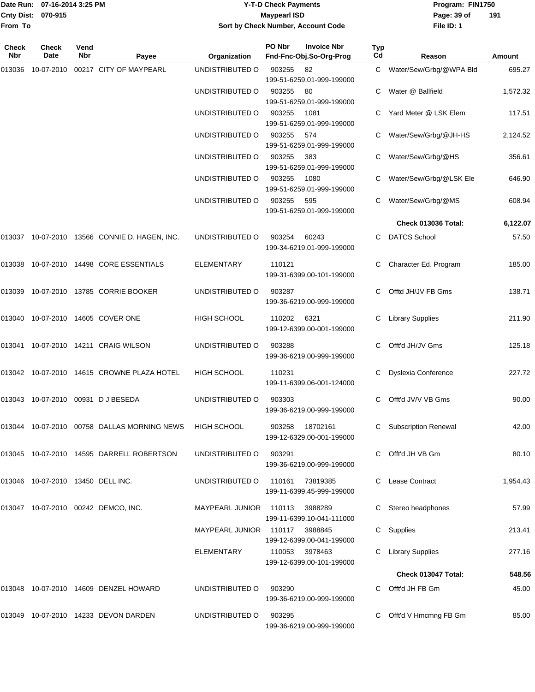#### Date Run: 07-16-2014 3:25 PM **Program:** FIN1750 **Cnty Dist:** 070-915 **Page: 39 of MaypearI ISD Page: 39 of Y-T-D Check Payments 070-915 Maypearl ISD Sort by Check Number, Account Code**

| Check<br>Nbr | <b>Check</b><br>Date              | Vend<br>Nbr | Payee                                              | Organization           | PO Nbr | <b>Invoice Nbr</b><br>Fnd-Fnc-Obj.So-Org-Prog | Typ<br>Cd | Reason                      | Amount   |
|--------------|-----------------------------------|-------------|----------------------------------------------------|------------------------|--------|-----------------------------------------------|-----------|-----------------------------|----------|
| 013036       | 10-07-2010                        |             | 00217 CITY OF MAYPEARL                             | UNDISTRIBUTED O        | 903255 | 82<br>199-51-6259.01-999-199000               |           | C Water/Sew/Grbg/@WPA Bld   | 695.27   |
|              |                                   |             |                                                    | UNDISTRIBUTED O        | 903255 | 80<br>199-51-6259.01-999-199000               | C.        | Water @ Ballfield           | 1,572.32 |
|              |                                   |             |                                                    | UNDISTRIBUTED O        | 903255 | 1081<br>199-51-6259.01-999-199000             |           | Yard Meter @ LSK Elem       | 117.51   |
|              |                                   |             |                                                    | UNDISTRIBUTED O        | 903255 | 574<br>199-51-6259.01-999-199000              |           | Water/Sew/Grbg/@JH-HS       | 2,124.52 |
|              |                                   |             |                                                    | UNDISTRIBUTED O        | 903255 | 383<br>199-51-6259.01-999-199000              | C         | Water/Sew/Grbg/@HS          | 356.61   |
|              |                                   |             |                                                    | UNDISTRIBUTED O        | 903255 | 1080<br>199-51-6259.01-999-199000             |           | Water/Sew/Grbg/@LSK Ele     | 646.90   |
|              |                                   |             |                                                    | UNDISTRIBUTED O        | 903255 | 595<br>199-51-6259.01-999-199000              |           | Water/Sew/Grbg/@MS          | 608.94   |
|              |                                   |             |                                                    |                        |        |                                               |           | <b>Check 013036 Total:</b>  | 6,122.07 |
|              |                                   |             | 013037 10-07-2010 13566 CONNIE D. HAGEN, INC.      | UNDISTRIBUTED O        | 903254 | 60243<br>199-34-6219.01-999-199000            |           | <b>DATCS School</b>         | 57.50    |
| 013038       |                                   |             | 10-07-2010  14498  CORE ESSENTIALS                 | <b>ELEMENTARY</b>      | 110121 | 199-31-6399.00-101-199000                     | C         | Character Ed. Program       | 185.00   |
| 013039       |                                   |             | 10-07-2010  13785  CORRIE BOOKER                   | UNDISTRIBUTED O        | 903287 | 199-36-6219.00-999-199000                     |           | Offtd JH/JV FB Gms          | 138.71   |
|              |                                   |             | 013040  10-07-2010  14605  COVER ONE               | HIGH SCHOOL            | 110202 | 6321<br>199-12-6399.00-001-199000             | C         | <b>Library Supplies</b>     | 211.90   |
|              |                                   |             | 013041  10-07-2010  14211  CRAIG WILSON            | UNDISTRIBUTED O        | 903288 | 199-36-6219.00-999-199000                     | C         | Offt'd JH/JV Gms            | 125.18   |
|              |                                   |             | 013042 10-07-2010 14615 CROWNE PLAZA HOTEL         | <b>HIGH SCHOOL</b>     | 110231 | 199-11-6399.06-001-124000                     | С         | Dyslexia Conference         | 227.72   |
|              |                                   |             | 013043 10-07-2010 00931 DJBESEDA                   | UNDISTRIBUTED O        | 903303 | 199-36-6219.00-999-199000                     |           | Offt'd JV/V VB Gms          | 90.00    |
| 013044       |                                   |             | 10-07-2010 00758 DALLAS MORNING NEWS               | <b>HIGH SCHOOL</b>     | 903258 | 18702161<br>199-12-6329.00-001-199000         | С         | <b>Subscription Renewal</b> | 42.00    |
|              |                                   |             | 013045    10-07-2010    14595    DARRELL ROBERTSON | UNDISTRIBUTED O        | 903291 | 199-36-6219.00-999-199000                     |           | Offt'd JH VB Gm             | 80.10    |
|              | 013046 10-07-2010 13450 DELL INC. |             |                                                    | UNDISTRIBUTED O        | 110161 | 73819385<br>199-11-6399.45-999-199000         |           | Lease Contract              | 1,954.43 |
|              |                                   |             | 013047 10-07-2010 00242 DEMCO, INC.                | MAYPEARL JUNIOR 110113 |        | 3988289<br>199-11-6399.10-041-111000          | C         | Stereo headphones           | 57.99    |
|              |                                   |             |                                                    | MAYPEARL JUNIOR 110117 |        | 3988845<br>199-12-6399.00-041-199000          | C         | Supplies                    | 213.41   |
|              |                                   |             |                                                    | <b>ELEMENTARY</b>      |        | 110053 3978463<br>199-12-6399.00-101-199000   |           | <b>Library Supplies</b>     | 277.16   |
|              |                                   |             |                                                    |                        |        |                                               |           | <b>Check 013047 Total:</b>  | 548.56   |
|              |                                   |             | 013048 10-07-2010 14609 DENZEL HOWARD              | UNDISTRIBUTED O        | 903290 | 199-36-6219.00-999-199000                     |           | Offt'd JH FB Gm             | 45.00    |
|              |                                   |             | 013049 10-07-2010 14233 DEVON DARDEN               | UNDISTRIBUTED O        | 903295 | 199-36-6219.00-999-199000                     | C.        | Offt'd V Hmcmng FB Gm       | 85.00    |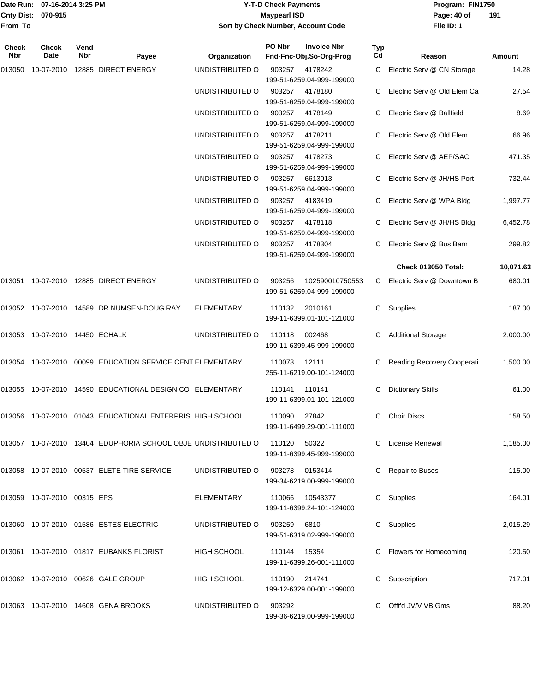|                    | Date Run: 07-16-2014 3:25 PM |
|--------------------|------------------------------|
| Cnty Dist: 070-915 |                              |
| From To            |                              |

## **Date Run: Program: FIN1750 07-16-2014 3:25 PM Y-T-D Check Payments Cnty Dist: Page: 40 of 070-915 Maypearl ISD Sort by Check Number, Account Code**

| Check<br>Nbr | <b>Check</b><br>Date           | Vend<br>Nbr | Payee                                                         | Organization      | PO Nbr        | <b>Invoice Nbr</b><br>Fnd-Fnc-Obj.So-Org-Prog | Typ<br>Cd | Reason                       | Amount    |
|--------------|--------------------------------|-------------|---------------------------------------------------------------|-------------------|---------------|-----------------------------------------------|-----------|------------------------------|-----------|
| 013050       |                                |             | 10-07-2010 12885 DIRECT ENERGY                                | UNDISTRIBUTED O   | 903257        | 4178242<br>199-51-6259.04-999-199000          |           | C Electric Serv @ CN Storage | 14.28     |
|              |                                |             |                                                               | UNDISTRIBUTED O   | 903257        | 4178180<br>199-51-6259.04-999-199000          |           | Electric Serv @ Old Elem Ca  | 27.54     |
|              |                                |             |                                                               | UNDISTRIBUTED O   | 903257        | 4178149<br>199-51-6259.04-999-199000          |           | Electric Serv @ Ballfield    | 8.69      |
|              |                                |             |                                                               | UNDISTRIBUTED O   | 903257        | 4178211<br>199-51-6259.04-999-199000          |           | Electric Serv @ Old Elem     | 66.96     |
|              |                                |             |                                                               | UNDISTRIBUTED O   | 903257        | 4178273<br>199-51-6259.04-999-199000          |           | Electric Serv @ AEP/SAC      | 471.35    |
|              |                                |             |                                                               | UNDISTRIBUTED O   | 903257        | 6613013<br>199-51-6259.04-999-199000          |           | Electric Serv @ JH/HS Port   | 732.44    |
|              |                                |             |                                                               | UNDISTRIBUTED O   | 903257        | 4183419<br>199-51-6259.04-999-199000          | C         | Electric Serv @ WPA Bldg     | 1,997.77  |
|              |                                |             |                                                               | UNDISTRIBUTED O   | 903257        | 4178118<br>199-51-6259.04-999-199000          |           | Electric Serv @ JH/HS Bldg   | 6,452.78  |
|              |                                |             |                                                               | UNDISTRIBUTED O   | 903257        | 4178304<br>199-51-6259.04-999-199000          |           | Electric Serv @ Bus Barn     | 299.82    |
|              |                                |             |                                                               |                   |               |                                               |           | Check 013050 Total:          | 10,071.63 |
|              |                                |             | 013051 10-07-2010 12885 DIRECT ENERGY                         | UNDISTRIBUTED O   | 903256        | 102590010750553<br>199-51-6259.04-999-199000  |           | C Electric Serv @ Downtown B | 680.01    |
|              |                                |             | 013052 10-07-2010 14589 DR NUMSEN-DOUG RAY                    | <b>ELEMENTARY</b> | 110132        | 2010161<br>199-11-6399.01-101-121000          | C         | Supplies                     | 187.00    |
|              | 013053 10-07-2010 14450 ECHALK |             |                                                               | UNDISTRIBUTED O   | 110118        | 002468<br>199-11-6399.45-999-199000           | C         | <b>Additional Storage</b>    | 2,000.00  |
|              |                                |             | 013054 10-07-2010 00099 EDUCATION SERVICE CENT ELEMENTARY     |                   | 110073        | 12111<br>255-11-6219.00-101-124000            | C         | Reading Recovery Cooperati   | 1,500.00  |
|              |                                |             | 013055 10-07-2010 14590 EDUCATIONAL DESIGN CO ELEMENTARY      |                   | 110141        | 110141<br>199-11-6399.01-101-121000           | C         | <b>Dictionary Skills</b>     | 61.00     |
| 013056       |                                |             | 10-07-2010 01043 EDUCATIONAL ENTERPRIS HIGH SCHOOL            |                   | 110090        | 27842<br>199-11-6499.29-001-111000            | C         | <b>Choir Discs</b>           | 158.50    |
|              |                                |             | 013057 10-07-2010 13404 EDUPHORIA SCHOOL OBJE UNDISTRIBUTED O |                   | 110120        | 50322<br>199-11-6399.45-999-199000            |           | C License Renewal            | 1,185.00  |
|              |                                |             | 013058 10-07-2010 00537 ELETE TIRE SERVICE                    | UNDISTRIBUTED O   | 903278        | 0153414<br>199-34-6219.00-999-199000          | C.        | Repair to Buses              | 115.00    |
|              | 013059 10-07-2010 00315 EPS    |             |                                                               | ELEMENTARY        | 110066        | 10543377<br>199-11-6399.24-101-124000         | C         | Supplies                     | 164.01    |
|              |                                |             | 013060 10-07-2010 01586 ESTES ELECTRIC                        | UNDISTRIBUTED O   | 903259 6810   | 199-51-6319.02-999-199000                     | C         | Supplies                     | 2,015.29  |
|              |                                |             | 013061 10-07-2010 01817 EUBANKS FLORIST                       | HIGH SCHOOL       | 110144 15354  | 199-11-6399.26-001-111000                     |           | C Flowers for Homecoming     | 120.50    |
|              |                                |             | 013062 10-07-2010 00626 GALE GROUP                            | HIGH SCHOOL       | 110190 214741 | 199-12-6329.00-001-199000                     |           | Subscription                 | 717.01    |
|              |                                |             | 013063 10-07-2010 14608 GENA BROOKS                           | UNDISTRIBUTED O   | 903292        | 199-36-6219.00-999-199000                     |           | C Offt'd JV/V VB Gms         | 88.20     |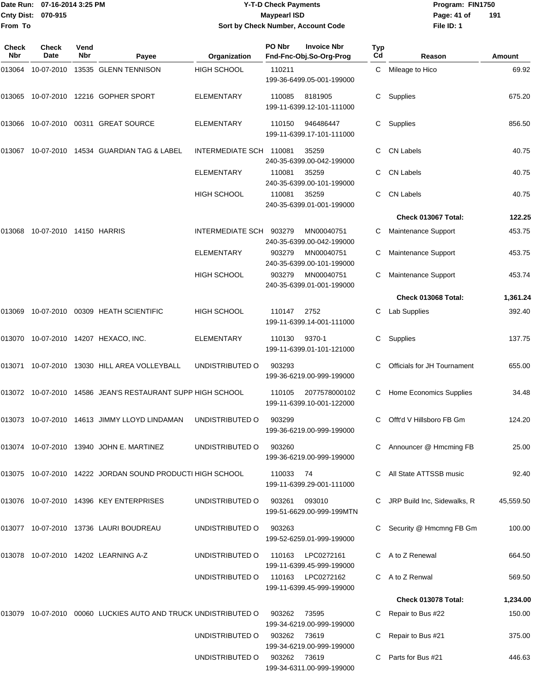#### Date Run: 07-16-2014 3:25 PM **Program:** FIN1750 **Cnty Dist:** 070-915 **Page: 41 of** Maypearl ISD **CONTEX 150 Page: 41 of Y-T-D Check Payments 070-915 Maypearl ISD Sort by Check Number, Account Code**

| Check<br>Nbr | Check<br>Date           | Vend<br><b>Nbr</b> | Payee                                                      | Organization            | PO Nbr | <b>Invoice Nbr</b><br>Fnd-Fnc-Obj.So-Org-Prog  | Typ<br>Cd | Reason                      | Amount    |
|--------------|-------------------------|--------------------|------------------------------------------------------------|-------------------------|--------|------------------------------------------------|-----------|-----------------------------|-----------|
| 013064       | 10-07-2010              |                    | 13535 GLENN TENNISON                                       | <b>HIGH SCHOOL</b>      | 110211 | 199-36-6499.05-001-199000                      | С         | Mileage to Hico             | 69.92     |
| 013065       |                         |                    | 10-07-2010  12216  GOPHER SPORT                            | <b>ELEMENTARY</b>       | 110085 | 8181905<br>199-11-6399.12-101-111000           | C         | Supplies                    | 675.20    |
| 013066       |                         |                    | 10-07-2010  00311  GREAT SOURCE                            | <b>ELEMENTARY</b>       | 110150 | 946486447<br>199-11-6399.17-101-111000         | С         | Supplies                    | 856.50    |
| 013067       |                         |                    | 10-07-2010  14534  GUARDIAN TAG & LABEL                    | INTERMEDIATE SCH 110081 |        | 35259<br>240-35-6399.00-042-199000             |           | <b>CN Labels</b>            | 40.75     |
|              |                         |                    |                                                            | <b>ELEMENTARY</b>       | 110081 | 35259<br>240-35-6399.00-101-199000             | C         | <b>CN Labels</b>            | 40.75     |
|              |                         |                    |                                                            | <b>HIGH SCHOOL</b>      | 110081 | 35259<br>240-35-6399.01-001-199000             | C         | <b>CN Labels</b>            | 40.75     |
|              |                         |                    |                                                            |                         |        |                                                |           | Check 013067 Total:         | 122.25    |
| 013068       | 10-07-2010 14150 HARRIS |                    |                                                            | INTERMEDIATE SCH        | 903279 | MN00040751<br>240-35-6399.00-042-199000        |           | Maintenance Support         | 453.75    |
|              |                         |                    |                                                            | ELEMENTARY              | 903279 | MN00040751<br>240-35-6399.00-101-199000        | С         | Maintenance Support         | 453.75    |
|              |                         |                    |                                                            | <b>HIGH SCHOOL</b>      | 903279 | MN00040751<br>240-35-6399.01-001-199000        | C         | Maintenance Support         | 453.74    |
|              |                         |                    |                                                            |                         |        |                                                |           | Check 013068 Total:         | 1,361.24  |
| 013069       |                         |                    | 10-07-2010 00309 HEATH SCIENTIFIC                          | <b>HIGH SCHOOL</b>      | 110147 | 2752<br>199-11-6399.14-001-111000              | C         | Lab Supplies                | 392.40    |
|              |                         |                    | 013070 10-07-2010 14207 HEXACO, INC.                       | ELEMENTARY              | 110130 | 9370-1<br>199-11-6399.01-101-121000            | С         | Supplies                    | 137.75    |
| 013071       |                         |                    | 10-07-2010 13030 HILL AREA VOLLEYBALL                      | UNDISTRIBUTED O         | 903293 | 199-36-6219.00-999-199000                      | C         | Officials for JH Tournament | 655.00    |
|              |                         |                    | 013072 10-07-2010 14586 JEAN'S RESTAURANT SUPP HIGH SCHOOL |                         | 110105 | 2077578000102<br>199-11-6399.10-001-122000     | C         | Home Economics Supplies     | 34.48     |
|              |                         |                    | 013073    10-07-2010    14613    JIMMY LLOYD LINDAMAN      | UNDISTRIBUTED O         | 903299 | 199-36-6219.00-999-199000                      | C         | Offt'd V Hillsboro FB Gm    | 124.20    |
|              |                         |                    | 013074 10-07-2010 13940 JOHN E. MARTINEZ                   | UNDISTRIBUTED O         | 903260 | 199-36-6219.00-999-199000                      |           | C Announcer @ Hmcming FB    | 25.00     |
|              |                         |                    | 013075 10-07-2010 14222 JORDAN SOUND PRODUCTI HIGH SCHOOL  |                         | 110033 | - 74<br>199-11-6399.29-001-111000              |           | C All State ATTSSB music    | 92.40     |
|              |                         |                    | 013076 10-07-2010 14396 KEY ENTERPRISES                    | UNDISTRIBUTED O         | 903261 | 093010<br>199-51-6629.00-999-199MTN            |           | JRP Build Inc, Sidewalks, R | 45,559.50 |
|              |                         |                    | 013077 10-07-2010 13736 LAURI BOUDREAU                     | UNDISTRIBUTED O         | 903263 | 199-52-6259.01-999-199000                      |           | Security @ Hmcmng FB Gm     | 100.00    |
|              |                         |                    | 013078 10-07-2010 14202 LEARNING A-Z                       | UNDISTRIBUTED O         | 110163 | LPC0272161<br>199-11-6399.45-999-199000        |           | A to Z Renewal              | 664.50    |
|              |                         |                    |                                                            | UNDISTRIBUTED O         |        | 110163 LPC0272162<br>199-11-6399.45-999-199000 |           | A to Z Renwal               | 569.50    |
|              |                         |                    |                                                            |                         |        |                                                |           | Check 013078 Total:         | 1,234.00  |
| 013079       |                         |                    | 10-07-2010 00060 LUCKIES AUTO AND TRUCK UNDISTRIBUTED O    |                         | 903262 | 73595<br>199-34-6219.00-999-199000             |           | Repair to Bus #22           | 150.00    |
|              |                         |                    |                                                            | UNDISTRIBUTED O         | 903262 | 73619<br>199-34-6219.00-999-199000             |           | Repair to Bus #21           | 375.00    |
|              |                         |                    |                                                            | UNDISTRIBUTED O         | 903262 | 73619<br>199-34-6311.00-999-199000             |           | Parts for Bus #21           | 446.63    |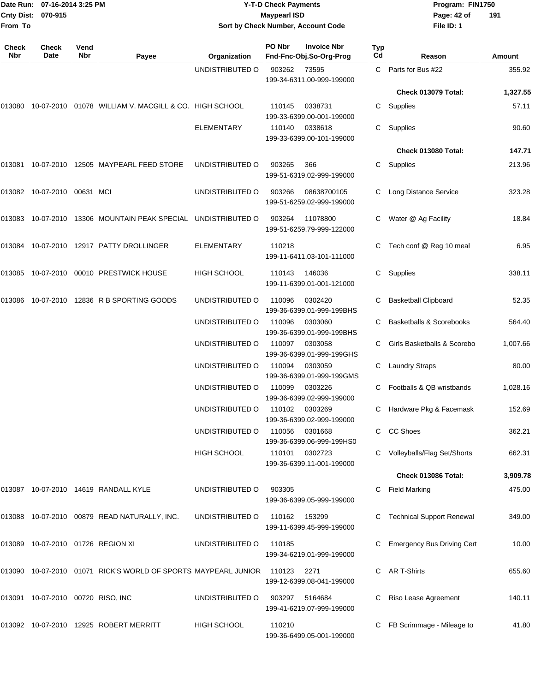|                     | Date Run: 07-16-2014 3:25 PM      |             |                                                                |                    | <b>Y-T-D Check Payments</b>        |                                               |           | Program: FIN1750                  |          |
|---------------------|-----------------------------------|-------------|----------------------------------------------------------------|--------------------|------------------------------------|-----------------------------------------------|-----------|-----------------------------------|----------|
| <b>Cnty Dist:</b>   | 070-915                           |             |                                                                |                    | <b>Maypearl ISD</b>                |                                               |           | Page: 42 of                       | 191      |
| From To             |                                   |             |                                                                |                    | Sort by Check Number, Account Code |                                               |           | File ID: 1                        |          |
| <b>Check</b><br>Nbr | <b>Check</b><br>Date              | Vend<br>Nbr | Payee                                                          | Organization       | PO Nbr                             | <b>Invoice Nbr</b><br>Fnd-Fnc-Obj.So-Org-Prog | Typ<br>Cd | Reason                            | Amount   |
|                     |                                   |             |                                                                | UNDISTRIBUTED O    | 903262                             | 73595<br>199-34-6311.00-999-199000            | C.        | Parts for Bus #22                 | 355.92   |
|                     |                                   |             |                                                                |                    |                                    |                                               |           | Check 013079 Total:               | 1,327.55 |
| 013080              |                                   |             | 10-07-2010 01078 WILLIAM V. MACGILL & CO. HIGH SCHOOL          |                    | 110145                             | 0338731<br>199-33-6399.00-001-199000          | C         | Supplies                          | 57.11    |
|                     |                                   |             |                                                                | ELEMENTARY         | 110140                             | 0338618<br>199-33-6399.00-101-199000          | C         | Supplies                          | 90.60    |
|                     |                                   |             |                                                                |                    |                                    |                                               |           | Check 013080 Total:               | 147.71   |
| 013081              |                                   |             | 10-07-2010  12505  MAYPEARL FEED STORE                         | UNDISTRIBUTED O    | 903265                             | 366<br>199-51-6319.02-999-199000              | C         | Supplies                          | 213.96   |
|                     | 013082 10-07-2010 00631 MCI       |             |                                                                | UNDISTRIBUTED O    | 903266                             | 08638700105<br>199-51-6259.02-999-199000      |           | Long Distance Service             | 323.28   |
|                     |                                   |             | 013083 10-07-2010 13306 MOUNTAIN PEAK SPECIAL UNDISTRIBUTED O  |                    | 903264                             | 11078800<br>199-51-6259.79-999-122000         |           | Water @ Ag Facility               | 18.84    |
|                     |                                   |             | 013084 10-07-2010 12917 PATTY DROLLINGER                       | <b>ELEMENTARY</b>  | 110218                             | 199-11-6411.03-101-111000                     |           | Tech conf @ Reg 10 meal           | 6.95     |
|                     |                                   |             | 013085 10-07-2010 00010 PRESTWICK HOUSE                        | <b>HIGH SCHOOL</b> | 110143                             | 146036<br>199-11-6399.01-001-121000           | C         | Supplies                          | 338.11   |
| 013086              |                                   |             | 10-07-2010 12836 R B SPORTING GOODS                            | UNDISTRIBUTED O    | 110096                             | 0302420<br>199-36-6399.01-999-199BHS          | C         | <b>Basketball Clipboard</b>       | 52.35    |
|                     |                                   |             |                                                                | UNDISTRIBUTED O    | 110096                             | 0303060<br>199-36-6399.01-999-199BHS          |           | Basketballs & Scorebooks          | 564.40   |
|                     |                                   |             |                                                                | UNDISTRIBUTED O    | 110097                             | 0303058<br>199-36-6399.01-999-199GHS          | C         | Girls Basketballs & Scorebo       | 1,007.66 |
|                     |                                   |             |                                                                | UNDISTRIBUTED O    | 110094                             | 0303059<br>199-36-6399.01-999-199GMS          | C         | <b>Laundry Straps</b>             | 80.00    |
|                     |                                   |             |                                                                | UNDISTRIBUTED O    | 110099 0303226                     | 199-36-6399.02-999-199000                     |           | Footballs & QB wristbands         | 1,028.16 |
|                     |                                   |             |                                                                | UNDISTRIBUTED O    | 110102                             | 0303269<br>199-36-6399.02-999-199000          |           | C Hardware Pkg & Facemask         | 152.69   |
|                     |                                   |             |                                                                | UNDISTRIBUTED O    | 110056                             | 0301668<br>199-36-6399.06-999-199HS0          |           | C CC Shoes                        | 362.21   |
|                     |                                   |             |                                                                | HIGH SCHOOL        | 110101                             | 0302723<br>199-36-6399.11-001-199000          |           | C Volleyballs/Flag Set/Shorts     | 662.31   |
|                     |                                   |             |                                                                |                    |                                    |                                               |           | Check 013086 Total:               | 3,909.78 |
|                     |                                   |             | 013087 10-07-2010 14619 RANDALL KYLE                           | UNDISTRIBUTED O    | 903305                             | 199-36-6399.05-999-199000                     |           | <b>Field Marking</b>              | 475.00   |
|                     |                                   |             | 013088 10-07-2010 00879 READ NATURALLY, INC.                   | UNDISTRIBUTED O    | 110162                             | 153299<br>199-11-6399.45-999-199000           |           | <b>Technical Support Renewal</b>  | 349.00   |
|                     |                                   |             | 013089 10-07-2010 01726 REGION XI                              | UNDISTRIBUTED O    | 110185                             | 199-34-6219.01-999-199000                     |           | <b>Emergency Bus Driving Cert</b> | 10.00    |
|                     |                                   |             | 013090 10-07-2010 01071 RICK'S WORLD OF SPORTS MAYPEARL JUNIOR |                    | 110123                             | 2271<br>199-12-6399.08-041-199000             |           | C AR T-Shirts                     | 655.60   |
|                     | 013091 10-07-2010 00720 RISO, INC |             |                                                                | UNDISTRIBUTED O    | 903297                             | 5164684<br>199-41-6219.07-999-199000          | C         | Riso Lease Agreement              | 140.11   |
|                     |                                   |             | 013092 10-07-2010 12925 ROBERT MERRITT                         | HIGH SCHOOL        | 110210                             |                                               |           | C FB Scrimmage - Mileage to       | 41.80    |

199-36-6499.05-001-199000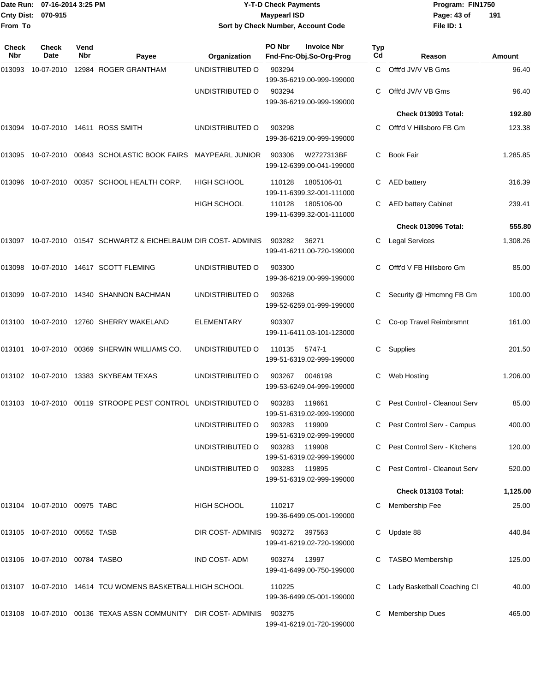| <b>Cnty Dist:</b><br>From To | Date Run: 07-16-2014 3:25 PM<br>070-915 |             |                                                                            |                                | <b>Y-T-D Check Payments</b><br><b>Maypearl ISD</b> | Sort by Check Number, Account Code            |                  | Program: FIN1750<br>Page: 43 of<br>File ID: 1 | 191      |
|------------------------------|-----------------------------------------|-------------|----------------------------------------------------------------------------|--------------------------------|----------------------------------------------------|-----------------------------------------------|------------------|-----------------------------------------------|----------|
| <b>Check</b><br><b>Nbr</b>   | Check<br>Date                           | Vend<br>Nbr | Payee                                                                      | Organization                   | PO Nbr                                             | <b>Invoice Nbr</b><br>Fnd-Fnc-Obj.So-Org-Prog | <b>Typ</b><br>Cd | Reason                                        | Amount   |
| 013093                       |                                         |             | 10-07-2010  12984  ROGER GRANTHAM                                          | UNDISTRIBUTED O                | 903294                                             | 199-36-6219.00-999-199000                     | C.               | Offt'd JV/V VB Gms                            | 96.40    |
|                              |                                         |             |                                                                            | UNDISTRIBUTED O                | 903294                                             | 199-36-6219.00-999-199000                     |                  | Offt'd JV/V VB Gms                            | 96.40    |
|                              |                                         |             |                                                                            |                                |                                                    |                                               |                  | Check 013093 Total:                           | 192.80   |
|                              |                                         |             | 013094 10-07-2010 14611 ROSS SMITH                                         | UNDISTRIBUTED O                | 903298                                             | 199-36-6219.00-999-199000                     |                  | Offt'd V Hillsboro FB Gm                      | 123.38   |
| 013095                       |                                         |             | 10-07-2010 00843 SCHOLASTIC BOOK FAIRS                                     | <b>MAYPEARL JUNIOR</b>         | 903306                                             | W2727313BF<br>199-12-6399.00-041-199000       | C                | <b>Book Fair</b>                              | 1,285.85 |
| 013096                       |                                         |             | 10-07-2010 00357 SCHOOL HEALTH CORP.                                       | <b>HIGH SCHOOL</b>             | 110128                                             | 1805106-01<br>199-11-6399.32-001-111000       | C                | <b>AED battery</b>                            | 316.39   |
|                              |                                         |             |                                                                            | <b>HIGH SCHOOL</b>             | 110128                                             | 1805106-00<br>199-11-6399.32-001-111000       |                  | <b>AED battery Cabinet</b>                    | 239.41   |
|                              |                                         |             |                                                                            |                                |                                                    |                                               |                  | Check 013096 Total:                           | 555.80   |
|                              |                                         |             | 013097 10-07-2010 01547 SCHWARTZ & EICHELBAUM DIR COST-ADMINIS             |                                | 903282                                             | 36271<br>199-41-6211.00-720-199000            |                  | <b>Legal Services</b>                         | 1,308.26 |
|                              |                                         |             | 013098 10-07-2010 14617 SCOTT FLEMING                                      | UNDISTRIBUTED O                | 903300                                             | 199-36-6219.00-999-199000                     | С                | Offt'd V FB Hillsboro Gm                      | 85.00    |
|                              |                                         |             | 013099 10-07-2010 14340 SHANNON BACHMAN                                    | UNDISTRIBUTED O                | 903268                                             | 199-52-6259.01-999-199000                     |                  | Security @ Hmcmng FB Gm                       | 100.00   |
|                              |                                         |             | 013100  10-07-2010  12760  SHERRY WAKELAND                                 | ELEMENTARY                     | 903307                                             | 199-11-6411.03-101-123000                     |                  | Co-op Travel Reimbrsmnt                       | 161.00   |
| 013101                       |                                         |             | 10-07-2010 00369 SHERWIN WILLIAMS CO.                                      | UNDISTRIBUTED O                | 110135                                             | 5747-1<br>199-51-6319.02-999-199000           | С                | Supplies                                      | 201.50   |
|                              |                                         |             | 013102 10-07-2010 13383 SKYBEAM TEXAS                                      | UNDISTRIBUTED O                | 903267                                             | 0046198<br>199-53-6249.04-999-199000          | С                | Web Hosting                                   | 1,206.00 |
|                              |                                         |             | 013103 10-07-2010 00119 STROOPE PEST CONTROL UNDISTRIBUTED O               |                                | 903283                                             | 119661<br>199-51-6319.02-999-199000           |                  | C Pest Control - Cleanout Serv                | 85.00    |
|                              |                                         |             |                                                                            | UNDISTRIBUTED O                | 903283 119909                                      | 199-51-6319.02-999-199000                     |                  | C Pest Control Serv - Campus                  | 400.00   |
|                              |                                         |             |                                                                            | UNDISTRIBUTED O                | 903283 119908                                      | 199-51-6319.02-999-199000                     |                  | C Pest Control Serv - Kitchens                | 120.00   |
|                              |                                         |             |                                                                            | UNDISTRIBUTED O                | 903283 119895                                      | 199-51-6319.02-999-199000                     |                  | C Pest Control - Cleanout Serv                | 520.00   |
|                              |                                         |             |                                                                            |                                |                                                    |                                               |                  | Check 013103 Total:                           | 1,125.00 |
|                              | 013104 10-07-2010 00975 TABC            |             |                                                                            | HIGH SCHOOL                    | 110217                                             | 199-36-6499.05-001-199000                     |                  | C Membership Fee                              | 25.00    |
|                              | 013105 10-07-2010 00552 TASB            |             |                                                                            | DIR COST-ADMINIS 903272 397563 |                                                    | 199-41-6219.02-720-199000                     |                  | C Update 88                                   | 440.84   |
|                              | 013106 10-07-2010 00784 TASBO           |             |                                                                            | IND COST-ADM                   | 903274 13997                                       | 199-41-6499.00-750-199000                     |                  | C TASBO Membership                            | 125.00   |
|                              |                                         |             | 013107 10-07-2010 14614 TCU WOMENS BASKETBALL HIGH SCHOOL                  |                                | 110225                                             | 199-36-6499.05-001-199000                     |                  | C Lady Basketball Coaching CI                 | 40.00    |
|                              |                                         |             | 013108  10-07-2010  00136  TEXAS ASSN COMMUNITY  DIR COST- ADMINIS  903275 |                                |                                                    | 199-41-6219.01-720-199000                     |                  | <b>Membership Dues</b>                        | 465.00   |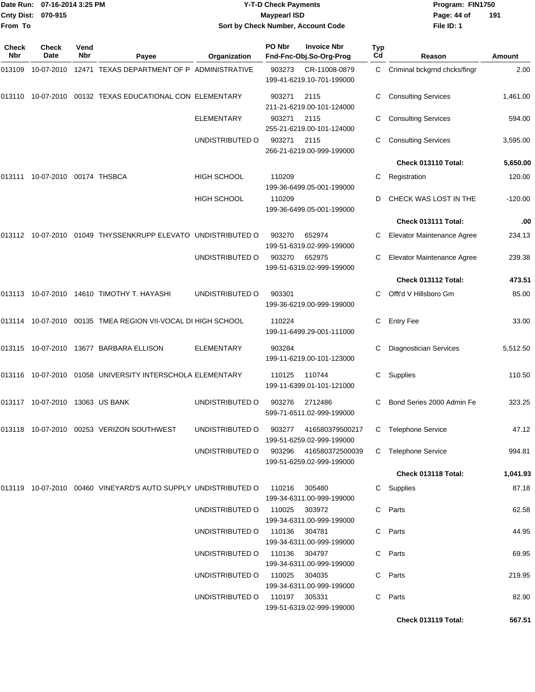|                    | Date Run: 07-16-2014 3:25 PM |
|--------------------|------------------------------|
| Cnty Dist: 070-915 |                              |
| From To            |                              |

## **Date Run: Program: FIN1750 07-16-2014 3:25 PM Y-T-D Check Payments Cnty Dist: Page: 44 of 070-915 Maypearl ISD Sort by Check Number, Account Code**

| Check<br><b>Nbr</b> | Check<br>Date                   | Vend<br><b>Nbr</b> | Payee                                                                     | Organization                           | PO Nbr        | <b>Invoice Nbr</b><br>Fnd-Fnc-Obj.So-Org-Prog       | Typ<br>Cd | Reason                        | Amount    |
|---------------------|---------------------------------|--------------------|---------------------------------------------------------------------------|----------------------------------------|---------------|-----------------------------------------------------|-----------|-------------------------------|-----------|
| 013109              |                                 |                    | 10-07-2010 12471 TEXAS DEPARTMENT OF P ADMINISTRATIVE                     |                                        | 903273        | CR-11008-0879<br>199-41-6219.10-701-199000          | C         | Criminal bckgrnd chcks/fingr  | 2.00      |
| 013110              |                                 |                    | 10-07-2010 00132 TEXAS EDUCATIONAL CON ELEMENTARY                         |                                        | 903271        | 2115<br>211-21-6219.00-101-124000                   |           | <b>Consulting Services</b>    | 1,461.00  |
|                     |                                 |                    |                                                                           | <b>ELEMENTARY</b>                      | 903271        | 2115<br>255-21-6219.00-101-124000                   | С         | <b>Consulting Services</b>    | 594.00    |
|                     |                                 |                    |                                                                           | UNDISTRIBUTED O                        | 903271        | 2115<br>266-21-6219.00-999-199000                   | С         | <b>Consulting Services</b>    | 3,595.00  |
|                     |                                 |                    |                                                                           |                                        |               |                                                     |           | Check 013110 Total:           | 5,650.00  |
| 013111              | 10-07-2010 00174 THSBCA         |                    |                                                                           | <b>HIGH SCHOOL</b>                     | 110209        | 199-36-6499.05-001-199000                           | С         | Registration                  | 120.00    |
|                     |                                 |                    |                                                                           | HIGH SCHOOL                            | 110209        | 199-36-6499.05-001-199000                           | D         | CHECK WAS LOST IN THE         | $-120.00$ |
|                     |                                 |                    |                                                                           |                                        |               |                                                     |           | Check 013111 Total:           | .00       |
|                     |                                 |                    | 013112 10-07-2010 01049 THYSSENKRUPP ELEVATO UNDISTRIBUTED O              |                                        | 903270        | 652974<br>199-51-6319.02-999-199000                 | С         | Elevator Maintenance Agree    | 234.13    |
|                     |                                 |                    |                                                                           | UNDISTRIBUTED O                        | 903270        | 652975<br>199-51-6319.02-999-199000                 | С         | Elevator Maintenance Agree    | 239.38    |
|                     |                                 |                    |                                                                           |                                        |               |                                                     |           | Check 013112 Total:           | 473.51    |
| 013113              |                                 |                    | 10-07-2010  14610  TIMOTHY T. HAYASHI                                     | UNDISTRIBUTED O                        | 903301        | 199-36-6219.00-999-199000                           | C.        | Offt'd V Hillsboro Gm         | 85.00     |
| 013114              |                                 |                    | 10-07-2010 00135 TMEA REGION VII-VOCAL DI HIGH SCHOOL                     |                                        | 110224        | 199-11-6499.29-001-111000                           | С         | <b>Entry Fee</b>              | 33.00     |
|                     |                                 |                    | 013115 10-07-2010 13677 BARBARA ELLISON                                   | <b>ELEMENTARY</b>                      | 903284        | 199-11-6219.00-101-123000                           | С         | <b>Diagnostician Services</b> | 5,512.50  |
| 013116              |                                 |                    | 10-07-2010  01058  UNIVERSITY INTERSCHOLA ELEMENTARY                      |                                        | 110125        | 110744<br>199-11-6399.01-101-121000                 | С         | Supplies                      | 110.50    |
|                     | 013117 10-07-2010 13063 US BANK |                    |                                                                           | UNDISTRIBUTED O                        | 903276        | 2712486<br>599-71-6511.02-999-199000                | С         | Bond Series 2000 Admin Fe     | 323.25    |
|                     |                                 |                    | 013118 10-07-2010 00253 VERIZON SOUTHWEST                                 | UNDISTRIBUTED O                        |               | 903277 416580379500217<br>199-51-6259.02-999-199000 |           | C Telephone Service           | 47.12     |
|                     |                                 |                    |                                                                           | UNDISTRIBUTED O 903296 416580372500039 |               | 199-51-6259.02-999-199000                           |           | C Telephone Service           | 994.81    |
|                     |                                 |                    |                                                                           |                                        |               |                                                     |           | Check 013118 Total:           | 1,041.93  |
|                     |                                 |                    | 013119  10-07-2010  00460  VINEYARD'S AUTO SUPPLY UNDISTRIBUTED O  110216 |                                        |               | 305480<br>199-34-6311.00-999-199000                 |           | C Supplies                    | 87.18     |
|                     |                                 |                    |                                                                           | UNDISTRIBUTED O                        | 110025        | 303972<br>199-34-6311.00-999-199000                 |           | C Parts                       | 62.58     |
|                     |                                 |                    |                                                                           | UNDISTRIBUTED O                        | 110136 304781 | 199-34-6311.00-999-199000                           |           | C Parts                       | 44.95     |
|                     |                                 |                    |                                                                           | UNDISTRIBUTED O                        | 110136 304797 | 199-34-6311.00-999-199000                           |           | C Parts                       | 69.95     |
|                     |                                 |                    |                                                                           | UNDISTRIBUTED O 110025 304035          |               | 199-34-6311.00-999-199000                           |           | C Parts                       | 219.95    |
|                     |                                 |                    |                                                                           | UNDISTRIBUTED 0 110197 305331          |               | 199-51-6319.02-999-199000                           | C         | Parts                         | 82.90     |
|                     |                                 |                    |                                                                           |                                        |               |                                                     |           | Check 013119 Total:           | 567.51    |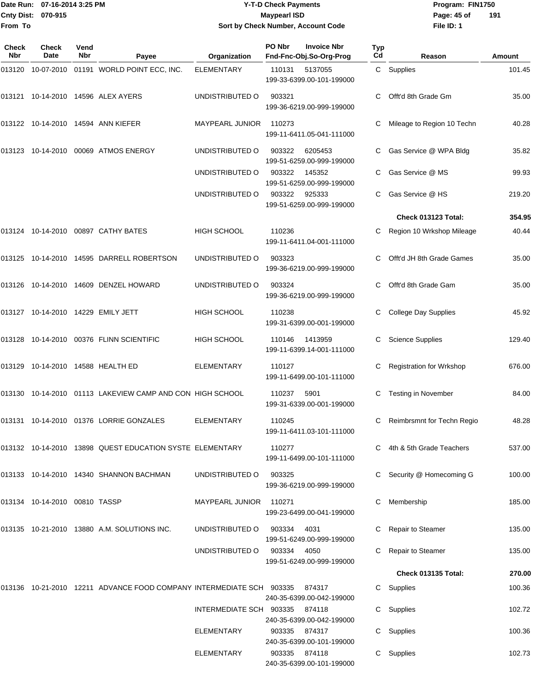#### Date Run: 07-16-2014 3:25 PM **Program:** FIN1750 **Cnty Dist:** 070-915 **Page: 45 of MaypearI ISD Page: 45 of Y-T-D Check Payments 070-915 Maypearl ISD Sort by Check Number, Account Code**

| Check<br>Nbr | <b>Check</b><br><b>Date</b>   | Vend<br><b>Nbr</b> | Payee                                                                    | Organization            | PO Nbr        | <b>Invoice Nbr</b><br>Fnd-Fnc-Obj.So-Org-Prog | Typ<br>Cd | Reason                            | Amount |
|--------------|-------------------------------|--------------------|--------------------------------------------------------------------------|-------------------------|---------------|-----------------------------------------------|-----------|-----------------------------------|--------|
| 013120       |                               |                    | 10-07-2010  01191  WORLD POINT ECC, INC.                                 | <b>ELEMENTARY</b>       | 110131        | 5137055<br>199-33-6399.00-101-199000          |           | C Supplies                        | 101.45 |
|              |                               |                    | 013121  10-14-2010  14596  ALEX AYERS                                    | UNDISTRIBUTED O         | 903321        | 199-36-6219.00-999-199000                     |           | Offt'd 8th Grade Gm               | 35.00  |
|              |                               |                    | 013122  10-14-2010  14594  ANN KIEFER                                    | MAYPEARL JUNIOR         | 110273        | 199-11-6411.05-041-111000                     | C         | Mileage to Region 10 Techn        | 40.28  |
|              |                               |                    | 013123 10-14-2010 00069 ATMOS ENERGY                                     | UNDISTRIBUTED O         | 903322        | 6205453<br>199-51-6259.00-999-199000          |           | Gas Service @ WPA Bldg            | 35.82  |
|              |                               |                    |                                                                          | UNDISTRIBUTED O         | 903322        | 145352<br>199-51-6259.00-999-199000           | C.        | Gas Service @ MS                  | 99.93  |
|              |                               |                    |                                                                          | UNDISTRIBUTED O         | 903322        | 925333<br>199-51-6259.00-999-199000           | C         | Gas Service @ HS                  | 219.20 |
|              |                               |                    |                                                                          |                         |               |                                               |           | Check 013123 Total:               | 354.95 |
|              |                               |                    | 013124    10-14-2010    00897    CATHY BATES                             | <b>HIGH SCHOOL</b>      | 110236        | 199-11-6411.04-001-111000                     | C         | Region 10 Wrkshop Mileage         | 40.44  |
|              |                               |                    | 013125  10-14-2010  14595  DARRELL ROBERTSON                             | UNDISTRIBUTED O         | 903323        | 199-36-6219.00-999-199000                     | C         | Offt'd JH 8th Grade Games         | 35.00  |
|              |                               |                    | 013126  10-14-2010  14609  DENZEL HOWARD                                 | UNDISTRIBUTED O         | 903324        | 199-36-6219.00-999-199000                     | C         | Offt'd 8th Grade Gam              | 35.00  |
|              |                               |                    | 013127  10-14-2010  14229  EMILY JETT                                    | <b>HIGH SCHOOL</b>      | 110238        | 199-31-6399.00-001-199000                     | С         | <b>College Day Supplies</b>       | 45.92  |
|              |                               |                    | 013128  10-14-2010  00376  FLINN SCIENTIFIC                              | <b>HIGH SCHOOL</b>      | 110146        | 1413959<br>199-11-6399.14-001-111000          | С         | <b>Science Supplies</b>           | 129.40 |
|              |                               |                    | 013129  10-14-2010  14588  HEALTH ED                                     | ELEMENTARY              | 110127        | 199-11-6499.00-101-111000                     |           | <b>Registration for Wrkshop</b>   | 676.00 |
|              |                               |                    | 013130 10-14-2010 01113 LAKEVIEW CAMP AND CON HIGH SCHOOL                |                         | 110237        | 5901<br>199-31-6339.00-001-199000             | С         | Testing in November               | 84.00  |
|              |                               |                    | 013131  10-14-2010  01376  LORRIE GONZALES                               | ELEMENTARY              | 110245        | 199-11-6411.03-101-111000                     | C         | <b>Reimbrsmnt for Techn Regio</b> | 48.28  |
|              |                               |                    | 013132  10-14-2010  13898  QUEST EDUCATION SYSTE ELEMENTARY              |                         | 110277        | 199-11-6499.00-101-111000                     |           | C 4th & 5th Grade Teachers        | 537.00 |
|              |                               |                    | 013133 10-14-2010 14340 SHANNON BACHMAN                                  | UNDISTRIBUTED O         | 903325        | 199-36-6219.00-999-199000                     | C.        | Security @ Homecoming G           | 100.00 |
|              | 013134 10-14-2010 00810 TASSP |                    |                                                                          | MAYPEARL JUNIOR         | 110271        | 199-23-6499.00-041-199000                     | C.        | Membership                        | 185.00 |
|              |                               |                    | 013135 10-21-2010 13880 A.M. SOLUTIONS INC.                              | UNDISTRIBUTED O         | 903334        | 4031<br>199-51-6249.00-999-199000             |           | C Repair to Steamer               | 135.00 |
|              |                               |                    |                                                                          | UNDISTRIBUTED O         | 903334 4050   | 199-51-6249.00-999-199000                     |           | Repair to Steamer                 | 135.00 |
|              |                               |                    |                                                                          |                         |               |                                               |           | Check 013135 Total:               | 270.00 |
|              |                               |                    | 013136  10-21-2010  12211  ADVANCE FOOD COMPANY INTERMEDIATE SCH  903335 |                         |               | 874317<br>240-35-6399.00-042-199000           |           | C Supplies                        | 100.36 |
|              |                               |                    |                                                                          | INTERMEDIATE SCH 903335 |               | 874118<br>240-35-6399.00-042-199000           |           | C Supplies                        | 102.72 |
|              |                               |                    |                                                                          | ELEMENTARY              |               | 903335 874317<br>240-35-6399.00-101-199000    |           | C Supplies                        | 100.36 |
|              |                               |                    |                                                                          | ELEMENTARY              | 903335 874118 | 240-35-6399.00-101-199000                     |           | C Supplies                        | 102.73 |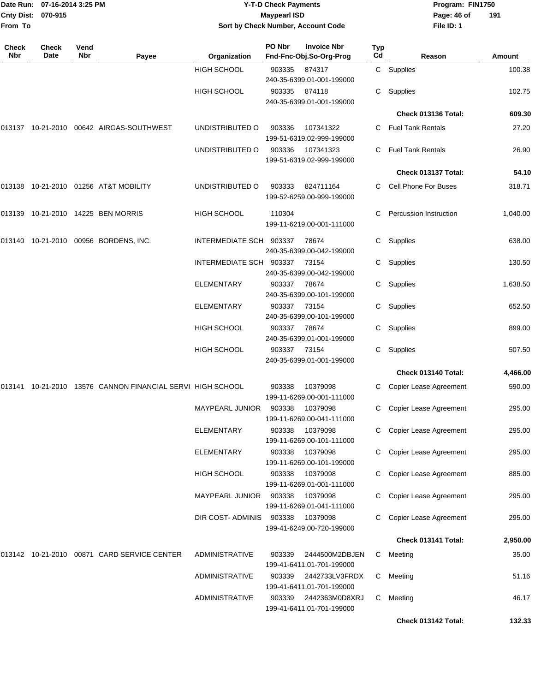|              | Date Run: 07-16-2014 3:25 PM |             |                                                            |                         | <b>Y-T-D Check Payments</b> | Program: FIN1750                              |           |                               |          |  |
|--------------|------------------------------|-------------|------------------------------------------------------------|-------------------------|-----------------------------|-----------------------------------------------|-----------|-------------------------------|----------|--|
| From To      | Cnty Dist: 070-915           |             |                                                            |                         | <b>Maypearl ISD</b>         | Sort by Check Number, Account Code            |           | Page: 46 of<br>File ID: 1     | 191      |  |
| Check<br>Nbr | <b>Check</b><br>Date         | Vend<br>Nbr | Payee                                                      | Organization            | PO Nbr                      | <b>Invoice Nbr</b><br>Fnd-Fnc-Obj.So-Org-Prog | Typ<br>Cd | Reason                        | Amount   |  |
|              |                              |             |                                                            | <b>HIGH SCHOOL</b>      | 903335                      | 874317<br>240-35-6399.01-001-199000           |           | C Supplies                    | 100.38   |  |
|              |                              |             |                                                            | <b>HIGH SCHOOL</b>      | 903335                      | 874118<br>240-35-6399.01-001-199000           | С         | Supplies                      | 102.75   |  |
|              |                              |             |                                                            |                         |                             |                                               |           | Check 013136 Total:           | 609.30   |  |
|              |                              |             | 013137  10-21-2010  00642  AIRGAS-SOUTHWEST                | UNDISTRIBUTED O         | 903336                      | 107341322<br>199-51-6319.02-999-199000        | C.        | <b>Fuel Tank Rentals</b>      | 27.20    |  |
|              |                              |             |                                                            | UNDISTRIBUTED O         | 903336                      | 107341323<br>199-51-6319.02-999-199000        | C.        | <b>Fuel Tank Rentals</b>      | 26.90    |  |
|              |                              |             |                                                            |                         |                             |                                               |           | Check 013137 Total:           | 54.10    |  |
|              |                              |             |                                                            | UNDISTRIBUTED O         | 903333                      | 824711164<br>199-52-6259.00-999-199000        | C.        | <b>Cell Phone For Buses</b>   | 318.71   |  |
|              |                              |             | 013139 10-21-2010 14225 BEN MORRIS                         | HIGH SCHOOL             | 110304                      | 199-11-6219.00-001-111000                     | C         | <b>Percussion Instruction</b> | 1,040.00 |  |
|              |                              |             | 013140  10-21-2010  00956  BORDENS, INC.                   | INTERMEDIATE SCH 903337 |                             | 78674<br>240-35-6399.00-042-199000            | C         | Supplies                      | 638.00   |  |
|              |                              |             |                                                            | INTERMEDIATE SCH 903337 |                             | 73154<br>240-35-6399.00-042-199000            | C         | Supplies                      | 130.50   |  |
|              |                              |             |                                                            | ELEMENTARY              | 903337                      | 78674<br>240-35-6399.00-101-199000            | C         | Supplies                      | 1,638.50 |  |
|              |                              |             |                                                            | <b>ELEMENTARY</b>       | 903337                      | 73154<br>240-35-6399.00-101-199000            | С         | Supplies                      | 652.50   |  |
|              |                              |             |                                                            | HIGH SCHOOL             | 903337                      | 78674<br>240-35-6399.01-001-199000            | C.        | Supplies                      | 899.00   |  |
|              |                              |             |                                                            | HIGH SCHOOL             | 903337                      | 73154<br>240-35-6399.01-001-199000            | C         | Supplies                      | 507.50   |  |
|              |                              |             |                                                            |                         |                             |                                               |           | Check 013140 Total:           | 4,466.00 |  |
|              |                              |             | 013141 10-21-2010 13576 CANNON FINANCIAL SERVI HIGH SCHOOL |                         | 903338                      | 10379098<br>199-11-6269.00-001-111000         | C.        | Copier Lease Agreement        | 590.00   |  |
|              |                              |             |                                                            | <b>MAYPEARL JUNIOR</b>  | 903338                      | 10379098<br>199-11-6269.00-041-111000         | C.        | Copier Lease Agreement        | 295.00   |  |
|              |                              |             |                                                            | <b>ELEMENTARY</b>       | 903338                      | 10379098<br>199-11-6269.00-101-111000         | C.        | Copier Lease Agreement        | 295.00   |  |
|              |                              |             |                                                            | ELEMENTARY              | 903338                      | 10379098<br>199-11-6269.00-101-199000         | C         | Copier Lease Agreement        | 295.00   |  |
|              |                              |             |                                                            | HIGH SCHOOL             | 903338                      | 10379098<br>199-11-6269.01-001-111000         | С         | Copier Lease Agreement        | 885.00   |  |
|              |                              |             |                                                            | <b>MAYPEARL JUNIOR</b>  | 903338                      | 10379098<br>199-11-6269.01-041-111000         | C         | Copier Lease Agreement        | 295.00   |  |
|              |                              |             |                                                            | DIR COST-ADMINIS        | 903338                      | 10379098<br>199-41-6249.00-720-199000         | С         | Copier Lease Agreement        | 295.00   |  |
|              |                              |             |                                                            |                         |                             |                                               |           | Check 013141 Total:           | 2,950.00 |  |
|              |                              |             | 013142 10-21-2010 00871 CARD SERVICE CENTER                | <b>ADMINISTRATIVE</b>   | 903339                      | 2444500M2DBJEN<br>199-41-6411.01-701-199000   | C.        | Meeting                       | 35.00    |  |
|              |                              |             |                                                            | <b>ADMINISTRATIVE</b>   | 903339                      | 2442733LV3FRDX<br>199-41-6411.01-701-199000   | C.        | Meeting                       | 51.16    |  |
|              |                              |             |                                                            | <b>ADMINISTRATIVE</b>   | 903339                      | 2442363M0D8XRJ<br>199-41-6411.01-701-199000   | C         | Meeting                       | 46.17    |  |
|              |                              |             |                                                            |                         |                             |                                               |           | Check 013142 Total:           | 132.33   |  |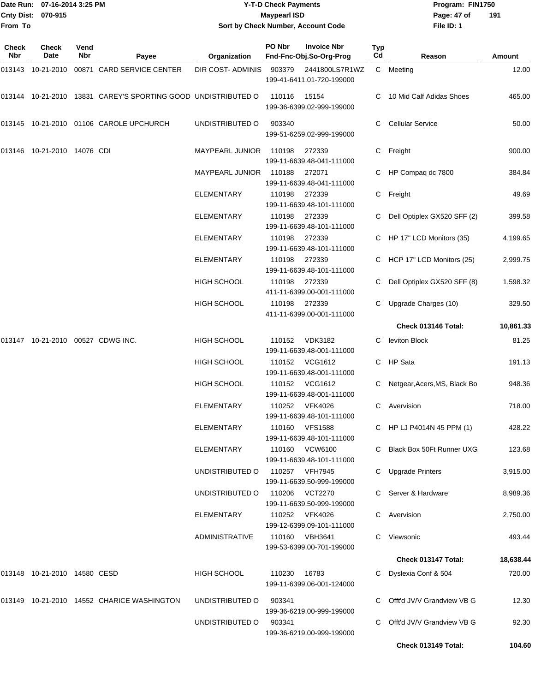#### Date Run: 07-16-2014 3:25 PM **Program:** FIN1750 **Cnty Dist:** 070-915 **Page: 47 of MaypearI ISD Page: 47 of Y-T-D Check Payments 070-915 Maypearl ISD Sort by Check Number, Account Code**

| <b>Check</b><br>Nbr | <b>Check</b><br>Date              | Vend<br><b>Nbr</b> | Payee                                                         | Organization             | PO Nbr         | <b>Invoice Nbr</b><br>Fnd-Fnc-Obj.So-Org-Prog | Typ<br>Cd | Reason                         | Amount    |
|---------------------|-----------------------------------|--------------------|---------------------------------------------------------------|--------------------------|----------------|-----------------------------------------------|-----------|--------------------------------|-----------|
|                     | 013143 10-21-2010                 |                    | 00871 CARD SERVICE CENTER                                     | <b>DIR COST- ADMINIS</b> | 903379         | 2441800LS7R1WZ<br>199-41-6411.01-720-199000   |           | C Meeting                      | 12.00     |
|                     |                                   |                    | 013144 10-21-2010 13831 CAREY'S SPORTING GOOD UNDISTRIBUTED O |                          | 110116         | 15154<br>199-36-6399.02-999-199000            |           | C 10 Mid Calf Adidas Shoes     | 465.00    |
|                     |                                   |                    | 013145 10-21-2010 01106 CAROLE UPCHURCH                       | UNDISTRIBUTED O          | 903340         | 199-51-6259.02-999-199000                     | C.        | <b>Cellular Service</b>        | 50.00     |
|                     | 013146 10-21-2010 14076 CDI       |                    |                                                               | MAYPEARL JUNIOR          | 110198         | 272339<br>199-11-6639.48-041-111000           |           | C Freight                      | 900.00    |
|                     |                                   |                    |                                                               | <b>MAYPEARL JUNIOR</b>   | 110188         | 272071<br>199-11-6639.48-041-111000           |           | C HP Compaq dc 7800            | 384.84    |
|                     |                                   |                    |                                                               | ELEMENTARY               | 110198         | 272339<br>199-11-6639.48-101-111000           |           | C Freight                      | 49.69     |
|                     |                                   |                    |                                                               | <b>ELEMENTARY</b>        | 110198         | 272339<br>199-11-6639.48-101-111000           |           | C Dell Optiplex GX520 SFF (2)  | 399.58    |
|                     |                                   |                    |                                                               | <b>ELEMENTARY</b>        | 110198         | 272339<br>199-11-6639.48-101-111000           |           | C HP 17" LCD Monitors (35)     | 4,199.65  |
|                     |                                   |                    |                                                               | <b>ELEMENTARY</b>        | 110198         | 272339<br>199-11-6639.48-101-111000           |           | C HCP 17" LCD Monitors (25)    | 2,999.75  |
|                     |                                   |                    |                                                               | <b>HIGH SCHOOL</b>       | 110198         | 272339<br>411-11-6399.00-001-111000           | C.        | Dell Optiplex GX520 SFF (8)    | 1,598.32  |
|                     |                                   |                    |                                                               | <b>HIGH SCHOOL</b>       | 110198         | 272339<br>411-11-6399.00-001-111000           |           | C Upgrade Charges (10)         | 329.50    |
|                     |                                   |                    |                                                               |                          |                |                                               |           | Check 013146 Total:            | 10,861.33 |
|                     | 013147 10-21-2010 00527 CDWG INC. |                    |                                                               | <b>HIGH SCHOOL</b>       |                | 110152 VDK3182<br>199-11-6639.48-001-111000   | C.        | leviton Block                  | 81.25     |
|                     |                                   |                    |                                                               | <b>HIGH SCHOOL</b>       |                | 110152 VCG1612<br>199-11-6639.48-001-111000   | C.        | HP Sata                        | 191.13    |
|                     |                                   |                    |                                                               | <b>HIGH SCHOOL</b>       |                | 110152 VCG1612<br>199-11-6639.48-001-111000   |           | C Netgear, Acers, MS, Black Bo | 948.36    |
|                     |                                   |                    |                                                               | <b>ELEMENTARY</b>        | 110252         | VFK4026<br>199-11-6639.48-101-111000          |           | C Avervision                   | 718.00    |
|                     |                                   |                    |                                                               | <b>ELEMENTARY</b>        |                | 110160 VFS1588<br>199-11-6639.48-101-111000   |           | C HP LJ P4014N 45 PPM (1)      | 428.22    |
|                     |                                   |                    |                                                               | ELEMENTARY               |                | 110160 VCW6100<br>199-11-6639.48-101-111000   |           | C Black Box 50Ft Runner UXG    | 123.68    |
|                     |                                   |                    |                                                               | UNDISTRIBUTED O          | 110257 VFH7945 | 199-11-6639.50-999-199000                     |           | C Upgrade Printers             | 3,915.00  |
|                     |                                   |                    |                                                               | UNDISTRIBUTED O          |                | 110206 VCT2270<br>199-11-6639.50-999-199000   |           | C Server & Hardware            | 8,989.36  |
|                     |                                   |                    |                                                               | ELEMENTARY               |                | 110252 VFK4026<br>199-12-6399.09-101-111000   |           | C Avervision                   | 2,750.00  |
|                     |                                   |                    |                                                               | ADMINISTRATIVE           |                | 110160 VBH3641<br>199-53-6399.00-701-199000   |           | C Viewsonic                    | 493.44    |
|                     |                                   |                    |                                                               |                          |                |                                               |           | Check 013147 Total:            | 18,638.44 |
|                     | 013148 10-21-2010 14580 CESD      |                    |                                                               | HIGH SCHOOL              | 110230 16783   | 199-11-6399.06-001-124000                     |           | C Dyslexia Conf & 504          | 720.00    |
|                     |                                   |                    | 013149 10-21-2010 14552 CHARICE WASHINGTON                    | UNDISTRIBUTED O          | 903341         | 199-36-6219.00-999-199000                     |           | C Offt'd JV/V Grandview VB G   | 12.30     |
|                     |                                   |                    |                                                               | UNDISTRIBUTED O          | 903341         | 199-36-6219.00-999-199000                     |           | C Offt'd JV/V Grandview VB G   | 92.30     |
|                     |                                   |                    |                                                               |                          |                |                                               |           | Check 013149 Total:            | 104.60    |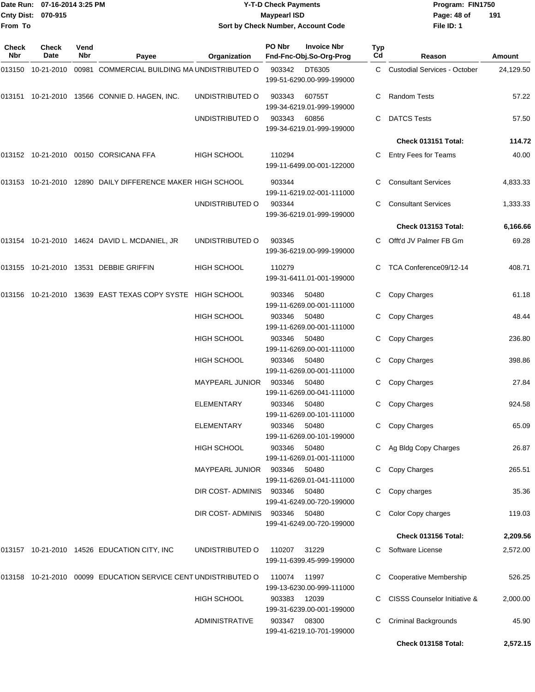| From To             | Date Run: 07-16-2014 3:25 PM<br>Cnty Dist: 070-915 |             |                                                                   | Sort by Check Number, Account Code          | <b>Y-T-D Check Payments</b><br><b>Maypearl ISD</b> | Program: FIN1750<br>Page: 48 of<br>File ID: 1                   | 191              |                                     |                 |
|---------------------|----------------------------------------------------|-------------|-------------------------------------------------------------------|---------------------------------------------|----------------------------------------------------|-----------------------------------------------------------------|------------------|-------------------------------------|-----------------|
| <b>Check</b><br>Nbr | <b>Check</b><br>Date                               | Vend<br>Nbr | Payee                                                             | Organization                                | PO Nbr                                             | <b>Invoice Nbr</b><br>Fnd-Fnc-Obj.So-Org-Prog                   | <b>Typ</b><br>Cd | Reason                              | Amount          |
| 013150              | 10-21-2010                                         |             | 00981 COMMERCIAL BUILDING MA UNDISTRIBUTED O                      |                                             | 903342                                             | DT6305<br>199-51-6290.00-999-199000                             | C.               | <b>Custodial Services - October</b> | 24,129.50       |
|                     |                                                    |             | 013151 10-21-2010 13566 CONNIE D. HAGEN, INC.                     | UNDISTRIBUTED O                             | 903343                                             | 60755T<br>199-34-6219.01-999-199000                             | C                | <b>Random Tests</b>                 | 57.22           |
|                     |                                                    |             |                                                                   | UNDISTRIBUTED O                             | 903343                                             | 60856<br>199-34-6219.01-999-199000                              | C                | <b>DATCS Tests</b>                  | 57.50           |
|                     |                                                    |             |                                                                   |                                             |                                                    |                                                                 |                  | Check 013151 Total:                 | 114.72          |
|                     |                                                    |             |                                                                   | HIGH SCHOOL                                 | 110294                                             | 199-11-6499.00-001-122000                                       | C                | Entry Fees for Teams                | 40.00           |
|                     |                                                    |             | 013153 10-21-2010 12890 DAILY DIFFERENCE MAKER HIGH SCHOOL        |                                             | 903344                                             | 199-11-6219.02-001-111000                                       | С                | <b>Consultant Services</b>          | 4,833.33        |
|                     |                                                    |             |                                                                   | UNDISTRIBUTED O                             | 903344                                             | 199-36-6219.01-999-199000                                       | С                | <b>Consultant Services</b>          | 1,333.33        |
|                     |                                                    |             |                                                                   |                                             |                                                    |                                                                 |                  | Check 013153 Total:                 | 6,166.66        |
|                     |                                                    |             | 013154 10-21-2010 14624 DAVID L. MCDANIEL, JR                     | UNDISTRIBUTED O                             | 903345                                             | 199-36-6219.00-999-199000                                       | C                | Offt'd JV Palmer FB Gm              | 69.28           |
|                     |                                                    |             |                                                                   | HIGH SCHOOL                                 | 110279                                             | 199-31-6411.01-001-199000                                       |                  | TCA Conference09/12-14              | 408.71          |
|                     |                                                    |             | 013156  10-21-2010  13639  EAST TEXAS COPY SYSTE  HIGH SCHOOL     |                                             | 903346                                             | 50480<br>199-11-6269.00-001-111000                              | C                | Copy Charges                        | 61.18           |
|                     |                                                    |             |                                                                   | HIGH SCHOOL                                 | 903346                                             | 50480<br>199-11-6269.00-001-111000                              | С                | Copy Charges                        | 48.44           |
|                     |                                                    |             |                                                                   | HIGH SCHOOL                                 | 903346                                             | 50480<br>199-11-6269.00-001-111000                              | С                | Copy Charges                        | 236.80          |
|                     |                                                    |             |                                                                   | HIGH SCHOOL                                 | 903346                                             | 50480<br>199-11-6269.00-001-111000                              | C                | Copy Charges                        | 398.86          |
|                     |                                                    |             |                                                                   | <b>MAYPEARL JUNIOR</b><br><b>ELEMENTARY</b> | 903346                                             | 50480<br>199-11-6269.00-041-111000                              | C                | Copy Charges<br>C Copy Charges      | 27.84<br>924.58 |
|                     |                                                    |             |                                                                   | <b>ELEMENTARY</b>                           | 903346 50480<br>903346                             | 199-11-6269.00-101-111000<br>50480                              | C.               | Copy Charges                        | 65.09           |
|                     |                                                    |             |                                                                   | HIGH SCHOOL                                 | 903346                                             | 199-11-6269.00-101-199000<br>50480                              |                  | C Ag Bldg Copy Charges              | 26.87           |
|                     |                                                    |             |                                                                   | <b>MAYPEARL JUNIOR</b>                      | 903346                                             | 199-11-6269.01-001-111000<br>50480                              | C                | Copy Charges                        | 265.51          |
|                     |                                                    |             |                                                                   | DIR COST-ADMINIS                            | 903346                                             | 199-11-6269.01-041-111000<br>50480                              | C                | Copy charges                        | 35.36           |
|                     |                                                    |             |                                                                   | DIR COST-ADMINIS 903346                     |                                                    | 199-41-6249.00-720-199000<br>50480<br>199-41-6249.00-720-199000 | C.               | Color Copy charges                  | 119.03          |
|                     |                                                    |             |                                                                   |                                             |                                                    |                                                                 |                  | Check 013156 Total:                 | 2,209.56        |
|                     |                                                    |             | 013157 10-21-2010 14526 EDUCATION CITY, INC                       | UNDISTRIBUTED O                             | 110207 31229                                       | 199-11-6399.45-999-199000                                       |                  | C Software License                  | 2,572.00        |
|                     |                                                    |             | 013158  10-21-2010  00099  EDUCATION SERVICE CENT UNDISTRIBUTED O |                                             | 110074 11997                                       | 199-13-6230.00-999-111000                                       |                  | Cooperative Membership              | 526.25          |
|                     |                                                    |             |                                                                   | HIGH SCHOOL                                 | 903383                                             | 12039<br>199-31-6239.00-001-199000                              |                  | CISSS Counselor Initiative &        | 2,000.00        |
|                     |                                                    |             |                                                                   | ADMINISTRATIVE                              | 903347 08300                                       | 199-41-6219.10-701-199000                                       | C.               | <b>Criminal Backgrounds</b>         | 45.90           |
|                     |                                                    |             |                                                                   |                                             |                                                    |                                                                 |                  | Check 013158 Total:                 | 2,572.15        |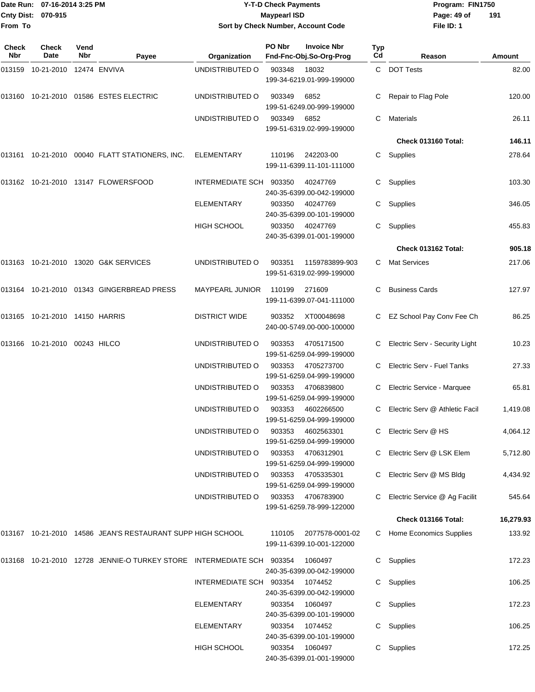| From To             | Date Run: 07-16-2014 3:25 PM<br>Cnty Dist: 070-915 |             |                                                                            | <b>Y-T-D Check Payments</b><br><b>Maypearl ISD</b><br>Sort by Check Number, Account Code |        |                                               |           | Program: FIN1750<br>Page: 49 of<br>File ID: 1 | 191           |
|---------------------|----------------------------------------------------|-------------|----------------------------------------------------------------------------|------------------------------------------------------------------------------------------|--------|-----------------------------------------------|-----------|-----------------------------------------------|---------------|
|                     |                                                    |             |                                                                            |                                                                                          |        |                                               |           |                                               |               |
| <b>Check</b><br>Nbr | Check<br><b>Date</b>                               | Vend<br>Nbr | Payee                                                                      | Organization                                                                             | PO Nbr | <b>Invoice Nbr</b><br>Fnd-Fnc-Obj.So-Org-Prog | Typ<br>Cd | Reason                                        | <b>Amount</b> |
|                     |                                                    |             |                                                                            | UNDISTRIBUTED O                                                                          | 903348 | 18032<br>199-34-6219.01-999-199000            |           | C DOT Tests                                   | 82.00         |
|                     |                                                    |             | 013160  10-21-2010  01586  ESTES ELECTRIC                                  | UNDISTRIBUTED O                                                                          | 903349 | 6852<br>199-51-6249.00-999-199000             |           | Repair to Flag Pole                           | 120.00        |
|                     |                                                    |             |                                                                            | UNDISTRIBUTED O                                                                          | 903349 | 6852<br>199-51-6319.02-999-199000             | C         | <b>Materials</b>                              | 26.11         |
|                     |                                                    |             |                                                                            |                                                                                          |        |                                               |           | Check 013160 Total:                           | 146.11        |
|                     |                                                    |             | 013161  10-21-2010  00040  FLATT STATIONERS, INC.                          | ELEMENTARY                                                                               | 110196 | 242203-00<br>199-11-6399.11-101-111000        | C.        | Supplies                                      | 278.64        |
|                     |                                                    |             |                                                                            | INTERMEDIATE SCH                                                                         | 903350 | 40247769<br>240-35-6399.00-042-199000         | С         | Supplies                                      | 103.30        |
|                     |                                                    |             |                                                                            | ELEMENTARY                                                                               | 903350 | 40247769<br>240-35-6399.00-101-199000         | C.        | Supplies                                      | 346.05        |
|                     |                                                    |             |                                                                            | HIGH SCHOOL                                                                              | 903350 | 40247769<br>240-35-6399.01-001-199000         | C.        | Supplies                                      | 455.83        |
|                     |                                                    |             |                                                                            |                                                                                          |        |                                               |           | Check 013162 Total:                           | 905.18        |
|                     |                                                    |             | 013163 10-21-2010 13020 G&K SERVICES                                       | UNDISTRIBUTED O                                                                          | 903351 | 1159783899-903<br>199-51-6319.02-999-199000   | C         | <b>Mat Services</b>                           | 217.06        |
|                     |                                                    |             | 013164    10-21-2010    01343    GINGERBREAD PRESS                         | <b>MAYPEARL JUNIOR</b>                                                                   | 110199 | 271609<br>199-11-6399.07-041-111000           | C.        | <b>Business Cards</b>                         | 127.97        |
|                     | 013165 10-21-2010 14150 HARRIS                     |             |                                                                            | <b>DISTRICT WIDE</b>                                                                     | 903352 | XT00048698<br>240-00-5749.00-000-100000       |           | C EZ School Pay Conv Fee Ch                   | 86.25         |
|                     | 013166 10-21-2010 00243 HILCO                      |             |                                                                            | UNDISTRIBUTED O                                                                          | 903353 | 4705171500<br>199-51-6259.04-999-199000       | С         | Electric Serv - Security Light                | 10.23         |
|                     |                                                    |             |                                                                            | UNDISTRIBUTED O                                                                          | 903353 | 4705273700<br>199-51-6259.04-999-199000       | C         | Electric Serv - Fuel Tanks                    | 27.33         |
|                     |                                                    |             |                                                                            | UNDISTRIBUTED O                                                                          | 903353 | 4706839800<br>199-51-6259.04-999-199000       | C.        | Electric Service - Marquee                    | 65.81         |
|                     |                                                    |             |                                                                            | UNDISTRIBUTED O                                                                          | 903353 | 4602266500<br>199-51-6259.04-999-199000       |           | C Electric Serv @ Athletic Facil              | 1,419.08      |
|                     |                                                    |             |                                                                            | UNDISTRIBUTED O                                                                          | 903353 | 4602563301<br>199-51-6259.04-999-199000       | C.        | Electric Serv @ HS                            | 4,064.12      |
|                     |                                                    |             |                                                                            | UNDISTRIBUTED O                                                                          | 903353 | 4706312901<br>199-51-6259.04-999-199000       |           | Electric Serv @ LSK Elem                      | 5,712.80      |
|                     |                                                    |             |                                                                            | UNDISTRIBUTED O                                                                          | 903353 | 4705335301<br>199-51-6259.04-999-199000       | C         | Electric Serv @ MS Bldg                       | 4,434.92      |
|                     |                                                    |             |                                                                            | UNDISTRIBUTED O                                                                          | 903353 | 4706783900<br>199-51-6259.78-999-122000       | C.        | Electric Service @ Ag Facilit                 | 545.64        |
|                     |                                                    |             |                                                                            |                                                                                          |        |                                               |           | Check 013166 Total:                           | 16,279.93     |
|                     |                                                    |             | 013167  10-21-2010  14586  JEAN'S RESTAURANT SUPP HIGH SCHOOL              |                                                                                          | 110105 | 2077578-0001-02<br>199-11-6399.10-001-122000  |           | C Home Economics Supplies                     | 133.92        |
|                     |                                                    |             | 013168  10-21-2010  12728  JENNIE-O TURKEY STORE  INTERMEDIATE SCH  903354 |                                                                                          |        | 1060497<br>240-35-6399.00-042-199000          |           | C Supplies                                    | 172.23        |
|                     |                                                    |             |                                                                            | INTERMEDIATE SCH 903354                                                                  |        | 1074452<br>240-35-6399.00-042-199000          |           | C Supplies                                    | 106.25        |
|                     |                                                    |             |                                                                            | <b>ELEMENTARY</b>                                                                        | 903354 | 1060497<br>240-35-6399.00-101-199000          |           | C Supplies                                    | 172.23        |
|                     |                                                    |             |                                                                            | <b>ELEMENTARY</b>                                                                        | 903354 | 1074452<br>240-35-6399.00-101-199000          |           | C Supplies                                    | 106.25        |
|                     |                                                    |             |                                                                            | HIGH SCHOOL                                                                              | 903354 | 1060497<br>240-35-6399.01-001-199000          |           | C Supplies                                    | 172.25        |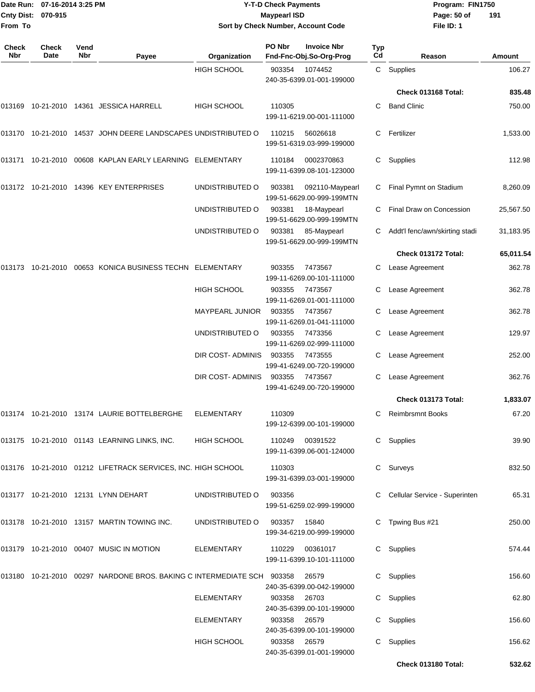|                    | Date Run: 07-16-2014 3:25 PM |
|--------------------|------------------------------|
| Cnty Dist: 070-915 |                              |
| From To            |                              |

### **Date Run: Program: FIN1750 07-16-2014 3:25 PM Y-T-D Check Payments Cnty Dist: Page: 50 of 070-915 Maypearl ISD Sort by Check Number, Account Code**

| Check<br>Nbr | <b>Check</b><br>Date | Vend<br><b>Nbr</b> | Payee                                                                      | Organization       | PO Nbr       | <b>Invoice Nbr</b><br>Fnd-Fnc-Obj.So-Org-Prog | <b>Typ</b><br>Cd | Reason                          | Amount    |
|--------------|----------------------|--------------------|----------------------------------------------------------------------------|--------------------|--------------|-----------------------------------------------|------------------|---------------------------------|-----------|
|              |                      |                    |                                                                            | <b>HIGH SCHOOL</b> | 903354       | 1074452<br>240-35-6399.01-001-199000          |                  | C Supplies                      | 106.27    |
|              |                      |                    |                                                                            |                    |              |                                               |                  | Check 013168 Total:             | 835.48    |
|              |                      |                    | 013169 10-21-2010 14361 JESSICA HARRELL                                    | <b>HIGH SCHOOL</b> | 110305       | 199-11-6219.00-001-111000                     | C.               | <b>Band Clinic</b>              | 750.00    |
|              |                      |                    | 013170 10-21-2010 14537 JOHN DEERE LANDSCAPES UNDISTRIBUTED O              |                    | 110215       | 56026618<br>199-51-6319.03-999-199000         | C.               | Fertilizer                      | 1,533.00  |
| 013171       |                      |                    | 10-21-2010 00608 KAPLAN EARLY LEARNING ELEMENTARY                          |                    | 110184       | 0002370863<br>199-11-6399.08-101-123000       | C.               | Supplies                        | 112.98    |
|              |                      |                    | 013172 10-21-2010 14396 KEY ENTERPRISES                                    | UNDISTRIBUTED O    | 903381       | 092110-Maypearl<br>199-51-6629.00-999-199MTN  | С                | Final Pymnt on Stadium          | 8,260.09  |
|              |                      |                    |                                                                            | UNDISTRIBUTED O    | 903381       | 18-Maypearl<br>199-51-6629.00-999-199MTN      | C.               | Final Draw on Concession        | 25,567.50 |
|              |                      |                    |                                                                            | UNDISTRIBUTED O    | 903381       | 85-Maypearl<br>199-51-6629.00-999-199MTN      |                  | Addt'l fenc/awn/skirting stadi  | 31,183.95 |
|              |                      |                    |                                                                            |                    |              |                                               |                  | Check 013172 Total:             | 65,011.54 |
| 013173       |                      |                    | 10-21-2010 00653 KONICA BUSINESS TECHN ELEMENTARY                          |                    | 903355       | 7473567<br>199-11-6269.00-101-111000          |                  | Lease Agreement                 | 362.78    |
|              |                      |                    |                                                                            | <b>HIGH SCHOOL</b> | 903355       | 7473567<br>199-11-6269.01-001-111000          |                  | Lease Agreement                 | 362.78    |
|              |                      |                    |                                                                            | MAYPEARL JUNIOR    | 903355       | 7473567<br>199-11-6269.01-041-111000          | С                | Lease Agreement                 | 362.78    |
|              |                      |                    |                                                                            | UNDISTRIBUTED O    | 903355       | 7473356<br>199-11-6269.02-999-111000          |                  | Lease Agreement                 | 129.97    |
|              |                      |                    |                                                                            | DIR COST-ADMINIS   | 903355       | 7473555<br>199-41-6249.00-720-199000          |                  | Lease Agreement                 | 252.00    |
|              |                      |                    |                                                                            | DIR COST-ADMINIS   | 903355       | 7473567<br>199-41-6249.00-720-199000          | C.               | Lease Agreement                 | 362.76    |
|              |                      |                    |                                                                            |                    |              |                                               |                  | Check 013173 Total:             | 1,833.07  |
| 013174       |                      |                    | 10-21-2010 13174 LAURIE BOTTELBERGHE                                       | <b>ELEMENTARY</b>  | 110309       | 199-12-6399.00-101-199000                     | С                | <b>Reimbrsmnt Books</b>         | 67.20     |
|              |                      |                    | 013175 10-21-2010 01143 LEARNING LINKS, INC.                               | HIGH SCHOOL        | 110249       | 00391522<br>199-11-6399.06-001-124000         |                  | C Supplies                      | 39.90     |
|              |                      |                    | 013176 10-21-2010 01212 LIFETRACK SERVICES, INC. HIGH SCHOOL               |                    | 110303       | 199-31-6399.03-001-199000                     |                  | C Surveys                       | 832.50    |
|              |                      |                    | 013177 10-21-2010 12131 LYNN DEHART                                        | UNDISTRIBUTED O    | 903356       | 199-51-6259.02-999-199000                     |                  | C Cellular Service - Superinten | 65.31     |
|              |                      |                    | 013178 10-21-2010 13157 MARTIN TOWING INC.                                 | UNDISTRIBUTED O    | 903357 15840 | 199-34-6219.00-999-199000                     |                  | C Tpwing Bus #21                | 250.00    |
|              |                      |                    | 013179 10-21-2010 00407 MUSIC IN MOTION                                    | ELEMENTARY         |              | 110229 00361017<br>199-11-6399.10-101-111000  |                  | C Supplies                      | 574.44    |
|              |                      |                    | 013180  10-21-2010  00297  NARDONE BROS. BAKING C INTERMEDIATE SCH  903358 |                    |              | 26579<br>240-35-6399.00-042-199000            |                  | C Supplies                      | 156.60    |
|              |                      |                    |                                                                            | ELEMENTARY         | 903358       | 26703<br>240-35-6399.00-101-199000            |                  | C Supplies                      | 62.80     |
|              |                      |                    |                                                                            | ELEMENTARY         | 903358       | 26579<br>240-35-6399.00-101-199000            |                  | C Supplies                      | 156.60    |
|              |                      |                    |                                                                            | HIGH SCHOOL        | 903358 26579 | 240-35-6399.01-001-199000                     |                  | C Supplies                      | 156.62    |
|              |                      |                    |                                                                            |                    |              |                                               |                  | Check 013180 Total:             | 532.62    |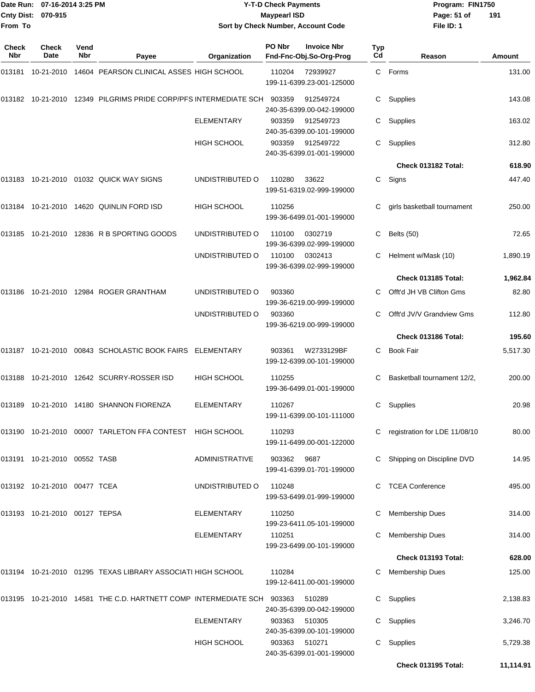|                    | Date Run: 07-16-2014 3:25 PM |
|--------------------|------------------------------|
| Cnty Dist: 070-915 |                              |
| From To            |                              |

### **Date Run: Program: FIN1750 07-16-2014 3:25 PM Y-T-D Check Payments Cnty Dist: Page: 51 of 070-915 Maypearl ISD Sort by Check Number, Account Code**

| Check<br>Nbr | Check<br>Date                 | Vend<br><b>Nbr</b> | Payee                                                                   | Organization          | PO Nbr | <b>Invoice Nbr</b><br>Fnd-Fnc-Obj.So-Org-Prog | Typ<br>Cd | Reason                          | Amount    |
|--------------|-------------------------------|--------------------|-------------------------------------------------------------------------|-----------------------|--------|-----------------------------------------------|-----------|---------------------------------|-----------|
| 013181       |                               |                    | 10-21-2010 14604 PEARSON CLINICAL ASSES HIGH SCHOOL                     |                       | 110204 | 72939927<br>199-11-6399.23-001-125000         |           | C Forms                         | 131.00    |
|              |                               |                    | 013182 10-21-2010 12349 PILGRIMS PRIDE CORP/PFS INTERMEDIATE SCH 903359 |                       |        | 912549724<br>240-35-6399.00-042-199000        | С         | Supplies                        | 143.08    |
|              |                               |                    |                                                                         | <b>ELEMENTARY</b>     | 903359 | 912549723<br>240-35-6399.00-101-199000        | С         | Supplies                        | 163.02    |
|              |                               |                    |                                                                         | HIGH SCHOOL           | 903359 | 912549722<br>240-35-6399.01-001-199000        | C.        | Supplies                        | 312.80    |
|              |                               |                    |                                                                         |                       |        |                                               |           | Check 013182 Total:             | 618.90    |
|              |                               |                    | 013183 10-21-2010 01032 QUICK WAY SIGNS                                 | UNDISTRIBUTED O       | 110280 | 33622<br>199-51-6319.02-999-199000            |           | C Signs                         | 447.40    |
| 013184       |                               |                    | 10-21-2010  14620  QUINLIN FORD ISD                                     | HIGH SCHOOL           | 110256 | 199-36-6499.01-001-199000                     | С         | girls basketball tournament     | 250.00    |
|              |                               |                    | 013185 10-21-2010 12836 R B SPORTING GOODS                              | UNDISTRIBUTED O       | 110100 | 0302719<br>199-36-6399.02-999-199000          | С         | Belts (50)                      | 72.65     |
|              |                               |                    |                                                                         | UNDISTRIBUTED O       | 110100 | 0302413<br>199-36-6399.02-999-199000          | С         | Helment w/Mask (10)             | 1,890.19  |
|              |                               |                    |                                                                         |                       |        |                                               |           | Check 013185 Total:             | 1,962.84  |
| 013186       |                               |                    | 10-21-2010  12984  ROGER GRANTHAM                                       | UNDISTRIBUTED O       | 903360 | 199-36-6219.00-999-199000                     | C.        | Offt'd JH VB Clifton Gms        | 82.80     |
|              |                               |                    |                                                                         | UNDISTRIBUTED O       | 903360 | 199-36-6219.00-999-199000                     | С         | Offt'd JV/V Grandview Gms       | 112.80    |
|              |                               |                    |                                                                         |                       |        |                                               |           | Check 013186 Total:             | 195.60    |
|              |                               |                    | 013187 10-21-2010 00843 SCHOLASTIC BOOK FAIRS ELEMENTARY                |                       | 903361 | W2733129BF<br>199-12-6399.00-101-199000       | C.        | <b>Book Fair</b>                | 5,517.30  |
|              |                               |                    | 013188 10-21-2010 12642 SCURRY-ROSSER ISD                               | <b>HIGH SCHOOL</b>    | 110255 | 199-36-6499.01-001-199000                     | С         | Basketball tournament 12/2,     | 200.00    |
| 013189       |                               |                    | 10-21-2010  14180  SHANNON FIORENZA                                     | <b>ELEMENTARY</b>     | 110267 | 199-11-6399.00-101-111000                     | С         | Supplies                        | 20.98     |
|              |                               |                    | 013190 10-21-2010 00007 TARLETON FFA CONTEST HIGH SCHOOL                |                       | 110293 | 199-11-6499.00-001-122000                     |           | C registration for LDE 11/08/10 | 80.00     |
|              | 013191 10-21-2010 00552 TASB  |                    |                                                                         | <b>ADMINISTRATIVE</b> | 903362 | 9687<br>199-41-6399.01-701-199000             |           | C Shipping on Discipline DVD    | 14.95     |
|              | 013192 10-21-2010 00477 TCEA  |                    |                                                                         | UNDISTRIBUTED O       | 110248 | 199-53-6499.01-999-199000                     |           | C TCEA Conference               | 495.00    |
|              | 013193 10-21-2010 00127 TEPSA |                    |                                                                         | <b>ELEMENTARY</b>     | 110250 | 199-23-6411.05-101-199000                     |           | <b>Membership Dues</b>          | 314.00    |
|              |                               |                    |                                                                         | <b>ELEMENTARY</b>     | 110251 | 199-23-6499.00-101-199000                     |           | <b>Membership Dues</b>          | 314.00    |
|              |                               |                    |                                                                         |                       |        |                                               |           | Check 013193 Total:             | 628.00    |
|              |                               |                    | 013194 10-21-2010 01295 TEXAS LIBRARY ASSOCIATI HIGH SCHOOL             |                       | 110284 | 199-12-6411.00-001-199000                     |           | C Membership Dues               | 125.00    |
|              |                               |                    | 013195 10-21-2010 14581 THE C.D. HARTNETT COMP INTERMEDIATE SCH 903363  |                       |        | 510289<br>240-35-6399.00-042-199000           |           | C Supplies                      | 2,138.83  |
|              |                               |                    |                                                                         | <b>ELEMENTARY</b>     | 903363 | 510305<br>240-35-6399.00-101-199000           |           | C Supplies                      | 3,246.70  |
|              |                               |                    |                                                                         | HIGH SCHOOL           | 903363 | 510271<br>240-35-6399.01-001-199000           |           | C Supplies                      | 5,729.38  |
|              |                               |                    |                                                                         |                       |        |                                               |           | Check 013195 Total:             | 11,114.91 |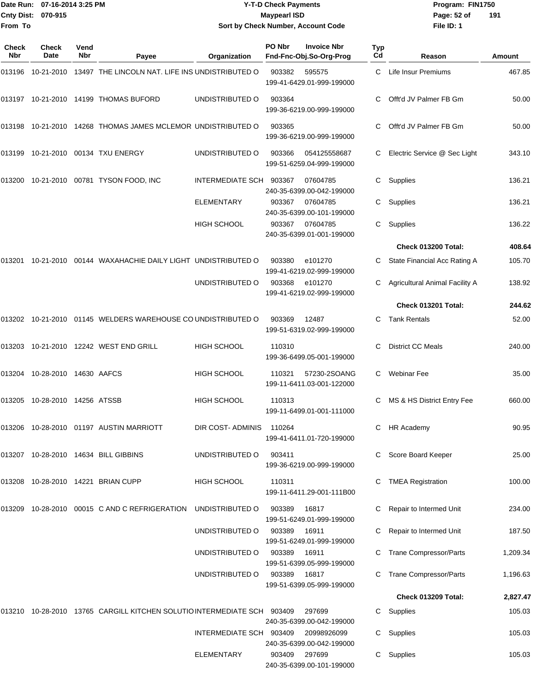|                    | Date Run: 07-16-2014 3:25 PM |
|--------------------|------------------------------|
| Cnty Dist: 070-915 |                              |
| <b>From To</b>     |                              |

## **Date Run: Program: FIN1750 07-16-2014 3:25 PM Y-T-D Check Payments Cnty Dist: Page: 52 of 070-915 Maypearl ISD Sort by Check Number, Account Code**

| Check<br><b>Nbr</b> | Check<br>Date          | Vend<br><b>Nbr</b> | Payee                                                                       | Organization            | PO Nbr | <b>Invoice Nbr</b><br>Fnd-Fnc-Obj.So-Org-Prog | Typ<br>Cd | Reason                         | Amount   |
|---------------------|------------------------|--------------------|-----------------------------------------------------------------------------|-------------------------|--------|-----------------------------------------------|-----------|--------------------------------|----------|
| 013196              | 10-21-2010             |                    | 13497 THE LINCOLN NAT. LIFE INS UNDISTRIBUTED O                             |                         | 903382 | 595575<br>199-41-6429.01-999-199000           | C         | Life Insur Premiums            | 467.85   |
|                     |                        |                    | 013197 10-21-2010 14199 THOMAS BUFORD                                       | UNDISTRIBUTED O         | 903364 | 199-36-6219.00-999-199000                     | C.        | Offt'd JV Palmer FB Gm         | 50.00    |
| 013198              |                        |                    | 10-21-2010 14268 THOMAS JAMES MCLEMOR UNDISTRIBUTED O                       |                         | 903365 | 199-36-6219.00-999-199000                     |           | Offt'd JV Palmer FB Gm         | 50.00    |
| 013199              |                        |                    | 10-21-2010 00134 TXU ENERGY                                                 | UNDISTRIBUTED O         | 903366 | 054125558687<br>199-51-6259.04-999-199000     | C         | Electric Service @ Sec Light   | 343.10   |
| 013200              |                        |                    | 10-21-2010 00781 TYSON FOOD, INC                                            | INTERMEDIATE SCH        | 903367 | 07604785<br>240-35-6399.00-042-199000         | C         | Supplies                       | 136.21   |
|                     |                        |                    |                                                                             | <b>ELEMENTARY</b>       | 903367 | 07604785<br>240-35-6399.00-101-199000         |           | Supplies                       | 136.21   |
|                     |                        |                    |                                                                             | <b>HIGH SCHOOL</b>      | 903367 | 07604785<br>240-35-6399.01-001-199000         | С         | Supplies                       | 136.22   |
|                     |                        |                    |                                                                             |                         |        |                                               |           | Check 013200 Total:            | 408.64   |
| 013201              | 10-21-2010             |                    | 00144 WAXAHACHIE DAILY LIGHT UNDISTRIBUTED O                                |                         | 903380 | e101270<br>199-41-6219.02-999-199000          | C         | State Financial Acc Rating A   | 105.70   |
|                     |                        |                    |                                                                             | UNDISTRIBUTED O         | 903368 | e101270<br>199-41-6219.02-999-199000          |           | Agricultural Animal Facility A | 138.92   |
|                     |                        |                    |                                                                             |                         |        |                                               |           | Check 013201 Total:            | 244.62   |
|                     |                        |                    | 013202  10-21-2010  01145  WELDERS WAREHOUSE CO UNDISTRIBUTED O             |                         | 903369 | 12487<br>199-51-6319.02-999-199000            | C.        | <b>Tank Rentals</b>            | 52.00    |
| 013203              |                        |                    | 10-21-2010  12242  WEST END GRILL                                           | <b>HIGH SCHOOL</b>      | 110310 | 199-36-6499.05-001-199000                     | C         | <b>District CC Meals</b>       | 240.00   |
| 013204              | 10-28-2010 14630 AAFCS |                    |                                                                             | HIGH SCHOOL             | 110321 | 57230-2SOANG<br>199-11-6411.03-001-122000     | C         | <b>Webinar Fee</b>             | 35.00    |
| 013205              | 10-28-2010 14256 ATSSB |                    |                                                                             | <b>HIGH SCHOOL</b>      | 110313 | 199-11-6499.01-001-111000                     | C         | MS & HS District Entry Fee     | 660.00   |
|                     |                        |                    | 013206 10-28-2010 01197 AUSTIN MARRIOTT                                     | DIR COST-ADMINIS        | 110264 | 199-41-6411.01-720-199000                     | C.        | <b>HR Academy</b>              | 90.95    |
|                     |                        |                    | 013207 10-28-2010 14634 BILL GIBBINS                                        | UNDISTRIBUTED O         | 903411 | 199-36-6219.00-999-199000                     | C.        | Score Board Keeper             | 25.00    |
|                     |                        |                    | 013208 10-28-2010 14221 BRIAN CUPP                                          | HIGH SCHOOL             | 110311 | 199-11-6411.29-001-111B00                     | C         | <b>TMEA Registration</b>       | 100.00   |
| 013209              |                        |                    | 10-28-2010 00015 C AND C REFRIGERATION                                      | UNDISTRIBUTED O         | 903389 | 16817<br>199-51-6249.01-999-199000            |           | Repair to Intermed Unit        | 234.00   |
|                     |                        |                    |                                                                             | UNDISTRIBUTED O         | 903389 | 16911<br>199-51-6249.01-999-199000            |           | Repair to Intermed Unit        | 187.50   |
|                     |                        |                    |                                                                             | UNDISTRIBUTED O         | 903389 | 16911<br>199-51-6399.05-999-199000            |           | <b>Trane Compressor/Parts</b>  | 1,209.34 |
|                     |                        |                    |                                                                             | UNDISTRIBUTED O         | 903389 | 16817<br>199-51-6399.05-999-199000            |           | <b>Trane Compressor/Parts</b>  | 1,196.63 |
|                     |                        |                    |                                                                             |                         |        |                                               |           | Check 013209 Total:            | 2,827.47 |
|                     |                        |                    | 013210  10-28-2010  13765  CARGILL KITCHEN SOLUTIO INTERMEDIATE SCH  903409 |                         |        | 297699<br>240-35-6399.00-042-199000           | C         | Supplies                       | 105.03   |
|                     |                        |                    |                                                                             | INTERMEDIATE SCH 903409 |        | 20998926099<br>240-35-6399.00-042-199000      | C         | Supplies                       | 105.03   |
|                     |                        |                    |                                                                             | ELEMENTARY              | 903409 | 297699<br>240-35-6399.00-101-199000           | C         | Supplies                       | 105.03   |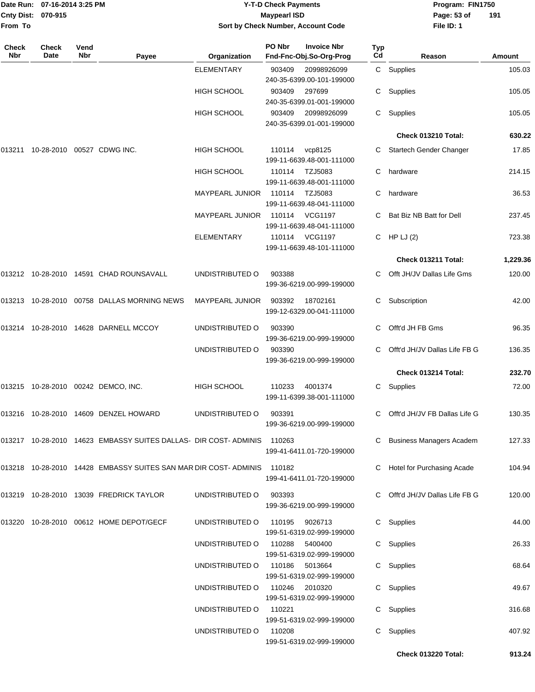| Date Run: 07-16-2014 3:25 PM |                    |      | <b>Y-T-D Check Payments</b> |              |                     |                                    |     | Program: FIN1750 |             |    |
|------------------------------|--------------------|------|-----------------------------|--------------|---------------------|------------------------------------|-----|------------------|-------------|----|
|                              | Cnty Dist: 070-915 |      |                             |              | <b>Maypearl ISD</b> |                                    |     |                  | Page: 53 of | 19 |
| From To                      |                    |      |                             |              |                     | Sort by Check Number, Account Code |     |                  | File ID: 1  |    |
| Check                        | Check              | Vend |                             |              | PO Nbr              | <b>Invoice Nbr</b>                 | Typ |                  |             |    |
| Nbr                          | Date               | Nbr  | <b>Pavee</b>                | Organization |                     | Fnd-Fnc-Obj.So-Org-Prog            | Cd  |                  | Reason      |    |
|                              |                    |      |                             | ELEMENTARY   | 903409              | 20998926099                        | C.  | Supplies         |             |    |
|                              |                    |      |                             |              |                     | 240 25 6200 00 101 100000          |     |                  |             |    |

| Program: FIN1750 |     |
|------------------|-----|
| Page: 53 of      | 191 |
| File ID: 1       |     |

| <b>Check</b><br>Nbr | <b>Check</b><br><b>Date</b> | Vend<br><b>Nbr</b> | Payee                                                                   | Organization           | PO Nbr         | <b>Invoice Nbr</b><br>Fnd-Fnc-Obj.So-Org-Prog | <b>Typ</b><br>Cd | Reason                          | Amount   |
|---------------------|-----------------------------|--------------------|-------------------------------------------------------------------------|------------------------|----------------|-----------------------------------------------|------------------|---------------------------------|----------|
|                     |                             |                    |                                                                         | <b>ELEMENTARY</b>      | 903409         | 20998926099<br>240-35-6399.00-101-199000      |                  | C Supplies                      | 105.03   |
|                     |                             |                    |                                                                         | <b>HIGH SCHOOL</b>     | 903409         | 297699<br>240-35-6399.01-001-199000           | C.               | Supplies                        | 105.05   |
|                     |                             |                    |                                                                         | <b>HIGH SCHOOL</b>     | 903409         | 20998926099<br>240-35-6399.01-001-199000      | C.               | Supplies                        | 105.05   |
|                     |                             |                    |                                                                         |                        |                |                                               |                  | Check 013210 Total:             | 630.22   |
| 013211              |                             |                    | 10-28-2010 00527 CDWG INC.                                              | HIGH SCHOOL            | 110114         | vcp8125<br>199-11-6639.48-001-111000          | C.               | Startech Gender Changer         | 17.85    |
|                     |                             |                    |                                                                         | HIGH SCHOOL            | 110114         | TZJ5083<br>199-11-6639.48-001-111000          | C                | hardware                        | 214.15   |
|                     |                             |                    |                                                                         | <b>MAYPEARL JUNIOR</b> | 110114         | TZJ5083<br>199-11-6639.48-041-111000          | C                | hardware                        | 36.53    |
|                     |                             |                    |                                                                         | <b>MAYPEARL JUNIOR</b> | 110114         | <b>VCG1197</b><br>199-11-6639.48-041-111000   |                  | Bat Biz NB Batt for Dell        | 237.45   |
|                     |                             |                    |                                                                         | <b>ELEMENTARY</b>      | 110114         | <b>VCG1197</b><br>199-11-6639.48-101-111000   |                  | C HP LJ $(2)$                   | 723.38   |
|                     |                             |                    |                                                                         |                        |                |                                               |                  | Check 013211 Total:             | 1,229.36 |
|                     |                             |                    | 013212 10-28-2010 14591 CHAD ROUNSAVALL                                 | UNDISTRIBUTED O        | 903388         | 199-36-6219.00-999-199000                     |                  | Offt JH/JV Dallas Life Gms      | 120.00   |
| 013213              |                             |                    | 10-28-2010 00758 DALLAS MORNING NEWS                                    | <b>MAYPEARL JUNIOR</b> | 903392         | 18702161<br>199-12-6329.00-041-111000         | С                | Subscription                    | 42.00    |
| 013214              |                             |                    | 10-28-2010  14628  DARNELL MCCOY                                        | UNDISTRIBUTED O        | 903390         | 199-36-6219.00-999-199000                     | C.               | Offt'd JH FB Gms                | 96.35    |
|                     |                             |                    |                                                                         | UNDISTRIBUTED O        | 903390         | 199-36-6219.00-999-199000                     |                  | Offt'd JH/JV Dallas Life FB G   | 136.35   |
|                     |                             |                    |                                                                         |                        |                |                                               |                  | Check 013214 Total:             | 232.70   |
|                     |                             |                    | 013215 10-28-2010 00242 DEMCO, INC.                                     | <b>HIGH SCHOOL</b>     | 110233         | 4001374<br>199-11-6399.38-001-111000          | C                | Supplies                        | 72.00    |
| 013216              | 10-28-2010                  |                    | 14609 DENZEL HOWARD                                                     | UNDISTRIBUTED O        | 903391         | 199-36-6219.00-999-199000                     | С                | Offt'd JH/JV FB Dallas Life G   | 130.35   |
|                     |                             |                    | 013217 10-28-2010 14623 EMBASSY SUITES DALLAS- DIR COST- ADMINIS 110263 |                        |                | 199-41-6411.01-720-199000                     |                  | C Business Managers Academ      | 127.33   |
|                     |                             |                    | 013218 10-28-2010 14428 EMBASSY SUITES SAN MAR DIR COST-ADMINIS 110182  |                        |                | 199-41-6411.01-720-199000                     |                  | C Hotel for Purchasing Acade    | 104.94   |
|                     |                             |                    | 013219 10-28-2010 13039 FREDRICK TAYLOR                                 | UNDISTRIBUTED O        | 903393         | 199-36-6219.00-999-199000                     |                  | C Offt'd JH/JV Dallas Life FB G | 120.00   |
|                     |                             |                    | 013220 10-28-2010 00612 HOME DEPOT/GECF                                 | UNDISTRIBUTED O        | 110195         | 9026713<br>199-51-6319.02-999-199000          |                  | C Supplies                      | 44.00    |
|                     |                             |                    |                                                                         | UNDISTRIBUTED O        | 110288         | 5400400<br>199-51-6319.02-999-199000          |                  | C Supplies                      | 26.33    |
|                     |                             |                    |                                                                         | UNDISTRIBUTED O        | 110186         | 5013664<br>199-51-6319.02-999-199000          |                  | C Supplies                      | 68.64    |
|                     |                             |                    |                                                                         | UNDISTRIBUTED O        | 110246 2010320 | 199-51-6319.02-999-199000                     |                  | C Supplies                      | 49.67    |
|                     |                             |                    |                                                                         | UNDISTRIBUTED O        | 110221         | 199-51-6319.02-999-199000                     |                  | C Supplies                      | 316.68   |
|                     |                             |                    |                                                                         | UNDISTRIBUTED O        | 110208         | 199-51-6319.02-999-199000                     |                  | C Supplies                      | 407.92   |
|                     |                             |                    |                                                                         |                        |                |                                               |                  | Check 013220 Total:             | 913.24   |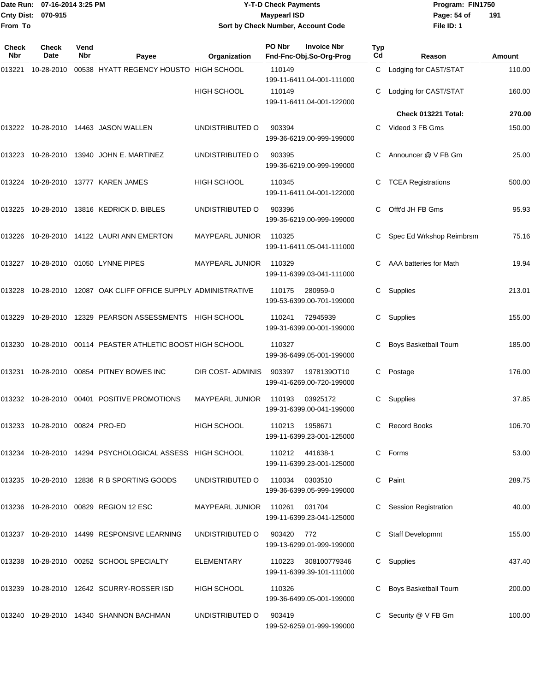#### Date Run: 07-16-2014 3:25 PM **Program:** FIN1750 **Cnty Dist:** 070-915 **Page: 54 of MaypearI ISD Page: 54 of Y-T-D Check Payments 070-915 Maypearl ISD Sort by Check Number, Account Code**

| Check<br>Nbr | <b>Check</b><br>Date    | Vend<br>Nbr | Payee                                                    | Organization           | PO Nbr | <b>Invoice Nbr</b><br>Fnd-Fnc-Obj.So-Org-Prog          | Typ<br>Cd | Reason                      | Amount |
|--------------|-------------------------|-------------|----------------------------------------------------------|------------------------|--------|--------------------------------------------------------|-----------|-----------------------------|--------|
| 013221       | 10-28-2010              |             | 00538 HYATT REGENCY HOUSTO HIGH SCHOOL                   |                        | 110149 |                                                        | C         | Lodging for CAST/STAT       | 110.00 |
|              |                         |             |                                                          | <b>HIGH SCHOOL</b>     | 110149 | 199-11-6411.04-001-111000<br>199-11-6411.04-001-122000 | C.        | Lodging for CAST/STAT       | 160.00 |
|              |                         |             |                                                          |                        |        |                                                        |           | Check 013221 Total:         | 270.00 |
|              |                         |             | 013222    10-28-2010    14463    JASON WALLEN            | UNDISTRIBUTED O        | 903394 | 199-36-6219.00-999-199000                              | C.        | Videod 3 FB Gms             | 150.00 |
| 013223       |                         |             | 10-28-2010  13940  JOHN E. MARTINEZ                      | UNDISTRIBUTED O        | 903395 | 199-36-6219.00-999-199000                              | C         | Announcer @ V FB Gm         | 25.00  |
|              |                         |             | 013224    10-28-2010    13777    KAREN JAMES             | HIGH SCHOOL            | 110345 | 199-11-6411.04-001-122000                              | С         | <b>TCEA Registrations</b>   | 500.00 |
| 013225       |                         |             | 10-28-2010  13816  KEDRICK D. BIBLES                     | UNDISTRIBUTED O        | 903396 | 199-36-6219.00-999-199000                              | C.        | Offt'd JH FB Gms            | 95.93  |
| 013226       |                         |             | 10-28-2010  14122  LAURI ANN EMERTON                     | <b>MAYPEARL JUNIOR</b> | 110325 | 199-11-6411.05-041-111000                              |           | Spec Ed Wrkshop Reimbrsm    | 75.16  |
| 013227       |                         |             | 10-28-2010 01050 LYNNE PIPES                             | MAYPEARL JUNIOR        | 110329 | 199-11-6399.03-041-111000                              |           | AAA batteries for Math      | 19.94  |
| 013228       |                         |             | 10-28-2010 12087 OAK CLIFF OFFICE SUPPLY ADMINISTRATIVE  |                        | 110175 | 280959-0<br>199-53-6399.00-701-199000                  | C.        | Supplies                    | 213.01 |
| 013229       |                         |             | 10-28-2010 12329 PEARSON ASSESSMENTS HIGH SCHOOL         |                        | 110241 | 72945939<br>199-31-6399.00-001-199000                  | C.        | Supplies                    | 155.00 |
| 013230       |                         |             | 10-28-2010 00114 PEASTER ATHLETIC BOOST HIGH SCHOOL      |                        | 110327 | 199-36-6499.05-001-199000                              | C         | Boys Basketball Tourn       | 185.00 |
|              |                         |             | 013231  10-28-2010  00854  PITNEY BOWES INC              | DIR COST-ADMINIS       | 903397 | 1978139OT10<br>199-41-6269.00-720-199000               | C.        | Postage                     | 176.00 |
|              |                         |             | 013232  10-28-2010  00401  POSITIVE PROMOTIONS           | <b>MAYPEARL JUNIOR</b> | 110193 | 03925172<br>199-31-6399.00-041-199000                  | C.        | Supplies                    | 37.85  |
| 013233       | 10-28-2010 00824 PRO-ED |             |                                                          | <b>HIGH SCHOOL</b>     | 110213 | 1958671<br>199-11-6399.23-001-125000                   | C         | <b>Record Books</b>         | 106.70 |
|              |                         |             | 013234 10-28-2010 14294 PSYCHOLOGICAL ASSESS HIGH SCHOOL |                        |        | 110212 441638-1<br>199-11-6399.23-001-125000           | C.        | Forms                       | 53.00  |
|              |                         |             | 013235 10-28-2010 12836 R B SPORTING GOODS               | UNDISTRIBUTED O        | 110034 | 0303510<br>199-36-6399.05-999-199000                   | C         | Paint                       | 289.75 |
|              |                         |             | 013236 10-28-2010 00829 REGION 12 ESC                    | <b>MAYPEARL JUNIOR</b> | 110261 | 031704<br>199-11-6399.23-041-125000                    |           | <b>Session Registration</b> | 40.00  |
|              |                         |             | 013237    10-28-2010    14499    RESPONSIVE LEARNING     | UNDISTRIBUTED O        | 903420 | 772<br>199-13-6299.01-999-199000                       |           | <b>Staff Developmnt</b>     | 155.00 |
|              |                         |             | 013238 10-28-2010 00252 SCHOOL SPECIALTY                 | ELEMENTARY             | 110223 | 308100779346<br>199-11-6399.39-101-111000              | C         | Supplies                    | 437.40 |
|              |                         |             | 013239 10-28-2010 12642 SCURRY-ROSSER ISD                | <b>HIGH SCHOOL</b>     | 110326 | 199-36-6499.05-001-199000                              |           | Boys Basketball Tourn       | 200.00 |
|              |                         |             | 013240 10-28-2010 14340 SHANNON BACHMAN                  | UNDISTRIBUTED O        | 903419 | 199-52-6259.01-999-199000                              |           | Security @ V FB Gm          | 100.00 |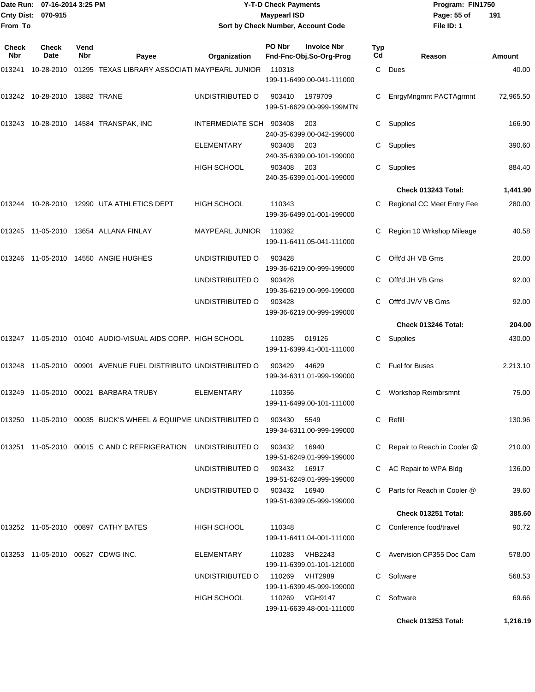|                     | Date Run: 07-16-2014 3:25 PM |                    |                                                                |                        | <b>Y-T-D Check Payments</b> |                                               |                  | Program: FIN1750              |           |  |
|---------------------|------------------------------|--------------------|----------------------------------------------------------------|------------------------|-----------------------------|-----------------------------------------------|------------------|-------------------------------|-----------|--|
|                     | Cnty Dist: 070-915           |                    |                                                                |                        | <b>Maypearl ISD</b>         |                                               |                  | Page: 55 of                   | 191       |  |
| From To             |                              |                    |                                                                |                        |                             | Sort by Check Number, Account Code            |                  | File ID: 1                    |           |  |
| <b>Check</b><br>Nbr | <b>Check</b><br>Date         | Vend<br><b>Nbr</b> | Payee                                                          | Organization           | PO Nbr                      | <b>Invoice Nbr</b><br>Fnd-Fnc-Obj.So-Org-Prog | <b>Typ</b><br>Cd | Reason                        | Amount    |  |
| 013241              | 10-28-2010                   |                    | 01295 TEXAS LIBRARY ASSOCIATI MAYPEARL JUNIOR                  |                        | 110318                      | 199-11-6499.00-041-111000                     | C                | Dues                          | 40.00     |  |
| 013242              | 10-28-2010                   |                    | 13882 TRANE                                                    | UNDISTRIBUTED O        | 903410                      | 1979709<br>199-51-6629.00-999-199MTN          | С                | EnrgyMngmnt PACTAgrmnt        | 72,965.50 |  |
|                     |                              |                    | 013243 10-28-2010 14584 TRANSPAK, INC                          | INTERMEDIATE SCH       | 903408                      | 203<br>240-35-6399.00-042-199000              | С                | Supplies                      | 166.90    |  |
|                     |                              |                    |                                                                | <b>ELEMENTARY</b>      | 903408                      | 203<br>240-35-6399.00-101-199000              | С                | Supplies                      | 390.60    |  |
|                     |                              |                    |                                                                | <b>HIGH SCHOOL</b>     | 903408                      | 203<br>240-35-6399.01-001-199000              | С                | Supplies                      | 884.40    |  |
|                     |                              |                    |                                                                |                        |                             |                                               |                  | Check 013243 Total:           | 1,441.90  |  |
| 013244              |                              |                    | 10-28-2010 12990 UTA ATHLETICS DEPT                            | <b>HIGH SCHOOL</b>     | 110343                      | 199-36-6499.01-001-199000                     | С                | Regional CC Meet Entry Fee    | 280.00    |  |
|                     |                              |                    | 013245 11-05-2010 13654 ALLANA FINLAY                          | <b>MAYPEARL JUNIOR</b> | 110362                      | 199-11-6411.05-041-111000                     | С                | Region 10 Wrkshop Mileage     | 40.58     |  |
|                     |                              |                    | 013246 11-05-2010 14550 ANGIE HUGHES                           | UNDISTRIBUTED O        | 903428                      | 199-36-6219.00-999-199000                     | С                | Offt'd JH VB Gms              | 20.00     |  |
|                     |                              |                    |                                                                | UNDISTRIBUTED O        | 903428                      | 199-36-6219.00-999-199000                     | С                | Offt'd JH VB Gms              | 92.00     |  |
|                     |                              |                    |                                                                | UNDISTRIBUTED O        | 903428                      | 199-36-6219.00-999-199000                     | С                | Offt'd JV/V VB Gms            | 92.00     |  |
|                     |                              |                    |                                                                |                        |                             |                                               |                  | Check 013246 Total:           | 204.00    |  |
| 013247              |                              |                    | 11-05-2010  01040  AUDIO-VISUAL AIDS CORP. HIGH SCHOOL         |                        | 110285                      | 019126<br>199-11-6399.41-001-111000           | С                | Supplies                      | 430.00    |  |
| 013248              | 11-05-2010                   |                    | 00901 AVENUE FUEL DISTRIBUTO UNDISTRIBUTED O                   |                        | 903429                      | 44629<br>199-34-6311.01-999-199000            | C                | <b>Fuel for Buses</b>         | 2,213.10  |  |
|                     |                              |                    | 013249 11-05-2010 00021 BARBARA TRUBY                          | ELEMENTARY             | 110356                      | 199-11-6499.00-101-111000                     |                  | Workshop Reimbrsmnt           | 75.00     |  |
|                     |                              |                    | 013250 11-05-2010 00035 BUCK'S WHEEL & EQUIPME_UNDISTRIBUTED O |                        | 903430                      | 5549<br>199-34-6311.00-999-199000             | C                | Refill                        | 130.96    |  |
|                     |                              |                    | 013251 11-05-2010 00015 C AND C REFRIGERATION UNDISTRIBUTED O  |                        | 903432                      | 16940                                         |                  | C Repair to Reach in Cooler @ | 210.00    |  |

199-51-6249.01-999-199000

199-11-6399.01-101-121000

UNDISTRIBUTED O 903432 16917 C AC Repair to WPA Bldg 136.00 199-51-6249.01-999-199000 UNDISTRIBUTED O 903432 16940 C Parts for Reach in Cooler @ 39.60 199-51-6399.05-999-199000 **Check 013251 Total: 385.60** 013252 11-05-2010 00897 CATHY BATES HIGH SCHOOL 110348 C Conference food/travel 90.72 199-11-6411.04-001-111000 013253 11-05-2010 00527 CDWG INC. ELEMENTARY 110283 VHB2243 C Avervision CP355 Doc Cam 578.00

> UNDISTRIBUTED O 110269 VHT2989 C Software C STATE C 568.53 199-11-6399.45-999-199000 HIGH SCHOOL 110269 VGH9147 C Software 69.66 199-11-6639.48-001-111000

**Check 013253 Total: 1,216.19**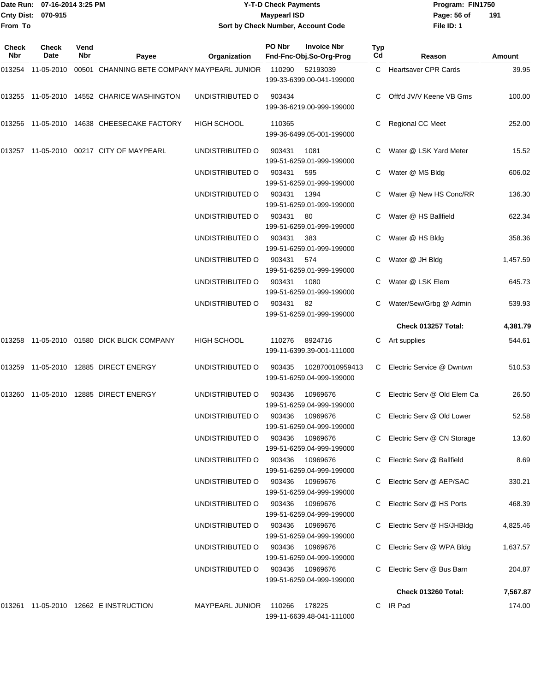#### Date Run: 07-16-2014 3:25 PM **Program:** FIN1750 **Cnty Dist:** 070-915 **Page:** 56 of **Y-T-D Check Payments 070-915 Maypearl ISD Sort by Check Number, Account Code**

| Check<br>Nbr | Check<br>Date | Vend<br><b>Nbr</b> | Payee                                         | Organization           | PO Nbr | <b>Invoice Nbr</b><br>Fnd-Fnc-Obj.So-Org-Prog | Typ<br>Cd | Reason                       | Amount   |
|--------------|---------------|--------------------|-----------------------------------------------|------------------------|--------|-----------------------------------------------|-----------|------------------------------|----------|
| 013254       | 11-05-2010    |                    | 00501 CHANNING BETE COMPANY MAYPEARL JUNIOR   |                        | 110290 | 52193039<br>199-33-6399.00-041-199000         |           | C Heartsaver CPR Cards       | 39.95    |
|              |               |                    | 013255 11-05-2010 14552 CHARICE WASHINGTON    | UNDISTRIBUTED O        | 903434 | 199-36-6219.00-999-199000                     |           | Offt'd JV/V Keene VB Gms     | 100.00   |
| 013256       |               |                    | 11-05-2010 14638 CHEESECAKE FACTORY           | <b>HIGH SCHOOL</b>     | 110365 | 199-36-6499.05-001-199000                     |           | Regional CC Meet             | 252.00   |
|              |               |                    | 013257 11-05-2010 00217 CITY OF MAYPEARL      | UNDISTRIBUTED O        | 903431 | 1081<br>199-51-6259.01-999-199000             |           | Water @ LSK Yard Meter       | 15.52    |
|              |               |                    |                                               | UNDISTRIBUTED O        | 903431 | 595<br>199-51-6259.01-999-199000              |           | Water @ MS Bldg              | 606.02   |
|              |               |                    |                                               | UNDISTRIBUTED O        | 903431 | 1394<br>199-51-6259.01-999-199000             |           | Water @ New HS Conc/RR       | 136.30   |
|              |               |                    |                                               | UNDISTRIBUTED O        | 903431 | 80<br>199-51-6259.01-999-199000               |           | Water @ HS Ballfield         | 622.34   |
|              |               |                    |                                               | UNDISTRIBUTED O        | 903431 | 383<br>199-51-6259.01-999-199000              | C.        | Water @ HS Bldg              | 358.36   |
|              |               |                    |                                               | UNDISTRIBUTED O        | 903431 | 574<br>199-51-6259.01-999-199000              |           | Water @ JH Bldg              | 1,457.59 |
|              |               |                    |                                               | UNDISTRIBUTED O        | 903431 | 1080<br>199-51-6259.01-999-199000             |           | Water @ LSK Elem             | 645.73   |
|              |               |                    |                                               | UNDISTRIBUTED O        | 903431 | 82<br>199-51-6259.01-999-199000               |           | Water/Sew/Grbg @ Admin       | 539.93   |
|              |               |                    |                                               |                        |        |                                               |           | Check 013257 Total:          | 4,381.79 |
|              |               |                    | 013258  11-05-2010  01580  DICK BLICK COMPANY | <b>HIGH SCHOOL</b>     | 110276 | 8924716<br>199-11-6399.39-001-111000          | С         | Art supplies                 | 544.61   |
| 013259       |               |                    | 11-05-2010  12885  DIRECT ENERGY              | UNDISTRIBUTED O        | 903435 | 102870010959413<br>199-51-6259.04-999-199000  | C         | Electric Service @ Dwntwn    | 510.53   |
| 013260       |               |                    | 11-05-2010  12885  DIRECT ENERGY              | UNDISTRIBUTED O        | 903436 | 10969676<br>199-51-6259.04-999-199000         |           | Electric Serv @ Old Elem Ca  | 26.50    |
|              |               |                    |                                               | UNDISTRIBUTED O        | 903436 | 10969676<br>199-51-6259.04-999-199000         | C.        | Electric Serv @ Old Lower    | 52.58    |
|              |               |                    |                                               | UNDISTRIBUTED O        | 903436 | 10969676<br>199-51-6259.04-999-199000         |           | C Electric Serv @ CN Storage | 13.60    |
|              |               |                    |                                               | UNDISTRIBUTED O        | 903436 | 10969676<br>199-51-6259.04-999-199000         |           | Electric Serv @ Ballfield    | 8.69     |
|              |               |                    |                                               | UNDISTRIBUTED O        | 903436 | 10969676<br>199-51-6259.04-999-199000         |           | Electric Serv @ AEP/SAC      | 330.21   |
|              |               |                    |                                               | UNDISTRIBUTED O        | 903436 | 10969676<br>199-51-6259.04-999-199000         |           | Electric Serv @ HS Ports     | 468.39   |
|              |               |                    |                                               | UNDISTRIBUTED O        | 903436 | 10969676<br>199-51-6259.04-999-199000         |           | C Electric Serv @ HS/JHBldg  | 4,825.46 |
|              |               |                    |                                               | UNDISTRIBUTED O        | 903436 | 10969676<br>199-51-6259.04-999-199000         |           | C Electric Serv @ WPA Bldg   | 1,637.57 |
|              |               |                    |                                               | UNDISTRIBUTED O        | 903436 | 10969676<br>199-51-6259.04-999-199000         |           | Electric Serv @ Bus Barn     | 204.87   |
|              |               |                    |                                               |                        |        |                                               |           | Check 013260 Total:          | 7,567.87 |
|              |               |                    | 013261  11-05-2010  12662  EINSTRUCTION       | <b>MAYPEARL JUNIOR</b> | 110266 | 178225<br>199-11-6639.48-041-111000           |           | C IR Pad                     | 174.00   |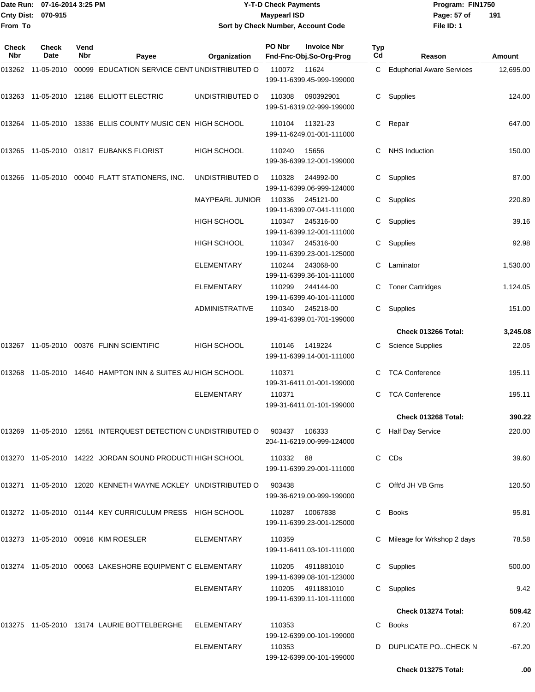|                     | Date Run: 07-16-2014 3:25 PM |             |                                                                |                        | <b>Y-T-D Check Payments</b> |                                               |           | Program: FIN1750                 |           |
|---------------------|------------------------------|-------------|----------------------------------------------------------------|------------------------|-----------------------------|-----------------------------------------------|-----------|----------------------------------|-----------|
|                     | Cnty Dist: 070-915           |             |                                                                |                        | <b>Maypearl ISD</b>         |                                               |           | Page: 57 of                      | 191       |
| From To             |                              |             |                                                                |                        |                             | Sort by Check Number, Account Code            |           | File ID: 1                       |           |
| <b>Check</b><br>Nbr | <b>Check</b><br>Date         | Vend<br>Nbr | Payee                                                          | Organization           | PO Nbr                      | <b>Invoice Nbr</b><br>Fnd-Fnc-Obj.So-Org-Prog | Typ<br>Cd | Reason                           | Amount    |
|                     | 013262 11-05-2010            |             | 00099 EDUCATION SERVICE CENT UNDISTRIBUTED O                   |                        | 110072                      | 11624<br>199-11-6399.45-999-199000            | C         | <b>Eduphorial Aware Services</b> | 12,695.00 |
|                     |                              |             | 013263 11-05-2010 12186 ELLIOTT ELECTRIC                       | UNDISTRIBUTED O        | 110308                      | 090392901<br>199-51-6319.02-999-199000        | C         | Supplies                         | 124.00    |
|                     |                              |             | 013264 11-05-2010 13336 ELLIS COUNTY MUSIC CEN HIGH SCHOOL     |                        | 110104                      | 11321-23<br>199-11-6249.01-001-111000         | C         | Repair                           | 647.00    |
|                     |                              |             | 013265 11-05-2010 01817 EUBANKS FLORIST                        | HIGH SCHOOL            | 110240                      | 15656<br>199-36-6399.12-001-199000            | C         | <b>NHS Induction</b>             | 150.00    |
| 013266              |                              |             | 11-05-2010  00040  FLATT STATIONERS, INC.                      | UNDISTRIBUTED O        | 110328                      | 244992-00<br>199-11-6399.06-999-124000        | C         | Supplies                         | 87.00     |
|                     |                              |             |                                                                | <b>MAYPEARL JUNIOR</b> | 110336                      | 245121-00<br>199-11-6399.07-041-111000        | C         | Supplies                         | 220.89    |
|                     |                              |             |                                                                | <b>HIGH SCHOOL</b>     | 110347                      | 245316-00<br>199-11-6399.12-001-111000        | С         | Supplies                         | 39.16     |
|                     |                              |             |                                                                | <b>HIGH SCHOOL</b>     | 110347                      | 245316-00<br>199-11-6399.23-001-125000        | C         | Supplies                         | 92.98     |
|                     |                              |             |                                                                | <b>ELEMENTARY</b>      | 110244                      | 243068-00<br>199-11-6399.36-101-111000        | С         | Laminator                        | 1,530.00  |
|                     |                              |             |                                                                | ELEMENTARY             | 110299                      | 244144-00<br>199-11-6399.40-101-111000        | C         | <b>Toner Cartridges</b>          | 1,124.05  |
|                     |                              |             |                                                                | <b>ADMINISTRATIVE</b>  | 110340                      | 245218-00<br>199-41-6399.01-701-199000        | C         | Supplies                         | 151.00    |
|                     |                              |             |                                                                |                        |                             |                                               |           | Check 013266 Total:              | 3,245.08  |
|                     |                              |             | 013267 11-05-2010 00376 FLINN SCIENTIFIC                       | <b>HIGH SCHOOL</b>     | 110146                      | 1419224<br>199-11-6399.14-001-111000          |           | <b>Science Supplies</b>          | 22.05     |
| 013268              |                              |             | 11-05-2010 14640 HAMPTON INN & SUITES AU HIGH SCHOOL           |                        | 110371                      | 199-31-6411.01-001-199000                     | C         | <b>TCA Conference</b>            | 195.11    |
|                     |                              |             |                                                                | <b>ELEMENTARY</b>      | 110371                      | 199-31-6411.01-101-199000                     |           | <b>TCA Conference</b>            | 195.11    |
|                     |                              |             |                                                                |                        |                             |                                               |           | Check 013268 Total:              | 390.22    |
|                     |                              |             | 013269 11-05-2010 12551 INTERQUEST DETECTION C UNDISTRIBUTED O |                        | 903437                      | 106333<br>204-11-6219.00-999-124000           |           | C Half Day Service               | 220.00    |
|                     |                              |             | 013270 11-05-2010 14222 JORDAN SOUND PRODUCTI HIGH SCHOOL      |                        | 110332                      | - 88<br>199-11-6399.29-001-111000             |           | C CDs                            | 39.60     |
|                     |                              |             | 013271 11-05-2010 12020 KENNETH WAYNE ACKLEY UNDISTRIBUTED O   |                        | 903438                      | 199-36-6219.00-999-199000                     |           | C Offt'd JH VB Gms               | 120.50    |
|                     |                              |             | 013272 11-05-2010 01144 KEY CURRICULUM PRESS HIGH SCHOOL       |                        |                             | 110287 10067838<br>199-11-6399.23-001-125000  |           | C Books                          | 95.81     |
|                     |                              |             | 013273 11-05-2010 00916 KIM ROESLER                            | ELEMENTARY             | 110359                      | 199-11-6411.03-101-111000                     |           | C Mileage for Wrkshop 2 days     | 78.58     |
|                     |                              |             | 013274 11-05-2010 00063 LAKESHORE EQUIPMENT C ELEMENTARY       |                        | 110205                      | 4911881010<br>199-11-6399.08-101-123000       |           | C Supplies                       | 500.00    |
|                     |                              |             |                                                                | <b>ELEMENTARY</b>      | 110205                      | 4911881010<br>199-11-6399.11-101-111000       |           | C Supplies                       | 9.42      |
|                     |                              |             |                                                                |                        |                             |                                               |           | Check 013274 Total:              | 509.42    |
|                     |                              |             | 013275 11-05-2010 13174 LAURIE BOTTELBERGHE                    | ELEMENTARY             | 110353                      | 199-12-6399.00-101-199000                     | C         | Books                            | 67.20     |
|                     |                              |             |                                                                | ELEMENTARY             | 110353                      |                                               |           | D DUPLICATE POCHECK N            | $-67.20$  |

199-12-6399.00-101-199000

**Check 013275 Total: .00**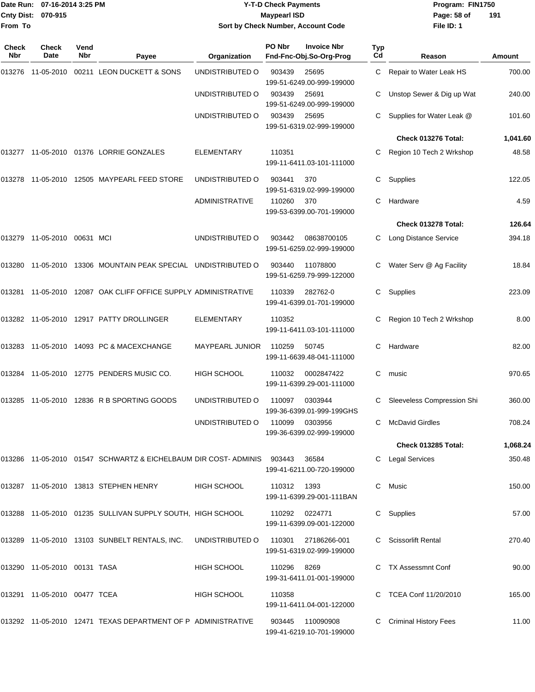|                    | Date Run: 07-16-2014 3:25 PM |
|--------------------|------------------------------|
| Cnty Dist: 070-915 |                              |
| lFrom To           |                              |

## **Date Run: Program: FIN1750 07-16-2014 3:25 PM Y-T-D Check Payments Cnty Dist: Page: 58 of 070-915 Maypearl ISD Sort by Check Number, Account Code**

| Check<br><b>Nbr</b> | <b>Check</b><br>Date         | Vend<br>Nbr | Payee                                                                  | Organization          | PO Nbr      | <b>Invoice Nbr</b><br>Fnd-Fnc-Obj.So-Org-Prog | Typ<br>Cd | Reason                       | Amount   |
|---------------------|------------------------------|-------------|------------------------------------------------------------------------|-----------------------|-------------|-----------------------------------------------|-----------|------------------------------|----------|
| 013276              |                              |             | 11-05-2010  00211  LEON DUCKETT & SONS                                 | UNDISTRIBUTED O       | 903439      | 25695<br>199-51-6249.00-999-199000            | C         | Repair to Water Leak HS      | 700.00   |
|                     |                              |             |                                                                        | UNDISTRIBUTED O       | 903439      | 25691<br>199-51-6249.00-999-199000            |           | Unstop Sewer & Dig up Wat    | 240.00   |
|                     |                              |             |                                                                        | UNDISTRIBUTED O       | 903439      | 25695<br>199-51-6319.02-999-199000            |           | Supplies for Water Leak @    | 101.60   |
|                     |                              |             |                                                                        |                       |             |                                               |           | Check 013276 Total:          | 1,041.60 |
| 013277              |                              |             | 11-05-2010  01376  LORRIE GONZALES                                     | ELEMENTARY            | 110351      | 199-11-6411.03-101-111000                     |           | Region 10 Tech 2 Wrkshop     | 48.58    |
| 013278              |                              |             | 11-05-2010  12505  MAYPEARL FEED STORE                                 | UNDISTRIBUTED O       | 903441      | 370<br>199-51-6319.02-999-199000              | С         | Supplies                     | 122.05   |
|                     |                              |             |                                                                        | <b>ADMINISTRATIVE</b> | 110260      | 370<br>199-53-6399.00-701-199000              | C         | Hardware                     | 4.59     |
|                     |                              |             |                                                                        |                       |             |                                               |           | Check 013278 Total:          | 126.64   |
|                     | 013279 11-05-2010 00631 MCI  |             |                                                                        | UNDISTRIBUTED O       | 903442      | 08638700105<br>199-51-6259.02-999-199000      |           | Long Distance Service        | 394.18   |
| 013280              | 11-05-2010                   |             | 13306 MOUNTAIN PEAK SPECIAL UNDISTRIBUTED O                            |                       | 903440      | 11078800<br>199-51-6259.79-999-122000         | C         | Water Serv @ Ag Facility     | 18.84    |
|                     |                              |             | 013281 11-05-2010 12087 OAK CLIFF OFFICE SUPPLY ADMINISTRATIVE         |                       | 110339      | 282762-0<br>199-41-6399.01-701-199000         | С         | Supplies                     | 223.09   |
|                     |                              |             | 013282 11-05-2010 12917 PATTY DROLLINGER                               | <b>ELEMENTARY</b>     | 110352      | 199-11-6411.03-101-111000                     |           | Region 10 Tech 2 Wrkshop     | 8.00     |
| 013283              |                              |             | 11-05-2010  14093  PC & MACEXCHANGE                                    | MAYPEARL JUNIOR       | 110259      | 50745<br>199-11-6639.48-041-111000            | С         | Hardware                     | 82.00    |
|                     |                              |             | 013284 11-05-2010 12775 PENDERS MUSIC CO.                              | <b>HIGH SCHOOL</b>    | 110032      | 0002847422<br>199-11-6399.29-001-111000       | С         | music                        | 970.65   |
| 013285              |                              |             | 11-05-2010  12836  R B SPORTING GOODS                                  | UNDISTRIBUTED O       | 110097      | 0303944<br>199-36-6399.01-999-199GHS          |           | Sleeveless Compression Shi   | 360.00   |
|                     |                              |             |                                                                        | UNDISTRIBUTED O       | 110099      | 0303956<br>199-36-6399.02-999-199000          | C         | <b>McDavid Girdles</b>       | 708.24   |
|                     |                              |             |                                                                        |                       |             |                                               |           | Check 013285 Total:          | 1,068.24 |
|                     |                              |             | 013286 11-05-2010 01547 SCHWARTZ & EICHELBAUM DIR COST- ADMINIS 903443 |                       |             | 36584<br>199-41-6211.00-720-199000            | C         | <b>Legal Services</b>        | 350.48   |
|                     |                              |             | 013287 11-05-2010 13813 STEPHEN HENRY                                  | <b>HIGH SCHOOL</b>    | 110312 1393 | 199-11-6399.29-001-111BAN                     | C         | Music                        | 150.00   |
|                     |                              |             | 013288 11-05-2010 01235 SULLIVAN SUPPLY SOUTH, HIGH SCHOOL             |                       |             | 110292 0224771<br>199-11-6399.09-001-122000   | C         | Supplies                     | 57.00    |
|                     |                              |             | 013289 11-05-2010 13103 SUNBELT RENTALS, INC.                          | UNDISTRIBUTED O       | 110301      | 27186266-001<br>199-51-6319.02-999-199000     |           | <b>Scissorlift Rental</b>    | 270.40   |
|                     | 013290 11-05-2010 00131 TASA |             |                                                                        | <b>HIGH SCHOOL</b>    | 110296      | 8269<br>199-31-6411.01-001-199000             |           | <b>TX Assessmnt Conf</b>     | 90.00    |
|                     | 013291 11-05-2010 00477 TCEA |             |                                                                        | HIGH SCHOOL           | 110358      | 199-11-6411.04-001-122000                     |           | TCEA Conf 11/20/2010         | 165.00   |
|                     |                              |             | 013292 11-05-2010 12471 TEXAS DEPARTMENT OF P ADMINISTRATIVE           |                       |             | 903445 110090908<br>199-41-6219.10-701-199000 | C         | <b>Criminal History Fees</b> | 11.00    |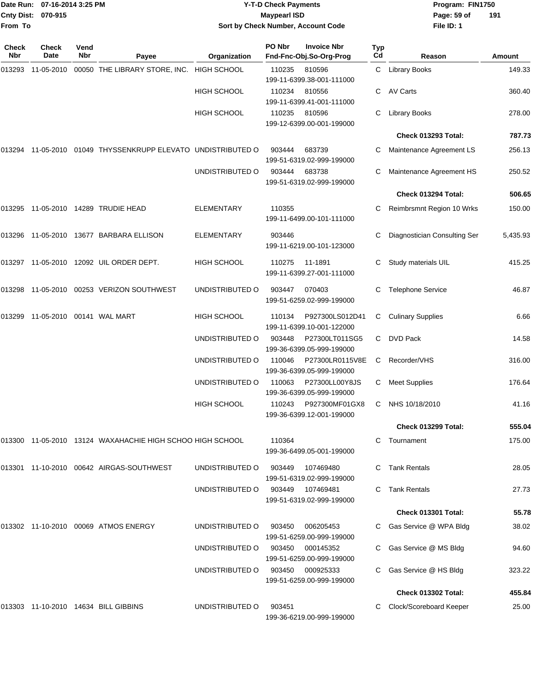#### Date Run: 07-16-2014 3:25 PM **Program:** FIN1750 **Cnty Dist:** 070-915 **Page:** 59 of **Y-T-D Check Payments 070-915 Maypearl ISD Sort by Check Number, Account Code**

| Check<br>Nbr | Check<br>Date | Vend<br>Nbr | Payee                                                     | Organization       | PO Nbr | <b>Invoice Nbr</b><br>Fnd-Fnc-Obj.So-Org-Prog | Typ<br>Cd | Reason                       | Amount   |
|--------------|---------------|-------------|-----------------------------------------------------------|--------------------|--------|-----------------------------------------------|-----------|------------------------------|----------|
| 013293       | 11-05-2010    |             | 00050 THE LIBRARY STORE, INC.                             | <b>HIGH SCHOOL</b> | 110235 | 810596<br>199-11-6399.38-001-111000           |           | C Library Books              | 149.33   |
|              |               |             |                                                           | <b>HIGH SCHOOL</b> | 110234 | 810556<br>199-11-6399.41-001-111000           | C.        | <b>AV Carts</b>              | 360.40   |
|              |               |             |                                                           | HIGH SCHOOL        | 110235 | 810596<br>199-12-6399.00-001-199000           | C         | <b>Library Books</b>         | 278.00   |
|              |               |             |                                                           |                    |        |                                               |           | Check 013293 Total:          | 787.73   |
| 013294       |               |             | 11-05-2010 01049 THYSSENKRUPP ELEVATO UNDISTRIBUTED O     |                    | 903444 | 683739<br>199-51-6319.02-999-199000           |           | Maintenance Agreement LS     | 256.13   |
|              |               |             |                                                           | UNDISTRIBUTED O    | 903444 | 683738<br>199-51-6319.02-999-199000           | C         | Maintenance Agreement HS     | 250.52   |
|              |               |             |                                                           |                    |        |                                               |           | Check 013294 Total:          | 506.65   |
| 013295       |               |             | 11-05-2010  14289  TRUDIE HEAD                            | <b>ELEMENTARY</b>  | 110355 | 199-11-6499.00-101-111000                     | C         | Reimbrsmnt Region 10 Wrks    | 150.00   |
| 013296       |               |             | 11-05-2010 13677 BARBARA ELLISON                          | <b>ELEMENTARY</b>  | 903446 | 199-11-6219.00-101-123000                     |           | Diagnostician Consulting Ser | 5,435.93 |
| 013297       |               |             | 11-05-2010 12092 UIL ORDER DEPT.                          | <b>HIGH SCHOOL</b> | 110275 | 11-1891<br>199-11-6399.27-001-111000          |           | Study materials UIL          | 415.25   |
| 013298       | 11-05-2010    |             | 00253 VERIZON SOUTHWEST                                   | UNDISTRIBUTED O    | 903447 | 070403<br>199-51-6259.02-999-199000           | C         | <b>Telephone Service</b>     | 46.87    |
| 013299       |               |             | 11-05-2010    00141    WAL MART                           | HIGH SCHOOL        | 110134 | P927300LS012D41<br>199-11-6399.10-001-122000  | C         | <b>Culinary Supplies</b>     | 6.66     |
|              |               |             |                                                           | UNDISTRIBUTED O    | 903448 | P27300LT011SG5<br>199-36-6399.05-999-199000   | C         | <b>DVD Pack</b>              | 14.58    |
|              |               |             |                                                           | UNDISTRIBUTED O    | 110046 | P27300LR0115V8E<br>199-36-6399.05-999-199000  | C         | Recorder/VHS                 | 316.00   |
|              |               |             |                                                           | UNDISTRIBUTED O    | 110063 | P27300LL00Y8JS<br>199-36-6399.05-999-199000   | C         | <b>Meet Supplies</b>         | 176.64   |
|              |               |             |                                                           | HIGH SCHOOL        | 110243 | P927300MF01GX8<br>199-36-6399.12-001-199000   | C         | NHS 10/18/2010               | 41.16    |
|              |               |             |                                                           |                    |        |                                               |           | Check 013299 Total:          | 555.04   |
|              |               |             | 013300 11-05-2010 13124 WAXAHACHIE HIGH SCHOO HIGH SCHOOL |                    | 110364 | 199-36-6499.05-001-199000                     |           | Tournament                   | 175.00   |
|              |               |             | 013301  11-10-2010  00642  AIRGAS-SOUTHWEST               | UNDISTRIBUTED O    | 903449 | 107469480<br>199-51-6319.02-999-199000        |           | C Tank Rentals               | 28.05    |
|              |               |             |                                                           | UNDISTRIBUTED O    | 903449 | 107469481<br>199-51-6319.02-999-199000        | C.        | <b>Tank Rentals</b>          | 27.73    |
|              |               |             |                                                           |                    |        |                                               |           | Check 013301 Total:          | 55.78    |
|              |               |             | 013302 11-10-2010 00069 ATMOS ENERGY                      | UNDISTRIBUTED O    | 903450 | 006205453<br>199-51-6259.00-999-199000        |           | C Gas Service @ WPA Bldg     | 38.02    |
|              |               |             |                                                           | UNDISTRIBUTED O    | 903450 | 000145352<br>199-51-6259.00-999-199000        |           | Gas Service @ MS Bldg        | 94.60    |
|              |               |             |                                                           | UNDISTRIBUTED O    | 903450 | 000925333<br>199-51-6259.00-999-199000        |           | Gas Service @ HS Bldg        | 323.22   |
|              |               |             |                                                           |                    |        |                                               |           | Check 013302 Total:          | 455.84   |
|              |               |             | 013303 11-10-2010 14634 BILL GIBBINS                      | UNDISTRIBUTED O    | 903451 | 199-36-6219.00-999-199000                     |           | Clock/Scoreboard Keeper      | 25.00    |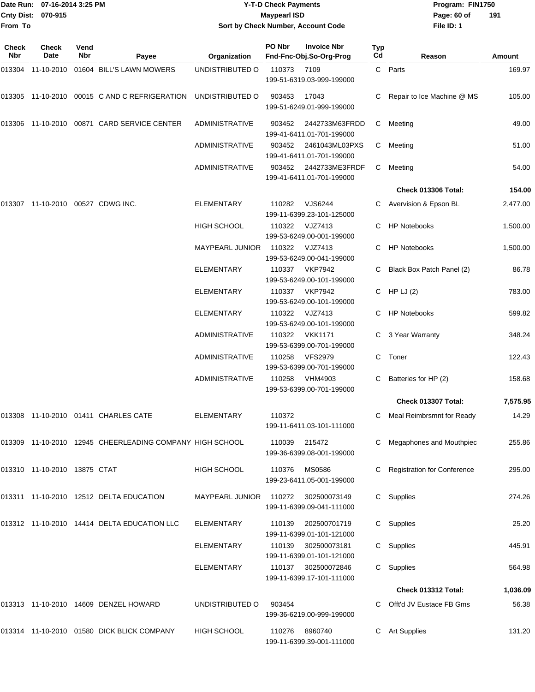#### Date Run: 07-16-2014 3:25 PM **Program:** FIN1750 **Cnty Dist:** 070-915 **Page: 60 of MaypearI ISD Page: 60 of Y-T-D Check Payments 070-915 Maypearl ISD Sort by Check Number, Account Code**

| Check<br>Nbr | <b>Check</b><br>Date         | Vend<br>Nbr | Payee                                                    | Organization           | PO Nbr | <b>Invoice Nbr</b><br>Fnd-Fnc-Obj.So-Org-Prog    | Typ<br>Cd | Reason                        | Amount   |
|--------------|------------------------------|-------------|----------------------------------------------------------|------------------------|--------|--------------------------------------------------|-----------|-------------------------------|----------|
|              |                              |             | 013304 11-10-2010 01604 BILL'S LAWN MOWERS               | UNDISTRIBUTED O        | 110373 | 7109<br>199-51-6319.03-999-199000                |           | C Parts                       | 169.97   |
| 013305       |                              |             | 11-10-2010 00015 C AND C REFRIGERATION                   | UNDISTRIBUTED O        | 903453 | 17043<br>199-51-6249.01-999-199000               | C         | Repair to Ice Machine @ MS    | 105.00   |
| 013306       |                              |             | 11-10-2010 00871 CARD SERVICE CENTER                     | <b>ADMINISTRATIVE</b>  | 903452 | 2442733M63FRDD<br>199-41-6411.01-701-199000      | C.        | Meeting                       | 49.00    |
|              |                              |             |                                                          | <b>ADMINISTRATIVE</b>  | 903452 | 2461043ML03PXS<br>199-41-6411.01-701-199000      | C         | Meeting                       | 51.00    |
|              |                              |             |                                                          | <b>ADMINISTRATIVE</b>  | 903452 | 2442733ME3FRDF<br>199-41-6411.01-701-199000      | C.        | Meeting                       | 54.00    |
|              |                              |             |                                                          |                        |        |                                                  |           | <b>Check 013306 Total:</b>    | 154.00   |
| 013307       | 11-10-2010 00527 CDWG INC.   |             |                                                          | ELEMENTARY             | 110282 | VJS6244<br>199-11-6399.23-101-125000             |           | C Avervision & Epson BL       | 2,477.00 |
|              |                              |             |                                                          | <b>HIGH SCHOOL</b>     | 110322 | VJZ7413<br>199-53-6249.00-001-199000             |           | <b>HP Notebooks</b>           | 1,500.00 |
|              |                              |             |                                                          | <b>MAYPEARL JUNIOR</b> | 110322 | VJZ7413<br>199-53-6249.00-041-199000             |           | <b>HP Notebooks</b>           | 1,500.00 |
|              |                              |             |                                                          | <b>ELEMENTARY</b>      | 110337 | <b>VKP7942</b><br>199-53-6249.00-101-199000      |           | C Black Box Patch Panel (2)   | 86.78    |
|              |                              |             |                                                          | <b>ELEMENTARY</b>      | 110337 | <b>VKP7942</b><br>199-53-6249.00-101-199000      |           | C HP LJ $(2)$                 | 783.00   |
|              |                              |             |                                                          | ELEMENTARY             | 110322 | VJZ7413<br>199-53-6249.00-101-199000             |           | <b>HP Notebooks</b>           | 599.82   |
|              |                              |             |                                                          | <b>ADMINISTRATIVE</b>  | 110322 | <b>VKK1171</b><br>199-53-6399.00-701-199000      | C.        | 3 Year Warranty               | 348.24   |
|              |                              |             |                                                          | <b>ADMINISTRATIVE</b>  | 110258 | <b>VFS2979</b><br>199-53-6399.00-701-199000      | C.        | Toner                         | 122.43   |
|              |                              |             |                                                          | ADMINISTRATIVE         | 110258 | <b>VHM4903</b><br>199-53-6399.00-701-199000      |           | Batteries for HP (2)          | 158.68   |
|              |                              |             |                                                          |                        |        |                                                  |           | Check 013307 Total:           | 7,575.95 |
| 013308       |                              |             | 11-10-2010 01411 CHARLES CATE                            | ELEMENTARY             | 110372 | 199-11-6411.03-101-111000                        |           | Meal Reimbrsmnt for Ready     | 14.29    |
|              |                              |             | 013309 11-10-2010 12945 CHEERLEADING COMPANY HIGH SCHOOL |                        | 110039 | 215472<br>199-36-6399.08-001-199000              |           | C Megaphones and Mouthpiec    | 255.86   |
|              | 013310 11-10-2010 13875 CTAT |             |                                                          | HIGH SCHOOL            | 110376 | <b>MS0586</b><br>199-23-6411.05-001-199000       |           | C Registration for Conference | 295.00   |
|              |                              |             | 013311 11-10-2010 12512 DELTA EDUCATION                  | <b>MAYPEARL JUNIOR</b> | 110272 | 302500073149<br>199-11-6399.09-041-111000        |           | C Supplies                    | 274.26   |
|              |                              |             | 013312 11-10-2010 14414 DELTA EDUCATION LLC              | <b>ELEMENTARY</b>      | 110139 | 202500701719<br>199-11-6399.01-101-121000        |           | C Supplies                    | 25.20    |
|              |                              |             |                                                          | <b>ELEMENTARY</b>      | 110139 | 302500073181<br>199-11-6399.01-101-121000        |           | C Supplies                    | 445.91   |
|              |                              |             |                                                          | <b>ELEMENTARY</b>      |        | 110137 302500072846<br>199-11-6399.17-101-111000 |           | C Supplies                    | 564.98   |
|              |                              |             |                                                          |                        |        |                                                  |           | Check 013312 Total:           | 1,036.09 |
|              |                              |             | 013313 11-10-2010 14609 DENZEL HOWARD                    | UNDISTRIBUTED O        | 903454 | 199-36-6219.00-999-199000                        |           | C Offt'd JV Eustace FB Gms    | 56.38    |
|              |                              |             | 013314 11-10-2010 01580 DICK BLICK COMPANY               | HIGH SCHOOL            | 110276 | 8960740<br>199-11-6399.39-001-111000             |           | C Art Supplies                | 131.20   |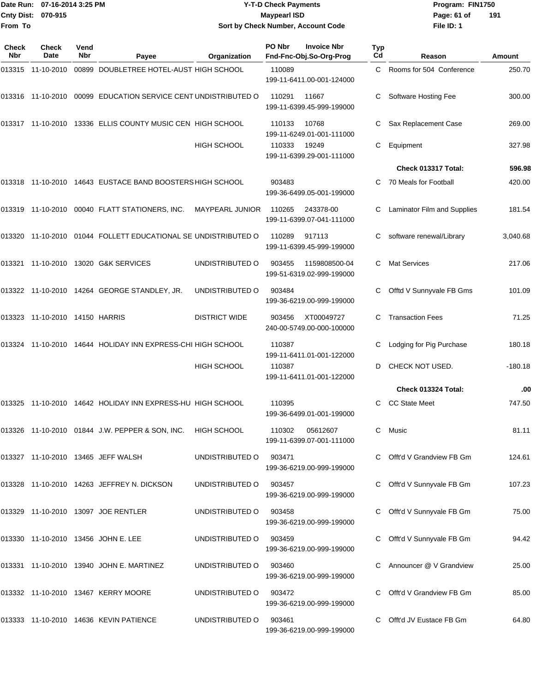|                    | Date Run: 07-16-2014 3:25 PM | <b>Y-T-D Check Payments</b>        | Program: FIN1750              |
|--------------------|------------------------------|------------------------------------|-------------------------------|
| Cnty Dist: 070-915 |                              | <b>Mavpearl ISD</b>                | $\overline{1}$<br>Page: 61 of |
| From To            |                              | Sort by Check Number, Account Code | File ID: 1                    |

# **Sort by Check Number, Account Code**

| Check<br>Nbr | Check<br>Date                  | Vend<br>Nbr | Payee                                                          | Organization         | PO Nbr | <b>Invoice Nbr</b><br>Fnd-Fnc-Obj.So-Org-Prog | <b>Typ</b><br>Cd | Reason                      | <b>Amount</b> |
|--------------|--------------------------------|-------------|----------------------------------------------------------------|----------------------|--------|-----------------------------------------------|------------------|-----------------------------|---------------|
|              | 013315 11-10-2010              |             | 00899 DOUBLETREE HOTEL-AUST HIGH SCHOOL                        |                      | 110089 | 199-11-6411.00-001-124000                     | C                | Rooms for 504 Conference    | 250.70        |
|              |                                |             | 013316 11-10-2010 00099 EDUCATION SERVICE CENT UNDISTRIBUTED O |                      | 110291 | 11667<br>199-11-6399.45-999-199000            |                  | Software Hosting Fee        | 300.00        |
|              |                                |             | 013317 11-10-2010 13336 ELLIS COUNTY MUSIC CEN HIGH SCHOOL     |                      | 110133 | 10768<br>199-11-6249.01-001-111000            |                  | Sax Replacement Case        | 269.00        |
|              |                                |             |                                                                | <b>HIGH SCHOOL</b>   | 110333 | 19249<br>199-11-6399.29-001-111000            | C                | Equipment                   | 327.98        |
|              |                                |             |                                                                |                      |        |                                               |                  | Check 013317 Total:         | 596.98        |
|              |                                |             | 013318 11-10-2010 14643 EUSTACE BAND BOOSTERS HIGH SCHOOL      |                      | 903483 | 199-36-6499.05-001-199000                     |                  | 70 Meals for Football       | 420.00        |
|              |                                |             | 013319 11-10-2010 00040 FLATT STATIONERS, INC.                 | MAYPEARL JUNIOR      | 110265 | 243378-00<br>199-11-6399.07-041-111000        | C                | Laminator Film and Supplies | 181.54        |
|              |                                |             | 013320 11-10-2010 01044 FOLLETT EDUCATIONAL SE UNDISTRIBUTED O |                      | 110289 | 917113<br>199-11-6399.45-999-199000           |                  | software renewal/Library    | 3,040.68      |
|              |                                |             | 013321 11-10-2010 13020 G&K SERVICES                           | UNDISTRIBUTED O      | 903455 | 1159808500-04<br>199-51-6319.02-999-199000    | C                | <b>Mat Services</b>         | 217.06        |
|              |                                |             | 013322 11-10-2010 14264 GEORGE STANDLEY, JR.                   | UNDISTRIBUTED O      | 903484 | 199-36-6219.00-999-199000                     |                  | Offtd V Sunnyvale FB Gms    | 101.09        |
|              | 013323 11-10-2010 14150 HARRIS |             |                                                                | <b>DISTRICT WIDE</b> | 903456 | XT00049727<br>240-00-5749.00-000-100000       | C                | <b>Transaction Fees</b>     | 71.25         |
|              |                                |             | 013324 11-10-2010 14644 HOLIDAY INN EXPRESS-CHI HIGH SCHOOL    |                      | 110387 | 199-11-6411.01-001-122000                     | C                | Lodging for Pig Purchase    | 180.18        |
|              |                                |             |                                                                | <b>HIGH SCHOOL</b>   | 110387 | 199-11-6411.01-001-122000                     | D                | CHECK NOT USED.             | $-180.18$     |
|              |                                |             |                                                                |                      |        |                                               |                  | Check 013324 Total:         | .00           |
|              |                                |             | 013325 11-10-2010 14642 HOLIDAY INN EXPRESS-HU HIGH SCHOOL     |                      | 110395 | 199-36-6499.01-001-199000                     |                  | <b>CC State Meet</b>        | 747.50        |
|              |                                |             | 013326 11-10-2010 01844 J.W. PEPPER & SON, INC.                | <b>HIGH SCHOOL</b>   | 110302 | 05612607<br>199-11-6399.07-001-111000         |                  | C Music                     | 81.11         |
|              |                                |             | 013327 11-10-2010 13465 JEFF WALSH                             | UNDISTRIBUTED O      | 903471 | 199-36-6219.00-999-199000                     |                  | C Offt'd V Grandview FB Gm  | 124.61        |
|              |                                |             | 013328 11-10-2010 14263 JEFFREY N. DICKSON                     | UNDISTRIBUTED O      | 903457 | 199-36-6219.00-999-199000                     |                  | Offt'd V Sunnyvale FB Gm    | 107.23        |
|              |                                |             | 013329 11-10-2010 13097 JOE RENTLER                            | UNDISTRIBUTED O      | 903458 | 199-36-6219.00-999-199000                     |                  | C Offt'd V Sunnyvale FB Gm  | 75.00         |
|              |                                |             | 013330 11-10-2010 13456 JOHN E. LEE                            | UNDISTRIBUTED O      | 903459 | 199-36-6219.00-999-199000                     |                  | Offt'd V Sunnyvale FB Gm    | 94.42         |
|              |                                |             | 013331 11-10-2010 13940 JOHN E. MARTINEZ                       | UNDISTRIBUTED O      | 903460 | 199-36-6219.00-999-199000                     |                  | Announcer @ V Grandview     | 25.00         |
|              |                                |             | 013332 11-10-2010 13467 KERRY MOORE                            | UNDISTRIBUTED O      | 903472 | 199-36-6219.00-999-199000                     |                  | Offt'd V Grandview FB Gm    | 85.00         |
|              |                                |             | 013333 11-10-2010 14636 KEVIN PATIENCE                         | UNDISTRIBUTED O      | 903461 | 199-36-6219.00-999-199000                     |                  | C Offt'd JV Eustace FB Gm   | 64.80         |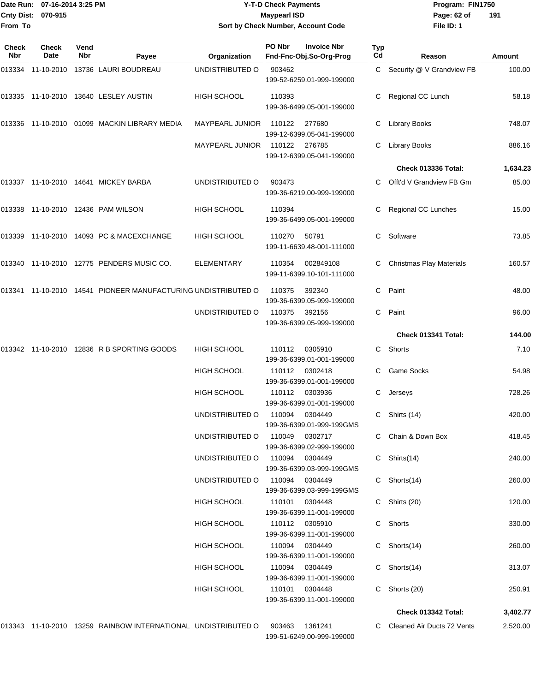#### Date Run: 07-16-2014 3:25 PM **Program:** FIN1750 **Cnty Dist:** 070-915 **Page: 62 of** Maypearl ISD **Contract Contract Contract Contract Contract Contract Contract Contract Contract Contract Contract Contract Contract Contract Contract Contract Contract Contract Contract Co Y-T-D Check Payments 070-915 Maypearl ISD Sort by Check Number, Account Code**

| Check<br>Nbr | Check<br>Date | Vend<br>Nbr | Payee                                                         | Organization               | PO Nbr | <b>Invoice Nbr</b><br>Fnd-Fnc-Obj.So-Org-Prog          | Typ<br>Cd | Reason                          | Amount           |
|--------------|---------------|-------------|---------------------------------------------------------------|----------------------------|--------|--------------------------------------------------------|-----------|---------------------------------|------------------|
| 013334       | 11-10-2010    |             | 13736 LAURI BOUDREAU                                          | UNDISTRIBUTED O            | 903462 | 199-52-6259.01-999-199000                              |           | C Security @ V Grandview FB     | 100.00           |
|              |               |             | 013335 11-10-2010 13640 LESLEY AUSTIN                         | HIGH SCHOOL                | 110393 | 199-36-6499.05-001-199000                              | С         | Regional CC Lunch               | 58.18            |
|              |               |             | 013336 11-10-2010 01099 MACKIN LIBRARY MEDIA                  | <b>MAYPEARL JUNIOR</b>     | 110122 | 277680<br>199-12-6399.05-041-199000                    |           | <b>Library Books</b>            | 748.07           |
|              |               |             |                                                               | <b>MAYPEARL JUNIOR</b>     | 110122 | 276785<br>199-12-6399.05-041-199000                    | C.        | <b>Library Books</b>            | 886.16           |
|              |               |             |                                                               |                            |        |                                                        |           | Check 013336 Total:             | 1,634.23         |
|              |               |             | 013337 11-10-2010 14641 MICKEY BARBA                          | UNDISTRIBUTED O            | 903473 | 199-36-6219.00-999-199000                              | C.        | Offt'd V Grandview FB Gm        | 85.00            |
|              |               |             | 013338 11-10-2010 12436 PAM WILSON                            | HIGH SCHOOL                | 110394 | 199-36-6499.05-001-199000                              | С         | Regional CC Lunches             | 15.00            |
|              |               |             | 013339 11-10-2010 14093 PC & MACEXCHANGE                      | HIGH SCHOOL                | 110270 | 50791<br>199-11-6639.48-001-111000                     | С         | Software                        | 73.85            |
|              |               |             | 013340 11-10-2010 12775 PENDERS MUSIC CO.                     | <b>ELEMENTARY</b>          | 110354 | 002849108<br>199-11-6399.10-101-111000                 |           | <b>Christmas Play Materials</b> | 160.57           |
|              |               |             | 013341 11-10-2010 14541 PIONEER MANUFACTURING UNDISTRIBUTED O |                            | 110375 | 392340<br>199-36-6399.05-999-199000                    | C         | Paint                           | 48.00            |
|              |               |             |                                                               | UNDISTRIBUTED O            | 110375 | 392156<br>199-36-6399.05-999-199000                    | C         | Paint                           | 96.00            |
|              |               |             |                                                               |                            |        |                                                        |           | Check 013341 Total:             | 144.00           |
|              |               |             | 013342 11-10-2010 12836 R B SPORTING GOODS                    | <b>HIGH SCHOOL</b>         | 110112 | 0305910<br>199-36-6399.01-001-199000                   | C.        | Shorts                          | 7.10             |
|              |               |             |                                                               | HIGH SCHOOL                | 110112 | 0302418<br>199-36-6399.01-001-199000                   | С         | <b>Game Socks</b>               | 54.98            |
|              |               |             |                                                               | HIGH SCHOOL                | 110112 | 0303936<br>199-36-6399.01-001-199000                   | С         | Jerseys                         | 728.26           |
|              |               |             |                                                               | UNDISTRIBUTED O            | 110094 | 0304449<br>199-36-6399.01-999-199GMS                   | С         | Shirts (14)                     | 420.00           |
|              |               |             |                                                               | UNDISTRIBUTED O            | 110049 | 0302717<br>199-36-6399.02-999-199000                   |           | C Chain & Down Box              | 418.45           |
|              |               |             |                                                               | UNDISTRIBUTED O            | 110094 | 0304449<br>199-36-6399.03-999-199GMS                   |           | C Shirts(14)                    | 240.00           |
|              |               |             |                                                               | UNDISTRIBUTED O            | 110094 | 0304449<br>199-36-6399.03-999-199GMS                   |           | C Shorts(14)                    | 260.00           |
|              |               |             |                                                               | <b>HIGH SCHOOL</b>         | 110101 | 0304448<br>199-36-6399.11-001-199000                   |           | C Shirts (20)<br>C Shorts       | 120.00           |
|              |               |             |                                                               | <b>HIGH SCHOOL</b>         |        | 110112 0305910<br>199-36-6399.11-001-199000            |           |                                 | 330.00           |
|              |               |             |                                                               | HIGH SCHOOL                |        | 110094 0304449<br>199-36-6399.11-001-199000            |           | C Shorts(14)                    | 260.00           |
|              |               |             |                                                               | HIGH SCHOOL<br>HIGH SCHOOL | 110101 | 110094 0304449<br>199-36-6399.11-001-199000<br>0304448 |           | C Shorts(14)<br>C Shorts (20)   | 313.07<br>250.91 |
|              |               |             |                                                               |                            |        | 199-36-6399.11-001-199000                              |           |                                 |                  |
|              |               |             |                                                               |                            |        |                                                        |           | Check 013342 Total:             | 3,402.77         |
|              |               |             | 013343 11-10-2010 13259 RAINBOW INTERNATIONAL UNDISTRIBUTED O |                            | 903463 | 1361241<br>199-51-6249.00-999-199000                   |           | C Cleaned Air Ducts 72 Vents    | 2,520.00         |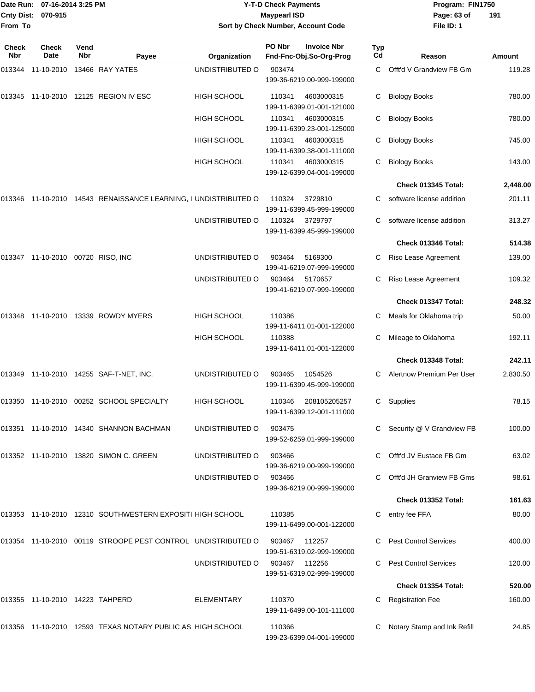|                    | Date Run: 07-16-2014 3:25 PM |
|--------------------|------------------------------|
| Cnty Dist: 070-915 |                              |
| lFrom To           |                              |

## **Date Run: Program: FIN1750 07-16-2014 3:25 PM Y-T-D Check Payments Cnty Dist: Page: 63 of 070-915 Maypearl ISD Sort by Check Number, Account Code**

| Check<br>Nbr | <b>Check</b><br>Date              | Vend<br>Nbr | Payee                                                        | Organization       | PO Nbr | <b>Invoice Nbr</b><br>Fnd-Fnc-Obj.So-Org-Prog | Typ<br>Cd | Reason                       | <b>Amount</b> |
|--------------|-----------------------------------|-------------|--------------------------------------------------------------|--------------------|--------|-----------------------------------------------|-----------|------------------------------|---------------|
| 013344       | 11-10-2010                        |             | 13466 RAY YATES                                              | UNDISTRIBUTED O    | 903474 | 199-36-6219.00-999-199000                     | C         | Offt'd V Grandview FB Gm     | 119.28        |
| 013345       |                                   |             | 11-10-2010 12125 REGION IV ESC                               | <b>HIGH SCHOOL</b> | 110341 | 4603000315<br>199-11-6399.01-001-121000       | С         | <b>Biology Books</b>         | 780.00        |
|              |                                   |             |                                                              | <b>HIGH SCHOOL</b> | 110341 | 4603000315<br>199-11-6399.23-001-125000       |           | <b>Biology Books</b>         | 780.00        |
|              |                                   |             |                                                              | <b>HIGH SCHOOL</b> | 110341 | 4603000315<br>199-11-6399.38-001-111000       | С         | <b>Biology Books</b>         | 745.00        |
|              |                                   |             |                                                              | <b>HIGH SCHOOL</b> | 110341 | 4603000315<br>199-12-6399.04-001-199000       | С         | <b>Biology Books</b>         | 143.00        |
|              |                                   |             |                                                              |                    |        |                                               |           | Check 013345 Total:          | 2,448.00      |
| 013346       |                                   |             | 11-10-2010 14543 RENAISSANCE LEARNING, I UNDISTRIBUTED O     |                    | 110324 | 3729810<br>199-11-6399.45-999-199000          | C         | software license addition    | 201.11        |
|              |                                   |             |                                                              | UNDISTRIBUTED O    | 110324 | 3729797<br>199-11-6399.45-999-199000          |           | software license addition    | 313.27        |
|              |                                   |             |                                                              |                    |        |                                               |           | Check 013346 Total:          | 514.38        |
|              | 013347 11-10-2010 00720 RISO, INC |             |                                                              | UNDISTRIBUTED O    | 903464 | 5169300<br>199-41-6219.07-999-199000          | C         | Riso Lease Agreement         | 139.00        |
|              |                                   |             |                                                              | UNDISTRIBUTED O    | 903464 | 5170657<br>199-41-6219.07-999-199000          | C         | Riso Lease Agreement         | 109.32        |
|              |                                   |             |                                                              |                    |        |                                               |           | Check 013347 Total:          | 248.32        |
| 013348       |                                   |             | 11-10-2010 13339 ROWDY MYERS                                 | <b>HIGH SCHOOL</b> | 110386 | 199-11-6411.01-001-122000                     | C         | Meals for Oklahoma trip      | 50.00         |
|              |                                   |             |                                                              | <b>HIGH SCHOOL</b> | 110388 | 199-11-6411.01-001-122000                     | С         | Mileage to Oklahoma          | 192.11        |
|              |                                   |             |                                                              |                    |        |                                               |           | Check 013348 Total:          | 242.11        |
|              |                                   |             | 013349 11-10-2010 14255 SAF-T-NET, INC.                      | UNDISTRIBUTED O    | 903465 | 1054526<br>199-11-6399.45-999-199000          | C         | Alertnow Premium Per User    | 2,830.50      |
|              |                                   |             | 013350 11-10-2010 00252 SCHOOL SPECIALTY                     | <b>HIGH SCHOOL</b> | 110346 | 208105205257<br>199-11-6399.12-001-111000     | C         | Supplies                     | 78.15         |
|              |                                   |             | 013351 11-10-2010 14340 SHANNON BACHMAN                      | UNDISTRIBUTED O    | 903475 | 199-52-6259.01-999-199000                     |           | C Security @ V Grandview FB  | 100.00        |
|              |                                   |             | 013352 11-10-2010 13820 SIMON C. GREEN                       | UNDISTRIBUTED O    | 903466 | 199-36-6219.00-999-199000                     |           | C Offt'd JV Eustace FB Gm    | 63.02         |
|              |                                   |             |                                                              | UNDISTRIBUTED O    | 903466 | 199-36-6219.00-999-199000                     |           | Offt'd JH Granview FB Gms    | 98.61         |
|              |                                   |             |                                                              |                    |        |                                               |           | Check 013352 Total:          | 161.63        |
|              |                                   |             | 013353 11-10-2010 12310 SOUTHWESTERN EXPOSITI HIGH SCHOOL    |                    | 110385 | 199-11-6499.00-001-122000                     |           | entry fee FFA                | 80.00         |
|              |                                   |             | 013354 11-10-2010 00119 STROOPE PEST CONTROL UNDISTRIBUTED O |                    | 903467 | 112257<br>199-51-6319.02-999-199000           |           | <b>Pest Control Services</b> | 400.00        |
|              |                                   |             |                                                              | UNDISTRIBUTED O    | 903467 | 112256<br>199-51-6319.02-999-199000           |           | <b>Pest Control Services</b> | 120.00        |
|              |                                   |             |                                                              |                    |        |                                               |           | Check 013354 Total:          | 520.00        |
|              | 013355 11-10-2010 14223 TAHPERD   |             |                                                              | ELEMENTARY         | 110370 | 199-11-6499.00-101-111000                     |           | <b>Registration Fee</b>      | 160.00        |
|              |                                   |             | 013356 11-10-2010 12593 TEXAS NOTARY PUBLIC AS HIGH SCHOOL   |                    | 110366 | 199-23-6399.04-001-199000                     |           | Notary Stamp and Ink Refill  | 24.85         |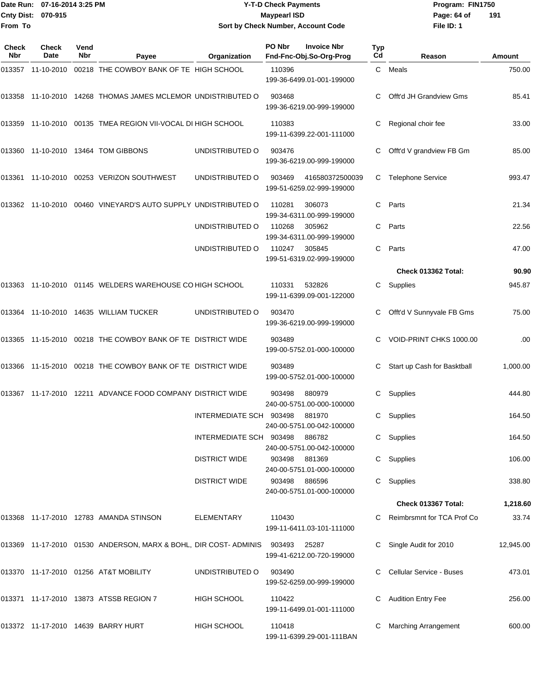| Date Run: 07-16-2014 3:25 PM | <b>Y-T-D Check Payments</b>        | Program: I  |
|------------------------------|------------------------------------|-------------|
| Cnty Dist: 070-915           | <b>Mavpearl ISD</b>                | Page: 64 of |
|                              | Sort by Check Number, Account Code | File ID: 1  |
|                              |                                    |             |

**Date Run: Program: FIN1750 File ID: 1 191**

| Check<br>Nbr | Check<br>Date | Vend<br>Nbr | Payee                                                                  | Organization            | PO Nbr        | <b>Invoice Nbr</b><br>Fnd-Fnc-Obj.So-Org-Prog | Typ<br>Cd | Reason                       | Amount    |
|--------------|---------------|-------------|------------------------------------------------------------------------|-------------------------|---------------|-----------------------------------------------|-----------|------------------------------|-----------|
| 013357       | 11-10-2010    |             | 00218 THE COWBOY BANK OF TE HIGH SCHOOL                                |                         | 110396        | 199-36-6499.01-001-199000                     | C         | Meals                        | 750.00    |
| 013358       |               |             | 11-10-2010 14268 THOMAS JAMES MCLEMOR UNDISTRIBUTED O                  |                         | 903468        | 199-36-6219.00-999-199000                     | С         | Offt'd JH Grandview Gms      | 85.41     |
|              |               |             | 013359 11-10-2010 00135 TMEA REGION VII-VOCAL DI HIGH SCHOOL           |                         | 110383        | 199-11-6399.22-001-111000                     |           | Regional choir fee           | 33.00     |
| 013360       |               |             | 11-10-2010  13464  TOM GIBBONS                                         | UNDISTRIBUTED O         | 903476        | 199-36-6219.00-999-199000                     | С         | Offt'd V grandview FB Gm     | 85.00     |
|              |               |             | 013361 11-10-2010 00253 VERIZON SOUTHWEST                              | UNDISTRIBUTED O         | 903469        | 416580372500039<br>199-51-6259.02-999-199000  | C         | <b>Telephone Service</b>     | 993.47    |
|              |               |             | 013362 11-10-2010 00460 VINEYARD'S AUTO SUPPLY UNDISTRIBUTED O         |                         | 110281        | 306073<br>199-34-6311.00-999-199000           | C         | Parts                        | 21.34     |
|              |               |             |                                                                        | UNDISTRIBUTED O         | 110268        | 305962<br>199-34-6311.00-999-199000           | C         | Parts                        | 22.56     |
|              |               |             |                                                                        | UNDISTRIBUTED O         | 110247        | 305845<br>199-51-6319.02-999-199000           | C         | Parts                        | 47.00     |
|              |               |             |                                                                        |                         |               |                                               |           | Check 013362 Total:          | 90.90     |
|              |               |             | 013363 11-10-2010 01145 WELDERS WAREHOUSE CO HIGH SCHOOL               |                         | 110331        | 532826<br>199-11-6399.09-001-122000           | C         | Supplies                     | 945.87    |
|              |               |             | 013364 11-10-2010 14635 WILLIAM TUCKER                                 | UNDISTRIBUTED O         | 903470        | 199-36-6219.00-999-199000                     |           | Offt'd V Sunnyvale FB Gms    | 75.00     |
|              |               |             | 013365 11-15-2010 00218 THE COWBOY BANK OF TE DISTRICT WIDE            |                         | 903489        | 199-00-5752.01-000-100000                     |           | VOID-PRINT CHKS 1000.00      | .00       |
|              |               |             | 013366 11-15-2010 00218 THE COWBOY BANK OF TE DISTRICT WIDE            |                         | 903489        | 199-00-5752.01-000-100000                     | С         | Start up Cash for Basktball  | 1,000.00  |
|              |               |             | 013367 11-17-2010 12211 ADVANCE FOOD COMPANY DISTRICT WIDE             |                         | 903498        | 880979<br>240-00-5751.00-000-100000           | C         | Supplies                     | 444.80    |
|              |               |             |                                                                        | INTERMEDIATE SCH 903498 |               | 881970<br>240-00-5751.00-042-100000           | С         | Supplies                     | 164.50    |
|              |               |             |                                                                        | INTERMEDIATE SCH 903498 |               | 886782<br>240-00-5751.00-042-100000           |           | C Supplies                   | 164.50    |
|              |               |             |                                                                        | <b>DISTRICT WIDE</b>    | 903498        | 881369<br>240-00-5751.01-000-100000           |           | Supplies                     | 106.00    |
|              |               |             |                                                                        | <b>DISTRICT WIDE</b>    | 903498 886596 | 240-00-5751.01-000-100000                     |           | C Supplies                   | 338.80    |
|              |               |             |                                                                        |                         |               |                                               |           | Check 013367 Total:          | 1,218.60  |
|              |               |             | 013368 11-17-2010 12783 AMANDA STINSON                                 | ELEMENTARY              | 110430        | 199-11-6411.03-101-111000                     |           | C Reimbrsmnt for TCA Prof Co | 33.74     |
|              |               |             | 013369 11-17-2010 01530 ANDERSON, MARX & BOHL, DIR COST-ADMINIS 903493 |                         |               | 25287<br>199-41-6212.00-720-199000            |           | Single Audit for 2010        | 12,945.00 |
|              |               |             | 013370 11-17-2010 01256 AT&T MOBILITY                                  | UNDISTRIBUTED O         | 903490        | 199-52-6259.00-999-199000                     |           | C Cellular Service - Buses   | 473.01    |
|              |               |             | 013371 11-17-2010 13873 ATSSB REGION 7                                 | HIGH SCHOOL             | 110422        | 199-11-6499.01-001-111000                     |           | <b>Audition Entry Fee</b>    | 256.00    |
|              |               |             | 013372 11-17-2010 14639 BARRY HURT                                     | <b>HIGH SCHOOL</b>      | 110418        | 199-11-6399.29-001-111BAN                     |           | <b>Marching Arrangement</b>  | 600.00    |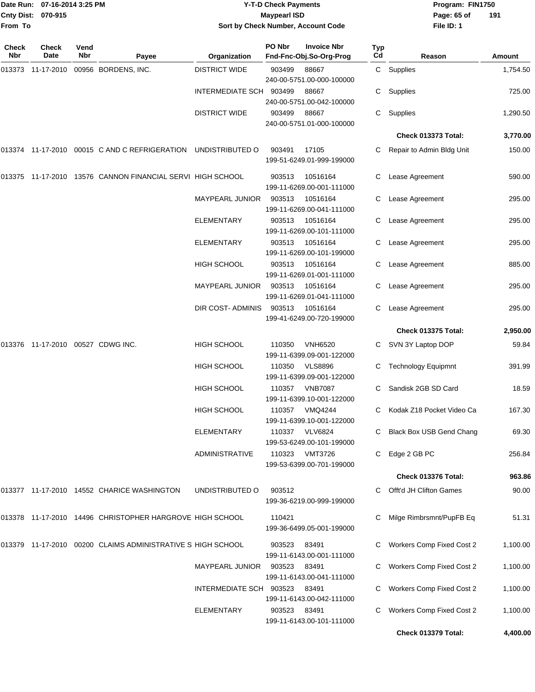| 07-16-2014 3:25 PM<br>Date Run:<br>Cnty Dist: 070-915 |              |      |                                                                                 | <b>Y-T-D Check Payments</b>        |                     |                                             | Program: FIN1750 |                                  |          |
|-------------------------------------------------------|--------------|------|---------------------------------------------------------------------------------|------------------------------------|---------------------|---------------------------------------------|------------------|----------------------------------|----------|
|                                                       |              |      |                                                                                 |                                    | <b>Maypearl ISD</b> |                                             |                  | Page: 65 of                      | 191      |
| From To                                               |              |      |                                                                                 | Sort by Check Number, Account Code |                     |                                             |                  | File ID: 1                       |          |
| Check                                                 | <b>Check</b> | Vend |                                                                                 |                                    | PO Nbr              | <b>Invoice Nbr</b>                          | Typ              |                                  |          |
| Nbr                                                   | Date         | Nbr  | Payee                                                                           | Organization                       |                     | Fnd-Fnc-Obj.So-Org-Prog                     | Cd               | Reason                           | Amount   |
|                                                       |              |      | 013373  11-17-2010  00956  BORDENS, INC.                                        | <b>DISTRICT WIDE</b>               | 903499              | 88667<br>240-00-5751.00-000-100000          |                  | C Supplies                       | 1,754.50 |
|                                                       |              |      |                                                                                 | INTERMEDIATE SCH 903499            |                     | 88667<br>240-00-5751.00-042-100000          | С                | Supplies                         | 725.00   |
|                                                       |              |      |                                                                                 | <b>DISTRICT WIDE</b>               | 903499              | 88667<br>240-00-5751.01-000-100000          | C.               | Supplies                         | 1,290.50 |
|                                                       |              |      |                                                                                 |                                    |                     |                                             |                  | Check 013373 Total:              | 3,770.00 |
|                                                       |              |      | 013374    11-17-2010    00015    C    AND C    REFRIGERATION    UNDISTRIBUTED O |                                    | 903491              | 17105                                       | С                | Repair to Admin Bldg Unit        | 150.00   |
|                                                       |              |      |                                                                                 |                                    |                     | 199-51-6249.01-999-199000                   |                  |                                  |          |
|                                                       |              |      | 013375 11-17-2010 13576 CANNON FINANCIAL SERVI HIGH SCHOOL                      |                                    | 903513              | 10516164<br>199-11-6269.00-001-111000       |                  | Lease Agreement                  | 590.00   |
|                                                       |              |      |                                                                                 | <b>MAYPEARL JUNIOR</b>             | 903513              | 10516164<br>199-11-6269.00-041-111000       | С                | Lease Agreement                  | 295.00   |
|                                                       |              |      |                                                                                 | ELEMENTARY                         | 903513              | 10516164                                    | С                | Lease Agreement                  | 295.00   |
|                                                       |              |      |                                                                                 | ELEMENTARY                         | 903513              | 199-11-6269.00-101-111000<br>10516164       |                  | Lease Agreement                  | 295.00   |
|                                                       |              |      |                                                                                 |                                    |                     | 199-11-6269.00-101-199000                   |                  |                                  |          |
|                                                       |              |      |                                                                                 | HIGH SCHOOL                        | 903513              | 10516164<br>199-11-6269.01-001-111000       | С                | Lease Agreement                  | 885.00   |
|                                                       |              |      |                                                                                 | <b>MAYPEARL JUNIOR</b>             | 903513              | 10516164<br>199-11-6269.01-041-111000       | С                | Lease Agreement                  | 295.00   |
|                                                       |              |      |                                                                                 | DIR COST- ADMINIS                  | 903513              | 10516164<br>199-41-6249.00-720-199000       |                  | Lease Agreement                  | 295.00   |
|                                                       |              |      |                                                                                 |                                    |                     |                                             |                  | Check 013375 Total:              | 2,950.00 |
|                                                       |              |      | 013376  11-17-2010  00527  CDWG INC.                                            | HIGH SCHOOL                        | 110350              | <b>VNH6520</b>                              |                  | C SVN 3Y Laptop DOP              | 59.84    |
|                                                       |              |      |                                                                                 |                                    |                     | 199-11-6399.09-001-122000                   |                  |                                  |          |
|                                                       |              |      |                                                                                 | HIGH SCHOOL                        | 110350              | <b>VLS8896</b><br>199-11-6399.09-001-122000 | C.               | <b>Technology Equipmnt</b>       | 391.99   |
|                                                       |              |      |                                                                                 | <b>HIGH SCHOOL</b>                 |                     | 110357 VNB7087<br>199-11-6399.10-001-122000 |                  | C Sandisk 2GB SD Card            | 18.59    |
|                                                       |              |      |                                                                                 | HIGH SCHOOL                        |                     | 110357 VMQ4244<br>199-11-6399.10-001-122000 |                  | C Kodak Z18 Pocket Video Ca      | 167.30   |
|                                                       |              |      |                                                                                 | ELEMENTARY                         |                     | 110337 VLV6824<br>199-53-6249.00-101-199000 |                  | C Black Box USB Gend Chang       | 69.30    |
|                                                       |              |      |                                                                                 | <b>ADMINISTRATIVE</b>              |                     | 110323 VMT3726<br>199-53-6399.00-701-199000 |                  | C Edge 2 GB PC                   | 256.84   |
|                                                       |              |      |                                                                                 |                                    |                     |                                             |                  | Check 013376 Total:              | 963.86   |
|                                                       |              |      | 013377 11-17-2010 14552 CHARICE WASHINGTON                                      | UNDISTRIBUTED O                    | 903512              | 199-36-6219.00-999-199000                   |                  | C Offt'd JH Clifton Games        | 90.00    |
|                                                       |              |      | 013378 11-17-2010 14496 CHRISTOPHER HARGROVE HIGH SCHOOL                        |                                    | 110421              |                                             |                  | Milge Rimbrsmnt/PupFB Eq         | 51.31    |
|                                                       |              |      |                                                                                 |                                    |                     | 199-36-6499.05-001-199000                   |                  |                                  |          |
|                                                       |              |      | 013379 11-17-2010 00200  CLAIMS ADMINISTRATIVE S HIGH SCHOOL                    |                                    | 903523              | 83491<br>199-11-6143.00-001-111000          |                  | C Workers Comp Fixed Cost 2      | 1,100.00 |
|                                                       |              |      |                                                                                 | <b>MAYPEARL JUNIOR</b>             | 903523              | 83491<br>199-11-6143.00-041-111000          |                  | <b>Workers Comp Fixed Cost 2</b> | 1,100.00 |
|                                                       |              |      |                                                                                 | INTERMEDIATE SCH 903523 83491      |                     | 199-11-6143.00-042-111000                   |                  | C Workers Comp Fixed Cost 2      | 1,100.00 |
|                                                       |              |      |                                                                                 | <b>ELEMENTARY</b>                  | 903523 83491        | 199-11-6143.00-101-111000                   |                  | C Workers Comp Fixed Cost 2      | 1,100.00 |

**Check 013379 Total: 4,400.00**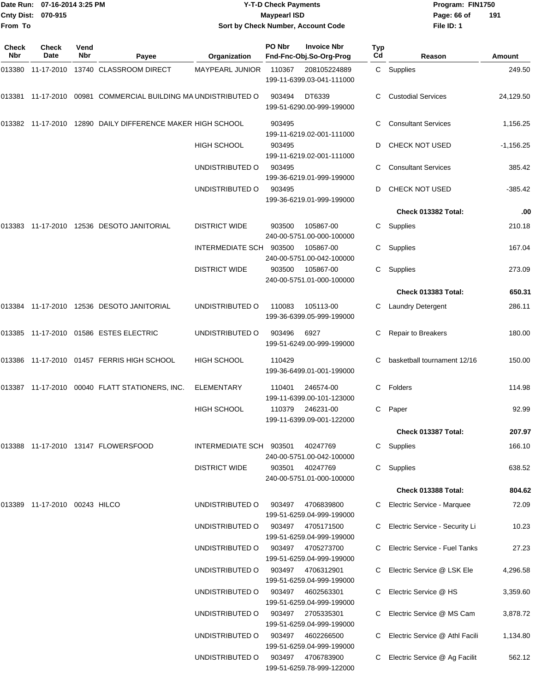#### Date Run: 07-16-2014 3:25 PM **Program:** FIN1750 **Cnty Dist:** 070-915 **Page: 66 of MaypearI ISD Page: 66 of Y-T-D Check Payments 070-915 Maypearl ISD Sort by Check Number, Account Code**

| Check<br>Nbr | <b>Check</b><br>Date          | Vend<br><b>Nbr</b> | Payee                                                  | Organization            | PO Nbr | <b>Invoice Nbr</b><br>Fnd-Fnc-Obj.So-Org-Prog  | Typ<br>Cd | Reason                               | Amount      |
|--------------|-------------------------------|--------------------|--------------------------------------------------------|-------------------------|--------|------------------------------------------------|-----------|--------------------------------------|-------------|
|              |                               |                    | 013380 11-17-2010 13740 CLASSROOM DIRECT               | <b>MAYPEARL JUNIOR</b>  | 110367 | 208105224889<br>199-11-6399.03-041-111000      |           | C Supplies                           | 249.50      |
|              |                               |                    |                                                        |                         | 903494 | DT6339<br>199-51-6290.00-999-199000            |           | <b>Custodial Services</b>            | 24,129.50   |
| 013382       |                               |                    | 11-17-2010 12890 DAILY DIFFERENCE MAKER HIGH SCHOOL    |                         | 903495 | 199-11-6219.02-001-111000                      | C         | <b>Consultant Services</b>           | 1,156.25    |
|              |                               |                    |                                                        | <b>HIGH SCHOOL</b>      | 903495 | 199-11-6219.02-001-111000                      | D         | <b>CHECK NOT USED</b>                | $-1,156.25$ |
|              |                               |                    |                                                        | UNDISTRIBUTED O         | 903495 | 199-36-6219.01-999-199000                      |           | <b>Consultant Services</b>           | 385.42      |
|              |                               |                    |                                                        | UNDISTRIBUTED O         | 903495 | 199-36-6219.01-999-199000                      | D         | CHECK NOT USED                       | $-385.42$   |
|              |                               |                    |                                                        |                         |        |                                                |           | Check 013382 Total:                  | .00         |
| 013383       |                               |                    | 11-17-2010 12536 DESOTO JANITORIAL                     | <b>DISTRICT WIDE</b>    | 903500 | 105867-00<br>240-00-5751.00-000-100000         | С         | Supplies                             | 210.18      |
|              |                               |                    |                                                        | INTERMEDIATE SCH        | 903500 | 105867-00<br>240-00-5751.00-042-100000         | C.        | Supplies                             | 167.04      |
|              |                               |                    |                                                        | <b>DISTRICT WIDE</b>    | 903500 | 105867-00<br>240-00-5751.01-000-100000         | C         | Supplies                             | 273.09      |
|              |                               |                    |                                                        |                         |        |                                                |           | Check 013383 Total:                  | 650.31      |
|              |                               |                    | 013384    11-17-2010    12536    DESOTO JANITORIAL     | UNDISTRIBUTED O         | 110083 | 105113-00<br>199-36-6399.05-999-199000         | C         | <b>Laundry Detergent</b>             | 286.11      |
|              |                               |                    | 013385 11-17-2010 01586 ESTES ELECTRIC                 | UNDISTRIBUTED O         | 903496 | 6927<br>199-51-6249.00-999-199000              | C         | Repair to Breakers                   | 180.00      |
|              |                               |                    | 013386    11-17-2010    01457    FERRIS    HIGH SCHOOL | <b>HIGH SCHOOL</b>      | 110429 | 199-36-6499.01-001-199000                      | C.        | basketball tournament 12/16          | 150.00      |
|              |                               |                    | 013387 11-17-2010 00040 FLATT STATIONERS, INC.         | ELEMENTARY              | 110401 | 246574-00<br>199-11-6399.00-101-123000         | C         | Folders                              | 114.98      |
|              |                               |                    |                                                        | <b>HIGH SCHOOL</b>      | 110379 | 246231-00<br>199-11-6399.09-001-122000         | C         | Paper                                | 92.99       |
|              |                               |                    |                                                        |                         |        |                                                |           | Check 013387 Total:                  | 207.97      |
|              |                               |                    |                                                        | INTERMEDIATE SCH 903501 |        | 40247769<br>240-00-5751.00-042-100000          | C         | Supplies                             | 166.10      |
|              |                               |                    |                                                        | <b>DISTRICT WIDE</b>    | 903501 | 40247769<br>240-00-5751.01-000-100000          | C.        | Supplies                             | 638.52      |
|              |                               |                    |                                                        |                         |        |                                                |           | Check 013388 Total:                  | 804.62      |
|              | 013389 11-17-2010 00243 HILCO |                    |                                                        | UNDISTRIBUTED O         | 903497 | 4706839800<br>199-51-6259.04-999-199000        |           | C Electric Service - Marquee         | 72.09       |
|              |                               |                    |                                                        | UNDISTRIBUTED O         | 903497 | 4705171500<br>199-51-6259.04-999-199000        |           | Electric Service - Security Li       | 10.23       |
|              |                               |                    |                                                        | UNDISTRIBUTED O         | 903497 | 4705273700<br>199-51-6259.04-999-199000        |           | <b>Electric Service - Fuel Tanks</b> | 27.23       |
|              |                               |                    |                                                        | UNDISTRIBUTED O         | 903497 | 4706312901<br>199-51-6259.04-999-199000        | C         | Electric Service @ LSK Ele           | 4,296.58    |
|              |                               |                    |                                                        | UNDISTRIBUTED O         | 903497 | 4602563301<br>199-51-6259.04-999-199000        |           | Electric Service @ HS                | 3,359.60    |
|              |                               |                    |                                                        | UNDISTRIBUTED O         | 903497 | 2705335301<br>199-51-6259.04-999-199000        |           | Electric Service @ MS Cam            | 3,878.72    |
|              |                               |                    |                                                        | UNDISTRIBUTED O         | 903497 | 4602266500<br>199-51-6259.04-999-199000        |           | Electric Service @ Athl Facili       | 1,134.80    |
|              |                               |                    |                                                        | UNDISTRIBUTED O         |        | 903497 4706783900<br>199-51-6259.78-999-122000 |           | Electric Service @ Ag Facilit        | 562.12      |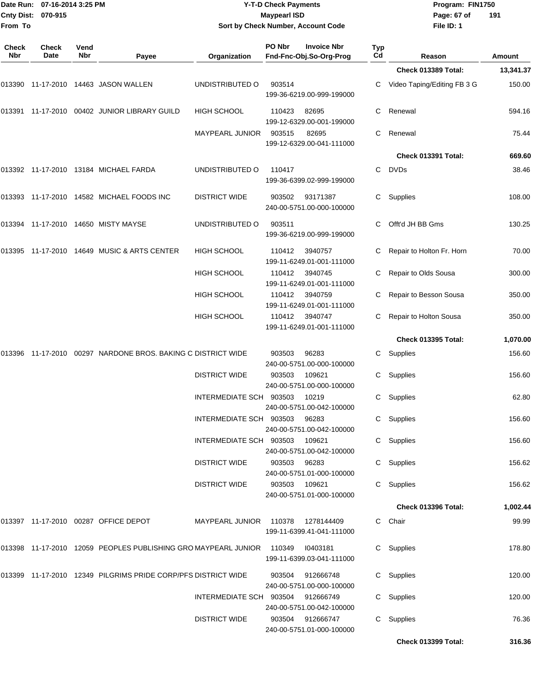| From To             | Date Run: 07-16-2014 3:25 PM<br>Cnty Dist: 070-915 |             |                                                                       | Sort by Check Number, Account Code           | <b>Y-T-D Check Payments</b><br><b>Maypearl ISD</b> |                                               |           | Program: FIN1750<br>Page: 67 of<br>191<br>File ID: 1 |                  |  |
|---------------------|----------------------------------------------------|-------------|-----------------------------------------------------------------------|----------------------------------------------|----------------------------------------------------|-----------------------------------------------|-----------|------------------------------------------------------|------------------|--|
| <b>Check</b><br>Nbr | <b>Check</b><br>Date                               | Vend<br>Nbr | Payee                                                                 | Organization                                 | PO Nbr                                             | <b>Invoice Nbr</b><br>Fnd-Fnc-Obj.So-Org-Prog | Typ<br>Cd | Reason                                               | Amount           |  |
|                     |                                                    |             |                                                                       |                                              |                                                    |                                               |           | Check 013389 Total:                                  | 13,341.37        |  |
|                     |                                                    |             | 013390    11-17-2010    14463    JASON    WALLEN                      | UNDISTRIBUTED O                              | 903514                                             | 199-36-6219.00-999-199000                     | C         | Video Taping/Editing FB 3 G                          | 150.00           |  |
|                     |                                                    |             | 013391  11-17-2010  00402  JUNIOR LIBRARY GUILD                       | <b>HIGH SCHOOL</b>                           | 110423                                             | 82695<br>199-12-6329.00-001-199000            | C         | Renewal                                              | 594.16           |  |
|                     |                                                    |             |                                                                       | <b>MAYPEARL JUNIOR</b>                       | 903515                                             | 82695<br>199-12-6329.00-041-111000            | C         | Renewal                                              | 75.44            |  |
|                     |                                                    |             |                                                                       |                                              |                                                    |                                               |           | Check 013391 Total:                                  | 669.60           |  |
|                     |                                                    |             | 013392 11-17-2010 13184 MICHAEL FARDA                                 | UNDISTRIBUTED O                              | 110417                                             | 199-36-6399.02-999-199000                     | С         | <b>DVDs</b>                                          | 38.46            |  |
|                     |                                                    |             | 013393  11-17-2010  14582  MICHAEL FOODS INC                          | <b>DISTRICT WIDE</b>                         | 903502                                             | 93171387<br>240-00-5751.00-000-100000         | C         | Supplies                                             | 108.00           |  |
|                     |                                                    |             | 013394 11-17-2010 14650 MISTY MAYSE                                   | UNDISTRIBUTED O                              | 903511                                             | 199-36-6219.00-999-199000                     | C         | Offt'd JH BB Gms                                     | 130.25           |  |
| 013395              |                                                    |             | 11-17-2010  14649  MUSIC & ARTS CENTER                                | HIGH SCHOOL                                  | 110412                                             | 3940757<br>199-11-6249.01-001-111000          | С         | Repair to Holton Fr. Horn                            | 70.00            |  |
|                     |                                                    |             |                                                                       | <b>HIGH SCHOOL</b>                           | 110412                                             | 3940745<br>199-11-6249.01-001-111000          | C         | Repair to Olds Sousa                                 | 300.00           |  |
|                     |                                                    |             |                                                                       | <b>HIGH SCHOOL</b>                           | 110412                                             | 3940759<br>199-11-6249.01-001-111000          | С         | Repair to Besson Sousa                               | 350.00           |  |
|                     |                                                    |             |                                                                       | <b>HIGH SCHOOL</b>                           | 110412                                             | 3940747<br>199-11-6249.01-001-111000          | С         | Repair to Holton Sousa                               | 350.00           |  |
|                     |                                                    |             |                                                                       |                                              |                                                    |                                               |           | <b>Check 013395 Total:</b>                           | 1,070.00         |  |
|                     |                                                    |             | 013396  11-17-2010  00297  NARDONE BROS. BAKING C DISTRICT WIDE       |                                              | 903503                                             | 96283<br>240-00-5751.00-000-100000            | С         | Supplies                                             | 156.60           |  |
|                     |                                                    |             |                                                                       | <b>DISTRICT WIDE</b>                         | 903503                                             | 109621<br>240-00-5751.00-000-100000           | C         | Supplies                                             | 156.60           |  |
|                     |                                                    |             |                                                                       | INTERMEDIATE SCH 903503 10219                |                                                    | 240-00-5751.00-042-100000                     |           | C Supplies                                           | 62.80            |  |
|                     |                                                    |             |                                                                       | INTERMEDIATE SCH 903503 96283                |                                                    | 240-00-5751.00-042-100000                     |           | C Supplies                                           | 156.60           |  |
|                     |                                                    |             |                                                                       | INTERMEDIATE SCH 903503 109621               |                                                    | 240-00-5751.00-042-100000                     |           | C Supplies                                           | 156.60           |  |
|                     |                                                    |             |                                                                       | <b>DISTRICT WIDE</b><br><b>DISTRICT WIDE</b> | 903503 96283<br>903503 109621                      | 240-00-5751.01-000-100000                     |           | C Supplies<br>C Supplies                             | 156.62<br>156.62 |  |
|                     |                                                    |             |                                                                       |                                              |                                                    | 240-00-5751.01-000-100000                     |           |                                                      |                  |  |
|                     |                                                    |             |                                                                       |                                              |                                                    |                                               |           | <b>Check 013396 Total:</b>                           | 1,002.44         |  |
|                     |                                                    |             | 013397  11-17-2010  00287  OFFICE DEPOT                               | MAYPEARL JUNIOR 110378 1278144409            |                                                    | 199-11-6399.41-041-111000                     |           | C Chair                                              | 99.99            |  |
|                     |                                                    |             | 013398 11-17-2010 12059 PEOPLES PUBLISHING GRO MAYPEARL JUNIOR 110349 |                                              |                                                    | 10403181<br>199-11-6399.03-041-111000         |           | C Supplies                                           | 178.80           |  |
|                     |                                                    |             | 013399 11-17-2010 12349 PILGRIMS PRIDE CORP/PFS DISTRICT WIDE         |                                              |                                                    | 903504 912666748<br>240-00-5751.00-000-100000 |           | C Supplies                                           | 120.00           |  |
|                     |                                                    |             |                                                                       | INTERMEDIATE SCH 903504 912666749            |                                                    | 240-00-5751.00-042-100000                     |           | C Supplies                                           | 120.00           |  |
|                     |                                                    |             |                                                                       | <b>DISTRICT WIDE</b>                         |                                                    | 903504 912666747                              |           | C Supplies                                           | 76.36            |  |

240-00-5751.01-000-100000

**Check 013399 Total: 316.36**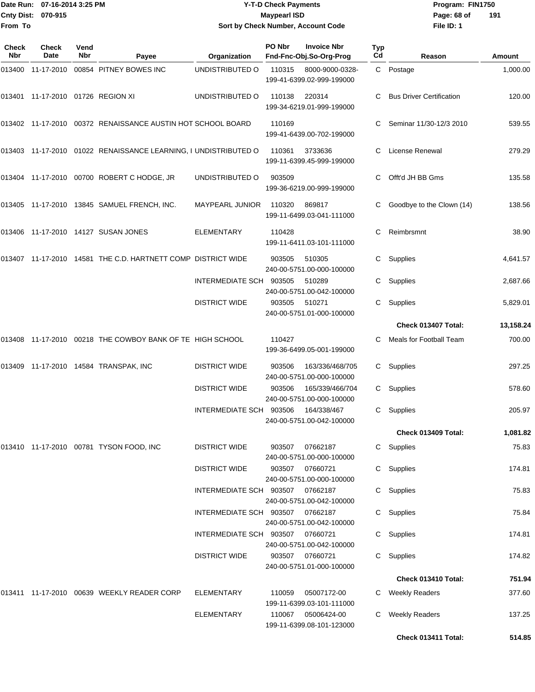|                     | Date Run: 07-16-2014 3:25 PM      |                    |                                                             | <b>Y-T-D Check Payments</b>         |                     |                                               |           |                                 | Program: FIN1750 |  |  |
|---------------------|-----------------------------------|--------------------|-------------------------------------------------------------|-------------------------------------|---------------------|-----------------------------------------------|-----------|---------------------------------|------------------|--|--|
|                     | Cnty Dist: 070-915                |                    |                                                             |                                     | <b>Maypearl ISD</b> |                                               |           | Page: 68 of                     | 191              |  |  |
| From To             |                                   |                    |                                                             |                                     |                     | Sort by Check Number, Account Code            |           | File ID: 1                      |                  |  |  |
| Check<br><b>Nbr</b> | Check<br>Date                     | Vend<br><b>Nbr</b> | Payee                                                       | Organization                        | PO Nbr              | <b>Invoice Nbr</b><br>Fnd-Fnc-Obj.So-Org-Prog | Typ<br>Cd | Reason                          | Amount           |  |  |
| 013400              | 11-17-2010                        |                    | 00854 PITNEY BOWES INC                                      | UNDISTRIBUTED O                     | 110315              | 8000-9000-0328-<br>199-41-6399.02-999-199000  |           | C Postage                       | 1,000.00         |  |  |
|                     | 013401 11-17-2010 01726 REGION XI |                    |                                                             | UNDISTRIBUTED O                     | 110138              | 220314<br>199-34-6219.01-999-199000           | С         | <b>Bus Driver Certification</b> | 120.00           |  |  |
|                     |                                   |                    | 013402 11-17-2010 00372 RENAISSANCE AUSTIN HOT SCHOOL BOARD |                                     | 110169              | 199-41-6439.00-702-199000                     | С         | Seminar 11/30-12/3 2010         | 539.55           |  |  |
| 013403              |                                   |                    | 11-17-2010 01022 RENAISSANCE LEARNING, I UNDISTRIBUTED O    |                                     | 110361              | 3733636<br>199-11-6399.45-999-199000          | С         | License Renewal                 | 279.29           |  |  |
|                     |                                   |                    | 013404 11-17-2010 00700 ROBERT C HODGE, JR                  | UNDISTRIBUTED O                     | 903509              | 199-36-6219.00-999-199000                     | С         | Offt'd JH BB Gms                | 135.58           |  |  |
| 013405              |                                   |                    | 11-17-2010  13845  SAMUEL FRENCH, INC.                      | <b>MAYPEARL JUNIOR</b>              | 110320              | 869817<br>199-11-6499.03-041-111000           | С         | Goodbye to the Clown (14)       | 138.56           |  |  |
|                     |                                   |                    | 013406 11-17-2010 14127 SUSAN JONES                         | <b>ELEMENTARY</b>                   | 110428              | 199-11-6411.03-101-111000                     | С         | Reimbrsmnt                      | 38.90            |  |  |
| 013407              |                                   |                    | 11-17-2010 14581 THE C.D. HARTNETT COMP DISTRICT WIDE       |                                     | 903505              | 510305<br>240-00-5751.00-000-100000           | С         | Supplies                        | 4,641.57         |  |  |
|                     |                                   |                    |                                                             | INTERMEDIATE SCH                    | 903505              | 510289<br>240-00-5751.00-042-100000           | С         | Supplies                        | 2,687.66         |  |  |
|                     |                                   |                    |                                                             | <b>DISTRICT WIDE</b>                | 903505              | 510271<br>240-00-5751.01-000-100000           | С         | Supplies                        | 5,829.01         |  |  |
|                     |                                   |                    |                                                             |                                     |                     |                                               |           | Check 013407 Total:             | 13,158.24        |  |  |
| 013408              |                                   |                    | 11-17-2010 00218 THE COWBOY BANK OF TE HIGH SCHOOL          |                                     | 110427              | 199-36-6499.05-001-199000                     | С         | Meals for Football Team         | 700.00           |  |  |
| 013409              |                                   |                    | 11-17-2010  14584  TRANSPAK, INC                            | <b>DISTRICT WIDE</b>                | 903506              | 163/336/468/705<br>240-00-5751.00-000-100000  | С         | Supplies                        | 297.25           |  |  |
|                     |                                   |                    |                                                             | <b>DISTRICT WIDE</b>                | 903506              | 165/339/466/704<br>240-00-5751.00-000-100000  |           | C Supplies                      | 578.60           |  |  |
|                     |                                   |                    |                                                             | INTERMEDIATE SCH 903506 164/338/467 |                     | 240-00-5751.00-042-100000                     |           | C Supplies                      | 205.97           |  |  |
|                     |                                   |                    |                                                             |                                     |                     |                                               |           | Check 013409 Total:             | 1,081.82         |  |  |
|                     |                                   |                    | 013410 11-17-2010 00781 TYSON FOOD, INC                     | <b>DISTRICT WIDE</b>                | 903507              | 07662187<br>240-00-5751.00-000-100000         |           | C Supplies                      | 75.83            |  |  |
|                     |                                   |                    |                                                             | <b>DISTRICT WIDE</b>                | 903507              | 07660721<br>240-00-5751.00-000-100000         |           | C Supplies                      | 174.81           |  |  |
|                     |                                   |                    |                                                             | INTERMEDIATE SCH 903507 07662187    |                     | 240-00-5751.00-042-100000                     |           | C Supplies                      | 75.83            |  |  |
|                     |                                   |                    |                                                             | INTERMEDIATE SCH 903507 07662187    |                     | 240-00-5751.00-042-100000                     |           | C Supplies                      | 75.84            |  |  |
|                     |                                   |                    |                                                             | INTERMEDIATE SCH 903507 07660721    |                     |                                               |           | C Supplies                      | 174.81           |  |  |

240-00-5751.00-042-100000

240-00-5751.01-000-100000

199-11-6399.03-101-111000

199-11-6399.08-101-123000

013411 11-17-2010 00639 WEEKLY READER CORP ELEMENTARY 110059 05007172-00 C Weekly Readers 377.60

DISTRICT WIDE 903507 07660721 C Supplies 174.82

ELEMENTARY 110067 05006424-00 C Weekly Readers 137.25

**Check 013410 Total: 751.94**

**Check 013411 Total: 514.85**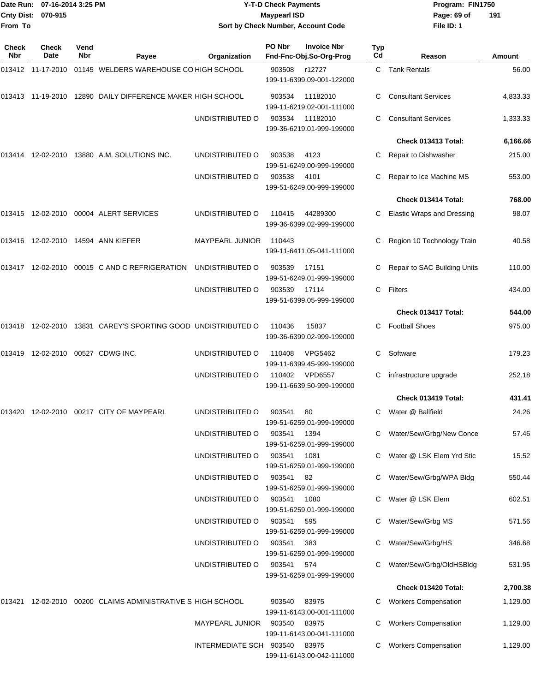|                     | Date Run: 07-16-2014 3:25 PM<br>Cnty Dist: 070-915 |                    |                                                                  |                                    | <b>Y-T-D Check Payments</b><br><b>Maypearl ISD</b> |                                               |                  | Program: FIN1750<br>Page: 69 of                      | 191             |
|---------------------|----------------------------------------------------|--------------------|------------------------------------------------------------------|------------------------------------|----------------------------------------------------|-----------------------------------------------|------------------|------------------------------------------------------|-----------------|
| From To             |                                                    |                    |                                                                  |                                    |                                                    | Sort by Check Number, Account Code            |                  | File ID: 1                                           |                 |
| <b>Check</b><br>Nbr | <b>Check</b><br>Date                               | Vend<br><b>Nbr</b> | Payee                                                            | Organization                       | PO Nbr                                             | <b>Invoice Nbr</b><br>Fnd-Fnc-Obj.So-Org-Prog | <b>Typ</b><br>Cd | Reason                                               | Amount          |
|                     |                                                    |                    | 013412 11-17-2010 01145 WELDERS WAREHOUSE CO HIGH SCHOOL         |                                    | 903508                                             | r12727<br>199-11-6399.09-001-122000           |                  | C Tank Rentals                                       | 56.00           |
|                     |                                                    |                    | 013413 11-19-2010 12890 DAILY DIFFERENCE MAKER HIGH SCHOOL       |                                    | 903534                                             | 11182010<br>199-11-6219.02-001-111000         |                  | <b>Consultant Services</b>                           | 4,833.33        |
|                     |                                                    |                    |                                                                  | UNDISTRIBUTED O                    | 903534                                             | 11182010<br>199-36-6219.01-999-199000         | С                | <b>Consultant Services</b>                           | 1,333.33        |
|                     |                                                    |                    |                                                                  |                                    |                                                    |                                               |                  | Check 013413 Total:                                  | 6,166.66        |
|                     |                                                    |                    | 013414 12-02-2010 13880 A.M. SOLUTIONS INC.                      | UNDISTRIBUTED O                    | 903538                                             | 4123<br>199-51-6249.00-999-199000             |                  | Repair to Dishwasher                                 | 215.00          |
|                     |                                                    |                    |                                                                  | UNDISTRIBUTED O                    | 903538                                             | 4101<br>199-51-6249.00-999-199000             |                  | Repair to Ice Machine MS                             | 553.00          |
|                     |                                                    |                    |                                                                  |                                    |                                                    |                                               |                  | Check 013414 Total:                                  | 768.00          |
|                     |                                                    |                    | 013415 12-02-2010 00004 ALERT SERVICES                           | UNDISTRIBUTED O                    | 110415                                             | 44289300<br>199-36-6399.02-999-199000         | C.               | <b>Elastic Wraps and Dressing</b>                    | 98.07           |
|                     |                                                    |                    | 013416 12-02-2010 14594 ANN KIEFER                               | <b>MAYPEARL JUNIOR</b>             | 110443                                             | 199-11-6411.05-041-111000                     |                  | Region 10 Technology Train                           | 40.58           |
|                     |                                                    |                    | 013417 12-02-2010 00015 C AND C REFRIGERATION                    | UNDISTRIBUTED O                    | 903539                                             | 17151<br>199-51-6249.01-999-199000            |                  | Repair to SAC Building Units                         | 110.00          |
|                     |                                                    |                    |                                                                  | UNDISTRIBUTED O                    | 903539                                             | 17114<br>199-51-6399.05-999-199000            | C                | Filters                                              | 434.00          |
|                     |                                                    |                    |                                                                  |                                    |                                                    |                                               |                  | Check 013417 Total:                                  | 544.00          |
|                     |                                                    |                    | 013418  12-02-2010  13831  CAREY'S SPORTING GOOD UNDISTRIBUTED O |                                    | 110436                                             | 15837<br>199-36-6399.02-999-199000            | C.               | <b>Football Shoes</b>                                | 975.00          |
|                     |                                                    |                    | 013419 12-02-2010 00527 CDWG INC.                                | UNDISTRIBUTED O                    | 110408                                             | VPG5462<br>199-11-6399.45-999-199000          | C                | Software                                             | 179.23          |
|                     |                                                    |                    |                                                                  | UNDISTRIBUTED O                    | 110402                                             | <b>VPD6557</b><br>199-11-6639.50-999-199000   | C                | infrastructure upgrade                               | 252.18          |
|                     |                                                    |                    |                                                                  |                                    |                                                    |                                               |                  | Check 013419 Total:                                  | 431.41          |
|                     |                                                    |                    | 013420 12-02-2010 00217 CITY OF MAYPEARL                         | UNDISTRIBUTED O                    | 903541                                             | 80<br>199-51-6259.01-999-199000               |                  | C Water @ Ballfield                                  | 24.26           |
|                     |                                                    |                    |                                                                  | UNDISTRIBUTED O                    | 903541                                             | 1394<br>199-51-6259.01-999-199000             |                  | Water/Sew/Grbg/New Conce                             | 57.46           |
|                     |                                                    |                    |                                                                  | UNDISTRIBUTED O<br>UNDISTRIBUTED O | 903541<br>903541                                   | 1081<br>199-51-6259.01-999-199000<br>82       |                  | Water @ LSK Elem Yrd Stic<br>Water/Sew/Grbg/WPA Bldg | 15.52<br>550.44 |
|                     |                                                    |                    |                                                                  | UNDISTRIBUTED O                    | 903541                                             | 199-51-6259.01-999-199000<br>1080             |                  | Water @ LSK Elem                                     | 602.51          |
|                     |                                                    |                    |                                                                  | UNDISTRIBUTED O                    | 903541                                             | 199-51-6259.01-999-199000<br>595              |                  | Water/Sew/Grbg MS                                    | 571.56          |
|                     |                                                    |                    |                                                                  | UNDISTRIBUTED O                    | 903541                                             | 199-51-6259.01-999-199000<br>383              |                  | Water/Sew/Grbg/HS                                    | 346.68          |
|                     |                                                    |                    |                                                                  | UNDISTRIBUTED O                    | 903541                                             | 199-51-6259.01-999-199000<br>574              |                  | C Water/Sew/Grbg/OldHSBldg                           | 531.95          |
|                     |                                                    |                    |                                                                  |                                    |                                                    | 199-51-6259.01-999-199000                     |                  |                                                      |                 |
|                     |                                                    |                    |                                                                  |                                    |                                                    |                                               |                  | Check 013420 Total:                                  | 2,700.38        |
|                     |                                                    |                    | 013421 12-02-2010 00200 CLAIMS ADMINISTRATIVE S HIGH SCHOOL      |                                    | 903540                                             | 83975<br>199-11-6143.00-001-111000            |                  | <b>Workers Compensation</b>                          | 1,129.00        |
|                     |                                                    |                    |                                                                  | MAYPEARL JUNIOR                    | 903540                                             | 83975                                         |                  | C Workers Compensation                               | 1,129.00        |

199-11-6143.00-041-111000 INTERMEDIATE SCH 903540 83975 C Workers Compensation 1,129.00

199-11-6143.00-042-111000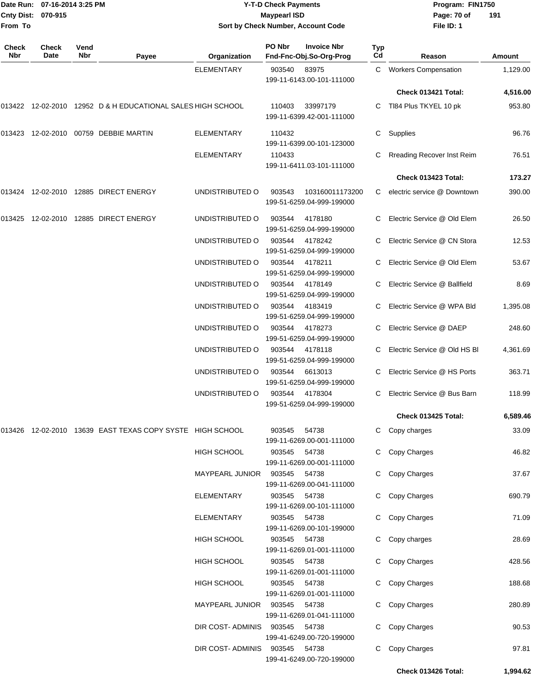|                           | Date Run: 07-16-2014 3:25 PM |           |                                    | <b>Y-T-D Check Payments</b> |                    |                      | Program: I |  |  |
|---------------------------|------------------------------|-----------|------------------------------------|-----------------------------|--------------------|----------------------|------------|--|--|
| <b>Cnty Dist: 070-915</b> |                              |           | <b>Maypearl ISD</b>                |                             |                    |                      |            |  |  |
| lFrom To                  |                              |           | Sort by Check Number, Account Code |                             |                    |                      |            |  |  |
| <b>Check</b><br>.         | <b>Check</b><br>- -          | Vend<br>. |                                    | PO Nbr                      | <b>Invoice Nbr</b> | Typ<br>$\sim$ $\sim$ |            |  |  |

**Date Run: Program: FIN1750 File ID: 1 191**

| <b>Check</b><br><b>Nbr</b> | Check<br>Date | Vend<br>Nbr | Payee                                                         | Organization                  | PO Nbr       | <b>Invoice Nbr</b><br>Fnd-Fnc-Obj.So-Org-Prog | <b>Typ</b><br>Cd | Reason                            | Amount   |
|----------------------------|---------------|-------------|---------------------------------------------------------------|-------------------------------|--------------|-----------------------------------------------|------------------|-----------------------------------|----------|
|                            |               |             |                                                               | ELEMENTARY                    | 903540       | 83975<br>199-11-6143.00-101-111000            | C                | <b>Workers Compensation</b>       | 1,129.00 |
|                            |               |             |                                                               |                               |              |                                               |                  | Check 013421 Total:               | 4,516.00 |
|                            |               |             | 013422 12-02-2010 12952 D & H EDUCATIONAL SALES HIGH SCHOOL   |                               | 110403       | 33997179<br>199-11-6399.42-001-111000         |                  | C TI84 Plus TKYEL 10 pk           | 953.80   |
|                            |               |             | 013423 12-02-2010 00759 DEBBIE MARTIN                         | <b>ELEMENTARY</b>             | 110432       | 199-11-6399.00-101-123000                     | С                | Supplies                          | 96.76    |
|                            |               |             |                                                               | <b>ELEMENTARY</b>             | 110433       | 199-11-6411.03-101-111000                     | C.               | <b>Rreading Recover Inst Reim</b> | 76.51    |
|                            |               |             |                                                               |                               |              |                                               |                  | Check 013423 Total:               | 173.27   |
| 013424                     |               |             | 12-02-2010  12885  DIRECT ENERGY                              | UNDISTRIBUTED O               | 903543       | 103160011173200<br>199-51-6259.04-999-199000  | C.               | electric service @ Downtown       | 390.00   |
| 013425                     |               |             | 12-02-2010  12885  DIRECT ENERGY                              | UNDISTRIBUTED O               | 903544       | 4178180<br>199-51-6259.04-999-199000          | C                | Electric Service @ Old Elem       | 26.50    |
|                            |               |             |                                                               | UNDISTRIBUTED O               | 903544       | 4178242<br>199-51-6259.04-999-199000          | C                | Electric Service @ CN Stora       | 12.53    |
|                            |               |             |                                                               | UNDISTRIBUTED O               | 903544       | 4178211<br>199-51-6259.04-999-199000          | C.               | Electric Service @ Old Elem       | 53.67    |
|                            |               |             |                                                               | UNDISTRIBUTED O               | 903544       | 4178149<br>199-51-6259.04-999-199000          | C                | Electric Service @ Ballfield      | 8.69     |
|                            |               |             |                                                               | UNDISTRIBUTED O               | 903544       | 4183419<br>199-51-6259.04-999-199000          | C                | Electric Service @ WPA Bld        | 1,395.08 |
|                            |               |             |                                                               | UNDISTRIBUTED O               | 903544       | 4178273<br>199-51-6259.04-999-199000          | C.               | Electric Service @ DAEP           | 248.60   |
|                            |               |             |                                                               | UNDISTRIBUTED O               | 903544       | 4178118<br>199-51-6259.04-999-199000          |                  | Electric Service @ Old HS BI      | 4,361.69 |
|                            |               |             |                                                               | UNDISTRIBUTED O               | 903544       | 6613013<br>199-51-6259.04-999-199000          |                  | Electric Service @ HS Ports       | 363.71   |
|                            |               |             |                                                               | UNDISTRIBUTED O               | 903544       | 4178304<br>199-51-6259.04-999-199000          | C.               | Electric Service @ Bus Barn       | 118.99   |
|                            |               |             |                                                               |                               |              |                                               |                  | Check 013425 Total:               | 6,589.46 |
|                            |               |             | 013426  12-02-2010  13639  EAST TEXAS COPY SYSTE  HIGH SCHOOL |                               | 903545       | 54738<br>199-11-6269.00-001-111000            |                  | C Copy charges                    | 33.09    |
|                            |               |             |                                                               | <b>HIGH SCHOOL</b>            | 903545 54738 | 199-11-6269.00-001-111000                     |                  | C Copy Charges                    | 46.82    |
|                            |               |             |                                                               | MAYPEARL JUNIOR 903545 54738  |              | 199-11-6269.00-041-111000                     |                  | C Copy Charges                    | 37.67    |
|                            |               |             |                                                               | ELEMENTARY                    | 903545 54738 | 199-11-6269.00-101-111000                     |                  | C Copy Charges                    | 690.79   |
|                            |               |             |                                                               | ELEMENTARY                    | 903545 54738 | 199-11-6269.00-101-199000                     |                  | C Copy Charges                    | 71.09    |
|                            |               |             |                                                               | <b>HIGH SCHOOL</b>            | 903545 54738 | 199-11-6269.01-001-111000                     |                  | C Copy charges                    | 28.69    |
|                            |               |             |                                                               | <b>HIGH SCHOOL</b>            | 903545 54738 | 199-11-6269.01-001-111000                     |                  | C Copy Charges                    | 428.56   |
|                            |               |             |                                                               | <b>HIGH SCHOOL</b>            | 903545 54738 | 199-11-6269.01-001-111000                     |                  | C Copy Charges                    | 188.68   |
|                            |               |             |                                                               | MAYPEARL JUNIOR 903545 54738  |              | 199-11-6269.01-041-111000                     |                  | C Copy Charges                    | 280.89   |
|                            |               |             |                                                               | DIR COST-ADMINIS 903545 54738 |              | 199-41-6249.00-720-199000                     |                  | C Copy Charges                    | 90.53    |
|                            |               |             |                                                               | DIR COST- ADMINIS             | 903545 54738 | 199-41-6249.00-720-199000                     |                  | C Copy Charges                    | 97.81    |
|                            |               |             |                                                               |                               |              |                                               |                  | Check 013426 Total:               | 1,994.62 |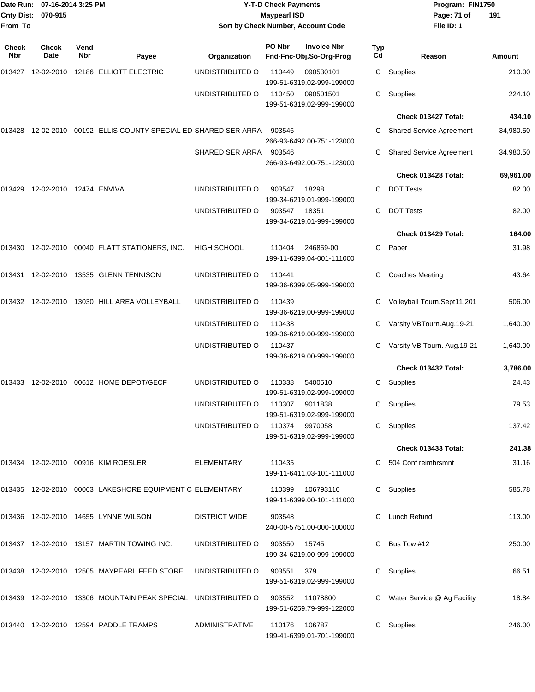| <b>Cnty Dist:</b><br>From To | Date Run: 07-16-2014 3:25 PM<br>070-915 |             |                                                                               |                                | <b>Y-T-D Check Payments</b><br><b>Maypearl ISD</b> | Sort by Check Number, Account Code            |           | Program: FIN1750<br>Page: 71 of<br>191<br>File ID: 1 |           |  |
|------------------------------|-----------------------------------------|-------------|-------------------------------------------------------------------------------|--------------------------------|----------------------------------------------------|-----------------------------------------------|-----------|------------------------------------------------------|-----------|--|
| <b>Check</b><br>Nbr          | <b>Check</b><br>Date                    | Vend<br>Nbr | Payee                                                                         | Organization                   | PO Nbr                                             | <b>Invoice Nbr</b><br>Fnd-Fnc-Obj.So-Org-Prog | Typ<br>Cd | Reason                                               | Amount    |  |
|                              |                                         |             |                                                                               | UNDISTRIBUTED O                | 110449                                             | 090530101<br>199-51-6319.02-999-199000        | C         | Supplies                                             | 210.00    |  |
|                              |                                         |             |                                                                               | UNDISTRIBUTED O                | 110450                                             | 090501501<br>199-51-6319.02-999-199000        | С         | Supplies                                             | 224.10    |  |
|                              |                                         |             |                                                                               |                                |                                                    |                                               |           | Check 013427 Total:                                  | 434.10    |  |
| 013428                       |                                         |             | 12-02-2010 00192 ELLIS COUNTY SPECIAL ED SHARED SER ARRA                      |                                | 903546                                             | 266-93-6492.00-751-123000                     |           | <b>Shared Service Agreement</b>                      | 34,980.50 |  |
|                              |                                         |             |                                                                               | SHARED SER ARRA                | 903546                                             | 266-93-6492.00-751-123000                     | С         | <b>Shared Service Agreement</b>                      | 34,980.50 |  |
|                              |                                         |             |                                                                               |                                |                                                    |                                               |           | Check 013428 Total:                                  | 69,961.00 |  |
|                              | 013429 12-02-2010 12474 ENVIVA          |             |                                                                               | UNDISTRIBUTED O                | 903547                                             | 18298<br>199-34-6219.01-999-199000            | С         | <b>DOT Tests</b>                                     | 82.00     |  |
|                              |                                         |             |                                                                               | UNDISTRIBUTED O                | 903547                                             | 18351<br>199-34-6219.01-999-199000            | С         | <b>DOT Tests</b>                                     | 82.00     |  |
|                              |                                         |             |                                                                               |                                |                                                    |                                               |           | Check 013429 Total:                                  | 164.00    |  |
|                              |                                         |             | 013430  12-02-2010  00040  FLATT STATIONERS, INC.                             | <b>HIGH SCHOOL</b>             | 110404                                             | 246859-00<br>199-11-6399.04-001-111000        | C.        | Paper                                                | 31.98     |  |
| 013431                       |                                         |             | 12-02-2010  13535  GLENN TENNISON                                             | UNDISTRIBUTED O                | 110441                                             | 199-36-6399.05-999-199000                     | С         | <b>Coaches Meeting</b>                               | 43.64     |  |
|                              |                                         |             | 013432 12-02-2010 13030 HILL AREA VOLLEYBALL                                  | UNDISTRIBUTED O                | 110439                                             | 199-36-6219.00-999-199000                     |           | Volleyball Tourn.Sept11,201                          | 506.00    |  |
|                              |                                         |             |                                                                               | UNDISTRIBUTED O                | 110438                                             | 199-36-6219.00-999-199000                     | С         | Varsity VBTourn.Aug.19-21                            | 1,640.00  |  |
|                              |                                         |             |                                                                               | UNDISTRIBUTED O                | 110437                                             | 199-36-6219.00-999-199000                     |           | Varsity VB Tourn. Aug.19-21                          | 1,640.00  |  |
|                              |                                         |             |                                                                               |                                |                                                    |                                               |           | Check 013432 Total:                                  | 3,786.00  |  |
|                              |                                         |             |                                                                               | UNDISTRIBUTED O                | 110338                                             | 5400510<br>199-51-6319.02-999-199000          | С         | Supplies                                             | 24.43     |  |
|                              |                                         |             |                                                                               | UNDISTRIBUTED O 110307 9011838 |                                                    | 199-51-6319.02-999-199000                     |           | C Supplies                                           | 79.53     |  |
|                              |                                         |             |                                                                               | UNDISTRIBUTED O 110374 9970058 |                                                    | 199-51-6319.02-999-199000                     |           | C Supplies                                           | 137.42    |  |
|                              |                                         |             |                                                                               |                                |                                                    |                                               |           | Check 013433 Total:                                  | 241.38    |  |
|                              |                                         |             | 013434    12-02-2010    00916    KIM ROESLER                                  | ELEMENTARY                     | 110435                                             | 199-11-6411.03-101-111000                     |           | C 504 Conf reimbrsmnt                                | 31.16     |  |
|                              |                                         |             | 013435 12-02-2010 00063 LAKESHORE EQUIPMENT C ELEMENTARY                      |                                |                                                    | 199-11-6399.00-101-111000                     |           | C Supplies                                           | 585.78    |  |
|                              |                                         |             |                                                                               | <b>DISTRICT WIDE</b>           | 903548                                             | 240-00-5751.00-000-100000                     |           | C Lunch Refund                                       | 113.00    |  |
|                              |                                         |             | 013437  12-02-2010  13157  MARTIN TOWING INC.                                 | UNDISTRIBUTED O                | 903550                                             | 15745<br>199-34-6219.00-999-199000            |           | C Bus Tow #12                                        | 250.00    |  |
|                              |                                         |             | 013438    12-02-2010    12505    MAYPEARL FEED STORE    UNDISTRIBUTED    O    |                                | 903551 379                                         | 199-51-6319.02-999-199000                     |           | C Supplies                                           | 66.51     |  |
|                              |                                         |             | 013439 12-02-2010 13306 MOUNTAIN PEAK SPECIAL UNDISTRIBUTED O 903552 11078800 |                                |                                                    | 199-51-6259.79-999-122000                     |           | C Water Service @ Ag Facility                        | 18.84     |  |
|                              |                                         |             | 013440 12-02-2010 12594 PADDLE TRAMPS                                         | ADMINISTRATIVE                 | 110176 106787                                      | 199-41-6399.01-701-199000                     |           | C Supplies                                           | 246.00    |  |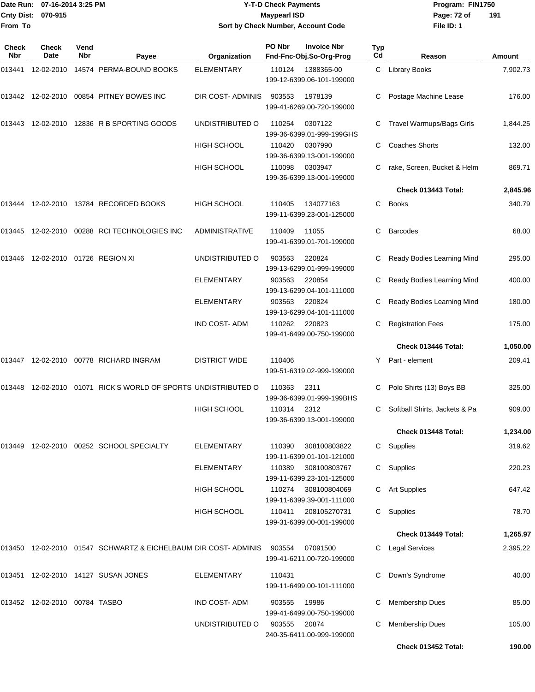|                    | Date Run: 07-16-2014 3:25 PM |
|--------------------|------------------------------|
| Cnty Dist: 070-915 |                              |
| From To            |                              |

## **Date Run: Program: FIN1750 07-16-2014 3:25 PM Y-T-D Check Payments Cnty Dist: Page: 72 of 070-915 Maypearl ISD Sort by Check Number, Account Code**

| Check<br><b>Nbr</b> | Check<br>Date                 | Vend<br><b>Nbr</b> | Payee                                                              | Organization            | PO Nbr                                            | <b>Invoice Nbr</b><br>Fnd-Fnc-Obj.So-Org-Prog | <b>Typ</b><br>Cd | Reason                           | <b>Amount</b> |
|---------------------|-------------------------------|--------------------|--------------------------------------------------------------------|-------------------------|---------------------------------------------------|-----------------------------------------------|------------------|----------------------------------|---------------|
| 013441              |                               |                    | 12-02-2010  14574  PERMA-BOUND BOOKS                               | <b>ELEMENTARY</b>       | 110124<br>1388365-00<br>199-12-6399.06-101-199000 |                                               |                  | C Library Books                  | 7,902.73      |
|                     |                               |                    | 013442  12-02-2010  00854  PITNEY BOWES INC                        | <b>DIR COST-ADMINIS</b> | 903553                                            | 1978139<br>199-41-6269.00-720-199000          |                  | Postage Machine Lease            | 176.00        |
| 013443              |                               |                    | 12-02-2010 12836 R B SPORTING GOODS                                | UNDISTRIBUTED O         | 110254                                            | 0307122<br>199-36-6399.01-999-199GHS          | C                | <b>Travel Warmups/Bags Girls</b> | 1,844.25      |
|                     |                               |                    |                                                                    | <b>HIGH SCHOOL</b>      | 110420                                            | 0307990<br>199-36-6399.13-001-199000          | C                | <b>Coaches Shorts</b>            | 132.00        |
|                     |                               |                    |                                                                    | <b>HIGH SCHOOL</b>      | 110098                                            | 0303947<br>199-36-6399.13-001-199000          |                  | rake, Screen, Bucket & Helm      | 869.71        |
|                     |                               |                    |                                                                    |                         |                                                   |                                               |                  | Check 013443 Total:              | 2,845.96      |
| 013444              |                               |                    | 12-02-2010  13784  RECORDED BOOKS                                  | <b>HIGH SCHOOL</b>      | 110405                                            | 134077163<br>199-11-6399.23-001-125000        | С                | <b>Books</b>                     | 340.79        |
| 013445              |                               |                    | 12-02-2010 00288 RCI TECHNOLOGIES INC                              | <b>ADMINISTRATIVE</b>   | 110409                                            | 11055<br>199-41-6399.01-701-199000            | C                | <b>Barcodes</b>                  | 68.00         |
| 013446              |                               |                    | 12-02-2010 01726 REGION XI                                         | UNDISTRIBUTED O         | 903563                                            | 220824<br>199-13-6299.01-999-199000           | C                | Ready Bodies Learning Mind       | 295.00        |
|                     |                               |                    |                                                                    | <b>ELEMENTARY</b>       | 903563                                            | 220854<br>199-13-6299.04-101-111000           |                  | Ready Bodies Learning Mind       | 400.00        |
|                     |                               |                    |                                                                    | <b>ELEMENTARY</b>       | 903563                                            | 220824<br>199-13-6299.04-101-111000           | С                | Ready Bodies Learning Mind       | 180.00        |
|                     |                               |                    |                                                                    | <b>IND COST-ADM</b>     | 110262                                            | 220823<br>199-41-6499.00-750-199000           | С                | <b>Registration Fees</b>         | 175.00        |
|                     |                               |                    |                                                                    |                         |                                                   |                                               |                  | Check 013446 Total:              | 1,050.00      |
|                     |                               |                    | 013447  12-02-2010  00778  RICHARD INGRAM                          | <b>DISTRICT WIDE</b>    | 110406                                            | 199-51-6319.02-999-199000                     | Y                | Part - element                   | 209.41        |
| 013448              |                               |                    | 12-02-2010 01071 RICK'S WORLD OF SPORTS UNDISTRIBUTED O            |                         | 110363                                            | 2311<br>199-36-6399.01-999-199BHS             |                  | Polo Shirts (13) Boys BB         | 325.00        |
|                     |                               |                    |                                                                    | <b>HIGH SCHOOL</b>      | 110314                                            | 2312<br>199-36-6399.13-001-199000             | C.               | Softball Shirts, Jackets & Pa    | 909.00        |
|                     |                               |                    |                                                                    |                         |                                                   |                                               |                  | Check 013448 Total:              | 1,234.00      |
| 013449              |                               |                    | 12-02-2010 00252 SCHOOL SPECIALTY                                  | <b>ELEMENTARY</b>       | 110390                                            | 308100803822<br>199-11-6399.01-101-121000     |                  | C Supplies                       | 319.62        |
|                     |                               |                    |                                                                    | <b>ELEMENTARY</b>       | 110389                                            | 308100803767<br>199-11-6399.23-101-125000     |                  | C Supplies                       | 220.23        |
|                     |                               |                    |                                                                    | <b>HIGH SCHOOL</b>      | 110274                                            | 308100804069<br>199-11-6399.39-001-111000     |                  | C Art Supplies                   | 647.42        |
|                     |                               |                    |                                                                    | <b>HIGH SCHOOL</b>      | 110411                                            | 208105270731<br>199-31-6399.00-001-199000     |                  | C Supplies                       | 78.70         |
|                     |                               |                    |                                                                    |                         |                                                   |                                               |                  | Check 013449 Total:              | 1,265.97      |
|                     |                               |                    | 013450  12-02-2010  01547  SCHWARTZ & EICHELBAUM DIR COST- ADMINIS |                         | 903554                                            | 07091500<br>199-41-6211.00-720-199000         |                  | C Legal Services                 | 2,395.22      |
|                     |                               |                    | 013451 12-02-2010 14127 SUSAN JONES                                | <b>ELEMENTARY</b>       | 110431                                            | 199-11-6499.00-101-111000                     | С                | Down's Syndrome                  | 40.00         |
|                     | 013452 12-02-2010 00784 TASBO |                    |                                                                    | <b>IND COST-ADM</b>     | 903555                                            | 19986<br>199-41-6499.00-750-199000            |                  | <b>Membership Dues</b>           | 85.00         |
|                     |                               |                    |                                                                    | UNDISTRIBUTED O         | 903555                                            | 20874<br>240-35-6411.00-999-199000            | С                | <b>Membership Dues</b>           | 105.00        |
|                     |                               |                    |                                                                    |                         |                                                   |                                               |                  | Check 013452 Total:              | 190.00        |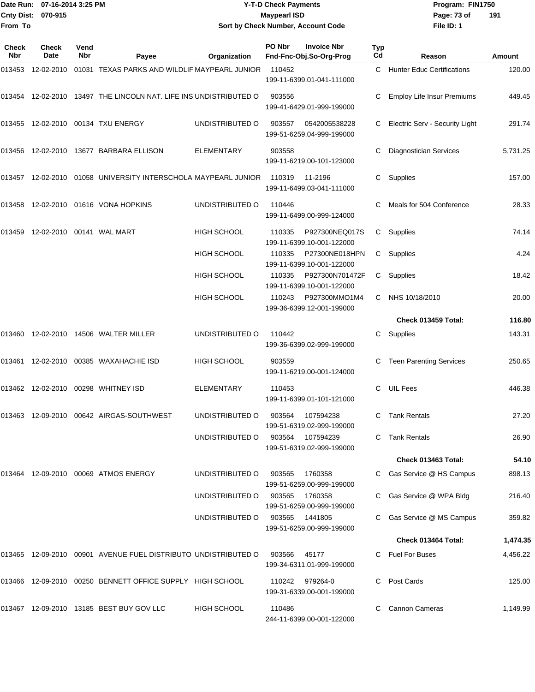|                           | Date Run: 07-16-2014 3:25 PM | Y-T-D Check Payments               | Program: I  |
|---------------------------|------------------------------|------------------------------------|-------------|
| <b>Cnty Dist: 070-915</b> |                              | <b>Mavpearl ISD</b>                | Page: 73 of |
| From To                   |                              | Sort by Check Number, Account Code | File ID: 1  |

**Date Run: Program: FIN1750 File ID: 1 191**

| Check<br><b>Nbr</b> | <b>Check</b><br>Date | Vend<br>Nbr | Payee                                                              | Organization       | PO Nbr | <b>Invoice Nbr</b><br>Fnd-Fnc-Obj.So-Org-Prog | Typ<br>Cd | Reason                            | Amount   |
|---------------------|----------------------|-------------|--------------------------------------------------------------------|--------------------|--------|-----------------------------------------------|-----------|-----------------------------------|----------|
|                     |                      |             | 013453  12-02-2010  01031  TEXAS PARKS AND WILDLIF MAYPEARL JUNIOR |                    | 110452 | 199-11-6399.01-041-111000                     | C.        | <b>Hunter Educ Certifications</b> | 120.00   |
|                     |                      |             | 013454 12-02-2010 13497 THE LINCOLN NAT. LIFE INS UNDISTRIBUTED O  |                    | 903556 | 199-41-6429.01-999-199000                     |           | <b>Employ Life Insur Premiums</b> | 449.45   |
|                     |                      |             | 013455 12-02-2010 00134 TXU ENERGY                                 | UNDISTRIBUTED O    | 903557 | 0542005538228<br>199-51-6259.04-999-199000    |           | Electric Serv - Security Light    | 291.74   |
| 013456              |                      |             | 12-02-2010 13677 BARBARA ELLISON                                   | <b>ELEMENTARY</b>  | 903558 | 199-11-6219.00-101-123000                     | C         | <b>Diagnostician Services</b>     | 5,731.25 |
| 013457              |                      |             | 12-02-2010  01058  UNIVERSITY INTERSCHOLA MAYPEARL JUNIOR          |                    | 110319 | 11-2196<br>199-11-6499.03-041-111000          | C         | Supplies                          | 157.00   |
| 013458              |                      |             | 12-02-2010  01616  VONA HOPKINS                                    | UNDISTRIBUTED O    | 110446 | 199-11-6499.00-999-124000                     | С         | Meals for 504 Conference          | 28.33    |
| 013459              |                      |             | 12-02-2010  00141  WAL MART                                        | <b>HIGH SCHOOL</b> | 110335 | P927300NEQ017S<br>199-11-6399.10-001-122000   | C         | Supplies                          | 74.14    |
|                     |                      |             |                                                                    | <b>HIGH SCHOOL</b> | 110335 | P27300NE018HPN<br>199-11-6399.10-001-122000   | C         | Supplies                          | 4.24     |
|                     |                      |             |                                                                    | <b>HIGH SCHOOL</b> | 110335 | P927300N701472F<br>199-11-6399.10-001-122000  | C         | Supplies                          | 18.42    |
|                     |                      |             |                                                                    | <b>HIGH SCHOOL</b> | 110243 | P927300MMO1M4<br>199-36-6399.12-001-199000    | C.        | NHS 10/18/2010                    | 20.00    |
|                     |                      |             |                                                                    |                    |        |                                               |           | Check 013459 Total:               | 116.80   |
|                     |                      |             | 013460 12-02-2010 14506 WALTER MILLER                              | UNDISTRIBUTED O    | 110442 | 199-36-6399.02-999-199000                     | С         | Supplies                          | 143.31   |
| 013461              |                      |             | 12-02-2010    00385    WAXAHACHIE    ISD                           | <b>HIGH SCHOOL</b> | 903559 | 199-11-6219.00-001-124000                     | С         | <b>Teen Parenting Services</b>    | 250.65   |
|                     |                      |             | 013462  12-02-2010  00298  WHITNEY ISD                             | <b>ELEMENTARY</b>  | 110453 | 199-11-6399.01-101-121000                     | C         | <b>UIL Fees</b>                   | 446.38   |
| 013463              |                      |             | 12-09-2010    00642    AIRGAS-SOUTHWEST                            | UNDISTRIBUTED O    | 903564 | 107594238<br>199-51-6319.02-999-199000        | C         | <b>Tank Rentals</b>               | 27.20    |
|                     |                      |             |                                                                    | UNDISTRIBUTED O    | 903564 | 107594239<br>199-51-6319.02-999-199000        |           | <b>Tank Rentals</b>               | 26.90    |
|                     |                      |             |                                                                    |                    |        |                                               |           | Check 013463 Total:               | 54.10    |
|                     |                      |             | 013464 12-09-2010 00069 ATMOS ENERGY                               | UNDISTRIBUTED O    | 903565 | 1760358<br>199-51-6259.00-999-199000          |           | Gas Service @ HS Campus           | 898.13   |
|                     |                      |             |                                                                    | UNDISTRIBUTED O    | 903565 | 1760358<br>199-51-6259.00-999-199000          |           | C Gas Service @ WPA Bldg          | 216.40   |
|                     |                      |             |                                                                    | UNDISTRIBUTED O    | 903565 | 1441805<br>199-51-6259.00-999-199000          |           | C Gas Service @ MS Campus         | 359.82   |
|                     |                      |             |                                                                    |                    |        |                                               |           | Check 013464 Total:               | 1,474.35 |
|                     |                      |             | 013465 12-09-2010 00901  AVENUE FUEL DISTRIBUTO UNDISTRIBUTED O    |                    | 903566 | 45177<br>199-34-6311.01-999-199000            |           | C Fuel For Buses                  | 4,456.22 |
|                     |                      |             | 013466  12-09-2010  00250  BENNETT OFFICE SUPPLY  HIGH SCHOOL      |                    | 110242 | 979264-0<br>199-31-6339.00-001-199000         | C         | Post Cards                        | 125.00   |
|                     |                      |             | 013467 12-09-2010 13185 BEST BUY GOV LLC                           | <b>HIGH SCHOOL</b> | 110486 | 244-11-6399.00-001-122000                     |           | <b>Cannon Cameras</b>             | 1,149.99 |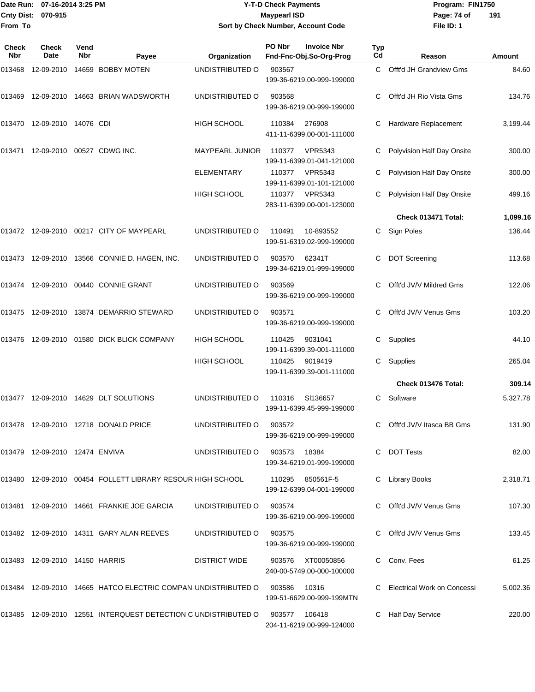#### Date Run: 07-16-2014 3:25 PM **Program:** FIN1750 **Cnty Dist:** 070-915 **Page: 74 of MaypearI ISD Page: 74 of Y-T-D Check Payments 070-915 Maypearl ISD Sort by Check Number, Account Code**

| Check<br>Nbr | Check<br>Date                        | Vend<br>Nbr | Payee                                                            | Organization           | PO Nbr | <b>Invoice Nbr</b><br>Fnd-Fnc-Obj.So-Org-Prog  | Typ<br>Cd | Reason                        | Amount   |
|--------------|--------------------------------------|-------------|------------------------------------------------------------------|------------------------|--------|------------------------------------------------|-----------|-------------------------------|----------|
| 013468       | 12-09-2010                           |             | 14659 BOBBY MOTEN                                                | UNDISTRIBUTED O        | 903567 | 199-36-6219.00-999-199000                      | C.        | Offt'd JH Grandview Gms       | 84.60    |
| 013469       |                                      |             | 12-09-2010 14663 BRIAN WADSWORTH                                 | UNDISTRIBUTED O        | 903568 | 199-36-6219.00-999-199000                      | С         | Offt'd JH Rio Vista Gms       | 134.76   |
| 013470       | 12-09-2010 14076 CDI                 |             |                                                                  | <b>HIGH SCHOOL</b>     | 110384 | 276908<br>411-11-6399.00-001-111000            | С         | Hardware Replacement          | 3,199.44 |
|              | 013471  12-09-2010  00527  CDWG INC. |             |                                                                  | <b>MAYPEARL JUNIOR</b> | 110377 | <b>VPR5343</b><br>199-11-6399.01-041-121000    | С         | Polyvision Half Day Onsite    | 300.00   |
|              |                                      |             |                                                                  | <b>ELEMENTARY</b>      | 110377 | VPR5343<br>199-11-6399.01-101-121000           | С         | Polyvision Half Day Onsite    | 300.00   |
|              |                                      |             |                                                                  | HIGH SCHOOL            |        | 110377 VPR5343<br>283-11-6399.00-001-123000    |           | Polyvision Half Day Onsite    | 499.16   |
|              |                                      |             |                                                                  |                        |        |                                                |           | Check 013471 Total:           | 1,099.16 |
|              |                                      |             | 013472 12-09-2010 00217 CITY OF MAYPEARL                         | UNDISTRIBUTED O        | 110491 | 10-893552<br>199-51-6319.02-999-199000         | C.        | Sign Poles                    | 136.44   |
|              |                                      |             | 013473 12-09-2010 13566 CONNIE D. HAGEN, INC.                    | UNDISTRIBUTED O        | 903570 | 62341T<br>199-34-6219.01-999-199000            | С         | <b>DOT Screening</b>          | 113.68   |
|              |                                      |             | 013474 12-09-2010 00440 CONNIE GRANT                             | UNDISTRIBUTED O        | 903569 | 199-36-6219.00-999-199000                      | С         | Offt'd JV/V Mildred Gms       | 122.06   |
| 013475       |                                      |             | 12-09-2010  13874  DEMARRIO STEWARD                              | UNDISTRIBUTED O        | 903571 | 199-36-6219.00-999-199000                      | С         | Offt'd JV/V Venus Gms         | 103.20   |
| 013476       |                                      |             | 12-09-2010   01580   DICK BLICK COMPANY                          | <b>HIGH SCHOOL</b>     | 110425 | 9031041<br>199-11-6399.39-001-111000           | С         | Supplies                      | 44.10    |
|              |                                      |             |                                                                  | HIGH SCHOOL            | 110425 | 9019419<br>199-11-6399.39-001-111000           | С         | Supplies                      | 265.04   |
|              |                                      |             |                                                                  |                        |        |                                                |           | Check 013476 Total:           | 309.14   |
| 013477       |                                      |             | 12-09-2010  14629  DLT SOLUTIONS                                 | UNDISTRIBUTED O        | 110316 | SI136657<br>199-11-6399.45-999-199000          | C.        | Software                      | 5,327.78 |
| 013478       |                                      |             | 12-09-2010  12718  DONALD PRICE                                  | UNDISTRIBUTED O        | 903572 | 199-36-6219.00-999-199000                      | C         | Offt'd JV/V Itasca BB Gms     | 131.90   |
|              | 013479 12-09-2010 12474 ENVIVA       |             |                                                                  | UNDISTRIBUTED O        | 903573 | 18384<br>199-34-6219.01-999-199000             |           | C DOT Tests                   | 82.00    |
|              |                                      |             | 013480 12-09-2010 00454 FOLLETT LIBRARY RESOUR HIGH SCHOOL       |                        | 110295 | 850561F-5<br>199-12-6399.04-001-199000         |           | C Library Books               | 2,318.71 |
|              |                                      |             | 013481 12-09-2010 14661 FRANKIE JOE GARCIA                       | UNDISTRIBUTED O        | 903574 | 199-36-6219.00-999-199000                      |           | C Offt'd JV/V Venus Gms       | 107.30   |
|              |                                      |             | 013482 12-09-2010 14311 GARY ALAN REEVES                         | UNDISTRIBUTED O        | 903575 | 199-36-6219.00-999-199000                      |           | C Offt'd JV/V Venus Gms       | 133.45   |
|              | 013483 12-09-2010 14150 HARRIS       |             |                                                                  | <b>DISTRICT WIDE</b>   |        | 903576 XT00050856<br>240-00-5749.00-000-100000 |           | Conv. Fees                    | 61.25    |
|              |                                      |             | 013484 12-09-2010 14665 HATCO ELECTRIC COMPAN UNDISTRIBUTED O    |                        | 903586 | 10316<br>199-51-6629.00-999-199MTN             |           | C Electrical Work on Concessi | 5,002.36 |
|              |                                      |             | 013485  12-09-2010  12551 INTERQUEST DETECTION C UNDISTRIBUTED O |                        | 903577 | 106418<br>204-11-6219.00-999-124000            |           | <b>Half Day Service</b>       | 220.00   |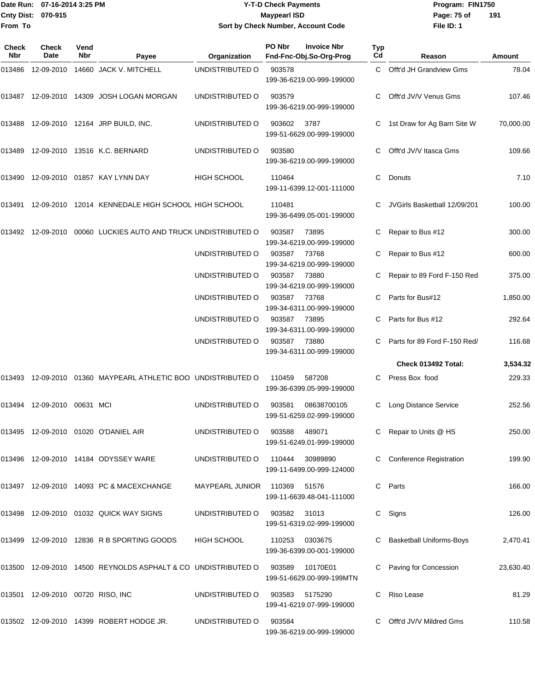#### Date Run: 07-16-2014 3:25 PM **Program:** FIN1750 **Cnty Dist:** 070-915 **Page: 75 of MaypearI ISD Page: 75 of Y-T-D Check Payments 070-915 Maypearl ISD Sort by Check Number, Account Code**

| Check<br><b>Nbr</b> | <b>Check</b><br>Date              | Vend<br><b>Nbr</b> | Payee                                                                         | Organization                   | PO Nbr       | <b>Invoice Nbr</b><br>Fnd-Fnc-Obj.So-Org-Prog | <b>Typ</b><br>Cd | Reason                         | Amount    |
|---------------------|-----------------------------------|--------------------|-------------------------------------------------------------------------------|--------------------------------|--------------|-----------------------------------------------|------------------|--------------------------------|-----------|
| 013486              |                                   |                    | 12-09-2010  14660  JACK V. MITCHELL                                           | UNDISTRIBUTED O                | 903578       | 199-36-6219.00-999-199000                     |                  | C Offt'd JH Grandview Gms      | 78.04     |
| 013487              |                                   |                    | 12-09-2010  14309  JOSH LOGAN MORGAN                                          | UNDISTRIBUTED O                | 903579       | 199-36-6219.00-999-199000                     |                  | Offt'd JV/V Venus Gms          | 107.46    |
| 013488              |                                   |                    | 12-09-2010  12164 JRP BUILD, INC.                                             | UNDISTRIBUTED O                | 903602       | 3787<br>199-51-6629.00-999-199000             | C                | 1st Draw for Ag Barn Site W    | 70,000.00 |
|                     |                                   |                    | 013489 12-09-2010 13516 K.C. BERNARD                                          | UNDISTRIBUTED O                | 903580       | 199-36-6219.00-999-199000                     |                  | Offt'd JV/V Itasca Gms         | 109.66    |
| 013490              |                                   |                    | 12-09-2010 01857 KAY LYNN DAY                                                 | <b>HIGH SCHOOL</b>             | 110464       | 199-11-6399.12-001-111000                     | C                | Donuts                         | 7.10      |
| 013491              |                                   |                    | 12-09-2010 12014 KENNEDALE HIGH SCHOOL HIGH SCHOOL                            |                                | 110481       | 199-36-6499.05-001-199000                     |                  | JVGirls Basketball 12/09/201   | 100.00    |
|                     |                                   |                    | 013492  12-09-2010  00060  LUCKIES AUTO AND TRUCK UNDISTRIBUTED O             |                                | 903587       | 73895<br>199-34-6219.00-999-199000            |                  | Repair to Bus #12              | 300.00    |
|                     |                                   |                    |                                                                               | UNDISTRIBUTED O                | 903587       | 73768<br>199-34-6219.00-999-199000            |                  | Repair to Bus #12              | 600.00    |
|                     |                                   |                    |                                                                               | UNDISTRIBUTED O                | 903587       | 73880<br>199-34-6219.00-999-199000            |                  | Repair to 89 Ford F-150 Red    | 375.00    |
|                     |                                   |                    |                                                                               | UNDISTRIBUTED O                | 903587       | 73768<br>199-34-6311.00-999-199000            |                  | Parts for Bus#12               | 1,850.00  |
|                     |                                   |                    |                                                                               | UNDISTRIBUTED O                | 903587       | 73895<br>199-34-6311.00-999-199000            |                  | Parts for Bus #12              | 292.64    |
|                     |                                   |                    |                                                                               | UNDISTRIBUTED O                | 903587       | 73880<br>199-34-6311.00-999-199000            |                  | Parts for 89 Ford F-150 Red/   | 116.68    |
|                     |                                   |                    |                                                                               |                                |              |                                               |                  | Check 013492 Total:            | 3,534.32  |
| 013493              |                                   |                    | 12-09-2010 01360 MAYPEARL ATHLETIC BOO UNDISTRIBUTED O                        |                                | 110459       | 587208<br>199-36-6399.05-999-199000           |                  | C Press Box food               | 229.33    |
|                     | 013494  12-09-2010  00631  MCI    |                    |                                                                               | UNDISTRIBUTED O                | 903581       | 08638700105<br>199-51-6259.02-999-199000      | C                | Long Distance Service          | 252.56    |
|                     |                                   |                    | 013495 12-09-2010 01020 O'DANIEL AIR                                          | UNDISTRIBUTED O 903588 489071  |              | 199-51-6249.01-999-199000                     |                  | C Repair to Units @ HS         | 250.00    |
|                     |                                   |                    | 013496 12-09-2010 14184 ODYSSEY WARE                                          | UNDISTRIBUTED O                |              | 110444 30989890<br>199-11-6499.00-999-124000  |                  | <b>Conference Registration</b> | 199.90    |
|                     |                                   |                    | 013497 12-09-2010 14093 PC & MACEXCHANGE                                      | MAYPEARL JUNIOR                | 110369       | 51576<br>199-11-6639.48-041-111000            |                  | C Parts                        | 166.00    |
|                     |                                   |                    | 013498 12-09-2010 01032 QUICK WAY SIGNS                                       | UNDISTRIBUTED O                | 903582 31013 | 199-51-6319.02-999-199000                     |                  | C Signs                        | 126.00    |
|                     |                                   |                    | 013499 12-09-2010 12836 R B SPORTING GOODS                                    | HIGH SCHOOL                    | 110253       | 0303675<br>199-36-6399.00-001-199000          |                  | C Basketball Uniforms-Boys     | 2,470.41  |
|                     |                                   |                    | 013500 12-09-2010 14500 REYNOLDS ASPHALT & CO UNDISTRIBUTED O 903589 10170E01 |                                |              | 199-51-6629.00-999-199MTN                     |                  | C Paving for Concession        | 23,630.40 |
|                     | 013501 12-09-2010 00720 RISO, INC |                    |                                                                               | UNDISTRIBUTED O 903583 5175290 |              | 199-41-6219.07-999-199000                     |                  | C Riso Lease                   | 81.29     |
|                     |                                   |                    | 013502 12-09-2010 14399 ROBERT HODGE JR.                                      | UNDISTRIBUTED O                | 903584       | 199-36-6219.00-999-199000                     | C.               | Offt'd JV/V Mildred Gms        | 110.58    |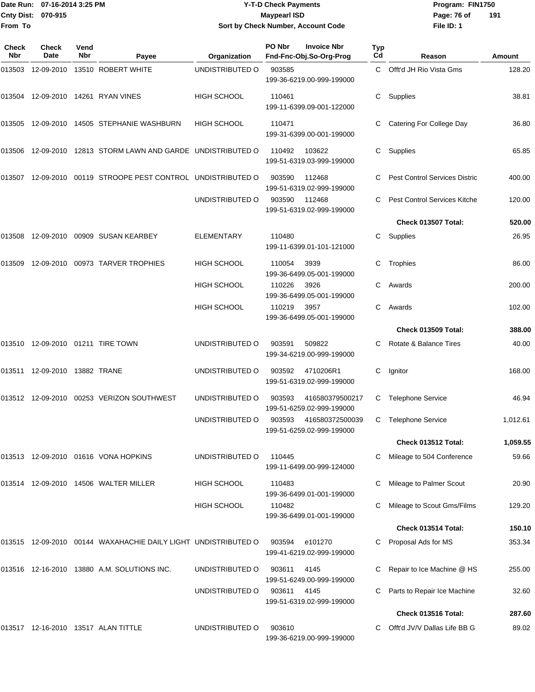#### Date Run: 07-16-2014 3:25 PM **Program:** FIN1750 **Cnty Dist:** 070-915 **Page: 76 of MaypearI ISD Page: 76 of Y-T-D Check Payments 070-915 Maypearl ISD Sort by Check Number, Account Code**

| Check<br><b>Nbr</b> | <b>Check</b><br>Date             | Vend<br>Nbr | Payee                                                           | Organization       | PO Nbr | <b>Invoice Nbr</b><br>Fnd-Fnc-Obj.So-Org-Prog | Typ<br>Cd | Reason                               | <b>Amount</b> |
|---------------------|----------------------------------|-------------|-----------------------------------------------------------------|--------------------|--------|-----------------------------------------------|-----------|--------------------------------------|---------------|
|                     |                                  |             | 013503  12-09-2010  13510  ROBERT WHITE                         | UNDISTRIBUTED O    | 903585 | 199-36-6219.00-999-199000                     | C.        | Offt'd JH Rio Vista Gms              | 128.20        |
|                     |                                  |             |                                                                 | <b>HIGH SCHOOL</b> | 110461 | 199-11-6399.09-001-122000                     | C         | Supplies                             | 38.81         |
|                     |                                  |             | 013505 12-09-2010 14505 STEPHANIE WASHBURN                      | <b>HIGH SCHOOL</b> | 110471 | 199-31-6399.00-001-199000                     |           | <b>Catering For College Day</b>      | 36.80         |
|                     |                                  |             | 013506 12-09-2010 12813 STORM LAWN AND GARDE UNDISTRIBUTED O    |                    | 110492 | 103622<br>199-51-6319.03-999-199000           | C         | Supplies                             | 65.85         |
|                     |                                  |             | 013507 12-09-2010 00119 STROOPE PEST CONTROL UNDISTRIBUTED O    |                    | 903590 | 112468<br>199-51-6319.02-999-199000           |           | <b>Pest Control Services Distric</b> | 400.00        |
|                     |                                  |             |                                                                 | UNDISTRIBUTED O    | 903590 | 112468<br>199-51-6319.02-999-199000           |           | Pest Control Services Kitche         | 120.00        |
|                     |                                  |             |                                                                 |                    |        |                                               |           | Check 013507 Total:                  | 520.00        |
|                     |                                  |             | 013508  12-09-2010  00909  SUSAN KEARBEY                        | <b>ELEMENTARY</b>  | 110480 | 199-11-6399.01-101-121000                     | C         | Supplies                             | 26.95         |
| 013509              |                                  |             | 12-09-2010 00973 TARVER TROPHIES                                | <b>HIGH SCHOOL</b> | 110054 | 3939<br>199-36-6499.05-001-199000             | C         | Trophies                             | 86.00         |
|                     |                                  |             |                                                                 | HIGH SCHOOL        | 110226 | 3926<br>199-36-6499.05-001-199000             | C         | Awards                               | 200.00        |
|                     |                                  |             |                                                                 | <b>HIGH SCHOOL</b> | 110219 | 3957<br>199-36-6499.05-001-199000             | C.        | Awards                               | 102.00        |
|                     |                                  |             |                                                                 |                    |        |                                               |           | Check 013509 Total:                  | 388.00        |
|                     |                                  |             | 013510 12-09-2010 01211 TIRE TOWN                               | UNDISTRIBUTED O    | 903591 | 509822<br>199-34-6219.00-999-199000           |           | Rotate & Balance Tires               | 40.00         |
|                     | 013511  12-09-2010  13882  TRANE |             |                                                                 | UNDISTRIBUTED O    | 903592 | 4710206R1<br>199-51-6319.02-999-199000        | С         | Ignitor                              | 168.00        |
|                     |                                  |             | 013512 12-09-2010 00253 VERIZON SOUTHWEST                       | UNDISTRIBUTED O    | 903593 | 416580379500217<br>199-51-6259.02-999-199000  | C         | <b>Telephone Service</b>             | 46.94         |
|                     |                                  |             |                                                                 | UNDISTRIBUTED O    | 903593 | 416580372500039<br>199-51-6259.02-999-199000  | C         | <b>Telephone Service</b>             | 1,012.61      |
|                     |                                  |             |                                                                 |                    |        |                                               |           | Check 013512 Total:                  | 1,059.55      |
|                     |                                  |             | 013513 12-09-2010 01616 VONA HOPKINS                            | UNDISTRIBUTED O    | 110445 | 199-11-6499.00-999-124000                     | С         | Mileage to 504 Conference            | 59.66         |
|                     |                                  |             | 013514 12-09-2010 14506 WALTER MILLER                           | <b>HIGH SCHOOL</b> | 110483 | 199-36-6499.01-001-199000                     |           | Mileage to Palmer Scout              | 20.90         |
|                     |                                  |             |                                                                 | HIGH SCHOOL        | 110482 | 199-36-6499.01-001-199000                     |           | Mileage to Scout Gms/Films           | 129.20        |
|                     |                                  |             |                                                                 |                    |        |                                               |           | Check 013514 Total:                  | 150.10        |
|                     |                                  |             | 013515 12-09-2010 00144 WAXAHACHIE DAILY LIGHT  UNDISTRIBUTED O |                    | 903594 | e101270<br>199-41-6219.02-999-199000          |           | Proposal Ads for MS                  | 353.34        |
|                     |                                  |             | 013516 12-16-2010 13880 A.M. SOLUTIONS INC.                     | UNDISTRIBUTED O    | 903611 | 4145<br>199-51-6249.00-999-199000             |           | Repair to Ice Machine @ HS           | 255.00        |
|                     |                                  |             |                                                                 | UNDISTRIBUTED O    | 903611 | 4145<br>199-51-6319.02-999-199000             |           | Parts to Repair Ice Machine          | 32.60         |
|                     |                                  |             |                                                                 |                    |        |                                               |           | Check 013516 Total:                  | 287.60        |
|                     |                                  |             | 013517 12-16-2010 13517   ALAN TITTLE                           | UNDISTRIBUTED O    | 903610 | 199-36-6219.00-999-199000                     |           | Offt'd JV/V Dallas Life BB G         | 89.02         |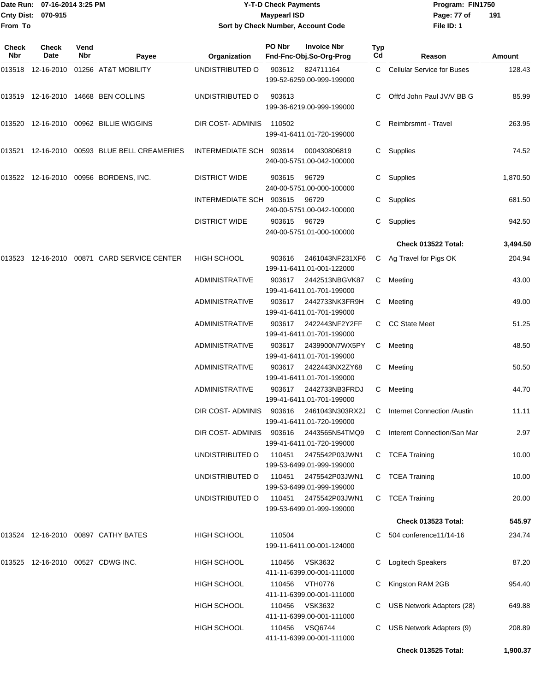| From To             | Date Run: 07-16-2014 3:25 PM<br>Cnty Dist: 070-915 |             |                                              | <b>Maypearl ISD</b>     | <b>Y-T-D Check Payments</b><br>Program: FIN1750<br>Page: 77 of<br>191<br>File ID: 1<br>Sort by Check Number, Account Code |                                                                 |           |                                    |               |
|---------------------|----------------------------------------------------|-------------|----------------------------------------------|-------------------------|---------------------------------------------------------------------------------------------------------------------------|-----------------------------------------------------------------|-----------|------------------------------------|---------------|
| <b>Check</b><br>Nbr | Check<br>Date                                      | Vend<br>Nbr | Payee                                        | Organization            | PO Nbr                                                                                                                    | <b>Invoice Nbr</b><br>Fnd-Fnc-Obj.So-Org-Prog                   | Typ<br>Cd | Reason                             | <b>Amount</b> |
|                     |                                                    |             | 013518 12-16-2010 01256 AT&T MOBILITY        | UNDISTRIBUTED O         | 903612                                                                                                                    | 824711164<br>199-52-6259.00-999-199000                          |           | C Cellular Service for Buses       | 128.43        |
|                     |                                                    |             | 013519 12-16-2010 14668 BEN COLLINS          | UNDISTRIBUTED O         | 903613                                                                                                                    | 199-36-6219.00-999-199000                                       |           | Offt'd John Paul JV/V BB G         | 85.99         |
|                     |                                                    |             | 013520 12-16-2010 00962 BILLIE WIGGINS       | DIR COST- ADMINIS       | 110502                                                                                                                    | 199-41-6411.01-720-199000                                       |           | Reimbrsmnt - Travel                | 263.95        |
|                     |                                                    |             | 013521 12-16-2010 00593 BLUE BELL CREAMERIES | INTERMEDIATE SCH 903614 |                                                                                                                           | 000430806819<br>240-00-5751.00-042-100000                       |           | C Supplies                         | 74.52         |
|                     |                                                    |             | 013522 12-16-2010 00956 BORDENS, INC.        | <b>DISTRICT WIDE</b>    | 903615                                                                                                                    | 96729<br>240-00-5751.00-000-100000                              | C         | Supplies                           | 1,870.50      |
|                     |                                                    |             |                                              | INTERMEDIATE SCH 903615 |                                                                                                                           | 96729                                                           |           | Supplies                           | 681.50        |
|                     |                                                    |             |                                              | <b>DISTRICT WIDE</b>    | 903615                                                                                                                    | 240-00-5751.00-042-100000<br>96729<br>240-00-5751.01-000-100000 | C.        | Supplies                           | 942.50        |
|                     |                                                    |             |                                              |                         |                                                                                                                           |                                                                 |           | Check 013522 Total:                | 3,494.50      |
| 013523              |                                                    |             | 12-16-2010 00871 CARD SERVICE CENTER         | <b>HIGH SCHOOL</b>      | 903616                                                                                                                    | 2461043NF231XF6<br>199-11-6411.01-001-122000                    |           | C Ag Travel for Pigs OK            | 204.94        |
|                     |                                                    |             |                                              | ADMINISTRATIVE          | 903617                                                                                                                    | 2442513NBGVK87<br>199-41-6411.01-701-199000                     |           | C Meeting                          | 43.00         |
|                     |                                                    |             |                                              | <b>ADMINISTRATIVE</b>   | 903617                                                                                                                    | 2442733NK3FR9H<br>199-41-6411.01-701-199000                     |           | C Meeting                          | 49.00         |
|                     |                                                    |             |                                              | ADMINISTRATIVE          | 903617                                                                                                                    | 2422443NF2Y2FF<br>199-41-6411.01-701-199000                     | C.        | <b>CC State Meet</b>               | 51.25         |
|                     |                                                    |             |                                              | <b>ADMINISTRATIVE</b>   | 903617                                                                                                                    | 2439900N7WX5PY<br>199-41-6411.01-701-199000                     | C         | Meeting                            | 48.50         |
|                     |                                                    |             |                                              | ADMINISTRATIVE          | 903617                                                                                                                    | 2422443NX2ZY68<br>199-41-6411.01-701-199000                     | C         | Meeting                            | 50.50         |
|                     |                                                    |             |                                              | ADMINISTRATIVE          | 903617                                                                                                                    | 2442733NB3FRDJ<br>199-41-6411.01-701-199000                     | C.        | Meeting                            | 44.70         |
|                     |                                                    |             |                                              | DIR COST- ADMINIS       | 903616                                                                                                                    | 2461043N303RX2J<br>199-41-6411.01-720-199000                    | C.        | <b>Internet Connection /Austin</b> | 11.11         |
|                     |                                                    |             |                                              | DIR COST- ADMINIS       | 903616                                                                                                                    | 2443565N54TMQ9<br>199-41-6411.01-720-199000                     | C.        | Interent Connection/San Mar        | 2.97          |
|                     |                                                    |             |                                              | UNDISTRIBUTED O         | 110451                                                                                                                    | 2475542P03JWN1<br>199-53-6499.01-999-199000                     |           | C TCEA Training                    | 10.00         |
|                     |                                                    |             |                                              | UNDISTRIBUTED O         | 110451                                                                                                                    | 2475542P03JWN1<br>199-53-6499.01-999-199000                     |           | C TCEA Training                    | 10.00         |
|                     |                                                    |             |                                              | UNDISTRIBUTED O         | 110451                                                                                                                    | 2475542P03JWN1<br>199-53-6499.01-999-199000                     |           | C TCEA Training                    | 20.00         |
|                     |                                                    |             |                                              |                         |                                                                                                                           |                                                                 |           | Check 013523 Total:                | 545.97        |
|                     |                                                    |             | 013524 12-16-2010 00897 CATHY BATES          | <b>HIGH SCHOOL</b>      | 110504                                                                                                                    | 199-11-6411.00-001-124000                                       |           | C 504 conference11/14-16           | 234.74        |
|                     |                                                    |             | 013525 12-16-2010 00527 CDWG INC.            | <b>HIGH SCHOOL</b>      | 110456                                                                                                                    | VSK3632<br>411-11-6399.00-001-111000                            | C.        | Logitech Speakers                  | 87.20         |
|                     |                                                    |             |                                              | <b>HIGH SCHOOL</b>      | 110456                                                                                                                    | VTH0776<br>411-11-6399.00-001-111000                            |           | C Kingston RAM 2GB                 | 954.40        |
|                     |                                                    |             |                                              | <b>HIGH SCHOOL</b>      | 110456                                                                                                                    | <b>VSK3632</b><br>411-11-6399.00-001-111000                     |           | USB Network Adapters (28)          | 649.88        |
|                     |                                                    |             |                                              | <b>HIGH SCHOOL</b>      | 110456                                                                                                                    | <b>VSQ6744</b><br>411-11-6399.00-001-111000                     | C         | USB Network Adapters (9)           | 208.89        |

**Check 013525 Total: 1,900.37**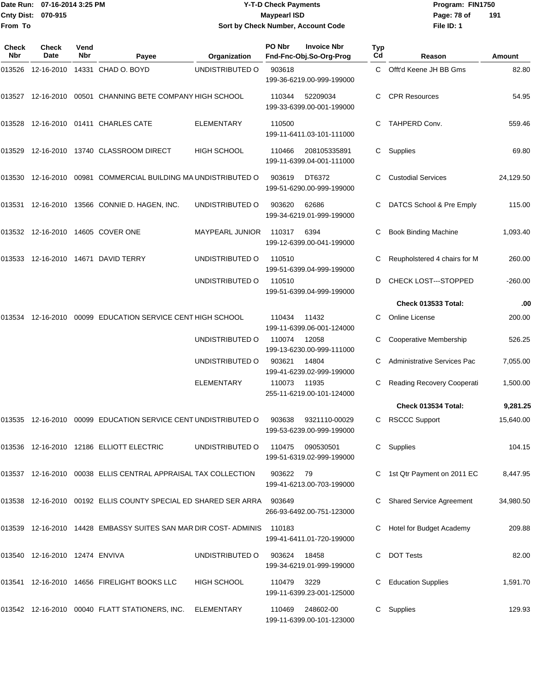#### Date Run: 07-16-2014 3:25 PM **Program:** FIN1750 **Cnty Dist:** 070-915 **Page: 78 of MaypearI ISD Page: 78 of Y-T-D Check Payments 070-915 Maypearl ISD Sort by Check Number, Account Code**

| Check<br>Nbr | Check<br>Date                     | Vend<br><b>Nbr</b> | Payee                                                                      | Organization           | PO Nbr | <b>Invoice Nbr</b><br>Fnd-Fnc-Obj.So-Org-Prog | Typ<br>Cd | Reason                             | Amount    |
|--------------|-----------------------------------|--------------------|----------------------------------------------------------------------------|------------------------|--------|-----------------------------------------------|-----------|------------------------------------|-----------|
| 013526       |                                   |                    | 12-16-2010  14331  CHAD O. BOYD                                            | UNDISTRIBUTED O        | 903618 | 199-36-6219.00-999-199000                     | C         | Offt'd Keene JH BB Gms             | 82.80     |
|              |                                   |                    | 013527 12-16-2010 00501 CHANNING BETE COMPANY HIGH SCHOOL                  |                        | 110344 | 52209034<br>199-33-6399.00-001-199000         |           | <b>CPR Resources</b>               | 54.95     |
| 013528       |                                   |                    | 12-16-2010 01411 CHARLES CATE                                              | <b>ELEMENTARY</b>      | 110500 | 199-11-6411.03-101-111000                     |           | TAHPERD Conv.                      | 559.46    |
| 013529       |                                   |                    | 12-16-2010  13740  CLASSROOM DIRECT                                        | <b>HIGH SCHOOL</b>     | 110466 | 208105335891<br>199-11-6399.04-001-111000     | C         | Supplies                           | 69.80     |
| 013530       |                                   |                    | 12-16-2010 00981 COMMERCIAL BUILDING MA UNDISTRIBUTED O                    |                        | 903619 | DT6372<br>199-51-6290.00-999-199000           |           | <b>Custodial Services</b>          | 24,129.50 |
|              |                                   |                    | 013531 12-16-2010 13566 CONNIE D. HAGEN, INC.                              | UNDISTRIBUTED O        | 903620 | 62686<br>199-34-6219.01-999-199000            |           | DATCS School & Pre Emply           | 115.00    |
|              |                                   |                    | 013532 12-16-2010 14605 COVER ONE                                          | <b>MAYPEARL JUNIOR</b> | 110317 | 6394<br>199-12-6399.00-041-199000             | С         | <b>Book Binding Machine</b>        | 1,093.40  |
| 013533       |                                   |                    | 12-16-2010  14671  DAVID TERRY                                             | UNDISTRIBUTED O        | 110510 | 199-51-6399.04-999-199000                     |           | Reupholstered 4 chairs for M       | 260.00    |
|              |                                   |                    |                                                                            | UNDISTRIBUTED O        | 110510 | 199-51-6399.04-999-199000                     | D         | <b>CHECK LOST---STOPPED</b>        | $-260.00$ |
|              |                                   |                    |                                                                            |                        |        |                                               |           | <b>Check 013533 Total:</b>         | .00       |
| 013534       |                                   |                    | 12-16-2010 00099 EDUCATION SERVICE CENT HIGH SCHOOL                        |                        | 110434 | 11432<br>199-11-6399.06-001-124000            | C.        | Online License                     | 200.00    |
|              |                                   |                    |                                                                            | UNDISTRIBUTED O        | 110074 | 12058<br>199-13-6230.00-999-111000            |           | Cooperative Membership             | 526.25    |
|              |                                   |                    |                                                                            | UNDISTRIBUTED O        | 903621 | 14804<br>199-41-6239.02-999-199000            |           | <b>Administrative Services Pac</b> | 7,055.00  |
|              |                                   |                    |                                                                            | <b>ELEMENTARY</b>      | 110073 | 11935<br>255-11-6219.00-101-124000            |           | Reading Recovery Cooperati         | 1,500.00  |
|              |                                   |                    |                                                                            |                        |        |                                               |           | Check 013534 Total:                | 9,281.25  |
| 013535       |                                   |                    | 12-16-2010  00099  EDUCATION SERVICE CENT UNDISTRIBUTED O                  |                        | 903638 | 9321110-00029<br>199-53-6239.00-999-199000    |           | C RSCCC Support                    | 15,640.00 |
|              |                                   |                    | 013536 12-16-2010 12186 ELLIOTT ELECTRIC                                   | UNDISTRIBUTED O        | 110475 | 090530501<br>199-51-6319.02-999-199000        |           | C Supplies                         | 104.15    |
|              |                                   |                    | 013537 12-16-2010 00038 ELLIS CENTRAL APPRAISAL TAX COLLECTION             |                        | 903622 | - 79<br>199-41-6213.00-703-199000             |           | 1st Qtr Payment on 2011 EC         | 8,447.95  |
|              |                                   |                    | 013538  12-16-2010  00192  ELLIS COUNTY SPECIAL ED SHARED SER ARRA  903649 |                        |        | 266-93-6492.00-751-123000                     |           | <b>Shared Service Agreement</b>    | 34,980.50 |
|              |                                   |                    | 013539  12-16-2010  14428  EMBASSY SUITES SAN MAR DIR COST- ADMINIS        |                        | 110183 | 199-41-6411.01-720-199000                     |           | Hotel for Budget Academy           | 209.88    |
|              | 013540  12-16-2010  12474  ENVIVA |                    |                                                                            | UNDISTRIBUTED O        | 903624 | 18458<br>199-34-6219.01-999-199000            |           | <b>DOT Tests</b>                   | 82.00     |
|              |                                   |                    | 013541 12-16-2010 14656 FIRELIGHT BOOKS LLC                                | HIGH SCHOOL            | 110479 | 3229<br>199-11-6399.23-001-125000             |           | <b>Education Supplies</b>          | 1,591.70  |
|              |                                   |                    | 013542 12-16-2010 00040 FLATT STATIONERS, INC.                             | ELEMENTARY             | 110469 | 248602-00<br>199-11-6399.00-101-123000        |           | C Supplies                         | 129.93    |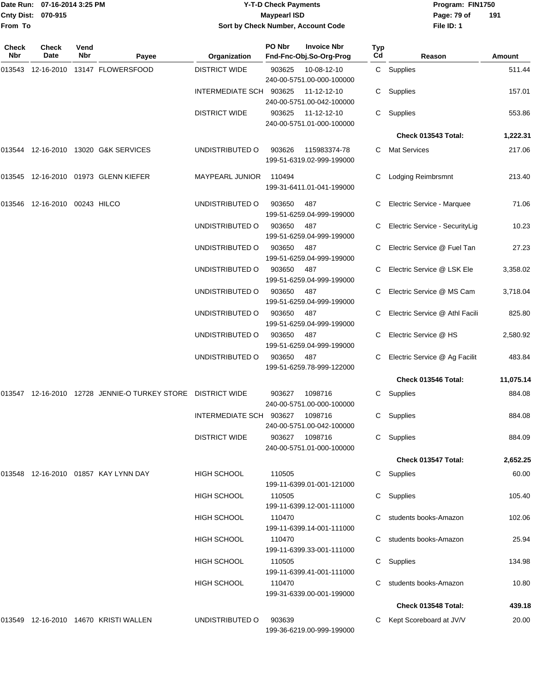|              | Date Run: 07-16-2014 3:25 PM  |             |                                                                 |                                    | <b>Y-T-D Check Payments</b> | Program: FIN1750                              |                  |                                  |           |
|--------------|-------------------------------|-------------|-----------------------------------------------------------------|------------------------------------|-----------------------------|-----------------------------------------------|------------------|----------------------------------|-----------|
|              | Cnty Dist: 070-915            |             |                                                                 |                                    | <b>Maypearl ISD</b>         |                                               |                  | Page: 79 of                      | 191       |
| From To      |                               |             |                                                                 | Sort by Check Number, Account Code |                             |                                               |                  | File ID: 1                       |           |
| Check<br>Nbr | Check<br>Date                 | Vend<br>Nbr | Payee                                                           | Organization                       | PO Nbr                      | <b>Invoice Nbr</b><br>Fnd-Fnc-Obj.So-Org-Prog | <b>Typ</b><br>Cd | Reason                           | Amount    |
|              |                               |             | 013543 12-16-2010 13147 FLOWERSFOOD                             | <b>DISTRICT WIDE</b>               | 903625                      | 10-08-12-10                                   |                  | C Supplies                       | 511.44    |
|              |                               |             |                                                                 |                                    |                             | 240-00-5751.00-000-100000                     |                  |                                  |           |
|              |                               |             |                                                                 | INTERMEDIATE SCH 903625            |                             | 11-12-12-10<br>240-00-5751.00-042-100000      |                  | C Supplies                       | 157.01    |
|              |                               |             |                                                                 | <b>DISTRICT WIDE</b>               | 903625                      | 11-12-12-10<br>240-00-5751.01-000-100000      |                  | C Supplies                       | 553.86    |
|              |                               |             |                                                                 |                                    |                             |                                               |                  | Check 013543 Total:              | 1,222.31  |
|              |                               |             | 013544 12-16-2010 13020 G&K SERVICES                            | UNDISTRIBUTED O                    | 903626                      | 115983374-78<br>199-51-6319.02-999-199000     |                  | C Mat Services                   | 217.06    |
|              |                               |             | 013545 12-16-2010 01973 GLENN KIEFER                            | <b>MAYPEARL JUNIOR</b>             | 110494                      | 199-31-6411.01-041-199000                     |                  | <b>Lodging Reimbrsmnt</b>        | 213.40    |
|              | 013546 12-16-2010 00243 HILCO |             |                                                                 | UNDISTRIBUTED O                    | 903650                      | 487<br>199-51-6259.04-999-199000              |                  | Electric Service - Marquee       | 71.06     |
|              |                               |             |                                                                 | UNDISTRIBUTED O                    | 903650                      | 487<br>199-51-6259.04-999-199000              |                  | Electric Service - SecurityLig   | 10.23     |
|              |                               |             |                                                                 | UNDISTRIBUTED O                    | 903650                      | 487<br>199-51-6259.04-999-199000              |                  | Electric Service @ Fuel Tan      | 27.23     |
|              |                               |             |                                                                 | UNDISTRIBUTED O                    | 903650                      | 487<br>199-51-6259.04-999-199000              |                  | C Electric Service @ LSK Ele     | 3,358.02  |
|              |                               |             |                                                                 | UNDISTRIBUTED O                    | 903650                      | 487<br>199-51-6259.04-999-199000              |                  | C Electric Service @ MS Cam      | 3,718.04  |
|              |                               |             |                                                                 | UNDISTRIBUTED O                    | 903650                      | 487<br>199-51-6259.04-999-199000              |                  | C Electric Service @ Athl Facili | 825.80    |
|              |                               |             |                                                                 | UNDISTRIBUTED O                    | 903650                      | 487<br>199-51-6259.04-999-199000              |                  | Electric Service @ HS            | 2,580.92  |
|              |                               |             |                                                                 | UNDISTRIBUTED O                    | 903650                      | 487<br>199-51-6259.78-999-122000              | C                | Electric Service @ Ag Facilit    | 483.84    |
|              |                               |             |                                                                 |                                    |                             |                                               |                  | Check 013546 Total:              | 11,075.14 |
|              |                               |             | 013547  12-16-2010  12728  JENNIE-O TURKEY STORE  DISTRICT WIDE |                                    | 903627                      | 1098716<br>240-00-5751.00-000-100000          |                  | C Supplies                       | 884.08    |
|              |                               |             |                                                                 | INTERMEDIATE SCH 903627            |                             | 1098716<br>240-00-5751.00-042-100000          |                  | C Supplies                       | 884.08    |
|              |                               |             |                                                                 | <b>DISTRICT WIDE</b>               | 903627                      | 1098716<br>240-00-5751.01-000-100000          |                  | C Supplies                       | 884.09    |
|              |                               |             |                                                                 |                                    |                             |                                               |                  | Check 013547 Total:              | 2,652.25  |
|              |                               |             | 013548 12-16-2010 01857 KAY LYNN DAY                            | HIGH SCHOOL                        | 110505                      | 199-11-6399.01-001-121000                     |                  | C Supplies                       | 60.00     |
|              |                               |             |                                                                 | HIGH SCHOOL                        | 110505                      | 199-11-6399.12-001-111000                     |                  | C Supplies                       | 105.40    |
|              |                               |             |                                                                 | <b>HIGH SCHOOL</b>                 | 110470                      | 199-11-6399.14-001-111000                     |                  | C students books-Amazon          | 102.06    |
|              |                               |             |                                                                 | HIGH SCHOOL                        | 110470                      | 199-11-6399.33-001-111000                     |                  | C students books-Amazon          | 25.94     |
|              |                               |             |                                                                 | <b>HIGH SCHOOL</b>                 | 110505                      | 199-11-6399.41-001-111000                     |                  | C Supplies                       | 134.98    |
|              |                               |             |                                                                 | <b>HIGH SCHOOL</b>                 | 110470                      | 199-31-6339.00-001-199000                     |                  | C students books-Amazon          | 10.80     |
|              |                               |             |                                                                 |                                    |                             |                                               |                  | Check 013548 Total:              | 439.18    |
|              |                               |             | 013549 12-16-2010 14670 KRISTI WALLEN                           | UNDISTRIBUTED O                    | 903639                      |                                               |                  | C Kept Scoreboard at JV/V        | 20.00     |

199-36-6219.00-999-199000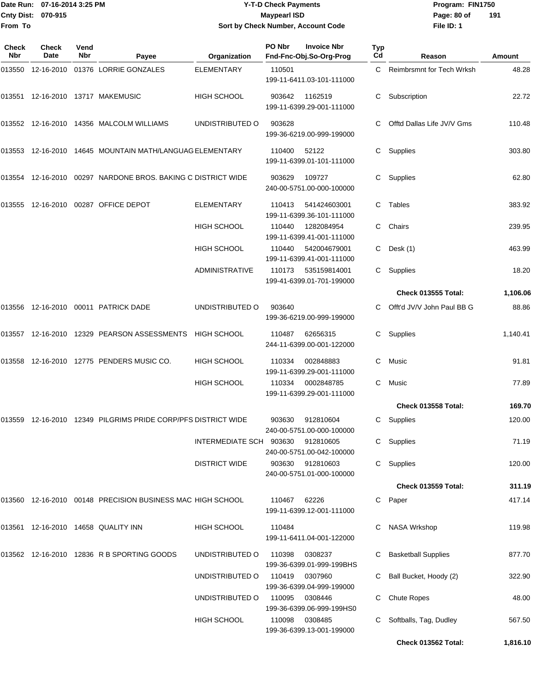#### Date Run: 07-16-2014 3:25 PM **Program:** FIN1750 **Cnty Dist:** 070-915 **Page: 80 of MaypearI ISD Page: 80 of Y-T-D Check Payments 070-915 Maypearl ISD Sort by Check Number, Account Code**

| <b>Check</b><br>Nbr | Check<br>Date | Vend<br>Nbr | Payee                                                            | Organization            | PO Nbr | <b>Invoice Nbr</b><br>Fnd-Fnc-Obj.So-Org-Prog | <b>Typ</b><br>Cd | Reason                     | Amount   |
|---------------------|---------------|-------------|------------------------------------------------------------------|-------------------------|--------|-----------------------------------------------|------------------|----------------------------|----------|
| 013550              | 12-16-2010    |             | 01376 LORRIE GONZALES                                            | <b>ELEMENTARY</b>       | 110501 | 199-11-6411.03-101-111000                     | C.               | Reimbrsmnt for Tech Wrksh  | 48.28    |
|                     |               |             | 013551 12-16-2010 13717 MAKEMUSIC                                | <b>HIGH SCHOOL</b>      | 903642 | 1162519<br>199-11-6399.29-001-111000          | C                | Subscription               | 22.72    |
|                     |               |             | 013552 12-16-2010 14356 MALCOLM WILLIAMS                         | UNDISTRIBUTED O         | 903628 | 199-36-6219.00-999-199000                     | C                | Offtd Dallas Life JV/V Gms | 110.48   |
|                     |               |             | 013553 12-16-2010 14645 MOUNTAIN MATH/LANGUAG ELEMENTARY         |                         | 110400 | 52122<br>199-11-6399.01-101-111000            | C                | Supplies                   | 303.80   |
| 013554              |               |             | 12-16-2010  00297  NARDONE BROS. BAKING C DISTRICT WIDE          |                         | 903629 | 109727<br>240-00-5751.00-000-100000           | C                | Supplies                   | 62.80    |
| 013555              |               |             | 12-16-2010  00287  OFFICE DEPOT                                  | <b>ELEMENTARY</b>       | 110413 | 541424603001<br>199-11-6399.36-101-111000     | C.               | Tables                     | 383.92   |
|                     |               |             |                                                                  | <b>HIGH SCHOOL</b>      | 110440 | 1282084954<br>199-11-6399.41-001-111000       | C                | Chairs                     | 239.95   |
|                     |               |             |                                                                  | <b>HIGH SCHOOL</b>      | 110440 | 542004679001<br>199-11-6399.41-001-111000     | C                | Desk (1)                   | 463.99   |
|                     |               |             |                                                                  | <b>ADMINISTRATIVE</b>   | 110173 | 535159814001<br>199-41-6399.01-701-199000     | C                | Supplies                   | 18.20    |
|                     |               |             |                                                                  |                         |        |                                               |                  | <b>Check 013555 Total:</b> | 1,106.06 |
| 013556              |               |             | 12-16-2010 00011 PATRICK DADE                                    | UNDISTRIBUTED O         | 903640 | 199-36-6219.00-999-199000                     | C                | Offt'd JV/V John Paul BB G | 88.86    |
|                     |               |             | 013557 12-16-2010 12329 PEARSON ASSESSMENTS                      | <b>HIGH SCHOOL</b>      | 110487 | 62656315<br>244-11-6399.00-001-122000         | C                | Supplies                   | 1,140.41 |
| 013558              |               |             | 12-16-2010  12775  PENDERS MUSIC CO.                             | HIGH SCHOOL             | 110334 | 002848883<br>199-11-6399.29-001-111000        | C                | Music                      | 91.81    |
|                     |               |             |                                                                  | <b>HIGH SCHOOL</b>      | 110334 | 0002848785<br>199-11-6399.29-001-111000       | C                | Music                      | 77.89    |
|                     |               |             |                                                                  |                         |        |                                               |                  | Check 013558 Total:        | 169.70   |
|                     |               |             | 013559  12-16-2010  12349  PILGRIMS PRIDE CORP/PFS DISTRICT WIDE |                         | 903630 | 912810604<br>240-00-5751.00-000-100000        |                  | C Supplies                 | 120.00   |
|                     |               |             |                                                                  | INTERMEDIATE SCH 903630 |        | 912810605<br>240-00-5751.00-042-100000        |                  | C Supplies                 | 71.19    |
|                     |               |             |                                                                  | <b>DISTRICT WIDE</b>    | 903630 | 912810603<br>240-00-5751.01-000-100000        |                  | C Supplies                 | 120.00   |
|                     |               |             |                                                                  |                         |        |                                               |                  | <b>Check 013559 Total:</b> | 311.19   |
|                     |               |             | 013560 12-16-2010 00148 PRECISION BUSINESS MAC HIGH SCHOOL       |                         | 110467 | 62226<br>199-11-6399.12-001-111000            |                  | C Paper                    | 417.14   |
|                     |               |             | 013561 12-16-2010 14658 QUALITY INN                              | HIGH SCHOOL             | 110484 | 199-11-6411.04-001-122000                     | C                | <b>NASA Wrkshop</b>        | 119.98   |
|                     |               |             | 013562 12-16-2010 12836 R B SPORTING GOODS                       | UNDISTRIBUTED O         | 110398 | 0308237<br>199-36-6399.01-999-199BHS          | C.               | <b>Basketball Supplies</b> | 877.70   |
|                     |               |             |                                                                  | UNDISTRIBUTED O         | 110419 | 0307960<br>199-36-6399.04-999-199000          |                  | C Ball Bucket, Hoody (2)   | 322.90   |
|                     |               |             |                                                                  | UNDISTRIBUTED O         | 110095 | 0308446<br>199-36-6399.06-999-199HS0          | C.               | <b>Chute Ropes</b>         | 48.00    |
|                     |               |             |                                                                  | HIGH SCHOOL             | 110098 | 0308485<br>199-36-6399.13-001-199000          | C.               | Softballs, Tag, Dudley     | 567.50   |
|                     |               |             |                                                                  |                         |        |                                               |                  | Check 013562 Total:        | 1,816.10 |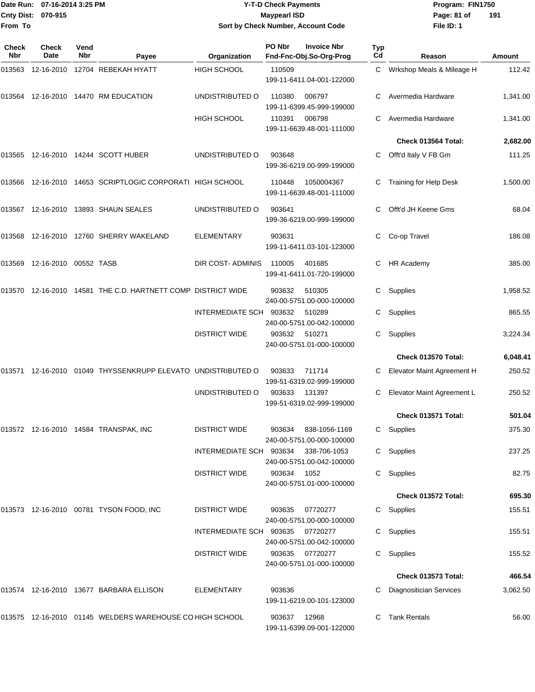| Date Run:    | 07-16-2014 3:25 PM              |             |                                                              |                                    | <b>Y-T-D Check Payments</b> |                                                                  |           | Program: FIN1750               |               |
|--------------|---------------------------------|-------------|--------------------------------------------------------------|------------------------------------|-----------------------------|------------------------------------------------------------------|-----------|--------------------------------|---------------|
|              | Cnty Dist: 070-915              |             |                                                              |                                    | <b>Maypearl ISD</b>         |                                                                  |           | Page: 81 of                    | 191           |
| From To      |                                 |             |                                                              | Sort by Check Number, Account Code |                             |                                                                  |           | File ID: 1                     |               |
| Check<br>Nbr | Check<br>Date                   | Vend<br>Nbr | Payee                                                        | Organization                       | PO Nbr                      | <b>Invoice Nbr</b><br>Fnd-Fnc-Obj.So-Org-Prog                    | Typ<br>Cd | Reason                         | <b>Amount</b> |
|              |                                 |             | 013563 12-16-2010 12704 REBEKAH HYATT                        | <b>HIGH SCHOOL</b>                 | 110509                      |                                                                  | C.        | Wrkshop Meals & Mileage H      | 112.42        |
|              |                                 |             |                                                              |                                    |                             | 199-11-6411.04-001-122000                                        |           |                                |               |
|              |                                 |             | 013564 12-16-2010 14470 RM EDUCATION                         | UNDISTRIBUTED O                    | 110380                      | 006797<br>199-11-6399.45-999-199000                              |           | Avermedia Hardware             | 1,341.00      |
|              |                                 |             |                                                              | <b>HIGH SCHOOL</b>                 | 110391                      | 006798<br>199-11-6639.48-001-111000                              |           | Avermedia Hardware             | 1,341.00      |
|              |                                 |             |                                                              |                                    |                             |                                                                  |           | Check 013564 Total:            | 2,682.00      |
|              |                                 |             | 013565 12-16-2010 14244 SCOTT HUBER                          | UNDISTRIBUTED O                    | 903648                      | 199-36-6219.00-999-199000                                        | С         | Offt'd Italy V FB Gm           | 111.25        |
|              |                                 |             | 013566 12-16-2010 14653 SCRIPTLOGIC CORPORATI HIGH SCHOOL    |                                    | 110448                      | 1050004367<br>199-11-6639.48-001-111000                          |           | Training for Help Desk         | 1,500.00      |
|              |                                 |             | 013567 12-16-2010 13893 SHAUN SEALES                         | UNDISTRIBUTED O                    | 903641                      | 199-36-6219.00-999-199000                                        |           | Offt'd JH Keene Gms            | 68.04         |
|              |                                 |             | 013568 12-16-2010 12760 SHERRY WAKELAND                      | <b>ELEMENTARY</b>                  | 903631                      | 199-11-6411.03-101-123000                                        | С         | Co-op Travel                   | 186.08        |
|              | 013569  12-16-2010  00552  TASB |             |                                                              | DIR COST-ADMINIS                   | 110005                      | 401685<br>199-41-6411.01-720-199000                              | С         | HR Academy                     | 385.00        |
|              |                                 |             | 013570 12-16-2010 14581 THE C.D. HARTNETT COMP DISTRICT WIDE |                                    | 903632                      | 510305                                                           | С         | Supplies                       | 1,958.52      |
|              |                                 |             |                                                              | <b>INTERMEDIATE SCH</b>            | 903632                      | 240-00-5751.00-000-100000<br>510289<br>240-00-5751.00-042-100000 | С         | Supplies                       | 865.55        |
|              |                                 |             |                                                              | <b>DISTRICT WIDE</b>               | 903632                      | 510271<br>240-00-5751.01-000-100000                              | С         | Supplies                       | 3,224.34      |
|              |                                 |             |                                                              |                                    |                             |                                                                  |           | Check 013570 Total:            | 6,048.41      |
|              |                                 |             | 013571 12-16-2010 01049 THYSSENKRUPP ELEVATO UNDISTRIBUTED O |                                    | 903633                      | 711714<br>199-51-6319.02-999-199000                              | С         | Elevator Maint Agreement H     | 250.52        |
|              |                                 |             |                                                              | UNDISTRIBUTED O                    | 903633                      | 131397<br>199-51-6319.02-999-199000                              |           | C Elevator Maint Agreement L   | 250.52        |
|              |                                 |             |                                                              |                                    |                             |                                                                  |           | Check 013571 Total:            | 501.04        |
|              |                                 |             | 013572 12-16-2010 14584 TRANSPAK, INC                        | <b>DISTRICT WIDE</b>               | 903634                      | 838-1056-1169<br>240-00-5751.00-000-100000                       |           | C Supplies                     | 375.30        |
|              |                                 |             |                                                              | INTERMEDIATE SCH 903634            |                             | 338-706-1053<br>240-00-5751.00-042-100000                        |           | C Supplies                     | 237.25        |
|              |                                 |             |                                                              | <b>DISTRICT WIDE</b>               | 903634                      | 1052<br>240-00-5751.01-000-100000                                |           | C Supplies                     | 82.75         |
|              |                                 |             |                                                              |                                    |                             |                                                                  |           | Check 013572 Total:            | 695.30        |
|              |                                 |             | 013573 12-16-2010 00781 TYSON FOOD, INC                      | <b>DISTRICT WIDE</b>               | 903635                      | 07720277<br>240-00-5751.00-000-100000                            |           | C Supplies                     | 155.51        |
|              |                                 |             |                                                              | INTERMEDIATE SCH 903635            |                             | 07720277<br>240-00-5751.00-042-100000                            |           | C Supplies                     | 155.51        |
|              |                                 |             |                                                              | <b>DISTRICT WIDE</b>               | 903635                      | 07720277<br>240-00-5751.01-000-100000                            |           | C Supplies                     | 155.52        |
|              |                                 |             |                                                              |                                    |                             |                                                                  |           | Check 013573 Total:            | 466.54        |
|              |                                 |             | 013574 12-16-2010 13677 BARBARA ELLISON                      | <b>ELEMENTARY</b>                  | 903636                      | 199-11-6219.00-101-123000                                        |           | <b>Diagnositician Services</b> | 3,062.50      |
|              |                                 |             | 013575 12-16-2010 01145 WELDERS WAREHOUSE CO HIGH SCHOOL     |                                    | 903637 12968                |                                                                  |           | C Tank Rentals                 | 56.00         |

199-11-6399.09-001-122000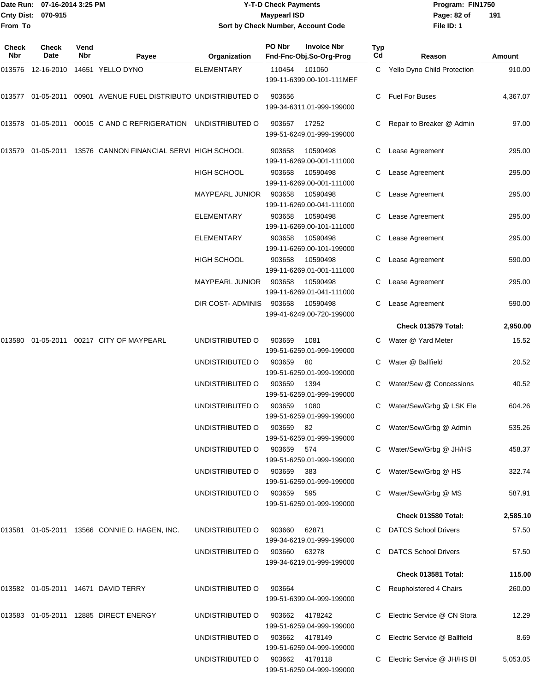|                    | Date Run: 07-16-2014 3:25 PM |
|--------------------|------------------------------|
| Cnty Dist: 070-915 |                              |
| lFrom To           |                              |

# **Date Run: Program: FIN1750 07-16-2014 3:25 PM Y-T-D Check Payments Cnty Dist: Page: 82 of 070-915 Maypearl ISD Sort by Check Number, Account Code**

| Check<br>Nbr | Check<br>Date | Vend<br>Nbr | Payee                                                         | Organization           | PO Nbr | <b>Invoice Nbr</b><br>Fnd-Fnc-Obj.So-Org-Prog | Typ<br>Cd | Reason                        | Amount   |
|--------------|---------------|-------------|---------------------------------------------------------------|------------------------|--------|-----------------------------------------------|-----------|-------------------------------|----------|
| 013576       |               |             | 12-16-2010  14651  YELLO DYNO                                 | <b>ELEMENTARY</b>      | 110454 | 101060<br>199-11-6399.00-101-111MEF           |           | C Yello Dyno Child Protection | 910.00   |
| 013577       |               |             | 01-05-2011  00901  AVENUE FUEL DISTRIBUTO UNDISTRIBUTED O     |                        | 903656 | 199-34-6311.01-999-199000                     | C         | <b>Fuel For Buses</b>         | 4,367.07 |
|              |               |             | 013578 01-05-2011 00015 C AND C REFRIGERATION UNDISTRIBUTED O |                        | 903657 | 17252<br>199-51-6249.01-999-199000            |           | Repair to Breaker @ Admin     | 97.00    |
| 013579       |               |             | 01-05-2011 13576 CANNON FINANCIAL SERVI HIGH SCHOOL           |                        | 903658 | 10590498<br>199-11-6269.00-001-111000         | C         | Lease Agreement               | 295.00   |
|              |               |             |                                                               | <b>HIGH SCHOOL</b>     | 903658 | 10590498<br>199-11-6269.00-001-111000         | С         | Lease Agreement               | 295.00   |
|              |               |             |                                                               | <b>MAYPEARL JUNIOR</b> | 903658 | 10590498<br>199-11-6269.00-041-111000         |           | Lease Agreement               | 295.00   |
|              |               |             |                                                               | <b>ELEMENTARY</b>      | 903658 | 10590498<br>199-11-6269.00-101-111000         | С         | Lease Agreement               | 295.00   |
|              |               |             |                                                               | <b>ELEMENTARY</b>      | 903658 | 10590498<br>199-11-6269.00-101-199000         | С         | Lease Agreement               | 295.00   |
|              |               |             |                                                               | HIGH SCHOOL            | 903658 | 10590498<br>199-11-6269.01-001-111000         | С         | Lease Agreement               | 590.00   |
|              |               |             |                                                               | <b>MAYPEARL JUNIOR</b> | 903658 | 10590498<br>199-11-6269.01-041-111000         | С         | Lease Agreement               | 295.00   |
|              |               |             |                                                               | DIR COST- ADMINIS      | 903658 | 10590498<br>199-41-6249.00-720-199000         | C.        | Lease Agreement               | 590.00   |
|              |               |             |                                                               |                        |        |                                               |           | Check 013579 Total:           | 2,950.00 |
| 013580       |               |             | 01-05-2011  00217  CITY OF MAYPEARL                           | UNDISTRIBUTED O        | 903659 | 1081<br>199-51-6259.01-999-199000             |           | Water @ Yard Meter            | 15.52    |
|              |               |             |                                                               | UNDISTRIBUTED O        | 903659 | 80<br>199-51-6259.01-999-199000               |           | Water @ Ballfield             | 20.52    |
|              |               |             |                                                               | UNDISTRIBUTED O        | 903659 | 1394<br>199-51-6259.01-999-199000             |           | Water/Sew @ Concessions       | 40.52    |
|              |               |             |                                                               | UNDISTRIBUTED O        | 903659 | 1080<br>199-51-6259.01-999-199000             |           | Water/Sew/Grbg @ LSK Ele      | 604.26   |
|              |               |             |                                                               | UNDISTRIBUTED O        | 903659 | 82<br>199-51-6259.01-999-199000               | C         | Water/Sew/Grbg @ Admin        | 535.26   |
|              |               |             |                                                               | UNDISTRIBUTED O        | 903659 | 574<br>199-51-6259.01-999-199000              |           | C Water/Sew/Grbg @ JH/HS      | 458.37   |
|              |               |             |                                                               | UNDISTRIBUTED O        | 903659 | 383<br>199-51-6259.01-999-199000              |           | Water/Sew/Grbg @ HS           | 322.74   |
|              |               |             |                                                               | UNDISTRIBUTED O        | 903659 | 595<br>199-51-6259.01-999-199000              |           | Water/Sew/Grbg @ MS           | 587.91   |
|              |               |             |                                                               |                        |        |                                               |           | Check 013580 Total:           | 2,585.10 |
|              |               |             | 013581 01-05-2011 13566 CONNIE D. HAGEN, INC.                 | UNDISTRIBUTED O        | 903660 | 62871<br>199-34-6219.01-999-199000            |           | <b>DATCS School Drivers</b>   | 57.50    |
|              |               |             |                                                               | UNDISTRIBUTED O        | 903660 | 63278<br>199-34-6219.01-999-199000            |           | <b>DATCS School Drivers</b>   | 57.50    |
|              |               |             |                                                               |                        |        |                                               |           | Check 013581 Total:           | 115.00   |
|              |               |             | 013582 01-05-2011 14671 DAVID TERRY                           | UNDISTRIBUTED O        | 903664 | 199-51-6399.04-999-199000                     |           | Reupholstered 4 Chairs        | 260.00   |
| 013583       |               |             | 01-05-2011  12885  DIRECT ENERGY                              | UNDISTRIBUTED O        | 903662 | 4178242<br>199-51-6259.04-999-199000          |           | Electric Service @ CN Stora   | 12.29    |
|              |               |             |                                                               | UNDISTRIBUTED O        |        | 903662 4178149<br>199-51-6259.04-999-199000   |           | Electric Service @ Ballfield  | 8.69     |
|              |               |             |                                                               | UNDISTRIBUTED O        |        | 903662 4178118<br>199-51-6259.04-999-199000   |           | Electric Service @ JH/HS BI   | 5,053.05 |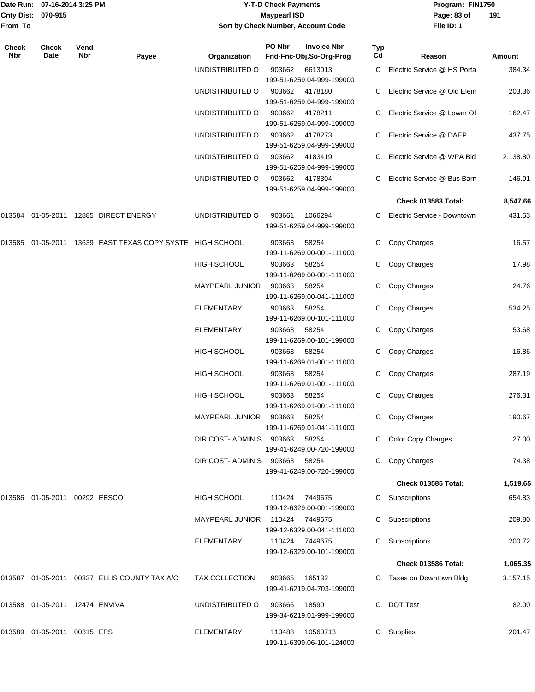|                    | Date Run: 07-16-2014 3:25 PM |
|--------------------|------------------------------|
| Cnty Dist: 070-915 |                              |
| <b>From To</b>     |                              |

## **Date Run: Program: FIN1750 07-16-2014 3:25 PM Y-T-D Check Payments Cnty Dist: Page: 83 of 070-915 Maypearl ISD Sort by Check Number, Account Code**

| Check<br>Nbr | Check<br>Date                  | Vend<br>Nbr | Payee                                              | Organization           | PO Nbr | <b>Invoice Nbr</b><br>Fnd-Fnc-Obj.So-Org-Prog | Typ<br>Cd | Reason                        | Amount   |
|--------------|--------------------------------|-------------|----------------------------------------------------|------------------------|--------|-----------------------------------------------|-----------|-------------------------------|----------|
|              |                                |             |                                                    | UNDISTRIBUTED O        | 903662 | 6613013<br>199-51-6259.04-999-199000          |           | C Electric Service @ HS Porta | 384.34   |
|              |                                |             |                                                    | UNDISTRIBUTED O        | 903662 | 4178180<br>199-51-6259.04-999-199000          |           | Electric Service @ Old Elem   | 203.36   |
|              |                                |             |                                                    | UNDISTRIBUTED O        | 903662 | 4178211<br>199-51-6259.04-999-199000          | C         | Electric Service @ Lower Ol   | 162.47   |
|              |                                |             |                                                    | UNDISTRIBUTED O        | 903662 | 4178273<br>199-51-6259.04-999-199000          | C.        | Electric Service @ DAEP       | 437.75   |
|              |                                |             |                                                    | UNDISTRIBUTED O        | 903662 | 4183419<br>199-51-6259.04-999-199000          |           | Electric Service @ WPA Bld    | 2,138.80 |
|              |                                |             |                                                    | UNDISTRIBUTED O        | 903662 | 4178304<br>199-51-6259.04-999-199000          | C.        | Electric Service @ Bus Barn   | 146.91   |
|              |                                |             |                                                    |                        |        |                                               |           | Check 013583 Total:           | 8,547.66 |
| 013584       |                                |             | 01-05-2011  12885  DIRECT ENERGY                   | UNDISTRIBUTED O        | 903661 | 1066294<br>199-51-6259.04-999-199000          | C         | Electric Service - Downtown   | 431.53   |
| 013585       |                                |             | 01-05-2011 13639 EAST TEXAS COPY SYSTE HIGH SCHOOL |                        | 903663 | 58254<br>199-11-6269.00-001-111000            | C         | Copy Charges                  | 16.57    |
|              |                                |             |                                                    | <b>HIGH SCHOOL</b>     | 903663 | 58254<br>199-11-6269.00-001-111000            |           | Copy Charges                  | 17.98    |
|              |                                |             |                                                    | <b>MAYPEARL JUNIOR</b> | 903663 | 58254<br>199-11-6269.00-041-111000            | C         | Copy Charges                  | 24.76    |
|              |                                |             |                                                    | <b>ELEMENTARY</b>      | 903663 | 58254<br>199-11-6269.00-101-111000            | C         | Copy Charges                  | 534.25   |
|              |                                |             |                                                    | <b>ELEMENTARY</b>      | 903663 | 58254<br>199-11-6269.00-101-199000            | C         | Copy Charges                  | 53.68    |
|              |                                |             |                                                    | <b>HIGH SCHOOL</b>     | 903663 | 58254<br>199-11-6269.01-001-111000            | C         | Copy Charges                  | 16.86    |
|              |                                |             |                                                    | <b>HIGH SCHOOL</b>     | 903663 | 58254<br>199-11-6269.01-001-111000            | C         | Copy Charges                  | 287.19   |
|              |                                |             |                                                    | <b>HIGH SCHOOL</b>     | 903663 | 58254<br>199-11-6269.01-001-111000            | C         | Copy Charges                  | 276.31   |
|              |                                |             |                                                    | MAYPEARL JUNIOR        | 903663 | 58254<br>199-11-6269.01-041-111000            | C         | Copy Charges                  | 190.67   |
|              |                                |             |                                                    | DIR COST- ADMINIS      | 903663 | 58254<br>199-41-6249.00-720-199000            |           | C Color Copy Charges          | 27.00    |
|              |                                |             |                                                    | DIR COST- ADMINIS      | 903663 | 58254<br>199-41-6249.00-720-199000            |           | Copy Charges                  | 74.38    |
|              |                                |             |                                                    |                        |        |                                               |           | Check 013585 Total:           | 1,519.65 |
|              | 013586 01-05-2011 00292 EBSCO  |             |                                                    | HIGH SCHOOL            |        | 110424 7449675<br>199-12-6329.00-001-199000   |           | Subscriptions                 | 654.83   |
|              |                                |             |                                                    | <b>MAYPEARL JUNIOR</b> |        | 110424 7449675<br>199-12-6329.00-041-111000   |           | Subscriptions                 | 209.80   |
|              |                                |             |                                                    | ELEMENTARY             |        | 110424 7449675<br>199-12-6329.00-101-199000   | C         | Subscriptions                 | 200.72   |
|              |                                |             |                                                    |                        |        |                                               |           | Check 013586 Total:           | 1,065.35 |
|              |                                |             | 013587 01-05-2011 00337 ELLIS COUNTY TAX A/C       | TAX COLLECTION         | 903665 | 165132<br>199-41-6219.04-703-199000           |           | C Taxes on Downtown Bldg      | 3,157.15 |
|              | 013588 01-05-2011 12474 ENVIVA |             |                                                    | UNDISTRIBUTED O        | 903666 | 18590<br>199-34-6219.01-999-199000            | C.        | <b>DOT Test</b>               | 82.00    |
|              | 013589 01-05-2011 00315 EPS    |             |                                                    | <b>ELEMENTARY</b>      | 110488 | 10560713<br>199-11-6399.06-101-124000         | C         | Supplies                      | 201.47   |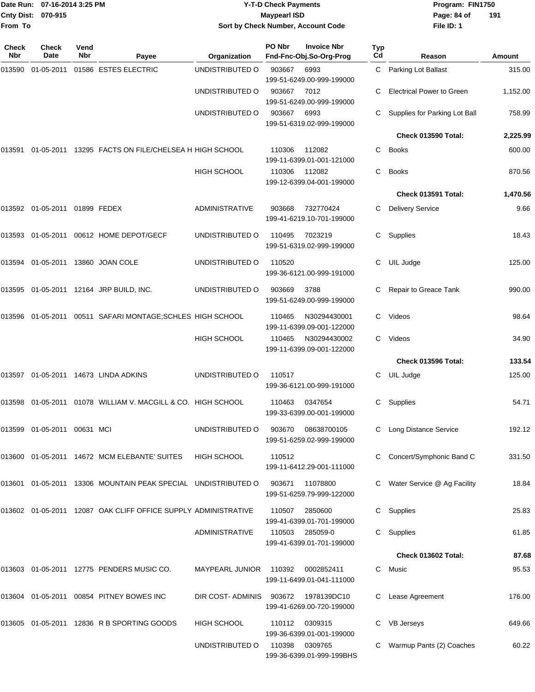|                    | Date Run: 07-16-2014 3:25 PM |
|--------------------|------------------------------|
| Cnty Dist: 070-915 |                              |
| From To            |                              |

## **Date Run: Program: FIN1750 07-16-2014 3:25 PM Y-T-D Check Payments Cnty Dist: Page: 84 of 070-915 Maypearl ISD Sort by Check Number, Account Code**

| Check<br><b>Nbr</b> | <b>Check</b><br>Date           | Vend<br><b>Nbr</b> | Payee                                                             | Organization          | PO Nbr | <b>Invoice Nbr</b><br>Fnd-Fnc-Obj.So-Org-Prog | <b>Typ</b><br>Cd | Reason                           | Amount   |
|---------------------|--------------------------------|--------------------|-------------------------------------------------------------------|-----------------------|--------|-----------------------------------------------|------------------|----------------------------------|----------|
| 013590              | 01-05-2011                     |                    | 01586 ESTES ELECTRIC                                              | UNDISTRIBUTED O       | 903667 | 6993<br>199-51-6249.00-999-199000             |                  | C Parking Lot Ballast            | 315.00   |
|                     |                                |                    |                                                                   | UNDISTRIBUTED O       | 903667 | 7012<br>199-51-6249.00-999-199000             |                  | <b>Electrical Power to Green</b> | 1,152.00 |
|                     |                                |                    |                                                                   | UNDISTRIBUTED O       | 903667 | 6993<br>199-51-6319.02-999-199000             | C.               | Supplies for Parking Lot Ball    | 758.99   |
|                     |                                |                    |                                                                   |                       |        |                                               |                  | Check 013590 Total:              | 2,225.99 |
| 013591              |                                |                    | 01-05-2011 13295 FACTS ON FILE/CHELSEA H HIGH SCHOOL              |                       | 110306 | 112082<br>199-11-6399.01-001-121000           | C.               | Books                            | 600.00   |
|                     |                                |                    |                                                                   | <b>HIGH SCHOOL</b>    | 110306 | 112082<br>199-12-6399.04-001-199000           | C.               | <b>Books</b>                     | 870.56   |
|                     |                                |                    |                                                                   |                       |        |                                               |                  | Check 013591 Total:              | 1,470.56 |
|                     | 013592 01-05-2011 01899 FEDEX  |                    |                                                                   | <b>ADMINISTRATIVE</b> | 903668 | 732770424<br>199-41-6219.10-701-199000        | C                | <b>Delivery Service</b>          | 9.66     |
|                     |                                |                    | 013593 01-05-2011 00612 HOME DEPOT/GECF                           | UNDISTRIBUTED O       | 110495 | 7023219<br>199-51-6319.02-999-199000          | C                | Supplies                         | 18.43    |
| 013594              |                                |                    | 01-05-2011 13860 JOAN COLE                                        | UNDISTRIBUTED O       | 110520 | 199-36-6121.00-999-191000                     | C                | UIL Judge                        | 125.00   |
|                     |                                |                    | 013595 01-05-2011 12164 JRP BUILD, INC.                           | UNDISTRIBUTED O       | 903669 | 3788<br>199-51-6249.00-999-199000             | C                | Repair to Greace Tank            | 990.00   |
|                     |                                |                    | 013596 01-05-2011 00511 SAFARI MONTAGE;SCHLES HIGH SCHOOL         |                       | 110465 | N30294430001<br>199-11-6399.09-001-122000     | C.               | Videos                           | 98.64    |
|                     |                                |                    |                                                                   | <b>HIGH SCHOOL</b>    | 110465 | N30294430002<br>199-11-6399.09-001-122000     |                  | C Videos                         | 34.90    |
|                     |                                |                    |                                                                   |                       |        |                                               |                  | Check 013596 Total:              | 133.54   |
| 013597              |                                |                    | 01-05-2011 14673 LINDA ADKINS                                     | UNDISTRIBUTED O       | 110517 | 199-36-6121.00-999-191000                     | C                | UIL Judge                        | 125.00   |
| 013598              |                                |                    | 01-05-2011  01078  WILLIAM V. MACGILL & CO. HIGH SCHOOL           |                       | 110463 | 0347654<br>199-33-6399.00-001-199000          | C                | Supplies                         | 54.71    |
|                     | 013599  01-05-2011  00631  MCI |                    |                                                                   | UNDISTRIBUTED O       | 903670 | 08638700105<br>199-51-6259.02-999-199000      |                  | C Long Distance Service          | 192.12   |
|                     |                                |                    | 013600 01-05-2011 14672 MCM ELEBANTE' SUITES                      | <b>HIGH SCHOOL</b>    | 110512 | 199-11-6412.29-001-111000                     | C.               | Concert/Symphonic Band C         | 331.50   |
|                     |                                |                    | 013601 01-05-2011 13306 MOUNTAIN PEAK SPECIAL UNDISTRIBUTED O     |                       |        | 903671 11078800<br>199-51-6259.79-999-122000  |                  | C Water Service @ Ag Facility    | 18.84    |
|                     |                                |                    | 013602  01-05-2011  12087  OAK CLIFF OFFICE SUPPLY ADMINISTRATIVE |                       | 110507 | 2850600<br>199-41-6399.01-701-199000          |                  | C Supplies                       | 25.83    |
|                     |                                |                    |                                                                   | <b>ADMINISTRATIVE</b> | 110503 | 285059-0<br>199-41-6399.01-701-199000         |                  | C Supplies                       | 61.85    |
|                     |                                |                    |                                                                   |                       |        |                                               |                  | Check 013602 Total:              | 87.68    |
|                     |                                |                    | 013603 01-05-2011 12775 PENDERS MUSIC CO.                         | MAYPEARL JUNIOR       | 110392 | 0002852411<br>199-11-6499.01-041-111000       | C.               | Music                            | 95.53    |
|                     |                                |                    | 013604 01-05-2011 00854 PITNEY BOWES INC                          | DIR COST-ADMINIS      | 903672 | 1978139DC10<br>199-41-6269.00-720-199000      |                  | Lease Agreement                  | 176.00   |
|                     |                                |                    | 013605 01-05-2011 12836 R B SPORTING GOODS                        | <b>HIGH SCHOOL</b>    | 110112 | 0309315<br>199-36-6399.01-001-199000          |                  | <b>VB Jerseys</b>                | 649.66   |
|                     |                                |                    |                                                                   | UNDISTRIBUTED O       | 110398 | 0309765<br>199-36-6399.01-999-199BHS          |                  | Warmup Pants (2) Coaches         | 60.22    |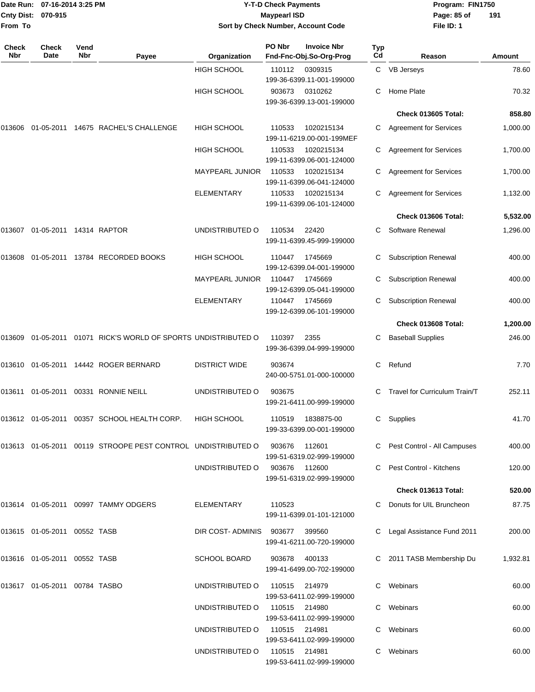| Cnty Dist:<br>From To | Date Run: 07-16-2014 3:25 PM<br>070-915 |             |                                                                  | <b>Y-T-D Check Payments</b><br><b>Maypearl ISD</b><br>Sort by Check Number, Account Code |               |                                                 |           | Program: FIN1750<br>Page: 85 of<br>File ID: 1 | 191      |
|-----------------------|-----------------------------------------|-------------|------------------------------------------------------------------|------------------------------------------------------------------------------------------|---------------|-------------------------------------------------|-----------|-----------------------------------------------|----------|
| Check<br>Nbr          | Check<br>Date                           | Vend<br>Nbr | Payee                                                            | Organization                                                                             | PO Nbr        | <b>Invoice Nbr</b><br>Fnd-Fnc-Obj.So-Org-Prog   | Typ<br>Cd | Reason                                        | Amount   |
|                       |                                         |             |                                                                  | <b>HIGH SCHOOL</b>                                                                       | 110112        | 0309315<br>199-36-6399.11-001-199000            |           | C VB Jerseys                                  | 78.60    |
|                       |                                         |             |                                                                  | <b>HIGH SCHOOL</b>                                                                       | 903673        | 0310262<br>199-36-6399.13-001-199000            | С         | Home Plate                                    | 70.32    |
|                       |                                         |             |                                                                  |                                                                                          |               |                                                 |           | Check 013605 Total:                           | 858.80   |
| 013606                |                                         |             | 01-05-2011 14675 RACHEL'S CHALLENGE                              | <b>HIGH SCHOOL</b>                                                                       | 110533        | 1020215134<br>199-11-6219.00-001-199MEF         | C.        | <b>Agreement for Services</b>                 | 1,000.00 |
|                       |                                         |             |                                                                  | HIGH SCHOOL                                                                              | 110533        | 1020215134<br>199-11-6399.06-001-124000         |           | <b>Agreement for Services</b>                 | 1,700.00 |
|                       |                                         |             |                                                                  | <b>MAYPEARL JUNIOR</b>                                                                   | 110533        | 1020215134<br>199-11-6399.06-041-124000         | С         | <b>Agreement for Services</b>                 | 1,700.00 |
|                       |                                         |             |                                                                  | <b>ELEMENTARY</b>                                                                        | 110533        | 1020215134<br>199-11-6399.06-101-124000         | С         | <b>Agreement for Services</b>                 | 1,132.00 |
|                       |                                         |             |                                                                  |                                                                                          |               |                                                 |           | <b>Check 013606 Total:</b>                    | 5,532.00 |
|                       |                                         |             |                                                                  | UNDISTRIBUTED O                                                                          | 110534        | 22420<br>199-11-6399.45-999-199000              | С         | Software Renewal                              | 1,296.00 |
| 013608                |                                         |             | 01-05-2011  13784  RECORDED BOOKS                                | <b>HIGH SCHOOL</b>                                                                       | 110447        | 1745669<br>199-12-6399.04-001-199000            | С         | <b>Subscription Renewal</b>                   | 400.00   |
|                       |                                         |             |                                                                  | <b>MAYPEARL JUNIOR</b>                                                                   | 110447        | 1745669<br>199-12-6399.05-041-199000            | С         | <b>Subscription Renewal</b>                   | 400.00   |
|                       |                                         |             |                                                                  | ELEMENTARY                                                                               | 110447        | 1745669<br>199-12-6399.06-101-199000            |           | <b>Subscription Renewal</b>                   | 400.00   |
|                       |                                         |             |                                                                  |                                                                                          |               |                                                 |           | Check 013608 Total:                           | 1,200.00 |
| 013609                |                                         |             | 01-05-2011  01071  RICK'S WORLD OF SPORTS UNDISTRIBUTED O        |                                                                                          | 110397        | 2355<br>199-36-6399.04-999-199000               | С         | <b>Baseball Supplies</b>                      | 246.00   |
|                       |                                         |             | 013610   01-05-2011   14442   ROGER BERNARD                      | <b>DISTRICT WIDE</b>                                                                     | 903674        | 240-00-5751.01-000-100000                       | С         | Refund                                        | 7.70     |
|                       |                                         |             | 00331 RONNIE NEILL                                               | UNDISTRIBUTED O                                                                          | 903675        | 199-21-6411.00-999-199000                       |           | C Travel for Curriculum Train/T               | 252.11   |
|                       |                                         |             | 013612  01-05-2011  00357  SCHOOL HEALTH CORP.                   | <b>HIGH SCHOOL</b>                                                                       |               | 110519  1838875-00<br>199-33-6399.00-001-199000 |           | C Supplies                                    | 41.70    |
|                       |                                         |             | 013613  01-05-2011  00119  STROOPE PEST CONTROL  UNDISTRIBUTED O |                                                                                          | 903676 112601 | 199-51-6319.02-999-199000                       |           | C Pest Control - All Campuses                 | 400.00   |
|                       |                                         |             |                                                                  | UNDISTRIBUTED O                                                                          |               | 903676 112600<br>199-51-6319.02-999-199000      |           | C Pest Control - Kitchens                     | 120.00   |
|                       |                                         |             |                                                                  |                                                                                          |               |                                                 |           | Check 013613 Total:                           | 520.00   |
|                       |                                         |             | 013614 01-05-2011 00997 TAMMY ODGERS                             | ELEMENTARY                                                                               | 110523        | 199-11-6399.01-101-121000                       |           | C Donuts for UIL Bruncheon                    | 87.75    |
|                       | 013615 01-05-2011 00552 TASB            |             |                                                                  | DIR COST-ADMINIS                                                                         | 903677        | 399560<br>199-41-6211.00-720-199000             |           | C Legal Assistance Fund 2011                  | 200.00   |
|                       | 013616  01-05-2011  00552  TASB         |             |                                                                  | <b>SCHOOL BOARD</b>                                                                      | 903678        | 400133<br>199-41-6499.00-702-199000             |           | C 2011 TASB Membership Du                     | 1,932.81 |
|                       | 013617  01-05-2011  00784  TASBO        |             |                                                                  | UNDISTRIBUTED O                                                                          | 110515        | 214979<br>199-53-6411.02-999-199000             |           | C Webinars                                    | 60.00    |
|                       |                                         |             |                                                                  | UNDISTRIBUTED O                                                                          | 110515 214980 | 199-53-6411.02-999-199000                       |           | C Webinars                                    | 60.00    |
|                       |                                         |             |                                                                  | UNDISTRIBUTED O                                                                          | 110515 214981 | 199-53-6411.02-999-199000                       |           | C Webinars                                    | 60.00    |
|                       |                                         |             |                                                                  | UNDISTRIBUTED O                                                                          | 110515 214981 | 199-53-6411.02-999-199000                       |           | C Webinars                                    | 60.00    |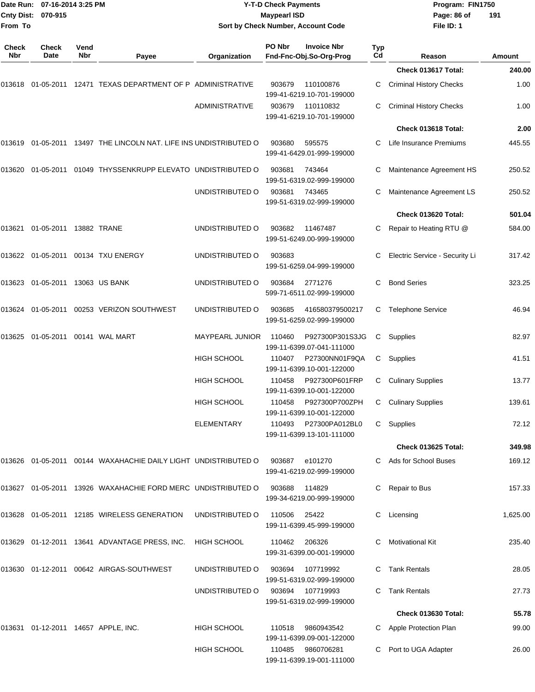| From To             | Date Run: 07-16-2014 3:25 PM<br>Cnty Dist: 070-915 |             |                                                                     | Sort by Check Number, Account Code | <b>Y-T-D Check Payments</b><br><b>Maypearl ISD</b> |                                                                             | Program: FIN1750<br>Page: 86 of<br>File ID: 1 | 191                               |                 |
|---------------------|----------------------------------------------------|-------------|---------------------------------------------------------------------|------------------------------------|----------------------------------------------------|-----------------------------------------------------------------------------|-----------------------------------------------|-----------------------------------|-----------------|
| <b>Check</b><br>Nbr | Check<br>Date                                      | Vend<br>Nbr | Payee                                                               | Organization                       | PO Nbr                                             | <b>Invoice Nbr</b><br>Fnd-Fnc-Obj.So-Org-Prog                               | Typ<br>Cd                                     | Reason                            | <b>Amount</b>   |
|                     |                                                    |             |                                                                     |                                    |                                                    |                                                                             |                                               | Check 013617 Total:               | 240.00          |
|                     |                                                    |             | 013618  01-05-2011  12471  TEXAS DEPARTMENT OF P ADMINISTRATIVE     |                                    | 903679                                             | 110100876<br>199-41-6219.10-701-199000                                      | C                                             | <b>Criminal History Checks</b>    | 1.00            |
|                     |                                                    |             |                                                                     | <b>ADMINISTRATIVE</b>              | 903679                                             | 110110832<br>199-41-6219.10-701-199000                                      | C                                             | <b>Criminal History Checks</b>    | 1.00            |
|                     |                                                    |             |                                                                     |                                    |                                                    |                                                                             |                                               | Check 013618 Total:               | 2.00            |
| 013619              |                                                    |             | 01-05-2011 13497 THE LINCOLN NAT. LIFE INS UNDISTRIBUTED O          |                                    | 903680                                             | 595575<br>199-41-6429.01-999-199000                                         | C.                                            | Life Insurance Premiums           | 445.55          |
|                     |                                                    |             | 013620 01-05-2011 01049 THYSSENKRUPP ELEVATO UNDISTRIBUTED O        |                                    | 903681                                             | 743464<br>199-51-6319.02-999-199000                                         | С                                             | Maintenance Agreement HS          | 250.52          |
|                     |                                                    |             |                                                                     | UNDISTRIBUTED O                    | 903681                                             | 743465<br>199-51-6319.02-999-199000                                         |                                               | Maintenance Agreement LS          | 250.52          |
|                     |                                                    |             |                                                                     |                                    |                                                    |                                                                             |                                               | Check 013620 Total:               | 501.04          |
| 013621              | 01-05-2011 13882 TRANE                             |             |                                                                     | UNDISTRIBUTED O                    | 903682                                             | 11467487<br>199-51-6249.00-999-199000                                       | C                                             | Repair to Heating RTU @           | 584.00          |
|                     |                                                    |             | 013622  01-05-2011  00134  TXU ENERGY                               | UNDISTRIBUTED O                    | 903683                                             | 199-51-6259.04-999-199000                                                   | C                                             | Electric Service - Security Li    | 317.42          |
|                     |                                                    |             |                                                                     | UNDISTRIBUTED O                    | 903684                                             | 2771276<br>599-71-6511.02-999-199000                                        | С                                             | <b>Bond Series</b>                | 323.25          |
|                     |                                                    |             | 013624   01-05-2011   00253   VERIZON SOUTHWEST                     | UNDISTRIBUTED O                    | 903685                                             | 416580379500217<br>199-51-6259.02-999-199000                                | C                                             | <b>Telephone Service</b>          | 46.94           |
| 013625              |                                                    |             |                                                                     | MAYPEARL JUNIOR                    | 110460                                             | P927300P301S3JG<br>199-11-6399.07-041-111000                                | C                                             | Supplies                          | 82.97           |
|                     |                                                    |             |                                                                     | <b>HIGH SCHOOL</b>                 | 110407                                             | P27300NN01F9QA<br>199-11-6399.10-001-122000                                 | C                                             | Supplies                          | 41.51           |
|                     |                                                    |             |                                                                     | <b>HIGH SCHOOL</b>                 | 110458                                             | P927300P601FRP<br>199-11-6399.10-001-122000                                 | С                                             | <b>Culinary Supplies</b>          | 13.77           |
|                     |                                                    |             |                                                                     | HIGH SCHOOL<br>ELEMENTARY          |                                                    | 110458 P927300P700ZPH<br>199-11-6399.10-001-122000<br>110493 P27300PA012BL0 |                                               | C Culinary Supplies               | 139.61<br>72.12 |
|                     |                                                    |             |                                                                     |                                    |                                                    | 199-11-6399.13-101-111000                                                   |                                               | C Supplies<br>Check 013625 Total: | 349.98          |
|                     |                                                    |             | 013626  01-05-2011  00144  WAXAHACHIE DAILY LIGHT  UNDISTRIBUTED  O |                                    | 903687                                             | e101270                                                                     |                                               | C Ads for School Buses            | 169.12          |
|                     |                                                    |             |                                                                     |                                    |                                                    | 199-41-6219.02-999-199000                                                   |                                               |                                   |                 |
|                     |                                                    |             | 013627 01-05-2011 13926 WAXAHACHIE FORD MERC UNDISTRIBUTED O        |                                    | 903688                                             | 114829<br>199-34-6219.00-999-199000                                         |                                               | C Repair to Bus                   | 157.33          |
|                     |                                                    |             | 013628  01-05-2011  12185  WIRELESS GENERATION                      | UNDISTRIBUTED O                    | 110506                                             | 25422<br>199-11-6399.45-999-199000                                          |                                               | C Licensing                       | 1,625.00        |
|                     |                                                    |             | 013629  01-12-2011  13641  ADVANTAGE PRESS, INC.                    | HIGH SCHOOL                        | 110462                                             | 206326<br>199-31-6399.00-001-199000                                         |                                               | C Motivational Kit                | 235.40          |
|                     |                                                    |             | 013630   01-12-2011   00642   AIRGAS-SOUTHWEST                      | UNDISTRIBUTED O                    | 903694                                             | 107719992<br>199-51-6319.02-999-199000                                      |                                               | C Tank Rentals                    | 28.05           |
|                     |                                                    |             |                                                                     | UNDISTRIBUTED O                    |                                                    | 903694 107719993<br>199-51-6319.02-999-199000                               |                                               | C Tank Rentals                    | 27.73           |
|                     |                                                    |             |                                                                     |                                    |                                                    |                                                                             |                                               | Check 013630 Total:               | 55.78           |
|                     |                                                    |             | 013631 01-12-2011 14657 APPLE, INC.                                 | HIGH SCHOOL                        | 110518                                             | 9860943542<br>199-11-6399.09-001-122000                                     |                                               | C Apple Protection Plan           | 99.00           |
|                     |                                                    |             |                                                                     | HIGH SCHOOL                        | 110485                                             | 9860706281<br>199-11-6399.19-001-111000                                     |                                               | C Port to UGA Adapter             | 26.00           |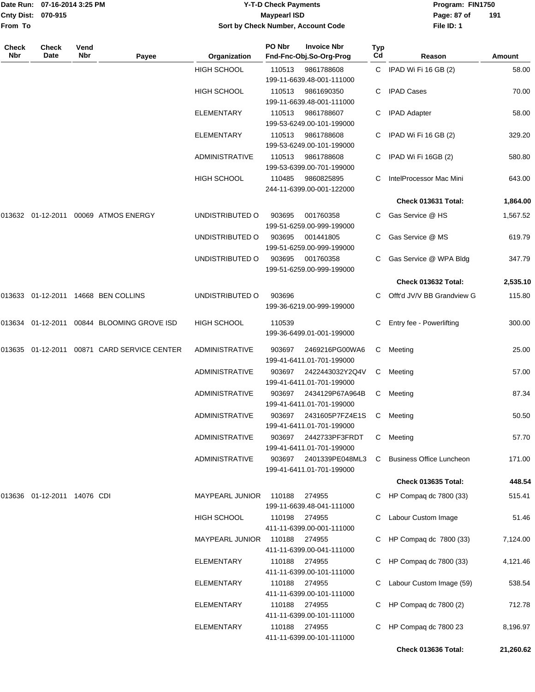|                    | Date Run: 07-16-2014 3:25 PM |
|--------------------|------------------------------|
| Cnty Dist: 070-915 |                              |
| From To            |                              |

# **Date Run: Program: FIN1750 07-16-2014 3:25 PM Y-T-D Check Payments Cnty Dist: Page: 87 of 070-915 Maypearl ISD Sort by Check Number, Account Code**

| Check<br>Nbr | <b>Check</b><br>Date           | Vend<br>Nbr | Payee                                       | Organization           | PO Nbr        | <b>Invoice Nbr</b><br>Fnd-Fnc-Obj.So-Org-Prog | Typ<br>Cd | Reason                          | Amount    |
|--------------|--------------------------------|-------------|---------------------------------------------|------------------------|---------------|-----------------------------------------------|-----------|---------------------------------|-----------|
|              |                                |             |                                             | <b>HIGH SCHOOL</b>     | 110513        | 9861788608<br>199-11-6639.48-001-111000       |           | C IPAD Wi Fi 16 GB (2)          | 58.00     |
|              |                                |             |                                             | <b>HIGH SCHOOL</b>     | 110513        | 9861690350<br>199-11-6639.48-001-111000       | C         | <b>IPAD Cases</b>               | 70.00     |
|              |                                |             |                                             | <b>ELEMENTARY</b>      | 110513        | 9861788607<br>199-53-6249.00-101-199000       | C         | <b>IPAD Adapter</b>             | 58.00     |
|              |                                |             |                                             | <b>ELEMENTARY</b>      | 110513        | 9861788608<br>199-53-6249.00-101-199000       |           | C IPAD Wi Fi 16 GB (2)          | 329.20    |
|              |                                |             |                                             | <b>ADMINISTRATIVE</b>  | 110513        | 9861788608<br>199-53-6399.00-701-199000       | C         | IPAD Wi Fi 16GB (2)             | 580.80    |
|              |                                |             |                                             | HIGH SCHOOL            | 110485        | 9860825895<br>244-11-6399.00-001-122000       |           | IntelProcessor Mac Mini         | 643.00    |
|              |                                |             |                                             |                        |               |                                               |           | Check 013631 Total:             | 1,864.00  |
|              |                                |             | 013632 01-12-2011 00069 ATMOS ENERGY        | UNDISTRIBUTED O        | 903695        | 001760358<br>199-51-6259.00-999-199000        |           | Gas Service @ HS                | 1,567.52  |
|              |                                |             |                                             | UNDISTRIBUTED O        | 903695        | 001441805<br>199-51-6259.00-999-199000        | C         | Gas Service @ MS                | 619.79    |
|              |                                |             |                                             | UNDISTRIBUTED O        | 903695        | 001760358<br>199-51-6259.00-999-199000        |           | Gas Service @ WPA Bldg          | 347.79    |
|              |                                |             |                                             |                        |               |                                               |           | Check 013632 Total:             | 2,535.10  |
|              |                                |             | 013633 01-12-2011 14668 BEN COLLINS         | UNDISTRIBUTED O        | 903696        | 199-36-6219.00-999-199000                     |           | Offt'd JV/V BB Grandview G      | 115.80    |
|              |                                |             | 013634 01-12-2011 00844 BLOOMING GROVE ISD  | HIGH SCHOOL            | 110539        | 199-36-6499.01-001-199000                     |           | Entry fee - Powerlifting        | 300.00    |
|              |                                |             | 013635 01-12-2011 00871 CARD SERVICE CENTER | <b>ADMINISTRATIVE</b>  | 903697        | 2469216PG00WA6<br>199-41-6411.01-701-199000   | C         | Meeting                         | 25.00     |
|              |                                |             |                                             | <b>ADMINISTRATIVE</b>  | 903697        | 2422443032Y2Q4V<br>199-41-6411.01-701-199000  | C         | Meeting                         | 57.00     |
|              |                                |             |                                             | <b>ADMINISTRATIVE</b>  | 903697        | 2434129P67A964B<br>199-41-6411.01-701-199000  | С         | Meeting                         | 87.34     |
|              |                                |             |                                             | <b>ADMINISTRATIVE</b>  | 903697        | 2431605P7FZ4E1S<br>199-41-6411.01-701-199000  | C         | Meeting                         | 50.50     |
|              |                                |             |                                             | <b>ADMINISTRATIVE</b>  | 903697        | 2442733PF3FRDT<br>199-41-6411.01-701-199000   | С         | Meeting                         | 57.70     |
|              |                                |             |                                             | <b>ADMINISTRATIVE</b>  | 903697        | 2401339PE048ML3<br>199-41-6411.01-701-199000  | C         | <b>Business Office Luncheon</b> | 171.00    |
|              |                                |             |                                             |                        |               |                                               |           | Check 013635 Total:             | 448.54    |
|              | 013636  01-12-2011  14076  CDI |             |                                             | <b>MAYPEARL JUNIOR</b> | 110188        | 274955<br>199-11-6639.48-041-111000           |           | HP Compaq dc 7800 (33)          | 515.41    |
|              |                                |             |                                             | <b>HIGH SCHOOL</b>     | 110198        | 274955<br>411-11-6399.00-001-111000           |           | Labour Custom Image             | 51.46     |
|              |                                |             |                                             | <b>MAYPEARL JUNIOR</b> | 110188        | 274955<br>411-11-6399.00-041-111000           |           | HP Compaq dc 7800 (33)          | 7,124.00  |
|              |                                |             |                                             | <b>ELEMENTARY</b>      | 110188        | 274955<br>411-11-6399.00-101-111000           |           | HP Compaq dc 7800 (33)          | 4,121.46  |
|              |                                |             |                                             | <b>ELEMENTARY</b>      | 110188 274955 | 411-11-6399.00-101-111000                     |           | Labour Custom Image (59)        | 538.54    |
|              |                                |             |                                             | ELEMENTARY             | 110188 274955 | 411-11-6399.00-101-111000                     |           | HP Compaq dc 7800 (2)           | 712.78    |
|              |                                |             |                                             | <b>ELEMENTARY</b>      | 110188 274955 | 411-11-6399.00-101-111000                     |           | HP Compaq dc 7800 23            | 8,196.97  |
|              |                                |             |                                             |                        |               |                                               |           | Check 013636 Total:             | 21,260.62 |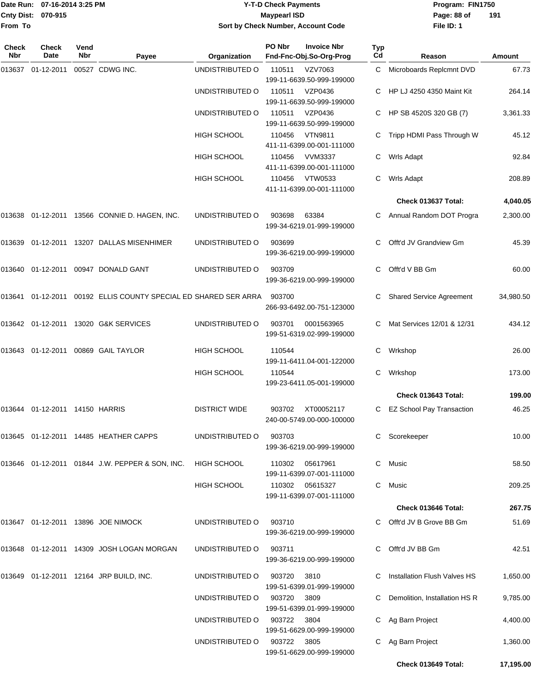#### Date Run: 07-16-2014 3:25 PM **Program:** FIN1750 **Cnty Dist:** 070-915 **Page: 88 of Y-T-D Check Payments 070-915 Maypearl ISD Sort by Check Number, Account Code**

| <b>Check</b><br><b>Nbr</b> | <b>Check</b><br>Date                   | Vend<br>Nbr | Payee                                                           | Organization                | PO Nbr | <b>Invoice Nbr</b><br>Fnd-Fnc-Obj.So-Org-Prog | Typ<br>Cd | Reason                          | Amount    |
|----------------------------|----------------------------------------|-------------|-----------------------------------------------------------------|-----------------------------|--------|-----------------------------------------------|-----------|---------------------------------|-----------|
| 013637                     | 01-12-2011                             |             | 00527 CDWG INC.                                                 | UNDISTRIBUTED O             | 110511 | VZV7063<br>199-11-6639.50-999-199000          | C         | Microboards Replcmnt DVD        | 67.73     |
|                            |                                        |             |                                                                 | UNDISTRIBUTED O             | 110511 | VZP0436<br>199-11-6639.50-999-199000          |           | HP LJ 4250 4350 Maint Kit       | 264.14    |
|                            |                                        |             |                                                                 | UNDISTRIBUTED O             | 110511 | VZP0436<br>199-11-6639.50-999-199000          | C         | HP SB 4520S 320 GB (7)          | 3,361.33  |
|                            |                                        |             |                                                                 | <b>HIGH SCHOOL</b>          | 110456 | <b>VTN9811</b><br>411-11-6399.00-001-111000   | C         | Tripp HDMI Pass Through W       | 45.12     |
|                            |                                        |             |                                                                 | <b>HIGH SCHOOL</b>          | 110456 | <b>VVM3337</b><br>411-11-6399.00-001-111000   | С         | Wrls Adapt                      | 92.84     |
|                            |                                        |             |                                                                 | <b>HIGH SCHOOL</b>          | 110456 | <b>VTW0533</b><br>411-11-6399.00-001-111000   | C         | Wrls Adapt                      | 208.89    |
|                            |                                        |             |                                                                 |                             |        |                                               |           | Check 013637 Total:             | 4,040.05  |
| 013638                     |                                        |             | 01-12-2011 13566 CONNIE D. HAGEN, INC.                          | UNDISTRIBUTED O             | 903698 | 63384<br>199-34-6219.01-999-199000            | C         | Annual Random DOT Progra        | 2,300.00  |
| 013639                     |                                        |             | 01-12-2011  13207  DALLAS MISENHIMER                            | UNDISTRIBUTED O             | 903699 | 199-36-6219.00-999-199000                     | C.        | Offt'd JV Grandview Gm          | 45.39     |
|                            |                                        |             | 013640 01-12-2011 00947 DONALD GANT                             | UNDISTRIBUTED O             | 903709 | 199-36-6219.00-999-199000                     | C.        | Offt'd V BB Gm                  | 60.00     |
| 013641                     | 01-12-2011                             |             | 00192 ELLIS COUNTY SPECIAL ED SHARED SER ARRA                   |                             | 903700 | 266-93-6492.00-751-123000                     | C         | <b>Shared Service Agreement</b> | 34,980.50 |
|                            |                                        |             | 013642 01-12-2011 13020 G&K SERVICES                            | UNDISTRIBUTED O             | 903701 | 0001563965<br>199-51-6319.02-999-199000       | C.        | Mat Services 12/01 & 12/31      | 434.12    |
|                            | 013643  01-12-2011  00869  GAIL TAYLOR |             |                                                                 | <b>HIGH SCHOOL</b>          | 110544 | 199-11-6411.04-001-122000                     | C         | Wrkshop                         | 26.00     |
|                            |                                        |             |                                                                 | <b>HIGH SCHOOL</b>          | 110544 | 199-23-6411.05-001-199000                     | С         | Wrkshop                         | 173.00    |
|                            |                                        |             |                                                                 |                             |        |                                               |           | Check 013643 Total:             | 199.00    |
| 013644                     | 01-12-2011 14150 HARRIS                |             |                                                                 | <b>DISTRICT WIDE</b>        | 903702 | XT00052117<br>240-00-5749.00-000-100000       | C         | EZ School Pay Transaction       | 46.25     |
|                            |                                        |             | 013645 01-12-2011 14485 HEATHER CAPPS                           | UNDISTRIBUTED O             | 903703 | 199-36-6219.00-999-199000                     |           | C Scorekeeper                   | 10.00     |
|                            |                                        |             | 013646  01-12-2011  01844  J.W. PEPPER & SON, INC.  HIGH SCHOOL |                             |        | 110302 05617961<br>199-11-6399.07-001-111000  |           | C Music                         | 58.50     |
|                            |                                        |             |                                                                 | HIGH SCHOOL                 |        | 110302 05615327<br>199-11-6399.07-001-111000  |           | C Music                         | 209.25    |
|                            |                                        |             |                                                                 |                             |        |                                               |           | Check 013646 Total:             | 267.75    |
|                            |                                        |             | 013647 01-12-2011 13896 JOE NIMOCK                              | UNDISTRIBUTED O             | 903710 | 199-36-6219.00-999-199000                     |           | C Offt'd JV B Grove BB Gm       | 51.69     |
|                            |                                        |             | 013648  01-12-2011  14309  JOSH LOGAN MORGAN                    | UNDISTRIBUTED O             | 903711 | 199-36-6219.00-999-199000                     |           | C Offt'd JV BB Gm               | 42.51     |
|                            |                                        |             | 013649 01-12-2011 12164 JRP BUILD, INC.                         | UNDISTRIBUTED O             | 903720 | 3810<br>199-51-6399.01-999-199000             |           | Installation Flush Valves HS    | 1,650.00  |
|                            |                                        |             |                                                                 | UNDISTRIBUTED O             | 903720 | 3809<br>199-51-6399.01-999-199000             |           | Demolition, Installation HS R   | 9,785.00  |
|                            |                                        |             |                                                                 | UNDISTRIBUTED O             | 903722 | 3804<br>199-51-6629.00-999-199000             |           | C Ag Barn Project               | 4,400.00  |
|                            |                                        |             |                                                                 | UNDISTRIBUTED O 903722 3805 |        | 199-51-6629.00-999-199000                     |           | C Ag Barn Project               | 1,360.00  |
|                            |                                        |             |                                                                 |                             |        |                                               |           | Check 013649 Total:             | 17,195.00 |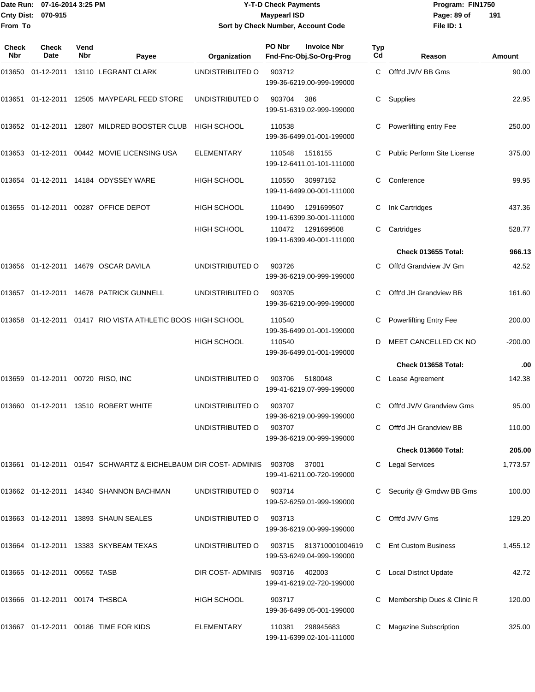#### Date Run: 07-16-2014 3:25 PM **Program:** FIN1750 **Cnty Dist:** 070-915 **Page: 89 of MaypearI ISD Page: 89 of Y-T-D Check Payments 070-915 Maypearl ISD Sort by Check Number, Account Code**

| <b>Check</b><br><b>Nbr</b> | <b>Check</b><br>Date              | Vend<br><b>Nbr</b> | Payee                                                          | Organization       | PO Nbr<br><b>Invoice Nbr</b><br>Fnd-Fnc-Obj.So-Org-Prog              | Typ<br>Cd | Reason                      | Amount    |
|----------------------------|-----------------------------------|--------------------|----------------------------------------------------------------|--------------------|----------------------------------------------------------------------|-----------|-----------------------------|-----------|
| 013650                     |                                   |                    | 01-12-2011 13110 LEGRANT CLARK                                 | UNDISTRIBUTED O    | 903712<br>199-36-6219.00-999-199000                                  | C.        | Offt'd JV/V BB Gms          | 90.00     |
| 013651                     |                                   |                    | 01-12-2011 12505 MAYPEARL FEED STORE                           | UNDISTRIBUTED O    | 903704<br>386<br>199-51-6319.02-999-199000                           | C.        | Supplies                    | 22.95     |
|                            |                                   |                    | 013652 01-12-2011 12807 MILDRED BOOSTER CLUB                   | <b>HIGH SCHOOL</b> | 110538<br>199-36-6499.01-001-199000                                  | С         | Powerlifting entry Fee      | 250.00    |
| 013653                     | 01-12-2011                        |                    | 00442 MOVIE LICENSING USA                                      | <b>ELEMENTARY</b>  | 110548<br>1516155<br>199-12-6411.01-101-111000<br>110550<br>30997152 |           | Public Perform Site License | 375.00    |
| 013654                     |                                   |                    | 01-12-2011  14184  ODYSSEY WARE                                | <b>HIGH SCHOOL</b> | 199-11-6499.00-001-111000                                            | С         | Conference                  | 99.95     |
| 013655                     |                                   |                    | 01-12-2011 00287 OFFICE DEPOT                                  | <b>HIGH SCHOOL</b> | 1291699507<br>110490<br>199-11-6399.30-001-111000                    | С         | Ink Cartridges              | 437.36    |
|                            |                                   |                    |                                                                | HIGH SCHOOL        | 110472<br>1291699508<br>199-11-6399.40-001-111000                    | С         | Cartridges                  | 528.77    |
|                            |                                   |                    |                                                                |                    |                                                                      |           | Check 013655 Total:         | 966.13    |
| 013656                     |                                   |                    | 01-12-2011  14679  OSCAR DAVILA                                | UNDISTRIBUTED O    | 903726<br>199-36-6219.00-999-199000                                  |           | Offt'd Grandview JV Gm      | 42.52     |
| 013657                     |                                   |                    | 01-12-2011  14678  PATRICK GUNNELL                             | UNDISTRIBUTED O    | 903705<br>199-36-6219.00-999-199000                                  |           | Offt'd JH Grandview BB      | 161.60    |
| 013658                     |                                   |                    | 01-12-2011 01417 RIO VISTA ATHLETIC BOOS HIGH SCHOOL           |                    | 110540<br>199-36-6499.01-001-199000                                  | С         | Powerlifting Entry Fee      | 200.00    |
|                            |                                   |                    |                                                                | <b>HIGH SCHOOL</b> | 110540<br>199-36-6499.01-001-199000                                  |           | MEET CANCELLED CK NO        | $-200.00$ |
|                            |                                   |                    |                                                                |                    |                                                                      |           | Check 013658 Total:         | .00       |
|                            | 013659 01-12-2011 00720 RISO, INC |                    |                                                                | UNDISTRIBUTED O    | 903706<br>5180048<br>199-41-6219.07-999-199000                       |           | Lease Agreement             | 142.38    |
| 013660                     | 01-12-2011                        |                    | 13510 ROBERT WHITE                                             | UNDISTRIBUTED O    | 903707<br>199-36-6219.00-999-199000                                  | С         | Offt'd JV/V Grandview Gms   | 95.00     |
|                            |                                   |                    |                                                                | UNDISTRIBUTED O    | 903707<br>199-36-6219.00-999-199000                                  |           | Offt'd JH Grandview BB      | 110.00    |
|                            |                                   |                    |                                                                |                    |                                                                      |           | Check 013660 Total:         | 205.00    |
|                            |                                   |                    | 013661 01-12-2011 01547 SCHWARTZ & EICHELBAUM DIR COST-ADMINIS |                    | 903708<br>37001<br>199-41-6211.00-720-199000                         |           | C Legal Services            | 1,773.57  |
|                            |                                   |                    | 013662 01-12-2011 14340 SHANNON BACHMAN                        | UNDISTRIBUTED O    | 903714<br>199-52-6259.01-999-199000                                  |           | C Security @ Grndvw BB Gms  | 100.00    |
|                            |                                   |                    | 013663 01-12-2011 13893 SHAUN SEALES                           | UNDISTRIBUTED O    | 903713<br>199-36-6219.00-999-199000                                  |           | Offt'd JV/V Gms             | 129.20    |
|                            |                                   |                    | 013664 01-12-2011 13383 SKYBEAM TEXAS                          | UNDISTRIBUTED O    | 903715<br>813710001004619<br>199-53-6249.04-999-199000               |           | C Ent Custom Business       | 1,455.12  |
|                            | 013665  01-12-2011  00552  TASB   |                    |                                                                | DIR COST-ADMINIS   | 903716<br>402003<br>199-41-6219.02-720-199000                        |           | Local District Update       | 42.72     |
|                            | 013666 01-12-2011 00174 THSBCA    |                    |                                                                | HIGH SCHOOL        | 903717<br>199-36-6499.05-001-199000                                  |           | Membership Dues & Clinic R  | 120.00    |
|                            |                                   |                    | 013667 01-12-2011 00186 TIME FOR KIDS                          | <b>ELEMENTARY</b>  | 110381<br>298945683<br>199-11-6399.02-101-111000                     |           | Magazine Subscription       | 325.00    |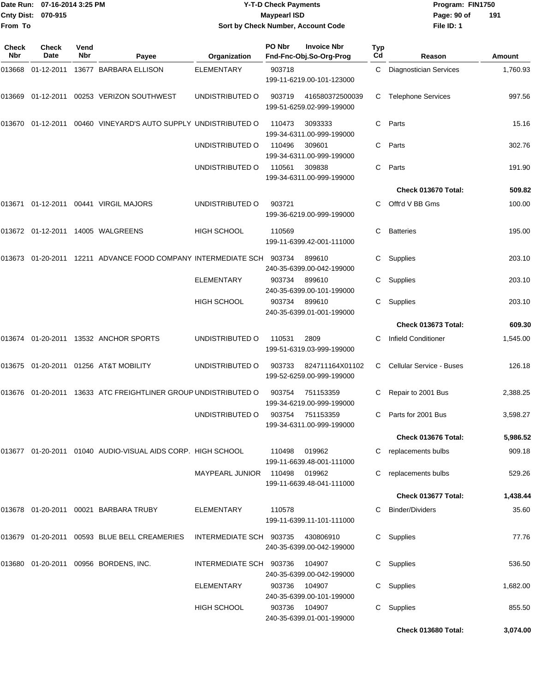|                       | Date Run: 07-16-2014 3:25 PM |             |                                                                   |                                    | <b>Y-T-D Check Payments</b> |                                               | Program: FIN1750 |                                 |          |
|-----------------------|------------------------------|-------------|-------------------------------------------------------------------|------------------------------------|-----------------------------|-----------------------------------------------|------------------|---------------------------------|----------|
| Cnty Dist:<br>From To | 070-915                      |             |                                                                   | Sort by Check Number, Account Code | <b>Maypearl ISD</b>         |                                               |                  | Page: 90 of<br>File ID: 1       | 191      |
|                       |                              |             |                                                                   |                                    |                             |                                               |                  |                                 |          |
| Check<br>Nbr          | <b>Check</b><br>Date         | Vend<br>Nbr | Payee                                                             | Organization                       | PO Nbr                      | <b>Invoice Nbr</b><br>Fnd-Fnc-Obj.So-Org-Prog | <b>Typ</b><br>Cd | Reason                          | Amount   |
| 013668                | 01-12-2011                   |             | 13677 BARBARA ELLISON                                             | <b>ELEMENTARY</b>                  | 903718                      | 199-11-6219.00-101-123000                     | C.               | <b>Diagnostician Services</b>   | 1,760.93 |
| 013669                |                              |             | 01-12-2011 00253 VERIZON SOUTHWEST                                | UNDISTRIBUTED O                    | 903719                      | 416580372500039<br>199-51-6259.02-999-199000  | С                | <b>Telephone Services</b>       | 997.56   |
|                       |                              |             | 013670 01-12-2011 00460 VINEYARD'S AUTO SUPPLY_UNDISTRIBUTED O    |                                    | 110473                      | 3093333<br>199-34-6311.00-999-199000          | C                | Parts                           | 15.16    |
|                       |                              |             |                                                                   | UNDISTRIBUTED O                    | 110496                      | 309601<br>199-34-6311.00-999-199000           | С                | Parts                           | 302.76   |
|                       |                              |             |                                                                   | UNDISTRIBUTED O                    | 110561                      | 309838<br>199-34-6311.00-999-199000           | С                | Parts                           | 191.90   |
|                       |                              |             |                                                                   |                                    |                             |                                               |                  | Check 013670 Total:             | 509.82   |
|                       |                              |             | 013671  01-12-2011  00441  VIRGIL MAJORS                          | UNDISTRIBUTED O                    | 903721                      | 199-36-6219.00-999-199000                     | С                | Offt'd V BB Gms                 | 100.00   |
|                       |                              |             | 013672  01-12-2011  14005  WALGREENS                              | <b>HIGH SCHOOL</b>                 | 110569                      | 199-11-6399.42-001-111000                     | С                | <b>Batteries</b>                | 195.00   |
|                       |                              |             | 013673 01-20-2011 12211  ADVANCE FOOD COMPANY INTERMEDIATE SCH    |                                    | 903734                      | 899610<br>240-35-6399.00-042-199000           | С                | Supplies                        | 203.10   |
|                       |                              |             |                                                                   | <b>ELEMENTARY</b>                  | 903734                      | 899610<br>240-35-6399.00-101-199000           | С                | Supplies                        | 203.10   |
|                       |                              |             |                                                                   | <b>HIGH SCHOOL</b>                 | 903734                      | 899610<br>240-35-6399.01-001-199000           | С                | Supplies                        | 203.10   |
|                       |                              |             |                                                                   |                                    |                             |                                               |                  | Check 013673 Total:             | 609.30   |
|                       |                              |             | 013674   01-20-2011   13532   ANCHOR SPORTS                       | UNDISTRIBUTED O                    | 110531                      | 2809<br>199-51-6319.03-999-199000             | С                | <b>Infield Conditioner</b>      | 1,545.00 |
|                       |                              |             | 013675  01-20-2011  01256  AT&T MOBILITY                          | UNDISTRIBUTED O                    | 903733                      | 824711164X01102<br>199-52-6259.00-999-199000  | C.               | <b>Cellular Service - Buses</b> | 126.18   |
|                       |                              |             | 013676  01-20-2011  13633  ATC FREIGHTLINER GROUP UNDISTRIBUTED O |                                    | 903754                      | 751153359<br>199-34-6219.00-999-199000        |                  | C Repair to 2001 Bus            | 2,388.25 |
|                       |                              |             |                                                                   | UNDISTRIBUTED O                    | 903754                      | 751153359<br>199-34-6311.00-999-199000        |                  | C Parts for 2001 Bus            | 3,598.27 |
|                       |                              |             |                                                                   |                                    |                             |                                               |                  | Check 013676 Total:             | 5,986.52 |
|                       |                              |             | 013677   01-20-2011   01040   AUDIO-VISUAL AIDS CORP. HIGH SCHOOL |                                    | 110498                      | 019962<br>199-11-6639.48-001-111000           |                  | replacements bulbs              | 909.18   |
|                       |                              |             |                                                                   | MAYPEARL JUNIOR                    | 110498                      | 019962<br>199-11-6639.48-041-111000           |                  | replacements bulbs              | 529.26   |
|                       |                              |             |                                                                   |                                    |                             |                                               |                  | Check 013677 Total:             | 1,438.44 |
|                       |                              |             | 013678  01-20-2011  00021  BARBARA TRUBY                          | ELEMENTARY                         | 110578                      | 199-11-6399.11-101-111000                     |                  | C Binder/Dividers               | 35.60    |
|                       |                              |             | 013679  01-20-2011  00593  BLUE  BELL CREAMERIES                  | INTERMEDIATE SCH 903735 430806910  |                             | 240-35-6399.00-042-199000                     |                  | C Supplies                      | 77.76    |
|                       |                              |             | 013680  01-20-2011  00956  BORDENS, INC.                          | INTERMEDIATE SCH 903736            |                             | 104907<br>240-35-6399.00-042-199000           |                  | C Supplies                      | 536.50   |
|                       |                              |             |                                                                   | ELEMENTARY                         | 903736                      | 104907<br>240-35-6399.00-101-199000           |                  | C Supplies                      | 1,682.00 |
|                       |                              |             |                                                                   | HIGH SCHOOL                        | 903736                      | 104907<br>240-35-6399.01-001-199000           |                  | C Supplies                      | 855.50   |

**Check 013680 Total: 3,074.00**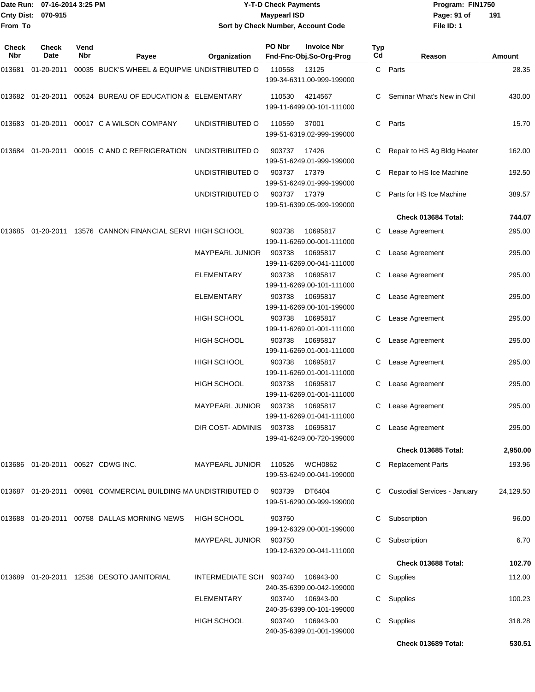| From To             | Date Run: 07-16-2014 3:25 PM<br><b>Cnty Dist:</b><br>070-915 |             |                                                                   | <b>Y-T-D Check Payments</b><br><b>Maypearl ISD</b><br>Sort by Check Number, Account Code |        |                                               |           | Program: FIN1750<br>Page: 91 of<br>File ID: 1 | 191       |  |
|---------------------|--------------------------------------------------------------|-------------|-------------------------------------------------------------------|------------------------------------------------------------------------------------------|--------|-----------------------------------------------|-----------|-----------------------------------------------|-----------|--|
| <b>Check</b><br>Nbr | <b>Check</b><br>Date                                         | Vend<br>Nbr | Payee                                                             | Organization                                                                             | PO Nbr | <b>Invoice Nbr</b><br>Fnd-Fnc-Obj.So-Org-Prog | Typ<br>Cd | Reason                                        | Amount    |  |
| 013681              | 01-20-2011                                                   |             | 00035 BUCK'S WHEEL & EQUIPME UNDISTRIBUTED O                      |                                                                                          | 110558 | 13125<br>199-34-6311.00-999-199000            | C         | Parts                                         | 28.35     |  |
|                     |                                                              |             | 013682  01-20-2011  00524  BUREAU OF EDUCATION & ELEMENTARY       |                                                                                          | 110530 | 4214567<br>199-11-6499.00-101-111000          |           | Seminar What's New in Chil                    | 430.00    |  |
|                     |                                                              |             |                                                                   | UNDISTRIBUTED O                                                                          | 110559 | 37001<br>199-51-6319.02-999-199000            | C         | Parts                                         | 15.70     |  |
|                     |                                                              |             | 013684  01-20-2011  00015  C   AND   C   REFRIGERATION            | UNDISTRIBUTED O                                                                          | 903737 | 17426<br>199-51-6249.01-999-199000            |           | Repair to HS Ag Bldg Heater                   | 162.00    |  |
|                     |                                                              |             |                                                                   | UNDISTRIBUTED O                                                                          | 903737 | 17379<br>199-51-6249.01-999-199000            |           | Repair to HS Ice Machine                      | 192.50    |  |
|                     |                                                              |             |                                                                   | UNDISTRIBUTED O                                                                          | 903737 | 17379<br>199-51-6399.05-999-199000            | С         | Parts for HS Ice Machine                      | 389.57    |  |
|                     |                                                              |             |                                                                   |                                                                                          |        |                                               |           | Check 013684 Total:                           | 744.07    |  |
|                     |                                                              |             | 013685 01-20-2011 13576 CANNON FINANCIAL SERVI_HIGH SCHOOL        |                                                                                          | 903738 | 10695817<br>199-11-6269.00-001-111000         | С         | Lease Agreement                               | 295.00    |  |
|                     |                                                              |             |                                                                   | MAYPEARL JUNIOR                                                                          | 903738 | 10695817<br>199-11-6269.00-041-111000         |           | Lease Agreement                               | 295.00    |  |
|                     |                                                              |             |                                                                   | ELEMENTARY                                                                               | 903738 | 10695817<br>199-11-6269.00-101-111000         | С         | Lease Agreement                               | 295.00    |  |
|                     |                                                              |             |                                                                   | ELEMENTARY                                                                               | 903738 | 10695817<br>199-11-6269.00-101-199000         | С         | Lease Agreement                               | 295.00    |  |
|                     |                                                              |             |                                                                   | HIGH SCHOOL                                                                              | 903738 | 10695817<br>199-11-6269.01-001-111000         |           | Lease Agreement                               | 295.00    |  |
|                     |                                                              |             |                                                                   | HIGH SCHOOL                                                                              | 903738 | 10695817<br>199-11-6269.01-001-111000         | С         | Lease Agreement                               | 295.00    |  |
|                     |                                                              |             |                                                                   | HIGH SCHOOL                                                                              | 903738 | 10695817<br>199-11-6269.01-001-111000         | С         | Lease Agreement                               | 295.00    |  |
|                     |                                                              |             |                                                                   | <b>HIGH SCHOOL</b>                                                                       | 903738 | 10695817<br>199-11-6269.01-001-111000         | С         | Lease Agreement                               | 295.00    |  |
|                     |                                                              |             |                                                                   | MAYPEARL JUNIOR 903738                                                                   |        | 10695817<br>199-11-6269.01-041-111000         |           | C Lease Agreement                             | 295.00    |  |
|                     |                                                              |             |                                                                   | DIR COST-ADMINIS                                                                         | 903738 | 10695817<br>199-41-6249.00-720-199000         |           | C Lease Agreement                             | 295.00    |  |
|                     |                                                              |             |                                                                   |                                                                                          |        |                                               |           | Check 013685 Total:                           | 2,950.00  |  |
|                     |                                                              |             | 013686  01-20-2011  00527  CDWG INC.                              | <b>MAYPEARL JUNIOR</b>                                                                   | 110526 | <b>WCH0862</b><br>199-53-6249.00-041-199000   |           | C Replacement Parts                           | 193.96    |  |
|                     |                                                              |             | 013687  01-20-2011  00981  COMMERCIAL BUILDING MA UNDISTRIBUTED O |                                                                                          | 903739 | DT6404<br>199-51-6290.00-999-199000           |           | C Custodial Services - January                | 24,129.50 |  |
|                     |                                                              |             | 013688  01-20-2011  00758  DALLAS MORNING NEWS                    | <b>HIGH SCHOOL</b>                                                                       | 903750 | 199-12-6329.00-001-199000                     |           | Subscription                                  | 96.00     |  |
|                     |                                                              |             |                                                                   | MAYPEARL JUNIOR 903750                                                                   |        | 199-12-6329.00-041-111000                     |           | Subscription                                  | 6.70      |  |
|                     |                                                              |             |                                                                   |                                                                                          |        |                                               |           | Check 013688 Total:                           | 102.70    |  |
|                     |                                                              |             | 013689  01-20-2011  12536  DESOTO JANITORIAL                      | INTERMEDIATE SCH 903740                                                                  |        | 106943-00<br>240-35-6399.00-042-199000        |           | C Supplies                                    | 112.00    |  |
|                     |                                                              |             |                                                                   | <b>ELEMENTARY</b>                                                                        | 903740 | 106943-00<br>240-35-6399.00-101-199000        |           | C Supplies                                    | 100.23    |  |
|                     |                                                              |             |                                                                   | <b>HIGH SCHOOL</b>                                                                       |        | 903740 106943-00<br>240-35-6399.01-001-199000 |           | C Supplies                                    | 318.28    |  |

**Check 013689 Total: 530.51**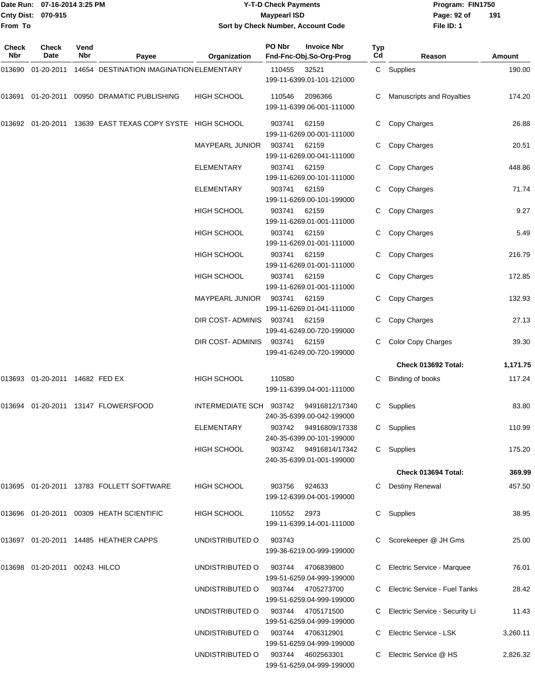#### Date Run: 07-16-2014 3:25 PM **Program:** FIN1750 **Cnty Dist:** 070-915 **Page: 92 of** Maypearl ISD **CONTEX 150 Page: 92 of Y-T-D Check Payments 070-915 Maypearl ISD Sort by Check Number, Account Code**

| Check<br>Nbr | <b>Check</b><br>Date             | Vend<br>Nbr | Payee                                                     | Organization           | PO Nbr | <b>Invoice Nbr</b><br>Fnd-Fnc-Obj.So-Org-Prog | <b>Typ</b><br>Cd | Reason                           | Amount   |
|--------------|----------------------------------|-------------|-----------------------------------------------------------|------------------------|--------|-----------------------------------------------|------------------|----------------------------------|----------|
| 013690       | 01-20-2011                       |             | 14654 DESTINATION IMAGINATION ELEMENTARY                  |                        | 110455 | 32521<br>199-11-6399.01-101-121000            |                  | C Supplies                       | 190.00   |
| 013691       |                                  |             | 01-20-2011 00950 DRAMATIC PUBLISHING                      | <b>HIGH SCHOOL</b>     | 110546 | 2096366<br>199-11-6399.06-001-111000          | C.               | Manuscripts and Royalties        | 174.20   |
|              |                                  |             | 013692 01-20-2011 13639 EAST TEXAS COPY SYSTE HIGH SCHOOL |                        | 903741 | 62159<br>199-11-6269.00-001-111000            | C.               | Copy Charges                     | 26.88    |
|              |                                  |             |                                                           | <b>MAYPEARL JUNIOR</b> | 903741 | 62159<br>199-11-6269.00-041-111000            | C                | Copy Charges                     | 20.51    |
|              |                                  |             |                                                           | ELEMENTARY             | 903741 | 62159<br>199-11-6269.00-101-111000            | C                | Copy Charges                     | 448.86   |
|              |                                  |             |                                                           | <b>ELEMENTARY</b>      | 903741 | 62159<br>199-11-6269.00-101-199000            | C                | Copy Charges                     | 71.74    |
|              |                                  |             |                                                           | <b>HIGH SCHOOL</b>     | 903741 | 62159<br>199-11-6269.01-001-111000            | C                | Copy Charges                     | 9.27     |
|              |                                  |             |                                                           | <b>HIGH SCHOOL</b>     | 903741 | 62159<br>199-11-6269.01-001-111000            |                  | Copy Charges                     | 5.49     |
|              |                                  |             |                                                           | <b>HIGH SCHOOL</b>     | 903741 | 62159<br>199-11-6269.01-001-111000            | C.               | Copy Charges                     | 216.79   |
|              |                                  |             |                                                           | <b>HIGH SCHOOL</b>     | 903741 | 62159<br>199-11-6269.01-001-111000            |                  | Copy Charges                     | 172.85   |
|              |                                  |             |                                                           | MAYPEARL JUNIOR        | 903741 | 62159<br>199-11-6269.01-041-111000            |                  | Copy Charges                     | 132.93   |
|              |                                  |             |                                                           | DIR COST-ADMINIS       | 903741 | 62159<br>199-41-6249.00-720-199000            | C                | Copy Charges                     | 27.13    |
|              |                                  |             |                                                           | DIR COST-ADMINIS       | 903741 | 62159<br>199-41-6249.00-720-199000            | C                | <b>Color Copy Charges</b>        | 39.30    |
|              |                                  |             |                                                           |                        |        |                                               |                  | Check 013692 Total:              | 1,171.75 |
| 013693       | 01-20-2011 14682 FED EX          |             |                                                           | <b>HIGH SCHOOL</b>     | 110580 | 199-11-6399.04-001-111000                     | C                | Binding of books                 | 117.24   |
| 013694       |                                  |             | 01-20-2011  13147  FLOWERSFOOD                            | INTERMEDIATE SCH       | 903742 | 94916812/17340<br>240-35-6399.00-042-199000   | C.               | Supplies                         | 83.80    |
|              |                                  |             |                                                           | ELEMENTARY             | 903742 | 94916809/17338<br>240-35-6399.00-101-199000   |                  | C Supplies                       | 110.99   |
|              |                                  |             |                                                           | <b>HIGH SCHOOL</b>     | 903742 | 94916814/17342<br>240-35-6399.01-001-199000   |                  | C Supplies                       | 175.20   |
|              |                                  |             |                                                           |                        |        |                                               |                  | Check 013694 Total:              | 369.99   |
|              |                                  |             | 013695  01-20-2011  13783  FOLLETT SOFTWARE               | HIGH SCHOOL            | 903756 | 924633<br>199-12-6399.04-001-199000           | C.               | <b>Destiny Renewal</b>           | 457.50   |
|              |                                  |             | 013696 01-20-2011 00309 HEATH SCIENTIFIC                  | <b>HIGH SCHOOL</b>     | 110552 | 2973<br>199-11-6399.14-001-111000             |                  | C Supplies                       | 38.95    |
|              |                                  |             | 013697 01-20-2011 14485 HEATHER CAPPS                     | UNDISTRIBUTED O        | 903743 | 199-36-6219.00-999-199000                     |                  | Scorekeeper @ JH Gms             | 25.00    |
|              | 013698  01-20-2011  00243  HILCO |             |                                                           | UNDISTRIBUTED O        | 903744 | 4706839800<br>199-51-6259.04-999-199000       |                  | C Electric Service - Marquee     | 76.01    |
|              |                                  |             |                                                           | UNDISTRIBUTED O        | 903744 | 4705273700<br>199-51-6259.04-999-199000       |                  | Electric Service - Fuel Tanks    | 28.42    |
|              |                                  |             |                                                           | UNDISTRIBUTED O        | 903744 | 4705171500<br>199-51-6259.04-999-199000       |                  | C Electric Service - Security Li | 11.43    |
|              |                                  |             |                                                           | UNDISTRIBUTED O        | 903744 | 4706312901<br>199-51-6259.04-999-199000       | C                | Electric Service - LSK           | 3,260.11 |
|              |                                  |             |                                                           | UNDISTRIBUTED O        | 903744 | 4602563301<br>199-51-6259.04-999-199000       | C.               | Electric Service @ HS            | 2,826.32 |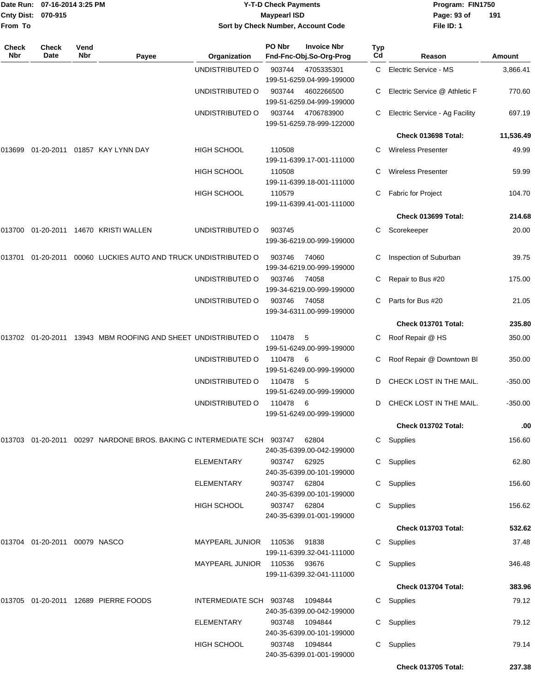| Date Run: 07-16-2014 3:25 PM<br>Cnty Dist: 070-915 |                               |                    | <b>Y-T-D Check Payments</b><br><b>Maypearl ISD</b>                         |                         |              |                                               | Program: FIN1750<br>Page: 93 of<br>191 |                                |           |
|----------------------------------------------------|-------------------------------|--------------------|----------------------------------------------------------------------------|-------------------------|--------------|-----------------------------------------------|----------------------------------------|--------------------------------|-----------|
| From To                                            |                               |                    |                                                                            |                         |              | Sort by Check Number, Account Code            |                                        | File ID: 1                     |           |
| <b>Check</b><br><b>Nbr</b>                         | <b>Check</b><br>Date          | Vend<br><b>Nbr</b> | Payee                                                                      | Organization            | PO Nbr       | <b>Invoice Nbr</b><br>Fnd-Fnc-Obj.So-Org-Prog | Typ<br>Cd                              | Reason                         | Amount    |
|                                                    |                               |                    |                                                                            | UNDISTRIBUTED O         | 903744       | 4705335301<br>199-51-6259.04-999-199000       | C.                                     | Electric Service - MS          | 3,866.41  |
|                                                    |                               |                    |                                                                            | UNDISTRIBUTED O         | 903744       | 4602266500<br>199-51-6259.04-999-199000       | C                                      | Electric Service @ Athletic F  | 770.60    |
|                                                    |                               |                    |                                                                            | UNDISTRIBUTED O         | 903744       | 4706783900<br>199-51-6259.78-999-122000       | С                                      | Electric Service - Ag Facility | 697.19    |
|                                                    |                               |                    |                                                                            |                         |              |                                               |                                        | Check 013698 Total:            | 11,536.49 |
| 013699                                             |                               |                    | 01-20-2011 01857 KAY LYNN DAY                                              | <b>HIGH SCHOOL</b>      | 110508       | 199-11-6399.17-001-111000                     | C.                                     | <b>Wireless Presenter</b>      | 49.99     |
|                                                    |                               |                    |                                                                            | <b>HIGH SCHOOL</b>      | 110508       | 199-11-6399.18-001-111000                     | С                                      | <b>Wireless Presenter</b>      | 59.99     |
|                                                    |                               |                    |                                                                            | HIGH SCHOOL             | 110579       | 199-11-6399.41-001-111000                     | С                                      | Fabric for Project             | 104.70    |
|                                                    |                               |                    |                                                                            |                         |              |                                               |                                        | Check 013699 Total:            | 214.68    |
|                                                    |                               |                    | 013700 01-20-2011 14670 KRISTI WALLEN                                      | UNDISTRIBUTED O         | 903745       | 199-36-6219.00-999-199000                     | С                                      | Scorekeeper                    | 20.00     |
| 013701                                             | 01-20-2011                    |                    | 00060 LUCKIES AUTO AND TRUCK UNDISTRIBUTED O                               |                         | 903746       | 74060<br>199-34-6219.00-999-199000            | С                                      | Inspection of Suburban         | 39.75     |
|                                                    |                               |                    |                                                                            | UNDISTRIBUTED O         | 903746       | 74058<br>199-34-6219.00-999-199000            | С                                      | Repair to Bus #20              | 175.00    |
|                                                    |                               |                    |                                                                            | UNDISTRIBUTED O         | 903746       | 74058<br>199-34-6311.00-999-199000            | C.                                     | Parts for Bus #20              | 21.05     |
|                                                    |                               |                    |                                                                            |                         |              |                                               |                                        | Check 013701 Total:            | 235.80    |
|                                                    |                               |                    | 013702 01-20-2011 13943 MBM ROOFING AND SHEET UNDISTRIBUTED O              |                         | 110478       | -5<br>199-51-6249.00-999-199000               | С                                      | Roof Repair @ HS               | 350.00    |
|                                                    |                               |                    |                                                                            | UNDISTRIBUTED O         | 110478       | - 6<br>199-51-6249.00-999-199000              | С                                      | Roof Repair @ Downtown Bl      | 350.00    |
|                                                    |                               |                    |                                                                            | UNDISTRIBUTED O         | 110478       | - 5<br>199-51-6249.00-999-199000              | D                                      | CHECK LOST IN THE MAIL.        | $-350.00$ |
|                                                    |                               |                    |                                                                            | UNDISTRIBUTED O         | 110478       | 6<br>199-51-6249.00-999-199000                |                                        | D CHECK LOST IN THE MAIL.      | $-350.00$ |
|                                                    |                               |                    |                                                                            |                         |              |                                               |                                        | Check 013702 Total:            | .00       |
|                                                    |                               |                    | 013703  01-20-2011  00297  NARDONE BROS. BAKING C INTERMEDIATE SCH  903747 |                         |              | 62804<br>240-35-6399.00-042-199000            |                                        | C Supplies                     | 156.60    |
|                                                    |                               |                    |                                                                            | <b>ELEMENTARY</b>       | 903747 62925 | 240-35-6399.00-101-199000                     |                                        | C Supplies                     | 62.80     |
|                                                    |                               |                    |                                                                            | <b>ELEMENTARY</b>       | 903747 62804 | 240-35-6399.00-101-199000                     |                                        | C Supplies                     | 156.60    |
|                                                    |                               |                    |                                                                            | HIGH SCHOOL             | 903747 62804 | 240-35-6399.01-001-199000                     |                                        | C Supplies                     | 156.62    |
|                                                    |                               |                    |                                                                            |                         |              |                                               |                                        | Check 013703 Total:            | 532.62    |
|                                                    | 013704 01-20-2011 00079 NASCO |                    |                                                                            | MAYPEARL JUNIOR 110536  |              | 91838<br>199-11-6399.32-041-111000            |                                        | C Supplies                     | 37.48     |
|                                                    |                               |                    |                                                                            | MAYPEARL JUNIOR         | 110536       | 93676<br>199-11-6399.32-041-111000            |                                        | C Supplies                     | 346.48    |
|                                                    |                               |                    |                                                                            |                         |              |                                               |                                        | Check 013704 Total:            | 383.96    |
|                                                    |                               |                    | 013705 01-20-2011 12689 PIERRE FOODS                                       | INTERMEDIATE SCH 903748 |              | 1094844<br>240-35-6399.00-042-199000          |                                        | C Supplies                     | 79.12     |
|                                                    |                               |                    |                                                                            | ELEMENTARY              | 903748       | 1094844<br>240-35-6399.00-101-199000          | C.                                     | Supplies                       | 79.12     |
|                                                    |                               |                    |                                                                            | <b>HIGH SCHOOL</b>      | 903748       | 1094844<br>240-35-6399.01-001-199000          |                                        | C Supplies                     | 79.14     |
|                                                    |                               |                    |                                                                            |                         |              |                                               |                                        | Check 013705 Total:            | 237.38    |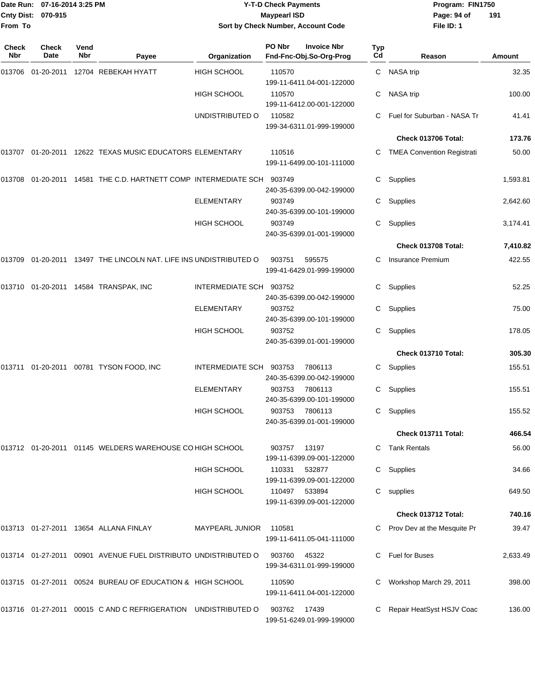| From To      | Date Run: 07-16-2014 3:25 PM<br>Cnty Dist: 070-915 |                    |                                                                    |                         | <b>Y-T-D Check Payments</b><br><b>Maypearl ISD</b> | Sort by Check Number, Account Code            |           | Program: FIN1750<br>Page: 94 of<br>File ID: 1 | 191      |
|--------------|----------------------------------------------------|--------------------|--------------------------------------------------------------------|-------------------------|----------------------------------------------------|-----------------------------------------------|-----------|-----------------------------------------------|----------|
| Check<br>Nbr | <b>Check</b><br>Date                               | Vend<br><b>Nbr</b> | Payee                                                              | Organization            | PO Nbr                                             | <b>Invoice Nbr</b><br>Fnd-Fnc-Obj.So-Org-Prog | Typ<br>Cd | Reason                                        | Amount   |
|              |                                                    |                    | 013706 01-20-2011 12704 REBEKAH HYATT                              | <b>HIGH SCHOOL</b>      | 110570                                             | 199-11-6411.04-001-122000                     | C.        | NASA trip                                     | 32.35    |
|              |                                                    |                    |                                                                    | <b>HIGH SCHOOL</b>      | 110570                                             | 199-11-6412.00-001-122000                     | С         | NASA trip                                     | 100.00   |
|              |                                                    |                    |                                                                    | UNDISTRIBUTED O         | 110582                                             | 199-34-6311.01-999-199000                     |           | Fuel for Suburban - NASA Tr                   | 41.41    |
|              |                                                    |                    |                                                                    |                         |                                                    |                                               |           | Check 013706 Total:                           | 173.76   |
|              |                                                    |                    | 013707 01-20-2011 12622 TEXAS MUSIC EDUCATORS ELEMENTARY           |                         | 110516                                             | 199-11-6499.00-101-111000                     |           | <b>TMEA Convention Registrati</b>             | 50.00    |
|              |                                                    |                    | 013708  01-20-2011  14581  THE C.D. HARTNETT COMP INTERMEDIATE SCH |                         | 903749                                             | 240-35-6399.00-042-199000                     | С         | Supplies                                      | 1,593.81 |
|              |                                                    |                    |                                                                    | <b>ELEMENTARY</b>       | 903749                                             | 240-35-6399.00-101-199000                     | С         | Supplies                                      | 2,642.60 |
|              |                                                    |                    |                                                                    | <b>HIGH SCHOOL</b>      | 903749                                             | 240-35-6399.01-001-199000                     | С         | Supplies                                      | 3,174.41 |
|              |                                                    |                    |                                                                    |                         |                                                    |                                               |           | Check 013708 Total:                           | 7,410.82 |
|              |                                                    |                    | 013709 01-20-2011 13497 THE LINCOLN NAT. LIFE INS UNDISTRIBUTED O  |                         | 903751                                             | 595575<br>199-41-6429.01-999-199000           |           | Insurance Premium                             | 422.55   |
|              |                                                    |                    | 013710 01-20-2011 14584 TRANSPAK, INC                              | <b>INTERMEDIATE SCH</b> | 903752                                             | 240-35-6399.00-042-199000                     | С         | Supplies                                      | 52.25    |
|              |                                                    |                    |                                                                    | <b>ELEMENTARY</b>       | 903752                                             | 240-35-6399.00-101-199000                     | С         | Supplies                                      | 75.00    |
|              |                                                    |                    |                                                                    | <b>HIGH SCHOOL</b>      | 903752                                             | 240-35-6399.01-001-199000                     | С         | Supplies                                      | 178.05   |
|              |                                                    |                    |                                                                    |                         |                                                    |                                               |           | Check 013710 Total:                           | 305.30   |
| 013711       |                                                    |                    | 01-20-2011 00781 TYSON FOOD, INC                                   | INTERMEDIATE SCH        | 903753                                             | 7806113<br>240-35-6399.00-042-199000          | C         | Supplies                                      | 155.51   |
|              |                                                    |                    |                                                                    | <b>ELEMENTARY</b>       | 903753                                             | 7806113<br>240-35-6399.00-101-199000          | C         | Supplies                                      | 155.51   |
|              |                                                    |                    |                                                                    | <b>HIGH SCHOOL</b>      | 903753                                             | 7806113<br>240-35-6399.01-001-199000          |           | C Supplies                                    | 155.52   |
|              |                                                    |                    |                                                                    |                         |                                                    |                                               |           | Check 013711 Total:                           | 466.54   |
|              |                                                    |                    | 013712 01-20-2011 01145 WELDERS WAREHOUSE CO HIGH SCHOOL           |                         | 903757                                             | 13197<br>199-11-6399.09-001-122000            |           | C Tank Rentals                                | 56.00    |
|              |                                                    |                    |                                                                    | <b>HIGH SCHOOL</b>      | 110331                                             | 532877<br>199-11-6399.09-001-122000           |           | C Supplies                                    | 34.66    |
|              |                                                    |                    |                                                                    | <b>HIGH SCHOOL</b>      | 110497                                             | 533894<br>199-11-6399.09-001-122000           |           | C supplies                                    | 649.50   |
|              |                                                    |                    |                                                                    |                         |                                                    |                                               |           | Check 013712 Total:                           | 740.16   |
|              |                                                    |                    | 013713 01-27-2011 13654 ALLANA FINLAY                              | MAYPEARL JUNIOR         | 110581                                             | 199-11-6411.05-041-111000                     |           | Prov Dev at the Mesquite Pr                   | 39.47    |
|              |                                                    |                    | 013714 01-27-2011 00901 AVENUE FUEL DISTRIBUTO UNDISTRIBUTED O     |                         | 903760                                             | 45322<br>199-34-6311.01-999-199000            | C.        | Fuel for Buses                                | 2,633.49 |
|              |                                                    |                    | 013715 01-27-2011 00524 BUREAU OF EDUCATION & HIGH SCHOOL          |                         | 110590                                             | 199-11-6411.04-001-122000                     |           | Workshop March 29, 2011                       | 398.00   |
|              |                                                    |                    | 013716 01-27-2011 00015 C AND C REFRIGERATION UNDISTRIBUTED O      |                         | 903762                                             | 17439<br>199-51-6249.01-999-199000            |           | C Repair HeatSyst HSJV Coac                   | 136.00   |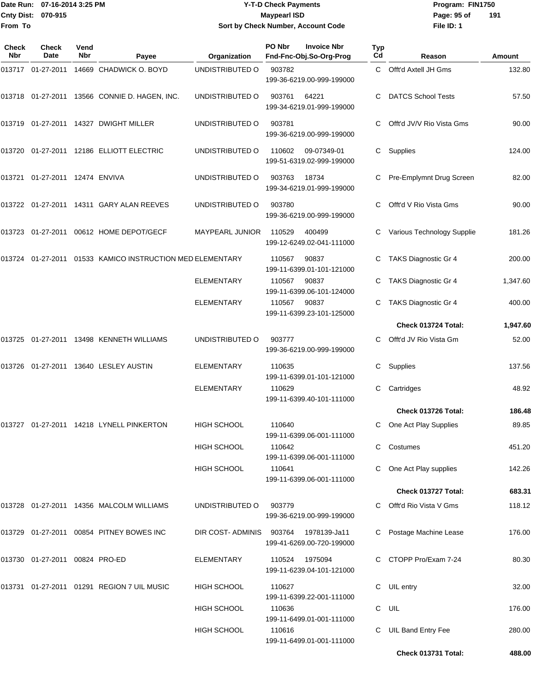#### Date Run: 07-16-2014 3:25 PM **Program:** FIN1750 **Cnty Dist:** 070-915 **Page: 95 of MaypearI ISD Page: 95 of Y-T-D Check Payments 070-915 Maypearl ISD Sort by Check Number, Account Code**

| <b>Check</b><br>Nbr | <b>Check</b><br>Date           | Vend<br>Nbr | Payee                                            | Organization       | PO Nbr | <b>Invoice Nbr</b><br>Fnd-Fnc-Obj.So-Org-Prog | Typ<br>Cd | Reason                     | Amount   |
|---------------------|--------------------------------|-------------|--------------------------------------------------|--------------------|--------|-----------------------------------------------|-----------|----------------------------|----------|
|                     | 013717 01-27-2011              |             | 14669 CHADWICK O. BOYD                           | UNDISTRIBUTED O    | 903782 | 199-36-6219.00-999-199000                     | C.        | Offt'd Axtell JH Gms       | 132.80   |
|                     |                                |             | 013718 01-27-2011 13566 CONNIE D. HAGEN, INC.    | UNDISTRIBUTED O    | 903761 | 64221<br>199-34-6219.01-999-199000            |           | <b>DATCS School Tests</b>  | 57.50    |
|                     |                                |             |                                                  | UNDISTRIBUTED O    | 903781 | 199-36-6219.00-999-199000                     | C.        | Offt'd JV/V Rio Vista Gms  | 90.00    |
|                     |                                |             | 013720   01-27-2011   12186   ELLIOTT   ELECTRIC | UNDISTRIBUTED O    | 110602 | 09-07349-01<br>199-51-6319.02-999-199000      | C.        | Supplies                   | 124.00   |
|                     |                                |             |                                                  | UNDISTRIBUTED O    | 903763 | 18734<br>199-34-6219.01-999-199000            | C         | Pre-Emplymnt Drug Screen   | 82.00    |
|                     |                                |             | 013722   01-27-2011   14311   GARY ALAN REEVES   | UNDISTRIBUTED O    | 903780 | 199-36-6219.00-999-199000                     |           | Offt'd V Rio Vista Gms     | 90.00    |
|                     | 013723 01-27-2011              |             | 00612 HOME DEPOT/GECF                            | MAYPEARL JUNIOR    | 110529 | 400499<br>199-12-6249.02-041-111000           | C         | Various Technology Supplie | 181.26   |
| 013724              | 01-27-2011                     |             | 01533 KAMICO INSTRUCTION MED ELEMENTARY          |                    | 110567 | 90837<br>199-11-6399.01-101-121000            | С         | TAKS Diagnostic Gr 4       | 200.00   |
|                     |                                |             |                                                  | <b>ELEMENTARY</b>  | 110567 | 90837<br>199-11-6399.06-101-124000            |           | TAKS Diagnostic Gr 4       | 1,347.60 |
|                     |                                |             |                                                  | <b>ELEMENTARY</b>  | 110567 | 90837<br>199-11-6399.23-101-125000            | C         | TAKS Diagnostic Gr 4       | 400.00   |
|                     |                                |             |                                                  |                    |        |                                               |           | Check 013724 Total:        | 1,947.60 |
|                     |                                |             | 013725  01-27-2011  13498  KENNETH WILLIAMS      | UNDISTRIBUTED O    | 903777 | 199-36-6219.00-999-199000                     | C         | Offt'd JV Rio Vista Gm     | 52.00    |
|                     |                                |             | 013726   01-27-2011   13640   LESLEY   AUSTIN    | <b>ELEMENTARY</b>  | 110635 | 199-11-6399.01-101-121000                     | С         | Supplies                   | 137.56   |
|                     |                                |             |                                                  | ELEMENTARY         | 110629 | 199-11-6399.40-101-111000                     |           | Cartridges                 | 48.92    |
|                     |                                |             |                                                  |                    |        |                                               |           | Check 013726 Total:        | 186.48   |
|                     |                                |             | 013727   01-27-2011   14218   LYNELL PINKERTON   | <b>HIGH SCHOOL</b> | 110640 | 199-11-6399.06-001-111000                     |           | C One Act Play Supplies    | 89.85    |
|                     |                                |             |                                                  | <b>HIGH SCHOOL</b> | 110642 | 199-11-6399.06-001-111000                     |           | C Costumes                 | 451.20   |
|                     |                                |             |                                                  | <b>HIGH SCHOOL</b> | 110641 | 199-11-6399.06-001-111000                     |           | One Act Play supplies      | 142.26   |
|                     |                                |             |                                                  |                    |        |                                               |           | Check 013727 Total:        | 683.31   |
|                     |                                |             | 013728 01-27-2011 14356 MALCOLM WILLIAMS         | UNDISTRIBUTED O    | 903779 | 199-36-6219.00-999-199000                     |           | Offt'd Rio Vista V Gms     | 118.12   |
|                     |                                |             | 013729 01-27-2011 00854 PITNEY BOWES INC         | DIR COST- ADMINIS  | 903764 | 1978139-Ja11<br>199-41-6269.00-720-199000     |           | Postage Machine Lease      | 176.00   |
|                     | 013730 01-27-2011 00824 PRO-ED |             |                                                  | ELEMENTARY         | 110524 | 1975094<br>199-11-6239.04-101-121000          |           | C CTOPP Pro/Exam 7-24      | 80.30    |
|                     |                                |             | 013731 01-27-2011 01291 REGION 7 UIL MUSIC       | HIGH SCHOOL        | 110627 | 199-11-6399.22-001-111000                     | C         | UIL entry                  | 32.00    |
|                     |                                |             |                                                  | <b>HIGH SCHOOL</b> | 110636 | 199-11-6499.01-001-111000                     |           | C UIL                      | 176.00   |
|                     |                                |             |                                                  | <b>HIGH SCHOOL</b> | 110616 | 199-11-6499.01-001-111000                     | C.        | <b>UIL Band Entry Fee</b>  | 280.00   |
|                     |                                |             |                                                  |                    |        |                                               |           | Check 013731 Total:        | 488.00   |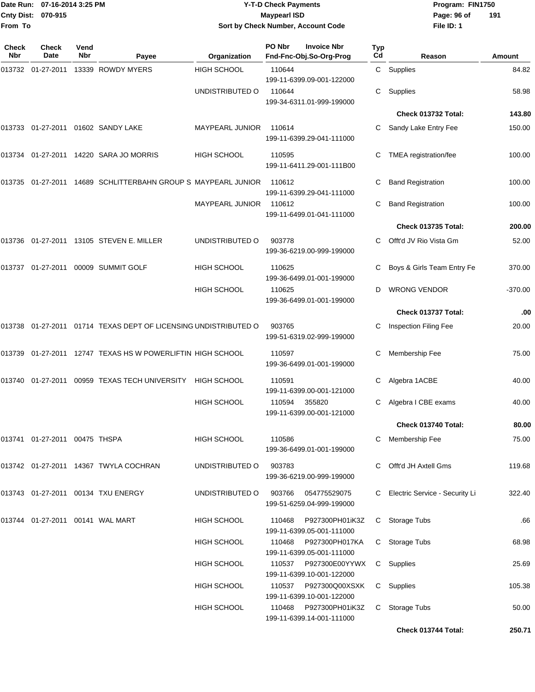| From To                    | Date Run: 07-16-2014 3:25 PM<br>Cnty Dist: 070-915 |             |                                                                    |                        | <b>Y-T-D Check Payments</b><br><b>Maypearl ISD</b> | Sort by Check Number, Account Code            |           | Program: FIN1750<br>Page: 96 of<br>File ID: 1 | 191     |
|----------------------------|----------------------------------------------------|-------------|--------------------------------------------------------------------|------------------------|----------------------------------------------------|-----------------------------------------------|-----------|-----------------------------------------------|---------|
| <b>Check</b><br><b>Nbr</b> | Check<br>Date                                      | Vend<br>Nbr | Payee                                                              | Organization           | PO Nbr                                             | <b>Invoice Nbr</b><br>Fnd-Fnc-Obj.So-Org-Prog | Typ<br>Cd | Reason                                        | Amount  |
|                            |                                                    |             | 013732  01-27-2011  13339  ROWDY MYERS                             | <b>HIGH SCHOOL</b>     | 110644                                             | 199-11-6399.09-001-122000                     |           | C Supplies                                    | 84.82   |
|                            |                                                    |             |                                                                    | UNDISTRIBUTED O        | 110644                                             | 199-34-6311.01-999-199000                     | C.        | Supplies                                      | 58.98   |
|                            |                                                    |             |                                                                    |                        |                                                    |                                               |           | Check 013732 Total:                           | 143.80  |
|                            |                                                    |             |                                                                    | <b>MAYPEARL JUNIOR</b> | 110614                                             | 199-11-6399.29-041-111000                     |           | Sandy Lake Entry Fee                          | 150.00  |
|                            |                                                    |             | 013734 01-27-2011 14220 SARA JO MORRIS                             | <b>HIGH SCHOOL</b>     | 110595                                             | 199-11-6411.29-001-111B00                     |           | TMEA registration/fee                         | 100.00  |
|                            |                                                    |             | 013735 01-27-2011 14689 SCHLITTERBAHN GROUP S MAYPEARL JUNIOR      |                        | 110612                                             | 199-11-6399.29-041-111000                     |           | <b>Band Registration</b>                      | 100.00  |
|                            |                                                    |             |                                                                    | <b>MAYPEARL JUNIOR</b> | 110612                                             | 199-11-6499.01-041-111000                     |           | <b>Band Registration</b>                      | 100.00  |
|                            |                                                    |             |                                                                    |                        |                                                    |                                               |           | Check 013735 Total:                           | 200.00  |
|                            |                                                    |             |                                                                    | UNDISTRIBUTED O        | 903778                                             | 199-36-6219.00-999-199000                     |           | Offt'd JV Rio Vista Gm                        | 52.00   |
|                            |                                                    |             | 013737 01-27-2011 00009 SUMMIT GOLF                                | <b>HIGH SCHOOL</b>     | 110625                                             | 199-36-6499.01-001-199000                     | С         | Boys & Girls Team Entry Fe                    | 370.00  |
|                            |                                                    |             |                                                                    | <b>HIGH SCHOOL</b>     | 110625                                             | 199-36-6499.01-001-199000                     | D         | <b>WRONG VENDOR</b>                           | -370.00 |
|                            |                                                    |             |                                                                    |                        |                                                    |                                               |           | Check 013737 Total:                           | .00     |
|                            |                                                    |             | 013738  01-27-2011  01714  TEXAS DEPT OF LICENSING UNDISTRIBUTED O |                        | 903765                                             | 199-51-6319.02-999-199000                     |           | Inspection Filing Fee                         | 20.00   |
|                            |                                                    |             | 013739 01-27-2011 12747 TEXAS HS W POWERLIFTIN HIGH SCHOOL         |                        | 110597                                             | 199-36-6499.01-001-199000                     |           | Membership Fee                                | 75.00   |
|                            |                                                    |             | 013740  01-27-2011  00959  TEXAS TECH UNIVERSITY  HIGH SCHOOL      |                        | 110591                                             | 199-11-6399.00-001-121000                     |           | Algebra 1ACBE                                 | 40.00   |
|                            |                                                    |             |                                                                    | <b>HIGH SCHOOL</b>     | 110594                                             | 355820<br>199-11-6399.00-001-121000           |           | Algebra I CBE exams                           | 40.00   |
|                            |                                                    |             |                                                                    |                        |                                                    |                                               |           | Check 013740 Total:                           | 80.00   |
|                            | 013741 01-27-2011 00475 THSPA                      |             |                                                                    | HIGH SCHOOL            | 110586                                             | 199-36-6499.01-001-199000                     | C         | Membership Fee                                | 75.00   |
|                            |                                                    |             | 013742 01-27-2011 14367 TWYLA COCHRAN                              | UNDISTRIBUTED O        | 903783                                             | 199-36-6219.00-999-199000                     |           | Offt'd JH Axtell Gms                          | 119.68  |
|                            |                                                    |             | 013743  01-27-2011  00134  TXU ENERGY                              | UNDISTRIBUTED O        | 903766                                             | 054775529075<br>199-51-6259.04-999-199000     |           | C Electric Service - Security Li              | 322.40  |
|                            | 013744   01-27-2011   00141   WAL MART             |             |                                                                    | <b>HIGH SCHOOL</b>     | 110468                                             | P927300PH01iK3Z<br>199-11-6399.05-001-111000  |           | C Storage Tubs                                | .66     |
|                            |                                                    |             |                                                                    | <b>HIGH SCHOOL</b>     | 110468                                             | P927300PH017KA<br>199-11-6399.05-001-111000   |           | C Storage Tubs                                | 68.98   |
|                            |                                                    |             |                                                                    | <b>HIGH SCHOOL</b>     | 110537                                             | P927300E00YYWX<br>199-11-6399.10-001-122000   |           | C Supplies                                    | 25.69   |
|                            |                                                    |             |                                                                    | <b>HIGH SCHOOL</b>     | 110537                                             | P927300Q00XSXK<br>199-11-6399.10-001-122000   |           | C Supplies                                    | 105.38  |
|                            |                                                    |             |                                                                    | <b>HIGH SCHOOL</b>     | 110468                                             | P927300PH01iK3Z<br>199-11-6399.14-001-111000  |           | C Storage Tubs                                | 50.00   |
|                            |                                                    |             |                                                                    |                        |                                                    |                                               |           | Check 013744 Total:                           | 250.71  |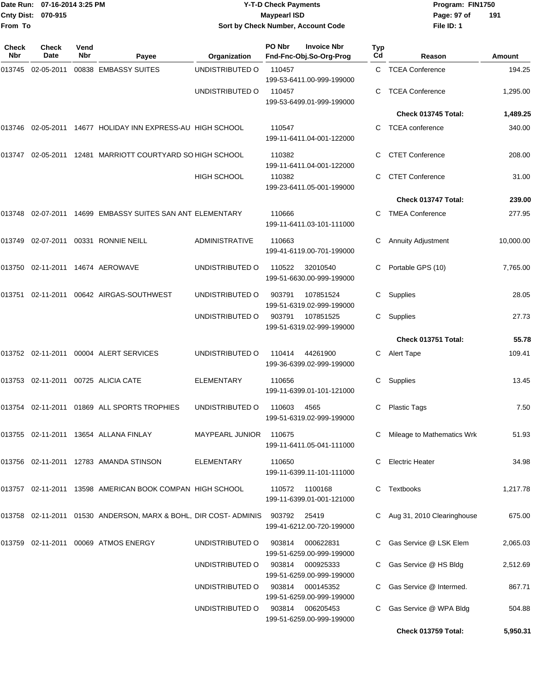|              | Date Run: 07-16-2014 3:25 PM<br>Cnty Dist: 070-915 |                    |                                                                         |                        | <b>Y-T-D Check Payments</b><br><b>Maypearl ISD</b>               |           | Program: FIN1750<br>Page: 97 of | 191       |
|--------------|----------------------------------------------------|--------------------|-------------------------------------------------------------------------|------------------------|------------------------------------------------------------------|-----------|---------------------------------|-----------|
| From To      |                                                    |                    |                                                                         |                        | Sort by Check Number, Account Code                               |           | File ID: 1                      |           |
| Check<br>Nbr | <b>Check</b><br>Date                               | Vend<br><b>Nbr</b> | Payee                                                                   | Organization           | PO Nbr<br><b>Invoice Nbr</b><br>Fnd-Fnc-Obj.So-Org-Prog          | Typ<br>Cd | Reason                          | Amount    |
| 013745       | 02-05-2011                                         |                    | 00838 EMBASSY SUITES                                                    | UNDISTRIBUTED O        | 110457                                                           |           | C TCEA Conference               | 194.25    |
|              |                                                    |                    |                                                                         | UNDISTRIBUTED O        | 199-53-6411.00-999-199000<br>110457<br>199-53-6499.01-999-199000 |           | <b>TCEA Conference</b>          | 1,295.00  |
|              |                                                    |                    |                                                                         |                        |                                                                  |           | Check 013745 Total:             | 1,489.25  |
|              |                                                    |                    | 013746 02-05-2011 14677 HOLIDAY INN EXPRESS-AU HIGH SCHOOL              |                        | 110547<br>199-11-6411.04-001-122000                              |           | <b>TCEA</b> conference          | 340.00    |
| 013747       |                                                    |                    | 02-05-2011 12481 MARRIOTT COURTYARD SO HIGH SCHOOL                      |                        | 110382<br>199-11-6411.04-001-122000                              | C         | <b>CTET Conference</b>          | 208.00    |
|              |                                                    |                    |                                                                         | HIGH SCHOOL            | 110382<br>199-23-6411.05-001-199000                              | С         | <b>CTET Conference</b>          | 31.00     |
|              |                                                    |                    |                                                                         |                        |                                                                  |           | Check 013747 Total:             | 239.00    |
|              |                                                    |                    | 013748 02-07-2011 14699 EMBASSY SUITES SAN ANT ELEMENTARY               |                        | 110666<br>199-11-6411.03-101-111000                              | C.        | <b>TMEA Conference</b>          | 277.95    |
| 013749       |                                                    |                    | 02-07-2011  00331  RONNIE NEILL                                         | <b>ADMINISTRATIVE</b>  | 110663<br>199-41-6119.00-701-199000                              |           | <b>Annuity Adjustment</b>       | 10,000.00 |
| 013750       |                                                    |                    | 02-11-2011 14674 AEROWAVE                                               | UNDISTRIBUTED O        | 110522<br>32010540<br>199-51-6630.00-999-199000                  | C.        | Portable GPS (10)               | 7,765.00  |
| 013751       |                                                    |                    |                                                                         | UNDISTRIBUTED O        | 903791<br>107851524<br>199-51-6319.02-999-199000                 | C         | Supplies                        | 28.05     |
|              |                                                    |                    |                                                                         | UNDISTRIBUTED O        | 107851525<br>903791<br>199-51-6319.02-999-199000                 | C         | Supplies                        | 27.73     |
|              |                                                    |                    |                                                                         |                        |                                                                  |           | Check 013751 Total:             | 55.78     |
|              |                                                    |                    | 013752 02-11-2011 00004 ALERT SERVICES                                  | UNDISTRIBUTED O        | 110414<br>44261900<br>199-36-6399.02-999-199000                  | C         | <b>Alert Tape</b>               | 109.41    |
|              |                                                    |                    | 013753 02-11-2011 00725 ALICIA CATE                                     | <b>ELEMENTARY</b>      | 110656<br>199-11-6399.01-101-121000                              | C         | Supplies                        | 13.45     |
|              |                                                    |                    | 013754 02-11-2011 01869 ALL SPORTS TROPHIES                             | UNDISTRIBUTED O        | 110603 4565<br>199-51-6319.02-999-199000                         |           | C Plastic Tags                  | 7.50      |
|              |                                                    |                    | 013755 02-11-2011 13654 ALLANA FINLAY                                   | MAYPEARL JUNIOR 110675 | 199-11-6411.05-041-111000                                        |           | C Mileage to Mathematics Wrk    | 51.93     |
|              |                                                    |                    | 013756 02-11-2011 12783 AMANDA STINSON                                  | <b>ELEMENTARY</b>      | 110650<br>199-11-6399.11-101-111000                              |           | C Electric Heater               | 34.98     |
|              |                                                    |                    | 013757 02-11-2011 13598 AMERICAN BOOK COMPAN HIGH SCHOOL                |                        | 110572 1100168<br>199-11-6399.01-001-121000                      |           | C Textbooks                     | 1,217.78  |
|              |                                                    |                    | 013758 02-11-2011 01530 ANDERSON, MARX & BOHL, DIR COST- ADMINIS 903792 |                        | 25419<br>199-41-6212.00-720-199000                               |           | C Aug 31, 2010 Clearinghouse    | 675.00    |
|              |                                                    |                    | 013759 02-11-2011 00069 ATMOS ENERGY                                    | UNDISTRIBUTED O        | 903814<br>000622831<br>199-51-6259.00-999-199000                 |           | C Gas Service @ LSK Elem        | 2,065.03  |
|              |                                                    |                    |                                                                         | UNDISTRIBUTED O        | 903814 000925333<br>199-51-6259.00-999-199000                    |           | C Gas Service @ HS Bldg         | 2,512.69  |
|              |                                                    |                    |                                                                         | UNDISTRIBUTED O        | 903814 000145352<br>199-51-6259.00-999-199000                    |           | C Gas Service @ Intermed.       | 867.71    |

UNDISTRIBUTED O 903814 006205453 C Gas Service @ WPA Bldg 504.88

**Check 013759 Total: 5,950.31**

199-51-6259.00-999-199000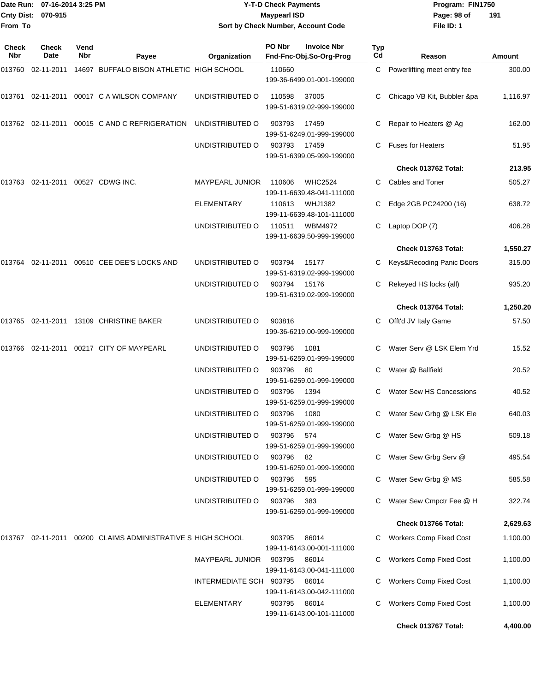|                            | Date Run: 07-16-2014 3:25 PM<br>Cnty Dist: 070-915 |             |                                                              |                         | <b>Y-T-D Check Payments</b><br><b>Maypearl ISD</b>      |           | Program: FIN1750<br>Page: 98 of | 191      |
|----------------------------|----------------------------------------------------|-------------|--------------------------------------------------------------|-------------------------|---------------------------------------------------------|-----------|---------------------------------|----------|
| From To                    |                                                    |             |                                                              |                         | Sort by Check Number, Account Code                      |           | File ID: 1                      |          |
| <b>Check</b><br><b>Nbr</b> | <b>Check</b><br>Date                               | Vend<br>Nbr | Payee                                                        | Organization            | PO Nbr<br><b>Invoice Nbr</b><br>Fnd-Fnc-Obj.So-Org-Prog | Typ<br>Cd | Reason                          | Amount   |
|                            |                                                    |             | 14697 BUFFALO BISON ATHLETIC HIGH SCHOOL                     |                         | 110660<br>199-36-6499.01-001-199000                     | C.        | Powerlifting meet entry fee     | 300.00   |
|                            |                                                    |             |                                                              | UNDISTRIBUTED O         | 110598<br>37005<br>199-51-6319.02-999-199000            | С         | Chicago VB Kit, Bubbler &pa     | 1,116.97 |
|                            |                                                    |             | 013762  02-11-2011  00015  C   AND   C   REFRIGERATION       | UNDISTRIBUTED O         | 903793<br>17459<br>199-51-6249.01-999-199000            | С         | Repair to Heaters @ Ag          | 162.00   |
|                            |                                                    |             |                                                              | UNDISTRIBUTED O         | 903793<br>17459<br>199-51-6399.05-999-199000            | C.        | <b>Fuses for Heaters</b>        | 51.95    |
|                            |                                                    |             |                                                              |                         |                                                         |           | Check 013762 Total:             | 213.95   |
| 013763                     | 02-11-2011                                         |             | 00527 CDWG INC.                                              | <b>MAYPEARL JUNIOR</b>  | <b>WHC2524</b><br>110606<br>199-11-6639.48-041-111000   | C         | Cables and Toner                | 505.27   |
|                            |                                                    |             |                                                              | <b>ELEMENTARY</b>       | <b>WHJ1382</b><br>110613<br>199-11-6639.48-101-111000   | С         | Edge 2GB PC24200 (16)           | 638.72   |
|                            |                                                    |             |                                                              | UNDISTRIBUTED O         | 110511<br><b>WBM4972</b><br>199-11-6639.50-999-199000   | С         | Laptop DOP (7)                  | 406.28   |
|                            |                                                    |             |                                                              |                         |                                                         |           | Check 013763 Total:             | 1,550.27 |
|                            |                                                    |             | 013764 02-11-2011 00510  CEE DEE'S LOCKS AND                 | UNDISTRIBUTED O         | 903794<br>15177<br>199-51-6319.02-999-199000            | С         | Keys&Recoding Panic Doors       | 315.00   |
|                            |                                                    |             |                                                              | UNDISTRIBUTED O         | 903794<br>15176<br>199-51-6319.02-999-199000            | С         | Rekeyed HS locks (all)          | 935.20   |
|                            |                                                    |             |                                                              |                         |                                                         |           | Check 013764 Total:             | 1,250.20 |
|                            |                                                    |             |                                                              | UNDISTRIBUTED O         | 903816<br>199-36-6219.00-999-199000                     | С         | Offt'd JV Italy Game            | 57.50    |
|                            |                                                    |             | 013766 02-11-2011 00217  CITY OF MAYPEARL                    | UNDISTRIBUTED O         | 903796<br>1081<br>199-51-6259.01-999-199000             | С         | Water Serv @ LSK Elem Yrd       | 15.52    |
|                            |                                                    |             |                                                              | UNDISTRIBUTED O         | 903796<br>80<br>199-51-6259.01-999-199000               | C         | Water @ Ballfield               | 20.52    |
|                            |                                                    |             |                                                              | UNDISTRIBUTED O         | 903796<br>1394<br>199-51-6259.01-999-199000             |           | <b>Water Sew HS Concessions</b> | 40.52    |
|                            |                                                    |             |                                                              | UNDISTRIBUTED O         | 1080<br>903796<br>199-51-6259.01-999-199000             | С         | Water Sew Grbg @ LSK Ele        | 640.03   |
|                            |                                                    |             |                                                              | UNDISTRIBUTED O         | 903796<br>574<br>199-51-6259.01-999-199000              | С         | Water Sew Grbg @ HS             | 509.18   |
|                            |                                                    |             |                                                              | UNDISTRIBUTED O         | 903796<br>82<br>199-51-6259.01-999-199000               | С         | Water Sew Grbg Serv @           | 495.54   |
|                            |                                                    |             |                                                              | UNDISTRIBUTED O         | 903796<br>595<br>199-51-6259.01-999-199000              | C         | Water Sew Grbg @ MS             | 585.58   |
|                            |                                                    |             |                                                              | UNDISTRIBUTED O         | 903796<br>383<br>199-51-6259.01-999-199000              | C         | Water Sew Cmpctr Fee @ H        | 322.74   |
|                            |                                                    |             |                                                              |                         |                                                         |           | Check 013766 Total:             | 2,629.63 |
|                            |                                                    |             | 013767 02-11-2011 00200  CLAIMS ADMINISTRATIVE S HIGH SCHOOL |                         | 903795<br>86014<br>199-11-6143.00-001-111000            |           | C Workers Comp Fixed Cost       | 1,100.00 |
|                            |                                                    |             |                                                              | <b>MAYPEARL JUNIOR</b>  | 903795<br>86014<br>199-11-6143.00-041-111000            | С         | <b>Workers Comp Fixed Cost</b>  | 1,100.00 |
|                            |                                                    |             |                                                              | INTERMEDIATE SCH 903795 | 86014<br>199-11-6143.00-042-111000                      | С         | Workers Comp Fixed Cost         | 1,100.00 |
|                            |                                                    |             |                                                              | <b>ELEMENTARY</b>       | 903795<br>86014                                         | C.        | <b>Workers Comp Fixed Cost</b>  | 1,100.00 |

199-11-6143.00-101-111000

**Check 013767 Total: 4,400.00**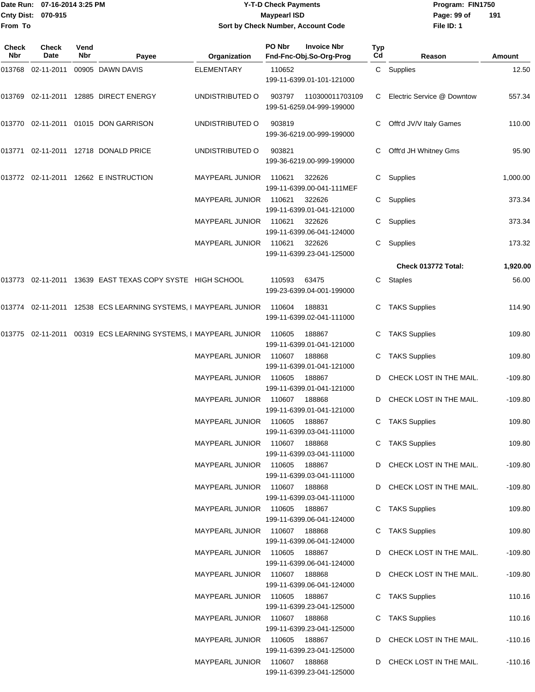|                     | Date Run: 07-16-2014 3:25 PM |             |                                                                 |                               | <b>Y-T-D Check Payments</b> |                                               |                  | Program: FIN1750           |           |
|---------------------|------------------------------|-------------|-----------------------------------------------------------------|-------------------------------|-----------------------------|-----------------------------------------------|------------------|----------------------------|-----------|
|                     | Cnty Dist: 070-915           |             |                                                                 |                               | <b>Maypearl ISD</b>         |                                               |                  | Page: 99 of                | 191       |
| From To             |                              |             |                                                                 |                               |                             | Sort by Check Number, Account Code            |                  | File ID: 1                 |           |
| Check<br><b>Nbr</b> | <b>Check</b><br>Date         | Vend<br>Nbr | Payee                                                           | Organization                  | PO Nbr                      | <b>Invoice Nbr</b><br>Fnd-Fnc-Obj.So-Org-Prog | <b>Typ</b><br>Cd | Reason                     | Amount    |
|                     | 013768  02-11-2011           |             | 00905 DAWN DAVIS                                                | <b>ELEMENTARY</b>             | 110652                      | 199-11-6399.01-101-121000                     |                  | C Supplies                 | 12.50     |
| 013769              |                              |             | 02-11-2011 12885 DIRECT ENERGY                                  | UNDISTRIBUTED O               | 903797                      | 110300011703109<br>199-51-6259.04-999-199000  | C.               | Electric Service @ Downtow | 557.34    |
|                     |                              |             | 013770 02-11-2011 01015 DON GARRISON                            | UNDISTRIBUTED O               | 903819                      | 199-36-6219.00-999-199000                     | C                | Offt'd JV/V Italy Games    | 110.00    |
| 013771              |                              |             | 02-11-2011 12718 DONALD PRICE                                   | UNDISTRIBUTED O               | 903821                      | 199-36-6219.00-999-199000                     | C                | Offt'd JH Whitney Gms      | 95.90     |
|                     |                              |             | 013772 02-11-2011 12662 E INSTRUCTION                           | <b>MAYPEARL JUNIOR</b>        | 110621                      | 322626<br>199-11-6399.00-041-111MEF           | C.               | Supplies                   | 1,000.00  |
|                     |                              |             |                                                                 | MAYPEARL JUNIOR               | 110621                      | 322626<br>199-11-6399.01-041-121000           | С                | Supplies                   | 373.34    |
|                     |                              |             |                                                                 | MAYPEARL JUNIOR               | 110621                      | 322626<br>199-11-6399.06-041-124000           | C                | Supplies                   | 373.34    |
|                     |                              |             |                                                                 | MAYPEARL JUNIOR               | 110621                      | 322626<br>199-11-6399.23-041-125000           | C.               | Supplies                   | 173.32    |
|                     |                              |             |                                                                 |                               |                             |                                               |                  | Check 013772 Total:        | 1,920.00  |
|                     |                              |             | 013773 02-11-2011 13639 EAST TEXAS COPY SYSTE HIGH SCHOOL       |                               | 110593                      | 63475<br>199-23-6399.04-001-199000            | C                | <b>Staples</b>             | 56.00     |
|                     |                              |             | 013774 02-11-2011 12538 ECS LEARNING SYSTEMS, I MAYPEARL JUNIOR |                               | 110604                      | 188831<br>199-11-6399.02-041-111000           | C                | <b>TAKS Supplies</b>       | 114.90    |
|                     |                              |             | 013775 02-11-2011 00319 ECS LEARNING SYSTEMS, I MAYPEARL JUNIOR |                               | 110605                      | 188867<br>199-11-6399.01-041-121000           | C                | <b>TAKS Supplies</b>       | 109.80    |
|                     |                              |             |                                                                 | <b>MAYPEARL JUNIOR</b>        | 110607                      | 188868<br>199-11-6399.01-041-121000           | C                | <b>TAKS Supplies</b>       | 109.80    |
|                     |                              |             |                                                                 | MAYPEARL JUNIOR               | 110605                      | 188867<br>199-11-6399.01-041-121000           | D                | CHECK LOST IN THE MAIL.    | $-109.80$ |
|                     |                              |             |                                                                 | MAYPEARL JUNIOR 110607        |                             | 188868<br>199-11-6399.01-041-121000           |                  | D CHECK LOST IN THE MAIL.  | $-109.80$ |
|                     |                              |             |                                                                 | MAYPEARL JUNIOR 110605        |                             | 188867<br>199-11-6399.03-041-111000           |                  | C TAKS Supplies            | 109.80    |
|                     |                              |             |                                                                 | MAYPEARL JUNIOR 110607 188868 |                             | 199-11-6399.03-041-111000                     |                  | C TAKS Supplies            | 109.80    |
|                     |                              |             |                                                                 | MAYPEARL JUNIOR 110605        |                             | 188867<br>199-11-6399.03-041-111000           |                  | D CHECK LOST IN THE MAIL.  | -109.80   |
|                     |                              |             |                                                                 | MAYPEARL JUNIOR 110607 188868 |                             | 199-11-6399.03-041-111000                     |                  | D CHECK LOST IN THE MAIL.  | $-109.80$ |
|                     |                              |             |                                                                 | MAYPEARL JUNIOR 110605        |                             | 188867<br>199-11-6399.06-041-124000           |                  | C TAKS Supplies            | 109.80    |
|                     |                              |             |                                                                 | MAYPEARL JUNIOR 110607 188868 |                             | 199-11-6399.06-041-124000                     |                  | C TAKS Supplies            | 109.80    |
|                     |                              |             |                                                                 | MAYPEARL JUNIOR 110605        |                             | 188867<br>199-11-6399.06-041-124000           |                  | D CHECK LOST IN THE MAIL.  | $-109.80$ |
|                     |                              |             |                                                                 | MAYPEARL JUNIOR 110607 188868 |                             | 199-11-6399.06-041-124000                     |                  | D CHECK LOST IN THE MAIL.  | -109.80   |
|                     |                              |             |                                                                 | MAYPEARL JUNIOR 110605        |                             | 188867<br>199-11-6399.23-041-125000           |                  | C TAKS Supplies            | 110.16    |
|                     |                              |             |                                                                 | MAYPEARL JUNIOR 110607 188868 |                             | 199-11-6399.23-041-125000                     |                  | C TAKS Supplies            | 110.16    |
|                     |                              |             |                                                                 | MAYPEARL JUNIOR 110605 188867 |                             |                                               |                  | D CHECK LOST IN THE MAIL.  | $-110.16$ |

199-11-6399.23-041-125000

199-11-6399.23-041-125000

MAYPEARL JUNIOR 110607 188868 D CHECK LOST IN THE MAIL. - 110.16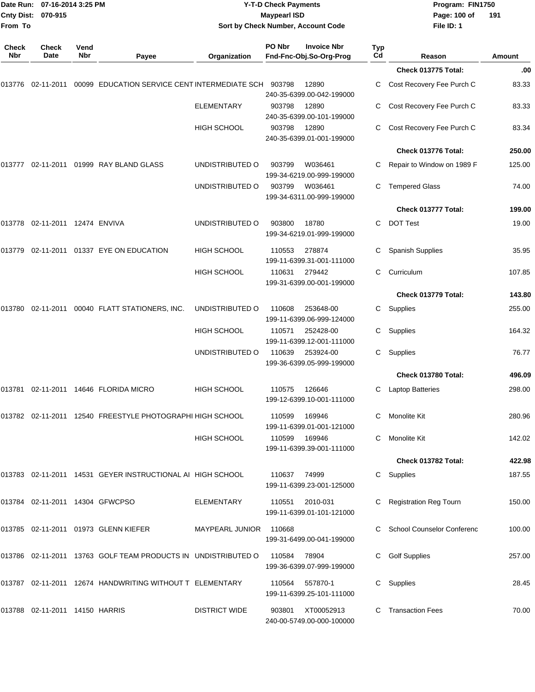| <b>Cnty Dist:</b><br>From To | Date Run: 07-16-2014 3:25 PM<br>070-915 |             |                                                               | Sort by Check Number, Account Code | <b>Y-T-D Check Payments</b><br><b>Maypearl ISD</b> |                                               |                  | Program: FIN1750<br>Page: 100 of<br>File ID: 1 | 191    |
|------------------------------|-----------------------------------------|-------------|---------------------------------------------------------------|------------------------------------|----------------------------------------------------|-----------------------------------------------|------------------|------------------------------------------------|--------|
| <b>Check</b><br>Nbr          | <b>Check</b><br>Date                    | Vend<br>Nbr | Payee                                                         | Organization                       | PO Nbr                                             | <b>Invoice Nbr</b><br>Fnd-Fnc-Obj.So-Org-Prog | <b>Typ</b><br>Cd | Reason                                         | Amount |
|                              |                                         |             |                                                               |                                    |                                                    |                                               |                  | Check 013775 Total:                            | .00    |
|                              | 013776 02-11-2011                       |             | 00099 EDUCATION SERVICE CENT INTERMEDIATE SCH                 |                                    | 903798                                             | 12890<br>240-35-6399.00-042-199000            | C                | Cost Recovery Fee Purch C                      | 83.33  |
|                              |                                         |             |                                                               | <b>ELEMENTARY</b>                  | 903798                                             | 12890<br>240-35-6399.00-101-199000            |                  | Cost Recovery Fee Purch C                      | 83.33  |
|                              |                                         |             |                                                               | <b>HIGH SCHOOL</b>                 | 903798                                             | 12890<br>240-35-6399.01-001-199000            |                  | Cost Recovery Fee Purch C                      | 83.34  |
|                              |                                         |             |                                                               |                                    |                                                    |                                               |                  | Check 013776 Total:                            | 250.00 |
| 013777                       |                                         |             | 02-11-2011  01999  RAY BLAND GLASS                            | UNDISTRIBUTED O                    | 903799                                             | W036461<br>199-34-6219.00-999-199000          |                  | Repair to Window on 1989 F                     | 125.00 |
|                              |                                         |             |                                                               | UNDISTRIBUTED O                    | 903799                                             | W036461<br>199-34-6311.00-999-199000          | C.               | <b>Tempered Glass</b>                          | 74.00  |
|                              |                                         |             |                                                               |                                    |                                                    |                                               |                  | Check 013777 Total:                            | 199.00 |
|                              | 013778 02-11-2011 12474 ENVIVA          |             |                                                               | UNDISTRIBUTED O                    | 903800                                             | 18780<br>199-34-6219.01-999-199000            | C                | <b>DOT Test</b>                                | 19.00  |
|                              |                                         |             | 013779 02-11-2011 01337 EYE ON EDUCATION                      | <b>HIGH SCHOOL</b>                 | 110553                                             | 278874<br>199-11-6399.31-001-111000           |                  | <b>Spanish Supplies</b>                        | 35.95  |
|                              |                                         |             |                                                               | <b>HIGH SCHOOL</b>                 | 110631                                             | 279442<br>199-31-6399.00-001-199000           | С                | Curriculum                                     | 107.85 |
|                              |                                         |             |                                                               |                                    |                                                    |                                               |                  | Check 013779 Total:                            | 143.80 |
| 013780                       |                                         |             | 02-11-2011 00040 FLATT STATIONERS, INC.                       | UNDISTRIBUTED O                    | 110608                                             | 253648-00<br>199-11-6399.06-999-124000        | C                | Supplies                                       | 255.00 |
|                              |                                         |             |                                                               | <b>HIGH SCHOOL</b>                 | 110571                                             | 252428-00<br>199-11-6399.12-001-111000        | C                | Supplies                                       | 164.32 |
|                              |                                         |             |                                                               | UNDISTRIBUTED O                    | 110639                                             | 253924-00<br>199-36-6399.05-999-199000        | C                | Supplies                                       | 76.77  |
|                              |                                         |             |                                                               |                                    |                                                    |                                               |                  | Check 013780 Total:                            | 496.09 |
|                              |                                         |             | 013781 02-11-2011 14646 FLORIDA MICRO                         | <b>HIGH SCHOOL</b>                 | 110575                                             | 126646<br>199-12-6399.10-001-111000           | C                | <b>Laptop Batteries</b>                        | 298.00 |
|                              |                                         |             | 013782 02-11-2011 12540 FREESTYLE PHOTOGRAPHI HIGH SCHOOL     |                                    | 110599                                             | 169946<br>199-11-6399.01-001-121000           |                  | C Monolite Kit                                 | 280.96 |
|                              |                                         |             |                                                               | <b>HIGH SCHOOL</b>                 | 110599                                             | 169946<br>199-11-6399.39-001-111000           |                  | C Monolite Kit                                 | 142.02 |
|                              |                                         |             |                                                               |                                    |                                                    |                                               |                  | Check 013782 Total:                            | 422.98 |
|                              |                                         |             | 013783 02-11-2011 14531 GEYER INSTRUCTIONAL AI HIGH SCHOOL    |                                    | 110637                                             | 74999<br>199-11-6399.23-001-125000            |                  | C Supplies                                     | 187.55 |
|                              | 013784 02-11-2011 14304 GFWCPSO         |             |                                                               | <b>ELEMENTARY</b>                  | 110551                                             | 2010-031<br>199-11-6399.01-101-121000         |                  | C Registration Reg Tourn                       | 150.00 |
|                              |                                         |             | 013785 02-11-2011 01973 GLENN KIEFER                          | MAYPEARL JUNIOR                    | 110668                                             | 199-31-6499.00-041-199000                     |                  | C School Counselor Conferenc                   | 100.00 |
|                              |                                         |             | 013786 02-11-2011 13763 GOLF TEAM PRODUCTS IN UNDISTRIBUTED O |                                    | 110584                                             | 78904<br>199-36-6399.07-999-199000            |                  | <b>Golf Supplies</b>                           | 257.00 |
|                              |                                         |             | 013787 02-11-2011 12674 HANDWRITING WITHOUT T ELEMENTARY      |                                    |                                                    | 110564 557870-1<br>199-11-6399.25-101-111000  |                  | C Supplies                                     | 28.45  |
|                              | 013788 02-11-2011 14150 HARRIS          |             |                                                               | <b>DISTRICT WIDE</b>               | 903801                                             | XT00052913<br>240-00-5749.00-000-100000       |                  | C Transaction Fees                             | 70.00  |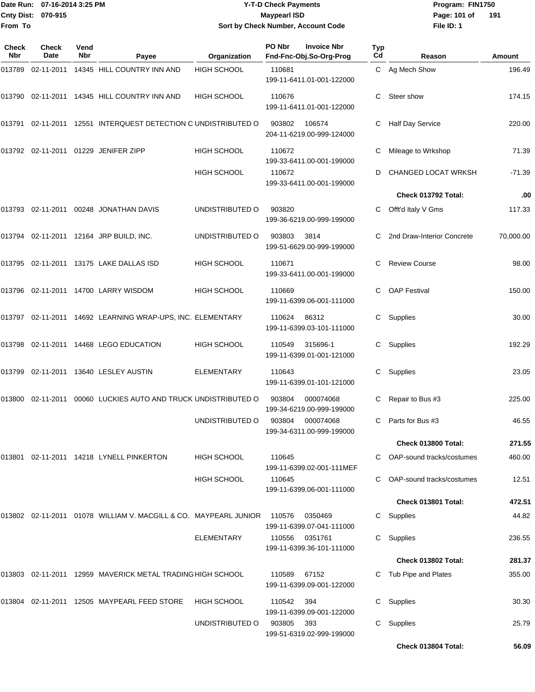#### Date Run: 07-16-2014 3:25 PM **Program:** FIN1750 **Cnty Dist:** 070-915 **Page: 101 of** Maypearl ISD **CONTEX 101 OF A Page: 101 of Y-T-D Check Payments 070-915 Maypearl ISD Sort by Check Number, Account Code**

| Check<br>Nbr | <b>Check</b><br>Date | Vend<br>Nbr | Payee                                                               | Organization       | PO Nbr | <b>Invoice Nbr</b><br>Fnd-Fnc-Obj.So-Org-Prog | Typ<br>Cd | Reason                      | Amount    |
|--------------|----------------------|-------------|---------------------------------------------------------------------|--------------------|--------|-----------------------------------------------|-----------|-----------------------------|-----------|
| 013789       |                      |             | 02-11-2011 14345 HILL COUNTRY INN AND                               | <b>HIGH SCHOOL</b> | 110681 | 199-11-6411.01-001-122000                     |           | C Ag Mech Show              | 196.49    |
|              |                      |             | 013790 02-11-2011 14345 HILL COUNTRY INN AND                        | <b>HIGH SCHOOL</b> | 110676 | 199-11-6411.01-001-122000                     | С         | Steer show                  | 174.15    |
|              |                      |             | 013791 02-11-2011 12551 INTERQUEST DETECTION C UNDISTRIBUTED O      |                    | 903802 | 106574<br>204-11-6219.00-999-124000           | С         | <b>Half Day Service</b>     | 220.00    |
|              |                      |             | 013792 02-11-2011 01229 JENIFER ZIPP                                | <b>HIGH SCHOOL</b> | 110672 | 199-33-6411.00-001-199000                     |           | Mileage to Wrkshop          | 71.39     |
|              |                      |             |                                                                     | <b>HIGH SCHOOL</b> | 110672 | 199-33-6411.00-001-199000                     | D         | CHANGED LOCAT WRKSH         | $-71.39$  |
|              |                      |             |                                                                     |                    |        |                                               |           | Check 013792 Total:         | .00       |
|              |                      |             | 013793 02-11-2011 00248 JONATHAN DAVIS                              | UNDISTRIBUTED O    | 903820 | 199-36-6219.00-999-199000                     | C.        | Offt'd Italy V Gms          | 117.33    |
|              |                      |             | 013794 02-11-2011 12164 JRP BUILD, INC.                             | UNDISTRIBUTED O    | 903803 | 3814<br>199-51-6629.00-999-199000             |           | 2nd Draw-Interior Concrete  | 70,000.00 |
|              |                      |             | 013795 02-11-2011 13175 LAKE DALLAS ISD                             | <b>HIGH SCHOOL</b> | 110671 | 199-33-6411.00-001-199000                     |           | <b>Review Course</b>        | 98.00     |
|              |                      |             | 013796 02-11-2011 14700 LARRY WISDOM                                | <b>HIGH SCHOOL</b> | 110669 | 199-11-6399.06-001-111000                     | С         | <b>OAP Festival</b>         | 150.00    |
|              |                      |             | 013797 02-11-2011 14692 LEARNING WRAP-UPS, INC. ELEMENTARY          |                    | 110624 | 86312<br>199-11-6399.03-101-111000            | С         | Supplies                    | 30.00     |
|              |                      |             | 013798 02-11-2011 14468 LEGO EDUCATION                              | <b>HIGH SCHOOL</b> | 110549 | 315696-1<br>199-11-6399.01-001-121000         | C.        | Supplies                    | 192.29    |
|              |                      |             | 013799 02-11-2011 13640 LESLEY AUSTIN                               | ELEMENTARY         | 110643 | 199-11-6399.01-101-121000                     | С         | Supplies                    | 23.05     |
|              |                      |             | 013800 02-11-2011 00060 LUCKIES AUTO AND TRUCK UNDISTRIBUTED O      |                    | 903804 | 000074068<br>199-34-6219.00-999-199000        |           | Repair to Bus #3            | 225.00    |
|              |                      |             |                                                                     | UNDISTRIBUTED O    | 903804 | 000074068<br>199-34-6311.00-999-199000        |           | C Parts for Bus #3          | 46.55     |
|              |                      |             |                                                                     |                    |        |                                               |           | Check 013800 Total:         | 271.55    |
| 013801       |                      |             | 02-11-2011  14218 LYNELL PINKERTON                                  | <b>HIGH SCHOOL</b> | 110645 | 199-11-6399.02-001-111MEF                     |           | C OAP-sound tracks/costumes | 460.00    |
|              |                      |             |                                                                     | <b>HIGH SCHOOL</b> | 110645 | 199-11-6399.06-001-111000                     |           | C OAP-sound tracks/costumes | 12.51     |
|              |                      |             |                                                                     |                    |        |                                               |           | Check 013801 Total:         | 472.51    |
|              |                      |             | 013802  02-11-2011  01078  WILLIAM V. MACGILL & CO. MAYPEARL JUNIOR |                    | 110576 | 0350469<br>199-11-6399.07-041-111000          | C.        | Supplies                    | 44.82     |
|              |                      |             |                                                                     | ELEMENTARY         | 110556 | 0351761<br>199-11-6399.36-101-111000          | C.        | Supplies                    | 236.55    |
|              |                      |             |                                                                     |                    |        |                                               |           | Check 013802 Total:         | 281.37    |
|              |                      |             | 013803 02-11-2011 12959 MAVERICK METAL TRADING HIGH SCHOOL          |                    | 110589 | 67152<br>199-11-6399.09-001-122000            |           | C Tub Pipe and Plates       | 355.00    |
| 013804       |                      |             | 02-11-2011 12505 MAYPEARL FEED STORE                                | <b>HIGH SCHOOL</b> | 110542 | 394<br>199-11-6399.09-001-122000              | C.        | Supplies                    | 30.30     |
|              |                      |             |                                                                     | UNDISTRIBUTED O    | 903805 | 393<br>199-51-6319.02-999-199000              | C.        | Supplies                    | 25.79     |
|              |                      |             |                                                                     |                    |        |                                               |           | Check 013804 Total:         | 56.09     |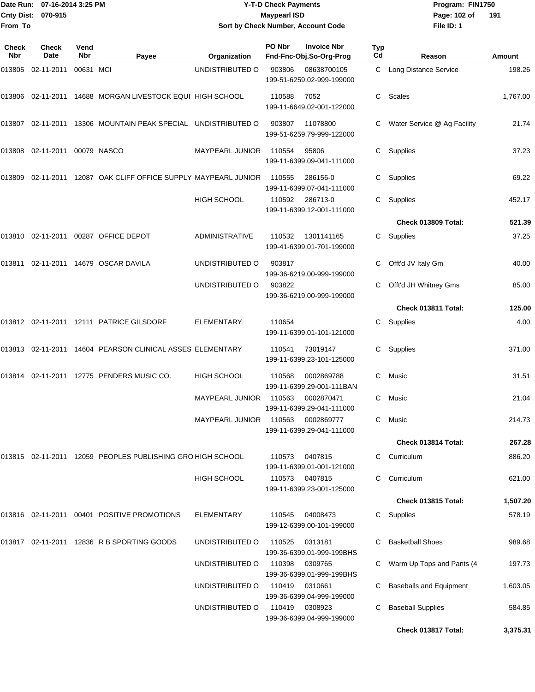## Date Run: 07-16-2014 3:25 PM **Program:** FIN1750 **Y-T-D Check Payments 070-915 Maypearl ISD Sort by Check Number, Account Code**

**File ID: 1** Page: 102 of 191

| Check<br><b>Nbr</b> | Check<br>Date                    | Vend<br><b>Nbr</b> | Payee                                                        | Organization           | PO Nbr | <b>Invoice Nbr</b><br>Fnd-Fnc-Obj.So-Org-Prog | Typ<br>Cd | Reason                         | Amount   |
|---------------------|----------------------------------|--------------------|--------------------------------------------------------------|------------------------|--------|-----------------------------------------------|-----------|--------------------------------|----------|
| 013805              | 02-11-2011                       | 00631 MCI          |                                                              | UNDISTRIBUTED O        | 903806 | 08638700105<br>199-51-6259.02-999-199000      |           | C Long Distance Service        | 198.26   |
|                     |                                  |                    | 013806 02-11-2011 14688 MORGAN LIVESTOCK EQUI HIGH SCHOOL    |                        | 110588 | 7052<br>199-11-6649.02-001-122000             |           | C Scales                       | 1,767.00 |
| 013807              |                                  |                    | 02-11-2011 13306 MOUNTAIN PEAK SPECIAL UNDISTRIBUTED O       |                        | 903807 | 11078800<br>199-51-6259.79-999-122000         | C         | Water Service @ Ag Facility    | 21.74    |
|                     | 013808  02-11-2011  00079  NASCO |                    |                                                              | MAYPEARL JUNIOR        | 110554 | 95806<br>199-11-6399.09-041-111000            | C         | Supplies                       | 37.23    |
| 013809              |                                  |                    | 02-11-2011 12087 OAK CLIFF OFFICE SUPPLY MAYPEARL JUNIOR     |                        | 110555 | 286156-0<br>199-11-6399.07-041-111000         | C         | Supplies                       | 69.22    |
|                     |                                  |                    |                                                              | <b>HIGH SCHOOL</b>     | 110592 | 286713-0<br>199-11-6399.12-001-111000         | C.        | Supplies                       | 452.17   |
|                     |                                  |                    |                                                              |                        |        |                                               |           | Check 013809 Total:            | 521.39   |
|                     |                                  |                    | 013810 02-11-2011 00287 OFFICE DEPOT                         | <b>ADMINISTRATIVE</b>  | 110532 | 1301141165<br>199-41-6399.01-701-199000       |           | C Supplies                     | 37.25    |
| 013811              |                                  |                    | 02-11-2011 14679 OSCAR DAVILA                                | UNDISTRIBUTED O        | 903817 | 199-36-6219.00-999-199000                     | C         | Offt'd JV Italy Gm             | 40.00    |
|                     |                                  |                    |                                                              | UNDISTRIBUTED O        | 903822 | 199-36-6219.00-999-199000                     |           | Offt'd JH Whitney Gms          | 85.00    |
|                     |                                  |                    |                                                              |                        |        |                                               |           | Check 013811 Total:            | 125.00   |
|                     |                                  |                    | 013812 02-11-2011 12111 PATRICE GILSDORF                     | <b>ELEMENTARY</b>      | 110654 | 199-11-6399.01-101-121000                     | C         | Supplies                       | 4.00     |
|                     |                                  |                    | 013813  02-11-2011  14604  PEARSON CLINICAL ASSES ELEMENTARY |                        | 110541 | 73019147<br>199-11-6399.23-101-125000         | C         | Supplies                       | 371.00   |
| 013814              |                                  |                    | 02-11-2011 12775 PENDERS MUSIC CO.                           | HIGH SCHOOL            | 110568 | 0002869788<br>199-11-6399.29-001-111BAN       | С         | Music                          | 31.51    |
|                     |                                  |                    |                                                              | <b>MAYPEARL JUNIOR</b> | 110563 | 0002870471<br>199-11-6399.29-041-111000       | C         | Music                          | 21.04    |
|                     |                                  |                    |                                                              | <b>MAYPEARL JUNIOR</b> | 110563 | 0002869777<br>199-11-6399.29-041-111000       | C.        | Music                          | 214.73   |
|                     |                                  |                    |                                                              |                        |        |                                               |           | Check 013814 Total:            | 267.28   |
|                     |                                  |                    | 013815 02-11-2011 12059 PEOPLES PUBLISHING GRO HIGH SCHOOL   |                        | 110573 | 0407815<br>199-11-6399.01-001-121000          |           | C Curriculum                   | 886.20   |
|                     |                                  |                    |                                                              | HIGH SCHOOL            | 110573 | 0407815<br>199-11-6399.23-001-125000          | C.        | Curriculum                     | 621.00   |
|                     |                                  |                    |                                                              |                        |        |                                               |           | Check 013815 Total:            | 1,507.20 |
|                     |                                  |                    | 013816 02-11-2011 00401 POSITIVE PROMOTIONS                  | <b>ELEMENTARY</b>      | 110545 | 04008473<br>199-12-6399.00-101-199000         | C         | Supplies                       | 578.19   |
|                     |                                  |                    | 013817 02-11-2011 12836 R B SPORTING GOODS                   | UNDISTRIBUTED O        | 110525 | 0313181<br>199-36-6399.01-999-199BHS          |           | <b>Basketball Shoes</b>        | 989.68   |
|                     |                                  |                    |                                                              | UNDISTRIBUTED O        | 110398 | 0309765<br>199-36-6399.01-999-199BHS          |           | Warm Up Tops and Pants (4      | 197.73   |
|                     |                                  |                    |                                                              | UNDISTRIBUTED O        | 110419 | 0310661<br>199-36-6399.04-999-199000          | С         | <b>Baseballs and Equipment</b> | 1,603.05 |
|                     |                                  |                    |                                                              | UNDISTRIBUTED O        | 110419 | 0308923<br>199-36-6399.04-999-199000          | С         | <b>Baseball Supplies</b>       | 584.85   |
|                     |                                  |                    |                                                              |                        |        |                                               |           | Check 013817 Total:            | 3,375.31 |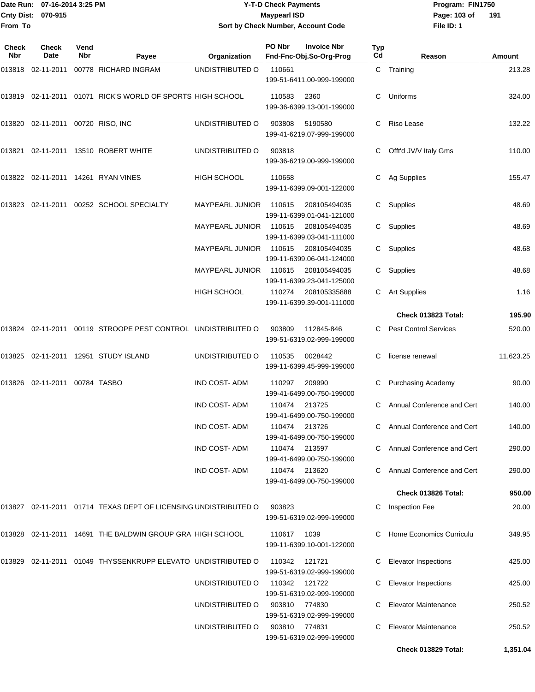## Date Run: 07-16-2014 3:25 PM **Program:** FIN1750 **Y-T-D Check Payments 070-915 Maypearl ISD Sort by Check Number, Account Code**

**File ID: 1** Page: 103 of 191

| Check<br>Nbr | Check<br>Date                     | Vend<br>Nbr | Payee                                                          | Organization           | PO Nbr        | <b>Invoice Nbr</b><br>Fnd-Fnc-Obj.So-Org-Prog | Typ<br>Cd | Reason                       | Amount    |
|--------------|-----------------------------------|-------------|----------------------------------------------------------------|------------------------|---------------|-----------------------------------------------|-----------|------------------------------|-----------|
| 013818       | 02-11-2011                        |             | 00778 RICHARD INGRAM                                           | UNDISTRIBUTED O        | 110661        | 199-51-6411.00-999-199000                     |           | C Training                   | 213.28    |
|              |                                   |             | 013819  02-11-2011  01071  RICK'S WORLD OF SPORTS  HIGH SCHOOL |                        | 110583        | 2360<br>199-36-6399.13-001-199000             | C.        | Uniforms                     | 324.00    |
|              | 013820 02-11-2011 00720 RISO, INC |             |                                                                | UNDISTRIBUTED O        | 903808        | 5190580<br>199-41-6219.07-999-199000          | C         | Riso Lease                   | 132.22    |
| 013821       |                                   |             | 02-11-2011 13510 ROBERT WHITE                                  | UNDISTRIBUTED O        | 903818        | 199-36-6219.00-999-199000                     |           | Offt'd JV/V Italy Gms        | 110.00    |
|              |                                   |             | 013822  02-11-2011  14261  RYAN VINES                          | <b>HIGH SCHOOL</b>     | 110658        | 199-11-6399.09-001-122000                     | C.        | Ag Supplies                  | 155.47    |
| 013823       |                                   |             | 02-11-2011 00252 SCHOOL SPECIALTY                              | MAYPEARL JUNIOR        | 110615        | 208105494035<br>199-11-6399.01-041-121000     | C.        | Supplies                     | 48.69     |
|              |                                   |             |                                                                | MAYPEARL JUNIOR        | 110615        | 208105494035<br>199-11-6399.03-041-111000     | C.        | Supplies                     | 48.69     |
|              |                                   |             |                                                                | MAYPEARL JUNIOR        | 110615        | 208105494035<br>199-11-6399.06-041-124000     |           | C Supplies                   | 48.68     |
|              |                                   |             |                                                                | <b>MAYPEARL JUNIOR</b> | 110615        | 208105494035<br>199-11-6399.23-041-125000     |           | C Supplies                   | 48.68     |
|              |                                   |             |                                                                | <b>HIGH SCHOOL</b>     | 110274        | 208105335888<br>199-11-6399.39-001-111000     |           | C Art Supplies               | 1.16      |
|              |                                   |             |                                                                |                        |               |                                               |           | Check 013823 Total:          | 195.90    |
| 013824       |                                   |             | 02-11-2011 00119 STROOPE PEST CONTROL UNDISTRIBUTED O          |                        | 903809        | 112845-846<br>199-51-6319.02-999-199000       | C         | <b>Pest Control Services</b> | 520.00    |
| 013825       |                                   |             | 02-11-2011  12951  STUDY ISLAND                                | UNDISTRIBUTED O        | 110535        | 0028442<br>199-11-6399.45-999-199000          | C         | license renewal              | 11,623.25 |
| 013826       | 02-11-2011 00784 TASBO            |             |                                                                | <b>IND COST-ADM</b>    | 110297        | 209990<br>199-41-6499.00-750-199000           | С         | <b>Purchasing Academy</b>    | 90.00     |
|              |                                   |             |                                                                | IND COST-ADM           | 110474        | 213725<br>199-41-6499.00-750-199000           | C.        | Annual Conference and Cert   | 140.00    |
|              |                                   |             |                                                                | IND COST-ADM           | 110474 213726 | 199-41-6499.00-750-199000                     |           | C Annual Conference and Cert | 140.00    |
|              |                                   |             |                                                                | <b>IND COST-ADM</b>    | 110474        | 213597<br>199-41-6499.00-750-199000           |           | Annual Conference and Cert   | 290.00    |
|              |                                   |             |                                                                | <b>IND COST-ADM</b>    | 110474 213620 | 199-41-6499.00-750-199000                     |           | Annual Conference and Cert   | 290.00    |
|              |                                   |             |                                                                |                        |               |                                               |           | Check 013826 Total:          | 950.00    |
| 013827       |                                   |             | 02-11-2011  01714  TEXAS DEPT OF LICENSING UNDISTRIBUTED O     |                        | 903823        | 199-51-6319.02-999-199000                     | C         | Inspection Fee               | 20.00     |
|              |                                   |             | 013828  02-11-2011  14691 THE BALDWIN GROUP GRA HIGH SCHOOL    |                        | 110617        | 1039<br>199-11-6399.10-001-122000             |           | Home Economics Curriculu     | 349.95    |
| 013829       |                                   |             | 02-11-2011 01049 THYSSENKRUPP ELEVATO UNDISTRIBUTED O          |                        | 110342        | 121721<br>199-51-6319.02-999-199000           | С         | <b>Elevator Inspections</b>  | 425.00    |
|              |                                   |             |                                                                | UNDISTRIBUTED O        | 110342        | 121722<br>199-51-6319.02-999-199000           | С         | <b>Elevator Inspections</b>  | 425.00    |
|              |                                   |             |                                                                | UNDISTRIBUTED O        | 903810        | 774830<br>199-51-6319.02-999-199000           |           | <b>Elevator Maintenance</b>  | 250.52    |
|              |                                   |             |                                                                | UNDISTRIBUTED O        | 903810        | 774831<br>199-51-6319.02-999-199000           | С         | <b>Elevator Maintenance</b>  | 250.52    |
|              |                                   |             |                                                                |                        |               |                                               |           | Check 013829 Total:          | 1,351.04  |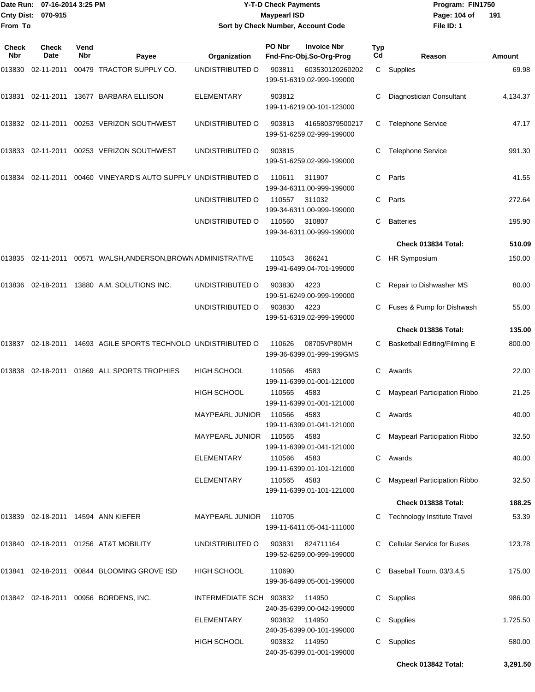| Date Run: 07-16-2014 3:25 PM<br>Cnty Dist: 070-915<br>From To |                      |             |                                                                | <b>Y-T-D Check Payments</b><br><b>Maypearl ISD</b><br>Sort by Check Number, Account Code |                                                        |                                               |           | Program: FIN1750<br>Page: 104 of<br>File ID: 1 | 191      |
|---------------------------------------------------------------|----------------------|-------------|----------------------------------------------------------------|------------------------------------------------------------------------------------------|--------------------------------------------------------|-----------------------------------------------|-----------|------------------------------------------------|----------|
|                                                               |                      |             |                                                                |                                                                                          |                                                        |                                               |           |                                                |          |
| <b>Check</b><br>Nbr                                           | <b>Check</b><br>Date | Vend<br>Nbr | Payee                                                          | Organization                                                                             | PO Nbr                                                 | <b>Invoice Nbr</b><br>Fnd-Fnc-Obj.So-Org-Prog | Typ<br>Cd | Reason                                         | Amount   |
| 013830                                                        | 02-11-2011           |             | 00479 TRACTOR SUPPLY CO.                                       | UNDISTRIBUTED O                                                                          | 903811                                                 | 603530120260202<br>199-51-6319.02-999-199000  |           | C Supplies                                     | 69.98    |
| 013831                                                        |                      |             | 02-11-2011 13677 BARBARA ELLISON                               | <b>ELEMENTARY</b>                                                                        | 903812                                                 | 199-11-6219.00-101-123000                     |           | Diagnostician Consultant                       | 4,134.37 |
|                                                               |                      |             | 013832 02-11-2011 00253 VERIZON SOUTHWEST                      | UNDISTRIBUTED O                                                                          | 903813<br>416580379500217<br>199-51-6259.02-999-199000 |                                               | С         | <b>Telephone Service</b>                       | 47.17    |
|                                                               |                      |             | 013833   02-11-2011   00253   VERIZON SOUTHWEST                | UNDISTRIBUTED O                                                                          | 903815                                                 | 199-51-6259.02-999-199000                     | С         | <b>Telephone Service</b>                       | 991.30   |
|                                                               |                      |             | 013834 02-11-2011 00460 VINEYARD'S AUTO SUPPLY UNDISTRIBUTED O |                                                                                          | 110611                                                 | 311907<br>199-34-6311.00-999-199000           | С         | Parts                                          | 41.55    |
|                                                               |                      |             |                                                                | UNDISTRIBUTED O                                                                          | 110557                                                 | 311032<br>199-34-6311.00-999-199000           | C         | Parts                                          | 272.64   |
|                                                               |                      |             |                                                                | UNDISTRIBUTED O                                                                          | 110560                                                 | 310807<br>199-34-6311.00-999-199000           | C         | <b>Batteries</b>                               | 195.90   |
|                                                               |                      |             |                                                                |                                                                                          |                                                        |                                               |           | Check 013834 Total:                            | 510.09   |
|                                                               |                      |             | 013835  02-11-2011  00571  WALSH,ANDERSON,BROWN ADMINISTRATIVE |                                                                                          | 110543                                                 | 366241<br>199-41-6499.04-701-199000           | С         | HR Symposium                                   | 150.00   |
| 013836                                                        |                      |             | 02-18-2011  13880 A.M. SOLUTIONS INC.                          | UNDISTRIBUTED O                                                                          | 903830                                                 | 4223<br>199-51-6249.00-999-199000             |           | Repair to Dishwasher MS                        | 80.00    |
|                                                               |                      |             |                                                                | UNDISTRIBUTED O                                                                          | 903830                                                 | 4223<br>199-51-6319.02-999-199000             |           | Fuses & Pump for Dishwash                      | 55.00    |
|                                                               |                      |             |                                                                |                                                                                          |                                                        |                                               |           | Check 013836 Total:                            | 135.00   |
| 013837                                                        |                      |             | 02-18-2011 14693 AGILE SPORTS TECHNOLO UNDISTRIBUTED O         |                                                                                          | 110626                                                 | 08705VP80MH<br>199-36-6399.01-999-199GMS      | С         | Basketball Editing/Filming E                   | 800.00   |
| 013838                                                        |                      |             | 02-18-2011 01869 ALL SPORTS TROPHIES                           | <b>HIGH SCHOOL</b>                                                                       | 110566                                                 | 4583<br>199-11-6399.01-001-121000             | С         | Awards                                         | 22.00    |
|                                                               |                      |             |                                                                | HIGH SCHOOL                                                                              | 110565 4583                                            | 199-11-6399.01-001-121000                     |           | C Maypearl Participation Ribbo                 | 21.25    |
|                                                               |                      |             |                                                                | MAYPEARL JUNIOR                                                                          | 110566                                                 | 4583<br>199-11-6399.01-041-121000             |           | C Awards                                       | 40.00    |
|                                                               |                      |             |                                                                | <b>MAYPEARL JUNIOR</b>                                                                   | 110565                                                 | 4583<br>199-11-6399.01-041-121000             |           | C Maypearl Participation Ribbo                 | 32.50    |
|                                                               |                      |             |                                                                | ELEMENTARY                                                                               | 110566                                                 | 4583<br>199-11-6399.01-101-121000             |           | C Awards                                       | 40.00    |
|                                                               |                      |             |                                                                | <b>ELEMENTARY</b>                                                                        | 110565 4583                                            | 199-11-6399.01-101-121000                     |           | C Maypearl Participation Ribbo                 | 32.50    |
|                                                               |                      |             |                                                                |                                                                                          |                                                        |                                               |           | Check 013838 Total:                            | 188.25   |
|                                                               |                      |             | 013839 02-18-2011 14594 ANN KIEFER                             | MAYPEARL JUNIOR                                                                          | 110705                                                 | 199-11-6411.05-041-111000                     |           | C Technology Institute Travel                  | 53.39    |
|                                                               |                      |             | 013840  02-18-2011  01256  AT&T MOBILITY                       | UNDISTRIBUTED O                                                                          | 903831                                                 | 824711164<br>199-52-6259.00-999-199000        |           | C Cellular Service for Buses                   | 123.78   |
|                                                               |                      |             | 013841  02-18-2011  00844  BLOOMING GROVE ISD                  | HIGH SCHOOL                                                                              | 110690                                                 | 199-36-6499.05-001-199000                     |           | Baseball Tourn. 03/3,4,5                       | 175.00   |
|                                                               |                      |             | 013842 02-18-2011 00956 BORDENS, INC.                          | INTERMEDIATE SCH 903832                                                                  |                                                        | 114950<br>240-35-6399.00-042-199000           |           | C Supplies                                     | 986.00   |
|                                                               |                      |             |                                                                | <b>ELEMENTARY</b>                                                                        | 903832                                                 | 114950<br>240-35-6399.00-101-199000           |           | C Supplies                                     | 1,725.50 |
|                                                               |                      |             |                                                                | HIGH SCHOOL                                                                              |                                                        | 903832 114950<br>240-35-6399.01-001-199000    |           | C Supplies                                     | 580.00   |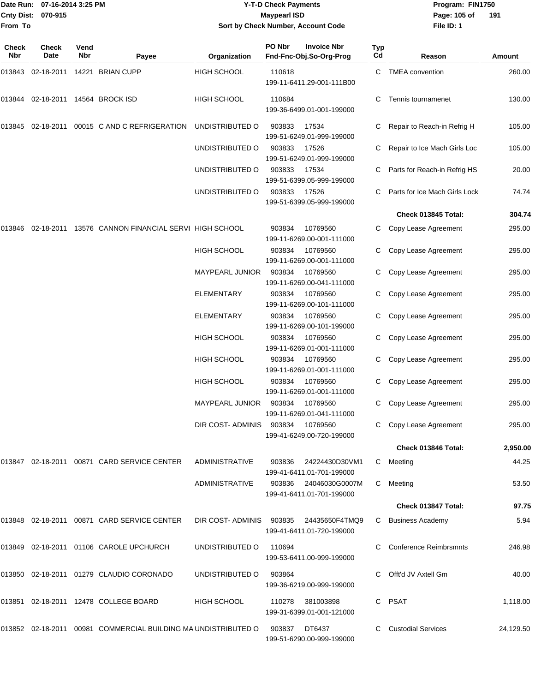## Date Run: 07-16-2014 3:25 PM **Program:** FIN1750 **Y-T-D Check Payments 070-915 Maypearl ISD Sort by Check Number, Account Code**

**File ID: 1** Page: 105 of 191

| Check<br>Nbr | Check<br>Date | Vend<br>Nbr | Payee                                                          | Organization           | PO Nbr | <b>Invoice Nbr</b><br>Fnd-Fnc-Obj.So-Org-Prog | <b>Typ</b><br>Cd | Reason                        | Amount    |
|--------------|---------------|-------------|----------------------------------------------------------------|------------------------|--------|-----------------------------------------------|------------------|-------------------------------|-----------|
| 013843       |               |             | 02-18-2011  14221  BRIAN CUPP                                  | <b>HIGH SCHOOL</b>     | 110618 | 199-11-6411.29-001-111B00                     | C                | <b>TMEA</b> convention        | 260.00    |
| 013844       |               |             | 02-18-2011 14564 BROCK ISD                                     | <b>HIGH SCHOOL</b>     | 110684 | 199-36-6499.01-001-199000                     | С                | Tennis tournamenet            | 130.00    |
| 013845       | 02-18-2011    |             | 00015 C AND C REFRIGERATION                                    | UNDISTRIBUTED O        | 903833 | 17534<br>199-51-6249.01-999-199000            | C                | Repair to Reach-in Refrig H   | 105.00    |
|              |               |             |                                                                | UNDISTRIBUTED O        | 903833 | 17526<br>199-51-6249.01-999-199000            |                  | Repair to Ice Mach Girls Loc  | 105.00    |
|              |               |             |                                                                | UNDISTRIBUTED O        | 903833 | 17534<br>199-51-6399.05-999-199000            |                  | Parts for Reach-in Refrig HS  | 20.00     |
|              |               |             |                                                                | UNDISTRIBUTED O        | 903833 | 17526<br>199-51-6399.05-999-199000            |                  | Parts for Ice Mach Girls Lock | 74.74     |
|              |               |             |                                                                |                        |        |                                               |                  | Check 013845 Total:           | 304.74    |
| 013846       | 02-18-2011    |             | 13576 CANNON FINANCIAL SERVI HIGH SCHOOL                       |                        | 903834 | 10769560<br>199-11-6269.00-001-111000         | C                | Copy Lease Agreement          | 295.00    |
|              |               |             |                                                                | HIGH SCHOOL            | 903834 | 10769560<br>199-11-6269.00-001-111000         | С                | Copy Lease Agreement          | 295.00    |
|              |               |             |                                                                | <b>MAYPEARL JUNIOR</b> | 903834 | 10769560<br>199-11-6269.00-041-111000         | С                | Copy Lease Agreement          | 295.00    |
|              |               |             |                                                                | ELEMENTARY             | 903834 | 10769560<br>199-11-6269.00-101-111000         | C                | Copy Lease Agreement          | 295.00    |
|              |               |             |                                                                | ELEMENTARY             | 903834 | 10769560<br>199-11-6269.00-101-199000         | C                | Copy Lease Agreement          | 295.00    |
|              |               |             |                                                                | HIGH SCHOOL            | 903834 | 10769560<br>199-11-6269.01-001-111000         | С                | Copy Lease Agreement          | 295.00    |
|              |               |             |                                                                | HIGH SCHOOL            | 903834 | 10769560<br>199-11-6269.01-001-111000         | C                | Copy Lease Agreement          | 295.00    |
|              |               |             |                                                                | <b>HIGH SCHOOL</b>     | 903834 | 10769560<br>199-11-6269.01-001-111000         | С                | Copy Lease Agreement          | 295.00    |
|              |               |             |                                                                | MAYPEARL JUNIOR        | 903834 | 10769560<br>199-11-6269.01-041-111000         | С                | Copy Lease Agreement          | 295.00    |
|              |               |             |                                                                | DIR COST- ADMINIS      | 903834 | 10769560<br>199-41-6249.00-720-199000         | C                | Copy Lease Agreement          | 295.00    |
|              |               |             |                                                                |                        |        |                                               |                  | Check 013846 Total:           | 2,950.00  |
|              |               |             | 013847 02-18-2011 00871 CARD SERVICE CENTER                    | <b>ADMINISTRATIVE</b>  | 903836 | 24224430D30VM1<br>199-41-6411.01-701-199000   | C                | Meeting                       | 44.25     |
|              |               |             |                                                                | <b>ADMINISTRATIVE</b>  | 903836 | 24046030G0007M<br>199-41-6411.01-701-199000   | C                | Meeting                       | 53.50     |
|              |               |             |                                                                |                        |        |                                               |                  | Check 013847 Total:           | 97.75     |
|              |               |             | 013848  02-18-2011  00871  CARD SERVICE CENTER                 | DIR COST-ADMINIS       | 903835 | 24435650F4TMQ9<br>199-41-6411.01-720-199000   | C                | <b>Business Academy</b>       | 5.94      |
| 013849       |               |             | 02-18-2011  01106  CAROLE UPCHURCH                             | UNDISTRIBUTED O        | 110694 | 199-53-6411.00-999-199000                     |                  | <b>Conference Reimbrsmnts</b> | 246.98    |
|              |               |             | 013850 02-18-2011 01279 CLAUDIO CORONADO                       | UNDISTRIBUTED O        | 903864 | 199-36-6219.00-999-199000                     |                  | Offt'd JV Axtell Gm           | 40.00     |
| 013851       |               |             | 02-18-2011  12478  COLLEGE BOARD                               | HIGH SCHOOL            |        | 110278 381003898<br>199-31-6399.01-001-121000 | C                | PSAT                          | 1,118.00  |
|              |               |             | 013852 02-18-2011 00981 COMMERCIAL BUILDING MA UNDISTRIBUTED O |                        | 903837 | DT6437<br>199-51-6290.00-999-199000           |                  | <b>Custodial Services</b>     | 24,129.50 |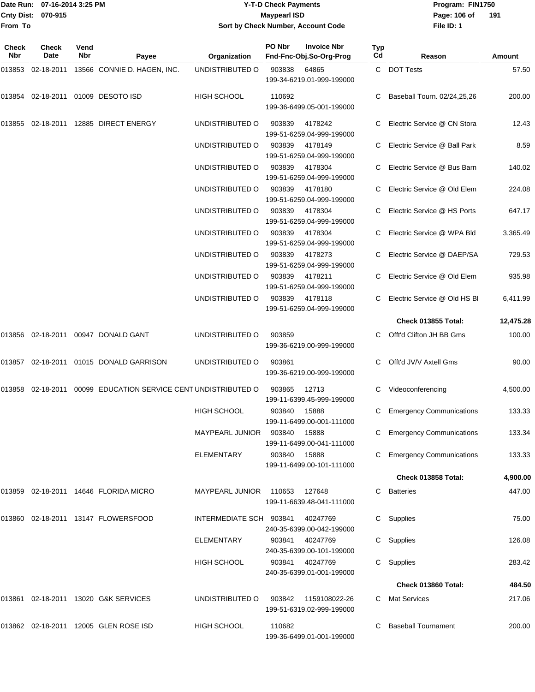## Date Run: 07-16-2014 3:25 PM **Program:** FIN1750 **Y-T-D Check Payments 070-915 Maypearl ISD Sort by Check Number, Account Code**

**File ID: 1** Page: 106 of 191

| Check<br>Nbr | Check<br>Date | Vend<br><b>Nbr</b> | Payee                                                   | Organization            | PO Nbr        | <b>Invoice Nbr</b><br>Fnd-Fnc-Obj.So-Org-Prog | Typ<br>Cd | Reason                          | Amount    |
|--------------|---------------|--------------------|---------------------------------------------------------|-------------------------|---------------|-----------------------------------------------|-----------|---------------------------------|-----------|
| 013853       | 02-18-2011    |                    | 13566 CONNIE D. HAGEN, INC.                             | UNDISTRIBUTED O         | 903838        | 64865<br>199-34-6219.01-999-199000            |           | C DOT Tests                     | 57.50     |
| 013854       |               |                    | 02-18-2011 01009 DESOTO ISD                             | <b>HIGH SCHOOL</b>      | 110692        | 199-36-6499.05-001-199000                     | C.        | Baseball Tourn. 02/24,25,26     | 200.00    |
| 013855       |               |                    | 02-18-2011  12885  DIRECT ENERGY                        | UNDISTRIBUTED O         | 903839        | 4178242<br>199-51-6259.04-999-199000          |           | Electric Service @ CN Stora     | 12.43     |
|              |               |                    |                                                         | UNDISTRIBUTED O         | 903839        | 4178149<br>199-51-6259.04-999-199000          |           | Electric Service @ Ball Park    | 8.59      |
|              |               |                    |                                                         | UNDISTRIBUTED O         | 903839        | 4178304<br>199-51-6259.04-999-199000          | C         | Electric Service @ Bus Barn     | 140.02    |
|              |               |                    |                                                         | UNDISTRIBUTED O         | 903839        | 4178180<br>199-51-6259.04-999-199000          |           | Electric Service @ Old Elem     | 224.08    |
|              |               |                    |                                                         | UNDISTRIBUTED O         | 903839        | 4178304<br>199-51-6259.04-999-199000          |           | Electric Service @ HS Ports     | 647.17    |
|              |               |                    |                                                         | UNDISTRIBUTED O         | 903839        | 4178304<br>199-51-6259.04-999-199000          |           | Electric Service @ WPA Bld      | 3,365.49  |
|              |               |                    |                                                         | UNDISTRIBUTED O         | 903839        | 4178273<br>199-51-6259.04-999-199000          |           | Electric Service @ DAEP/SA      | 729.53    |
|              |               |                    |                                                         | UNDISTRIBUTED O         | 903839        | 4178211<br>199-51-6259.04-999-199000          |           | Electric Service @ Old Elem     | 935.98    |
|              |               |                    |                                                         | UNDISTRIBUTED O         | 903839        | 4178118<br>199-51-6259.04-999-199000          | C         | Electric Service @ Old HS BI    | 6,411.99  |
|              |               |                    |                                                         |                         |               |                                               |           | Check 013855 Total:             | 12,475.28 |
| 013856       |               |                    | 02-18-2011 00947 DONALD GANT                            | UNDISTRIBUTED O         | 903859        | 199-36-6219.00-999-199000                     | C.        | Offt'd Clifton JH BB Gms        | 100.00    |
| 013857       |               |                    | 02-18-2011  01015  DONALD GARRISON                      | UNDISTRIBUTED O         | 903861        | 199-36-6219.00-999-199000                     |           | Offt'd JV/V Axtell Gms          | 90.00     |
| 013858       |               |                    | 02-18-2011 00099 EDUCATION SERVICE CENT UNDISTRIBUTED O |                         | 903865        | 12713<br>199-11-6399.45-999-199000            | С         | Videoconferencing               | 4,500.00  |
|              |               |                    |                                                         | <b>HIGH SCHOOL</b>      | 903840        | 15888<br>199-11-6499.00-001-111000            |           | <b>Emergency Communications</b> | 133.33    |
|              |               |                    |                                                         | MAYPEARL JUNIOR         | 903840        | 15888<br>199-11-6499.00-041-111000            |           | <b>Emergency Communications</b> | 133.34    |
|              |               |                    |                                                         | <b>ELEMENTARY</b>       | 903840        | 15888<br>199-11-6499.00-101-111000            |           | <b>Emergency Communications</b> | 133.33    |
|              |               |                    |                                                         |                         |               |                                               |           | Check 013858 Total:             | 4,900.00  |
|              |               |                    | 013859 02-18-2011 14646 FLORIDA MICRO                   | <b>MAYPEARL JUNIOR</b>  | 110653 127648 | 199-11-6639.48-041-111000                     |           | <b>Batteries</b>                | 447.00    |
| 013860       |               |                    | 02-18-2011  13147  FLOWERSFOOD                          | INTERMEDIATE SCH 903841 |               | 40247769<br>240-35-6399.00-042-199000         | C         | Supplies                        | 75.00     |
|              |               |                    |                                                         | <b>ELEMENTARY</b>       | 903841        | 40247769<br>240-35-6399.00-101-199000         | C         | Supplies                        | 126.08    |
|              |               |                    |                                                         | <b>HIGH SCHOOL</b>      | 903841        | 40247769<br>240-35-6399.01-001-199000         |           | Supplies                        | 283.42    |
|              |               |                    |                                                         |                         |               |                                               |           | Check 013860 Total:             | 484.50    |
|              |               |                    | 013861 02-18-2011 13020 G&K SERVICES                    | UNDISTRIBUTED O         | 903842        | 1159108022-26<br>199-51-6319.02-999-199000    |           | Mat Services                    | 217.06    |
|              |               |                    | 013862 02-18-2011 12005 GLEN ROSE ISD                   | HIGH SCHOOL             | 110682        | 199-36-6499.01-001-199000                     |           | <b>Baseball Tournament</b>      | 200.00    |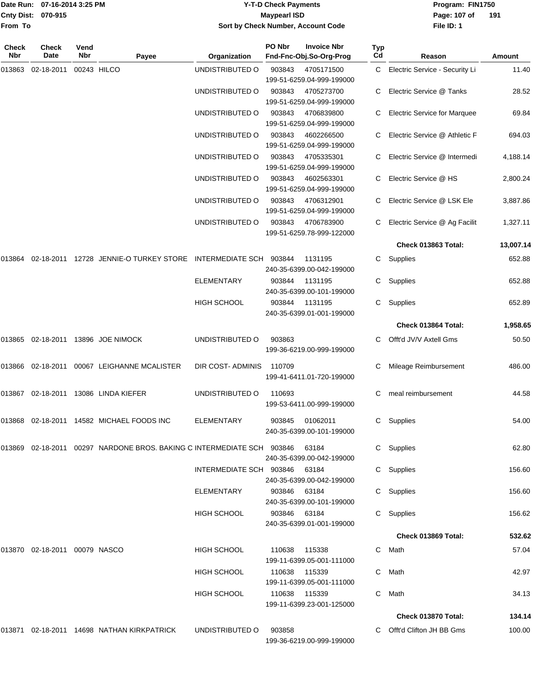|                    | Date Run: 07-16-2014 3:25 PM |
|--------------------|------------------------------|
| Cnty Dist: 070-915 |                              |
| <b>From To</b>     |                              |

# **Date Run: Program: FIN1750 07-16-2014 3:25 PM Y-T-D Check Payments Cnty Dist: Page: 107 of 070-915 Maypearl ISD Sort by Check Number, Account Code**

**File ID: 1** Page: 107 of 191

| Check<br><b>Nbr</b> | Check<br>Date                    | Vend<br><b>Nbr</b> | Payee                                                                      | Organization            | PO Nbr        | <b>Invoice Nbr</b><br>Fnd-Fnc-Obj.So-Org-Prog | <b>Typ</b><br>Cd | Reason                           | Amount    |
|---------------------|----------------------------------|--------------------|----------------------------------------------------------------------------|-------------------------|---------------|-----------------------------------------------|------------------|----------------------------------|-----------|
| 013863              | 02-18-2011                       |                    | 00243 HILCO                                                                | UNDISTRIBUTED O         | 903843        | 4705171500<br>199-51-6259.04-999-199000       |                  | C Electric Service - Security Li | 11.40     |
|                     |                                  |                    |                                                                            | UNDISTRIBUTED O         | 903843        | 4705273700<br>199-51-6259.04-999-199000       |                  | Electric Service @ Tanks         | 28.52     |
|                     |                                  |                    |                                                                            | UNDISTRIBUTED O         | 903843        | 4706839800<br>199-51-6259.04-999-199000       |                  | C Electric Service for Marquee   | 69.84     |
|                     |                                  |                    |                                                                            | UNDISTRIBUTED O         | 903843        | 4602266500<br>199-51-6259.04-999-199000       |                  | C Electric Service @ Athletic F  | 694.03    |
|                     |                                  |                    |                                                                            | UNDISTRIBUTED O         | 903843        | 4705335301<br>199-51-6259.04-999-199000       |                  | C Electric Service @ Intermedi   | 4,188.14  |
|                     |                                  |                    |                                                                            | UNDISTRIBUTED O         | 903843        | 4602563301<br>199-51-6259.04-999-199000       |                  | Electric Service @ HS            | 2,800.24  |
|                     |                                  |                    |                                                                            | UNDISTRIBUTED O         | 903843        | 4706312901<br>199-51-6259.04-999-199000       |                  | Electric Service @ LSK Ele       | 3,887.86  |
|                     |                                  |                    |                                                                            | UNDISTRIBUTED O         | 903843        | 4706783900<br>199-51-6259.78-999-122000       |                  | Electric Service @ Ag Facilit    | 1,327.11  |
|                     |                                  |                    |                                                                            |                         |               |                                               |                  | Check 013863 Total:              | 13,007.14 |
| 013864              |                                  |                    | 02-18-2011  12728  JENNIE-O TURKEY STORE  INTERMEDIATE SCH  903844         |                         |               | 1131195<br>240-35-6399.00-042-199000          | C                | Supplies                         | 652.88    |
|                     |                                  |                    |                                                                            | <b>ELEMENTARY</b>       | 903844        | 1131195<br>240-35-6399.00-101-199000          | C                | Supplies                         | 652.88    |
|                     |                                  |                    |                                                                            | HIGH SCHOOL             | 903844        | 1131195<br>240-35-6399.01-001-199000          |                  | C Supplies                       | 652.89    |
|                     |                                  |                    |                                                                            |                         |               |                                               |                  | Check 013864 Total:              | 1,958.65  |
|                     |                                  |                    | 013865 02-18-2011 13896 JOE NIMOCK                                         | UNDISTRIBUTED O         | 903863        | 199-36-6219.00-999-199000                     |                  | Offt'd JV/V Axtell Gms           | 50.50     |
|                     | 013866 02-18-2011                |                    | 00067 LEIGHANNE MCALISTER                                                  | DIR COST-ADMINIS        | 110709        | 199-41-6411.01-720-199000                     |                  | Mileage Reimbursement            | 486.00    |
|                     | 013867 02-18-2011                |                    | 13086 LINDA KIEFER                                                         | UNDISTRIBUTED O         | 110693        | 199-53-6411.00-999-199000                     | C                | meal reimbursement               | 44.58     |
|                     |                                  |                    | 013868 02-18-2011 14582 MICHAEL FOODS INC                                  | <b>ELEMENTARY</b>       | 903845        | 01062011<br>240-35-6399.00-101-199000         | C.               | Supplies                         | 54.00     |
|                     |                                  |                    | 013869  02-18-2011  00297  NARDONE BROS. BAKING C INTERMEDIATE SCH  903846 |                         |               | 63184<br>240-35-6399.00-042-199000            |                  | C Supplies                       | 62.80     |
|                     |                                  |                    |                                                                            | INTERMEDIATE SCH 903846 |               | 63184<br>240-35-6399.00-042-199000            |                  | C Supplies                       | 156.60    |
|                     |                                  |                    |                                                                            | ELEMENTARY              | 903846        | 63184<br>240-35-6399.00-101-199000            |                  | C Supplies                       | 156.60    |
|                     |                                  |                    |                                                                            | <b>HIGH SCHOOL</b>      | 903846        | 63184<br>240-35-6399.01-001-199000            |                  | Supplies                         | 156.62    |
|                     |                                  |                    |                                                                            |                         |               |                                               |                  | Check 013869 Total:              | 532.62    |
|                     | 013870  02-18-2011  00079  NASCO |                    |                                                                            | HIGH SCHOOL             | 110638        | 115338<br>199-11-6399.05-001-111000           |                  | C Math                           | 57.04     |
|                     |                                  |                    |                                                                            | HIGH SCHOOL             | 110638        | 115339<br>199-11-6399.05-001-111000           | C.               | Math                             | 42.97     |
|                     |                                  |                    |                                                                            | <b>HIGH SCHOOL</b>      | 110638 115339 | 199-11-6399.23-001-125000                     | C                | Math                             | 34.13     |
|                     |                                  |                    |                                                                            |                         |               |                                               |                  | Check 013870 Total:              | 134.14    |
|                     |                                  |                    | 013871 02-18-2011 14698 NATHAN KIRKPATRICK                                 | UNDISTRIBUTED O         | 903858        | 199-36-6219.00-999-199000                     |                  | C Offt'd Clifton JH BB Gms       | 100.00    |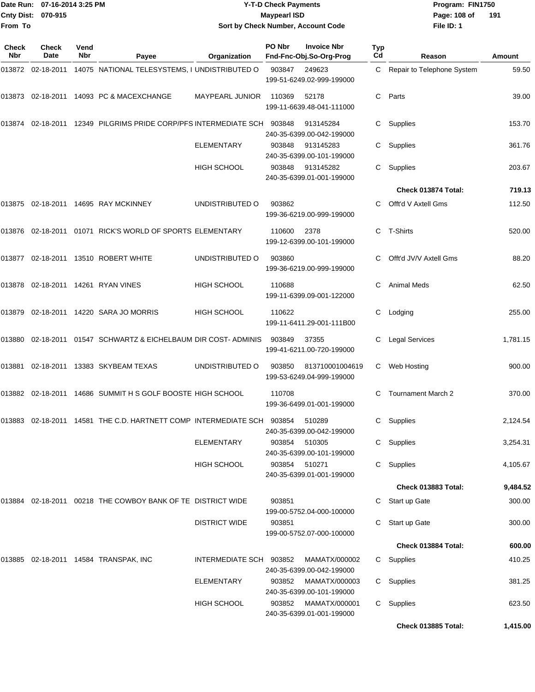| Date Run:<br><b>Cnty Dist:</b> | 07-16-2014 3:25 PM<br>070-915 |             | <b>Y-T-D Check Payments</b><br><b>Maypearl ISD</b>                            |                                    |        |                                               |           | Program: FIN1750<br>Page: 108 of<br>191 |          |  |
|--------------------------------|-------------------------------|-------------|-------------------------------------------------------------------------------|------------------------------------|--------|-----------------------------------------------|-----------|-----------------------------------------|----------|--|
| From To                        |                               |             |                                                                               | Sort by Check Number, Account Code |        |                                               |           | File ID: 1                              |          |  |
| Check<br><b>Nbr</b>            | <b>Check</b><br>Date          | Vend<br>Nbr | Payee                                                                         | Organization                       | PO Nbr | <b>Invoice Nbr</b><br>Fnd-Fnc-Obj.So-Org-Prog | Typ<br>Cd | Reason                                  | Amount   |  |
|                                |                               |             | 013872    02-18-2011    14075         NATIONAL TELESYSTEMS, I UNDISTRIBUTED O |                                    | 903847 | 249623<br>199-51-6249.02-999-199000           | C         | Repair to Telephone System              | 59.50    |  |
|                                |                               |             | 013873  02-18-2011  14093  PC & MACEXCHANGE                                   | <b>MAYPEARL JUNIOR</b>             | 110369 | 52178<br>199-11-6639.48-041-111000            | C         | Parts                                   | 39.00    |  |
|                                |                               |             | 013874  02-18-2011  12349  PILGRIMS  PRIDE CORP/PFS INTERMEDIATE SCH  903848  |                                    |        | 913145284<br>240-35-6399.00-042-199000        | С         | Supplies                                | 153.70   |  |
|                                |                               |             |                                                                               | <b>ELEMENTARY</b>                  | 903848 | 913145283<br>240-35-6399.00-101-199000        | C.        | Supplies                                | 361.76   |  |
|                                |                               |             |                                                                               | HIGH SCHOOL                        | 903848 | 913145282<br>240-35-6399.01-001-199000        | С         | Supplies                                | 203.67   |  |
|                                |                               |             |                                                                               |                                    |        |                                               |           | Check 013874 Total:                     | 719.13   |  |
|                                |                               |             | 013875 02-18-2011 14695  RAY MCKINNEY                                         | UNDISTRIBUTED O                    | 903862 | 199-36-6219.00-999-199000                     | C         | Offt'd V Axtell Gms                     | 112.50   |  |
|                                |                               |             | 013876  02-18-2011  01071  RICK'S WORLD OF SPORTS ELEMENTARY                  |                                    | 110600 | 2378<br>199-12-6399.00-101-199000             | C         | T-Shirts                                | 520.00   |  |
|                                |                               |             | 013877  02-18-2011  13510  ROBERT WHITE                                       | UNDISTRIBUTED O                    | 903860 | 199-36-6219.00-999-199000                     | C.        | Offt'd JV/V Axtell Gms                  | 88.20    |  |
|                                |                               |             |                                                                               | HIGH SCHOOL                        | 110688 | 199-11-6399.09-001-122000                     | С         | <b>Animal Meds</b>                      | 62.50    |  |
|                                |                               |             | 013879  02-18-2011  14220  SARA JO MORRIS                                     | <b>HIGH SCHOOL</b>                 | 110622 | 199-11-6411.29-001-111B00                     | С         | Lodging                                 | 255.00   |  |
|                                |                               |             | 013880 02-18-2011 01547   SCHWARTZ & EICHELBAUM DIR COST- ADMINIS             |                                    | 903849 | 37355<br>199-41-6211.00-720-199000            | С         | <b>Legal Services</b>                   | 1,781.15 |  |
| 013881                         |                               |             | 02-18-2011 13383 SKYBEAM TEXAS                                                | UNDISTRIBUTED O                    | 903850 | 813710001004619<br>199-53-6249.04-999-199000  | С         | Web Hosting                             | 900.00   |  |
|                                |                               |             | 013882   02-18-2011   14686   SUMMIT   H   S   GOLF   BOOSTE   HIGH   SCHOOL  |                                    | 110708 | 199-36-6499.01-001-199000                     |           | C Tournament March 2                    | 370.00   |  |
|                                |                               |             | 013883 02-18-2011 14581 THE C.D. HARTNETT COMP INTERMEDIATE SCH    903854     |                                    |        | 510289<br>240-35-6399.00-042-199000           |           | C Supplies                              | 2,124.54 |  |
|                                |                               |             |                                                                               | <b>ELEMENTARY</b>                  | 903854 | 510305<br>240-35-6399.00-101-199000           |           | C Supplies                              | 3,254.31 |  |
|                                |                               |             |                                                                               | <b>HIGH SCHOOL</b>                 | 903854 | 510271<br>240-35-6399.01-001-199000           |           | C Supplies                              | 4,105.67 |  |
|                                |                               |             |                                                                               |                                    |        |                                               |           | Check 013883 Total:                     | 9,484.52 |  |
|                                |                               |             | 013884  02-18-2011  00218  THE COWBOY BANK OF TE DISTRICT WIDE                |                                    | 903851 | 199-00-5752.04-000-100000                     |           | C Start up Gate                         | 300.00   |  |
|                                |                               |             |                                                                               | <b>DISTRICT WIDE</b>               | 903851 | 199-00-5752.07-000-100000                     |           | Start up Gate                           | 300.00   |  |
|                                |                               |             |                                                                               |                                    |        |                                               |           | Check 013884 Total:                     | 600.00   |  |
|                                |                               |             | 013885  02-18-2011  14584 TRANSPAK, INC                                       | INTERMEDIATE SCH 903852            |        | MAMATX/000002<br>240-35-6399.00-042-199000    |           | C Supplies                              | 410.25   |  |
|                                |                               |             |                                                                               | <b>ELEMENTARY</b>                  | 903852 | MAMATX/000003<br>240-35-6399.00-101-199000    |           | C Supplies                              | 381.25   |  |
|                                |                               |             |                                                                               | <b>HIGH SCHOOL</b>                 | 903852 | MAMATX/000001<br>240-35-6399.01-001-199000    |           | C Supplies                              | 623.50   |  |

**Check 013885 Total: 1,415.00**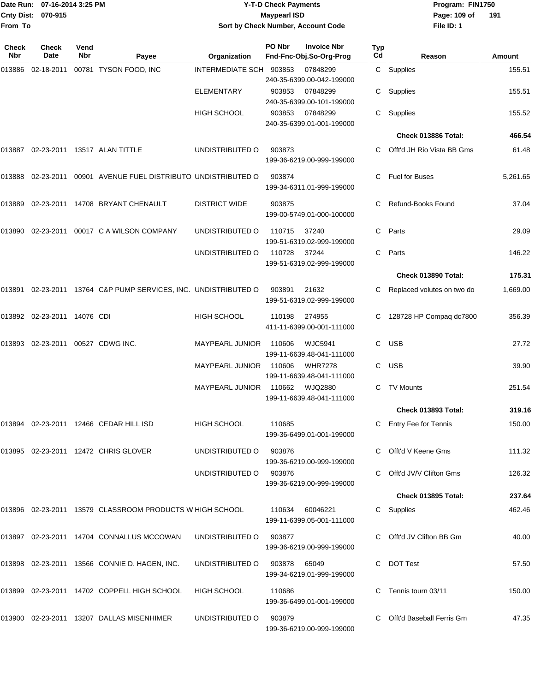|                    | Date Run: 07-16-2014 3:25 PM |
|--------------------|------------------------------|
| Cnty Dist: 070-915 |                              |
| <b>From To</b>     |                              |

## **Date Run: Program: FIN1750 07-16-2014 3:25 PM Y-T-D Check Payments Cnty Dist: Page: 109 of 070-915 Maypearl ISD Sort by Check Number, Account Code**

**File ID: 1 191**

| Check<br>Nbr | <b>Check</b><br>Date        | Vend<br>Nbr | Payee                                                     | Organization            | PO Nbr | <b>Invoice Nbr</b><br>Fnd-Fnc-Obj.So-Org-Prog | Typ<br>Cd | Reason                     | Amount   |
|--------------|-----------------------------|-------------|-----------------------------------------------------------|-------------------------|--------|-----------------------------------------------|-----------|----------------------------|----------|
| 013886       | 02-18-2011                  |             | 00781 TYSON FOOD, INC                                     | INTERMEDIATE SCH 903853 |        | 07848299<br>240-35-6399.00-042-199000         |           | C Supplies                 | 155.51   |
|              |                             |             |                                                           | <b>ELEMENTARY</b>       | 903853 | 07848299<br>240-35-6399.00-101-199000         | С         | Supplies                   | 155.51   |
|              |                             |             |                                                           | <b>HIGH SCHOOL</b>      | 903853 | 07848299<br>240-35-6399.01-001-199000         | С         | Supplies                   | 155.52   |
|              |                             |             |                                                           |                         |        |                                               |           | Check 013886 Total:        | 466.54   |
| 013887       |                             |             | 02-23-2011 13517 ALAN TITTLE                              | UNDISTRIBUTED O         | 903873 | 199-36-6219.00-999-199000                     |           | Offt'd JH Rio Vista BB Gms | 61.48    |
| 013888       |                             |             | 02-23-2011  00901  AVENUE FUEL DISTRIBUTO UNDISTRIBUTED O |                         | 903874 | 199-34-6311.01-999-199000                     | C.        | Fuel for Buses             | 5,261.65 |
| 013889       |                             |             | 02-23-2011  14708  BRYANT CHENAULT                        | <b>DISTRICT WIDE</b>    | 903875 | 199-00-5749.01-000-100000                     | C.        | Refund-Books Found         | 37.04    |
| 013890       |                             |             | 02-23-2011 00017 C A WILSON COMPANY                       | UNDISTRIBUTED O         | 110715 | 37240<br>199-51-6319.02-999-199000            | C         | Parts                      | 29.09    |
|              |                             |             |                                                           | UNDISTRIBUTED O         | 110728 | 37244<br>199-51-6319.02-999-199000            | C         | Parts                      | 146.22   |
|              |                             |             |                                                           |                         |        |                                               |           | Check 013890 Total:        | 175.31   |
| 013891       |                             |             | 02-23-2011 13764 C&P PUMP SERVICES, INC. UNDISTRIBUTED O  |                         | 903891 | 21632<br>199-51-6319.02-999-199000            |           | Replaced volutes on two do | 1,669.00 |
|              | 013892 02-23-2011 14076 CDI |             |                                                           | <b>HIGH SCHOOL</b>      | 110198 | 274955<br>411-11-6399.00-001-111000           | C         | 128728 HP Compaq dc7800    | 356.39   |
| 013893       |                             |             | 02-23-2011  00527  CDWG INC.                              | <b>MAYPEARL JUNIOR</b>  | 110606 | WJC5941<br>199-11-6639.48-041-111000          | C         | <b>USB</b>                 | 27.72    |
|              |                             |             |                                                           | MAYPEARL JUNIOR         | 110606 | <b>WHR7278</b><br>199-11-6639.48-041-111000   | C         | <b>USB</b>                 | 39.90    |
|              |                             |             |                                                           | <b>MAYPEARL JUNIOR</b>  | 110662 | WJQ2880<br>199-11-6639.48-041-111000          | C         | <b>TV Mounts</b>           | 251.54   |
|              |                             |             |                                                           |                         |        |                                               |           | Check 013893 Total:        | 319.16   |
|              |                             |             | 013894 02-23-2011 12466 CEDAR HILL ISD                    | <b>HIGH SCHOOL</b>      | 110685 | 199-36-6499.01-001-199000                     | C         | Entry Fee for Tennis       | 150.00   |
|              |                             |             | 013895 02-23-2011 12472 CHRIS GLOVER                      | UNDISTRIBUTED O         | 903876 | 199-36-6219.00-999-199000                     |           | Offt'd V Keene Gms         | 111.32   |
|              |                             |             |                                                           | UNDISTRIBUTED O         | 903876 | 199-36-6219.00-999-199000                     |           | Offt'd JV/V Clifton Gms    | 126.32   |
|              |                             |             |                                                           |                         |        |                                               |           | <b>Check 013895 Total:</b> | 237.64   |
|              |                             |             | 013896 02-23-2011 13579 CLASSROOM PRODUCTS W HIGH SCHOOL  |                         | 110634 | 60046221<br>199-11-6399.05-001-111000         | C.        | Supplies                   | 462.46   |
|              |                             |             | 013897 02-23-2011 14704 CONNALLUS MCCOWAN                 | UNDISTRIBUTED O         | 903877 | 199-36-6219.00-999-199000                     |           | C Offt'd JV Clifton BB Gm  | 40.00    |
|              |                             |             | 013898 02-23-2011 13566 CONNIE D. HAGEN, INC.             | UNDISTRIBUTED O         | 903878 | 65049<br>199-34-6219.01-999-199000            | C         | <b>DOT Test</b>            | 57.50    |
|              |                             |             | 013899 02-23-2011 14702 COPPELL HIGH SCHOOL               | HIGH SCHOOL             | 110686 | 199-36-6499.01-001-199000                     |           | Tennis tourn 03/11         | 150.00   |
|              |                             |             | 013900 02-23-2011 13207 DALLAS MISENHIMER                 | UNDISTRIBUTED O         | 903879 | 199-36-6219.00-999-199000                     |           | Offt'd Baseball Ferris Gm  | 47.35    |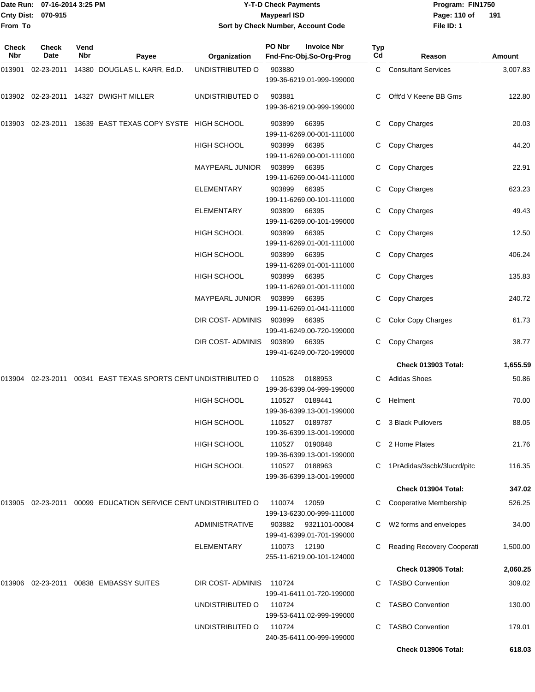Date Run: 07-16-2014 3:25 PM **Program:** FIN1750 **Cnty Dist:** 070-915 **Page: 110 of** Maypearl ISD **CONTEX IS A REPORT OF A REPORT OF A REPORT OF PAGE: 110 of From To**

# **Y-T-D Check Payments 070-915 Maypearl ISD Sort by Check Number, Account Code**

**File ID: 1 191**

| <b>Check</b><br>Nbr | Check<br>Date     | Vend<br>Nbr | Payee                                                          | Organization           | PO Nbr | <b>Invoice Nbr</b><br>Fnd-Fnc-Obj.So-Org-Prog | <b>Typ</b><br>Cd | Reason                        | Amount   |
|---------------------|-------------------|-------------|----------------------------------------------------------------|------------------------|--------|-----------------------------------------------|------------------|-------------------------------|----------|
| 013901              | 02-23-2011        |             | 14380 DOUGLAS L. KARR, Ed.D.                                   | UNDISTRIBUTED O        | 903880 | 199-36-6219.01-999-199000                     | C.               | <b>Consultant Services</b>    | 3,007.83 |
|                     | 013902 02-23-2011 |             | 14327 DWIGHT MILLER                                            | UNDISTRIBUTED O        | 903881 | 199-36-6219.00-999-199000                     |                  | Offt'd V Keene BB Gms         | 122.80   |
| 013903              | 02-23-2011        |             | 13639 EAST TEXAS COPY SYSTE HIGH SCHOOL                        |                        | 903899 | 66395<br>199-11-6269.00-001-111000            | C                | Copy Charges                  | 20.03    |
|                     |                   |             |                                                                | HIGH SCHOOL            | 903899 | 66395<br>199-11-6269.00-001-111000            | C                | Copy Charges                  | 44.20    |
|                     |                   |             |                                                                | <b>MAYPEARL JUNIOR</b> | 903899 | 66395<br>199-11-6269.00-041-111000            | C                | Copy Charges                  | 22.91    |
|                     |                   |             |                                                                | ELEMENTARY             | 903899 | 66395<br>199-11-6269.00-101-111000            | C                | Copy Charges                  | 623.23   |
|                     |                   |             |                                                                | <b>ELEMENTARY</b>      | 903899 | 66395<br>199-11-6269.00-101-199000            |                  | Copy Charges                  | 49.43    |
|                     |                   |             |                                                                | <b>HIGH SCHOOL</b>     | 903899 | 66395<br>199-11-6269.01-001-111000            |                  | Copy Charges                  | 12.50    |
|                     |                   |             |                                                                | <b>HIGH SCHOOL</b>     | 903899 | 66395<br>199-11-6269.01-001-111000            | C                | Copy Charges                  | 406.24   |
|                     |                   |             |                                                                | <b>HIGH SCHOOL</b>     | 903899 | 66395<br>199-11-6269.01-001-111000            | C                | Copy Charges                  | 135.83   |
|                     |                   |             |                                                                | <b>MAYPEARL JUNIOR</b> | 903899 | 66395<br>199-11-6269.01-041-111000            | C                | Copy Charges                  | 240.72   |
|                     |                   |             |                                                                | DIR COST- ADMINIS      | 903899 | 66395<br>199-41-6249.00-720-199000            | C                | <b>Color Copy Charges</b>     | 61.73    |
|                     |                   |             |                                                                | DIR COST- ADMINIS      | 903899 | 66395<br>199-41-6249.00-720-199000            | C                | Copy Charges                  | 38.77    |
|                     |                   |             |                                                                |                        |        |                                               |                  | <b>Check 013903 Total:</b>    | 1,655.59 |
| 013904              | 02-23-2011        |             | 00341 EAST TEXAS SPORTS CENT UNDISTRIBUTED O                   |                        | 110528 | 0188953<br>199-36-6399.04-999-199000          |                  | <b>Adidas Shoes</b>           | 50.86    |
|                     |                   |             |                                                                | <b>HIGH SCHOOL</b>     | 110527 | 0189441<br>199-36-6399.13-001-199000          | C                | Helment                       | 70.00    |
|                     |                   |             |                                                                | <b>HIGH SCHOOL</b>     | 110527 | 0189787<br>199-36-6399.13-001-199000          | C                | 3 Black Pullovers             | 88.05    |
|                     |                   |             |                                                                | <b>HIGH SCHOOL</b>     | 110527 | 0190848<br>199-36-6399.13-001-199000          |                  | C 2 Home Plates               | 21.76    |
|                     |                   |             |                                                                | HIGH SCHOOL            | 110527 | 0188963<br>199-36-6399.13-001-199000          |                  | C 1PrAdidas/3scbk/3lucrd/pitc | 116.35   |
|                     |                   |             |                                                                |                        |        |                                               |                  | Check 013904 Total:           | 347.02   |
|                     |                   |             | 013905 02-23-2011 00099 EDUCATION SERVICE CENT UNDISTRIBUTED O |                        | 110074 | 12059<br>199-13-6230.00-999-111000            |                  | Cooperative Membership        | 526.25   |
|                     |                   |             |                                                                | <b>ADMINISTRATIVE</b>  | 903882 | 9321101-00084<br>199-41-6399.01-701-199000    | C.               | W2 forms and envelopes        | 34.00    |
|                     |                   |             |                                                                | <b>ELEMENTARY</b>      | 110073 | 12190<br>255-11-6219.00-101-124000            |                  | Reading Recovery Cooperati    | 1,500.00 |
|                     |                   |             |                                                                |                        |        |                                               |                  | Check 013905 Total:           | 2,060.25 |
|                     |                   |             | 013906 02-23-2011 00838 EMBASSY SUITES                         | DIR COST- ADMINIS      | 110724 | 199-41-6411.01-720-199000                     |                  | <b>TASBO Convention</b>       | 309.02   |
|                     |                   |             |                                                                | UNDISTRIBUTED O        | 110724 | 199-53-6411.02-999-199000                     |                  | <b>TASBO Convention</b>       | 130.00   |
|                     |                   |             |                                                                | UNDISTRIBUTED O        | 110724 | 240-35-6411.00-999-199000                     | C                | <b>TASBO Convention</b>       | 179.01   |
|                     |                   |             |                                                                |                        |        |                                               |                  | Check 013906 Total:           | 618.03   |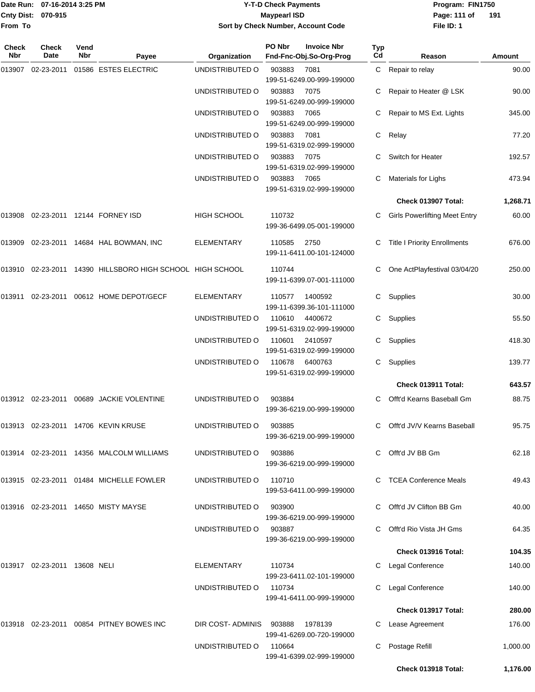### Date Run: 07-16-2014 3:25 PM **Program:** FIN1750 **Y-T-D Check Payments 070-915 Maypearl ISD Sort by Check Number, Account Code**

**File ID: 1** Page: 111 of 191

| Check<br>Nbr | <b>Check</b><br>Date         | Vend<br>Nbr | Payee                                              | Organization       | PO Nbr | <b>Invoice Nbr</b><br>Fnd-Fnc-Obj.So-Org-Prog | Typ<br>Cd | Reason                               | Amount   |
|--------------|------------------------------|-------------|----------------------------------------------------|--------------------|--------|-----------------------------------------------|-----------|--------------------------------------|----------|
| 013907       | 02-23-2011                   |             | 01586 ESTES ELECTRIC                               | UNDISTRIBUTED O    | 903883 | 7081<br>199-51-6249.00-999-199000             |           | C Repair to relay                    | 90.00    |
|              |                              |             |                                                    | UNDISTRIBUTED O    | 903883 | 7075<br>199-51-6249.00-999-199000             |           | Repair to Heater @ LSK               | 90.00    |
|              |                              |             |                                                    | UNDISTRIBUTED O    | 903883 | 7065<br>199-51-6249.00-999-199000             |           | Repair to MS Ext. Lights             | 345.00   |
|              |                              |             |                                                    | UNDISTRIBUTED O    | 903883 | 7081<br>199-51-6319.02-999-199000             | C         | Relay                                | 77.20    |
|              |                              |             |                                                    | UNDISTRIBUTED O    | 903883 | 7075<br>199-51-6319.02-999-199000             | C         | Switch for Heater                    | 192.57   |
|              |                              |             |                                                    | UNDISTRIBUTED O    | 903883 | 7065<br>199-51-6319.02-999-199000             |           | Materials for Lighs                  | 473.94   |
|              |                              |             |                                                    |                    |        |                                               |           | Check 013907 Total:                  | 1,268.71 |
| 013908       |                              |             | 02-23-2011 12144 FORNEY ISD                        | <b>HIGH SCHOOL</b> | 110732 | 199-36-6499.05-001-199000                     |           | <b>Girls Powerlifting Meet Entry</b> | 60.00    |
| 013909       |                              |             | 02-23-2011  14684  HAL BOWMAN, INC                 | <b>ELEMENTARY</b>  | 110585 | 2750<br>199-11-6411.00-101-124000             | C         | <b>Title I Priority Enrollments</b>  | 676.00   |
| 013910       |                              |             | 02-23-2011 14390 HILLSBORO HIGH SCHOOL HIGH SCHOOL |                    | 110744 | 199-11-6399.07-001-111000                     | C         | One ActPlayfestival 03/04/20         | 250.00   |
| 013911       |                              |             | 02-23-2011  00612  HOME DEPOT/GECF                 | ELEMENTARY         | 110577 | 1400592<br>199-11-6399.36-101-111000          | C         | Supplies                             | 30.00    |
|              |                              |             |                                                    | UNDISTRIBUTED O    | 110610 | 4400672<br>199-51-6319.02-999-199000          | C         | Supplies                             | 55.50    |
|              |                              |             |                                                    | UNDISTRIBUTED O    | 110601 | 2410597<br>199-51-6319.02-999-199000          | C         | Supplies                             | 418.30   |
|              |                              |             |                                                    | UNDISTRIBUTED O    | 110678 | 6400763<br>199-51-6319.02-999-199000          | C         | Supplies                             | 139.77   |
|              |                              |             |                                                    |                    |        |                                               |           | Check 013911 Total:                  | 643.57   |
|              |                              |             | 013912 02-23-2011 00689 JACKIE VOLENTINE           | UNDISTRIBUTED O    | 903884 | 199-36-6219.00-999-199000                     |           | Offt'd Kearns Baseball Gm            | 88.75    |
|              |                              |             | 013913 02-23-2011 14706 KEVIN KRUSE                | UNDISTRIBUTED O    | 903885 | 199-36-6219.00-999-199000                     | C         | Offt'd JV/V Kearns Baseball          | 95.75    |
|              |                              |             | 013914 02-23-2011 14356 MALCOLM WILLIAMS           | UNDISTRIBUTED O    | 903886 | 199-36-6219.00-999-199000                     |           | Offt'd JV BB Gm                      | 62.18    |
|              |                              |             | 013915 02-23-2011 01484 MICHELLE FOWLER            | UNDISTRIBUTED O    | 110710 | 199-53-6411.00-999-199000                     |           | C TCEA Conference Meals              | 49.43    |
|              |                              |             | 013916 02-23-2011 14650 MISTY MAYSE                | UNDISTRIBUTED O    | 903900 | 199-36-6219.00-999-199000                     |           | Offt'd JV Clifton BB Gm              | 40.00    |
|              |                              |             |                                                    | UNDISTRIBUTED O    | 903887 | 199-36-6219.00-999-199000                     |           | Offt'd Rio Vista JH Gms              | 64.35    |
|              |                              |             |                                                    |                    |        |                                               |           | Check 013916 Total:                  | 104.35   |
|              | 013917 02-23-2011 13608 NELI |             |                                                    | ELEMENTARY         | 110734 | 199-23-6411.02-101-199000                     |           | Legal Conference                     | 140.00   |
|              |                              |             |                                                    | UNDISTRIBUTED O    | 110734 | 199-41-6411.00-999-199000                     |           | Legal Conference                     | 140.00   |
|              |                              |             |                                                    |                    |        |                                               |           | Check 013917 Total:                  | 280.00   |
| 013918       |                              |             | 02-23-2011  00854  PITNEY BOWES INC                | DIR COST-ADMINIS   | 903888 | 1978139<br>199-41-6269.00-720-199000          |           | Lease Agreement                      | 176.00   |
|              |                              |             |                                                    | UNDISTRIBUTED O    | 110664 | 199-41-6399.02-999-199000                     | C         | Postage Refill                       | 1,000.00 |
|              |                              |             |                                                    |                    |        |                                               |           | Check 013918 Total:                  | 1,176.00 |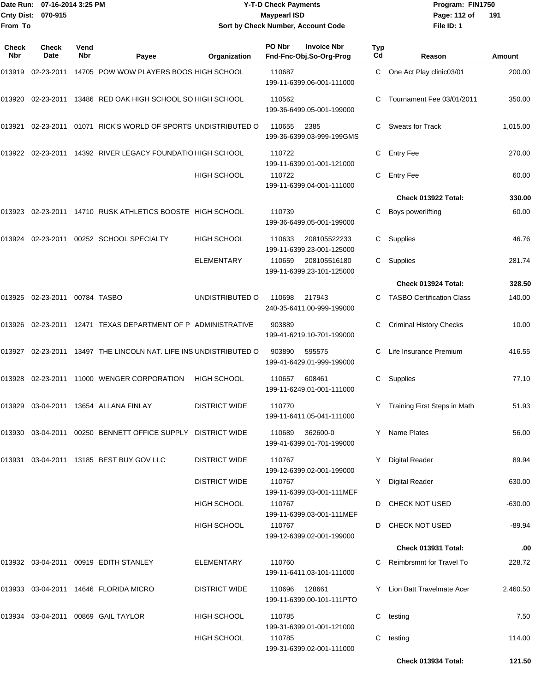### Date Run: 07-16-2014 3:25 PM **Program:** FIN1750 **Y-T-D Check Payments 070-915 Maypearl ISD Sort by Check Number, Account Code**

**File ID: 1** Page: 112 of 191

| Check<br><b>Nbr</b> | <b>Check</b><br>Date   | Vend<br><b>Nbr</b> | Payee                                                       | Organization         | PO Nbr | <b>Invoice Nbr</b><br>Fnd-Fnc-Obj.So-Org-Prog | Typ<br>Cd | Reason                           | Amount    |
|---------------------|------------------------|--------------------|-------------------------------------------------------------|----------------------|--------|-----------------------------------------------|-----------|----------------------------------|-----------|
| 013919              | 02-23-2011             |                    | 14705 POW WOW PLAYERS BOOS HIGH SCHOOL                      |                      | 110687 | 199-11-6399.06-001-111000                     | C.        | One Act Play clinic03/01         | 200.00    |
| 013920              | 02-23-2011             |                    | 13486 RED OAK HIGH SCHOOL SO HIGH SCHOOL                    |                      | 110562 | 199-36-6499.05-001-199000                     | C         | Tournament Fee 03/01/2011        | 350.00    |
| 013921              | 02-23-2011             |                    | 01071 RICK'S WORLD OF SPORTS UNDISTRIBUTED O                |                      | 110655 | 2385<br>199-36-6399.03-999-199GMS             | C.        | <b>Sweats for Track</b>          | 1,015.00  |
| 013922              | 02-23-2011             |                    | 14392 RIVER LEGACY FOUNDATIO HIGH SCHOOL                    |                      | 110722 | 199-11-6399.01-001-121000                     | С         | <b>Entry Fee</b>                 | 270.00    |
|                     |                        |                    |                                                             | HIGH SCHOOL          | 110722 | 199-11-6399.04-001-111000                     | C         | <b>Entry Fee</b>                 | 60.00     |
|                     |                        |                    |                                                             |                      |        |                                               |           | Check 013922 Total:              | 330.00    |
| 013923              | 02-23-2011             |                    | 14710 RUSK ATHLETICS BOOSTE HIGH SCHOOL                     |                      | 110739 | 199-36-6499.05-001-199000                     | С         | Boys powerlifting                | 60.00     |
| 013924              | 02-23-2011             |                    | 00252 SCHOOL SPECIALTY                                      | HIGH SCHOOL          | 110633 | 208105522233<br>199-11-6399.23-001-125000     | С         | Supplies                         | 46.76     |
|                     |                        |                    |                                                             | <b>ELEMENTARY</b>    | 110659 | 208105516180<br>199-11-6399.23-101-125000     | C         | Supplies                         | 281.74    |
|                     |                        |                    |                                                             |                      |        |                                               |           | Check 013924 Total:              | 328.50    |
| 013925              | 02-23-2011 00784 TASBO |                    |                                                             | UNDISTRIBUTED O      | 110698 | 217943<br>240-35-6411.00-999-199000           | C         | <b>TASBO Certification Class</b> | 140.00    |
| 013926              | 02-23-2011             |                    | 12471 TEXAS DEPARTMENT OF P ADMINISTRATIVE                  |                      | 903889 | 199-41-6219.10-701-199000                     | C         | <b>Criminal History Checks</b>   | 10.00     |
| 013927              | 02-23-2011             |                    | 13497 THE LINCOLN NAT. LIFE INS UNDISTRIBUTED O             |                      | 903890 | 595575<br>199-41-6429.01-999-199000           | C         | Life Insurance Premium           | 416.55    |
| 013928              | 02-23-2011             |                    | 11000 WENGER CORPORATION                                    | <b>HIGH SCHOOL</b>   | 110657 | 608461<br>199-11-6249.01-001-111000           | C         | Supplies                         | 77.10     |
| 013929              | 03-04-2011             |                    | 13654 ALLANA FINLAY                                         | <b>DISTRICT WIDE</b> | 110770 | 199-11-6411.05-041-111000                     | Y         | Training First Steps in Math     | 51.93     |
|                     |                        |                    | 013930 03-04-2011 00250 BENNETT OFFICE SUPPLY DISTRICT WIDE |                      | 110689 | 362600-0<br>199-41-6399.01-701-199000         |           | Y Name Plates                    | 56.00     |
|                     |                        |                    | 013931  03-04-2011  13185  BEST BUY GOV LLC                 | <b>DISTRICT WIDE</b> | 110767 | 199-12-6399.02-001-199000                     |           | Y Digital Reader                 | 89.94     |
|                     |                        |                    |                                                             | <b>DISTRICT WIDE</b> | 110767 | 199-11-6399.03-001-111MEF                     |           | Y Digital Reader                 | 630.00    |
|                     |                        |                    |                                                             | <b>HIGH SCHOOL</b>   | 110767 | 199-11-6399.03-001-111MEF                     |           | D CHECK NOT USED                 | $-630.00$ |
|                     |                        |                    |                                                             | HIGH SCHOOL          | 110767 | 199-12-6399.02-001-199000                     |           | D CHECK NOT USED                 | $-89.94$  |
|                     |                        |                    |                                                             |                      |        |                                               |           | Check 013931 Total:              | .00       |
|                     |                        |                    | 013932 03-04-2011 00919 EDITH STANLEY                       | ELEMENTARY           | 110760 | 199-11-6411.03-101-111000                     | C.        | Reimbrsmnt for Travel To         | 228.72    |
|                     |                        |                    | 013933 03-04-2011 14646 FLORIDA MICRO                       | DISTRICT WIDE        | 110696 | 128661<br>199-11-6399.00-101-111PTO           |           | Y Lion Batt Travelmate Acer      | 2,460.50  |
|                     |                        |                    | 013934 03-04-2011 00869 GAIL TAYLOR                         | <b>HIGH SCHOOL</b>   | 110785 | 199-31-6399.01-001-121000                     | C         | testing                          | 7.50      |
|                     |                        |                    |                                                             | HIGH SCHOOL          | 110785 | 199-31-6399.02-001-111000                     | С         | testing                          | 114.00    |
|                     |                        |                    |                                                             |                      |        |                                               |           | Check 013934 Total:              | 121.50    |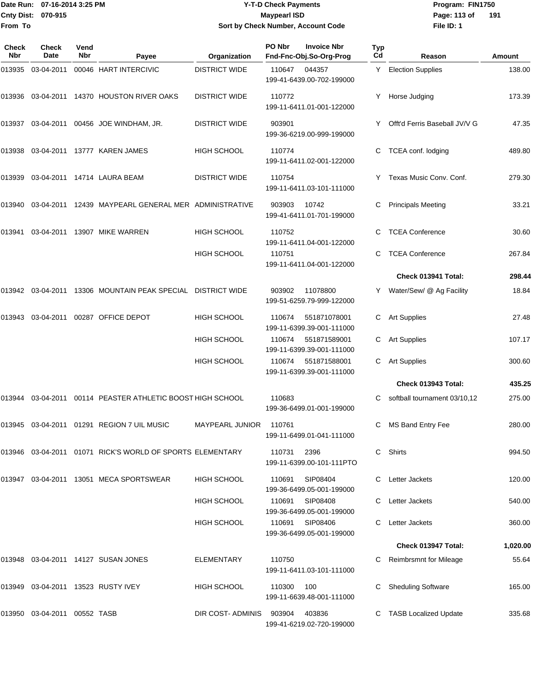### Date Run: 07-16-2014 3:25 PM **Program:** FIN1750 **Y-T-D Check Payments 070-915 Maypearl ISD Sort by Check Number, Account Code**

**File ID: 1** Page: 113 of 191

| Check<br>Nbr | Check<br>Date         | Vend<br>Nbr | Payee                                                        | Organization           | PO Nbr | <b>Invoice Nbr</b><br>Fnd-Fnc-Obj.So-Org-Prog | Typ<br>Cd | Reason                        | Amount   |
|--------------|-----------------------|-------------|--------------------------------------------------------------|------------------------|--------|-----------------------------------------------|-----------|-------------------------------|----------|
| 013935       | 03-04-2011            |             | 00046 HART INTERCIVIC                                        | <b>DISTRICT WIDE</b>   | 110647 | 044357<br>199-41-6439.00-702-199000           |           | Y Election Supplies           | 138.00   |
| 013936       |                       |             | 03-04-2011 14370 HOUSTON RIVER OAKS                          | <b>DISTRICT WIDE</b>   | 110772 | 199-11-6411.01-001-122000                     | Y.        | Horse Judging                 | 173.39   |
| 013937       |                       |             | 03-04-2011  00456  JOE  WINDHAM, JR.                         | <b>DISTRICT WIDE</b>   | 903901 | 199-36-6219.00-999-199000                     |           | Offt'd Ferris Baseball JV/V G | 47.35    |
| 013938       |                       |             | 03-04-2011 13777 KAREN JAMES                                 | <b>HIGH SCHOOL</b>     | 110774 | 199-11-6411.02-001-122000                     | C         | TCEA conf. lodging            | 489.80   |
| 013939       |                       |             | 03-04-2011 14714 LAURA BEAM                                  | <b>DISTRICT WIDE</b>   | 110754 | 199-11-6411.03-101-111000                     | Y.        | Texas Music Conv. Conf.       | 279.30   |
| 013940       |                       |             | 03-04-2011 12439 MAYPEARL GENERAL MER ADMINISTRATIVE         |                        | 903903 | 10742<br>199-41-6411.01-701-199000            |           | <b>Principals Meeting</b>     | 33.21    |
| 013941       |                       |             | 03-04-2011 13907 MIKE WARREN                                 | <b>HIGH SCHOOL</b>     | 110752 | 199-11-6411.04-001-122000                     |           | <b>TCEA Conference</b>        | 30.60    |
|              |                       |             |                                                              | <b>HIGH SCHOOL</b>     | 110751 | 199-11-6411.04-001-122000                     | C.        | <b>TCEA Conference</b>        | 267.84   |
|              |                       |             |                                                              |                        |        |                                               |           | Check 013941 Total:           | 298.44   |
| 013942       |                       |             | 03-04-2011 13306 MOUNTAIN PEAK SPECIAL DISTRICT WIDE         |                        | 903902 | 11078800<br>199-51-6259.79-999-122000         |           | Y Water/Sew/ @ Ag Facility    | 18.84    |
| 013943       | 03-04-2011            |             | 00287 OFFICE DEPOT                                           | <b>HIGH SCHOOL</b>     | 110674 | 551871078001<br>199-11-6399.39-001-111000     |           | <b>Art Supplies</b>           | 27.48    |
|              |                       |             |                                                              | HIGH SCHOOL            | 110674 | 551871589001<br>199-11-6399.39-001-111000     | C         | <b>Art Supplies</b>           | 107.17   |
|              |                       |             |                                                              | <b>HIGH SCHOOL</b>     | 110674 | 551871588001<br>199-11-6399.39-001-111000     | C         | <b>Art Supplies</b>           | 300.60   |
|              |                       |             |                                                              |                        |        |                                               |           | Check 013943 Total:           | 435.25   |
| 013944       |                       |             | 03-04-2011 00114 PEASTER ATHLETIC BOOST HIGH SCHOOL          |                        | 110683 | 199-36-6499.01-001-199000                     | C         | softball tournament 03/10,12  | 275.00   |
| 013945       |                       |             | 03-04-2011  01291  REGION 7 UIL MUSIC                        | <b>MAYPEARL JUNIOR</b> | 110761 | 199-11-6499.01-041-111000                     | C         | MS Band Entry Fee             | 280.00   |
|              |                       |             | 013946  03-04-2011  01071  RICK'S WORLD OF SPORTS ELEMENTARY |                        | 110731 | 2396<br>199-11-6399.00-101-111PTO             | C         | Shirts                        | 994.50   |
| 013947       |                       |             | 03-04-2011 13051 MECA SPORTSWEAR                             | <b>HIGH SCHOOL</b>     | 110691 | SIP08404<br>199-36-6499.05-001-199000         | C         | Letter Jackets                | 120.00   |
|              |                       |             |                                                              | <b>HIGH SCHOOL</b>     | 110691 | SIP08408<br>199-36-6499.05-001-199000         |           | Letter Jackets                | 540.00   |
|              |                       |             |                                                              | <b>HIGH SCHOOL</b>     | 110691 | SIP08406<br>199-36-6499.05-001-199000         |           | Letter Jackets                | 360.00   |
|              |                       |             |                                                              |                        |        |                                               |           | Check 013947 Total:           | 1,020.00 |
| 013948       |                       |             | 03-04-2011 14127 SUSAN JONES                                 | <b>ELEMENTARY</b>      | 110750 | 199-11-6411.03-101-111000                     |           | <b>Reimbrsmnt for Mileage</b> | 55.64    |
| 013949       |                       |             | 03-04-2011 13523 RUSTY IVEY                                  | <b>HIGH SCHOOL</b>     | 110300 | 100<br>199-11-6639.48-001-111000              |           | <b>Sheduling Software</b>     | 165.00   |
| 013950       | 03-04-2011 00552 TASB |             |                                                              | DIR COST-ADMINIS       | 903904 | 403836<br>199-41-6219.02-720-199000           |           | <b>TASB Localized Update</b>  | 335.68   |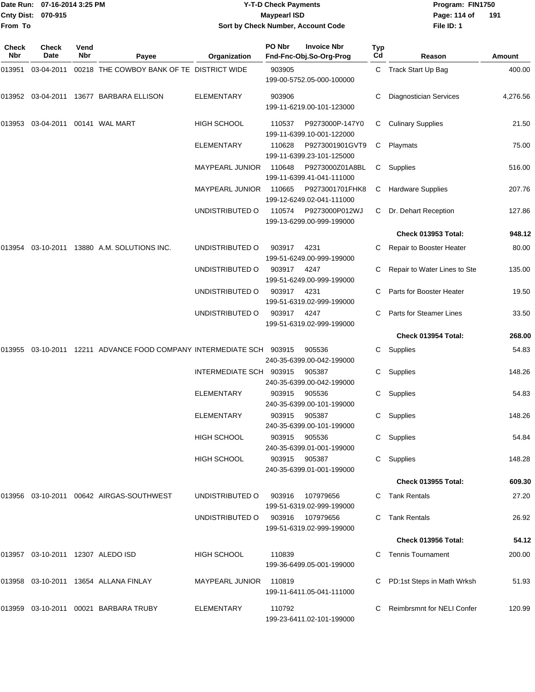|                           | Date Run: 07-16-2014 3:25 PM | <b>Y-T-D Check Payments</b>        | Program: Fl  |
|---------------------------|------------------------------|------------------------------------|--------------|
| <b>Cnty Dist: 070-915</b> |                              | Maypearl ISD                       | Page: 114 of |
| From To                   |                              | Sort by Check Number, Account Code | File ID: 1   |

# **07-16-2014 3:25 PM Y-T-D Check Payments 070-915 Maypearl ISD Sort by Check Number, Account Code**

**Date Run: Program: FIN1750 File ID: 1** Page: 114 of 191

| Check<br><b>Nbr</b> | Check<br>Date               | Vend<br>Nbr | Payee                                                            | Organization           | PO Nbr | <b>Invoice Nbr</b><br>Fnd-Fnc-Obj.So-Org-Prog | Typ<br>Cd    | Reason                            | Amount   |
|---------------------|-----------------------------|-------------|------------------------------------------------------------------|------------------------|--------|-----------------------------------------------|--------------|-----------------------------------|----------|
| 013951              | 03-04-2011                  |             | 00218 THE COWBOY BANK OF TE DISTRICT WIDE                        |                        | 903905 | 199-00-5752.05-000-100000                     |              | C Track Start Up Bag              | 400.00   |
| 013952              | 03-04-2011                  |             | 13677 BARBARA ELLISON                                            | <b>ELEMENTARY</b>      | 903906 | 199-11-6219.00-101-123000                     | C            | <b>Diagnostician Services</b>     | 4,276.56 |
| 013953              | 03-04-2011  00141  WAL MART |             |                                                                  | <b>HIGH SCHOOL</b>     | 110537 | P9273000P-147Y0<br>199-11-6399.10-001-122000  | С            | <b>Culinary Supplies</b>          | 21.50    |
|                     |                             |             |                                                                  | <b>ELEMENTARY</b>      | 110628 | P9273001901GVT9<br>199-11-6399.23-101-125000  | C            | Playmats                          | 75.00    |
|                     |                             |             |                                                                  | MAYPEARL JUNIOR        | 110648 | P9273000Z01A8BL<br>199-11-6399.41-041-111000  | $\mathsf{C}$ | Supplies                          | 516.00   |
|                     |                             |             |                                                                  | <b>MAYPEARL JUNIOR</b> | 110665 | P9273001701FHK8<br>199-12-6249.02-041-111000  | C            | <b>Hardware Supplies</b>          | 207.76   |
|                     |                             |             |                                                                  | UNDISTRIBUTED O        | 110574 | P9273000P012WJ<br>199-13-6299.00-999-199000   | C.           | Dr. Dehart Reception              | 127.86   |
|                     |                             |             |                                                                  |                        |        |                                               |              | Check 013953 Total:               | 948.12   |
| 013954              |                             |             | 03-10-2011 13880 A.M. SOLUTIONS INC.                             | UNDISTRIBUTED O        | 903917 | 4231<br>199-51-6249.00-999-199000             | C            | Repair to Booster Heater          | 80.00    |
|                     |                             |             |                                                                  | UNDISTRIBUTED O        | 903917 | 4247<br>199-51-6249.00-999-199000             |              | Repair to Water Lines to Ste      | 135.00   |
|                     |                             |             |                                                                  | UNDISTRIBUTED O        | 903917 | 4231<br>199-51-6319.02-999-199000             | C            | Parts for Booster Heater          | 19.50    |
|                     |                             |             |                                                                  | UNDISTRIBUTED O        | 903917 | 4247<br>199-51-6319.02-999-199000             | C            | Parts for Steamer Lines           | 33.50    |
|                     |                             |             |                                                                  |                        |        |                                               |              | Check 013954 Total:               | 268.00   |
| 013955              |                             |             | 03-10-2011  12211  ADVANCE FOOD COMPANY INTERMEDIATE SCH  903915 |                        |        | 905536<br>240-35-6399.00-042-199000           | C            | Supplies                          | 54.83    |
|                     |                             |             |                                                                  | INTERMEDIATE SCH       | 903915 | 905387<br>240-35-6399.00-042-199000           | C            | Supplies                          | 148.26   |
|                     |                             |             |                                                                  | <b>ELEMENTARY</b>      | 903915 | 905536<br>240-35-6399.00-101-199000           | С            | Supplies                          | 54.83    |
|                     |                             |             |                                                                  | ELEMENTARY             | 903915 | 905387<br>240-35-6399.00-101-199000           | C            | Supplies                          | 148.26   |
|                     |                             |             |                                                                  | <b>HIGH SCHOOL</b>     | 903915 | 905536<br>240-35-6399.01-001-199000           |              | C Supplies                        | 54.84    |
|                     |                             |             |                                                                  | <b>HIGH SCHOOL</b>     | 903915 | 905387<br>240-35-6399.01-001-199000           | C            | Supplies                          | 148.28   |
|                     |                             |             |                                                                  |                        |        |                                               |              | <b>Check 013955 Total:</b>        | 609.30   |
|                     |                             |             | 013956  03-10-2011  00642  AIRGAS-SOUTHWEST                      | UNDISTRIBUTED O        | 903916 | 107979656<br>199-51-6319.02-999-199000        |              | C Tank Rentals                    | 27.20    |
|                     |                             |             |                                                                  | UNDISTRIBUTED O        | 903916 | 107979656<br>199-51-6319.02-999-199000        | C.           | <b>Tank Rentals</b>               | 26.92    |
|                     |                             |             |                                                                  |                        |        |                                               |              | Check 013956 Total:               | 54.12    |
|                     |                             |             |                                                                  | HIGH SCHOOL            | 110839 | 199-36-6499.05-001-199000                     |              | <b>Tennis Tournament</b>          | 200.00   |
| 013958              |                             |             | 03-10-2011 13654 ALLANA FINLAY                                   | MAYPEARL JUNIOR        | 110819 | 199-11-6411.05-041-111000                     |              | PD:1st Steps in Math Wrksh        | 51.93    |
|                     |                             |             | 013959 03-10-2011 00021 BARBARA TRUBY                            | ELEMENTARY             | 110792 | 199-23-6411.02-101-199000                     | C.           | <b>Reimbrsmnt for NELI Confer</b> | 120.99   |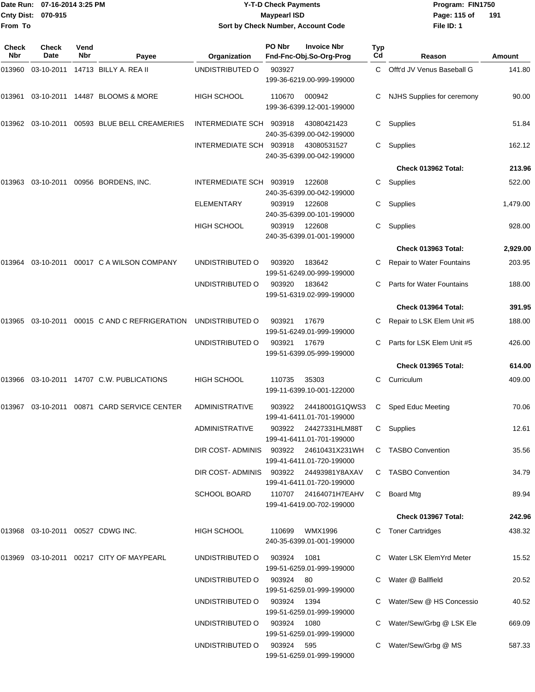| Date Run:                    | 07-16-2014 3:25 PM   |                    |                                                   |                                         | <b>Y-T-D Check Payments</b> |                                                                          |           | Program: FIN1750                 |          |
|------------------------------|----------------------|--------------------|---------------------------------------------------|-----------------------------------------|-----------------------------|--------------------------------------------------------------------------|-----------|----------------------------------|----------|
| <b>Cnty Dist:</b><br>From To | 070-915              |                    |                                                   | Sort by Check Number, Account Code      | <b>Maypearl ISD</b>         |                                                                          |           | Page: 115 of<br>File ID: 1       | 191      |
|                              |                      |                    |                                                   |                                         |                             |                                                                          |           |                                  |          |
| Check<br>Nbr                 | <b>Check</b><br>Date | Vend<br><b>Nbr</b> | Payee                                             | Organization                            | PO Nbr                      | <b>Invoice Nbr</b><br>Fnd-Fnc-Obj.So-Org-Prog                            | Typ<br>Cd | Reason                           | Amount   |
| 013960                       | 03-10-2011           |                    | 14713 BILLY A. REA II                             | UNDISTRIBUTED O                         | 903927                      |                                                                          | C.        | Offt'd JV Venus Baseball G       | 141.80   |
|                              |                      |                    |                                                   |                                         |                             | 199-36-6219.00-999-199000                                                |           |                                  |          |
| 013961                       |                      |                    | 03-10-2011  14487  BLOOMS & MORE                  | <b>HIGH SCHOOL</b>                      | 110670                      | 000942<br>199-36-6399.12-001-199000                                      | C         | NJHS Supplies for ceremony       | 90.00    |
|                              |                      |                    | 013962  03-10-2011  00593  BLUE  BELL CREAMERIES  | INTERMEDIATE SCH 903918                 |                             | 43080421423<br>240-35-6399.00-042-199000                                 | C         | Supplies                         | 51.84    |
|                              |                      |                    |                                                   | INTERMEDIATE SCH                        | 903918                      | 43080531527<br>240-35-6399.00-042-199000                                 | C.        | Supplies                         | 162.12   |
|                              |                      |                    |                                                   |                                         |                             |                                                                          |           | Check 013962 Total:              | 213.96   |
| 013963                       |                      |                    | 03-10-2011 00956 BORDENS, INC.                    | <b>INTERMEDIATE SCH</b>                 | 903919                      | 122608<br>240-35-6399.00-042-199000                                      | C         | Supplies                         | 522.00   |
|                              |                      |                    |                                                   | <b>ELEMENTARY</b>                       | 903919                      | 122608<br>240-35-6399.00-101-199000                                      | С         | Supplies                         | 1,479.00 |
|                              |                      |                    |                                                   | HIGH SCHOOL                             | 903919                      | 122608<br>240-35-6399.01-001-199000                                      | C.        | Supplies                         | 928.00   |
|                              |                      |                    |                                                   |                                         |                             |                                                                          |           | <b>Check 013963 Total:</b>       | 2,929.00 |
|                              |                      |                    | 013964  03-10-2011  00017  C   A   WILSON COMPANY | UNDISTRIBUTED O                         | 903920                      | 183642<br>199-51-6249.00-999-199000                                      |           | Repair to Water Fountains        | 203.95   |
|                              |                      |                    |                                                   | UNDISTRIBUTED O                         | 903920                      | 183642<br>199-51-6319.02-999-199000                                      | C.        | <b>Parts for Water Fountains</b> | 188.00   |
|                              |                      |                    |                                                   |                                         |                             |                                                                          |           | Check 013964 Total:              | 391.95   |
| 013965                       |                      |                    | 03-10-2011 00015 C AND C REFRIGERATION            | UNDISTRIBUTED O                         | 903921                      | 17679<br>199-51-6249.01-999-199000                                       | С         | Repair to LSK Elem Unit #5       | 188.00   |
|                              |                      |                    |                                                   | UNDISTRIBUTED O                         | 903921                      | 17679<br>199-51-6399.05-999-199000                                       | C         | Parts for LSK Elem Unit #5       | 426.00   |
|                              |                      |                    |                                                   |                                         |                             |                                                                          |           | Check 013965 Total:              | 614.00   |
|                              |                      |                    | 013966 03-10-2011 14707   C.W. PUBLICATIONS       | <b>HIGH SCHOOL</b>                      | 110735                      | 35303<br>199-11-6399.10-001-122000                                       | C         | Curriculum                       | 409.00   |
|                              |                      |                    | 013967  03-10-2011  00871  CARD SERVICE CENTER    | ADMINISTRATIVE                          | 903922                      | 24418001G1QWS3                                                           |           | C Sped Educ Meeting              | 70.06    |
|                              |                      |                    |                                                   | <b>ADMINISTRATIVE</b>                   | 903922                      | 199-41-6411.01-701-199000<br>24427331HLM88T<br>199-41-6411.01-701-199000 |           | C Supplies                       | 12.61    |
|                              |                      |                    |                                                   | DIR COST-ADMINIS 903922 24610431X231WH  |                             | 199-41-6411.01-720-199000                                                |           | C TASBO Convention               | 35.56    |
|                              |                      |                    |                                                   | DIR COST- ADMINIS 903922 24493981Y8AXAV |                             | 199-41-6411.01-720-199000                                                |           | C TASBO Convention               | 34.79    |
|                              |                      |                    |                                                   | SCHOOL BOARD                            |                             | 110707 24164071H7EAHV<br>199-41-6419.00-702-199000                       |           | C Board Mtg                      | 89.94    |
|                              |                      |                    |                                                   |                                         |                             |                                                                          |           | Check 013967 Total:              | 242.96   |
|                              |                      |                    | 013968 03-10-2011 00527  CDWG INC.                | HIGH SCHOOL                             | 110699                      | WMX1996<br>240-35-6399.01-001-199000                                     |           | C Toner Cartridges               | 438.32   |
|                              |                      |                    |                                                   | UNDISTRIBUTED O                         | 903924                      | 1081<br>199-51-6259.01-999-199000                                        |           | C Water LSK ElemYrd Meter        | 15.52    |
|                              |                      |                    |                                                   | UNDISTRIBUTED O                         | 903924 80                   | 199-51-6259.01-999-199000                                                |           | C Water @ Ballfield              | 20.52    |
|                              |                      |                    |                                                   | UNDISTRIBUTED O                         | 903924                      | 1394<br>199-51-6259.01-999-199000                                        |           | C Water/Sew @ HS Concessio       | 40.52    |
|                              |                      |                    |                                                   | UNDISTRIBUTED O                         | 903924                      | 1080                                                                     |           | C Water/Sew/Grbg @ LSK Ele       | 669.09   |

199-51-6259.01-999-199000

199-51-6259.01-999-199000

UNDISTRIBUTED O 903924 595 C Water/Sew/Grbg @ MS 587.33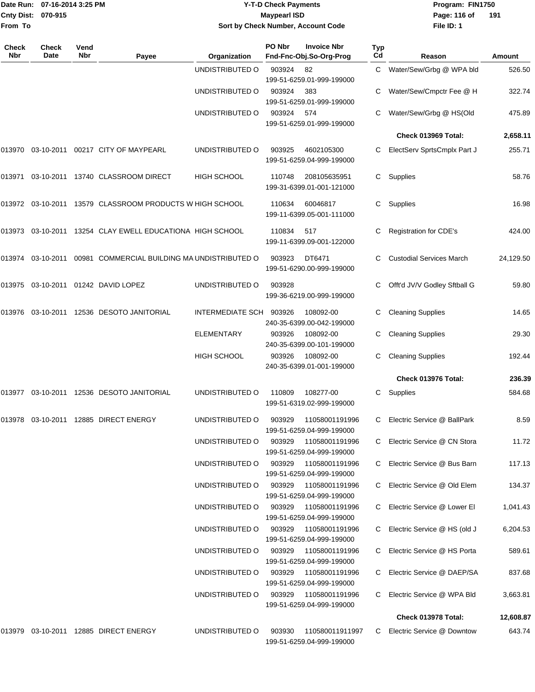|                    | Date Run: 07-16-2014 3:25 PM |
|--------------------|------------------------------|
| Cnty Dist: 070-915 |                              |
| <b>From To</b>     |                              |

## **Date Run: Program: FIN1750 07-16-2014 3:25 PM Y-T-D Check Payments Cnty Dist: Page: 116 of 070-915 Maypearl ISD Sort by Check Number, Account Code**

**File ID: 1** Page: 116 of 191

| Check<br>Nbr | <b>Check</b><br>Date | Vend<br>Nbr | Payee                                                    | Organization       | PO Nbr | <b>Invoice Nbr</b><br>Fnd-Fnc-Obj.So-Org-Prog      | <b>Typ</b><br>Cd | Reason                          | Amount    |
|--------------|----------------------|-------------|----------------------------------------------------------|--------------------|--------|----------------------------------------------------|------------------|---------------------------------|-----------|
|              |                      |             |                                                          | UNDISTRIBUTED O    | 903924 | 82<br>199-51-6259.01-999-199000                    | C                | Water/Sew/Grbg @ WPA bld        | 526.50    |
|              |                      |             |                                                          | UNDISTRIBUTED O    | 903924 | 383<br>199-51-6259.01-999-199000                   |                  | Water/Sew/Cmpctr Fee @ H        | 322.74    |
|              |                      |             |                                                          | UNDISTRIBUTED O    | 903924 | 574<br>199-51-6259.01-999-199000                   |                  | Water/Sew/Grbg @ HS(Old         | 475.89    |
|              |                      |             |                                                          |                    |        |                                                    |                  | Check 013969 Total:             | 2,658.11  |
| 013970       |                      |             | 03-10-2011  00217  CITY OF MAYPEARL                      | UNDISTRIBUTED O    | 903925 | 4602105300<br>199-51-6259.04-999-199000            | С                | ElectServ SprtsCmplx Part J     | 255.71    |
| 013971       |                      |             | 03-10-2011 13740 CLASSROOM DIRECT                        | <b>HIGH SCHOOL</b> | 110748 | 208105635951<br>199-31-6399.01-001-121000          | С                | Supplies                        | 58.76     |
|              |                      |             | 013972 03-10-2011 13579 CLASSROOM PRODUCTS W HIGH SCHOOL |                    | 110634 | 60046817<br>199-11-6399.05-001-111000              | С                | Supplies                        | 16.98     |
| 013973       |                      |             | 03-10-2011 13254 CLAY EWELL EDUCATIONA HIGH SCHOOL       |                    | 110834 | 517<br>199-11-6399.09-001-122000                   | С                | <b>Registration for CDE's</b>   | 424.00    |
| 013974       |                      |             | 03-10-2011 00981 COMMERCIAL BUILDING MA UNDISTRIBUTED O  |                    | 903923 | DT6471<br>199-51-6290.00-999-199000                |                  | <b>Custodial Services March</b> | 24,129.50 |
| 013975       |                      |             | 03-10-2011 01242 DAVID LOPEZ                             | UNDISTRIBUTED O    | 903928 | 199-36-6219.00-999-199000                          | С                | Offt'd JV/V Godley Sftball G    | 59.80     |
| 013976       |                      |             | 03-10-2011  12536  DESOTO JANITORIAL                     | INTERMEDIATE SCH   | 903926 | 108092-00<br>240-35-6399.00-042-199000             | С                | <b>Cleaning Supplies</b>        | 14.65     |
|              |                      |             |                                                          | <b>ELEMENTARY</b>  | 903926 | 108092-00<br>240-35-6399.00-101-199000             | С                | <b>Cleaning Supplies</b>        | 29.30     |
|              |                      |             |                                                          | HIGH SCHOOL        | 903926 | 108092-00<br>240-35-6399.01-001-199000             | С                | <b>Cleaning Supplies</b>        | 192.44    |
|              |                      |             |                                                          |                    |        |                                                    |                  | Check 013976 Total:             | 236.39    |
|              |                      |             | 013977 03-10-2011 12536 DESOTO JANITORIAL                | UNDISTRIBUTED O    | 110809 | 108277-00<br>199-51-6319.02-999-199000             | С                | Supplies                        | 584.68    |
| 013978       | 03-10-2011           |             | 12885 DIRECT ENERGY                                      | UNDISTRIBUTED O    | 903929 | 11058001191996<br>199-51-6259.04-999-199000        | С                | Electric Service @ BallPark     | 8.59      |
|              |                      |             |                                                          | UNDISTRIBUTED O    | 903929 | 11058001191996<br>199-51-6259.04-999-199000        | C                | Electric Service @ CN Stora     | 11.72     |
|              |                      |             |                                                          | UNDISTRIBUTED O    |        | 903929 11058001191996<br>199-51-6259.04-999-199000 |                  | Electric Service @ Bus Barn     | 117.13    |
|              |                      |             |                                                          | UNDISTRIBUTED O    | 903929 | 11058001191996<br>199-51-6259.04-999-199000        |                  | Electric Service @ Old Elem     | 134.37    |
|              |                      |             |                                                          | UNDISTRIBUTED O    | 903929 | 11058001191996<br>199-51-6259.04-999-199000        |                  | C Electric Service @ Lower El   | 1,041.43  |
|              |                      |             |                                                          | UNDISTRIBUTED O    | 903929 | 11058001191996<br>199-51-6259.04-999-199000        |                  | Electric Service @ HS (old J    | 6,204.53  |
|              |                      |             |                                                          | UNDISTRIBUTED O    | 903929 | 11058001191996<br>199-51-6259.04-999-199000        | C.               | Electric Service @ HS Porta     | 589.61    |
|              |                      |             |                                                          | UNDISTRIBUTED O    | 903929 | 11058001191996<br>199-51-6259.04-999-199000        | C                | Electric Service @ DAEP/SA      | 837.68    |
|              |                      |             |                                                          | UNDISTRIBUTED O    |        | 199-51-6259.04-999-199000                          |                  | Electric Service @ WPA Bld      | 3,663.81  |
|              |                      |             |                                                          |                    |        |                                                    |                  | <b>Check 013978 Total:</b>      | 12,608.87 |
|              |                      |             | 013979 03-10-2011 12885 DIRECT ENERGY                    | UNDISTRIBUTED O    | 903930 | 110580011911997<br>199-51-6259.04-999-199000       | C                | Electric Service @ Downtow      | 643.74    |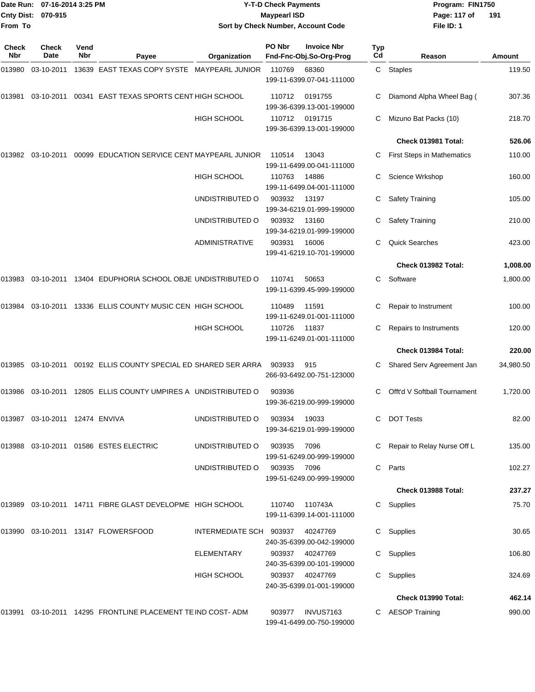| From To      | Date Run: 07-16-2014 3:25 PM<br>Cnty Dist: 070-915 |             |                                                                | Sort by Check Number, Account Code | <b>Y-T-D Check Payments</b><br><b>Maypearl ISD</b> |                                               |           | Program: FIN1750<br>Page: 117 of<br>File ID: 1 | 191              |
|--------------|----------------------------------------------------|-------------|----------------------------------------------------------------|------------------------------------|----------------------------------------------------|-----------------------------------------------|-----------|------------------------------------------------|------------------|
| Check<br>Nbr | Check<br>Date                                      | Vend<br>Nbr |                                                                |                                    | PO Nbr                                             | <b>Invoice Nbr</b>                            | Typ<br>Cd |                                                |                  |
| 013980       | 03-10-2011                                         |             | Payee<br>13639 EAST TEXAS COPY SYSTE MAYPEARL JUNIOR           | Organization                       | 110769                                             | Fnd-Fnc-Obj.So-Org-Prog<br>68360              |           | Reason<br>C Staples                            | Amount<br>119.50 |
|              |                                                    |             |                                                                |                                    |                                                    | 199-11-6399.07-041-111000                     |           |                                                |                  |
| 013981       | 03-10-2011                                         |             | 00341 EAST TEXAS SPORTS CENT HIGH SCHOOL                       |                                    | 110712                                             | 0191755<br>199-36-6399.13-001-199000          | C         | Diamond Alpha Wheel Bag (                      | 307.36           |
|              |                                                    |             |                                                                | <b>HIGH SCHOOL</b>                 | 110712                                             | 0191715                                       |           | Mizuno Bat Packs (10)                          | 218.70           |
|              |                                                    |             |                                                                |                                    |                                                    | 199-36-6399.13-001-199000                     |           | Check 013981 Total:                            | 526.06           |
| 013982       | 03-10-2011                                         |             | 00099 EDUCATION SERVICE CENT MAYPEARL JUNIOR                   |                                    | 110514                                             | 13043<br>199-11-6499.00-041-111000            |           | <b>First Steps in Mathematics</b>              | 110.00           |
|              |                                                    |             |                                                                | <b>HIGH SCHOOL</b>                 | 110763                                             | 14886<br>199-11-6499.04-001-111000            | С         | Science Wrkshop                                | 160.00           |
|              |                                                    |             |                                                                | UNDISTRIBUTED O                    | 903932                                             | 13197<br>199-34-6219.01-999-199000            | С         | <b>Safety Training</b>                         | 105.00           |
|              |                                                    |             |                                                                | UNDISTRIBUTED O                    | 903932                                             | 13160<br>199-34-6219.01-999-199000            |           | <b>Safety Training</b>                         | 210.00           |
|              |                                                    |             |                                                                | <b>ADMINISTRATIVE</b>              | 903931                                             | 16006<br>199-41-6219.10-701-199000            | С         | <b>Quick Searches</b>                          | 423.00           |
|              |                                                    |             |                                                                |                                    |                                                    |                                               |           | Check 013982 Total:                            | 1,008.00         |
| 013983       | 03-10-2011                                         |             | 13404 EDUPHORIA SCHOOL OBJE UNDISTRIBUTED O                    |                                    | 110741                                             | 50653<br>199-11-6399.45-999-199000            | C         | Software                                       | 1,800.00         |
| 013984       |                                                    |             | 03-10-2011 13336 ELLIS COUNTY MUSIC CEN HIGH SCHOOL            |                                    | 110489                                             | 11591<br>199-11-6249.01-001-111000            | C         | Repair to Instrument                           | 100.00           |
|              |                                                    |             |                                                                | <b>HIGH SCHOOL</b>                 | 110726                                             | 11837<br>199-11-6249.01-001-111000            |           | Repairs to Instruments                         | 120.00           |
|              |                                                    |             |                                                                |                                    |                                                    |                                               |           | Check 013984 Total:                            | 220.00           |
| 013985       |                                                    |             | 03-10-2011  00192  ELLIS COUNTY SPECIAL ED SHARED SER ARRA     |                                    | 903933                                             | 915<br>266-93-6492.00-751-123000              |           | Shared Serv Agreement Jan                      | 34,980.50        |
|              |                                                    |             | 013986 03-10-2011 12805 ELLIS COUNTY UMPIRES A UNDISTRIBUTED O |                                    | 903936                                             | 199-36-6219.00-999-199000                     |           | C Offt'd V Softball Tournament                 | 1,720.00         |
|              | 013987 03-10-2011 12474 ENVIVA                     |             |                                                                | UNDISTRIBUTED O                    | 903934                                             | 19033<br>199-34-6219.01-999-199000            |           | C DOT Tests                                    | 82.00            |
|              |                                                    |             | 013988 03-10-2011 01586 ESTES ELECTRIC                         | UNDISTRIBUTED O                    | 903935 7096                                        | 199-51-6249.00-999-199000                     |           | C Repair to Relay Nurse Off L                  | 135.00           |
|              |                                                    |             |                                                                | UNDISTRIBUTED O                    | 903935 7096                                        | 199-51-6249.00-999-199000                     |           | C Parts                                        | 102.27           |
|              |                                                    |             |                                                                |                                    |                                                    |                                               |           | Check 013988 Total:                            | 237.27           |
|              |                                                    |             | 013989 03-10-2011 14711 FIBRE GLAST DEVELOPME HIGH SCHOOL      |                                    | 110740                                             | 110743A<br>199-11-6399.14-001-111000          |           | C Supplies                                     | 75.70            |
|              |                                                    |             | 013990  03-10-2011  13147  FLOWERSFOOD                         | INTERMEDIATE SCH 903937 40247769   |                                                    | 240-35-6399.00-042-199000                     |           | C Supplies                                     | 30.65            |
|              |                                                    |             |                                                                | ELEMENTARY                         |                                                    | 903937 40247769<br>240-35-6399.00-101-199000  |           | C Supplies                                     | 106.80           |
|              |                                                    |             |                                                                | HIGH SCHOOL                        |                                                    | 903937 40247769<br>240-35-6399.01-001-199000  |           | C Supplies                                     | 324.69           |
|              |                                                    |             |                                                                |                                    |                                                    |                                               |           | Check 013990 Total:                            | 462.14           |
|              |                                                    |             | 013991 03-10-2011 14295 FRONTLINE PLACEMENT TE IND COST- ADM   |                                    |                                                    | 903977 INVUS7163<br>199-41-6499.00-750-199000 |           | C AESOP Training                               | 990.00           |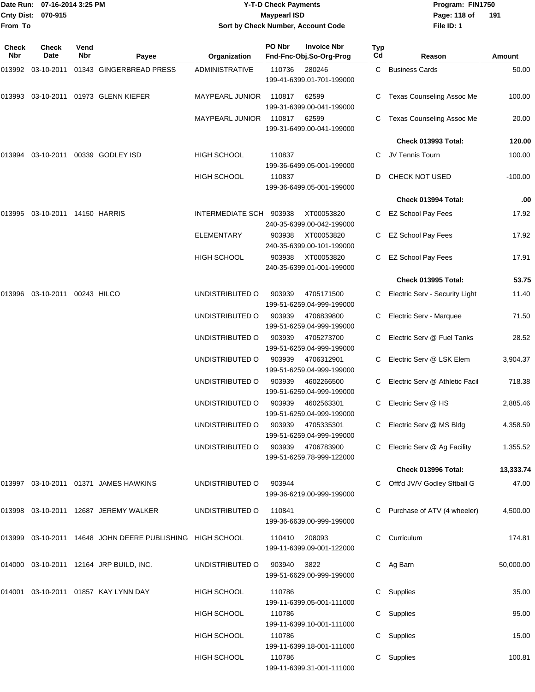|                    | Date Run: 07-16-2014 3:25 PM |
|--------------------|------------------------------|
| Cnty Dist: 070-915 |                              |
| lFrom To           |                              |

# **Date Run: Program: FIN1750 07-16-2014 3:25 PM Y-T-D Check Payments Cnty Dist: Page: 118 of 070-915 Maypearl ISD Sort by Check Number, Account Code**

**File ID: 1** Page: 118 of 191

| Check<br>Nbr | <b>Check</b><br>Date    | Vend<br>Nbr                 | Payee                                                     | Organization           | PO Nbr | <b>Invoice Nbr</b><br>Fnd-Fnc-Obj.So-Org-Prog | Typ<br>Cd | Reason                         | Amount    |
|--------------|-------------------------|-----------------------------|-----------------------------------------------------------|------------------------|--------|-----------------------------------------------|-----------|--------------------------------|-----------|
| 013992       | 03-10-2011              |                             | 01343 GINGERBREAD PRESS                                   | <b>ADMINISTRATIVE</b>  | 110736 | 280246<br>199-41-6399.01-701-199000           |           | C Business Cards               | 50.00     |
| 013993       |                         |                             | 03-10-2011 01973 GLENN KIEFER                             | <b>MAYPEARL JUNIOR</b> | 110817 | 62599<br>199-31-6399.00-041-199000            |           | Texas Counseling Assoc Me      | 100.00    |
|              |                         |                             |                                                           | <b>MAYPEARL JUNIOR</b> | 110817 | 62599<br>199-31-6499.00-041-199000            |           | Texas Counseling Assoc Me      | 20.00     |
|              |                         |                             |                                                           |                        |        |                                               |           | <b>Check 013993 Total:</b>     | 120.00    |
| 013994       |                         | 03-10-2011 00339 GODLEY ISD |                                                           | <b>HIGH SCHOOL</b>     | 110837 | 199-36-6499.05-001-199000                     | C.        | JV Tennis Tourn                | 100.00    |
|              |                         |                             |                                                           | <b>HIGH SCHOOL</b>     | 110837 | 199-36-6499.05-001-199000                     | D         | <b>CHECK NOT USED</b>          | $-100.00$ |
|              |                         |                             |                                                           |                        |        |                                               |           | Check 013994 Total:            | .00       |
| 013995       | 03-10-2011 14150 HARRIS |                             |                                                           | INTERMEDIATE SCH       | 903938 | XT00053820<br>240-35-6399.00-042-199000       | C.        | EZ School Pay Fees             | 17.92     |
|              |                         |                             |                                                           | <b>ELEMENTARY</b>      | 903938 | XT00053820<br>240-35-6399.00-101-199000       | C         | <b>EZ School Pay Fees</b>      | 17.92     |
|              |                         |                             |                                                           | <b>HIGH SCHOOL</b>     | 903938 | XT00053820<br>240-35-6399.01-001-199000       | C         | <b>EZ School Pay Fees</b>      | 17.91     |
|              |                         |                             |                                                           |                        |        |                                               |           | Check 013995 Total:            | 53.75     |
| 013996       | 03-10-2011 00243 HILCO  |                             |                                                           | UNDISTRIBUTED O        | 903939 | 4705171500<br>199-51-6259.04-999-199000       | C         | Electric Serv - Security Light | 11.40     |
|              |                         |                             |                                                           | UNDISTRIBUTED O        | 903939 | 4706839800<br>199-51-6259.04-999-199000       | C         | Electric Serv - Marquee        | 71.50     |
|              |                         |                             |                                                           | UNDISTRIBUTED O        | 903939 | 4705273700<br>199-51-6259.04-999-199000       |           | Electric Serv @ Fuel Tanks     | 28.52     |
|              |                         |                             |                                                           | UNDISTRIBUTED O        | 903939 | 4706312901<br>199-51-6259.04-999-199000       |           | Electric Serv @ LSK Elem       | 3,904.37  |
|              |                         |                             |                                                           | UNDISTRIBUTED O        | 903939 | 4602266500<br>199-51-6259.04-999-199000       |           | Electric Serv @ Athletic Facil | 718.38    |
|              |                         |                             |                                                           | UNDISTRIBUTED O        | 903939 | 4602563301<br>199-51-6259.04-999-199000       | C         | Electric Serv @ HS             | 2,885.46  |
|              |                         |                             |                                                           | UNDISTRIBUTED O        | 903939 | 4705335301<br>199-51-6259.04-999-199000       | C         | Electric Serv @ MS Bldg        | 4,358.59  |
|              |                         |                             |                                                           | UNDISTRIBUTED O        | 903939 | 4706783900<br>199-51-6259.78-999-122000       |           | C Electric Serv @ Ag Facility  | 1,355.52  |
|              |                         |                             |                                                           |                        |        |                                               |           | Check 013996 Total:            | 13,333.74 |
|              |                         |                             | 013997 03-10-2011 01371 JAMES HAWKINS                     | UNDISTRIBUTED O        | 903944 | 199-36-6219.00-999-199000                     |           | Offt'd JV/V Godley Sftball G   | 47.00     |
|              |                         |                             | 013998  03-10-2011  12687  JEREMY WALKER                  | UNDISTRIBUTED O        | 110841 | 199-36-6639.00-999-199000                     |           | Purchase of ATV (4 wheeler)    | 4,500.00  |
|              |                         |                             | 013999 03-10-2011 14648 JOHN DEERE PUBLISHING HIGH SCHOOL |                        | 110410 | 208093<br>199-11-6399.09-001-122000           | C.        | Curriculum                     | 174.81    |
|              |                         |                             | 014000 03-10-2011 12164 JRP BUILD, INC.                   | UNDISTRIBUTED O        | 903940 | 3822<br>199-51-6629.00-999-199000             |           | C Ag Barn                      | 50,000.00 |
| 014001       |                         |                             | 03-10-2011  01857  KAY LYNN DAY                           | <b>HIGH SCHOOL</b>     | 110786 | 199-11-6399.05-001-111000                     | C         | Supplies                       | 35.00     |
|              |                         |                             |                                                           | <b>HIGH SCHOOL</b>     | 110786 | 199-11-6399.10-001-111000                     | C         | Supplies                       | 95.00     |
|              |                         |                             |                                                           | <b>HIGH SCHOOL</b>     | 110786 | 199-11-6399.18-001-111000                     | С         | Supplies                       | 15.00     |
|              |                         |                             |                                                           | HIGH SCHOOL            | 110786 | 199-11-6399.31-001-111000                     | C.        | Supplies                       | 100.81    |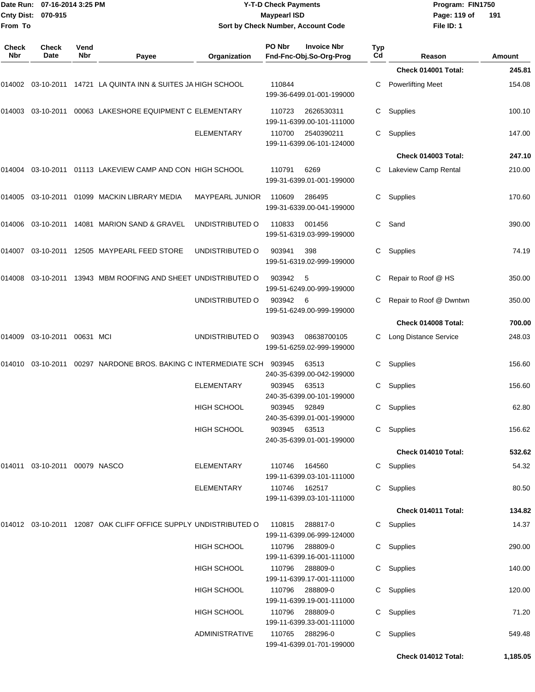|                              | Date Run: 07-16-2014 3:25 PM     |             |                                                                            | <b>Y-T-D Check Payments</b><br><b>Maypearl ISD</b> |        |                                               |                  | Program: FIN1750             |        |  |
|------------------------------|----------------------------------|-------------|----------------------------------------------------------------------------|----------------------------------------------------|--------|-----------------------------------------------|------------------|------------------------------|--------|--|
| <b>Cnty Dist:</b><br>From To | 070-915                          |             |                                                                            |                                                    |        | Sort by Check Number, Account Code            |                  | Page: 119 of<br>File ID: 1   | 191    |  |
|                              |                                  |             |                                                                            |                                                    |        |                                               |                  |                              |        |  |
| <b>Check</b><br>Nbr          | <b>Check</b><br>Date             | Vend<br>Nbr | Payee                                                                      | Organization                                       | PO Nbr | <b>Invoice Nbr</b><br>Fnd-Fnc-Obj.So-Org-Prog | <b>Typ</b><br>Cd | Reason                       | Amount |  |
|                              |                                  |             |                                                                            |                                                    |        |                                               |                  | Check 014001 Total:          | 245.81 |  |
|                              |                                  |             | 014002 03-10-2011 14721   LA QUINTA INN & SUITES JA HIGH SCHOOL            |                                                    | 110844 | 199-36-6499.01-001-199000                     | C                | <b>Powerlifting Meet</b>     | 154.08 |  |
|                              |                                  |             | 014003  03-10-2011  00063  LAKESHORE EQUIPMENT C ELEMENTARY                |                                                    | 110723 | 2626530311<br>199-11-6399.00-101-111000       | C                | Supplies                     | 100.10 |  |
|                              |                                  |             |                                                                            | <b>ELEMENTARY</b>                                  | 110700 | 2540390211<br>199-11-6399.06-101-124000       | C                | Supplies                     | 147.00 |  |
|                              |                                  |             |                                                                            |                                                    |        |                                               |                  | <b>Check 014003 Total:</b>   | 247.10 |  |
|                              |                                  |             | 014004  03-10-2011  01113    LAKEVIEW CAMP AND CON    HIGH SCHOOL          |                                                    | 110791 | 6269<br>199-31-6399.01-001-199000             |                  | Lakeview Camp Rental         | 210.00 |  |
|                              |                                  |             | 014005  03-10-2011  01099  MACKIN LIBRARY MEDIA                            | <b>MAYPEARL JUNIOR</b>                             | 110609 | 286495<br>199-31-6339.00-041-199000           | C.               | Supplies                     | 170.60 |  |
|                              |                                  |             | 014006  03-10-2011  14081  MARION SAND & GRAVEL                            | UNDISTRIBUTED O                                    | 110833 | 001456<br>199-51-6319.03-999-199000           | C.               | Sand                         | 390.00 |  |
|                              |                                  |             | 014007  03-10-2011  12505  MAYPEARL FEED STORE                             | UNDISTRIBUTED O                                    | 903941 | 398<br>199-51-6319.02-999-199000              | С                | Supplies                     | 74.19  |  |
|                              |                                  |             | 014008 03-10-2011 13943   MBM ROOFING AND SHEET  UNDISTRIBUTED O           |                                                    | 903942 | -5<br>199-51-6249.00-999-199000               | С                | Repair to Roof @ HS          | 350.00 |  |
|                              |                                  |             |                                                                            | UNDISTRIBUTED O                                    | 903942 | - 6<br>199-51-6249.00-999-199000              | C                | Repair to Roof @ Dwntwn      | 350.00 |  |
|                              |                                  |             |                                                                            |                                                    |        |                                               |                  | Check 014008 Total:          | 700.00 |  |
| 014009                       | 03-10-2011 00631 MCI             |             |                                                                            | UNDISTRIBUTED O                                    | 903943 | 08638700105<br>199-51-6259.02-999-199000      | C                | <b>Long Distance Service</b> | 248.03 |  |
|                              |                                  |             | 014010  03-10-2011  00297  NARDONE BROS. BAKING C INTERMEDIATE SCH  903945 |                                                    |        | 63513<br>240-35-6399.00-042-199000            | С                | Supplies                     | 156.60 |  |
|                              |                                  |             |                                                                            | <b>ELEMENTARY</b>                                  | 903945 | 63513<br>240-35-6399.00-101-199000            |                  | C Supplies                   | 156.60 |  |
|                              |                                  |             |                                                                            | <b>HIGH SCHOOL</b>                                 | 903945 | 92849<br>240-35-6399.01-001-199000            |                  | C Supplies                   | 62.80  |  |
|                              |                                  |             |                                                                            | <b>HIGH SCHOOL</b>                                 | 903945 | 63513<br>240-35-6399.01-001-199000            |                  | C Supplies                   | 156.62 |  |
|                              |                                  |             |                                                                            |                                                    |        |                                               |                  | Check 014010 Total:          | 532.62 |  |
|                              | 014011  03-10-2011  00079  NASCO |             |                                                                            | <b>ELEMENTARY</b>                                  | 110746 | 164560<br>199-11-6399.03-101-111000           |                  | C Supplies                   | 54.32  |  |
|                              |                                  |             |                                                                            | <b>ELEMENTARY</b>                                  | 110746 | 162517<br>199-11-6399.03-101-111000           |                  | C Supplies                   | 80.50  |  |
|                              |                                  |             |                                                                            |                                                    |        |                                               |                  | Check 014011 Total:          | 134.82 |  |
|                              |                                  |             | 014012   03-10-2011   12087   OAK CLIFF OFFICE SUPPLY UNDISTRIBUTED O      |                                                    | 110815 | 288817-0<br>199-11-6399.06-999-124000         |                  | C Supplies                   | 14.37  |  |
|                              |                                  |             |                                                                            | HIGH SCHOOL                                        | 110796 | 288809-0<br>199-11-6399.16-001-111000         |                  | C Supplies                   | 290.00 |  |
|                              |                                  |             |                                                                            | <b>HIGH SCHOOL</b>                                 |        | 110796 288809-0<br>199-11-6399.17-001-111000  |                  | C Supplies                   | 140.00 |  |
|                              |                                  |             |                                                                            | HIGH SCHOOL                                        | 110796 | 288809-0<br>199-11-6399.19-001-111000         |                  | C Supplies                   | 120.00 |  |
|                              |                                  |             |                                                                            | HIGH SCHOOL                                        |        | 110796 288809-0<br>199-11-6399.33-001-111000  |                  | C Supplies                   | 71.20  |  |
|                              |                                  |             |                                                                            | <b>ADMINISTRATIVE</b>                              | 110765 | 288296-0<br>199-41-6399.01-701-199000         |                  | C Supplies                   | 549.48 |  |

**Check 014012 Total: 1,185.05**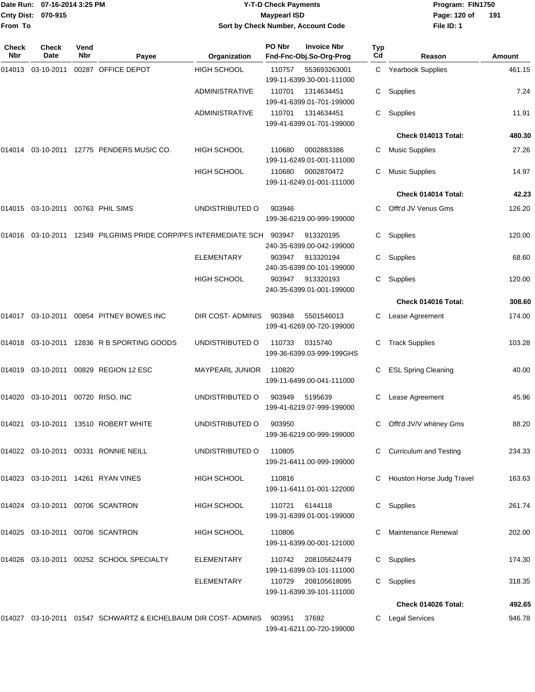|                            | Date Run: 07-16-2014 3:25 PM         |             |                                                                      |                        | <b>Y-T-D Check Payments</b> |                                               | Program: FIN1750 |                            |        |
|----------------------------|--------------------------------------|-------------|----------------------------------------------------------------------|------------------------|-----------------------------|-----------------------------------------------|------------------|----------------------------|--------|
| Cnty Dist:<br>From To      | 070-915                              |             |                                                                      |                        | <b>Maypearl ISD</b>         | Sort by Check Number, Account Code            |                  | Page: 120 of<br>File ID: 1 | 191    |
|                            |                                      |             |                                                                      |                        |                             |                                               |                  |                            |        |
| <b>Check</b><br><b>Nbr</b> | <b>Check</b><br>Date                 | Vend<br>Nbr | Payee                                                                | Organization           | PO Nbr                      | <b>Invoice Nbr</b><br>Fnd-Fnc-Obj.So-Org-Prog | <b>Typ</b><br>Cd | Reason                     | Amount |
| 014013                     | 03-10-2011                           |             | 00287 OFFICE DEPOT                                                   | <b>HIGH SCHOOL</b>     | 110757                      | 553693263001<br>199-11-6399.30-001-111000     | C                | Yearbook Supplies          | 461.15 |
|                            |                                      |             |                                                                      | <b>ADMINISTRATIVE</b>  | 110701                      | 1314634451<br>199-41-6399.01-701-199000       | C                | Supplies                   | 7.24   |
|                            |                                      |             |                                                                      | <b>ADMINISTRATIVE</b>  | 110701                      | 1314634451<br>199-41-6399.01-701-199000       | C                | Supplies                   | 11.91  |
|                            |                                      |             |                                                                      |                        |                             |                                               |                  | Check 014013 Total:        | 480.30 |
|                            |                                      |             | 014014 03-10-2011 12775 PENDERS MUSIC CO.                            | <b>HIGH SCHOOL</b>     | 110680                      | 0002883386<br>199-11-6249.01-001-111000       | С                | <b>Music Supplies</b>      | 27.26  |
|                            |                                      |             |                                                                      | HIGH SCHOOL            | 110680                      | 0002870472<br>199-11-6249.01-001-111000       | С                | <b>Music Supplies</b>      | 14.97  |
|                            |                                      |             |                                                                      |                        |                             |                                               |                  | Check 014014 Total:        | 42.23  |
|                            | 014015 03-10-2011 00763 PHIL SIMS    |             |                                                                      | UNDISTRIBUTED O        | 903946                      | 199-36-6219.00-999-199000                     | C.               | Offt'd JV Venus Gms        | 126.20 |
|                            |                                      |             | 014016  03-10-2011  12349  PILGRIMS  PRIDE CORP/PFS INTERMEDIATE SCH |                        | 903947                      | 913320195<br>240-35-6399.00-042-199000        | C.               | Supplies                   | 120.00 |
|                            |                                      |             |                                                                      | <b>ELEMENTARY</b>      | 903947                      | 913320194<br>240-35-6399.00-101-199000        | C.               | Supplies                   | 68.60  |
|                            |                                      |             |                                                                      | HIGH SCHOOL            | 903947                      | 913320193<br>240-35-6399.01-001-199000        | C.               | Supplies                   | 120.00 |
|                            |                                      |             |                                                                      |                        |                             |                                               |                  | Check 014016 Total:        | 308.60 |
|                            |                                      |             |                                                                      | DIR COST- ADMINIS      | 903948                      | 5501546013<br>199-41-6269.00-720-199000       | С                | Lease Agreement            | 174.00 |
|                            |                                      |             | 014018  03-10-2011  12836  R B SPORTING GOODS                        | UNDISTRIBUTED O        | 110733                      | 0315740<br>199-36-6399.03-999-199GHS          | С                | <b>Track Supplies</b>      | 103.28 |
|                            |                                      |             |                                                                      | <b>MAYPEARL JUNIOR</b> | 110820                      | 199-11-6499.00-041-111000                     |                  | <b>ESL Spring Cleaning</b> | 40.00  |
|                            | 014020  03-10-2011  00720  RISO, INC |             |                                                                      | UNDISTRIBUTED O        | 903949                      | 5195639<br>199-41-6219.07-999-199000          |                  | C Lease Agreement          | 45.96  |
|                            |                                      |             | 014021  03-10-2011  13510  ROBERT WHITE                              | UNDISTRIBUTED O        | 903950                      | 199-36-6219.00-999-199000                     |                  | C Offt'd JV/V whitney Gms  | 88.20  |
|                            |                                      |             | 014022 03-10-2011 00331 RONNIE NEILL                                 | UNDISTRIBUTED O        | 110805                      | 199-21-6411.00-999-199000                     |                  | C Curriculum and Testing   | 234.33 |
|                            |                                      |             | 014023  03-10-2011  14261  RYAN VINES                                | HIGH SCHOOL            | 110816                      | 199-11-6411.01-001-122000                     |                  | Houston Horse Judg Travel  | 163.63 |
|                            |                                      |             | 014024  03-10-2011  00706  SCANTRON                                  | HIGH SCHOOL            |                             | 110721 6144118<br>199-31-6399.01-001-199000   |                  | C Supplies                 | 261.74 |
|                            |                                      |             | 014025  03-10-2011  00706  SCANTRON                                  | HIGH SCHOOL            | 110806                      | 199-11-6399.00-001-121000                     |                  | C Maintenance Renewal      | 202.00 |
|                            |                                      |             | 014026  03-10-2011  00252  SCHOOL SPECIALTY                          | ELEMENTARY             | 110742                      | 208105624479<br>199-11-6399.03-101-111000     |                  | C Supplies                 | 174.30 |
|                            |                                      |             |                                                                      | ELEMENTARY             |                             | 110729 208105618095                           |                  | C Supplies                 | 318.35 |

014027 03-10-2011 01547 SCHWARTZ & EICHELBAUM DIR COST- ADMINIS 903951 37692 C Legal Services 946.78

199-41-6211.00-720-199000

199-11-6399.39-101-111000

**Check 014026 Total: 492.65**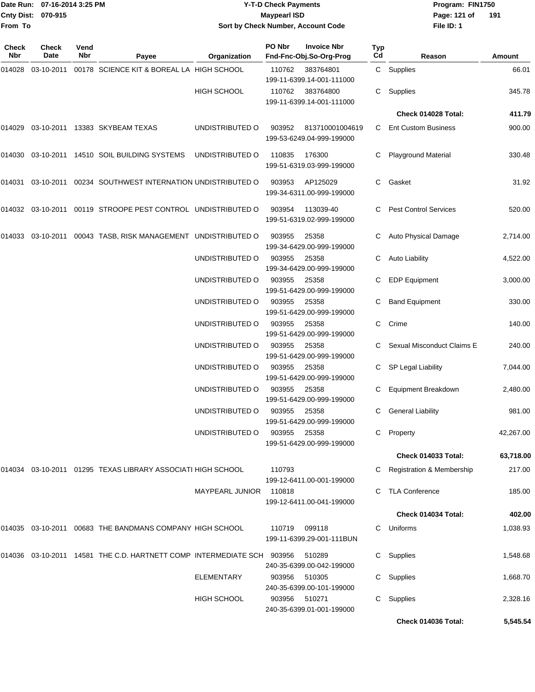|                    | Date Run: 07-16-2014 3:25 PM |
|--------------------|------------------------------|
| Cnty Dist: 070-915 |                              |
| From To            |                              |

## **Date Run: Program: FIN1750 07-16-2014 3:25 PM Y-T-D Check Payments Cnty Dist: Page: 121 of 070-915 Maypearl ISD Sort by Check Number, Account Code**

**File ID: 1** Page: 121 of 191

| <b>Check</b><br>Nbr | <b>Check</b><br>Date | Vend<br>Nbr | Payee                                                                  | Organization           | PO Nbr | <b>Invoice Nbr</b><br>Fnd-Fnc-Obj.So-Org-Prog | <b>Typ</b><br>Cd | Reason                               | Amount    |
|---------------------|----------------------|-------------|------------------------------------------------------------------------|------------------------|--------|-----------------------------------------------|------------------|--------------------------------------|-----------|
| 014028              | 03-10-2011           |             | 00178 SCIENCE KIT & BOREAL LA HIGH SCHOOL                              |                        | 110762 | 383764801<br>199-11-6399.14-001-111000        |                  | C Supplies                           | 66.01     |
|                     |                      |             |                                                                        | HIGH SCHOOL            | 110762 | 383764800<br>199-11-6399.14-001-111000        | C                | Supplies                             | 345.78    |
|                     |                      |             |                                                                        |                        |        |                                               |                  | Check 014028 Total:                  | 411.79    |
| 014029              |                      |             | 03-10-2011 13383 SKYBEAM TEXAS                                         | UNDISTRIBUTED O        | 903952 | 813710001004619<br>199-53-6249.04-999-199000  | C                | <b>Ent Custom Business</b>           | 900.00    |
| 014030              |                      |             | 03-10-2011 14510 SOIL BUILDING SYSTEMS                                 | UNDISTRIBUTED O        | 110835 | 176300<br>199-51-6319.03-999-199000           | C                | <b>Playground Material</b>           | 330.48    |
| 014031              |                      |             | 03-10-2011  00234  SOUTHWEST INTERNATION UNDISTRIBUTED O               |                        | 903953 | AP125029<br>199-34-6311.00-999-199000         | C                | Gasket                               | 31.92     |
| 014032              | 03-10-2011           |             | 00119 STROOPE PEST CONTROL UNDISTRIBUTED O                             |                        | 903954 | 113039-40<br>199-51-6319.02-999-199000        | C                | <b>Pest Control Services</b>         | 520.00    |
|                     |                      |             | 014033 03-10-2011 00043 TASB, RISK MANAGEMENT UNDISTRIBUTED O          |                        | 903955 | 25358<br>199-34-6429.00-999-199000            |                  | Auto Physical Damage                 | 2,714.00  |
|                     |                      |             |                                                                        | UNDISTRIBUTED O        | 903955 | 25358<br>199-34-6429.00-999-199000            | C                | <b>Auto Liability</b>                | 4,522.00  |
|                     |                      |             |                                                                        | UNDISTRIBUTED O        | 903955 | 25358<br>199-51-6429.00-999-199000            | C                | <b>EDP Equipment</b>                 | 3,000.00  |
|                     |                      |             |                                                                        | UNDISTRIBUTED O        | 903955 | 25358<br>199-51-6429.00-999-199000            | C                | <b>Band Equipment</b>                | 330.00    |
|                     |                      |             |                                                                        | UNDISTRIBUTED O        | 903955 | 25358<br>199-51-6429.00-999-199000            | C                | Crime                                | 140.00    |
|                     |                      |             |                                                                        | UNDISTRIBUTED O        | 903955 | 25358<br>199-51-6429.00-999-199000            |                  | Sexual Misconduct Claims E           | 240.00    |
|                     |                      |             |                                                                        | UNDISTRIBUTED O        | 903955 | 25358<br>199-51-6429.00-999-199000            | C                | SP Legal Liability                   | 7,044.00  |
|                     |                      |             |                                                                        | UNDISTRIBUTED O        | 903955 | 25358<br>199-51-6429.00-999-199000            |                  | Equipment Breakdown                  | 2,480.00  |
|                     |                      |             |                                                                        | UNDISTRIBUTED O        | 903955 | 25358<br>199-51-6429.00-999-199000            | C                | <b>General Liability</b>             | 981.00    |
|                     |                      |             |                                                                        | UNDISTRIBUTED O        | 903955 | 25358<br>199-51-6429.00-999-199000            |                  | C Property                           | 42,267.00 |
|                     |                      |             |                                                                        |                        |        |                                               |                  | Check 014033 Total:                  | 63,718.00 |
| 014034              |                      |             | 03-10-2011  01295  TEXAS LIBRARY ASSOCIATI HIGH SCHOOL                 |                        | 110793 | 199-12-6411.00-001-199000                     |                  | <b>Registration &amp; Membership</b> | 217.00    |
|                     |                      |             |                                                                        | <b>MAYPEARL JUNIOR</b> | 110818 | 199-12-6411.00-041-199000                     |                  | <b>TLA Conference</b>                | 185.00    |
|                     |                      |             |                                                                        |                        |        |                                               |                  | Check 014034 Total:                  | 402.00    |
|                     |                      |             | 014035 03-10-2011 00683 THE BANDMANS COMPANY HIGH SCHOOL               |                        | 110719 | 099118<br>199-11-6399.29-001-111BUN           | C                | Uniforms                             | 1,038.93  |
|                     |                      |             | 014036 03-10-2011 14581 THE C.D. HARTNETT COMP INTERMEDIATE SCH 903956 |                        |        | 510289<br>240-35-6399.00-042-199000           | C.               | Supplies                             | 1,548.68  |
|                     |                      |             |                                                                        | ELEMENTARY             | 903956 | 510305<br>240-35-6399.00-101-199000           | C                | Supplies                             | 1,668.70  |
|                     |                      |             |                                                                        | <b>HIGH SCHOOL</b>     | 903956 | 510271<br>240-35-6399.01-001-199000           | С                | Supplies                             | 2,328.16  |
|                     |                      |             |                                                                        |                        |        |                                               |                  | Check 014036 Total:                  | 5,545.54  |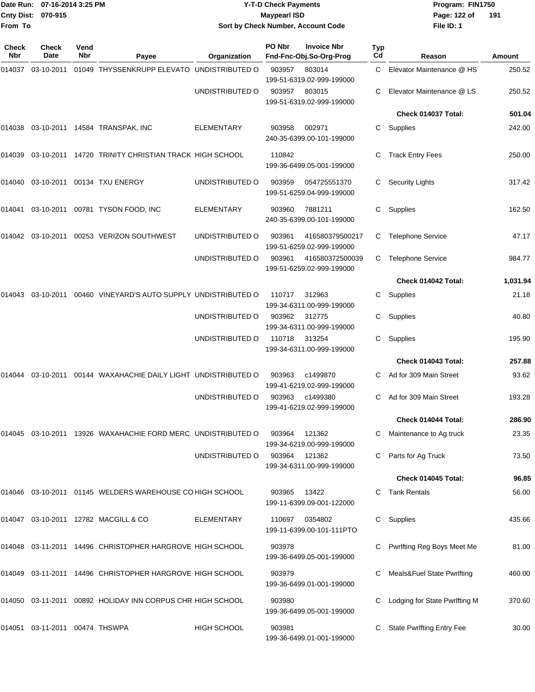|                     | Date Run: 07-16-2014 3:25 PM |             |                                                                                  |                 | <b>Y-T-D Check Payments</b> |                                               | Program: FIN1750 |                                                 |                  |
|---------------------|------------------------------|-------------|----------------------------------------------------------------------------------|-----------------|-----------------------------|-----------------------------------------------|------------------|-------------------------------------------------|------------------|
| <b>Cnty Dist:</b>   | 070-915                      |             |                                                                                  |                 | <b>Maypearl ISD</b>         |                                               |                  | Page: 122 of                                    | 191              |
| From To             |                              |             |                                                                                  |                 |                             | Sort by Check Number, Account Code            |                  | File ID: 1                                      |                  |
| <b>Check</b><br>Nbr | <b>Check</b><br>Date         | Vend<br>Nbr | Payee                                                                            | Organization    | PO Nbr                      | <b>Invoice Nbr</b><br>Fnd-Fnc-Obj.So-Org-Prog | Typ<br>Cd        | Reason                                          | Amount           |
| 014037              | 03-10-2011                   |             | 01049 THYSSENKRUPP ELEVATO UNDISTRIBUTED O                                       |                 | 903957                      | 803014<br>199-51-6319.02-999-199000           | C.               | Elevator Maintenance @ HS                       | 250.52           |
|                     |                              |             |                                                                                  | UNDISTRIBUTED O | 903957                      | 803015<br>199-51-6319.02-999-199000           | С                | Elevator Maintenance @ LS                       | 250.52           |
|                     |                              |             |                                                                                  |                 |                             |                                               |                  | Check 014037 Total:                             | 501.04           |
|                     |                              |             | 014038 03-10-2011 14584 TRANSPAK, INC                                            | ELEMENTARY      | 903958                      | 002971<br>240-35-6399.00-101-199000           | С                | Supplies                                        | 242.00           |
| 014039              |                              |             | 03-10-2011 14720 TRINITY CHRISTIAN TRACK HIGH SCHOOL                             |                 | 110842                      | 199-36-6499.05-001-199000                     | С                | <b>Track Entry Fees</b>                         | 250.00           |
| 014040              |                              |             | 03-10-2011  00134  TXU ENERGY                                                    | UNDISTRIBUTED O | 903959                      | 054725551370<br>199-51-6259.04-999-199000     | С                | <b>Security Lights</b>                          | 317.42           |
| 014041              |                              |             | 03-10-2011  00781  TYSON FOOD, INC                                               | ELEMENTARY      | 903960                      | 7881211<br>240-35-6399.00-101-199000          | С                | Supplies                                        | 162.50           |
|                     |                              |             | 014042  03-10-2011  00253  VERIZON SOUTHWEST                                     | UNDISTRIBUTED O | 903961                      | 416580379500217<br>199-51-6259.02-999-199000  | С                | <b>Telephone Service</b>                        | 47.17            |
|                     |                              |             |                                                                                  | UNDISTRIBUTED O | 903961                      | 416580372500039<br>199-51-6259.02-999-199000  | С                | <b>Telephone Service</b>                        | 984.77           |
|                     |                              |             |                                                                                  |                 |                             |                                               |                  | Check 014042 Total:                             | 1,031.94         |
| 014043              |                              |             | 03-10-2011  00460  VINEYARD'S AUTO SUPPLY UNDISTRIBUTED O                        |                 | 110717                      | 312963<br>199-34-6311.00-999-199000           | С                | Supplies                                        | 21.18            |
|                     |                              |             |                                                                                  | UNDISTRIBUTED O | 903962                      | 312775<br>199-34-6311.00-999-199000           | С                | Supplies                                        | 40.80            |
|                     |                              |             |                                                                                  | UNDISTRIBUTED O | 110718                      | 313254<br>199-34-6311.00-999-199000           | С                | Supplies                                        | 195.90           |
|                     |                              |             |                                                                                  |                 |                             |                                               |                  | Check 014043 Total:                             | 257.88           |
| 014044              | 03-10-2011                   |             | 00144 WAXAHACHIE DAILY LIGHT UNDISTRIBUTED O                                     |                 | 903963                      | c1499870<br>199-41-6219.02-999-199000         | C.               | Ad for 309 Main Street                          | 93.62            |
|                     |                              |             |                                                                                  | UNDISTRIBUTED O |                             | 903963 c1499380<br>199-41-6219.02-999-199000  |                  | C Ad for 309 Main Street<br>Check 014044 Total: | 193.28<br>286.90 |
|                     |                              |             |                                                                                  |                 |                             |                                               |                  |                                                 |                  |
|                     |                              |             | 014045  03-10-2011  13926  WAXAHACHIE FORD MERC  UNDISTRIBUTED                 O |                 | 903964<br>903964            | 121362<br>199-34-6219.00-999-199000<br>121362 |                  | Maintenance to Ag truck<br>Parts for Ag Truck   | 23.35<br>73.50   |
|                     |                              |             |                                                                                  | UNDISTRIBUTED O |                             | 199-34-6311.00-999-199000                     |                  | Check 014045 Total:                             | 96.85            |
|                     |                              |             | 014046  03-10-2011  01145  WELDERS WAREHOUSE CO HIGH SCHOOL                      |                 | 903965 13422                |                                               |                  | C Tank Rentals                                  | 56.00            |
|                     |                              |             |                                                                                  |                 |                             | 199-11-6399.09-001-122000                     |                  |                                                 |                  |
|                     |                              |             | 014047  03-10-2011  12782  MACGILL & CO                                          | ELEMENTARY      | 110697                      | 0354802<br>199-11-6399.00-101-111PTO          |                  | C Supplies                                      | 435.66           |
|                     |                              |             | 014048  03-11-2011  14496  CHRISTOPHER HARGROVE HIGH SCHOOL                      |                 | 903978                      | 199-36-6499.05-001-199000                     |                  | Pwrlfting Reg Boys Meet Me                      | 81.00            |
|                     |                              |             | 014049  03-11-2011  14496  CHRISTOPHER HARGROVE  HIGH SCHOOL                     |                 | 903979                      | 199-36-6499.01-001-199000                     |                  | Meals&Fuel State Pwrlfting                      | 460.00           |
|                     |                              |             | 014050  03-11-2011  00892  HOLIDAY INN CORPUS CHR HIGH SCHOOL                    |                 | 903980                      | 199-36-6499.05-001-199000                     |                  | Lodging for State Pwrlfting M                   | 370.60           |

014051 03-11-2011 00474 THSWPA HIGH SCHOOL 903981 C State Pwrlfting Entry Fee 30.00

199-36-6499.01-001-199000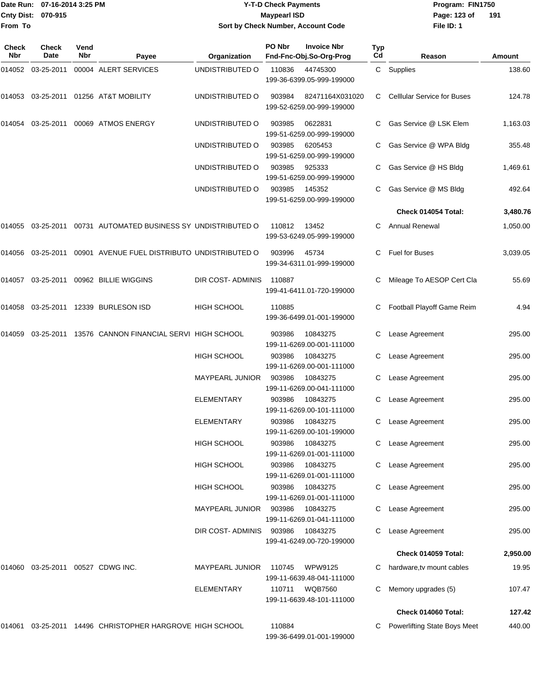|                           | Date Run: 07-16-2014 3:25 PM | <b>Y-T-D Check Payments</b>        | Program: Fl  |
|---------------------------|------------------------------|------------------------------------|--------------|
| <b>Cnty Dist: 070-915</b> |                              | Mavpearl ISD                       | Page: 123 of |
| From To                   |                              | Sort by Check Number, Account Code | File ID: 1   |
|                           |                              |                                    |              |

**Date Run: Program: FIN1750 File ID: 1** Page: 123 of 191

| Check<br>Nbr | <b>Check</b><br>Date | Vend<br>Nbr | Payee                                                     | Organization           | PO Nbr | <b>Invoice Nbr</b><br>Fnd-Fnc-Obj.So-Org-Prog | <b>Typ</b><br>Cd | Reason                              | Amount   |
|--------------|----------------------|-------------|-----------------------------------------------------------|------------------------|--------|-----------------------------------------------|------------------|-------------------------------------|----------|
| 014052       | 03-25-2011           |             | 00004 ALERT SERVICES                                      | UNDISTRIBUTED O        | 110836 | 44745300<br>199-36-6399.05-999-199000         | C                | Supplies                            | 138.60   |
| 014053       |                      |             | 03-25-2011 01256 AT&T MOBILITY                            | UNDISTRIBUTED O        | 903984 | 82471164X031020<br>199-52-6259.00-999-199000  | С                | <b>Celllular Service for Buses</b>  | 124.78   |
| 014054       | 03-25-2011           |             | 00069 ATMOS ENERGY                                        | UNDISTRIBUTED O        | 903985 | 0622831<br>199-51-6259.00-999-199000          |                  | Gas Service @ LSK Elem              | 1,163.03 |
|              |                      |             |                                                           | UNDISTRIBUTED O        | 903985 | 6205453<br>199-51-6259.00-999-199000          | С                | Gas Service @ WPA Bldg              | 355.48   |
|              |                      |             |                                                           | UNDISTRIBUTED O        | 903985 | 925333<br>199-51-6259.00-999-199000           |                  | Gas Service @ HS Bldg               | 1,469.61 |
|              |                      |             |                                                           | UNDISTRIBUTED O        | 903985 | 145352<br>199-51-6259.00-999-199000           |                  | Gas Service @ MS Bldg               | 492.64   |
|              |                      |             |                                                           |                        |        |                                               |                  | Check 014054 Total:                 | 3,480.76 |
| 014055       |                      |             | 03-25-2011 00731 AUTOMATED BUSINESS SY UNDISTRIBUTED O    |                        | 110812 | 13452<br>199-53-6249.05-999-199000            | С                | <b>Annual Renewal</b>               | 1,050.00 |
| 014056       |                      |             | 03-25-2011  00901  AVENUE FUEL DISTRIBUTO UNDISTRIBUTED O |                        | 903996 | 45734<br>199-34-6311.01-999-199000            | С                | Fuel for Buses                      | 3,039.05 |
| 014057       |                      |             | 03-25-2011 00962 BILLIE WIGGINS                           | DIR COST- ADMINIS      | 110887 | 199-41-6411.01-720-199000                     |                  | Mileage To AESOP Cert Cla           | 55.69    |
| 014058       |                      |             | 03-25-2011  12339  BURLESON ISD                           | HIGH SCHOOL            | 110885 | 199-36-6499.01-001-199000                     |                  | Football Playoff Game Reim          | 4.94     |
| 014059       |                      |             | 03-25-2011 13576 CANNON FINANCIAL SERVI HIGH SCHOOL       |                        | 903986 | 10843275<br>199-11-6269.00-001-111000         | С                | Lease Agreement                     | 295.00   |
|              |                      |             |                                                           | <b>HIGH SCHOOL</b>     | 903986 | 10843275<br>199-11-6269.00-001-111000         | С                | Lease Agreement                     | 295.00   |
|              |                      |             |                                                           | MAYPEARL JUNIOR        | 903986 | 10843275<br>199-11-6269.00-041-111000         | С                | Lease Agreement                     | 295.00   |
|              |                      |             |                                                           | <b>ELEMENTARY</b>      | 903986 | 10843275<br>199-11-6269.00-101-111000         | С                | Lease Agreement                     | 295.00   |
|              |                      |             |                                                           | <b>ELEMENTARY</b>      | 903986 | 10843275<br>199-11-6269.00-101-199000         | С                | Lease Agreement                     | 295.00   |
|              |                      |             |                                                           | <b>HIGH SCHOOL</b>     | 903986 | 10843275<br>199-11-6269.01-001-111000         | C.               | Lease Agreement                     | 295.00   |
|              |                      |             |                                                           | <b>HIGH SCHOOL</b>     | 903986 | 10843275<br>199-11-6269.01-001-111000         | С                | Lease Agreement                     | 295.00   |
|              |                      |             |                                                           | <b>HIGH SCHOOL</b>     | 903986 | 10843275<br>199-11-6269.01-001-111000         | С                | Lease Agreement                     | 295.00   |
|              |                      |             |                                                           | <b>MAYPEARL JUNIOR</b> | 903986 | 10843275<br>199-11-6269.01-041-111000         | С                | Lease Agreement                     | 295.00   |
|              |                      |             |                                                           | DIR COST-ADMINIS       | 903986 | 10843275<br>199-41-6249.00-720-199000         | С                | Lease Agreement                     | 295.00   |
|              |                      |             |                                                           |                        |        |                                               |                  | Check 014059 Total:                 | 2,950.00 |
| 014060       |                      |             | 03-25-2011  00527  CDWG INC.                              | <b>MAYPEARL JUNIOR</b> | 110745 | WPW9125<br>199-11-6639.48-041-111000          | С                | hardware, tv mount cables           | 19.95    |
|              |                      |             |                                                           | <b>ELEMENTARY</b>      | 110711 | <b>WQB7560</b><br>199-11-6639.48-101-111000   |                  | Memory upgrades (5)                 | 107.47   |
|              |                      |             |                                                           |                        |        |                                               |                  | Check 014060 Total:                 | 127.42   |
| 014061       |                      |             | 03-25-2011 14496 CHRISTOPHER HARGROVE HIGH SCHOOL         |                        | 110884 | 199-36-6499.01-001-199000                     |                  | <b>Powerlifting State Boys Meet</b> | 440.00   |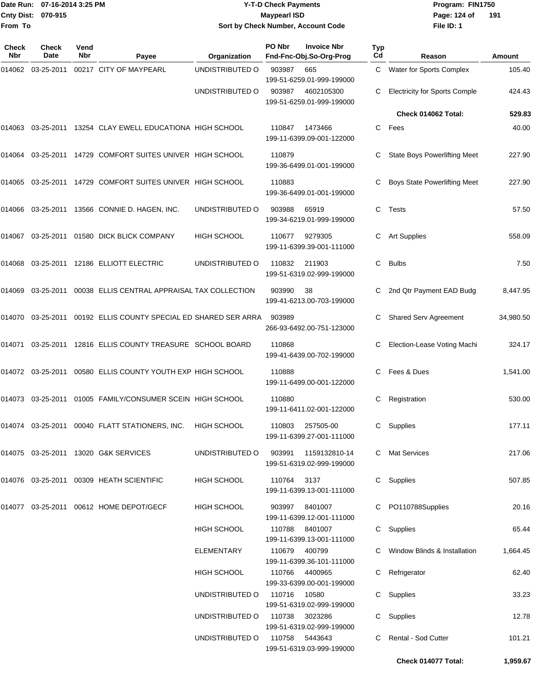### Date Run: 07-16-2014 3:25 PM **Program:** FIN1750 **Y-T-D Check Payments 070-915 Maypearl ISD Sort by Check Number, Account Code**

**File ID: 1** Page: 124 of 191

**Check 014077 Total: 1,959.67**

| Check<br>Nbr | <b>Check</b><br><b>Date</b> | Vend<br>Nbr | Payee                                                           | Organization       | PO Nbr      | <b>Invoice Nbr</b><br>Fnd-Fnc-Obj.So-Org-Prog | <b>Typ</b><br>Cd | Reason                               | <b>Amount</b> |
|--------------|-----------------------------|-------------|-----------------------------------------------------------------|--------------------|-------------|-----------------------------------------------|------------------|--------------------------------------|---------------|
|              | 014062 03-25-2011           |             | 00217 CITY OF MAYPEARL                                          | UNDISTRIBUTED O    | 903987      | 665<br>199-51-6259.01-999-199000              | C                | <b>Water for Sports Complex</b>      | 105.40        |
|              |                             |             |                                                                 | UNDISTRIBUTED O    | 903987      | 4602105300<br>199-51-6259.01-999-199000       | C                | <b>Electricity for Sports Comple</b> | 424.43        |
|              |                             |             |                                                                 |                    |             |                                               |                  | Check 014062 Total:                  | 529.83        |
| 014063       | 03-25-2011                  |             | 13254 CLAY EWELL EDUCATIONA HIGH SCHOOL                         |                    | 110847      | 1473466<br>199-11-6399.09-001-122000          | C                | Fees                                 | 40.00         |
| 014064       |                             |             | 03-25-2011 14729 COMFORT SUITES UNIVER HIGH SCHOOL              |                    | 110879      | 199-36-6499.01-001-199000                     | C                | State Boys Powerlifting Meet         | 227.90        |
| 014065       | 03-25-2011                  |             | 14729 COMFORT SUITES UNIVER HIGH SCHOOL                         |                    | 110883      | 199-36-6499.01-001-199000                     | С                | <b>Boys State Powerlifting Meet</b>  | 227.90        |
| 014066       | 03-25-2011                  |             | 13566 CONNIE D. HAGEN, INC.                                     | UNDISTRIBUTED O    | 903988      | 65919<br>199-34-6219.01-999-199000            | C                | Tests                                | 57.50         |
| 014067       | 03-25-2011                  |             | 01580 DICK BLICK COMPANY                                        | <b>HIGH SCHOOL</b> | 110677      | 9279305<br>199-11-6399.39-001-111000          | С                | <b>Art Supplies</b>                  | 558.09        |
| 014068       | 03-25-2011                  |             | 12186 ELLIOTT ELECTRIC                                          | UNDISTRIBUTED O    | 110832      | 211903<br>199-51-6319.02-999-199000           | C                | <b>Bulbs</b>                         | 7.50          |
| 014069       | 03-25-2011                  |             | 00038 ELLIS CENTRAL APPRAISAL TAX COLLECTION                    |                    | 903990      | 38<br>199-41-6213.00-703-199000               | С                | 2nd Qtr Payment EAD Budg             | 8,447.95      |
|              |                             |             | 014070 03-25-2011 00192 ELLIS COUNTY SPECIAL ED SHARED SER ARRA |                    | 903989      | 266-93-6492.00-751-123000                     | C                | <b>Shared Serv Agreement</b>         | 34,980.50     |
| 014071       | 03-25-2011                  |             | 12816 ELLIS COUNTY TREASURE SCHOOL BOARD                        |                    | 110868      | 199-41-6439.00-702-199000                     | С                | Election-Lease Voting Machi          | 324.17        |
|              | 014072 03-25-2011           |             | 00580 ELLIS COUNTY YOUTH EXP HIGH SCHOOL                        |                    | 110888      | 199-11-6499.00-001-122000                     | C.               | Fees & Dues                          | 1,541.00      |
|              | 014073 03-25-2011           |             | 01005 FAMILY/CONSUMER SCEIN HIGH SCHOOL                         |                    | 110880      | 199-11-6411.02-001-122000                     | С                | Registration                         | 530.00        |
|              |                             |             | 014074 03-25-2011 00040 FLATT STATIONERS, INC.                  | <b>HIGH SCHOOL</b> | 110803      | 257505-00<br>199-11-6399.27-001-111000        | С                | Supplies                             | 177.11        |
|              |                             |             | 014075 03-25-2011 13020 G&K SERVICES                            | UNDISTRIBUTED O    | 903991      | 1159132810-14<br>199-51-6319.02-999-199000    |                  | C Mat Services                       | 217.06        |
|              |                             |             | 014076 03-25-2011 00309 HEATH SCIENTIFIC                        | HIGH SCHOOL        | 110764 3137 | 199-11-6399.13-001-111000                     |                  | C Supplies                           | 507.85        |
|              |                             |             | 014077 03-25-2011 00612 HOME DEPOT/GECF                         | HIGH SCHOOL        |             | 903997 8401007<br>199-11-6399.12-001-111000   |                  | C PO110788Supplies                   | 20.16         |
|              |                             |             |                                                                 | <b>HIGH SCHOOL</b> |             | 110788 8401007<br>199-11-6399.13-001-111000   |                  | C Supplies                           | 65.44         |
|              |                             |             |                                                                 | ELEMENTARY         |             | 110679 400799<br>199-11-6399.36-101-111000    |                  | C Window Blinds & Installation       | 1,664.45      |
|              |                             |             |                                                                 | HIGH SCHOOL        | 110766      | 4400965<br>199-33-6399.00-001-199000          |                  | C Refrigerator                       | 62.40         |
|              |                             |             |                                                                 | UNDISTRIBUTED O    | 110716      | 10580<br>199-51-6319.02-999-199000            |                  | C Supplies                           | 33.23         |
|              |                             |             |                                                                 | UNDISTRIBUTED O    | 110738      | 3023286<br>199-51-6319.02-999-199000          |                  | C Supplies                           | 12.78         |
|              |                             |             |                                                                 | UNDISTRIBUTED O    |             | 110758 5443643<br>199-51-6319.03-999-199000   |                  | C Rental - Sod Cutter                | 101.21        |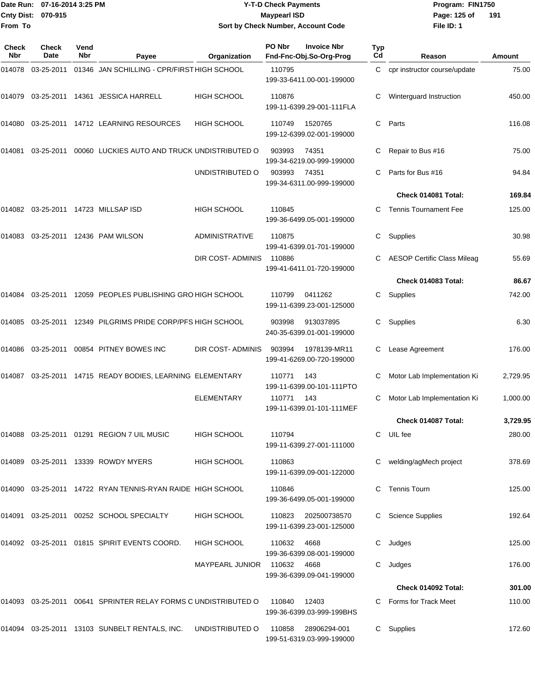|                    | Date Run: 07-16-2014 3:25 PM |
|--------------------|------------------------------|
| Cnty Dist: 070-915 |                              |
| <b>From To</b>     |                              |

## **Date Run: Program: FIN1750 07-16-2014 3:25 PM Y-T-D Check Payments Cnty Dist: Page: 125 of 070-915 Maypearl ISD Sort by Check Number, Account Code**

**File ID: 1 191**

| Check<br>Nbr | <b>Check</b><br>Date | Vend<br><b>Nbr</b>                                 | Payee                                                          | Organization                | PO Nbr | <b>Invoice Nbr</b><br>Fnd-Fnc-Obj.So-Org-Prog    | Typ<br>Cd | Reason                             | Amount   |
|--------------|----------------------|----------------------------------------------------|----------------------------------------------------------------|-----------------------------|--------|--------------------------------------------------|-----------|------------------------------------|----------|
| 014078       | 03-25-2011           |                                                    | 01346 JAN SCHILLING - CPR/FIRST HIGH SCHOOL                    |                             | 110795 | 199-33-6411.00-001-199000                        | C         | cpr instructor course/update       | 75.00    |
| 014079       |                      |                                                    | 03-25-2011  14361  JESSICA HARRELL                             | <b>HIGH SCHOOL</b>          | 110876 | 199-11-6399.29-001-111FLA                        | С         | Winterguard Instruction            | 450.00   |
| 014080       |                      |                                                    | 03-25-2011 14712 LEARNING RESOURCES                            | <b>HIGH SCHOOL</b>          | 110749 | 1520765<br>199-12-6399.02-001-199000             | С         | Parts                              | 116.08   |
| 014081       | 03-25-2011           |                                                    | 00060 LUCKIES AUTO AND TRUCK UNDISTRIBUTED O                   |                             | 903993 | 74351<br>199-34-6219.00-999-199000               | С         | Repair to Bus #16                  | 75.00    |
|              |                      |                                                    |                                                                | UNDISTRIBUTED O             | 903993 | 74351<br>199-34-6311.00-999-199000               |           | Parts for Bus #16                  | 94.84    |
|              |                      |                                                    |                                                                |                             |        |                                                  |           | Check 014081 Total:                | 169.84   |
| 014082       |                      |                                                    | 03-25-2011  14723  MILLSAP ISD                                 | <b>HIGH SCHOOL</b>          | 110845 | 199-36-6499.05-001-199000                        |           | <b>Tennis Tournament Fee</b>       | 125.00   |
| 014083       |                      |                                                    | 03-25-2011  12436  PAM WILSON                                  | <b>ADMINISTRATIVE</b>       | 110875 | 199-41-6399.01-701-199000                        | С         | Supplies                           | 30.98    |
|              |                      |                                                    |                                                                | DIR COST- ADMINIS           | 110886 | 199-41-6411.01-720-199000                        | С         | <b>AESOP Certific Class Mileag</b> | 55.69    |
|              |                      |                                                    |                                                                |                             |        |                                                  |           | Check 014083 Total:                | 86.67    |
| 014084       |                      |                                                    | 03-25-2011 12059 PEOPLES PUBLISHING GRO HIGH SCHOOL            |                             | 110799 | 0411262<br>199-11-6399.23-001-125000             | C.        | Supplies                           | 742.00   |
| 014085       |                      |                                                    | 03-25-2011 12349 PILGRIMS PRIDE CORP/PFS HIGH SCHOOL           |                             | 903998 | 913037895<br>240-35-6399.01-001-199000           | С         | Supplies                           | 6.30     |
| 014086       | 03-25-2011           |                                                    | 00854 PITNEY BOWES INC                                         | DIR COST- ADMINIS           | 903994 | 1978139-MR11<br>199-41-6269.00-720-199000        | С         | Lease Agreement                    | 176.00   |
| 014087       |                      | 03-25-2011 14715 READY BODIES, LEARNING ELEMENTARY |                                                                |                             | 110771 | 143<br>199-11-6399.00-101-111PTO                 | С         | Motor Lab Implementation Ki        | 2,729.95 |
|              |                      |                                                    |                                                                | <b>ELEMENTARY</b>           | 110771 | 143<br>199-11-6399.01-101-111MEF                 |           | Motor Lab Implementation Ki        | 1,000.00 |
|              |                      |                                                    |                                                                |                             |        |                                                  |           | Check 014087 Total:                | 3,729.95 |
|              |                      |                                                    | 014088 03-25-2011 01291 REGION 7 UIL MUSIC                     | HIGH SCHOOL                 | 110794 | 199-11-6399.27-001-111000                        | C         | UIL fee                            | 280.00   |
|              |                      |                                                    | 014089 03-25-2011 13339 ROWDY MYERS                            | <b>HIGH SCHOOL</b>          | 110863 | 199-11-6399.09-001-122000                        |           | welding/agMech project             | 378.69   |
|              |                      |                                                    | 014090  03-25-2011  14722  RYAN TENNIS-RYAN RAIDE HIGH SCHOOL  |                             | 110846 | 199-36-6499.05-001-199000                        | C.        | <b>Tennis Tourn</b>                | 125.00   |
|              |                      |                                                    | 014091 03-25-2011 00252 SCHOOL SPECIALTY                       | HIGH SCHOOL                 | 110823 | 202500738570<br>199-11-6399.23-001-125000        |           | <b>Science Supplies</b>            | 192.64   |
|              |                      |                                                    | 014092 03-25-2011 01815 SPIRIT EVENTS COORD.                   | HIGH SCHOOL                 | 110632 | 4668<br>199-36-6399.08-001-199000                | С         | Judges                             | 125.00   |
|              |                      |                                                    |                                                                | MAYPEARL JUNIOR 110632 4668 |        | 199-36-6399.09-041-199000                        | С         | Judges                             | 176.00   |
|              |                      |                                                    |                                                                |                             |        |                                                  |           | Check 014092 Total:                | 301.00   |
|              |                      |                                                    | 014093 03-25-2011 00641 SPRINTER RELAY FORMS C UNDISTRIBUTED O |                             | 110840 | 12403<br>199-36-6399.03-999-199BHS               | C         | Forms for Track Meet               | 110.00   |
|              |                      |                                                    | 014094 03-25-2011 13103 SUNBELT RENTALS, INC. UNDISTRIBUTED O  |                             |        | 110858 28906294-001<br>199-51-6319.03-999-199000 |           | C Supplies                         | 172.60   |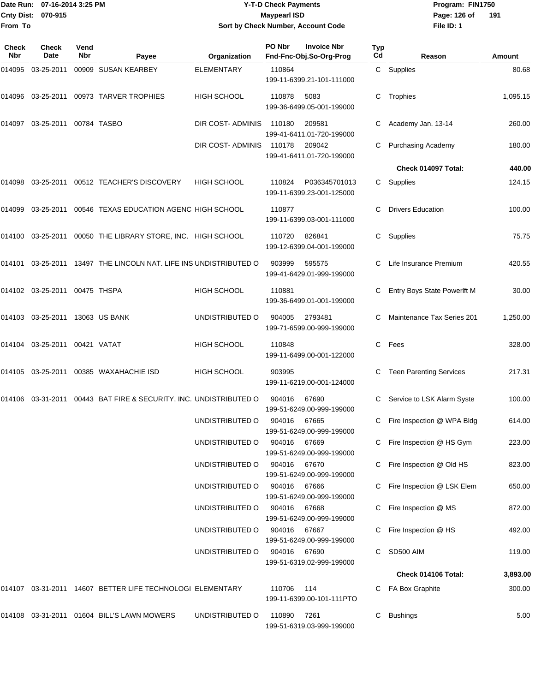### Date Run: 07-16-2014 3:25 PM **Program:** FIN1750 **Y-T-D Check Payments 070-915 Maypearl ISD Sort by Check Number, Account Code**

**File ID: 1** Page: 126 of 191

| <b>Check</b><br><b>Nbr</b> | <b>Check</b><br>Date          | Vend<br><b>Nbr</b> | Payee                                                             | Organization       | PO Nbr       | <b>Invoice Nbr</b><br>Fnd-Fnc-Obj.So-Org-Prog | Typ<br>Cd | Reason                         | Amount   |
|----------------------------|-------------------------------|--------------------|-------------------------------------------------------------------|--------------------|--------------|-----------------------------------------------|-----------|--------------------------------|----------|
| 014095                     | 03-25-2011                    |                    | 00909 SUSAN KEARBEY                                               | <b>ELEMENTARY</b>  | 110864       | 199-11-6399.21-101-111000                     |           | C Supplies                     | 80.68    |
|                            | 014096 03-25-2011             |                    | 00973 TARVER TROPHIES                                             | HIGH SCHOOL        | 110878       | 5083<br>199-36-6499.05-001-199000             | C         | Trophies                       | 1,095.15 |
| 014097                     | 03-25-2011                    |                    | 00784 TASBO                                                       | DIR COST- ADMINIS  | 110180       | 209581<br>199-41-6411.01-720-199000           | C         | Academy Jan. 13-14             | 260.00   |
|                            |                               |                    |                                                                   | DIR COST- ADMINIS  | 110178       | 209042<br>199-41-6411.01-720-199000           | C         | <b>Purchasing Academy</b>      | 180.00   |
|                            |                               |                    |                                                                   |                    |              |                                               |           | Check 014097 Total:            | 440.00   |
|                            |                               |                    | 014098  03-25-2011  00512  TEACHER'S DISCOVERY                    | <b>HIGH SCHOOL</b> | 110824       | P036345701013<br>199-11-6399.23-001-125000    | C         | Supplies                       | 124.15   |
| 014099                     | 03-25-2011                    |                    | 00546 TEXAS EDUCATION AGENC HIGH SCHOOL                           |                    | 110877       | 199-11-6399.03-001-111000                     | C.        | <b>Drivers Education</b>       | 100.00   |
| 014100                     |                               |                    | 03-25-2011 00050 THE LIBRARY STORE, INC. HIGH SCHOOL              |                    | 110720       | 826841<br>199-12-6399.04-001-199000           | C         | Supplies                       | 75.75    |
| 014101                     |                               |                    | 03-25-2011 13497 THE LINCOLN NAT. LIFE INS UNDISTRIBUTED O        |                    | 903999       | 595575<br>199-41-6429.01-999-199000           | C         | Life Insurance Premium         | 420.55   |
|                            | 014102 03-25-2011 00475 THSPA |                    |                                                                   | HIGH SCHOOL        | 110881       | 199-36-6499.01-001-199000                     | C         | Entry Boys State Powerlft M    | 30.00    |
|                            | 014103 03-25-2011             |                    | 13063 US BANK                                                     | UNDISTRIBUTED O    | 904005       | 2793481<br>199-71-6599.00-999-199000          | C         | Maintenance Tax Series 201     | 1,250.00 |
| 014104                     |                               |                    |                                                                   | <b>HIGH SCHOOL</b> | 110848       | 199-11-6499.00-001-122000                     | C.        | Fees                           | 328.00   |
| 014105                     | 03-25-2011                    |                    | 00385 WAXAHACHIE ISD                                              | <b>HIGH SCHOOL</b> | 903995       | 199-11-6219.00-001-124000                     |           | <b>Teen Parenting Services</b> | 217.31   |
|                            |                               |                    | 014106 03-31-2011 00443 BAT FIRE & SECURITY, INC. UNDISTRIBUTED O |                    | 904016       | 67690<br>199-51-6249.00-999-199000            | C         | Service to LSK Alarm Syste     | 100.00   |
|                            |                               |                    |                                                                   | UNDISTRIBUTED O    | 904016       | 67665<br>199-51-6249.00-999-199000            | C         | Fire Inspection @ WPA Bldg     | 614.00   |
|                            |                               |                    |                                                                   | UNDISTRIBUTED O    | 904016       | 67669<br>199-51-6249.00-999-199000            |           | C Fire Inspection @ HS Gym     | 223.00   |
|                            |                               |                    |                                                                   | UNDISTRIBUTED O    | 904016       | 67670<br>199-51-6249.00-999-199000            |           | Fire Inspection @ Old HS       | 823.00   |
|                            |                               |                    |                                                                   | UNDISTRIBUTED O    | 904016       | 67666<br>199-51-6249.00-999-199000            | C         | Fire Inspection @ LSK Elem     | 650.00   |
|                            |                               |                    |                                                                   | UNDISTRIBUTED O    | 904016 67668 | 199-51-6249.00-999-199000                     |           | Fire Inspection @ MS           | 872.00   |
|                            |                               |                    |                                                                   | UNDISTRIBUTED O    | 904016       | 67667<br>199-51-6249.00-999-199000            |           | Fire Inspection @ HS           | 492.00   |
|                            |                               |                    |                                                                   | UNDISTRIBUTED O    | 904016       | 67690<br>199-51-6319.02-999-199000            | C         | SD500 AIM                      | 119.00   |
|                            |                               |                    |                                                                   |                    |              |                                               |           | Check 014106 Total:            | 3,893.00 |
|                            |                               |                    | 014107 03-31-2011 14607 BETTER LIFE TECHNOLOGI ELEMENTARY         |                    | 110706       | 114<br>199-11-6399.00-101-111PTO              | C         | FA Box Graphite                | 300.00   |
|                            |                               |                    | 014108 03-31-2011 01604 BILL'S LAWN MOWERS                        | UNDISTRIBUTED O    | 110890       | 7261<br>199-51-6319.03-999-199000             |           | <b>Bushings</b>                | 5.00     |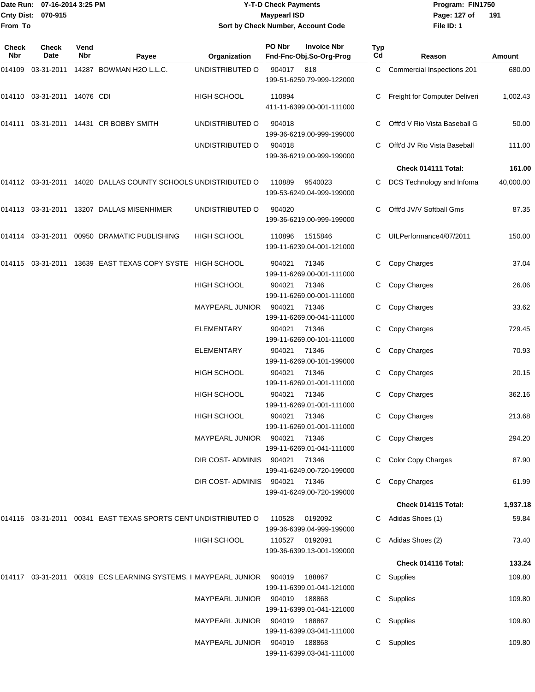|                    | Date Run: 07-16-2014 3:25 PM |
|--------------------|------------------------------|
| Cnty Dist: 070-915 |                              |
| From To            |                              |

# **Date Run: Program: FIN1750 07-16-2014 3:25 PM Y-T-D Check Payments Cnty Dist: Page: 127 of 070-915 Maypearl ISD Sort by Check Number, Account Code**

**File ID: 1** Page: 127 of 191

| Check<br><b>Nbr</b> | Check<br>Date        | Vend<br>Nbr | Payee                                                                  | Organization                  | PO Nbr       | <b>Invoice Nbr</b><br>Fnd-Fnc-Obj.So-Org-Prog | Typ<br>Cd | Reason                        | Amount    |
|---------------------|----------------------|-------------|------------------------------------------------------------------------|-------------------------------|--------------|-----------------------------------------------|-----------|-------------------------------|-----------|
| 014109              | 03-31-2011           |             | 14287 BOWMAN H2O L.L.C.                                                | UNDISTRIBUTED O               | 904017       | 818<br>199-51-6259.79-999-122000              | C         | Commercial Inspections 201    | 680.00    |
| 014110              | 03-31-2011 14076 CDI |             |                                                                        | HIGH SCHOOL                   | 110894       | 411-11-6399.00-001-111000                     | С         | Freight for Computer Deliveri | 1,002.43  |
| 014111              |                      |             | 03-31-2011 14431 CR BOBBY SMITH                                        | UNDISTRIBUTED O               | 904018       | 199-36-6219.00-999-199000                     | С         | Offt'd V Rio Vista Baseball G | 50.00     |
|                     |                      |             |                                                                        | UNDISTRIBUTED O               | 904018       | 199-36-6219.00-999-199000                     | С         | Offt'd JV Rio Vista Baseball  | 111.00    |
|                     |                      |             |                                                                        |                               |              |                                               |           | Check 014111 Total:           | 161.00    |
|                     |                      |             | 014112 03-31-2011 14020 DALLAS COUNTY SCHOOLS UNDISTRIBUTED O          |                               | 110889       | 9540023<br>199-53-6249.04-999-199000          |           | DCS Technology and Infoma     | 40,000.00 |
|                     |                      |             | 014113 03-31-2011 13207 DALLAS MISENHIMER                              | UNDISTRIBUTED O               | 904020       | 199-36-6219.00-999-199000                     | С         | Offt'd JV/V Softball Gms      | 87.35     |
|                     |                      |             | 014114 03-31-2011 00950 DRAMATIC PUBLISHING                            | <b>HIGH SCHOOL</b>            | 110896       | 1515846<br>199-11-6239.04-001-121000          | С         | UILPerformance4/07/2011       | 150.00    |
| 014115              |                      |             | 03-31-2011 13639 EAST TEXAS COPY SYSTE HIGH SCHOOL                     |                               | 904021       | 71346<br>199-11-6269.00-001-111000            | С         | Copy Charges                  | 37.04     |
|                     |                      |             |                                                                        | <b>HIGH SCHOOL</b>            | 904021       | 71346<br>199-11-6269.00-001-111000            | С         | Copy Charges                  | 26.06     |
|                     |                      |             |                                                                        | <b>MAYPEARL JUNIOR</b>        | 904021       | 71346<br>199-11-6269.00-041-111000            | С         | Copy Charges                  | 33.62     |
|                     |                      |             |                                                                        | <b>ELEMENTARY</b>             | 904021       | 71346<br>199-11-6269.00-101-111000            | С         | Copy Charges                  | 729.45    |
|                     |                      |             |                                                                        | <b>ELEMENTARY</b>             | 904021       | 71346<br>199-11-6269.00-101-199000            | С         | Copy Charges                  | 70.93     |
|                     |                      |             |                                                                        | HIGH SCHOOL                   | 904021       | 71346<br>199-11-6269.01-001-111000            | C.        | Copy Charges                  | 20.15     |
|                     |                      |             |                                                                        | HIGH SCHOOL                   | 904021       | 71346<br>199-11-6269.01-001-111000            | С         | Copy Charges                  | 362.16    |
|                     |                      |             |                                                                        | HIGH SCHOOL                   | 904021       | 71346<br>199-11-6269.01-001-111000            | С         | Copy Charges                  | 213.68    |
|                     |                      |             |                                                                        | MAYPEARL JUNIOR               | 904021       | 71346<br>199-11-6269.01-041-111000            |           | C Copy Charges                | 294.20    |
|                     |                      |             |                                                                        | DIR COST-ADMINIS 904021       |              | 71346<br>199-41-6249.00-720-199000            |           | <b>Color Copy Charges</b>     | 87.90     |
|                     |                      |             |                                                                        | DIR COST-ADMINIS              | 904021 71346 | 199-41-6249.00-720-199000                     | С         | Copy Charges                  | 61.99     |
|                     |                      |             |                                                                        |                               |              |                                               |           | Check 014115 Total:           | 1,937.18  |
|                     |                      |             | 014116 03-31-2011 00341 EAST TEXAS SPORTS CENT UNDISTRIBUTED O         |                               | 110528       | 0192092<br>199-36-6399.04-999-199000          | C         | Adidas Shoes (1)              | 59.84     |
|                     |                      |             |                                                                        | HIGH SCHOOL                   | 110527       | 0192091<br>199-36-6399.13-001-199000          | C.        | Adidas Shoes (2)              | 73.40     |
|                     |                      |             |                                                                        |                               |              |                                               |           | Check 014116 Total:           | 133.24    |
|                     |                      |             | 014117 03-31-2011 00319 ECS LEARNING SYSTEMS, I MAYPEARL JUNIOR 904019 |                               |              | 188867<br>199-11-6399.01-041-121000           |           | C Supplies                    | 109.80    |
|                     |                      |             |                                                                        | MAYPEARL JUNIOR 904019 188868 |              | 199-11-6399.01-041-121000                     | С         | Supplies                      | 109.80    |
|                     |                      |             |                                                                        | MAYPEARL JUNIOR 904019 188867 |              | 199-11-6399.03-041-111000                     |           | Supplies                      | 109.80    |
|                     |                      |             |                                                                        | MAYPEARL JUNIOR 904019 188868 |              | 199-11-6399.03-041-111000                     |           | C Supplies                    | 109.80    |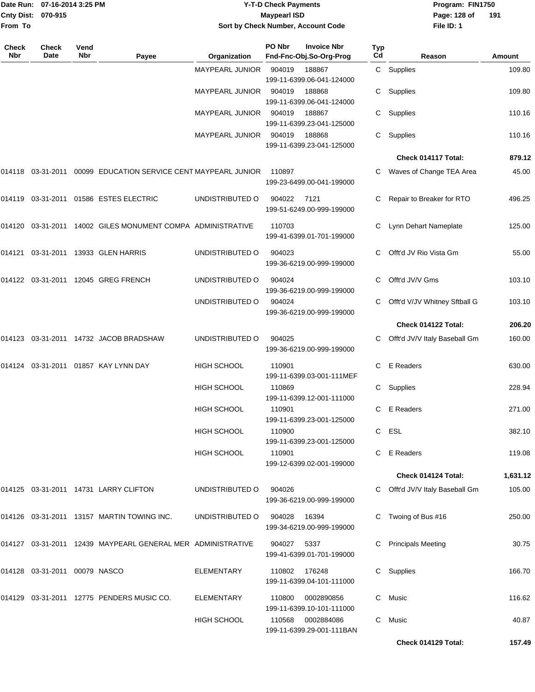| From To             | Date Run: 07-16-2014 3:25 PM<br>Cnty Dist: 070-915 |             |                                                                                                       |                        | <b>Y-T-D Check Payments</b><br><b>Maypearl ISD</b><br>Sort by Check Number, Account Code |           | Program: FIN1750<br>Page: 128 of<br>191<br>File ID: 1 |          |  |
|---------------------|----------------------------------------------------|-------------|-------------------------------------------------------------------------------------------------------|------------------------|------------------------------------------------------------------------------------------|-----------|-------------------------------------------------------|----------|--|
| <b>Check</b><br>Nbr | <b>Check</b><br>Date                               | Vend<br>Nbr | Payee                                                                                                 | Organization           | PO Nbr<br><b>Invoice Nbr</b><br>Fnd-Fnc-Obj.So-Org-Prog                                  | Typ<br>Cd | Reason                                                | Amount   |  |
|                     |                                                    |             |                                                                                                       | <b>MAYPEARL JUNIOR</b> | 904019<br>188867<br>199-11-6399.06-041-124000                                            | C         | Supplies                                              | 109.80   |  |
|                     |                                                    |             |                                                                                                       | <b>MAYPEARL JUNIOR</b> | 904019<br>188868<br>199-11-6399.06-041-124000                                            | C         | Supplies                                              | 109.80   |  |
|                     |                                                    |             |                                                                                                       | <b>MAYPEARL JUNIOR</b> | 904019<br>188867<br>199-11-6399.23-041-125000                                            | С         | Supplies                                              | 110.16   |  |
|                     |                                                    |             |                                                                                                       | <b>MAYPEARL JUNIOR</b> | 904019<br>188868<br>199-11-6399.23-041-125000                                            | C         | Supplies                                              | 110.16   |  |
|                     |                                                    |             |                                                                                                       |                        |                                                                                          |           | Check 014117 Total:                                   | 879.12   |  |
|                     |                                                    |             | 014118  03-31-2011  00099  EDUCATION SERVICE CENT MAYPEARL JUNIOR                                     |                        | 110897<br>199-23-6499.00-041-199000                                                      | C.        | Waves of Change TEA Area                              | 45.00    |  |
|                     |                                                    |             | 014119  03-31-2011  01586  ESTES ELECTRIC                                                             | UNDISTRIBUTED O        | 904022<br>7121<br>199-51-6249.00-999-199000                                              |           | Repair to Breaker for RTO                             | 496.25   |  |
|                     |                                                    |             | 014120 03-31-2011 14002 GILES MONUMENT COMPA ADMINISTRATIVE                                           |                        | 110703<br>199-41-6399.01-701-199000                                                      | C         | Lynn Dehart Nameplate                                 | 125.00   |  |
|                     |                                                    |             |                                                                                                       | UNDISTRIBUTED O        | 904023<br>199-36-6219.00-999-199000                                                      |           | Offt'd JV Rio Vista Gm                                | 55.00    |  |
|                     |                                                    |             |                                                                                                       | UNDISTRIBUTED O        | 904024<br>199-36-6219.00-999-199000                                                      | C         | Offt'd JV/V Gms                                       | 103.10   |  |
|                     |                                                    |             |                                                                                                       | UNDISTRIBUTED O        | 904024<br>199-36-6219.00-999-199000                                                      | C         | Offt'd V/JV Whitney Sftball G                         | 103.10   |  |
|                     |                                                    |             |                                                                                                       |                        |                                                                                          |           | Check 014122 Total:                                   | 206.20   |  |
|                     |                                                    |             |                                                                                                       | UNDISTRIBUTED O        | 904025<br>199-36-6219.00-999-199000                                                      | C         | Offt'd JV/V Italy Baseball Gm                         | 160.00   |  |
|                     |                                                    |             | 014124 03-31-2011 01857  KAY LYNN DAY                                                                 | <b>HIGH SCHOOL</b>     | 110901<br>199-11-6399.03-001-111MEF                                                      | C.        | E Readers                                             | 630.00   |  |
|                     |                                                    |             |                                                                                                       | HIGH SCHOOL            | 110869<br>199-11-6399.12-001-111000                                                      |           | C Supplies                                            | 228.94   |  |
|                     |                                                    |             |                                                                                                       | HIGH SCHOOL            | 110901<br>199-11-6399.23-001-125000                                                      |           | C E Readers                                           | 271.00   |  |
|                     |                                                    |             |                                                                                                       | HIGH SCHOOL            | 110900<br>199-11-6399.23-001-125000                                                      |           | C ESL                                                 | 382.10   |  |
|                     |                                                    |             |                                                                                                       | HIGH SCHOOL            | 110901<br>199-12-6399.02-001-199000                                                      |           | C E Readers                                           | 119.08   |  |
|                     |                                                    |             |                                                                                                       |                        |                                                                                          |           | Check 014124 Total:                                   | 1,631.12 |  |
|                     |                                                    |             |                                                                                                       | UNDISTRIBUTED O        | 904026<br>199-36-6219.00-999-199000                                                      |           | C Offt'd JV/V Italy Baseball Gm                       | 105.00   |  |
|                     |                                                    |             | 014126  03-31-2011  13157  MARTIN TOWING INC.                                                         | UNDISTRIBUTED O        | 904028<br>16394<br>199-34-6219.00-999-199000                                             | C.        | Twoing of Bus #16                                     | 250.00   |  |
|                     |                                                    |             | 014127   03-31-2011   12439   MAYPEARL                                   GENERAL MER   ADMINISTRATIVE |                        | 904027 5337<br>199-41-6399.01-701-199000                                                 |           | C Principals Meeting                                  | 30.75    |  |
|                     | 014128  03-31-2011  00079  NASCO                   |             |                                                                                                       | ELEMENTARY             | 110802 176248<br>199-11-6399.04-101-111000                                               |           | C Supplies                                            | 166.70   |  |
|                     |                                                    |             |                                                                                                       | ELEMENTARY             | 110800<br>0002890856<br>199-11-6399.10-101-111000                                        |           | C Music                                               | 116.62   |  |
|                     |                                                    |             |                                                                                                       | HIGH SCHOOL            | 110568 0002884086                                                                        |           | C Music                                               | 40.87    |  |

199-11-6399.29-001-111BAN

**Check 014129 Total: 157.49**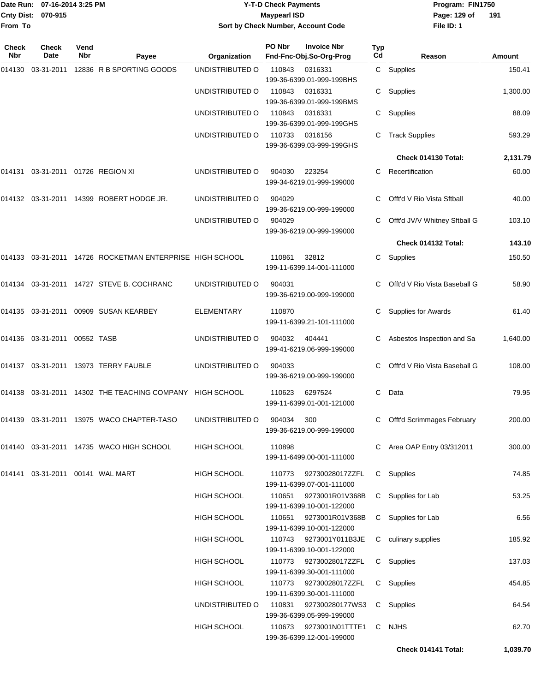|                    | Date Run: 07-16-2014 3:25 PM |
|--------------------|------------------------------|
| Cnty Dist: 070-915 |                              |
| From To            |                              |

#### **Date Run: Program: FIN1750 07-16-2014 3:25 PM Y-T-D Check Payments Cnty Dist: Page: 129 of 070-915 Maypearl ISD Sort by Check Number, Account Code**

**File ID: 1 191**

| Check<br>Nbr | <b>Check</b><br>Date                | Vend<br>Nbr | Payee                                                    | Organization       | PO Nbr | <b>Invoice Nbr</b><br>Fnd-Fnc-Obj.So-Org-Prog       | <b>Typ</b><br>Cd | Reason                        | Amount   |
|--------------|-------------------------------------|-------------|----------------------------------------------------------|--------------------|--------|-----------------------------------------------------|------------------|-------------------------------|----------|
| 014130       | 03-31-2011                          |             | 12836 R B SPORTING GOODS                                 | UNDISTRIBUTED O    | 110843 | 0316331<br>199-36-6399.01-999-199BHS                |                  | C Supplies                    | 150.41   |
|              |                                     |             |                                                          | UNDISTRIBUTED O    | 110843 | 0316331<br>199-36-6399.01-999-199BMS                | C.               | Supplies                      | 1,300.00 |
|              |                                     |             |                                                          | UNDISTRIBUTED O    | 110843 | 0316331<br>199-36-6399.01-999-199GHS                | С                | Supplies                      | 88.09    |
|              |                                     |             |                                                          | UNDISTRIBUTED O    | 110733 | 0316156<br>199-36-6399.03-999-199GHS                | С                | <b>Track Supplies</b>         | 593.29   |
|              |                                     |             |                                                          |                    |        |                                                     |                  | Check 014130 Total:           | 2,131.79 |
| 014131       |                                     |             | 03-31-2011  01726  REGION XI                             | UNDISTRIBUTED O    | 904030 | 223254<br>199-34-6219.01-999-199000                 | С                | Recertification               | 60.00    |
|              |                                     |             | 014132 03-31-2011 14399 ROBERT HODGE JR.                 | UNDISTRIBUTED O    | 904029 | 199-36-6219.00-999-199000                           | C.               | Offt'd V Rio Vista Sftball    | 40.00    |
|              |                                     |             |                                                          | UNDISTRIBUTED O    | 904029 | 199-36-6219.00-999-199000                           | C                | Offt'd JV/V Whitney Sftball G | 103.10   |
|              |                                     |             |                                                          |                    |        |                                                     |                  | Check 014132 Total:           | 143.10   |
|              |                                     |             | 014133 03-31-2011 14726 ROCKETMAN ENTERPRISE HIGH SCHOOL |                    | 110861 | 32812<br>199-11-6399.14-001-111000                  | C                | Supplies                      | 150.50   |
| 014134       |                                     |             | 03-31-2011 14727 STEVE B. COCHRANC                       | UNDISTRIBUTED O    | 904031 | 199-36-6219.00-999-199000                           |                  | Offt'd V Rio Vista Baseball G | 58.90    |
|              |                                     |             | 014135  03-31-2011  00909  SUSAN KEARBEY                 | <b>ELEMENTARY</b>  | 110870 | 199-11-6399.21-101-111000                           | С                | <b>Supplies for Awards</b>    | 61.40    |
| 014136       | 03-31-2011                          | 00552 TASB  |                                                          | UNDISTRIBUTED O    | 904032 | 404441<br>199-41-6219.06-999-199000                 | С                | Asbestos Inspection and Sa    | 1,640.00 |
| 014137       |                                     |             | 03-31-2011 13973 TERRY FAUBLE                            | UNDISTRIBUTED O    | 904033 | 199-36-6219.00-999-199000                           | C                | Offt'd V Rio Vista Baseball G | 108.00   |
| 014138       |                                     |             | 03-31-2011 14302 THE TEACHING COMPANY HIGH SCHOOL        |                    | 110623 | 6297524<br>199-11-6399.01-001-121000                | C                | Data                          | 79.95    |
| 014139       |                                     |             | 03-31-2011 13975 WACO CHAPTER-TASO                       | UNDISTRIBUTED O    | 904034 | 300<br>199-36-6219.00-999-199000                    | С                | Offt'd Scrimmages February    | 200.00   |
|              |                                     |             |                                                          | <b>HIGH SCHOOL</b> | 110898 | 199-11-6499.00-001-111000                           |                  | C Area OAP Entry 03/312011    | 300.00   |
|              | 014141  03-31-2011  00141  WAL MART |             |                                                          | <b>HIGH SCHOOL</b> | 110773 | 92730028017ZZFL<br>199-11-6399.07-001-111000        |                  | C Supplies                    | 74.85    |
|              |                                     |             |                                                          | <b>HIGH SCHOOL</b> | 110651 | 9273001R01V368B<br>199-11-6399.10-001-122000        | C                | Supplies for Lab              | 53.25    |
|              |                                     |             |                                                          | <b>HIGH SCHOOL</b> | 110651 | 9273001R01V368B<br>199-11-6399.10-001-122000        | C                | Supplies for Lab              | 6.56     |
|              |                                     |             |                                                          | <b>HIGH SCHOOL</b> |        | 110743 9273001Y011B3JE<br>199-11-6399.10-001-122000 | C                | culinary supplies             | 185.92   |
|              |                                     |             |                                                          | <b>HIGH SCHOOL</b> |        | 110773 92730028017ZZFL<br>199-11-6399.30-001-111000 |                  | C Supplies                    | 137.03   |
|              |                                     |             |                                                          | <b>HIGH SCHOOL</b> | 110773 | 92730028017ZZFL<br>199-11-6399.30-001-111000        |                  | C Supplies                    | 454.85   |
|              |                                     |             |                                                          | UNDISTRIBUTED O    | 110831 | 927300280177WS3<br>199-36-6399.05-999-199000        |                  | C Supplies                    | 64.54    |
|              |                                     |             |                                                          | <b>HIGH SCHOOL</b> | 110673 | 9273001N01TTTE1<br>199-36-6399.12-001-199000        |                  | C NJHS                        | 62.70    |

**Check 014141 Total: 1,039.70**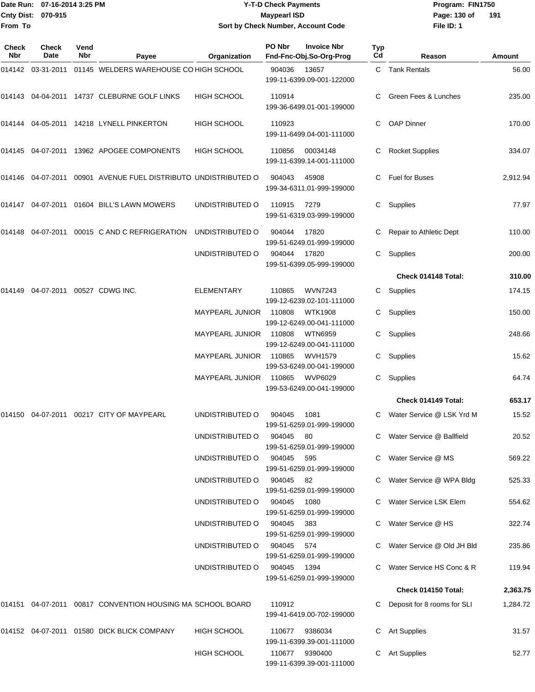### Date Run: 07-16-2014 3:25 PM **Program:** FIN1750 **Y-T-D Check Payments 070-915 Maypearl ISD Sort by Check Number, Account Code**

**File ID: 1** Page: 130 of 191

| Check<br><b>Nbr</b> | <b>Check</b><br><b>Date</b> | Vend<br><b>Nbr</b> | Payee                                                             | Organization           | PO Nbr      | <b>Invoice Nbr</b><br>Fnd-Fnc-Obj.So-Org-Prog | Typ<br>Cd | Reason                        | <b>Amount</b> |
|---------------------|-----------------------------|--------------------|-------------------------------------------------------------------|------------------------|-------------|-----------------------------------------------|-----------|-------------------------------|---------------|
|                     |                             |                    | 014142 03-31-2011 01145 WELDERS WAREHOUSE CO HIGH SCHOOL          |                        | 904036      | 13657<br>199-11-6399.09-001-122000            |           | C Tank Rentals                | 56.00         |
|                     |                             |                    | 014143 04-04-2011 14737 CLEBURNE GOLF LINKS                       | <b>HIGH SCHOOL</b>     | 110914      | 199-36-6499.01-001-199000                     |           | Green Fees & Lunches          | 235.00        |
|                     |                             |                    | 014144 04-05-2011 14218 LYNELL PINKERTON                          | HIGH SCHOOL            | 110923      | 199-11-6499.04-001-111000                     | C         | <b>OAP Dinner</b>             | 170.00        |
|                     |                             |                    | 014145 04-07-2011 13962 APOGEE COMPONENTS                         | <b>HIGH SCHOOL</b>     | 110856      | 00034148<br>199-11-6399.14-001-111000         | C         | <b>Rocket Supplies</b>        | 334.07        |
|                     |                             |                    | 014146  04-07-2011  00901  AVENUE FUEL DISTRIBUTO UNDISTRIBUTED O |                        | 904043      | 45908<br>199-34-6311.01-999-199000            | C.        | Fuel for Buses                | 2,912.94      |
|                     |                             |                    | 014147 04-07-2011 01604 BILL'S LAWN MOWERS                        | UNDISTRIBUTED O        | 110915      | 7279<br>199-51-6319.03-999-199000             | C         | Supplies                      | 77.97         |
| 014148              |                             |                    | 04-07-2011  00015  C AND C REFRIGERATION                          | UNDISTRIBUTED O        | 904044      | 17820<br>199-51-6249.01-999-199000            |           | Repair to Athletic Dept       | 110.00        |
|                     |                             |                    |                                                                   | UNDISTRIBUTED O        | 904044      | 17820<br>199-51-6399.05-999-199000            | C.        | Supplies                      | 200.00        |
|                     |                             |                    |                                                                   |                        |             |                                               |           | Check 014148 Total:           | 310.00        |
| 014149              |                             |                    | 04-07-2011 00527 CDWG INC.                                        | <b>ELEMENTARY</b>      | 110865      | <b>WVN7243</b><br>199-12-6239.02-101-111000   | C         | Supplies                      | 174.15        |
|                     |                             |                    |                                                                   | <b>MAYPEARL JUNIOR</b> | 110808      | <b>WTK1908</b><br>199-12-6249.00-041-111000   | C         | Supplies                      | 150.00        |
|                     |                             |                    |                                                                   | <b>MAYPEARL JUNIOR</b> | 110808      | <b>WTN6959</b><br>199-12-6249.00-041-111000   | C.        | Supplies                      | 248.66        |
|                     |                             |                    |                                                                   | <b>MAYPEARL JUNIOR</b> | 110865      | <b>WVH1579</b><br>199-53-6249.00-041-199000   | C.        | Supplies                      | 15.62         |
|                     |                             |                    |                                                                   | <b>MAYPEARL JUNIOR</b> | 110865      | WVP6029<br>199-53-6249.00-041-199000          | C.        | Supplies                      | 64.74         |
|                     |                             |                    |                                                                   |                        |             |                                               |           | Check 014149 Total:           | 653.17        |
|                     |                             |                    | 014150  04-07-2011  00217  CITY OF MAYPEARL                       | UNDISTRIBUTED O        | 904045      | 1081<br>199-51-6259.01-999-199000             | C.        | Water Service @ LSK Yrd M     | 15.52         |
|                     |                             |                    |                                                                   | UNDISTRIBUTED O        | 904045      | 80<br>199-51-6259.01-999-199000               |           | C Water Service @ Ballfield   | 20.52         |
|                     |                             |                    |                                                                   | UNDISTRIBUTED O        | 904045      | 595<br>199-51-6259.01-999-199000              |           | C Water Service @ MS          | 569.22        |
|                     |                             |                    |                                                                   | UNDISTRIBUTED O        | 904045 82   | 199-51-6259.01-999-199000                     |           | C Water Service @ WPA Bldg    | 525.33        |
|                     |                             |                    |                                                                   | UNDISTRIBUTED O        | 904045      | 1080<br>199-51-6259.01-999-199000             |           | Water Service LSK Elem        | 554.62        |
|                     |                             |                    |                                                                   | UNDISTRIBUTED O        | 904045 383  | 199-51-6259.01-999-199000                     |           | C Water Service @ HS          | 322.74        |
|                     |                             |                    |                                                                   | UNDISTRIBUTED O        | 904045 574  | 199-51-6259.01-999-199000                     |           | C Water Service @ Old JH Bld  | 235.86        |
|                     |                             |                    |                                                                   | UNDISTRIBUTED O        | 904045 1394 | 199-51-6259.01-999-199000                     |           | C Water Service HS Conc & R   | 119.94        |
|                     |                             |                    |                                                                   |                        |             |                                               |           | Check 014150 Total:           | 2,363.75      |
|                     |                             |                    | 014151 04-07-2011 00817 CONVENTION HOUSING MA SCHOOL BOARD        |                        | 110912      | 199-41-6419.00-702-199000                     |           | C Deposit for 8 rooms for SLI | 1,284.72      |
|                     |                             |                    | 014152 04-07-2011 01580 DICK BLICK COMPANY                        | <b>HIGH SCHOOL</b>     | 110677      | 9386034<br>199-11-6399.39-001-111000          |           | C Art Supplies                | 31.57         |
|                     |                             |                    |                                                                   | HIGH SCHOOL            | 110677      | 9390400<br>199-11-6399.39-001-111000          |           | C Art Supplies                | 52.77         |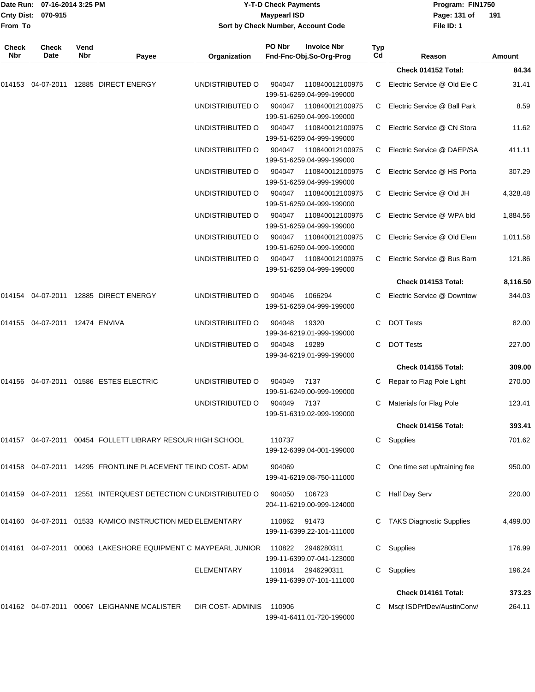| From To      | Date Run: 07-16-2014 3:25 PM<br>Cnty Dist: 070-915 |      | <b>Y-T-D Check Payments</b><br><b>Maypearl ISD</b><br>Sort by Check Number, Account Code |                   |        |                                              | Program: FIN1750<br>Page: 131 of<br>File ID: 1 | 191                             |          |
|--------------|----------------------------------------------------|------|------------------------------------------------------------------------------------------|-------------------|--------|----------------------------------------------|------------------------------------------------|---------------------------------|----------|
| <b>Check</b> | Check                                              | Vend |                                                                                          |                   | PO Nbr | <b>Invoice Nbr</b>                           | Typ                                            |                                 |          |
| Nbr          | Date                                               | Nbr  | Payee                                                                                    | Organization      |        | Fnd-Fnc-Obj.So-Org-Prog                      | Cd                                             | Reason                          | Amount   |
|              |                                                    |      |                                                                                          |                   |        |                                              |                                                | Check 014152 Total:             | 84.34    |
| 014153       |                                                    |      | 04-07-2011 12885 DIRECT ENERGY                                                           | UNDISTRIBUTED O   | 904047 | 110840012100975<br>199-51-6259.04-999-199000 | C                                              | Electric Service @ Old Ele C    | 31.41    |
|              |                                                    |      |                                                                                          | UNDISTRIBUTED O   | 904047 | 110840012100975<br>199-51-6259.04-999-199000 | C                                              | Electric Service @ Ball Park    | 8.59     |
|              |                                                    |      |                                                                                          | UNDISTRIBUTED O   | 904047 | 110840012100975<br>199-51-6259.04-999-199000 | C                                              | Electric Service @ CN Stora     | 11.62    |
|              |                                                    |      |                                                                                          | UNDISTRIBUTED O   | 904047 | 110840012100975<br>199-51-6259.04-999-199000 | C.                                             | Electric Service @ DAEP/SA      | 411.11   |
|              |                                                    |      |                                                                                          | UNDISTRIBUTED O   | 904047 | 110840012100975<br>199-51-6259.04-999-199000 | C                                              | Electric Service @ HS Porta     | 307.29   |
|              |                                                    |      |                                                                                          | UNDISTRIBUTED O   | 904047 | 110840012100975<br>199-51-6259.04-999-199000 | C                                              | Electric Service @ Old JH       | 4,328.48 |
|              |                                                    |      |                                                                                          | UNDISTRIBUTED O   | 904047 | 110840012100975<br>199-51-6259.04-999-199000 | C                                              | Electric Service @ WPA bld      | 1,884.56 |
|              |                                                    |      |                                                                                          | UNDISTRIBUTED O   | 904047 | 110840012100975<br>199-51-6259.04-999-199000 | C                                              | Electric Service @ Old Elem     | 1,011.58 |
|              |                                                    |      |                                                                                          | UNDISTRIBUTED O   | 904047 | 110840012100975<br>199-51-6259.04-999-199000 | C                                              | Electric Service @ Bus Barn     | 121.86   |
|              |                                                    |      |                                                                                          |                   |        |                                              |                                                | Check 014153 Total:             | 8,116.50 |
| 014154       |                                                    |      | 04-07-2011 12885 DIRECT ENERGY                                                           | UNDISTRIBUTED O   | 904046 | 1066294<br>199-51-6259.04-999-199000         | C.                                             | Electric Service @ Downtow      | 344.03   |
|              | 014155  04-07-2011  12474  ENVIVA                  |      |                                                                                          | UNDISTRIBUTED O   | 904048 | 19320<br>199-34-6219.01-999-199000           | С                                              | <b>DOT Tests</b>                | 82.00    |
|              |                                                    |      |                                                                                          | UNDISTRIBUTED O   | 904048 | 19289<br>199-34-6219.01-999-199000           | С                                              | <b>DOT Tests</b>                | 227.00   |
|              |                                                    |      |                                                                                          |                   |        |                                              |                                                | <b>Check 014155 Total:</b>      | 309.00   |
|              |                                                    |      | 014156 04-07-2011 01586 ESTES ELECTRIC                                                   | UNDISTRIBUTED O   | 904049 | 7137<br>199-51-6249.00-999-199000            | С                                              | Repair to Flag Pole Light       | 270.00   |
|              |                                                    |      |                                                                                          | UNDISTRIBUTED O   | 904049 | 7137                                         |                                                | C Materials for Flag Pole       | 123.41   |
|              |                                                    |      |                                                                                          |                   |        | 199-51-6319.02-999-199000                    |                                                | Check 014156 Total:             | 393.41   |
|              |                                                    |      | 014157 04-07-2011 00454 FOLLETT LIBRARY RESOUR HIGH SCHOOL                               |                   | 110737 |                                              | C.                                             | Supplies                        | 701.62   |
|              |                                                    |      |                                                                                          |                   |        | 199-12-6399.04-001-199000                    |                                                |                                 |          |
|              |                                                    |      | 014158 04-07-2011 14295 FRONTLINE PLACEMENT TE IND COST- ADM                             |                   | 904069 | 199-41-6219.08-750-111000                    |                                                | One time set up/training fee    | 950.00   |
|              |                                                    |      | 014159 04-07-2011 12551 INTERQUEST DETECTION C UNDISTRIBUTED O                           |                   | 904050 | 106723<br>204-11-6219.00-999-124000          |                                                | Half Day Serv                   | 220.00   |
|              |                                                    |      | 014160 04-07-2011 01533 KAMICO INSTRUCTION MED ELEMENTARY                                |                   | 110862 | 91473<br>199-11-6399.22-101-111000           |                                                | <b>TAKS Diagnostic Supplies</b> | 4,499.00 |
|              |                                                    |      | 014161 04-07-2011 00063 LAKESHORE EQUIPMENT C MAYPEARL JUNIOR                            |                   | 110822 | 2946280311<br>199-11-6399.07-041-123000      |                                                | C Supplies                      | 176.99   |
|              |                                                    |      |                                                                                          | <b>ELEMENTARY</b> | 110814 | 2946290311<br>199-11-6399.07-101-111000      | C.                                             | Supplies                        | 196.24   |
|              |                                                    |      |                                                                                          |                   |        |                                              |                                                | Check 014161 Total:             | 373.23   |
|              |                                                    |      | 014162 04-07-2011 00067 LEIGHANNE MCALISTER                                              | DIR COST-ADMINIS  | 110906 | 199-41-6411.01-720-199000                    |                                                | Msqt ISDPrfDev/AustinConv/      | 264.11   |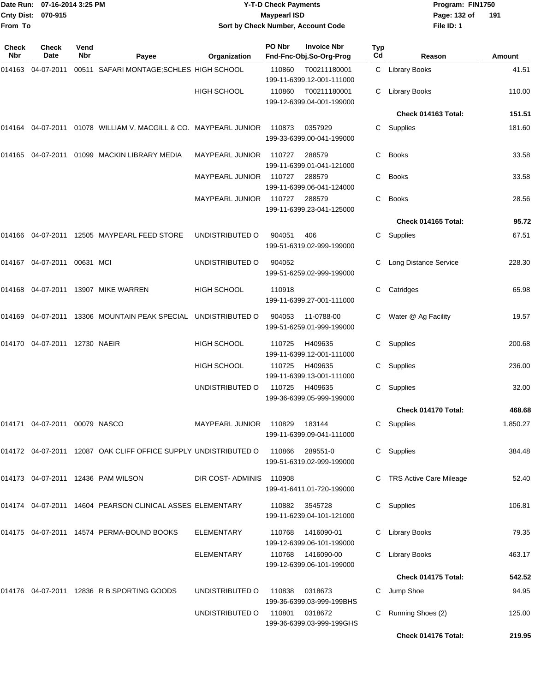|                     | Date Run: 07-16-2014 3:25 PM<br>Cnty Dist: 070-915 |                    |                                                                 |                                    | <b>Y-T-D Check Payments</b><br><b>Maypearl ISD</b> |                                                |           | Program: FIN1750<br>Page: 132 of<br>191 |          |  |
|---------------------|----------------------------------------------------|--------------------|-----------------------------------------------------------------|------------------------------------|----------------------------------------------------|------------------------------------------------|-----------|-----------------------------------------|----------|--|
| From To             |                                                    |                    |                                                                 | Sort by Check Number, Account Code |                                                    |                                                |           | File ID: 1                              |          |  |
| <b>Check</b><br>Nbr | <b>Check</b><br>Date                               | Vend<br><b>Nbr</b> | Payee                                                           | Organization                       | PO Nbr                                             | <b>Invoice Nbr</b><br>Fnd-Fnc-Obj.So-Org-Prog  | Typ<br>Cd | Reason                                  | Amount   |  |
| 014163              | 04-07-2011                                         |                    | 00511 SAFARI MONTAGE; SCHLES HIGH SCHOOL                        |                                    | 110860                                             | T00211180001<br>199-11-6399.12-001-111000      | C.        | <b>Library Books</b>                    | 41.51    |  |
|                     |                                                    |                    |                                                                 | <b>HIGH SCHOOL</b>                 | 110860                                             | T00211180001<br>199-12-6399.04-001-199000      | C         | <b>Library Books</b>                    | 110.00   |  |
|                     |                                                    |                    |                                                                 |                                    |                                                    |                                                |           | Check 014163 Total:                     | 151.51   |  |
| 014164              |                                                    |                    | 04-07-2011  01078  WILLIAM V. MACGILL & CO. MAYPEARL JUNIOR     |                                    | 110873                                             | 0357929<br>199-33-6399.00-041-199000           | C         | Supplies                                | 181.60   |  |
| 014165              |                                                    |                    | 04-07-2011 01099 MACKIN LIBRARY MEDIA                           | MAYPEARL JUNIOR                    | 110727                                             | 288579<br>199-11-6399.01-041-121000            | C         | <b>Books</b>                            | 33.58    |  |
|                     |                                                    |                    |                                                                 | MAYPEARL JUNIOR                    | 110727                                             | 288579<br>199-11-6399.06-041-124000            | C         | <b>Books</b>                            | 33.58    |  |
|                     |                                                    |                    |                                                                 | MAYPEARL JUNIOR                    | 110727                                             | 288579<br>199-11-6399.23-041-125000            | C         | <b>Books</b>                            | 28.56    |  |
|                     |                                                    |                    |                                                                 |                                    |                                                    |                                                |           | Check 014165 Total:                     | 95.72    |  |
| 014166              |                                                    |                    | 04-07-2011 12505 MAYPEARL FEED STORE                            | UNDISTRIBUTED O                    | 904051                                             | 406<br>199-51-6319.02-999-199000               | C.        | Supplies                                | 67.51    |  |
|                     |                                                    |                    |                                                                 | UNDISTRIBUTED O                    | 904052                                             | 199-51-6259.02-999-199000                      | С         | Long Distance Service                   | 228.30   |  |
| 014168              |                                                    |                    | 04-07-2011 13907 MIKE WARREN                                    | <b>HIGH SCHOOL</b>                 | 110918                                             | 199-11-6399.27-001-111000                      | С         | Catridges                               | 65.98    |  |
| 014169              | 04-07-2011                                         |                    | 13306 MOUNTAIN PEAK SPECIAL                                     | UNDISTRIBUTED O                    | 904053                                             | 11-0788-00<br>199-51-6259.01-999-199000        | С         | Water @ Ag Facility                     | 19.57    |  |
|                     |                                                    |                    |                                                                 | <b>HIGH SCHOOL</b>                 | 110725                                             | H409635<br>199-11-6399.12-001-111000           | C         | Supplies                                | 200.68   |  |
|                     |                                                    |                    |                                                                 | <b>HIGH SCHOOL</b>                 | 110725                                             | H409635<br>199-11-6399.13-001-111000           |           | C Supplies                              | 236.00   |  |
|                     |                                                    |                    |                                                                 | UNDISTRIBUTED O                    | 110725                                             | H409635<br>199-36-6399.05-999-199000           |           | C Supplies                              | 32.00    |  |
|                     |                                                    |                    |                                                                 |                                    |                                                    |                                                |           | Check 014170 Total:                     | 468.68   |  |
|                     | 014171 04-07-2011 00079 NASCO                      |                    |                                                                 | MAYPEARL JUNIOR                    | 110829                                             | 183144<br>199-11-6399.09-041-111000            |           | C Supplies                              | 1,850.27 |  |
|                     |                                                    |                    | 014172 04-07-2011 12087 OAK CLIFF OFFICE SUPPLY UNDISTRIBUTED O |                                    | 110866                                             | 289551-0<br>199-51-6319.02-999-199000          |           | C Supplies                              | 384.48   |  |
|                     |                                                    |                    | 014173  04-07-2011  12436  PAM WILSON                           | DIR COST-ADMINIS                   | 110908                                             | 199-41-6411.01-720-199000                      |           | <b>TRS Active Care Mileage</b>          | 52.40    |  |
|                     |                                                    |                    | 014174 04-07-2011 14604 PEARSON CLINICAL ASSES ELEMENTARY       |                                    | 110882                                             | 3545728<br>199-11-6239.04-101-121000           | C.        | Supplies                                | 106.81   |  |
|                     |                                                    |                    | 014175 04-07-2011 14574 PERMA-BOUND BOOKS                       | <b>ELEMENTARY</b>                  | 110768                                             | 1416090-01<br>199-12-6399.06-101-199000        | C         | <b>Library Books</b>                    | 79.35    |  |
|                     |                                                    |                    |                                                                 | ELEMENTARY                         |                                                    | 110768 1416090-00<br>199-12-6399.06-101-199000 |           | C Library Books                         | 463.17   |  |
|                     |                                                    |                    |                                                                 |                                    |                                                    |                                                |           | Check 014175 Total:                     | 542.52   |  |
|                     |                                                    |                    | 014176 04-07-2011 12836 R B SPORTING GOODS                      | UNDISTRIBUTED O                    | 110838                                             | 0318673                                        |           | C Jump Shoe                             | 94.95    |  |

199-36-6399.03-999-199BHS UNDISTRIBUTED O 110801 0318672 C Running Shoes (2) 125.00 199-36-6399.03-999-199GHS

**Check 014176 Total: 219.95**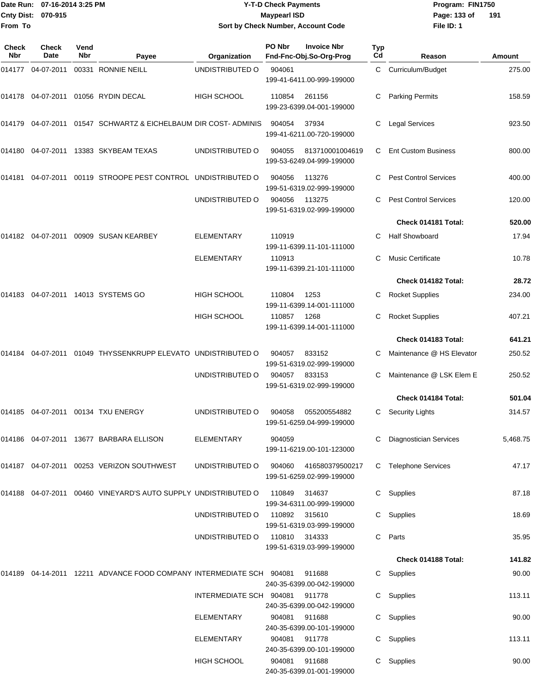|                     | Date Run: 07-16-2014 3:25 PM |                    |                                                                          | <b>Y-T-D Check Payments</b>        |                     |                                               | Program: FIN1750 |                               |          |
|---------------------|------------------------------|--------------------|--------------------------------------------------------------------------|------------------------------------|---------------------|-----------------------------------------------|------------------|-------------------------------|----------|
| <b>Cnty Dist:</b>   | 070-915                      |                    |                                                                          |                                    | <b>Maypearl ISD</b> |                                               |                  | Page: 133 of                  | 191      |
| From To             |                              |                    |                                                                          | Sort by Check Number, Account Code |                     |                                               |                  | File ID: 1                    |          |
|                     |                              |                    |                                                                          |                                    |                     |                                               |                  |                               |          |
| <b>Check</b><br>Nbr | <b>Check</b><br>Date         | Vend<br><b>Nbr</b> | Payee                                                                    | Organization                       | PO Nbr              | <b>Invoice Nbr</b><br>Fnd-Fnc-Obj.So-Org-Prog | Typ<br>Cd        | Reason                        | Amount   |
| 014177              | 04-07-2011                   |                    | 00331 RONNIE NEILL                                                       | UNDISTRIBUTED O                    | 904061              |                                               | C                | Curriculum/Budget             | 275.00   |
|                     |                              |                    |                                                                          |                                    |                     | 199-41-6411.00-999-199000                     |                  |                               |          |
|                     |                              |                    | 014178 04-07-2011 01056 RYDIN DECAL                                      | HIGH SCHOOL                        | 110854              | 261156                                        |                  | <b>Parking Permits</b>        | 158.59   |
|                     |                              |                    |                                                                          |                                    |                     | 199-23-6399.04-001-199000                     |                  |                               |          |
|                     |                              |                    | 014179 04-07-2011 01547 SCHWARTZ & EICHELBAUM DIR COST- ADMINIS          |                                    | 904054              | 37934                                         | С                | <b>Legal Services</b>         | 923.50   |
|                     |                              |                    |                                                                          |                                    |                     | 199-41-6211.00-720-199000                     |                  |                               |          |
|                     |                              |                    | 014180 04-07-2011 13383 SKYBEAM TEXAS                                    | UNDISTRIBUTED O                    | 904055              | 813710001004619                               | C                | <b>Ent Custom Business</b>    | 800.00   |
|                     |                              |                    |                                                                          |                                    |                     | 199-53-6249.04-999-199000                     |                  |                               |          |
| 014181              | 04-07-2011                   |                    | 00119 STROOPE PEST CONTROL UNDISTRIBUTED O                               |                                    | 904056              | 113276                                        | C                | <b>Pest Control Services</b>  | 400.00   |
|                     |                              |                    |                                                                          |                                    |                     | 199-51-6319.02-999-199000                     |                  |                               |          |
|                     |                              |                    |                                                                          | UNDISTRIBUTED O                    | 904056              | 113275                                        | C.               | <b>Pest Control Services</b>  | 120.00   |
|                     |                              |                    |                                                                          |                                    |                     | 199-51-6319.02-999-199000                     |                  | Check 014181 Total:           | 520.00   |
|                     |                              |                    |                                                                          |                                    |                     |                                               | C.               |                               |          |
|                     |                              |                    | 014182 04-07-2011 00909 SUSAN KEARBEY                                    | <b>ELEMENTARY</b>                  | 110919              | 199-11-6399.11-101-111000                     |                  | <b>Half Showboard</b>         | 17.94    |
|                     |                              |                    |                                                                          | <b>ELEMENTARY</b>                  | 110913              |                                               | C                | <b>Music Certificate</b>      | 10.78    |
|                     |                              |                    |                                                                          |                                    |                     | 199-11-6399.21-101-111000                     |                  |                               |          |
|                     |                              |                    |                                                                          |                                    |                     |                                               |                  | Check 014182 Total:           | 28.72    |
| 014183              |                              |                    | 04-07-2011 14013 SYSTEMS GO                                              | HIGH SCHOOL                        | 110804              | 1253                                          | С                | <b>Rocket Supplies</b>        | 234.00   |
|                     |                              |                    |                                                                          | <b>HIGH SCHOOL</b>                 | 110857              | 199-11-6399.14-001-111000<br>1268             |                  |                               | 407.21   |
|                     |                              |                    |                                                                          |                                    |                     | 199-11-6399.14-001-111000                     | С                | <b>Rocket Supplies</b>        |          |
|                     |                              |                    |                                                                          |                                    |                     |                                               |                  | Check 014183 Total:           | 641.21   |
| 014184              | 04-07-2011                   |                    | 01049 THYSSENKRUPP ELEVATO UNDISTRIBUTED O                               |                                    | 904057              | 833152                                        | С                | Maintenance @ HS Elevator     | 250.52   |
|                     |                              |                    |                                                                          |                                    |                     | 199-51-6319.02-999-199000                     |                  |                               |          |
|                     |                              |                    |                                                                          | UNDISTRIBUTED O                    | 904057              | 833153                                        | C                | Maintenance @ LSK Elem E      | 250.52   |
|                     |                              |                    |                                                                          |                                    |                     | 199-51-6319.02-999-199000                     |                  | Check 014184 Total:           | 501.04   |
|                     |                              |                    |                                                                          |                                    |                     |                                               |                  |                               |          |
|                     |                              |                    | 014185 04-07-2011 00134 TXU ENERGY                                       | UNDISTRIBUTED O                    | 904058              | 055200554882<br>199-51-6259.04-999-199000     |                  | C Security Lights             | 314.57   |
|                     |                              |                    | 014186  04-07-2011  13677  BARBARA ELLISON                               | <b>ELEMENTARY</b>                  | 904059              |                                               |                  | <b>Diagnostician Services</b> | 5,468.75 |
|                     |                              |                    |                                                                          |                                    |                     | 199-11-6219.00-101-123000                     |                  |                               |          |
|                     |                              |                    | 014187 04-07-2011 00253 VERIZON SOUTHWEST                                | UNDISTRIBUTED O                    | 904060              | 416580379500217                               | C.               | <b>Telephone Services</b>     | 47.17    |
|                     |                              |                    |                                                                          |                                    |                     | 199-51-6259.02-999-199000                     |                  |                               |          |
|                     |                              |                    | 014188  04-07-2011  00460  VINEYARD'S AUTO SUPPLY UNDISTRIBUTED O        |                                    | 110849              | 314637                                        |                  | C Supplies                    | 87.18    |
|                     |                              |                    |                                                                          |                                    |                     | 199-34-6311.00-999-199000                     |                  |                               |          |
|                     |                              |                    |                                                                          | UNDISTRIBUTED O                    | 110892              | 315610                                        |                  | C Supplies                    | 18.69    |
|                     |                              |                    |                                                                          |                                    |                     | 199-51-6319.03-999-199000                     |                  |                               |          |
|                     |                              |                    |                                                                          | UNDISTRIBUTED O                    | 110810 314333       | 199-51-6319.03-999-199000                     |                  | C Parts                       | 35.95    |
|                     |                              |                    |                                                                          |                                    |                     |                                               |                  | Check 014188 Total:           | 141.82   |
|                     |                              |                    | 014189  04-14-2011  12211  ADVANCE FOOD COMPANY INTERMEDIATE SCH  904081 |                                    |                     | 911688                                        |                  | C Supplies                    | 90.00    |
|                     |                              |                    |                                                                          |                                    |                     | 240-35-6399.00-042-199000                     |                  |                               |          |
|                     |                              |                    |                                                                          | INTERMEDIATE SCH 904081            |                     | 911778                                        |                  | C Supplies                    | 113.11   |
|                     |                              |                    |                                                                          |                                    |                     | 240-35-6399.00-042-199000                     |                  |                               |          |
|                     |                              |                    |                                                                          | ELEMENTARY                         | 904081              | 911688<br>240-35-6399.00-101-199000           |                  | C Supplies                    | 90.00    |
|                     |                              |                    |                                                                          | <b>ELEMENTARY</b>                  | 904081              | 911778                                        |                  | C Supplies                    | 113.11   |
|                     |                              |                    |                                                                          |                                    |                     |                                               |                  |                               |          |

240-35-6399.00-101-199000

240-35-6399.01-001-199000

HIGH SCHOOL 904081 911688 C Supplies 90.00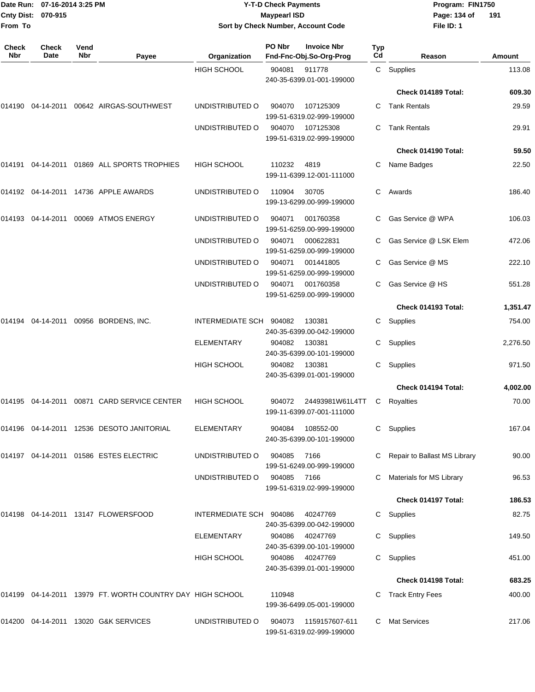| From To             | Date Run: 07-16-2014 3:25 PM<br>Cnty Dist: 070-915<br>Check<br>Vend<br>Date<br>Nbr<br>Payee |  |                                                              |                         | <b>Y-T-D Check Payments</b><br><b>Maypearl ISD</b> | Sort by Check Number, Account Code                       |                  | Program: FIN1750<br>Page: 134 of<br>191<br>File ID: 1 |          |  |
|---------------------|---------------------------------------------------------------------------------------------|--|--------------------------------------------------------------|-------------------------|----------------------------------------------------|----------------------------------------------------------|------------------|-------------------------------------------------------|----------|--|
| <b>Check</b><br>Nbr |                                                                                             |  |                                                              | Organization            | PO Nbr                                             | <b>Invoice Nbr</b><br>Fnd-Fnc-Obj.So-Org-Prog            | <b>Typ</b><br>Cd | Reason                                                | Amount   |  |
|                     |                                                                                             |  |                                                              | <b>HIGH SCHOOL</b>      | 904081                                             | 911778                                                   |                  | C Supplies                                            | 113.08   |  |
|                     |                                                                                             |  |                                                              |                         |                                                    | 240-35-6399.01-001-199000                                |                  | Check 014189 Total:                                   | 609.30   |  |
|                     |                                                                                             |  | 014190  04-14-2011  00642  AIRGAS-SOUTHWEST                  | UNDISTRIBUTED O         | 904070                                             | 107125309                                                | C.               | Tank Rentals                                          | 29.59    |  |
|                     |                                                                                             |  |                                                              |                         |                                                    | 199-51-6319.02-999-199000                                |                  |                                                       |          |  |
|                     |                                                                                             |  |                                                              | UNDISTRIBUTED O         | 904070                                             | 107125308<br>199-51-6319.02-999-199000                   | C.               | <b>Tank Rentals</b>                                   | 29.91    |  |
|                     |                                                                                             |  |                                                              |                         |                                                    |                                                          |                  | Check 014190 Total:                                   | 59.50    |  |
| 014191              |                                                                                             |  | 04-14-2011  01869  ALL SPORTS TROPHIES                       | <b>HIGH SCHOOL</b>      | 110232                                             | 4819<br>199-11-6399.12-001-111000                        | C.               | Name Badges                                           | 22.50    |  |
|                     |                                                                                             |  | 014192 04-14-2011 14736 APPLE AWARDS                         | UNDISTRIBUTED O         | 110904                                             | 30705<br>199-13-6299.00-999-199000                       | C.               | Awards                                                | 186.40   |  |
| 014193              |                                                                                             |  | 04-14-2011  00069  ATMOS ENERGY                              | UNDISTRIBUTED O         | 904071                                             | 001760358<br>199-51-6259.00-999-199000                   |                  | Gas Service @ WPA                                     | 106.03   |  |
|                     |                                                                                             |  |                                                              | UNDISTRIBUTED O         | 904071                                             | 000622831<br>199-51-6259.00-999-199000                   |                  | Gas Service @ LSK Elem                                | 472.06   |  |
|                     |                                                                                             |  |                                                              | UNDISTRIBUTED O         | 904071                                             | 001441805<br>199-51-6259.00-999-199000                   |                  | Gas Service @ MS                                      | 222.10   |  |
|                     |                                                                                             |  |                                                              | UNDISTRIBUTED O         | 904071                                             | 001760358<br>199-51-6259.00-999-199000                   | C.               | Gas Service @ HS                                      | 551.28   |  |
|                     |                                                                                             |  |                                                              |                         |                                                    |                                                          |                  | Check 014193 Total:                                   | 1,351.47 |  |
| 014194              |                                                                                             |  | 04-14-2011 00956 BORDENS, INC.                               | INTERMEDIATE SCH 904082 |                                                    | 130381<br>240-35-6399.00-042-199000                      | C.               | Supplies                                              | 754.00   |  |
|                     |                                                                                             |  |                                                              | ELEMENTARY              | 904082                                             | 130381<br>240-35-6399.00-101-199000                      | C.               | Supplies                                              | 2,276.50 |  |
|                     |                                                                                             |  |                                                              | <b>HIGH SCHOOL</b>      | 904082                                             | 130381<br>240-35-6399.01-001-199000                      | C.               | Supplies                                              | 971.50   |  |
|                     |                                                                                             |  |                                                              |                         |                                                    |                                                          |                  | Check 014194 Total:                                   | 4,002.00 |  |
|                     |                                                                                             |  | 014195 04-14-2011 00871 CARD SERVICE CENTER                  | HIGH SCHOOL             | 904072                                             | 24493981W61L4TT C Royalties<br>199-11-6399.07-001-111000 |                  |                                                       | 70.00    |  |
|                     |                                                                                             |  | 014196  04-14-2011  12536  DESOTO JANITORIAL                 | <b>ELEMENTARY</b>       | 904084                                             | 108552-00<br>240-35-6399.00-101-199000                   |                  | C Supplies                                            | 167.04   |  |
|                     |                                                                                             |  | 014197 04-14-2011 01586 ESTES ELECTRIC                       | UNDISTRIBUTED O         | 904085                                             | 7166<br>199-51-6249.00-999-199000                        |                  | C Repair to Ballast MS Library                        | 90.00    |  |
|                     |                                                                                             |  |                                                              | UNDISTRIBUTED O         | 904085 7166                                        | 199-51-6319.02-999-199000                                |                  | C Materials for MS Library                            | 96.53    |  |
|                     |                                                                                             |  |                                                              |                         |                                                    |                                                          |                  | Check 014197 Total:                                   | 186.53   |  |
|                     |                                                                                             |  | 014198  04-14-2011  13147  FLOWERSFOOD                       | INTERMEDIATE SCH 904086 |                                                    | 40247769<br>240-35-6399.00-042-199000                    |                  | C Supplies                                            | 82.75    |  |
|                     |                                                                                             |  |                                                              | ELEMENTARY              | 904086                                             | 40247769<br>240-35-6399.00-101-199000                    |                  | C Supplies                                            | 149.50   |  |
|                     |                                                                                             |  |                                                              | <b>HIGH SCHOOL</b>      | 904086                                             | 40247769<br>240-35-6399.01-001-199000                    |                  | C Supplies                                            | 451.00   |  |
|                     |                                                                                             |  |                                                              |                         |                                                    |                                                          |                  | Check 014198 Total:                                   | 683.25   |  |
|                     |                                                                                             |  | 014199  04-14-2011  13979  FT. WORTH COUNTRY DAY HIGH SCHOOL |                         | 110948                                             | 199-36-6499.05-001-199000                                |                  | C Track Entry Fees                                    | 400.00   |  |
|                     |                                                                                             |  | 014200 04-14-2011 13020 G&K SERVICES                         | UNDISTRIBUTED O         | 904073                                             | 1159157607-611<br>199-51-6319.02-999-199000              |                  | C Mat Services                                        | 217.06   |  |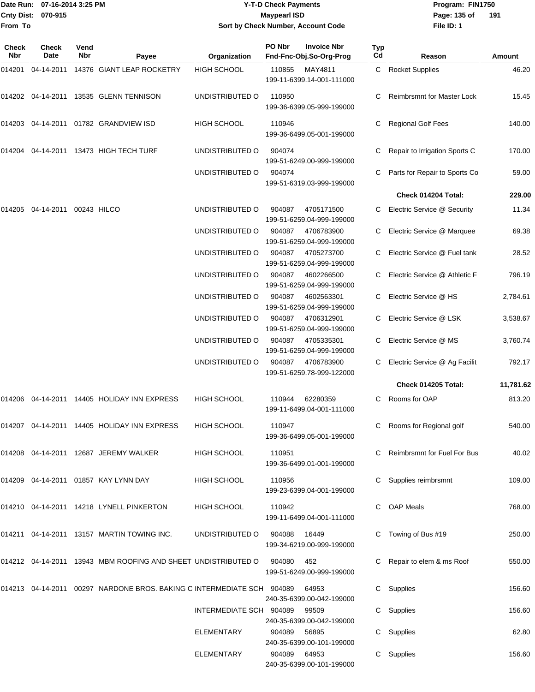### Date Run: 07-16-2014 3:25 PM **Program:** FIN1750 **Y-T-D Check Payments 070-915 Maypearl ISD Sort by Check Number, Account Code**

**File ID: 1** Page: 135 of 191

| Check<br>Nbr | <b>Check</b><br>Date   | Vend<br>Nbr | Payee                                                                      | Organization            | PO Nbr | <b>Invoice Nbr</b><br>Fnd-Fnc-Obj.So-Org-Prog | Typ<br>Cd | Reason                            | Amount    |
|--------------|------------------------|-------------|----------------------------------------------------------------------------|-------------------------|--------|-----------------------------------------------|-----------|-----------------------------------|-----------|
| 014201       |                        |             | 04-14-2011 14376 GIANT LEAP ROCKETRY                                       | <b>HIGH SCHOOL</b>      | 110855 | MAY4811<br>199-11-6399.14-001-111000          |           | C Rocket Supplies                 | 46.20     |
|              |                        |             | 014202 04-14-2011 13535 GLENN TENNISON                                     | UNDISTRIBUTED O         | 110950 | 199-36-6399.05-999-199000                     | С         | <b>Reimbrsmnt for Master Lock</b> | 15.45     |
|              |                        |             | 014203 04-14-2011 01782 GRANDVIEW ISD                                      | <b>HIGH SCHOOL</b>      | 110946 | 199-36-6499.05-001-199000                     | С         | <b>Regional Golf Fees</b>         | 140.00    |
|              |                        |             | 014204 04-14-2011 13473 HIGH TECH TURF                                     | UNDISTRIBUTED O         | 904074 | 199-51-6249.00-999-199000                     |           | Repair to Irrigation Sports C     | 170.00    |
|              |                        |             |                                                                            | UNDISTRIBUTED O         | 904074 | 199-51-6319.03-999-199000                     | С         | Parts for Repair to Sports Co     | 59.00     |
|              |                        |             |                                                                            |                         |        |                                               |           | Check 014204 Total:               | 229.00    |
| 014205       | 04-14-2011 00243 HILCO |             |                                                                            | UNDISTRIBUTED O         | 904087 | 4705171500<br>199-51-6259.04-999-199000       |           | Electric Service @ Security       | 11.34     |
|              |                        |             |                                                                            | UNDISTRIBUTED O         | 904087 | 4706783900<br>199-51-6259.04-999-199000       | C         | Electric Service @ Marquee        | 69.38     |
|              |                        |             |                                                                            | UNDISTRIBUTED O         | 904087 | 4705273700<br>199-51-6259.04-999-199000       |           | Electric Service @ Fuel tank      | 28.52     |
|              |                        |             |                                                                            | UNDISTRIBUTED O         | 904087 | 4602266500<br>199-51-6259.04-999-199000       |           | Electric Service @ Athletic F     | 796.19    |
|              |                        |             |                                                                            | UNDISTRIBUTED O         | 904087 | 4602563301<br>199-51-6259.04-999-199000       |           | Electric Service @ HS             | 2,784.61  |
|              |                        |             |                                                                            | UNDISTRIBUTED O         | 904087 | 4706312901<br>199-51-6259.04-999-199000       |           | Electric Service @ LSK            | 3,538.67  |
|              |                        |             |                                                                            | UNDISTRIBUTED O         | 904087 | 4705335301<br>199-51-6259.04-999-199000       | С         | Electric Service @ MS             | 3,760.74  |
|              |                        |             |                                                                            | UNDISTRIBUTED O         | 904087 | 4706783900<br>199-51-6259.78-999-122000       | C         | Electric Service @ Ag Facilit     | 792.17    |
|              |                        |             |                                                                            |                         |        |                                               |           | Check 014205 Total:               | 11,781.62 |
| 014206       |                        |             | 04-14-2011  14405  HOLIDAY INN EXPRESS                                     | <b>HIGH SCHOOL</b>      | 110944 | 62280359<br>199-11-6499.04-001-111000         | C         | Rooms for OAP                     | 813.20    |
|              |                        |             | 014207 04-14-2011 14405 HOLIDAY INN EXPRESS                                | <b>HIGH SCHOOL</b>      | 110947 | 199-36-6499.05-001-199000                     | C         | Rooms for Regional golf           | 540.00    |
|              |                        |             | 014208  04-14-2011  12687  JEREMY WALKER                                   | HIGH SCHOOL             | 110951 | 199-36-6499.01-001-199000                     | C.        | Reimbrsmnt for Fuel For Bus       | 40.02     |
|              |                        |             | 014209 04-14-2011 01857 KAY LYNN DAY                                       | HIGH SCHOOL             | 110956 | 199-23-6399.04-001-199000                     | C.        | Supplies reimbrsmnt               | 109.00    |
|              |                        |             | 014210 04-14-2011 14218 LYNELL PINKERTON                                   | HIGH SCHOOL             | 110942 | 199-11-6499.04-001-111000                     |           | <b>OAP Meals</b>                  | 768.00    |
|              |                        |             | 014211 04-14-2011 13157 MARTIN TOWING INC.                                 | UNDISTRIBUTED O         | 904088 | 16449<br>199-34-6219.00-999-199000            |           | Towing of Bus #19                 | 250.00    |
|              |                        |             | 014212  04-14-2011  13943  MBM ROOFING AND SHEET UNDISTRIBUTED O           |                         | 904080 | 452<br>199-51-6249.00-999-199000              |           | Repair to elem & ms Roof          | 550.00    |
|              |                        |             | 014213  04-14-2011  00297  NARDONE BROS. BAKING C INTERMEDIATE SCH  904089 |                         |        | 64953<br>240-35-6399.00-042-199000            | C.        | Supplies                          | 156.60    |
|              |                        |             |                                                                            | INTERMEDIATE SCH 904089 |        | 99509<br>240-35-6399.00-042-199000            | C         | Supplies                          | 156.60    |
|              |                        |             |                                                                            | ELEMENTARY              | 904089 | 56895<br>240-35-6399.00-101-199000            |           | C Supplies                        | 62.80     |
|              |                        |             |                                                                            | ELEMENTARY              | 904089 | 64953<br>240-35-6399.00-101-199000            |           | C Supplies                        | 156.60    |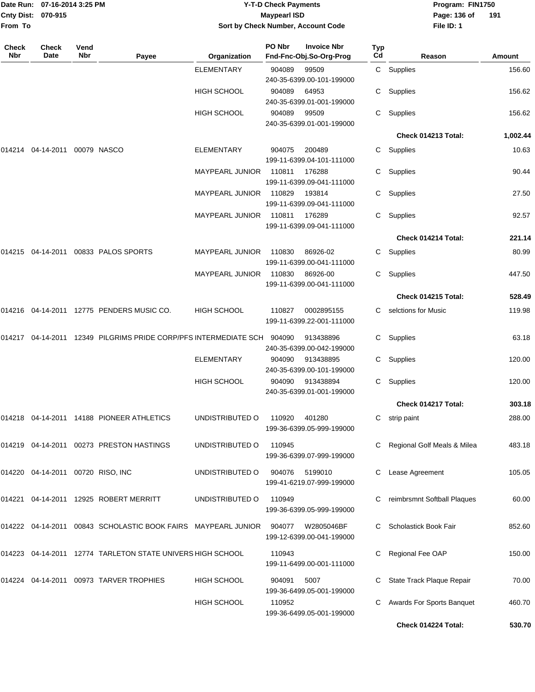|              | Date Run: 07-16-2014 3:25 PM<br>Cnty Dist: 070-915 |             |                                                                       | <b>Y-T-D Check Payments</b><br><b>Maypearl ISD</b><br>Sort by Check Number, Account Code |        |                                               |           |                         | Program: FIN1750<br>Page: 136 of<br>191 |          |  |
|--------------|----------------------------------------------------|-------------|-----------------------------------------------------------------------|------------------------------------------------------------------------------------------|--------|-----------------------------------------------|-----------|-------------------------|-----------------------------------------|----------|--|
| From To      |                                                    |             |                                                                       |                                                                                          |        |                                               |           |                         | File ID: 1                              |          |  |
| Check<br>Nbr | <b>Check</b><br>Date                               | Vend<br>Nbr | Payee                                                                 | Organization                                                                             | PO Nbr | <b>Invoice Nbr</b><br>Fnd-Fnc-Obj.So-Org-Prog | Typ<br>Cd |                         | Reason                                  | Amount   |  |
|              |                                                    |             |                                                                       | <b>ELEMENTARY</b>                                                                        | 904089 | 99509<br>240-35-6399.00-101-199000            |           | C Supplies              |                                         | 156.60   |  |
|              |                                                    |             |                                                                       | <b>HIGH SCHOOL</b>                                                                       | 904089 | 64953<br>240-35-6399.01-001-199000            | C         | Supplies                |                                         | 156.62   |  |
|              |                                                    |             |                                                                       | <b>HIGH SCHOOL</b>                                                                       | 904089 | 99509<br>240-35-6399.01-001-199000            | C         | Supplies                |                                         | 156.62   |  |
|              |                                                    |             |                                                                       |                                                                                          |        |                                               |           |                         | Check 014213 Total:                     | 1,002.44 |  |
| 014214       | 04-14-2011                                         |             | 00079 NASCO                                                           | <b>ELEMENTARY</b>                                                                        | 904075 | 200489<br>199-11-6399.04-101-111000           | C         | Supplies                |                                         | 10.63    |  |
|              |                                                    |             |                                                                       | <b>MAYPEARL JUNIOR</b>                                                                   | 110811 | 176288<br>199-11-6399.09-041-111000           | C         | Supplies                |                                         | 90.44    |  |
|              |                                                    |             |                                                                       | <b>MAYPEARL JUNIOR</b>                                                                   | 110829 | 193814<br>199-11-6399.09-041-111000           | С         | Supplies                |                                         | 27.50    |  |
|              |                                                    |             |                                                                       | MAYPEARL JUNIOR                                                                          | 110811 | 176289<br>199-11-6399.09-041-111000           | C         | Supplies                |                                         | 92.57    |  |
|              |                                                    |             |                                                                       |                                                                                          |        |                                               |           |                         | Check 014214 Total:                     | 221.14   |  |
|              |                                                    |             | 014215 04-14-2011 00833  PALOS SPORTS                                 | MAYPEARL JUNIOR                                                                          | 110830 | 86926-02<br>199-11-6399.00-041-111000         | C.        | Supplies                |                                         | 80.99    |  |
|              |                                                    |             |                                                                       | <b>MAYPEARL JUNIOR</b>                                                                   | 110830 | 86926-00<br>199-11-6399.00-041-111000         | C         | Supplies                |                                         | 447.50   |  |
|              |                                                    |             |                                                                       |                                                                                          |        |                                               |           |                         | Check 014215 Total:                     | 528.49   |  |
|              |                                                    |             | 014216 04-14-2011 12775  PENDERS MUSIC CO.                            | <b>HIGH SCHOOL</b>                                                                       | 110827 | 0002895155<br>199-11-6399.22-001-111000       |           | C selctions for Music   |                                         | 119.98   |  |
|              |                                                    |             | 12349 PILGRIMS PRIDE CORP/PFS INTERMEDIATE SCH                        |                                                                                          | 904090 | 913438896<br>240-35-6399.00-042-199000        | C         | Supplies                |                                         | 63.18    |  |
|              |                                                    |             |                                                                       | <b>ELEMENTARY</b>                                                                        | 904090 | 913438895<br>240-35-6399.00-101-199000        | C.        | Supplies                |                                         | 120.00   |  |
|              |                                                    |             |                                                                       | <b>HIGH SCHOOL</b>                                                                       | 904090 | 913438894<br>240-35-6399.01-001-199000        | C         | Supplies                |                                         | 120.00   |  |
|              |                                                    |             |                                                                       |                                                                                          |        |                                               |           |                         | Check 014217 Total:                     | 303.18   |  |
|              |                                                    |             |                                                                       | UNDISTRIBUTED O                                                                          | 110920 | 401280<br>199-36-6399.05-999-199000           |           | C strip paint           |                                         | 288.00   |  |
|              |                                                    |             | 014219  04-14-2011  00273  PRESTON HASTINGS                           | UNDISTRIBUTED O                                                                          | 110945 | 199-36-6399.07-999-199000                     |           |                         | Regional Golf Meals & Milea             | 483.18   |  |
|              | 014220  04-14-2011  00720  RISO, INC               |             |                                                                       | UNDISTRIBUTED O                                                                          | 904076 | 5199010<br>199-41-6219.07-999-199000          | С         | Lease Agreement         |                                         | 105.05   |  |
|              |                                                    |             | 014221  04-14-2011  12925  ROBERT MERRITT                             | UNDISTRIBUTED O                                                                          | 110949 | 199-36-6399.05-999-199000                     | C         |                         | reimbrsmnt Softball Plaques             | 60.00    |  |
|              |                                                    |             | 014222   04-14-2011   00843   SCHOLASTIC BOOK FAIRS   MAYPEARL JUNIOR |                                                                                          | 904077 | W2805046BF<br>199-12-6399.00-041-199000       |           | C Scholastick Book Fair |                                         | 852.60   |  |
|              |                                                    |             | 014223  04-14-2011  12774  TARLETON STATE UNIVERS HIGH SCHOOL         |                                                                                          | 110943 | 199-11-6499.00-001-111000                     | C         | Regional Fee OAP        |                                         | 150.00   |  |
|              |                                                    |             | 014224  04-14-2011  00973  TARVER TROPHIES                            | <b>HIGH SCHOOL</b>                                                                       | 904091 | 5007<br>199-36-6499.05-001-199000             | C         |                         | State Track Plaque Repair               | 70.00    |  |
|              |                                                    |             |                                                                       | <b>HIGH SCHOOL</b>                                                                       | 110952 |                                               | C.        |                         | Awards For Sports Banquet               | 460.70   |  |

199-36-6499.05-001-199000

**Check 014224 Total: 530.70**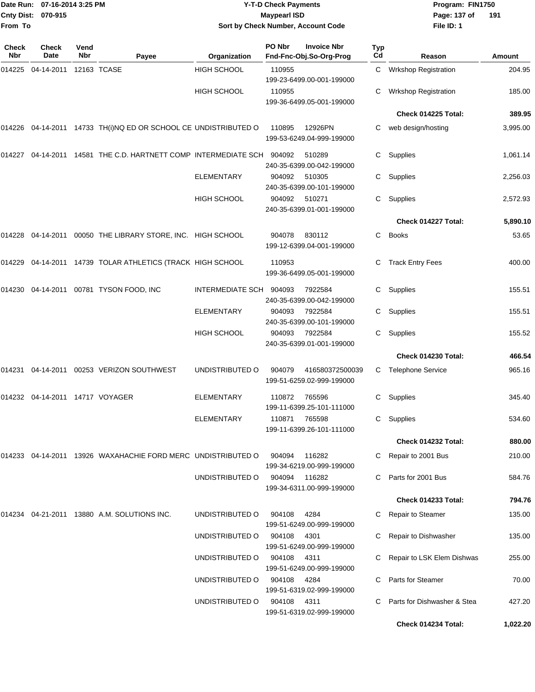| From To             | Date Run: 07-16-2014 3:25 PM<br>Cnty Dist: 070-915 |             |                                                                 |                    | <b>Y-T-D Check Payments</b><br><b>Maypearl ISD</b> | Sort by Check Number, Account Code            |                  | Program: FIN1750<br>Page: 137 of<br>File ID: 1 | 191      |
|---------------------|----------------------------------------------------|-------------|-----------------------------------------------------------------|--------------------|----------------------------------------------------|-----------------------------------------------|------------------|------------------------------------------------|----------|
|                     |                                                    |             |                                                                 |                    |                                                    |                                               |                  |                                                |          |
| <b>Check</b><br>Nbr | Check<br>Date                                      | Vend<br>Nbr | Payee                                                           | Organization       | PO Nbr                                             | <b>Invoice Nbr</b><br>Fnd-Fnc-Obj.So-Org-Prog | <b>Typ</b><br>Cd | Reason                                         | Amount   |
| 014225              | 04-14-2011                                         |             | 12163 TCASE                                                     | HIGH SCHOOL        | 110955                                             | 199-23-6499.00-001-199000                     | C                | Wrkshop Registration                           | 204.95   |
|                     |                                                    |             |                                                                 | HIGH SCHOOL        | 110955                                             | 199-36-6499.05-001-199000                     | С                | <b>Wrkshop Registration</b>                    | 185.00   |
|                     |                                                    |             |                                                                 |                    |                                                    |                                               |                  | Check 014225 Total:                            | 389.95   |
|                     |                                                    |             | 014226 04-14-2011 14733 TH(i)NQ ED OR SCHOOL CE UNDISTRIBUTED O |                    | 110895                                             | 12926PN<br>199-53-6249.04-999-199000          | С                | web design/hosting                             | 3,995.00 |
| 014227              | 04-14-2011                                         |             | 14581 THE C.D. HARTNETT COMP INTERMEDIATE SCH                   |                    | 904092                                             | 510289<br>240-35-6399.00-042-199000           | С                | Supplies                                       | 1,061.14 |
|                     |                                                    |             |                                                                 | <b>ELEMENTARY</b>  | 904092                                             | 510305<br>240-35-6399.00-101-199000           | С                | Supplies                                       | 2,256.03 |
|                     |                                                    |             |                                                                 | <b>HIGH SCHOOL</b> | 904092                                             | 510271<br>240-35-6399.01-001-199000           | С                | Supplies                                       | 2,572.93 |
|                     |                                                    |             |                                                                 |                    |                                                    |                                               |                  | Check 014227 Total:                            | 5,890.10 |
| 014228              |                                                    |             | 04-14-2011 00050 THE LIBRARY STORE, INC. HIGH SCHOOL            |                    | 904078                                             | 830112<br>199-12-6399.04-001-199000           | C.               | <b>Books</b>                                   | 53.65    |
|                     |                                                    |             | 014229 04-14-2011 14739 TOLAR ATHLETICS (TRACK HIGH SCHOOL      |                    | 110953                                             | 199-36-6499.05-001-199000                     | С                | <b>Track Entry Fees</b>                        | 400.00   |
| 014230              | 04-14-2011                                         |             | 00781 TYSON FOOD, INC                                           | INTERMEDIATE SCH   | 904093                                             | 7922584<br>240-35-6399.00-042-199000          | C.               | Supplies                                       | 155.51   |
|                     |                                                    |             |                                                                 | <b>ELEMENTARY</b>  | 904093                                             | 7922584<br>240-35-6399.00-101-199000          | С                | Supplies                                       | 155.51   |
|                     |                                                    |             |                                                                 | HIGH SCHOOL        | 904093                                             | 7922584<br>240-35-6399.01-001-199000          | С                | Supplies                                       | 155.52   |
|                     |                                                    |             |                                                                 |                    |                                                    |                                               |                  | Check 014230 Total:                            | 466.54   |
| 014231              | 04-14-2011                                         |             | 00253 VERIZON SOUTHWEST                                         | UNDISTRIBUTED O    | 904079                                             | 416580372500039<br>199-51-6259.02-999-199000  | C.               | <b>Telephone Service</b>                       | 965.16   |
|                     | 014232  04-14-2011  14717  VOYAGER                 |             |                                                                 | <b>ELEMENTARY</b>  | 110872                                             | 765596<br>199-11-6399.25-101-111000           |                  | C Supplies                                     | 345.40   |
|                     |                                                    |             |                                                                 | <b>ELEMENTARY</b>  | 110871                                             | 765598<br>199-11-6399.26-101-111000           |                  | C Supplies                                     | 534.60   |
|                     |                                                    |             |                                                                 |                    |                                                    |                                               |                  | Check 014232 Total:                            | 880.00   |
|                     |                                                    |             | 014233 04-14-2011 13926 WAXAHACHIE FORD MERC UNDISTRIBUTED O    |                    | 904094                                             | 116282<br>199-34-6219.00-999-199000           | C.               | Repair to 2001 Bus                             | 210.00   |
|                     |                                                    |             |                                                                 | UNDISTRIBUTED O    |                                                    | 904094 116282<br>199-34-6311.00-999-199000    | C.               | Parts for 2001 Bus                             | 584.76   |
|                     |                                                    |             |                                                                 |                    |                                                    |                                               |                  | Check 014233 Total:                            | 794.76   |
|                     |                                                    |             | 014234 04-21-2011 13880 A.M. SOLUTIONS INC.                     | UNDISTRIBUTED O    | 904108                                             | 4284<br>199-51-6249.00-999-199000             |                  | C Repair to Steamer                            | 135.00   |
|                     |                                                    |             |                                                                 | UNDISTRIBUTED O    | 904108                                             | 4301<br>199-51-6249.00-999-199000             | C.               | Repair to Dishwasher                           | 135.00   |
|                     |                                                    |             |                                                                 | UNDISTRIBUTED O    | 904108                                             | 4311<br>199-51-6249.00-999-199000             | С                | Repair to LSK Elem Dishwas                     | 255.00   |
|                     |                                                    |             |                                                                 | UNDISTRIBUTED O    | 904108                                             | 4284<br>199-51-6319.02-999-199000             | С                | <b>Parts for Steamer</b>                       | 70.00    |
|                     |                                                    |             |                                                                 | UNDISTRIBUTED O    | 904108                                             | -4311<br>199-51-6319.02-999-199000            | С                | Parts for Dishwasher & Stea                    | 427.20   |
|                     |                                                    |             |                                                                 |                    |                                                    |                                               |                  | Check 014234 Total:                            | 1,022.20 |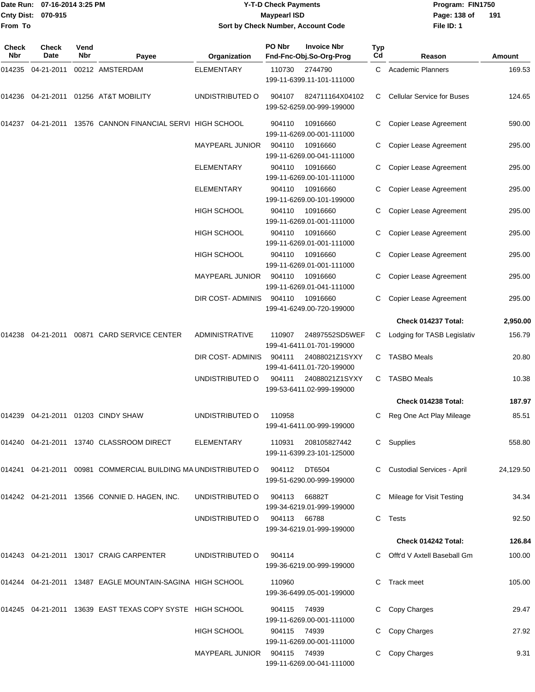|                    | Date Run: 07-16-2014 3:25 PM | <b>Y-T-D Check Payments</b>        | Program: FIN1750 |       |
|--------------------|------------------------------|------------------------------------|------------------|-------|
| Cnty Dist: 070-915 |                              | Maypearl ISD                       | Page: 138 of     | $-19$ |
| From To            |                              | Sort by Check Number, Account Code | File ID: 1       |       |

**191**

| <b>Check</b><br>Nbr | <b>Check</b><br>Date | Vend<br>Nbr | Payee                                                          | Organization                 | PO Nbr       | <b>Invoice Nbr</b><br>Fnd-Fnc-Obj.So-Org-Prog | Typ<br>Cd | Reason                            | Amount    |
|---------------------|----------------------|-------------|----------------------------------------------------------------|------------------------------|--------------|-----------------------------------------------|-----------|-----------------------------------|-----------|
| 014235              | 04-21-2011           |             | 00212 AMSTERDAM                                                | <b>ELEMENTARY</b>            | 110730       | 2744790<br>199-11-6399.11-101-111000          | C         | <b>Academic Planners</b>          | 169.53    |
| 014236              | 04-21-2011           |             | 01256 AT&T MOBILITY                                            | UNDISTRIBUTED O              | 904107       | 824711164X04102<br>199-52-6259.00-999-199000  | C         | <b>Cellular Service for Buses</b> | 124.65    |
| 014237              |                      |             | 04-21-2011 13576 CANNON FINANCIAL SERVI HIGH SCHOOL            |                              | 904110       | 10916660<br>199-11-6269.00-001-111000         | C         | Copier Lease Agreement            | 590.00    |
|                     |                      |             |                                                                | MAYPEARL JUNIOR              | 904110       | 10916660<br>199-11-6269.00-041-111000         | C         | Copier Lease Agreement            | 295.00    |
|                     |                      |             |                                                                | <b>ELEMENTARY</b>            | 904110       | 10916660<br>199-11-6269.00-101-111000         | C         | Copier Lease Agreement            | 295.00    |
|                     |                      |             |                                                                | <b>ELEMENTARY</b>            | 904110       | 10916660<br>199-11-6269.00-101-199000         |           | Copier Lease Agreement            | 295.00    |
|                     |                      |             |                                                                | HIGH SCHOOL                  | 904110       | 10916660<br>199-11-6269.01-001-111000         | С         | Copier Lease Agreement            | 295.00    |
|                     |                      |             |                                                                | <b>HIGH SCHOOL</b>           | 904110       | 10916660<br>199-11-6269.01-001-111000         | C         | Copier Lease Agreement            | 295.00    |
|                     |                      |             |                                                                | <b>HIGH SCHOOL</b>           | 904110       | 10916660<br>199-11-6269.01-001-111000         |           | Copier Lease Agreement            | 295.00    |
|                     |                      |             |                                                                | MAYPEARL JUNIOR              | 904110       | 10916660<br>199-11-6269.01-041-111000         | С         | Copier Lease Agreement            | 295.00    |
|                     |                      |             |                                                                | DIR COST-ADMINIS             | 904110       | 10916660<br>199-41-6249.00-720-199000         | C         | Copier Lease Agreement            | 295.00    |
|                     |                      |             |                                                                |                              |              |                                               |           | Check 014237 Total:               | 2,950.00  |
| 014238              | 04-21-2011           |             | 00871 CARD SERVICE CENTER                                      | <b>ADMINISTRATIVE</b>        | 110907       | 24897552SD5WEF<br>199-41-6411.01-701-199000   | C         | Lodging for TASB Legislativ       | 156.79    |
|                     |                      |             |                                                                | DIR COST- ADMINIS            | 904111       | 24088021Z1SYXY<br>199-41-6411.01-720-199000   | C         | <b>TASBO Meals</b>                | 20.80     |
|                     |                      |             |                                                                | UNDISTRIBUTED O              | 904111       | 24088021Z1SYXY<br>199-53-6411.02-999-199000   | C         | <b>TASBO Meals</b>                | 10.38     |
|                     |                      |             |                                                                |                              |              |                                               |           | Check 014238 Total:               | 187.97    |
| 014239              | 04-21-2011           |             | 01203 CINDY SHAW                                               | UNDISTRIBUTED O              | 110958       | 199-41-6411.00-999-199000                     | C         | Reg One Act Play Mileage          | 85.51     |
|                     |                      |             | 014240  04-21-2011  13740  CLASSROOM DIRECT                    | ELEMENTARY                   | 110931       | 208105827442<br>199-11-6399.23-101-125000     |           | C Supplies                        | 558.80    |
|                     |                      |             | 014241 04-21-2011 00981 COMMERCIAL BUILDING MA UNDISTRIBUTED O |                              | 904112       | DT6504<br>199-51-6290.00-999-199000           |           | C Custodial Services - April      | 24,129.50 |
|                     |                      |             | 014242 04-21-2011 13566 CONNIE D. HAGEN, INC.                  | UNDISTRIBUTED O              | 904113       | 66882T<br>199-34-6219.01-999-199000           |           | C Mileage for Visit Testing       | 34.34     |
|                     |                      |             |                                                                | UNDISTRIBUTED O              | 904113       | 66788<br>199-34-6219.01-999-199000            |           | C Tests                           | 92.50     |
|                     |                      |             |                                                                |                              |              |                                               |           | Check 014242 Total:               | 126.84    |
|                     |                      |             | 014243 04-21-2011 13017 CRAIG CARPENTER                        | UNDISTRIBUTED O              | 904114       | 199-36-6219.00-999-199000                     |           | C Offt'd V Axtell Baseball Gm     | 100.00    |
|                     |                      |             | 014244 04-21-2011 13487 EAGLE MOUNTAIN-SAGINA HIGH SCHOOL      |                              | 110960       | 199-36-6499.05-001-199000                     | C.        | Track meet                        | 105.00    |
|                     |                      |             | 014245 04-21-2011 13639 EAST TEXAS COPY SYSTE HIGH SCHOOL      |                              | 904115 74939 | 199-11-6269.00-001-111000                     |           | C Copy Charges                    | 29.47     |
|                     |                      |             |                                                                | <b>HIGH SCHOOL</b>           | 904115 74939 | 199-11-6269.00-001-111000                     |           | Copy Charges                      | 27.92     |
|                     |                      |             |                                                                | MAYPEARL JUNIOR 904115 74939 |              | 199-11-6269.00-041-111000                     |           | Copy Charges                      | 9.31      |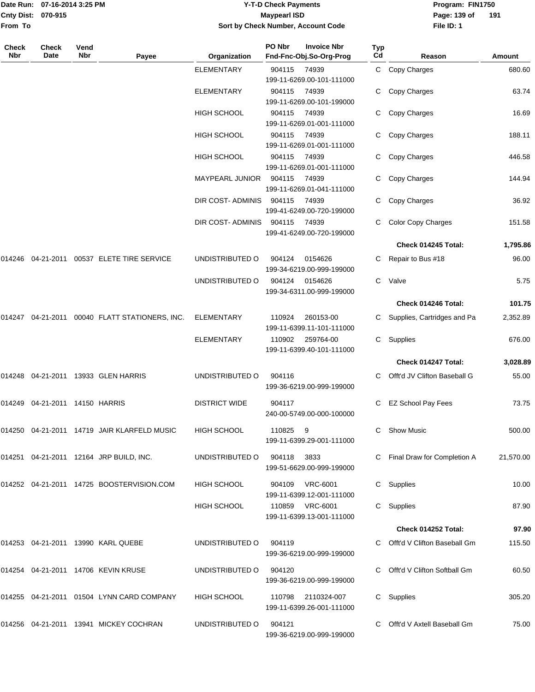|                    | Date Run: 07-16-2014 3:25 PM |
|--------------------|------------------------------|
| Cnty Dist: 070-915 |                              |
| From To            |                              |

# **Date Run: Program: FIN1750 07-16-2014 3:25 PM Y-T-D Check Payments Cnty Dist: Page: 139 of 070-915 Maypearl ISD Sort by Check Number, Account Code**

**File ID: 1 191**

| <b>Check</b><br>Nbr | <b>Check</b><br>Date    | Vend<br>Nbr | Payee                                     | Organization         | PO Nbr | <b>Invoice Nbr</b><br>Fnd-Fnc-Obj.So-Org-Prog | Typ<br>Cd | Reason                         | Amount    |
|---------------------|-------------------------|-------------|-------------------------------------------|----------------------|--------|-----------------------------------------------|-----------|--------------------------------|-----------|
|                     |                         |             |                                           | <b>ELEMENTARY</b>    | 904115 | 74939<br>199-11-6269.00-101-111000            | C.        | Copy Charges                   | 680.60    |
|                     |                         |             |                                           | <b>ELEMENTARY</b>    | 904115 | 74939<br>199-11-6269.00-101-199000            | С         | Copy Charges                   | 63.74     |
|                     |                         |             |                                           | <b>HIGH SCHOOL</b>   | 904115 | 74939<br>199-11-6269.01-001-111000            | С         | Copy Charges                   | 16.69     |
|                     |                         |             |                                           | <b>HIGH SCHOOL</b>   | 904115 | 74939<br>199-11-6269.01-001-111000            | С         | Copy Charges                   | 188.11    |
|                     |                         |             |                                           | <b>HIGH SCHOOL</b>   | 904115 | 74939<br>199-11-6269.01-001-111000            | С         | Copy Charges                   | 446.58    |
|                     |                         |             |                                           | MAYPEARL JUNIOR      | 904115 | 74939<br>199-11-6269.01-041-111000            | С         | Copy Charges                   | 144.94    |
|                     |                         |             |                                           | DIR COST- ADMINIS    | 904115 | 74939<br>199-41-6249.00-720-199000            | C.        | Copy Charges                   | 36.92     |
|                     |                         |             |                                           | DIR COST- ADMINIS    | 904115 | 74939<br>199-41-6249.00-720-199000            | С         | <b>Color Copy Charges</b>      | 151.58    |
|                     |                         |             |                                           |                      |        |                                               |           | Check 014245 Total:            | 1,795.86  |
| 014246              |                         |             | 04-21-2011    00537    ELETE TIRE SERVICE | UNDISTRIBUTED O      | 904124 | 0154626<br>199-34-6219.00-999-199000          | С         | Repair to Bus #18              | 96.00     |
|                     |                         |             |                                           | UNDISTRIBUTED O      | 904124 | 0154626<br>199-34-6311.00-999-199000          | С         | Valve                          | 5.75      |
|                     |                         |             |                                           |                      |        |                                               |           | Check 014246 Total:            | 101.75    |
| 014247              |                         |             | 04-21-2011  00040  FLATT STATIONERS, INC. | <b>ELEMENTARY</b>    | 110924 | 260153-00<br>199-11-6399.11-101-111000        | С         | Supplies, Cartridges and Pa    | 2,352.89  |
|                     |                         |             |                                           | <b>ELEMENTARY</b>    | 110902 | 259764-00<br>199-11-6399.40-101-111000        | C.        | Supplies                       | 676.00    |
|                     |                         |             |                                           |                      |        |                                               |           | Check 014247 Total:            | 3,028.89  |
| 014248              |                         |             | 04-21-2011 13933 GLEN HARRIS              | UNDISTRIBUTED O      | 904116 | 199-36-6219.00-999-199000                     |           | Offt'd JV Clifton Baseball G   | 55.00     |
| 014249              | 04-21-2011 14150 HARRIS |             |                                           | <b>DISTRICT WIDE</b> | 904117 | 240-00-5749.00-000-100000                     | С         | <b>EZ School Pay Fees</b>      | 73.75     |
| 014250              |                         |             | 04-21-2011 14719 JAIR KLARFELD MUSIC      | <b>HIGH SCHOOL</b>   | 110825 | 9<br>199-11-6399.29-001-111000                | С         | <b>Show Music</b>              | 500.00    |
|                     |                         |             | 014251 04-21-2011 12164 JRP BUILD, INC.   | UNDISTRIBUTED O      | 904118 | 3833<br>199-51-6629.00-999-199000             |           | C Final Draw for Completion A  | 21,570.00 |
|                     |                         |             | 014252 04-21-2011 14725 BOOSTERVISION.COM | HIGH SCHOOL          |        | 904109 VRC-6001<br>199-11-6399.12-001-111000  |           | C Supplies                     | 10.00     |
|                     |                         |             |                                           | <b>HIGH SCHOOL</b>   |        | 110859 VRC-6001<br>199-11-6399.13-001-111000  | С         | Supplies                       | 87.90     |
|                     |                         |             |                                           |                      |        |                                               |           | Check 014252 Total:            | 97.90     |
|                     |                         |             | 014253 04-21-2011 13990 KARL QUEBE        | UNDISTRIBUTED O      | 904119 | 199-36-6219.00-999-199000                     |           | C Offt'd V Clifton Baseball Gm | 115.50    |
|                     |                         |             | 014254 04-21-2011 14706 KEVIN KRUSE       | UNDISTRIBUTED O      | 904120 | 199-36-6219.00-999-199000                     |           | Offt'd V Clifton Softball Gm   | 60.50     |
|                     |                         |             | 014255 04-21-2011 01504 LYNN CARD COMPANY | HIGH SCHOOL          | 110798 | 2110324-007<br>199-11-6399.26-001-111000      |           | C Supplies                     | 305.20    |
|                     |                         |             | 014256 04-21-2011 13941 MICKEY COCHRAN    | UNDISTRIBUTED O      | 904121 | 199-36-6219.00-999-199000                     |           | Offt'd V Axtell Baseball Gm    | 75.00     |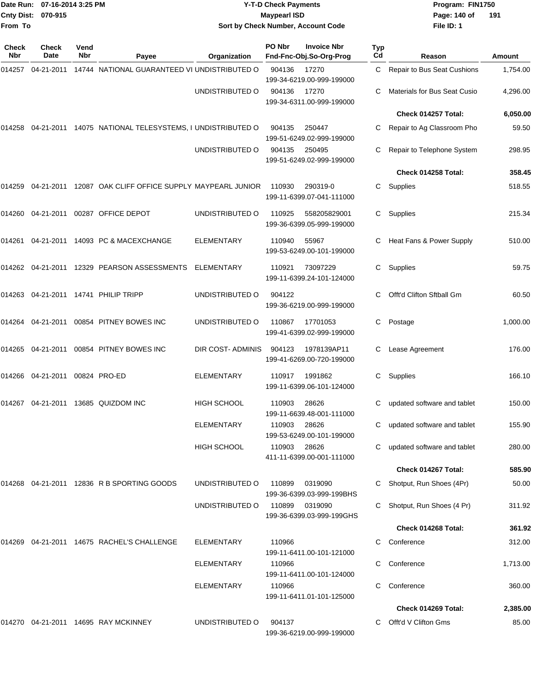| Date Run: 07-16-2014 3:25 PM<br>Cnty Dist: 070-915<br>From To |                   |             |                                                          | <b>Y-T-D Check Payments</b><br><b>Maypearl ISD</b><br>Sort by Check Number, Account Code |        |                                               |           |                                     |               |
|---------------------------------------------------------------|-------------------|-------------|----------------------------------------------------------|------------------------------------------------------------------------------------------|--------|-----------------------------------------------|-----------|-------------------------------------|---------------|
|                                                               |                   |             |                                                          |                                                                                          |        |                                               |           | File ID: 1                          |               |
| <b>Check</b><br>Nbr                                           | Check<br>Date     | Vend<br>Nbr | Payee                                                    | Organization                                                                             | PO Nbr | <b>Invoice Nbr</b><br>Fnd-Fnc-Obj.So-Org-Prog | Typ<br>Cd | Reason                              | <b>Amount</b> |
| 014257                                                        | 04-21-2011        |             | 14744 NATIONAL GUARANTEED VI UNDISTRIBUTED O             |                                                                                          | 904136 | 17270<br>199-34-6219.00-999-199000            | C.        | Repair to Bus Seat Cushions         | 1,754.00      |
|                                                               |                   |             |                                                          | UNDISTRIBUTED O                                                                          | 904136 | 17270<br>199-34-6311.00-999-199000            | С         | <b>Materials for Bus Seat Cusio</b> | 4,296.00      |
|                                                               |                   |             |                                                          |                                                                                          |        |                                               |           | Check 014257 Total:                 | 6,050.00      |
| 014258                                                        |                   |             | 04-21-2011 14075 NATIONAL TELESYSTEMS, I UNDISTRIBUTED O |                                                                                          | 904135 | 250447<br>199-51-6249.02-999-199000           | С         | Repair to Ag Classroom Pho          | 59.50         |
|                                                               |                   |             |                                                          | UNDISTRIBUTED O                                                                          | 904135 | 250495<br>199-51-6249.02-999-199000           | С         | Repair to Telephone System          | 298.95        |
|                                                               |                   |             |                                                          |                                                                                          |        |                                               |           | Check 014258 Total:                 | 358.45        |
|                                                               | 014259 04-21-2011 |             | 12087 OAK CLIFF OFFICE SUPPLY MAYPEARL JUNIOR            |                                                                                          | 110930 | 290319-0<br>199-11-6399.07-041-111000         | С         | Supplies                            | 518.55        |
|                                                               | 014260 04-21-2011 |             | 00287 OFFICE DEPOT                                       | UNDISTRIBUTED O                                                                          | 110925 | 558205829001<br>199-36-6399.05-999-199000     | С         | Supplies                            | 215.34        |
|                                                               |                   |             | 014261 04-21-2011 14093 PC & MACEXCHANGE                 | <b>ELEMENTARY</b>                                                                        | 110940 | 55967<br>199-53-6249.00-101-199000            | С         | Heat Fans & Power Supply            | 510.00        |
|                                                               |                   |             | 014262  04-21-2011  12329  PEARSON ASSESSMENTS           | ELEMENTARY                                                                               | 110921 | 73097229<br>199-11-6399.24-101-124000         | C         | Supplies                            | 59.75         |
| 014263                                                        |                   |             | 04-21-2011  14741  PHILIP TRIPP                          | UNDISTRIBUTED O                                                                          | 904122 | 199-36-6219.00-999-199000                     | С         | Offt'd Clifton Sftball Gm           | 60.50         |
| 014264                                                        | 04-21-2011        |             | 00854 PITNEY BOWES INC                                   | UNDISTRIBUTED O                                                                          | 110867 | 17701053<br>199-41-6399.02-999-199000         | С         | Postage                             | 1,000.00      |
| 014265                                                        | 04-21-2011        |             | 00854 PITNEY BOWES INC                                   | DIR COST- ADMINIS                                                                        | 904123 | 1978139AP11<br>199-41-6269.00-720-199000      | С         | Lease Agreement                     | 176.00        |
| 014266                                                        | 04-21-2011        |             | 00824 PRO-ED                                             | <b>ELEMENTARY</b>                                                                        | 110917 | 1991862<br>199-11-6399.06-101-124000          | С         | Supplies                            | 166.10        |
|                                                               |                   |             | 014267  04-21-2011  13685  QUIZDOM INC                   | HIGH SCHOOL                                                                              | 110903 | 28626<br>199-11-6639.48-001-111000            |           | C updated software and tablet       | 150.00        |
|                                                               |                   |             |                                                          | ELEMENTARY                                                                               | 110903 | 28626<br>199-53-6249.00-101-199000            |           | C updated software and tablet       | 155.90        |
|                                                               |                   |             |                                                          | HIGH SCHOOL                                                                              | 110903 | 28626<br>411-11-6399.00-001-111000            | C.        | updated software and tablet         | 280.00        |
|                                                               |                   |             |                                                          |                                                                                          |        |                                               |           | Check 014267 Total:                 | 585.90        |
|                                                               |                   |             | 014268 04-21-2011 12836 R B SPORTING GOODS               | UNDISTRIBUTED O                                                                          | 110899 | 0319090<br>199-36-6399.03-999-199BHS          |           | C Shotput, Run Shoes (4Pr)          | 50.00         |
|                                                               |                   |             |                                                          | UNDISTRIBUTED O                                                                          | 110899 | 0319090<br>199-36-6399.03-999-199GHS          |           | Shotput, Run Shoes (4 Pr)           | 311.92        |
|                                                               |                   |             |                                                          |                                                                                          |        |                                               |           | Check 014268 Total:                 | 361.92        |
|                                                               |                   |             | 014269  04-21-2011  14675  RACHEL'S CHALLENGE            | <b>ELEMENTARY</b>                                                                        | 110966 | 199-11-6411.00-101-121000                     | C         | Conference                          | 312.00        |
|                                                               |                   |             |                                                          | <b>ELEMENTARY</b>                                                                        | 110966 | 199-11-6411.00-101-124000                     | С         | Conference                          | 1,713.00      |
|                                                               |                   |             |                                                          | <b>ELEMENTARY</b>                                                                        | 110966 | 199-11-6411.01-101-125000                     | C.        | Conference                          | 360.00        |
|                                                               |                   |             |                                                          |                                                                                          |        |                                               |           | Check 014269 Total:                 | 2,385.00      |
|                                                               |                   |             | 014270 04-21-2011 14695 RAY MCKINNEY                     | UNDISTRIBUTED O                                                                          | 904137 | 199-36-6219.00-999-199000                     | C.        | Offt'd V Clifton Gms                | 85.00         |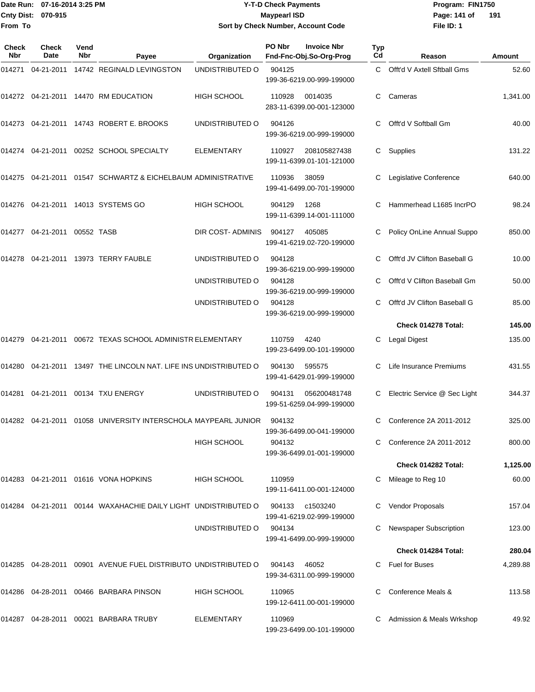### Date Run: 07-16-2014 3:25 PM **Program:** FIN1750 **Y-T-D Check Payments 070-915 Maypearl ISD Sort by Check Number, Account Code**

**File ID: 1** Page: 141 of 191

| Check<br><b>Nbr</b> | <b>Check</b><br>Date            | Vend<br>Nbr | Payee                                                             | Organization       | PO Nbr | <b>Invoice Nbr</b><br>Fnd-Fnc-Obj.So-Org-Prog | <b>Typ</b><br>Cd | Reason                       | Amount   |
|---------------------|---------------------------------|-------------|-------------------------------------------------------------------|--------------------|--------|-----------------------------------------------|------------------|------------------------------|----------|
| 014271              | 04-21-2011                      |             | 14742 REGINALD LEVINGSTON                                         | UNDISTRIBUTED O    | 904125 | 199-36-6219.00-999-199000                     | $\mathbf{C}$     | Offt'd V Axtell Sftball Gms  | 52.60    |
|                     |                                 |             | 014272 04-21-2011 14470 RM EDUCATION                              | <b>HIGH SCHOOL</b> | 110928 | 0014035<br>283-11-6399.00-001-123000          | C                | Cameras                      | 1,341.00 |
| 014273              |                                 |             | 04-21-2011  14743  ROBERT E. BROOKS                               | UNDISTRIBUTED O    | 904126 | 199-36-6219.00-999-199000                     | C                | Offt'd V Softball Gm         | 40.00    |
|                     |                                 |             | 014274 04-21-2011 00252 SCHOOL SPECIALTY                          | <b>ELEMENTARY</b>  | 110927 | 208105827438<br>199-11-6399.01-101-121000     | C                | Supplies                     | 131.22   |
|                     |                                 |             | 014275 04-21-2011 01547 SCHWARTZ & EICHELBAUM ADMINISTRATIVE      |                    | 110936 | 38059<br>199-41-6499.00-701-199000            |                  | Legislative Conference       | 640.00   |
|                     |                                 |             | 014276 04-21-2011 14013 SYSTEMS GO                                | <b>HIGH SCHOOL</b> | 904129 | 1268<br>199-11-6399.14-001-111000             | C.               | Hammerhead L1685 IncrPO      | 98.24    |
|                     | 014277  04-21-2011  00552  TASB |             |                                                                   | DIR COST-ADMINIS   | 904127 | 405085<br>199-41-6219.02-720-199000           | C                | Policy OnLine Annual Suppo   | 850.00   |
| 014278              |                                 |             | 04-21-2011 13973 TERRY FAUBLE                                     | UNDISTRIBUTED O    | 904128 | 199-36-6219.00-999-199000                     | C                | Offt'd JV Clifton Baseball G | 10.00    |
|                     |                                 |             |                                                                   | UNDISTRIBUTED O    | 904128 | 199-36-6219.00-999-199000                     | С                | Offt'd V Clifton Baseball Gm | 50.00    |
|                     |                                 |             |                                                                   | UNDISTRIBUTED O    | 904128 | 199-36-6219.00-999-199000                     | C.               | Offt'd JV Clifton Baseball G | 85.00    |
|                     |                                 |             |                                                                   |                    |        |                                               |                  | Check 014278 Total:          | 145.00   |
| 014279              |                                 |             | 04-21-2011  00672  TEXAS SCHOOL ADMINISTR ELEMENTARY              |                    | 110759 | 4240<br>199-23-6499.00-101-199000             | С                | <b>Legal Digest</b>          | 135.00   |
| 014280              |                                 |             | 04-21-2011 13497 THE LINCOLN NAT. LIFE INS UNDISTRIBUTED O        |                    | 904130 | 595575<br>199-41-6429.01-999-199000           |                  | Life Insurance Premiums      | 431.55   |
| 014281              |                                 |             | 04-21-2011  00134  TXU ENERGY                                     | UNDISTRIBUTED O    | 904131 | 056200481748<br>199-51-6259.04-999-199000     | C                | Electric Service @ Sec Light | 344.37   |
|                     |                                 |             | 014282  04-21-2011  01058  UNIVERSITY INTERSCHOLA MAYPEARL JUNIOR |                    | 904132 | 199-36-6499.00-041-199000                     | C                | Conference 2A 2011-2012      | 325.00   |
|                     |                                 |             |                                                                   | <b>HIGH SCHOOL</b> | 904132 | 199-36-6499.01-001-199000                     |                  | Conference 2A 2011-2012      | 800.00   |
|                     |                                 |             |                                                                   |                    |        |                                               |                  | Check 014282 Total:          | 1,125.00 |
|                     |                                 |             | 014283 04-21-2011 01616 VONA HOPKINS                              | HIGH SCHOOL        | 110959 | 199-11-6411.00-001-124000                     |                  | Mileage to Reg 10            | 60.00    |
|                     |                                 |             | 014284 04-21-2011 00144 WAXAHACHIE DAILY LIGHT UNDISTRIBUTED O    |                    | 904133 | c1503240<br>199-41-6219.02-999-199000         |                  | Vendor Proposals             | 157.04   |
|                     |                                 |             |                                                                   | UNDISTRIBUTED O    | 904134 | 199-41-6499.00-999-199000                     |                  | Newspaper Subscription       | 123.00   |
|                     |                                 |             |                                                                   |                    |        |                                               |                  | Check 014284 Total:          | 280.04   |
|                     |                                 |             | 014285  04-28-2011  00901  AVENUE FUEL DISTRIBUTO UNDISTRIBUTED O |                    | 904143 | 46052<br>199-34-6311.00-999-199000            | C.               | Fuel for Buses               | 4,289.88 |
| 014286              |                                 |             | 04-28-2011    00466    BARBARA PINSON                             | <b>HIGH SCHOOL</b> | 110965 | 199-12-6411.00-001-199000                     |                  | Conference Meals &           | 113.58   |
| 014287              |                                 |             | 04-28-2011  00021  BARBARA TRUBY                                  | <b>ELEMENTARY</b>  | 110969 | 199-23-6499.00-101-199000                     |                  | Admission & Meals Wrkshop    | 49.92    |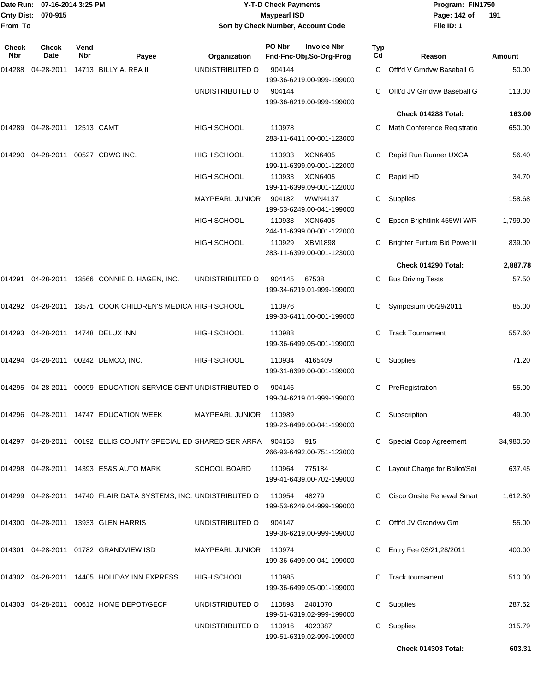|              | Date Run: 07-16-2014 3:25 PM |             |                                                                            |                                    | <b>Y-T-D Check Payments</b> |                                                                   |           | Program: FIN1750                     |           |
|--------------|------------------------------|-------------|----------------------------------------------------------------------------|------------------------------------|-----------------------------|-------------------------------------------------------------------|-----------|--------------------------------------|-----------|
| From To      | Cnty Dist: 070-915           |             |                                                                            | Sort by Check Number, Account Code | <b>Maypearl ISD</b>         |                                                                   |           | Page: 142 of<br>File ID: 1           | 191       |
| Check<br>Nbr | Check<br><b>Date</b>         | Vend<br>Nbr | Payee                                                                      | Organization                       | PO Nbr                      | <b>Invoice Nbr</b><br>Fnd-Fnc-Obj.So-Org-Prog                     | Typ<br>Cd | Reason                               | Amount    |
| 014288       | 04-28-2011                   |             | 14713 BILLY A. REA II                                                      | UNDISTRIBUTED O                    | 904144                      |                                                                   | C         | Offt'd V Grndvw Baseball G           | 50.00     |
|              |                              |             |                                                                            | UNDISTRIBUTED O                    | 904144                      | 199-36-6219.00-999-199000<br>199-36-6219.00-999-199000            |           | Offt'd JV Grndvw Baseball G          | 113.00    |
|              |                              |             |                                                                            |                                    |                             |                                                                   |           | Check 014288 Total:                  | 163.00    |
| 014289       | 04-28-2011                   |             | 12513 CAMT                                                                 | HIGH SCHOOL                        | 110978                      | 283-11-6411.00-001-123000                                         |           | Math Conference Registratio          | 650.00    |
| 014290       | 04-28-2011                   |             | 00527 CDWG INC.                                                            | <b>HIGH SCHOOL</b>                 | 110933                      | <b>XCN6405</b><br>199-11-6399.09-001-122000                       | С         | Rapid Run Runner UXGA                | 56.40     |
|              |                              |             |                                                                            | HIGH SCHOOL                        | 110933                      | <b>XCN6405</b><br>199-11-6399.09-001-122000                       | С         | Rapid HD                             | 34.70     |
|              |                              |             |                                                                            | <b>MAYPEARL JUNIOR</b>             | 904182                      | WWN4137<br>199-53-6249.00-041-199000                              | C         | Supplies                             | 158.68    |
|              |                              |             |                                                                            | HIGH SCHOOL                        | 110933                      | <b>XCN6405</b><br>244-11-6399.00-001-122000                       | C         | Epson Brightlink 455WI W/R           | 1,799.00  |
|              |                              |             |                                                                            | HIGH SCHOOL                        | 110929                      | XBM1898<br>283-11-6399.00-001-123000                              |           | <b>Brighter Furture Bid Powerlit</b> | 839.00    |
|              |                              |             |                                                                            |                                    |                             |                                                                   |           | Check 014290 Total:                  | 2,887.78  |
|              |                              |             | 014291 04-28-2011 13566 CONNIE D. HAGEN, INC.                              | UNDISTRIBUTED O                    | 904145                      | 67538<br>199-34-6219.01-999-199000                                |           | <b>Bus Driving Tests</b>             | 57.50     |
|              |                              |             | 13571 COOK CHILDREN'S MEDICA HIGH SCHOOL                                   |                                    | 110976                      | 199-33-6411.00-001-199000                                         |           | Symposium 06/29/2011                 | 85.00     |
|              |                              |             | 014293  04-28-2011  14748  DELUX INN                                       | HIGH SCHOOL                        | 110988                      | 199-36-6499.05-001-199000                                         | C         | <b>Track Tournament</b>              | 557.60    |
| 014294       |                              |             | 04-28-2011  00242  DEMCO, INC.                                             | <b>HIGH SCHOOL</b>                 | 110934                      | 4165409<br>199-31-6399.00-001-199000                              | C         | Supplies                             | 71.20     |
| 014295       | 04-28-2011                   |             | 00099 EDUCATION SERVICE CENT UNDISTRIBUTED O                               |                                    | 904146                      | 199-34-6219.01-999-199000                                         | C         | PreRegistration                      | 55.00     |
|              |                              |             | 014296  04-28-2011  14747  EDUCATION WEEK                                  | MAYPEARL JUNIOR                    | 110989                      | 199-23-6499.00-041-199000                                         |           | Subscription                         | 49.00     |
|              |                              |             | 014297  04-28-2011  00192  ELLIS COUNTY SPECIAL ED SHARED SER ARRA  904158 |                                    |                             | 915<br>266-93-6492.00-751-123000                                  |           | Special Coop Agreement               | 34,980.50 |
|              |                              |             | 014298 04-28-2011 14393 ES&S AUTO MARK                                     | <b>SCHOOL BOARD</b>                | 110964                      | 775184<br>199-41-6439.00-702-199000                               |           | C Layout Charge for Ballot/Set       | 637.45    |
|              |                              |             | 014299 04-28-2011 14740 FLAIR DATA SYSTEMS, INC. UNDISTRIBUTED O           |                                    | 110954                      | 48279<br>199-53-6249.04-999-199000                                |           | Cisco Onsite Renewal Smart           | 1,612.80  |
|              |                              |             | 014300 04-28-2011 13933 GLEN HARRIS                                        | UNDISTRIBUTED O                    | 904147                      | 199-36-6219.00-999-199000                                         |           | Offt'd JV Grandvw Gm                 | 55.00     |
|              |                              |             | 014301 04-28-2011 01782 GRANDVIEW ISD                                      | <b>MAYPEARL JUNIOR</b>             | 110974                      | 199-36-6499.00-041-199000                                         |           | Entry Fee 03/21,28/2011              | 400.00    |
|              |                              |             | 014302 04-28-2011 14405 HOLIDAY INN EXPRESS                                | <b>HIGH SCHOOL</b>                 | 110985                      | 199-36-6499.05-001-199000                                         |           | <b>Track tournament</b>              | 510.00    |
|              |                              |             | 014303 04-28-2011 00612 HOME DEPOT/GECF                                    | UNDISTRIBUTED O                    | 110893                      | 2401070                                                           |           | C Supplies                           | 287.52    |
|              |                              |             |                                                                            | UNDISTRIBUTED O                    | 110916                      | 199-51-6319.02-999-199000<br>4023387<br>199-51-6319.02-999-199000 |           | C Supplies                           | 315.79    |

**Check 014303 Total: 603.31**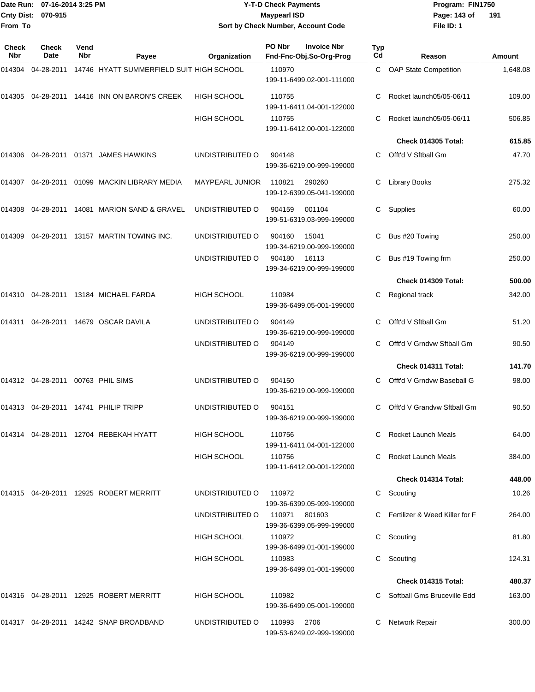|                    | Date Run: 07-16-2014 3:25 PM |
|--------------------|------------------------------|
| Cnty Dist: 070-915 |                              |
| From To            |                              |

# **Date Run: Program: FIN1750 07-16-2014 3:25 PM Y-T-D Check Payments Cnty Dist: Page: 143 of 070-915 Maypearl ISD Sort by Check Number, Account Code**

**File ID: 1** Page: 143 of 191

| Check<br><b>Nbr</b> | <b>Check</b><br>Date                 | Vend<br><b>Nbr</b> | Payee                                           | Organization           | PO Nbr      | <b>Invoice Nbr</b><br>Fnd-Fnc-Obj.So-Org-Prog | <b>Typ</b><br>Cd | Reason                           | <b>Amount</b> |
|---------------------|--------------------------------------|--------------------|-------------------------------------------------|------------------------|-------------|-----------------------------------------------|------------------|----------------------------------|---------------|
| 014304              | 04-28-2011                           |                    | 14746 HYATT SUMMERFIELD SUIT HIGH SCHOOL        |                        | 110970      | 199-11-6499.02-001-111000                     | C                | <b>OAP State Competition</b>     | 1,648.08      |
|                     |                                      |                    | 014305  04-28-2011  14416  INN ON BARON'S CREEK | <b>HIGH SCHOOL</b>     | 110755      | 199-11-6411.04-001-122000                     |                  | Rocket launch05/05-06/11         | 109.00        |
|                     |                                      |                    |                                                 | HIGH SCHOOL            | 110755      | 199-11-6412.00-001-122000                     | C                | Rocket launch05/05-06/11         | 506.85        |
|                     |                                      |                    |                                                 |                        |             |                                               |                  | Check 014305 Total:              | 615.85        |
| 014306              |                                      |                    | 04-28-2011  01371  JAMES HAWKINS                | UNDISTRIBUTED O        | 904148      | 199-36-6219.00-999-199000                     | C                | Offt'd V Sftball Gm              | 47.70         |
|                     |                                      |                    | 014307  04-28-2011  01099  MACKIN LIBRARY MEDIA | <b>MAYPEARL JUNIOR</b> | 110821      | 290260<br>199-12-6399.05-041-199000           | С                | <b>Library Books</b>             | 275.32        |
| 014308              |                                      |                    | 04-28-2011  14081  MARION SAND & GRAVEL         | UNDISTRIBUTED O        | 904159      | 001104<br>199-51-6319.03-999-199000           | C.               | Supplies                         | 60.00         |
| 014309              |                                      |                    | 04-28-2011 13157 MARTIN TOWING INC.             | UNDISTRIBUTED O        | 904160      | 15041<br>199-34-6219.00-999-199000            | С                | Bus #20 Towing                   | 250.00        |
|                     |                                      |                    |                                                 | UNDISTRIBUTED O        | 904180      | 16113<br>199-34-6219.00-999-199000            | С                | Bus #19 Towing frm               | 250.00        |
|                     |                                      |                    |                                                 |                        |             |                                               |                  | Check 014309 Total:              | 500.00        |
|                     |                                      |                    | 014310  04-28-2011  13184  MICHAEL FARDA        | HIGH SCHOOL            | 110984      | 199-36-6499.05-001-199000                     | C                | Regional track                   | 342.00        |
| 014311              |                                      |                    | 04-28-2011 14679 OSCAR DAVILA                   | UNDISTRIBUTED O        | 904149      | 199-36-6219.00-999-199000                     | C                | Offt'd V Sftball Gm              | 51.20         |
|                     |                                      |                    |                                                 | UNDISTRIBUTED O        | 904149      | 199-36-6219.00-999-199000                     | C                | Offt'd V Grndvw Sftball Gm       | 90.50         |
|                     |                                      |                    |                                                 |                        |             |                                               |                  | Check 014311 Total:              | 141.70        |
|                     | 014312  04-28-2011  00763  PHIL SIMS |                    |                                                 | UNDISTRIBUTED O        | 904150      | 199-36-6219.00-999-199000                     |                  | Offt'd V Grndvw Baseball G       | 98.00         |
| 014313              |                                      |                    | 04-28-2011  14741  PHILIP TRIPP                 | UNDISTRIBUTED O        | 904151      | 199-36-6219.00-999-199000                     | C                | Offt'd V Grandyw Sftball Gm      | 90.50         |
|                     |                                      |                    | 014314 04-28-2011 12704 REBEKAH HYATT           | <b>HIGH SCHOOL</b>     | 110756      | 199-11-6411.04-001-122000                     |                  | C Rocket Launch Meals            | 64.00         |
|                     |                                      |                    |                                                 | <b>HIGH SCHOOL</b>     | 110756      | 199-11-6412.00-001-122000                     |                  | Rocket Launch Meals              | 384.00        |
|                     |                                      |                    |                                                 |                        |             |                                               |                  | Check 014314 Total:              | 448.00        |
|                     |                                      |                    | 014315 04-28-2011 12925 ROBERT MERRITT          | UNDISTRIBUTED O        | 110972      | 199-36-6399.05-999-199000                     |                  | Scouting                         | 10.26         |
|                     |                                      |                    |                                                 | UNDISTRIBUTED O        | 110971      | 801603<br>199-36-6399.05-999-199000           |                  | C Fertilizer & Weed Killer for F | 264.00        |
|                     |                                      |                    |                                                 | <b>HIGH SCHOOL</b>     | 110972      | 199-36-6499.01-001-199000                     |                  | C Scouting                       | 81.80         |
|                     |                                      |                    |                                                 | HIGH SCHOOL            | 110983      | 199-36-6499.01-001-199000                     | C                | Scouting                         | 124.31        |
|                     |                                      |                    |                                                 |                        |             |                                               |                  | <b>Check 014315 Total:</b>       | 480.37        |
|                     |                                      |                    | 014316  04-28-2011  12925  ROBERT MERRITT       | <b>HIGH SCHOOL</b>     | 110982      | 199-36-6499.05-001-199000                     |                  | Softball Gms Bruceville Edd      | 163.00        |
|                     |                                      |                    | 014317 04-28-2011 14242 SNAP BROADBAND          | UNDISTRIBUTED O        | 110993 2706 | 199-53-6249.02-999-199000                     |                  | Network Repair                   | 300.00        |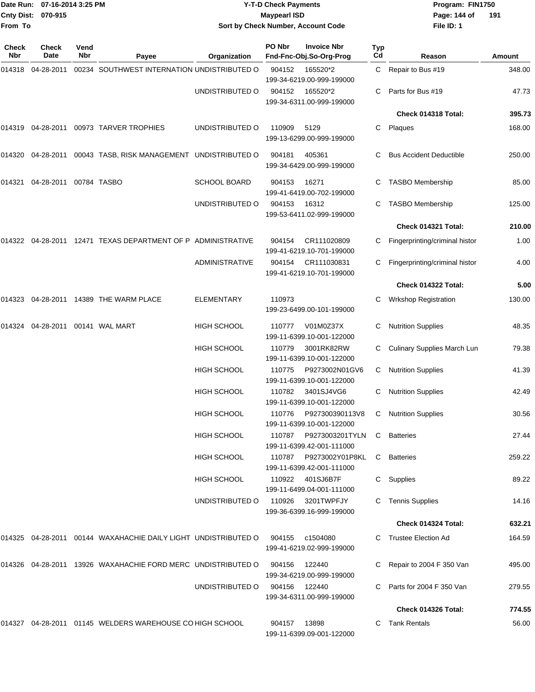| From To             | Date Run: 07-16-2014 3:25 PM<br>Cnty Dist: 070-915<br><b>Check</b><br>Vend |            |                                                                |                       | <b>Y-T-D Check Payments</b><br><b>Maypearl ISD</b> | Sort by Check Number, Account Code                                 |           | Program: FIN1750<br>Page: 144 of<br>File ID: 1 | 191    |
|---------------------|----------------------------------------------------------------------------|------------|----------------------------------------------------------------|-----------------------|----------------------------------------------------|--------------------------------------------------------------------|-----------|------------------------------------------------|--------|
| <b>Check</b><br>Nbr | Date                                                                       | <b>Nbr</b> | Payee                                                          | Organization          | PO Nbr                                             | <b>Invoice Nbr</b><br>Fnd-Fnc-Obj.So-Org-Prog                      | Typ<br>Cd | Reason                                         | Amount |
| 014318              | 04-28-2011                                                                 |            | 00234 SOUTHWEST INTERNATION UNDISTRIBUTED O                    |                       | 904152                                             | 165520*2                                                           | C.        | Repair to Bus #19                              | 348.00 |
|                     |                                                                            |            |                                                                | UNDISTRIBUTED O       | 904152                                             | 199-34-6219.00-999-199000<br>165520*2<br>199-34-6311.00-999-199000 |           | Parts for Bus #19                              | 47.73  |
|                     |                                                                            |            |                                                                |                       |                                                    |                                                                    |           | Check 014318 Total:                            | 395.73 |
| 014319              |                                                                            |            | 04-28-2011  00973  TARVER TROPHIES                             | UNDISTRIBUTED O       | 110909                                             | 5129<br>199-13-6299.00-999-199000                                  | C         | Plaques                                        | 168.00 |
| 014320              |                                                                            |            | 04-28-2011 00043 TASB, RISK MANAGEMENT UNDISTRIBUTED O         |                       | 904181                                             | 405361<br>199-34-6429.00-999-199000                                |           | <b>Bus Accident Deductible</b>                 | 250.00 |
| 014321              | 04-28-2011 00784 TASBO                                                     |            |                                                                | <b>SCHOOL BOARD</b>   | 904153                                             | 16271<br>199-41-6419.00-702-199000                                 |           | <b>TASBO Membership</b>                        | 85.00  |
|                     |                                                                            |            |                                                                | UNDISTRIBUTED O       | 904153                                             | 16312<br>199-53-6411.02-999-199000                                 |           | <b>TASBO Membership</b>                        | 125.00 |
|                     |                                                                            |            |                                                                |                       |                                                    |                                                                    |           | Check 014321 Total:                            | 210.00 |
|                     |                                                                            |            | 014322 04-28-2011 12471 TEXAS DEPARTMENT OF P ADMINISTRATIVE   |                       | 904154                                             | CR111020809<br>199-41-6219.10-701-199000                           |           | Fingerprinting/criminal histor                 | 1.00   |
|                     |                                                                            |            |                                                                | <b>ADMINISTRATIVE</b> | 904154                                             | CR111030831<br>199-41-6219.10-701-199000                           |           | Fingerprinting/criminal histor                 | 4.00   |
|                     |                                                                            |            |                                                                |                       |                                                    |                                                                    |           | Check 014322 Total:                            | 5.00   |
| 014323              |                                                                            |            | 04-28-2011  14389 THE WARM PLACE                               | <b>ELEMENTARY</b>     | 110973                                             | 199-23-6499.00-101-199000                                          | C         | <b>Wrkshop Registration</b>                    | 130.00 |
| 014324              | 04-28-2011    00141    WAL MART                                            |            |                                                                | <b>HIGH SCHOOL</b>    | 110777                                             | V01M0Z37X<br>199-11-6399.10-001-122000                             |           | <b>Nutrition Supplies</b>                      | 48.35  |
|                     |                                                                            |            |                                                                | HIGH SCHOOL           | 110779                                             | 3001RK82RW<br>199-11-6399.10-001-122000                            | C         | Culinary Supplies March Lun                    | 79.38  |
|                     |                                                                            |            |                                                                | <b>HIGH SCHOOL</b>    | 110775                                             | P9273002N01GV6<br>199-11-6399.10-001-122000                        | C         | <b>Nutrition Supplies</b>                      | 41.39  |
|                     |                                                                            |            |                                                                | <b>HIGH SCHOOL</b>    | 110782                                             | 3401SJ4VG6<br>199-11-6399.10-001-122000                            | C         | <b>Nutrition Supplies</b>                      | 42.49  |
|                     |                                                                            |            |                                                                | HIGH SCHOOL           | 110776                                             | P927300390113V8<br>199-11-6399.10-001-122000                       |           | C Nutrition Supplies                           | 30.56  |
|                     |                                                                            |            |                                                                | <b>HIGH SCHOOL</b>    | 110787                                             | P9273003201TYLN<br>199-11-6399.42-001-111000                       | C         | <b>Batteries</b>                               | 27.44  |
|                     |                                                                            |            |                                                                | <b>HIGH SCHOOL</b>    |                                                    | 199-11-6399.42-001-111000                                          |           | C Batteries                                    | 259.22 |
|                     |                                                                            |            |                                                                | HIGH SCHOOL           |                                                    | 110922   401SJ6B7F<br>199-11-6499.04-001-111000                    |           | C Supplies                                     | 89.22  |
|                     |                                                                            |            |                                                                | UNDISTRIBUTED O       | 110926                                             | 3201TWPFJY<br>199-36-6399.16-999-199000                            |           | C Tennis Supplies                              | 14.16  |
|                     |                                                                            |            |                                                                |                       |                                                    |                                                                    |           | Check 014324 Total:                            | 632.21 |
|                     |                                                                            |            | 014325 04-28-2011 00144 WAXAHACHIE DAILY LIGHT UNDISTRIBUTED O |                       | 904155                                             | c1504080<br>199-41-6219.02-999-199000                              |           | C Trustee Election Ad                          | 164.59 |
|                     |                                                                            |            | 014326 04-28-2011 13926 WAXAHACHIE FORD MERC UNDISTRIBUTED O   |                       | 904156                                             | 122440<br>199-34-6219.00-999-199000                                |           | C Repair to 2004 F 350 Van                     | 495.00 |
|                     |                                                                            |            |                                                                | UNDISTRIBUTED O       | 904156                                             | 122440<br>199-34-6311.00-999-199000                                |           | C Parts for 2004 F 350 Van                     | 279.55 |
|                     |                                                                            |            |                                                                |                       |                                                    |                                                                    |           | Check 014326 Total:                            | 774.55 |
|                     |                                                                            |            | 014327 04-28-2011 01145 WELDERS WAREHOUSE CO HIGH SCHOOL       |                       | 904157                                             | 13898<br>199-11-6399.09-001-122000                                 |           | C Tank Rentals                                 | 56.00  |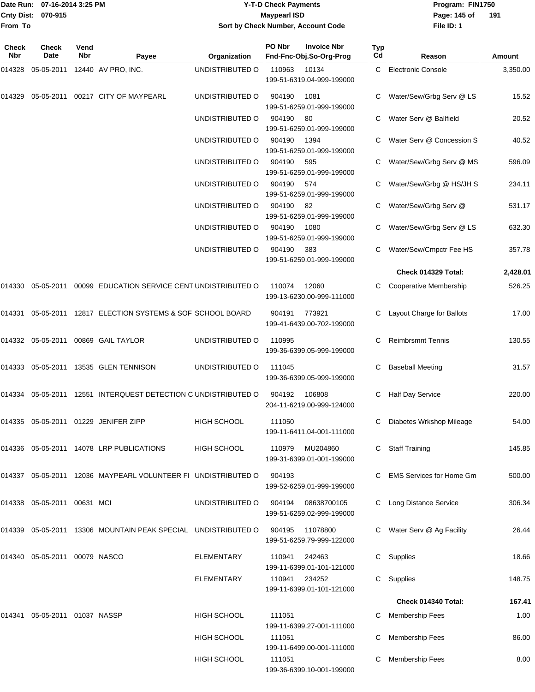### Date Run: 07-16-2014 3:25 PM **Program:** FIN1750 **Y-T-D Check Payments 070-915 Maypearl ISD Sort by Check Number, Account Code**

**File ID: 1** Page: 145 of 191

| Check<br>Nbr | <b>Check</b><br>Date             | Vend<br>Nbr | Payee                                                         | Organization       | PO Nbr | <b>Invoice Nbr</b><br>Fnd-Fnc-Obj.So-Org-Prog | Typ<br>Cd | Reason                          | Amount   |
|--------------|----------------------------------|-------------|---------------------------------------------------------------|--------------------|--------|-----------------------------------------------|-----------|---------------------------------|----------|
| 014328       | 05-05-2011                       |             | 12440 AV PRO, INC.                                            | UNDISTRIBUTED O    | 110963 | 10134<br>199-51-6319.04-999-199000            | C         | <b>Electronic Console</b>       | 3,350.00 |
| 014329       | 05-05-2011                       |             | 00217 CITY OF MAYPEARL                                        | UNDISTRIBUTED O    | 904190 | 1081<br>199-51-6259.01-999-199000             |           | Water/Sew/Grbg Serv @ LS        | 15.52    |
|              |                                  |             |                                                               | UNDISTRIBUTED O    | 904190 | 80<br>199-51-6259.01-999-199000               |           | Water Serv @ Ballfield          | 20.52    |
|              |                                  |             |                                                               | UNDISTRIBUTED O    | 904190 | 1394<br>199-51-6259.01-999-199000             |           | Water Serv @ Concession S       | 40.52    |
|              |                                  |             |                                                               | UNDISTRIBUTED O    | 904190 | 595<br>199-51-6259.01-999-199000              |           | Water/Sew/Grbg Serv @ MS        | 596.09   |
|              |                                  |             |                                                               | UNDISTRIBUTED O    | 904190 | 574<br>199-51-6259.01-999-199000              |           | Water/Sew/Grbg @ HS/JH S        | 234.11   |
|              |                                  |             |                                                               | UNDISTRIBUTED O    | 904190 | 82<br>199-51-6259.01-999-199000               |           | Water/Sew/Grbg Serv @           | 531.17   |
|              |                                  |             |                                                               | UNDISTRIBUTED O    | 904190 | 1080<br>199-51-6259.01-999-199000             |           | Water/Sew/Grbg Serv @ LS        | 632.30   |
|              |                                  |             |                                                               | UNDISTRIBUTED O    | 904190 | 383<br>199-51-6259.01-999-199000              |           | Water/Sew/Cmpctr Fee HS         | 357.78   |
|              |                                  |             |                                                               |                    |        |                                               |           | Check 014329 Total:             | 2,428.01 |
| 014330       | 05-05-2011                       |             | 00099 EDUCATION SERVICE CENT UNDISTRIBUTED O                  |                    | 110074 | 12060<br>199-13-6230.00-999-111000            |           | Cooperative Membership          | 526.25   |
| 014331       |                                  |             | 05-05-2011 12817 ELECTION SYSTEMS & SOF SCHOOL BOARD          |                    | 904191 | 773921<br>199-41-6439.00-702-199000           | C         | Layout Charge for Ballots       | 17.00    |
|              |                                  |             | 014332 05-05-2011 00869 GAIL TAYLOR                           | UNDISTRIBUTED O    | 110995 | 199-36-6399.05-999-199000                     |           | <b>Reimbrsmnt Tennis</b>        | 130.55   |
|              |                                  |             | 014333 05-05-2011 13535 GLEN TENNISON                         | UNDISTRIBUTED O    | 111045 | 199-36-6399.05-999-199000                     |           | <b>Baseball Meeting</b>         | 31.57    |
| 014334       |                                  |             | 05-05-2011 12551 INTERQUEST DETECTION C UNDISTRIBUTED O       |                    | 904192 | 106808<br>204-11-6219.00-999-124000           | С         | <b>Half Day Service</b>         | 220.00   |
| 014335       |                                  |             | 05-05-2011  01229  JENIFER ZIPP                               | <b>HIGH SCHOOL</b> | 111050 | 199-11-6411.04-001-111000                     | С         | Diabetes Wrkshop Mileage        | 54.00    |
|              |                                  |             | 014336  05-05-2011  14078 LRP PUBLICATIONS                    | <b>HIGH SCHOOL</b> | 110979 | MU204860<br>199-31-6399.01-001-199000         |           | <b>Staff Training</b>           | 145.85   |
|              |                                  |             | 014337 05-05-2011 12036 MAYPEARL VOLUNTEER FI UNDISTRIBUTED O |                    | 904193 | 199-52-6259.01-999-199000                     |           | <b>EMS Services for Home Gm</b> | 500.00   |
|              | 014338  05-05-2011  00631  MCI   |             |                                                               | UNDISTRIBUTED O    | 904194 | 08638700105<br>199-51-6259.02-999-199000      |           | C Long Distance Service         | 306.34   |
|              |                                  |             | 014339 05-05-2011 13306 MOUNTAIN PEAK SPECIAL UNDISTRIBUTED O |                    | 904195 | 11078800<br>199-51-6259.79-999-122000         |           | C Water Serv @ Ag Facility      | 26.44    |
|              | 014340  05-05-2011  00079  NASCO |             |                                                               | ELEMENTARY         | 110941 | 242463<br>199-11-6399.01-101-121000           | C         | Supplies                        | 18.66    |
|              |                                  |             |                                                               | <b>ELEMENTARY</b>  | 110941 | 234252<br>199-11-6399.01-101-121000           | C         | Supplies                        | 148.75   |
|              |                                  |             |                                                               |                    |        |                                               |           | Check 014340 Total:             | 167.41   |
|              | 014341 05-05-2011 01037 NASSP    |             |                                                               | <b>HIGH SCHOOL</b> | 111051 | 199-11-6399.27-001-111000                     |           | Membership Fees                 | 1.00     |
|              |                                  |             |                                                               | HIGH SCHOOL        | 111051 | 199-11-6499.00-001-111000                     |           | Membership Fees                 | 86.00    |
|              |                                  |             |                                                               | <b>HIGH SCHOOL</b> | 111051 | 199-36-6399.10-001-199000                     |           | Membership Fees                 | 8.00     |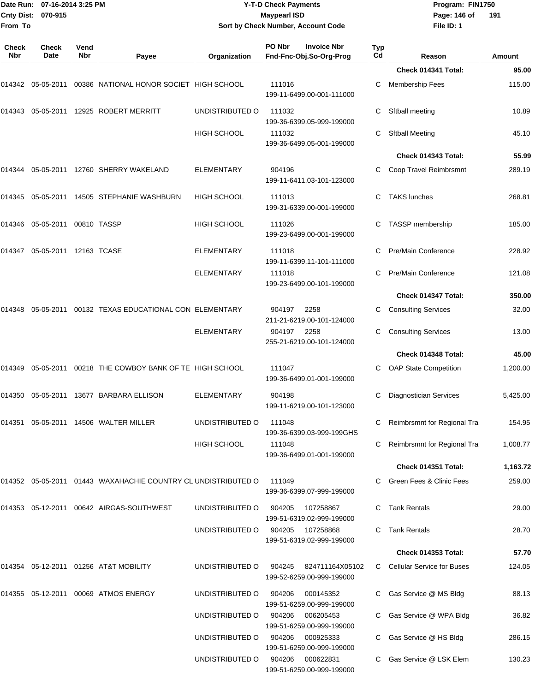|                     | Date Run: 07-16-2014 3:25 PM<br>Cnty Dist: 070-915 |                    |                                                               |                    | <b>Y-T-D Check Payments</b><br><b>Maypearl ISD</b> |                                               |                  | Program: FIN1750<br>Page: 146 of<br>191 |                |  |
|---------------------|----------------------------------------------------|--------------------|---------------------------------------------------------------|--------------------|----------------------------------------------------|-----------------------------------------------|------------------|-----------------------------------------|----------------|--|
| From To             |                                                    |                    |                                                               |                    |                                                    | Sort by Check Number, Account Code            |                  | File ID: 1                              |                |  |
| <b>Check</b><br>Nbr | Check<br>Date                                      | Vend<br><b>Nbr</b> | Payee                                                         | Organization       | PO Nbr                                             | <b>Invoice Nbr</b><br>Fnd-Fnc-Obj.So-Org-Prog | <b>Typ</b><br>Cd | Reason                                  | <b>Amount</b>  |  |
|                     |                                                    |                    |                                                               |                    |                                                    |                                               |                  | Check 014341 Total:                     | 95.00          |  |
| 014342              | 05-05-2011                                         |                    | 00386 NATIONAL HONOR SOCIET HIGH SCHOOL                       |                    | 111016                                             | 199-11-6499.00-001-111000                     | С                | <b>Membership Fees</b>                  | 115.00         |  |
| 014343              |                                                    |                    | 05-05-2011  12925  ROBERT MERRITT                             | UNDISTRIBUTED O    | 111032                                             | 199-36-6399.05-999-199000                     | С                | Sftball meeting                         | 10.89          |  |
|                     |                                                    |                    |                                                               | <b>HIGH SCHOOL</b> | 111032                                             | 199-36-6499.05-001-199000                     | С                | <b>Sftball Meeting</b>                  | 45.10          |  |
|                     |                                                    |                    |                                                               |                    |                                                    |                                               |                  | Check 014343 Total:                     | 55.99          |  |
| 014344              |                                                    |                    | 05-05-2011  12760  SHERRY WAKELAND                            | <b>ELEMENTARY</b>  | 904196                                             | 199-11-6411.03-101-123000                     | C                | Coop Travel Reimbrsmnt                  | 289.19         |  |
| 014345              |                                                    |                    | 05-05-2011 14505 STEPHANIE WASHBURN                           | <b>HIGH SCHOOL</b> | 111013                                             | 199-31-6339.00-001-199000                     | С                | <b>TAKS lunches</b>                     | 268.81         |  |
| 014346              |                                                    |                    |                                                               | <b>HIGH SCHOOL</b> | 111026                                             | 199-23-6499.00-001-199000                     | С                | TASSP membership                        | 185.00         |  |
| 014347              | 05-05-2011 12163 TCASE                             |                    |                                                               | <b>ELEMENTARY</b>  | 111018                                             | 199-11-6399.11-101-111000                     | C                | Pre/Main Conference                     | 228.92         |  |
|                     |                                                    |                    |                                                               | <b>ELEMENTARY</b>  | 111018                                             | 199-23-6499.00-101-199000                     | C                | Pre/Main Conference                     | 121.08         |  |
|                     |                                                    |                    |                                                               |                    |                                                    |                                               |                  | Check 014347 Total:                     | 350.00         |  |
| 014348              |                                                    |                    | 05-05-2011  00132  TEXAS EDUCATIONAL CON ELEMENTARY           |                    | 904197                                             | 2258<br>211-21-6219.00-101-124000             | C                | <b>Consulting Services</b>              | 32.00          |  |
|                     |                                                    |                    |                                                               | <b>ELEMENTARY</b>  | 904197                                             | 2258<br>255-21-6219.00-101-124000             | С                | <b>Consulting Services</b>              | 13.00          |  |
|                     |                                                    |                    |                                                               |                    |                                                    |                                               |                  | Check 014348 Total:                     | 45.00          |  |
| 014349              | 05-05-2011                                         |                    | 00218 THE COWBOY BANK OF TE HIGH SCHOOL                       |                    | 111047                                             | 199-36-6499.01-001-199000                     | С                | <b>OAP State Competition</b>            | 1,200.00       |  |
|                     |                                                    |                    | 014350 05-05-2011 13677 BARBARA ELLISON                       | <b>ELEMENTARY</b>  | 904198                                             | 199-11-6219.00-101-123000                     |                  | Diagnostician Services                  | 5,425.00       |  |
|                     |                                                    |                    | 014351  05-05-2011  14506  WALTER MILLER                      | UNDISTRIBUTED O    | 111048                                             | 199-36-6399.03-999-199GHS                     |                  | Reimbrsmnt for Regional Tra             | 154.95         |  |
|                     |                                                    |                    |                                                               | HIGH SCHOOL        | 111048                                             | 199-36-6499.01-001-199000                     |                  | C Reimbrsmnt for Regional Tra           | 1,008.77       |  |
|                     |                                                    |                    |                                                               |                    |                                                    |                                               |                  | Check 014351 Total:                     | 1,163.72       |  |
|                     |                                                    |                    | 014352 05-05-2011 01443 WAXAHACHIE COUNTRY CL UNDISTRIBUTED O |                    | 111049                                             | 199-36-6399.07-999-199000                     |                  | C Green Fees & Clinic Fees              | 259.00         |  |
|                     |                                                    |                    | 014353  05-12-2011  00642  AIRGAS-SOUTHWEST                   | UNDISTRIBUTED O    | 904205                                             | 107258867<br>199-51-6319.02-999-199000        |                  | C Tank Rentals                          | 29.00          |  |
|                     |                                                    |                    |                                                               | UNDISTRIBUTED O    | 904205                                             | 107258868<br>199-51-6319.02-999-199000        |                  | C Tank Rentals<br>Check 014353 Total:   | 28.70<br>57.70 |  |
|                     |                                                    |                    | 014354 05-12-2011 01256 AT&T MOBILITY                         | UNDISTRIBUTED O    | 904245                                             | 824711164X05102                               |                  | C Cellular Service for Buses            | 124.05         |  |
|                     |                                                    |                    |                                                               |                    |                                                    | 199-52-6259.00-999-199000                     |                  |                                         |                |  |
|                     |                                                    |                    | 014355 05-12-2011 00069 ATMOS ENERGY                          | UNDISTRIBUTED O    | 904206                                             | 000145352<br>199-51-6259.00-999-199000        |                  | C Gas Service @ MS Bldg                 | 88.13          |  |
|                     |                                                    |                    |                                                               | UNDISTRIBUTED O    | 904206                                             | 006205453<br>199-51-6259.00-999-199000        |                  | C Gas Service @ WPA Bldg                | 36.82          |  |
|                     |                                                    |                    |                                                               | UNDISTRIBUTED O    | 904206                                             | 000925333<br>199-51-6259.00-999-199000        |                  | C Gas Service @ HS Bldg                 | 286.15         |  |
|                     |                                                    |                    |                                                               | UNDISTRIBUTED O    | 904206                                             | 000622831<br>199-51-6259.00-999-199000        |                  | C Gas Service @ LSK Elem                | 130.23         |  |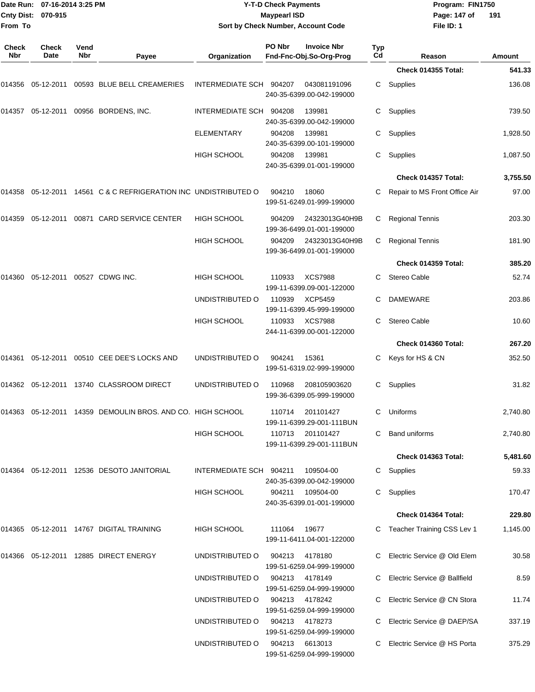| <b>Cnty Dist:</b><br>From To | Date Run: 07-16-2014 3:25 PM<br>070-915 |             |                                                                           |                         | <b>Y-T-D Check Payments</b><br><b>Maypearl ISD</b> | Sort by Check Number, Account Code            |           | Program: FIN1750<br>Page: 147 of<br>File ID: 1 | 191           |
|------------------------------|-----------------------------------------|-------------|---------------------------------------------------------------------------|-------------------------|----------------------------------------------------|-----------------------------------------------|-----------|------------------------------------------------|---------------|
| <b>Check</b><br>Nbr          | <b>Check</b><br>Date                    | Vend<br>Nbr | Payee                                                                     | Organization            | PO Nbr                                             | <b>Invoice Nbr</b><br>Fnd-Fnc-Obj.So-Org-Prog | Typ<br>Cd | Reason                                         | <b>Amount</b> |
|                              |                                         |             |                                                                           |                         |                                                    |                                               |           | Check 014355 Total:                            | 541.33        |
|                              |                                         |             | 014356  05-12-2011  00593  BLUE  BELL CREAMERIES                          | INTERMEDIATE SCH 904207 |                                                    | 043081191096<br>240-35-6399.00-042-199000     | С         | Supplies                                       | 136.08        |
| 014357                       |                                         |             | 05-12-2011  00956  BORDENS, INC.                                          | INTERMEDIATE SCH 904208 |                                                    | 139981<br>240-35-6399.00-042-199000           | С         | Supplies                                       | 739.50        |
|                              |                                         |             |                                                                           | ELEMENTARY              | 904208                                             | 139981<br>240-35-6399.00-101-199000           | С         | Supplies                                       | 1,928.50      |
|                              |                                         |             |                                                                           | <b>HIGH SCHOOL</b>      | 904208                                             | 139981<br>240-35-6399.01-001-199000           | С         | Supplies                                       | 1,087.50      |
|                              |                                         |             |                                                                           |                         |                                                    |                                               |           | Check 014357 Total:                            | 3,755.50      |
|                              |                                         |             | 014358   05-12-2011   14561   C & C REFRIGERATION INC   UNDISTRIBUTED   O |                         | 904210                                             | 18060<br>199-51-6249.01-999-199000            | С         | Repair to MS Front Office Air                  | 97.00         |
| 014359                       |                                         |             | 05-12-2011  00871  CARD SERVICE CENTER                                    | <b>HIGH SCHOOL</b>      | 904209                                             | 24323013G40H9B<br>199-36-6499.01-001-199000   | С         | <b>Regional Tennis</b>                         | 203.30        |
|                              |                                         |             |                                                                           | <b>HIGH SCHOOL</b>      | 904209                                             | 24323013G40H9B<br>199-36-6499.01-001-199000   | С         | <b>Regional Tennis</b>                         | 181.90        |
|                              |                                         |             |                                                                           |                         |                                                    |                                               |           | Check 014359 Total:                            | 385.20        |
| 014360                       | 05-12-2011  00527  CDWG INC.            |             |                                                                           | <b>HIGH SCHOOL</b>      | 110933                                             | <b>XCS7988</b><br>199-11-6399.09-001-122000   | С         | Stereo Cable                                   | 52.74         |
|                              |                                         |             |                                                                           | UNDISTRIBUTED O         | 110939                                             | <b>XCP5459</b><br>199-11-6399.45-999-199000   | С         | <b>DAMEWARE</b>                                | 203.86        |
|                              |                                         |             |                                                                           | <b>HIGH SCHOOL</b>      | 110933                                             | <b>XCS7988</b><br>244-11-6399.00-001-122000   | С         | Stereo Cable                                   | 10.60         |
|                              |                                         |             |                                                                           |                         |                                                    |                                               |           | Check 014360 Total:                            | 267.20        |
| 014361                       |                                         |             | 05-12-2011  00510  CEE DEE'S LOCKS AND                                    | UNDISTRIBUTED O         | 904241                                             | 15361<br>199-51-6319.02-999-199000            |           | Keys for HS & CN                               | 352.50        |
|                              |                                         |             | 014362 05-12-2011 13740  CLASSROOM DIRECT                                 | UNDISTRIBUTED O         | 110968                                             | 208105903620<br>199-36-6399.05-999-199000     | C.        | Supplies                                       | 31.82         |
|                              |                                         |             | 014363   05-12-2011   14359   DEMOULIN BROS. AND CO. HIGH SCHOOL          |                         |                                                    | 110714 201101427<br>199-11-6399.29-001-111BUN |           | C Uniforms                                     | 2,740.80      |
|                              |                                         |             |                                                                           | <b>HIGH SCHOOL</b>      |                                                    | 110713 201101427<br>199-11-6399.29-001-111BUN | C.        | <b>Band uniforms</b>                           | 2,740.80      |
|                              |                                         |             |                                                                           |                         |                                                    |                                               |           | Check 014363 Total:                            | 5,481.60      |
|                              |                                         |             | 014364 05-12-2011 12536  DESOTO JANITORIAL                                | INTERMEDIATE SCH 904211 |                                                    | 109504-00<br>240-35-6399.00-042-199000        |           | C Supplies                                     | 59.33         |
|                              |                                         |             |                                                                           | <b>HIGH SCHOOL</b>      | 904211                                             | 109504-00<br>240-35-6399.01-001-199000        |           | C Supplies                                     | 170.47        |
|                              |                                         |             |                                                                           |                         |                                                    |                                               |           | Check 014364 Total:                            | 229.80        |
|                              |                                         |             | 014365 05-12-2011 14767 DIGITAL TRAINING                                  | HIGH SCHOOL             | 111064                                             | 19677<br>199-11-6411.04-001-122000            |           | C Teacher Training CSS Lev 1                   | 1,145.00      |
|                              |                                         |             | 014366   05-12-2011   12885   DIRECT ENERGY                               | UNDISTRIBUTED O         | 904213                                             | 4178180<br>199-51-6259.04-999-199000          |           | C Electric Service @ Old Elem                  | 30.58         |
|                              |                                         |             |                                                                           | UNDISTRIBUTED O         |                                                    | 904213 4178149<br>199-51-6259.04-999-199000   |           | C Electric Service @ Ballfield                 | 8.59          |
|                              |                                         |             |                                                                           | UNDISTRIBUTED O         | 904213                                             | 4178242<br>199-51-6259.04-999-199000          |           | C Electric Service @ CN Stora                  | 11.74         |
|                              |                                         |             |                                                                           | UNDISTRIBUTED O         | 904213                                             | 4178273<br>199-51-6259.04-999-199000          |           | C Electric Service @ DAEP/SA                   | 337.19        |
|                              |                                         |             |                                                                           | UNDISTRIBUTED O         | 904213                                             | 6613013<br>199-51-6259.04-999-199000          |           | C Electric Service @ HS Porta                  | 375.29        |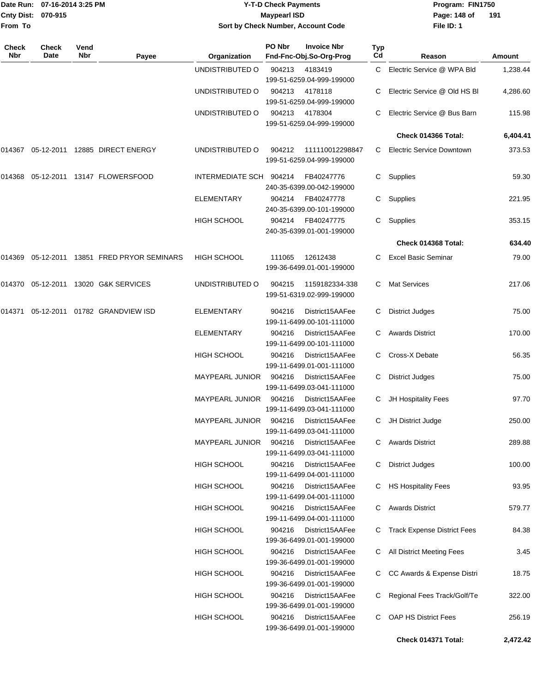| From To             | Date Run: 07-16-2014 3:25 PM<br>Cnty Dist: 070-915 |             |                                             | <b>Y-T-D Check Payments</b><br><b>Maypearl ISD</b><br>Sort by Check Number, Account Code |        |                                               |           | Program: FIN1750<br>Page: 148 of<br>File ID: 1 | 191      |
|---------------------|----------------------------------------------------|-------------|---------------------------------------------|------------------------------------------------------------------------------------------|--------|-----------------------------------------------|-----------|------------------------------------------------|----------|
| <b>Check</b><br>Nbr | Check<br>Date                                      | Vend<br>Nbr | Payee                                       | Organization                                                                             | PO Nbr | <b>Invoice Nbr</b><br>Fnd-Fnc-Obj.So-Org-Prog | Typ<br>Cd | Reason                                         | Amount   |
|                     |                                                    |             |                                             | UNDISTRIBUTED O                                                                          | 904213 | 4183419<br>199-51-6259.04-999-199000          | C         | Electric Service @ WPA Bld                     | 1,238.44 |
|                     |                                                    |             |                                             | UNDISTRIBUTED O                                                                          | 904213 | 4178118<br>199-51-6259.04-999-199000          | С         | Electric Service @ Old HS BI                   | 4,286.60 |
|                     |                                                    |             |                                             | UNDISTRIBUTED O                                                                          | 904213 | 4178304<br>199-51-6259.04-999-199000          | С         | Electric Service @ Bus Barn                    | 115.98   |
|                     |                                                    |             |                                             |                                                                                          |        |                                               |           | Check 014366 Total:                            | 6,404.41 |
| 014367              |                                                    |             | 05-12-2011  12885  DIRECT ENERGY            | UNDISTRIBUTED O                                                                          | 904212 | 111110012298847<br>199-51-6259.04-999-199000  | C.        | <b>Electric Service Downtown</b>               | 373.53   |
| 014368              |                                                    |             | 05-12-2011  13147  FLOWERSFOOD              | INTERMEDIATE SCH 904214                                                                  |        | FB40247776<br>240-35-6399.00-042-199000       | C.        | Supplies                                       | 59.30    |
|                     |                                                    |             |                                             | <b>ELEMENTARY</b>                                                                        | 904214 | FB40247778<br>240-35-6399.00-101-199000       | С         | Supplies                                       | 221.95   |
|                     |                                                    |             |                                             | HIGH SCHOOL                                                                              | 904214 | FB40247775<br>240-35-6399.01-001-199000       | C         | Supplies                                       | 353.15   |
|                     |                                                    |             |                                             |                                                                                          |        |                                               |           | Check 014368 Total:                            | 634.40   |
|                     |                                                    |             | 014369 05-12-2011 13851 FRED PRYOR SEMINARS | <b>HIGH SCHOOL</b>                                                                       | 111065 | 12612438<br>199-36-6499.01-001-199000         | C.        | <b>Excel Basic Seminar</b>                     | 79.00    |
|                     |                                                    |             | 014370 05-12-2011 13020 G&K SERVICES        | UNDISTRIBUTED O                                                                          | 904215 | 1159182334-338<br>199-51-6319.02-999-199000   | С         | <b>Mat Services</b>                            | 217.06   |
| 014371              | 05-12-2011                                         |             | 01782 GRANDVIEW ISD                         | <b>ELEMENTARY</b>                                                                        | 904216 | District15AAFee<br>199-11-6499.00-101-111000  | С         | <b>District Judges</b>                         | 75.00    |
|                     |                                                    |             |                                             | ELEMENTARY                                                                               | 904216 | District15AAFee<br>199-11-6499.00-101-111000  | C.        | <b>Awards District</b>                         | 170.00   |
|                     |                                                    |             |                                             | HIGH SCHOOL                                                                              | 904216 | District15AAFee<br>199-11-6499.01-001-111000  | С         | Cross-X Debate                                 | 56.35    |
|                     |                                                    |             |                                             | <b>MAYPEARL JUNIOR</b>                                                                   | 904216 | District15AAFee<br>199-11-6499.03-041-111000  | С         | <b>District Judges</b>                         | 75.00    |
|                     |                                                    |             |                                             | MAYPEARL JUNIOR                                                                          | 904216 | District15AAFee<br>199-11-6499.03-041-111000  | С         | JH Hospitality Fees                            | 97.70    |
|                     |                                                    |             |                                             | MAYPEARL JUNIOR                                                                          | 904216 | District15AAFee<br>199-11-6499.03-041-111000  | C.        | JH District Judge                              | 250.00   |
|                     |                                                    |             |                                             | <b>MAYPEARL JUNIOR</b>                                                                   | 904216 | District15AAFee<br>199-11-6499.03-041-111000  | C.        | <b>Awards District</b>                         | 289.88   |
|                     |                                                    |             |                                             | <b>HIGH SCHOOL</b>                                                                       | 904216 | District15AAFee<br>199-11-6499.04-001-111000  | C.        | <b>District Judges</b>                         | 100.00   |
|                     |                                                    |             |                                             | HIGH SCHOOL                                                                              | 904216 | District15AAFee<br>199-11-6499.04-001-111000  | C.        | <b>HS Hospitality Fees</b>                     | 93.95    |
|                     |                                                    |             |                                             | HIGH SCHOOL                                                                              | 904216 | District15AAFee<br>199-11-6499.04-001-111000  | С         | <b>Awards District</b>                         | 579.77   |
|                     |                                                    |             |                                             | HIGH SCHOOL                                                                              | 904216 | District15AAFee<br>199-36-6499.01-001-199000  | C         | <b>Track Expense District Fees</b>             | 84.38    |
|                     |                                                    |             |                                             | HIGH SCHOOL                                                                              | 904216 | District15AAFee<br>199-36-6499.01-001-199000  | C.        | All District Meeting Fees                      | 3.45     |
|                     |                                                    |             |                                             | HIGH SCHOOL                                                                              | 904216 | District15AAFee<br>199-36-6499.01-001-199000  | C.        | CC Awards & Expense Distri                     | 18.75    |
|                     |                                                    |             |                                             | HIGH SCHOOL                                                                              | 904216 | District15AAFee<br>199-36-6499.01-001-199000  | C         | Regional Fees Track/Golf/Te                    | 322.00   |
|                     |                                                    |             |                                             | HIGH SCHOOL                                                                              | 904216 | District15AAFee<br>199-36-6499.01-001-199000  | C         | OAP HS District Fees                           | 256.19   |
|                     |                                                    |             |                                             |                                                                                          |        |                                               |           | Check 014371 Total:                            | 2,472.42 |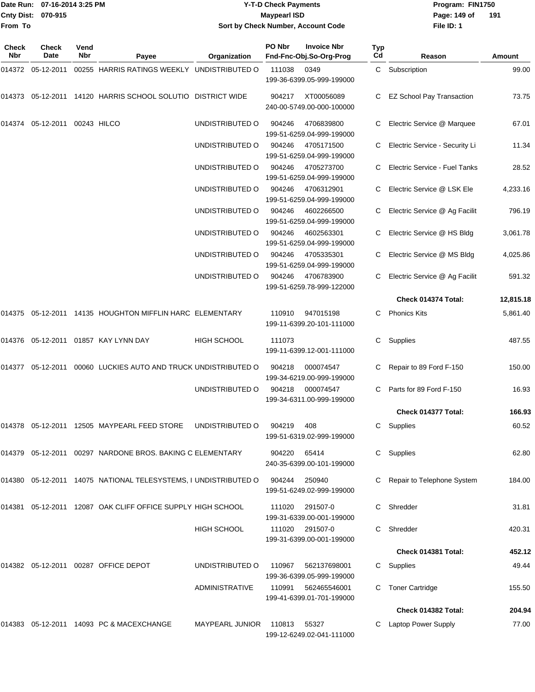**From To**

#### Date Run: 07-16-2014 3:25 PM **Program:** FIN1750 **Cnty Dist:** 070-915 **Page: 149 of** Maypearl ISD **CONTEX IS A RESERVE A Page: 149 of Y-T-D Check Payments 070-915 Maypearl ISD Sort by Check Number, Account Code**

**File ID: 1 191**

| Check<br><b>Nbr</b> | Check<br>Date          | Vend<br>Nbr | Payee                                                              | Organization          | PO Nbr | <b>Invoice Nbr</b><br>Fnd-Fnc-Obj.So-Org-Prog | Typ<br>Cd | Reason                           | Amount    |
|---------------------|------------------------|-------------|--------------------------------------------------------------------|-----------------------|--------|-----------------------------------------------|-----------|----------------------------------|-----------|
|                     |                        |             | 00255 HARRIS RATINGS WEEKLY UNDISTRIBUTED O                        |                       | 111038 | 0349<br>199-36-6399.05-999-199000             |           | C Subscription                   | 99.00     |
| 014373              | 05-12-2011             |             | 14120 HARRIS SCHOOL SOLUTIO DISTRICT WIDE                          |                       | 904217 | XT00056089<br>240-00-5749.00-000-100000       | C.        | <b>EZ School Pay Transaction</b> | 73.75     |
| 014374              | 05-12-2011 00243 HILCO |             |                                                                    | UNDISTRIBUTED O       | 904246 | 4706839800<br>199-51-6259.04-999-199000       | C         | Electric Service @ Marquee       | 67.01     |
|                     |                        |             |                                                                    | UNDISTRIBUTED O       | 904246 | 4705171500<br>199-51-6259.04-999-199000       | C.        | Electric Service - Security Li   | 11.34     |
|                     |                        |             |                                                                    | UNDISTRIBUTED O       | 904246 | 4705273700<br>199-51-6259.04-999-199000       | C         | Electric Service - Fuel Tanks    | 28.52     |
|                     |                        |             |                                                                    | UNDISTRIBUTED O       | 904246 | 4706312901<br>199-51-6259.04-999-199000       | C         | Electric Service @ LSK Ele       | 4,233.16  |
|                     |                        |             |                                                                    | UNDISTRIBUTED O       | 904246 | 4602266500<br>199-51-6259.04-999-199000       | C.        | Electric Service @ Ag Facilit    | 796.19    |
|                     |                        |             |                                                                    | UNDISTRIBUTED O       | 904246 | 4602563301<br>199-51-6259.04-999-199000       | C.        | Electric Service @ HS Bldg       | 3,061.78  |
|                     |                        |             |                                                                    | UNDISTRIBUTED O       | 904246 | 4705335301<br>199-51-6259.04-999-199000       | C         | Electric Service @ MS Bldg       | 4,025.86  |
|                     |                        |             |                                                                    | UNDISTRIBUTED O       | 904246 | 4706783900<br>199-51-6259.78-999-122000       | C         | Electric Service @ Ag Facilit    | 591.32    |
|                     |                        |             |                                                                    |                       |        |                                               |           | Check 014374 Total:              | 12,815.18 |
|                     |                        |             | 014375 05-12-2011 14135 HOUGHTON MIFFLIN HARC ELEMENTARY           |                       | 110910 | 947015198<br>199-11-6399.20-101-111000        | C.        | <b>Phonics Kits</b>              | 5,861.40  |
|                     |                        |             | 014376 05-12-2011 01857 KAY LYNN DAY                               | <b>HIGH SCHOOL</b>    | 111073 | 199-11-6399.12-001-111000                     | C         | Supplies                         | 487.55    |
|                     |                        |             | 00060 LUCKIES AUTO AND TRUCK UNDISTRIBUTED O                       |                       | 904218 | 000074547<br>199-34-6219.00-999-199000        | C         | Repair to 89 Ford F-150          | 150.00    |
|                     |                        |             |                                                                    | UNDISTRIBUTED O       | 904218 | 000074547<br>199-34-6311.00-999-199000        | C         | Parts for 89 Ford F-150          | 16.93     |
|                     |                        |             |                                                                    |                       |        |                                               |           | Check 014377 Total:              | 166.93    |
|                     |                        |             | 014378    05-12-2011    12505    MAYPEARL FEED STORE               | UNDISTRIBUTED O       | 904219 | 408<br>199-51-6319.02-999-199000              | C.        | Supplies                         | 60.52     |
|                     |                        |             | 014379  05-12-2011  00297  NARDONE BROS. BAKING C ELEMENTARY       |                       | 904220 | 65414<br>240-35-6399.00-101-199000            |           | C Supplies                       | 62.80     |
|                     |                        |             | 014380  05-12-2011  14075  NATIONAL TELESYSTEMS, I UNDISTRIBUTED O |                       | 904244 | 250940<br>199-51-6249.02-999-199000           |           | Repair to Telephone System       | 184.00    |
| 014381              |                        |             | 05-12-2011 12087 OAK CLIFF OFFICE SUPPLY HIGH SCHOOL               |                       | 111020 | 291507-0<br>199-31-6339.00-001-199000         | C         | Shredder                         | 31.81     |
|                     |                        |             |                                                                    | <b>HIGH SCHOOL</b>    | 111020 | 291507-0<br>199-31-6399.00-001-199000         | C.        | Shredder                         | 420.31    |
|                     |                        |             |                                                                    |                       |        |                                               |           | Check 014381 Total:              | 452.12    |
|                     |                        |             | 014382   05-12-2011   00287   OFFICE DEPOT                         | UNDISTRIBUTED O       | 110967 | 562137698001<br>199-36-6399.05-999-199000     |           | C Supplies                       | 49.44     |
|                     |                        |             |                                                                    | <b>ADMINISTRATIVE</b> | 110991 | 562465546001<br>199-41-6399.01-701-199000     | C         | <b>Toner Cartridge</b>           | 155.50    |
|                     |                        |             |                                                                    |                       |        |                                               |           | Check 014382 Total:              | 204.94    |
|                     |                        |             | 014383 05-12-2011 14093 PC & MACEXCHANGE                           | MAYPEARL JUNIOR       | 110813 | 55327<br>199-12-6249.02-041-111000            |           | C Laptop Power Supply            | 77.00     |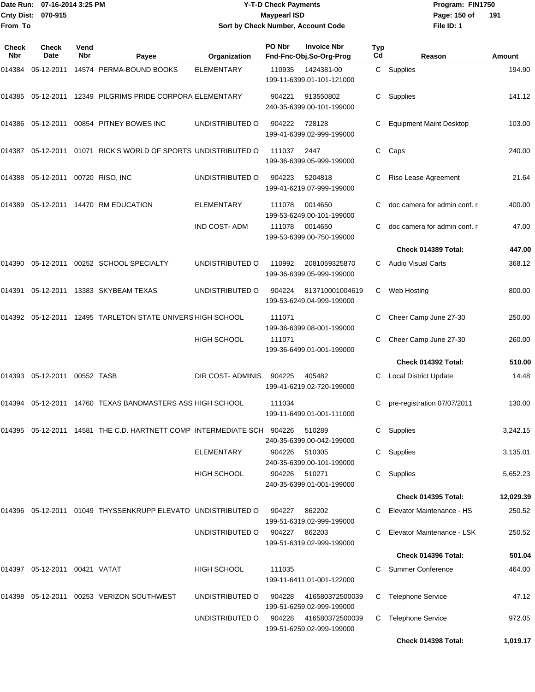### Date Run: 07-16-2014 3:25 PM **Program:** FIN1750 **2-T-D Check Payments 070-915 Maypearl ISD Sort by Check Number, Account Code**

**File ID: 1** Page: 150 of 191

| Check<br>Nbr | Check<br>Date              | Vend<br><b>Nbr</b> | Payee                                                                  | Organization            | PO Nbr        | <b>Invoice Nbr</b><br>Fnd-Fnc-Obj.So-Org-Prog | Typ<br>Cd | Reason                         | Amount    |
|--------------|----------------------------|--------------------|------------------------------------------------------------------------|-------------------------|---------------|-----------------------------------------------|-----------|--------------------------------|-----------|
| 014384       | 05-12-2011                 |                    | 14574 PERMA-BOUND BOOKS                                                | <b>ELEMENTARY</b>       | 110935        | 1424381-00<br>199-11-6399.01-101-121000       |           | C Supplies                     | 194.90    |
|              | 014385  05-12-2011         |                    | 12349 PILGRIMS PRIDE CORPORA ELEMENTARY                                |                         | 904221        | 913550802<br>240-35-6399.00-101-199000        | C         | Supplies                       | 141.12    |
| 014386       | 05-12-2011                 |                    | 00854 PITNEY BOWES INC                                                 | UNDISTRIBUTED O         | 904222        | 728128<br>199-41-6399.02-999-199000           | С         | <b>Equipment Maint Desktop</b> | 103.00    |
| 014387       |                            |                    | 05-12-2011  01071  RICK'S WORLD OF SPORTS UNDISTRIBUTED O              |                         | 111037        | 2447<br>199-36-6399.05-999-199000             | С         | Caps                           | 240.00    |
| 014388       | 05-12-2011 00720 RISO, INC |                    |                                                                        | UNDISTRIBUTED O         | 904223        | 5204818<br>199-41-6219.07-999-199000          |           | Riso Lease Agreement           | 21.64     |
| 014389       |                            |                    | 05-12-2011  14470 RM EDUCATION                                         | <b>ELEMENTARY</b>       | 111078        | 0014650<br>199-53-6249.00-101-199000          | C         | doc camera for admin conf. r   | 400.00    |
|              |                            |                    |                                                                        | <b>IND COST-ADM</b>     | 111078        | 0014650<br>199-53-6399.00-750-199000          | C         | doc camera for admin conf. r   | 47.00     |
|              |                            |                    |                                                                        |                         |               |                                               |           | Check 014389 Total:            | 447.00    |
| 014390       |                            |                    | 05-12-2011  00252  SCHOOL SPECIALTY                                    | UNDISTRIBUTED O         | 110992        | 2081059325870<br>199-36-6399.05-999-199000    | C         | Audio Visual Carts             | 368.12    |
| 014391       | 05-12-2011                 |                    | 13383 SKYBEAM TEXAS                                                    | UNDISTRIBUTED O         | 904224        | 813710001004619<br>199-53-6249.04-999-199000  | C         | Web Hosting                    | 800.00    |
| 014392       | 05-12-2011                 |                    | 12495 TARLETON STATE UNIVERS HIGH SCHOOL                               |                         | 111071        | 199-36-6399.08-001-199000                     | С         | Cheer Camp June 27-30          | 250.00    |
|              |                            |                    |                                                                        | <b>HIGH SCHOOL</b>      | 111071        | 199-36-6499.01-001-199000                     | С         | Cheer Camp June 27-30          | 260.00    |
|              |                            |                    |                                                                        |                         |               |                                               |           | Check 014392 Total:            | 510.00    |
| 014393       | 05-12-2011 00552 TASB      |                    |                                                                        | <b>DIR COST-ADMINIS</b> | 904225        | 405482<br>199-41-6219.02-720-199000           | C         | <b>Local District Update</b>   | 14.48     |
| 014394       |                            |                    | 05-12-2011 14760 TEXAS BANDMASTERS ASS HIGH SCHOOL                     |                         | 111034        | 199-11-6499.01-001-111000                     |           | pre-registration 07/07/2011    | 130.00    |
|              |                            |                    | 014395 05-12-2011 14581 THE C.D. HARTNETT COMP INTERMEDIATE SCH 904226 |                         |               | 510289<br>240-35-6399.00-042-199000           |           | C Supplies                     | 3,242.15  |
|              |                            |                    |                                                                        | <b>ELEMENTARY</b>       | 904226        | 510305<br>240-35-6399.00-101-199000           |           | C Supplies                     | 3,135.01  |
|              |                            |                    |                                                                        | HIGH SCHOOL             | 904226        | 510271<br>240-35-6399.01-001-199000           |           | C Supplies                     | 5,652.23  |
|              |                            |                    |                                                                        |                         |               |                                               |           | Check 014395 Total:            | 12,029.39 |
|              |                            |                    | 014396 05-12-2011 01049 THYSSENKRUPP ELEVATO UNDISTRIBUTED O           |                         | 904227        | 862202<br>199-51-6319.02-999-199000           |           | Elevator Maintenance - HS      | 250.52    |
|              |                            |                    |                                                                        | UNDISTRIBUTED O         | 904227 862203 | 199-51-6319.02-999-199000                     |           | Elevator Maintenance - LSK     | 250.52    |
|              |                            |                    |                                                                        |                         |               |                                               |           | Check 014396 Total:            | 501.04    |
| 014397       | 05-12-2011 00421 VATAT     |                    |                                                                        | HIGH SCHOOL             | 111035        | 199-11-6411.01-001-122000                     |           | C Summer Conference            | 464.00    |
|              |                            |                    | 014398  05-12-2011  00253  VERIZON SOUTHWEST                           | UNDISTRIBUTED O         | 904228        | 416580372500039<br>199-51-6259.02-999-199000  | C         | <b>Telephone Service</b>       | 47.12     |
|              |                            |                    |                                                                        | UNDISTRIBUTED O         | 904228        | 416580372500039<br>199-51-6259.02-999-199000  |           | C Telephone Service            | 972.05    |
|              |                            |                    |                                                                        |                         |               |                                               |           | Check 014398 Total:            | 1,019.17  |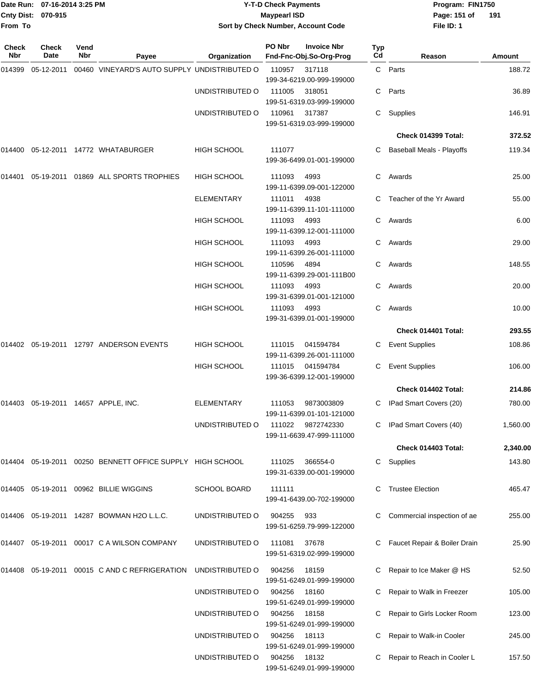| From To      | Date Run: 07-16-2014 3:25 PM<br>Cnty Dist: 070-915 |      |                                                           |                     | <b>Y-T-D Check Payments</b><br><b>Maypearl ISD</b><br>Sort by Check Number, Account Code |                                   |     | Program: FIN1750<br>Page: 151 of<br>File ID: 1 | 191      |
|--------------|----------------------------------------------------|------|-----------------------------------------------------------|---------------------|------------------------------------------------------------------------------------------|-----------------------------------|-----|------------------------------------------------|----------|
| <b>Check</b> | <b>Check</b>                                       | Vend |                                                           |                     | PO Nbr                                                                                   | <b>Invoice Nbr</b>                | Typ |                                                |          |
| Nbr          | Date                                               | Nbr  | Payee                                                     | Organization        | Fnd-Fnc-Obj.So-Org-Prog                                                                  |                                   | Cd  | Reason                                         | Amount   |
| 014399       | 05-12-2011                                         |      | 00460 VINEYARD'S AUTO SUPPLY UNDISTRIBUTED O              |                     | 110957<br>199-34-6219.00-999-199000                                                      | 317118                            | C   | Parts                                          | 188.72   |
|              |                                                    |      |                                                           | UNDISTRIBUTED O     | 111005                                                                                   | 318051                            | C   | Parts                                          | 36.89    |
|              |                                                    |      |                                                           |                     | 199-51-6319.03-999-199000                                                                |                                   |     |                                                |          |
|              |                                                    |      |                                                           | UNDISTRIBUTED O     | 110961                                                                                   | 317387                            | C   | Supplies                                       | 146.91   |
|              |                                                    |      |                                                           |                     | 199-51-6319.03-999-199000                                                                |                                   |     | Check 014399 Total:                            | 372.52   |
|              |                                                    |      |                                                           |                     |                                                                                          |                                   |     |                                                |          |
| 014400       |                                                    |      | 05-12-2011  14772  WHATABURGER                            | <b>HIGH SCHOOL</b>  | 111077<br>199-36-6499.01-001-199000                                                      |                                   | C   | <b>Baseball Meals - Playoffs</b>               | 119.34   |
| 014401       | 05-19-2011                                         |      | 01869 ALL SPORTS TROPHIES                                 | <b>HIGH SCHOOL</b>  | 111093                                                                                   | 4993                              | C   | Awards                                         | 25.00    |
|              |                                                    |      |                                                           |                     | 199-11-6399.09-001-122000                                                                |                                   |     |                                                |          |
|              |                                                    |      |                                                           | <b>ELEMENTARY</b>   | 111011                                                                                   | 4938                              | C.  | Teacher of the Yr Award                        | 55.00    |
|              |                                                    |      |                                                           |                     | 199-11-6399.11-101-111000                                                                |                                   |     |                                                |          |
|              |                                                    |      |                                                           | HIGH SCHOOL         | 111093<br>199-11-6399.12-001-111000                                                      | 4993                              | C   | Awards                                         | 6.00     |
|              |                                                    |      |                                                           | HIGH SCHOOL         | 111093                                                                                   | 4993                              | C   | Awards                                         | 29.00    |
|              |                                                    |      |                                                           |                     | 199-11-6399.26-001-111000                                                                |                                   |     |                                                |          |
|              |                                                    |      |                                                           | <b>HIGH SCHOOL</b>  | 110596                                                                                   | 4894                              | C   | Awards                                         | 148.55   |
|              |                                                    |      |                                                           | <b>HIGH SCHOOL</b>  | 111093                                                                                   | 199-11-6399.29-001-111B00<br>4993 | C   | Awards                                         | 20.00    |
|              |                                                    |      |                                                           |                     | 199-31-6399.01-001-121000                                                                |                                   |     |                                                |          |
|              |                                                    |      |                                                           | HIGH SCHOOL         | 111093                                                                                   | 4993                              | C   | Awards                                         | 10.00    |
|              |                                                    |      |                                                           |                     | 199-31-6399.01-001-199000                                                                |                                   |     | Check 014401 Total:                            | 293.55   |
| 014402       | 05-19-2011                                         |      | 12797 ANDERSON EVENTS                                     | <b>HIGH SCHOOL</b>  | 111015                                                                                   | 041594784                         |     | <b>Event Supplies</b>                          | 108.86   |
|              |                                                    |      |                                                           |                     | 199-11-6399.26-001-111000                                                                |                                   | C   |                                                |          |
|              |                                                    |      |                                                           | <b>HIGH SCHOOL</b>  | 111015                                                                                   | 041594784                         | C   | <b>Event Supplies</b>                          | 106.00   |
|              |                                                    |      |                                                           |                     | 199-36-6399.12-001-199000                                                                |                                   |     |                                                |          |
|              |                                                    |      |                                                           |                     |                                                                                          |                                   |     | Check 014402 Total:                            | 214.86   |
|              |                                                    |      | 014403  05-19-2011  14657  APPLE, INC.                    | <b>ELEMENTARY</b>   | 111053                                                                                   | 9873003809                        | C   | IPad Smart Covers (20)                         | 780.00   |
|              |                                                    |      |                                                           | UNDISTRIBUTED O     | 199-11-6399.01-101-121000<br>111022                                                      | 9872742330                        |     | IPad Smart Covers (40)                         | 1,560.00 |
|              |                                                    |      |                                                           |                     | 199-11-6639.47-999-111000                                                                |                                   |     |                                                |          |
|              |                                                    |      |                                                           |                     |                                                                                          |                                   |     | Check 014403 Total:                            | 2,340.00 |
|              |                                                    |      | 014404 05-19-2011 00250 BENNETT OFFICE SUPPLY HIGH SCHOOL |                     | 111025                                                                                   | 366554-0                          | C   | Supplies                                       | 143.80   |
|              |                                                    |      |                                                           |                     | 199-31-6339.00-001-199000                                                                |                                   |     |                                                |          |
|              |                                                    |      | 014405 05-19-2011 00962 BILLIE WIGGINS                    | <b>SCHOOL BOARD</b> | 111111                                                                                   |                                   |     | <b>Trustee Election</b>                        | 465.47   |
|              |                                                    |      |                                                           |                     | 199-41-6439.00-702-199000                                                                |                                   |     |                                                |          |
|              |                                                    |      | 014406 05-19-2011 14287 BOWMAN H2O L.L.C.                 | UNDISTRIBUTED O     | 904255<br>933                                                                            |                                   |     | Commercial inspection of ae                    | 255.00   |
|              |                                                    |      |                                                           |                     | 199-51-6259.79-999-122000                                                                |                                   |     |                                                |          |
|              |                                                    |      | 014407 05-19-2011 00017 C A WILSON COMPANY                | UNDISTRIBUTED O     | 111081                                                                                   | 37678                             |     | Faucet Repair & Boiler Drain                   | 25.90    |
|              |                                                    |      |                                                           |                     | 199-51-6319.02-999-199000                                                                |                                   |     |                                                |          |
|              |                                                    |      | 014408  05-19-2011  00015  C  AND C  REFRIGERATION        | UNDISTRIBUTED O     | 904256                                                                                   | 18159                             |     | Repair to Ice Maker @ HS                       | 52.50    |
|              |                                                    |      |                                                           |                     | 199-51-6249.01-999-199000                                                                |                                   |     |                                                |          |
|              |                                                    |      |                                                           | UNDISTRIBUTED O     | 904256<br>199-51-6249.01-999-199000                                                      | 18160                             |     | Repair to Walk in Freezer                      | 105.00   |
|              |                                                    |      |                                                           | UNDISTRIBUTED O     | 904256                                                                                   | 18158                             |     | Repair to Girls Locker Room                    | 123.00   |
|              |                                                    |      |                                                           |                     | 199-51-6249.01-999-199000                                                                |                                   |     |                                                |          |
|              |                                                    |      |                                                           | UNDISTRIBUTED O     | 904256 18113                                                                             |                                   |     | C Repair to Walk-in Cooler                     | 245.00   |

199-51-6249.01-999-199000

199-51-6249.01-999-199000

UNDISTRIBUTED O 904256 18132 C Repair to Reach in Cooler L 157.50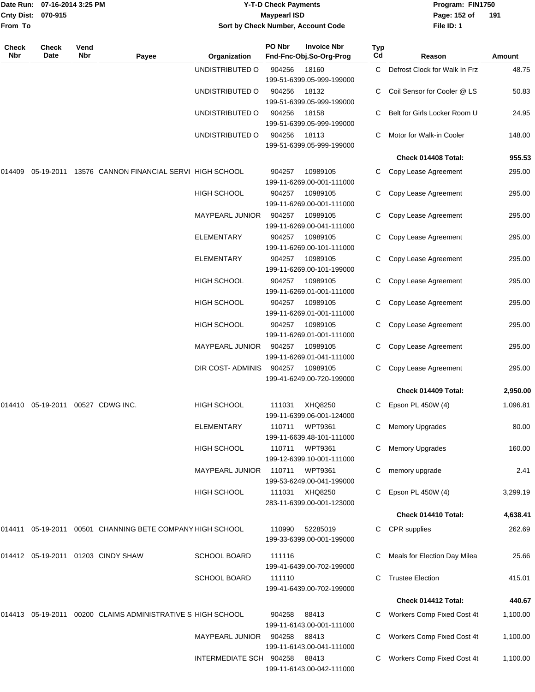| Cnty Dist:   | Date Run: 07-16-2014 3:25 PM<br>070-915 |             |                                                              |                                    | <b>Y-T-D Check Payments</b><br><b>Maypearl ISD</b> |                                               |                  | Program: FIN1750<br>Page: 152 of | 191      |
|--------------|-----------------------------------------|-------------|--------------------------------------------------------------|------------------------------------|----------------------------------------------------|-----------------------------------------------|------------------|----------------------------------|----------|
| From To      |                                         |             |                                                              | Sort by Check Number, Account Code |                                                    |                                               |                  | File ID: 1                       |          |
| Check<br>Nbr | <b>Check</b><br>Date                    | Vend<br>Nbr | Payee                                                        | Organization                       | PO Nbr                                             | <b>Invoice Nbr</b><br>Fnd-Fnc-Obj.So-Org-Prog | <b>Typ</b><br>Cd | Reason                           | Amount   |
|              |                                         |             |                                                              | UNDISTRIBUTED O                    | 904256                                             | 18160<br>199-51-6399.05-999-199000            | C.               | Defrost Clock for Walk In Frz    | 48.75    |
|              |                                         |             |                                                              | UNDISTRIBUTED O                    | 904256                                             | 18132<br>199-51-6399.05-999-199000            |                  | Coil Sensor for Cooler @ LS      | 50.83    |
|              |                                         |             |                                                              | UNDISTRIBUTED O                    | 904256                                             | 18158<br>199-51-6399.05-999-199000            |                  | Belt for Girls Locker Room U     | 24.95    |
|              |                                         |             |                                                              | UNDISTRIBUTED O                    | 904256                                             | 18113<br>199-51-6399.05-999-199000            | C                | Motor for Walk-in Cooler         | 148.00   |
|              |                                         |             |                                                              |                                    |                                                    |                                               |                  | Check 014408 Total:              | 955.53   |
| 014409       |                                         |             | 05-19-2011 13576 CANNON FINANCIAL SERVI HIGH SCHOOL          |                                    | 904257                                             | 10989105<br>199-11-6269.00-001-111000         |                  | C Copy Lease Agreement           | 295.00   |
|              |                                         |             |                                                              | <b>HIGH SCHOOL</b>                 | 904257                                             | 10989105<br>199-11-6269.00-001-111000         |                  | Copy Lease Agreement             | 295.00   |
|              |                                         |             |                                                              | <b>MAYPEARL JUNIOR</b>             | 904257                                             | 10989105<br>199-11-6269.00-041-111000         |                  | Copy Lease Agreement             | 295.00   |
|              |                                         |             |                                                              | <b>ELEMENTARY</b>                  | 904257                                             | 10989105<br>199-11-6269.00-101-111000         |                  | Copy Lease Agreement             | 295.00   |
|              |                                         |             |                                                              | ELEMENTARY                         | 904257                                             | 10989105<br>199-11-6269.00-101-199000         |                  | Copy Lease Agreement             | 295.00   |
|              |                                         |             |                                                              | <b>HIGH SCHOOL</b>                 | 904257                                             | 10989105<br>199-11-6269.01-001-111000         |                  | Copy Lease Agreement             | 295.00   |
|              |                                         |             |                                                              | HIGH SCHOOL                        | 904257                                             | 10989105<br>199-11-6269.01-001-111000         |                  | Copy Lease Agreement             | 295.00   |
|              |                                         |             |                                                              | HIGH SCHOOL                        | 904257                                             | 10989105<br>199-11-6269.01-001-111000         | C                | Copy Lease Agreement             | 295.00   |
|              |                                         |             |                                                              | <b>MAYPEARL JUNIOR</b>             | 904257                                             | 10989105<br>199-11-6269.01-041-111000         |                  | Copy Lease Agreement             | 295.00   |
|              |                                         |             |                                                              | DIR COST-ADMINIS                   | 904257                                             | 10989105<br>199-41-6249.00-720-199000         | С                | Copy Lease Agreement             | 295.00   |
|              |                                         |             |                                                              |                                    |                                                    |                                               |                  | Check 014409 Total:              | 2,950.00 |
|              |                                         |             | 014410  05-19-2011  00527  CDWG INC.                         | HIGH SCHOOL                        | 111031                                             | XHQ8250<br>199-11-6399.06-001-124000          |                  | C Epson PL 450W (4)              | 1,096.81 |
|              |                                         |             |                                                              | <b>ELEMENTARY</b>                  | 110711                                             | <b>WPT9361</b><br>199-11-6639.48-101-111000   | C                | <b>Memory Upgrades</b>           | 80.00    |
|              |                                         |             |                                                              | HIGH SCHOOL                        | 110711                                             | <b>WPT9361</b><br>199-12-6399.10-001-111000   | C                | <b>Memory Upgrades</b>           | 160.00   |
|              |                                         |             |                                                              | <b>MAYPEARL JUNIOR</b>             | 110711                                             | <b>WPT9361</b><br>199-53-6249.00-041-199000   | С                | memory upgrade                   | 2.41     |
|              |                                         |             |                                                              | <b>HIGH SCHOOL</b>                 | 111031                                             | XHQ8250<br>283-11-6399.00-001-123000          |                  | Epson PL 450W (4)                | 3,299.19 |
|              |                                         |             |                                                              |                                    |                                                    |                                               |                  | Check 014410 Total:              | 4,638.41 |
|              |                                         |             | 014411  05-19-2011  00501  CHANNING BETE COMPANY HIGH SCHOOL |                                    | 110990                                             | 52285019<br>199-33-6399.00-001-199000         | C.               | CPR supplies                     | 262.69   |
|              |                                         |             | 014412 05-19-2011 01203 CINDY SHAW                           | <b>SCHOOL BOARD</b>                | 111116                                             | 199-41-6439.00-702-199000                     |                  | Meals for Election Day Milea     | 25.66    |
|              |                                         |             |                                                              | <b>SCHOOL BOARD</b>                | 111110                                             | 199-41-6439.00-702-199000                     | С                | <b>Trustee Election</b>          | 415.01   |
|              |                                         |             |                                                              |                                    |                                                    |                                               |                  | Check 014412 Total:              | 440.67   |
|              |                                         |             | 014413 05-19-2011 00200  CLAIMS ADMINISTRATIVE S HIGH SCHOOL |                                    | 904258                                             | 88413<br>199-11-6143.00-001-111000            |                  | C Workers Comp Fixed Cost 4t     | 1,100.00 |
|              |                                         |             |                                                              | <b>MAYPEARL JUNIOR</b>             | 904258                                             | 88413<br>199-11-6143.00-041-111000            | C                | Workers Comp Fixed Cost 4t       | 1,100.00 |
|              |                                         |             |                                                              | INTERMEDIATE SCH 904258 88413      |                                                    |                                               |                  | C Workers Comp Fixed Cost 4t     | 1,100.00 |

199-11-6143.00-042-111000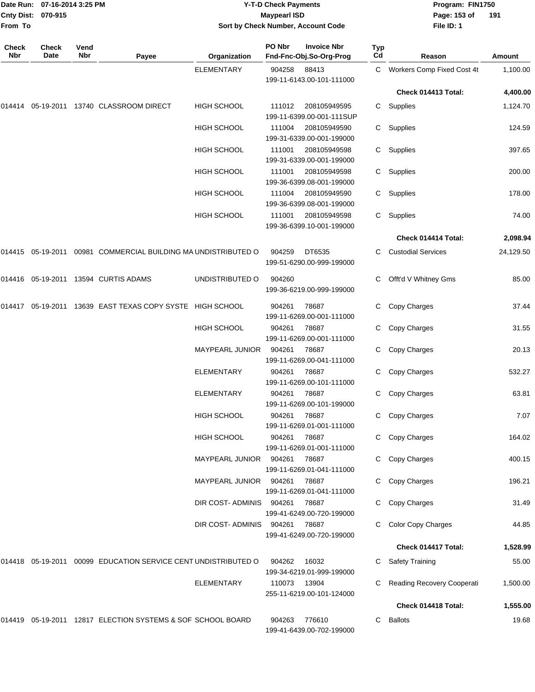| Date Run:             | 07-16-2014 3:25 PM   |             |                                                                                       |                                    | <b>Y-T-D Check Payments</b> |                                               |           | Program: FIN1750             |           |
|-----------------------|----------------------|-------------|---------------------------------------------------------------------------------------|------------------------------------|-----------------------------|-----------------------------------------------|-----------|------------------------------|-----------|
| Cnty Dist:<br>From To | 070-915              |             |                                                                                       | Sort by Check Number, Account Code | <b>Maypearl ISD</b>         |                                               |           | Page: 153 of<br>File ID: 1   | 191       |
|                       |                      |             |                                                                                       |                                    |                             |                                               |           |                              |           |
| Check<br>Nbr          | <b>Check</b><br>Date | Vend<br>Nbr | Payee                                                                                 | Organization                       | PO Nbr                      | <b>Invoice Nbr</b><br>Fnd-Fnc-Obj.So-Org-Prog | Typ<br>Cd | Reason                       | Amount    |
|                       |                      |             |                                                                                       | <b>ELEMENTARY</b>                  | 904258                      | 88413<br>199-11-6143.00-101-111000            |           | C Workers Comp Fixed Cost 4t | 1,100.00  |
|                       |                      |             |                                                                                       |                                    |                             |                                               |           | Check 014413 Total:          | 4,400.00  |
|                       |                      |             | 014414    05-19-2011    13740        CLASSROOM                                 DIRECT | HIGH SCHOOL                        | 111012                      | 208105949595                                  | C.        | Supplies                     | 1,124.70  |
|                       |                      |             |                                                                                       |                                    |                             | 199-11-6399.00-001-111SUP                     |           |                              |           |
|                       |                      |             |                                                                                       | HIGH SCHOOL                        | 111004                      | 208105949590                                  | C         | Supplies                     | 124.59    |
|                       |                      |             |                                                                                       |                                    |                             | 199-31-6339.00-001-199000                     |           |                              |           |
|                       |                      |             |                                                                                       | <b>HIGH SCHOOL</b>                 | 111001                      | 208105949598<br>199-31-6339.00-001-199000     | С         | Supplies                     | 397.65    |
|                       |                      |             |                                                                                       | <b>HIGH SCHOOL</b>                 | 111001                      | 208105949598<br>199-36-6399.08-001-199000     | C.        | Supplies                     | 200.00    |
|                       |                      |             |                                                                                       | HIGH SCHOOL                        | 111004                      | 208105949590<br>199-36-6399.08-001-199000     | C.        | Supplies                     | 178.00    |
|                       |                      |             |                                                                                       | <b>HIGH SCHOOL</b>                 | 111001                      | 208105949598<br>199-36-6399.10-001-199000     | C.        | Supplies                     | 74.00     |
|                       |                      |             |                                                                                       |                                    |                             |                                               |           | Check 014414 Total:          | 2,098.94  |
| 014415                |                      |             | 05-19-2011  00981  COMMERCIAL BUILDING MA UNDISTRIBUTED O                             |                                    | 904259                      | DT6535<br>199-51-6290.00-999-199000           | С         | <b>Custodial Services</b>    | 24,129.50 |
|                       |                      |             | 014416  05-19-2011  13594  CURTIS ADAMS                                               | UNDISTRIBUTED O                    | 904260                      | 199-36-6219.00-999-199000                     | С         | Offt'd V Whitney Gms         | 85.00     |
|                       |                      |             |                                                                                       |                                    | 904261                      | 78687<br>199-11-6269.00-001-111000            | С         | Copy Charges                 | 37.44     |
|                       |                      |             |                                                                                       | HIGH SCHOOL                        | 904261                      | 78687<br>199-11-6269.00-001-111000            | С         | Copy Charges                 | 31.55     |
|                       |                      |             |                                                                                       | <b>MAYPEARL JUNIOR</b>             | 904261                      | 78687<br>199-11-6269.00-041-111000            | С         | Copy Charges                 | 20.13     |
|                       |                      |             |                                                                                       | <b>ELEMENTARY</b>                  | 904261                      | 78687<br>199-11-6269.00-101-111000            | С         | Copy Charges                 | 532.27    |
|                       |                      |             |                                                                                       | <b>ELEMENTARY</b>                  | 904261                      | 78687<br>199-11-6269.00-101-199000            |           | C Copy Charges               | 63.81     |
|                       |                      |             |                                                                                       | HIGH SCHOOL                        | 904261                      | 78687<br>199-11-6269.01-001-111000            |           | Copy Charges                 | 7.07      |
|                       |                      |             |                                                                                       | HIGH SCHOOL                        | 904261                      | 78687<br>199-11-6269.01-001-111000            |           | Copy Charges                 | 164.02    |
|                       |                      |             |                                                                                       | MAYPEARL JUNIOR                    | 904261                      | 78687<br>199-11-6269.01-041-111000            |           | Copy Charges                 | 400.15    |
|                       |                      |             |                                                                                       | MAYPEARL JUNIOR                    | 904261                      | 78687<br>199-11-6269.01-041-111000            |           | Copy Charges                 | 196.21    |
|                       |                      |             |                                                                                       | DIR COST-ADMINIS                   | 904261                      | 78687<br>199-41-6249.00-720-199000            |           | Copy Charges                 | 31.49     |
|                       |                      |             |                                                                                       | DIR COST- ADMINIS                  | 904261                      | 78687<br>199-41-6249.00-720-199000            | С         | <b>Color Copy Charges</b>    | 44.85     |
|                       |                      |             |                                                                                       |                                    |                             |                                               |           | Check 014417 Total:          | 1,528.99  |
|                       |                      |             | 014418  05-19-2011  00099  EDUCATION SERVICE CENT UNDISTRIBUTED O                     |                                    | 904262                      | 16032<br>199-34-6219.01-999-199000            | C.        | <b>Safety Training</b>       | 55.00     |
|                       |                      |             |                                                                                       | <b>ELEMENTARY</b>                  | 110073 13904                | 255-11-6219.00-101-124000                     |           | Reading Recovery Cooperati   | 1,500.00  |
|                       |                      |             |                                                                                       |                                    |                             |                                               |           | Check 014418 Total:          | 1,555.00  |
|                       |                      |             | 014419  05-19-2011  12817  ELECTION SYSTEMS & SOF SCHOOL BOARD                        |                                    | 904263                      | 776610<br>199-41-6439.00-702-199000           | C.        | <b>Ballots</b>               | 19.68     |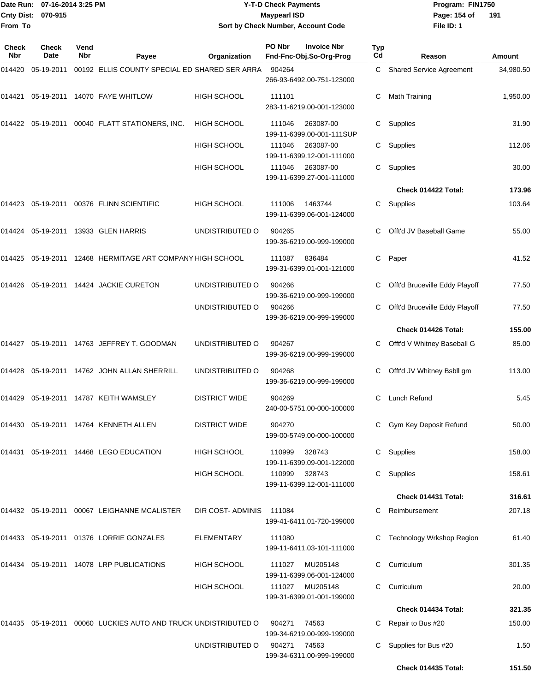### Date Run: 07-16-2014 3:25 PM **Program:** FIN1750 **Y-T-D Check Payments 070-915 Maypearl ISD Sort by Check Number, Account Code**

**File ID: 1** Page: 154 of 191

| <b>Check</b><br>Nbr | Check<br>Date | Vend<br>Nbr | Payee                                                             | Organization         | PO Nbr | <b>Invoice Nbr</b><br>Fnd-Fnc-Obj.So-Org-Prog | <b>Typ</b><br>Cd | Reason                          | Amount    |
|---------------------|---------------|-------------|-------------------------------------------------------------------|----------------------|--------|-----------------------------------------------|------------------|---------------------------------|-----------|
| 014420              | 05-19-2011    |             | 00192 ELLIS COUNTY SPECIAL ED SHARED SER ARRA                     |                      | 904264 | 266-93-6492.00-751-123000                     | C                | <b>Shared Service Agreement</b> | 34,980.50 |
| 014421              |               |             | 05-19-2011  14070  FAYE WHITLOW                                   | <b>HIGH SCHOOL</b>   | 111101 | 283-11-6219.00-001-123000                     | C                | Math Training                   | 1,950.00  |
|                     |               |             | 014422  05-19-2011  00040  FLATT STATIONERS, INC.                 | <b>HIGH SCHOOL</b>   | 111046 | 263087-00<br>199-11-6399.00-001-111SUP        | C                | Supplies                        | 31.90     |
|                     |               |             |                                                                   | <b>HIGH SCHOOL</b>   | 111046 | 263087-00<br>199-11-6399.12-001-111000        | C                | Supplies                        | 112.06    |
|                     |               |             |                                                                   | <b>HIGH SCHOOL</b>   | 111046 | 263087-00<br>199-11-6399.27-001-111000        | C                | Supplies                        | 30.00     |
|                     |               |             |                                                                   |                      |        |                                               |                  | Check 014422 Total:             | 173.96    |
|                     |               |             | 014423  05-19-2011  00376  FLINN SCIENTIFIC                       | <b>HIGH SCHOOL</b>   | 111006 | 1463744<br>199-11-6399.06-001-124000          | C                | Supplies                        | 103.64    |
|                     |               |             | 014424    05-19-2011    13933    GLEN HARRIS                      | UNDISTRIBUTED O      | 904265 | 199-36-6219.00-999-199000                     | C                | Offt'd JV Baseball Game         | 55.00     |
|                     |               |             | 014425  05-19-2011  12468  HERMITAGE ART COMPANY HIGH SCHOOL      |                      | 111087 | 836484<br>199-31-6399.01-001-121000           | C                | Paper                           | 41.52     |
|                     |               |             | 014426   05-19-2011   14424   JACKIE CURETON                      | UNDISTRIBUTED O      | 904266 | 199-36-6219.00-999-199000                     | C                | Offt'd Bruceville Eddy Playoff  | 77.50     |
|                     |               |             |                                                                   | UNDISTRIBUTED O      | 904266 | 199-36-6219.00-999-199000                     | C                | Offt'd Bruceville Eddy Playoff  | 77.50     |
|                     |               |             |                                                                   |                      |        |                                               |                  | Check 014426 Total:             | 155.00    |
|                     |               |             | 014427  05-19-2011  14763  JEFFREY T. GOODMAN                     | UNDISTRIBUTED O      | 904267 | 199-36-6219.00-999-199000                     | C                | Offt'd V Whitney Baseball G     | 85.00     |
|                     |               |             | 014428   05-19-2011   14762   JOHN ALLAN SHERRILL                 | UNDISTRIBUTED O      | 904268 | 199-36-6219.00-999-199000                     | C                | Offt'd JV Whitney Bsbll gm      | 113.00    |
| 014429              |               |             | 05-19-2011 14787 KEITH WAMSLEY                                    | <b>DISTRICT WIDE</b> | 904269 | 240-00-5751.00-000-100000                     | C                | Lunch Refund                    | 5.45      |
|                     |               |             | 014430  05-19-2011  14764  KENNETH ALLEN                          | <b>DISTRICT WIDE</b> | 904270 | 199-00-5749.00-000-100000                     | C                | Gym Key Deposit Refund          | 50.00     |
|                     |               |             | 014431  05-19-2011  14468  LEGO EDUCATION                         | <b>HIGH SCHOOL</b>   | 110999 | 328743<br>199-11-6399.09-001-122000           |                  | C Supplies                      | 158.00    |
|                     |               |             |                                                                   | <b>HIGH SCHOOL</b>   | 110999 | 328743<br>199-11-6399.12-001-111000           |                  | C Supplies                      | 158.61    |
|                     |               |             |                                                                   |                      |        |                                               |                  | Check 014431 Total:             | 316.61    |
|                     |               |             | 014432   05-19-2011   00067   LEIGHANNE   MCALISTER               | DIR COST-ADMINIS     | 111084 | 199-41-6411.01-720-199000                     |                  | C Reimbursement                 | 207.18    |
|                     |               |             | 014433  05-19-2011  01376  LORRIE GONZALES                        | ELEMENTARY           | 111080 | 199-11-6411.03-101-111000                     | C.               | Technology Wrkshop Region       | 61.40     |
|                     |               |             | 014434 05-19-2011 14078 LRP PUBLICATIONS                          | HIGH SCHOOL          | 111027 | MU205148<br>199-11-6399.06-001-124000         | C.               | Curriculum                      | 301.35    |
|                     |               |             |                                                                   | <b>HIGH SCHOOL</b>   | 111027 | MU205148<br>199-31-6399.01-001-199000         | C.               | Curriculum                      | 20.00     |
|                     |               |             |                                                                   |                      |        |                                               |                  | Check 014434 Total:             | 321.35    |
|                     |               |             | 014435  05-19-2011  00060  LUCKIES AUTO AND TRUCK UNDISTRIBUTED O |                      | 904271 | 74563<br>199-34-6219.00-999-199000            | C                | Repair to Bus #20               | 150.00    |
|                     |               |             |                                                                   | UNDISTRIBUTED O      | 904271 | 74563<br>199-34-6311.00-999-199000            | C                | Supplies for Bus #20            | 1.50      |
|                     |               |             |                                                                   |                      |        |                                               |                  | Check 014435 Total:             | 151.50    |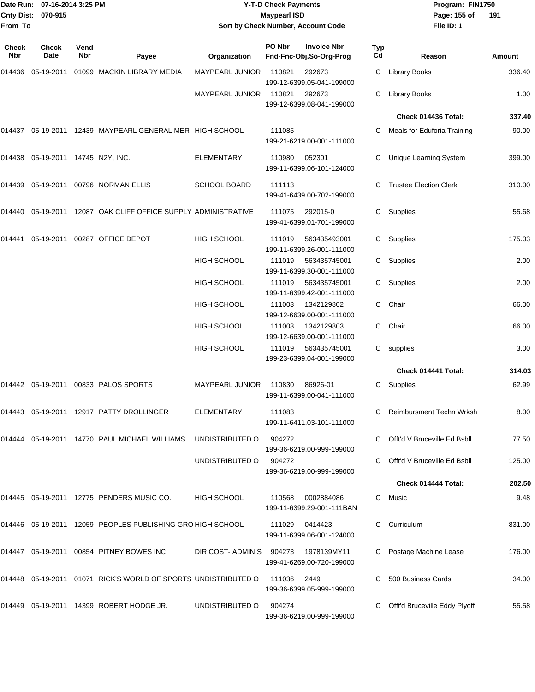### Date Run: 07-16-2014 3:25 PM **Program:** FIN1750 **Y-T-D Check Payments 070-915 Maypearl ISD Sort by Check Number, Account Code**

**File ID: 1** Page: 155 of 191

| Check<br><b>Nbr</b> | <b>Check</b><br>Date       | Vend<br>Nbr | Payee                                                          | Organization                        | PO Nbr | <b>Invoice Nbr</b><br>Fnd-Fnc-Obj.So-Org-Prog | Typ<br>Cd | Reason                          | Amount |
|---------------------|----------------------------|-------------|----------------------------------------------------------------|-------------------------------------|--------|-----------------------------------------------|-----------|---------------------------------|--------|
| 014436              | 05-19-2011                 |             | 01099 MACKIN LIBRARY MEDIA                                     | MAYPEARL JUNIOR                     | 110821 | 292673<br>199-12-6399.05-041-199000           | C.        | <b>Library Books</b>            | 336.40 |
|                     |                            |             |                                                                | <b>MAYPEARL JUNIOR</b>              | 110821 | 292673<br>199-12-6399.08-041-199000           | C         | <b>Library Books</b>            | 1.00   |
|                     |                            |             |                                                                |                                     |        |                                               |           | Check 014436 Total:             | 337.40 |
| 014437              |                            |             | 05-19-2011 12439 MAYPEARL GENERAL MER HIGH SCHOOL              |                                     | 111085 | 199-21-6219.00-001-111000                     | C         | Meals for Eduforia Training     | 90.00  |
| 014438              | 05-19-2011 14745 N2Y, INC. |             |                                                                | <b>ELEMENTARY</b>                   | 110980 | 052301<br>199-11-6399.06-101-124000           | C         | Unique Learning System          | 399.00 |
| 014439              |                            |             | 05-19-2011 00796 NORMAN ELLIS                                  | <b>SCHOOL BOARD</b>                 | 111113 | 199-41-6439.00-702-199000                     |           | <b>Trustee Election Clerk</b>   | 310.00 |
| 014440              |                            |             | 05-19-2011 12087 OAK CLIFF OFFICE SUPPLY ADMINISTRATIVE        |                                     | 111075 | 292015-0<br>199-41-6399.01-701-199000         | C         | Supplies                        | 55.68  |
| 014441              |                            |             | 05-19-2011 00287 OFFICE DEPOT                                  | <b>HIGH SCHOOL</b>                  | 111019 | 563435493001<br>199-11-6399.26-001-111000     | C         | Supplies                        | 175.03 |
|                     |                            |             |                                                                | <b>HIGH SCHOOL</b>                  | 111019 | 563435745001<br>199-11-6399.30-001-111000     | C         | Supplies                        | 2.00   |
|                     |                            |             |                                                                | <b>HIGH SCHOOL</b>                  | 111019 | 563435745001<br>199-11-6399.42-001-111000     | C         | Supplies                        | 2.00   |
|                     |                            |             |                                                                | <b>HIGH SCHOOL</b>                  | 111003 | 1342129802<br>199-12-6639.00-001-111000       | C         | Chair                           | 66.00  |
|                     |                            |             |                                                                | <b>HIGH SCHOOL</b>                  | 111003 | 1342129803<br>199-12-6639.00-001-111000       | C         | Chair                           | 66.00  |
|                     |                            |             |                                                                | HIGH SCHOOL                         | 111019 | 563435745001<br>199-23-6399.04-001-199000     |           | C supplies                      | 3.00   |
|                     |                            |             |                                                                |                                     |        |                                               |           | Check 014441 Total:             | 314.03 |
|                     |                            |             | 014442    05-19-2011    00833    PALOS    SPORTS               | MAYPEARL JUNIOR                     | 110830 | 86926-01<br>199-11-6399.00-041-111000         | C         | Supplies                        | 62.99  |
| 014443              |                            |             | 05-19-2011 12917 PATTY DROLLINGER                              | <b>ELEMENTARY</b>                   | 111083 | 199-11-6411.03-101-111000                     | C         | <b>Reimbursment Techn Wrksh</b> | 8.00   |
|                     |                            |             | 014444 05-19-2011 14770 PAUL MICHAEL WILLIAMS                  | UNDISTRIBUTED O                     | 904272 | 199-36-6219.00-999-199000                     |           | Offt'd V Bruceville Ed Bsbll    | 77.50  |
|                     |                            |             |                                                                | UNDISTRIBUTED O                     | 904272 | 199-36-6219.00-999-199000                     |           | Offt'd V Bruceville Ed Bsbll    | 125.00 |
|                     |                            |             |                                                                |                                     |        |                                               |           | Check 014444 Total:             | 202.50 |
|                     |                            |             | 014445   05-19-2011   12775   PENDERS MUSIC CO.                | <b>HIGH SCHOOL</b>                  | 110568 | 0002884086<br>199-11-6399.29-001-111BAN       | C         | Music                           | 9.48   |
|                     |                            |             | 014446 05-19-2011 12059 PEOPLES PUBLISHING GRO HIGH SCHOOL     |                                     |        | 111029 0414423<br>199-11-6399.06-001-124000   | C         | Curriculum                      | 831.00 |
|                     |                            |             | 014447  05-19-2011  00854  PITNEY BOWES INC                    | DIR COST-ADMINIS 904273 1978139MY11 |        | 199-41-6269.00-720-199000                     |           | Postage Machine Lease           | 176.00 |
|                     |                            |             | 014448 05-19-2011 01071 RICK'S WORLD OF SPORTS UNDISTRIBUTED O |                                     | 111036 | 2449<br>199-36-6399.05-999-199000             |           | 500 Business Cards              | 34.00  |
| 014449              |                            |             | 05-19-2011  14399  ROBERT HODGE JR.                            | UNDISTRIBUTED O                     | 904274 | 199-36-6219.00-999-199000                     |           | Offt'd Bruceville Eddy Plyoff   | 55.58  |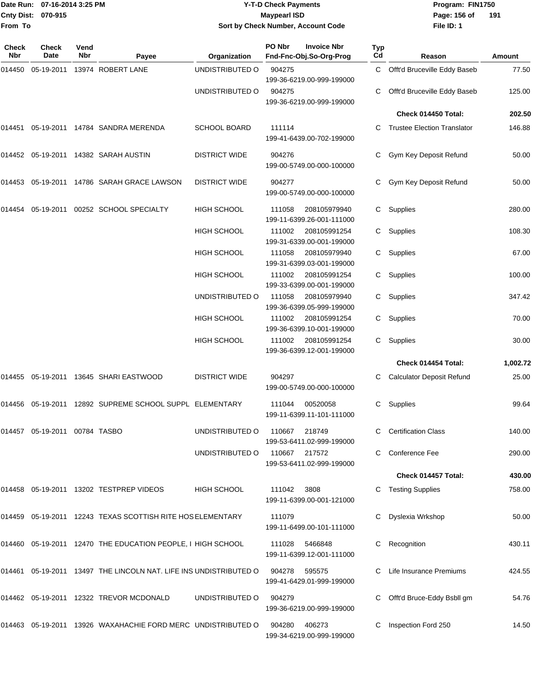|              | Date Run: 07-16-2014 3:25 PM  |             |                                                                      |                      | <b>Y-T-D Check Payments</b>                             |           | Program: FIN1750                   |          |
|--------------|-------------------------------|-------------|----------------------------------------------------------------------|----------------------|---------------------------------------------------------|-----------|------------------------------------|----------|
|              | Cnty Dist: 070-915            |             |                                                                      |                      | <b>Maypearl ISD</b>                                     |           | Page: 156 of                       | 191      |
| From To      |                               |             |                                                                      |                      | Sort by Check Number, Account Code                      |           | File ID: 1                         |          |
| Check<br>Nbr | <b>Check</b><br>Date          | Vend<br>Nbr | Payee                                                                | Organization         | PO Nbr<br><b>Invoice Nbr</b><br>Fnd-Fnc-Obj.So-Org-Prog | Typ<br>Cd | Reason                             | Amount   |
| 014450       |                               |             | 05-19-2011 13974 ROBERT LANE                                         | UNDISTRIBUTED O      | 904275                                                  | C         | Offt'd Bruceville Eddy Baseb       | 77.50    |
|              |                               |             |                                                                      |                      | 199-36-6219.00-999-199000                               |           |                                    |          |
|              |                               |             |                                                                      | UNDISTRIBUTED O      | 904275                                                  | С         | Offt'd Bruceville Eddy Baseb       | 125.00   |
|              |                               |             |                                                                      |                      | 199-36-6219.00-999-199000                               |           |                                    |          |
|              |                               |             |                                                                      |                      |                                                         |           | Check 014450 Total:                | 202.50   |
| 014451       |                               |             | 05-19-2011 14784 SANDRA MERENDA                                      | <b>SCHOOL BOARD</b>  | 111114                                                  | C.        | <b>Trustee Election Translator</b> | 146.88   |
|              |                               |             |                                                                      |                      | 199-41-6439.00-702-199000                               |           |                                    |          |
|              |                               |             | 014452 05-19-2011 14382 SARAH AUSTIN                                 | <b>DISTRICT WIDE</b> | 904276                                                  | С         | Gym Key Deposit Refund             | 50.00    |
|              |                               |             |                                                                      |                      | 199-00-5749.00-000-100000                               |           |                                    |          |
|              |                               |             | 014453 05-19-2011 14786 SARAH GRACE LAWSON                           | <b>DISTRICT WIDE</b> | 904277                                                  |           | Gym Key Deposit Refund             | 50.00    |
|              |                               |             |                                                                      |                      | 199-00-5749.00-000-100000                               |           |                                    |          |
| 014454       | 05-19-2011                    |             | 00252 SCHOOL SPECIALTY                                               | <b>HIGH SCHOOL</b>   | 111058<br>208105979940                                  | C.        | Supplies                           | 280.00   |
|              |                               |             |                                                                      |                      | 199-11-6399.26-001-111000                               |           |                                    |          |
|              |                               |             |                                                                      | <b>HIGH SCHOOL</b>   | 208105991254<br>111002<br>199-31-6339.00-001-199000     | С         | Supplies                           | 108.30   |
|              |                               |             |                                                                      | <b>HIGH SCHOOL</b>   | 111058<br>208105979940                                  | С         | Supplies                           | 67.00    |
|              |                               |             |                                                                      |                      | 199-31-6399.03-001-199000                               |           |                                    |          |
|              |                               |             |                                                                      | <b>HIGH SCHOOL</b>   | 111002<br>208105991254                                  | C.        | Supplies                           | 100.00   |
|              |                               |             |                                                                      |                      | 199-33-6399.00-001-199000                               |           |                                    |          |
|              |                               |             |                                                                      | UNDISTRIBUTED O      | 111058<br>208105979940<br>199-36-6399.05-999-199000     | С         | Supplies                           | 347.42   |
|              |                               |             |                                                                      | <b>HIGH SCHOOL</b>   | 111002<br>208105991254                                  | С         | Supplies                           | 70.00    |
|              |                               |             |                                                                      |                      | 199-36-6399.10-001-199000                               |           |                                    |          |
|              |                               |             |                                                                      | <b>HIGH SCHOOL</b>   | 111002<br>208105991254                                  | C.        | Supplies                           | 30.00    |
|              |                               |             |                                                                      |                      | 199-36-6399.12-001-199000                               |           |                                    |          |
|              |                               |             |                                                                      |                      |                                                         |           | Check 014454 Total:                | 1,002.72 |
| 014455       |                               |             | 05-19-2011  13645  SHARI EASTWOOD                                    | <b>DISTRICT WIDE</b> | 904297                                                  | C.        | <b>Calculator Deposit Refund</b>   | 25.00    |
|              |                               |             |                                                                      |                      | 199-00-5749.00-000-100000                               |           |                                    |          |
|              |                               |             | 014456  05-19-2011  12892  SUPREME SCHOOL SUPPL  ELEMENTARY          |                      | 111044<br>00520058                                      |           | C Supplies                         | 99.64    |
|              |                               |             |                                                                      |                      | 199-11-6399.11-101-111000                               |           |                                    |          |
|              | 014457 05-19-2011 00784 TASBO |             |                                                                      | UNDISTRIBUTED O      | 110667<br>218749                                        |           | C Certification Class              | 140.00   |
|              |                               |             |                                                                      |                      | 199-53-6411.02-999-199000                               |           |                                    |          |
|              |                               |             |                                                                      | UNDISTRIBUTED O      | 110667<br>217572<br>199-53-6411.02-999-199000           |           | Conference Fee                     | 290.00   |
|              |                               |             |                                                                      |                      |                                                         |           | Check 014457 Total:                | 430.00   |
|              |                               |             | 014458 05-19-2011 13202 TESTPREP VIDEOS                              | HIGH SCHOOL          | 111042<br>3808                                          |           | C Testing Supplies                 | 758.00   |
|              |                               |             |                                                                      |                      | 199-11-6399.00-001-121000                               |           |                                    |          |
|              |                               |             | 014459  05-19-2011  12243  TEXAS SCOTTISH RITE HOS ELEMENTARY        |                      | 111079                                                  | С         | Dyslexia Wrkshop                   | 50.00    |
|              |                               |             |                                                                      |                      | 199-11-6499.00-101-111000                               |           |                                    |          |
|              |                               |             | 014460 05-19-2011 12470 THE EDUCATION PEOPLE, I HIGH SCHOOL          |                      | 111028<br>5466848                                       |           | Recognition                        | 430.11   |
|              |                               |             |                                                                      |                      | 199-11-6399.12-001-111000                               |           |                                    |          |
|              |                               |             | 014461  05-19-2011  13497  THE LINCOLN NAT. LIFE INS UNDISTRIBUTED O |                      | 904278<br>595575                                        |           | Life Insurance Premiums            | 424.55   |
|              |                               |             |                                                                      |                      | 199-41-6429.01-999-199000                               |           |                                    |          |
|              |                               |             |                                                                      | UNDISTRIBUTED O      | 904279                                                  |           | C Offt'd Bruce-Eddy Bsbll gm       |          |
|              |                               |             | 014462  05-19-2011  12322  TREVOR MCDONALD                           |                      |                                                         |           |                                    | 54.76    |

199-36-6219.00-999-199000 014463 05-19-2011 13926 WAXAHACHIE FORD MERC UNDISTRIBUTED O 904280 406273 C Inspection Ford 250 14.50 199-34-6219.00-999-199000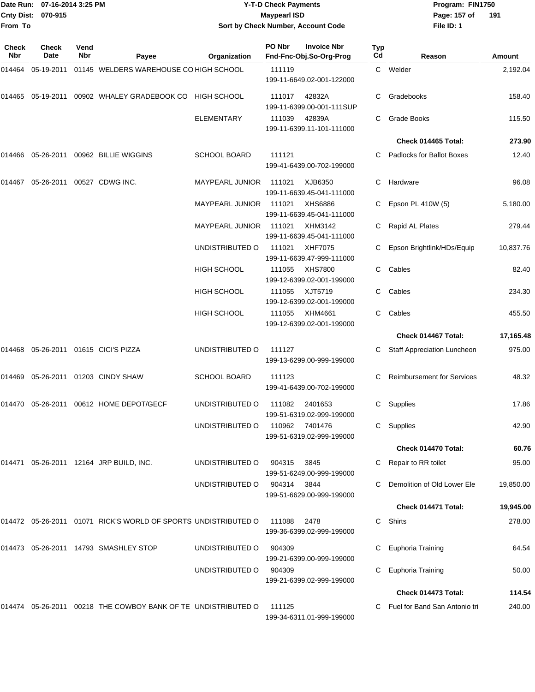**From To**

#### Date Run: 07-16-2014 3:25 PM **Program:** FIN1750 **Cnty Dist:** 070-915 **Page: 157 of** Maypearl ISD **CONTEX 157 of** Maypearl ISD **Y-T-D Check Payments 070-915 Maypearl ISD Sort by Check Number, Account Code**

**File ID: 1 191**

| Check<br><b>Nbr</b> | Check<br>Date | Vend<br>Nbr | Payee                                                            | Organization        | PO Nbr | <b>Invoice Nbr</b><br>Fnd-Fnc-Obj.So-Org-Prog | <b>Typ</b><br>Cd | Reason                             | Amount    |
|---------------------|---------------|-------------|------------------------------------------------------------------|---------------------|--------|-----------------------------------------------|------------------|------------------------------------|-----------|
| 014464              | 05-19-2011    |             | 01145 WELDERS WAREHOUSE CO HIGH SCHOOL                           |                     | 111119 | 199-11-6649.02-001-122000                     |                  | C Welder                           | 2,192.04  |
| 014465              | 05-19-2011    |             | 00902 WHALEY GRADEBOOK CO                                        | <b>HIGH SCHOOL</b>  | 111017 | 42832A<br>199-11-6399.00-001-111SUP           | C.               | Gradebooks                         | 158.40    |
|                     |               |             |                                                                  | <b>ELEMENTARY</b>   | 111039 | 42839A<br>199-11-6399.11-101-111000           |                  | Grade Books                        | 115.50    |
|                     |               |             |                                                                  |                     |        |                                               |                  | Check 014465 Total:                | 273.90    |
| 014466              |               |             | 05-26-2011 00962 BILLIE WIGGINS                                  | <b>SCHOOL BOARD</b> | 111121 | 199-41-6439.00-702-199000                     | C.               | <b>Padlocks for Ballot Boxes</b>   | 12.40     |
| 014467              | 05-26-2011    |             | 00527 CDWG INC.                                                  | MAYPEARL JUNIOR     | 111021 | XJB6350<br>199-11-6639.45-041-111000          | C.               | Hardware                           | 96.08     |
|                     |               |             |                                                                  | MAYPEARL JUNIOR     | 111021 | XHS6886<br>199-11-6639.45-041-111000          | C                | Epson PL 410W (5)                  | 5,180.00  |
|                     |               |             |                                                                  | MAYPEARL JUNIOR     | 111021 | XHM3142<br>199-11-6639.45-041-111000          |                  | Rapid AL Plates                    | 279.44    |
|                     |               |             |                                                                  | UNDISTRIBUTED O     | 111021 | XHF7075<br>199-11-6639.47-999-111000          | C.               | Epson Brightlink/HDs/Equip         | 10,837.76 |
|                     |               |             |                                                                  | HIGH SCHOOL         | 111055 | XHS7800<br>199-12-6399.02-001-199000          | C                | Cables                             | 82.40     |
|                     |               |             |                                                                  | HIGH SCHOOL         | 111055 | XJT5719<br>199-12-6399.02-001-199000          | C                | Cables                             | 234.30    |
|                     |               |             |                                                                  | <b>HIGH SCHOOL</b>  | 111055 | XHM4661<br>199-12-6399.02-001-199000          | C.               | Cables                             | 455.50    |
|                     |               |             |                                                                  |                     |        |                                               |                  | Check 014467 Total:                | 17,165.48 |
| 014468              |               |             | 05-26-2011 01615 CICI'S PIZZA                                    | UNDISTRIBUTED O     | 111127 | 199-13-6299.00-999-199000                     | C.               | <b>Staff Appreciation Luncheon</b> | 975.00    |
| 014469              | 05-26-2011    |             | 01203 CINDY SHAW                                                 | <b>SCHOOL BOARD</b> | 111123 | 199-41-6439.00-702-199000                     | C                | <b>Reimbursement for Services</b>  | 48.32     |
| 014470              |               |             | 05-26-2011 00612 HOME DEPOT/GECF                                 | UNDISTRIBUTED O     | 111082 | 2401653<br>199-51-6319.02-999-199000          | C                | Supplies                           | 17.86     |
|                     |               |             |                                                                  | UNDISTRIBUTED O     | 110962 | 7401476<br>199-51-6319.02-999-199000          | C                | Supplies                           | 42.90     |
|                     |               |             |                                                                  |                     |        |                                               |                  | Check 014470 Total:                | 60.76     |
|                     |               |             | 014471 05-26-2011 12164 JRP BUILD, INC.                          | UNDISTRIBUTED O     | 904315 | 3845<br>199-51-6249.00-999-199000             |                  | C Repair to RR toilet              | 95.00     |
|                     |               |             |                                                                  | UNDISTRIBUTED O     | 904314 | 3844<br>199-51-6629.00-999-199000             | C.               | Demolition of Old Lower Ele        | 19,850.00 |
|                     |               |             |                                                                  |                     |        |                                               |                  | Check 014471 Total:                | 19,945.00 |
|                     |               |             | 014472 05-26-2011 01071 RICK'S WORLD OF SPORTS UNDISTRIBUTED O   |                     | 111088 | 2478<br>199-36-6399.02-999-199000             | C.               | Shirts                             | 278.00    |
|                     |               |             | 014473  05-26-2011  14793  SMASHLEY STOP                         | UNDISTRIBUTED O     | 904309 | 199-21-6399.00-999-199000                     | C                | Euphoria Training                  | 64.54     |
|                     |               |             |                                                                  | UNDISTRIBUTED O     | 904309 | 199-21-6399.02-999-199000                     | C                | Euphoria Training                  | 50.00     |
|                     |               |             |                                                                  |                     |        |                                               |                  | Check 014473 Total:                | 114.54    |
|                     |               |             | 014474  05-26-2011  00218  THE COWBOY BANK OF TE UNDISTRIBUTED O |                     | 111125 | 199-34-6311.01-999-199000                     |                  | C Fuel for Band San Antonio tri    | 240.00    |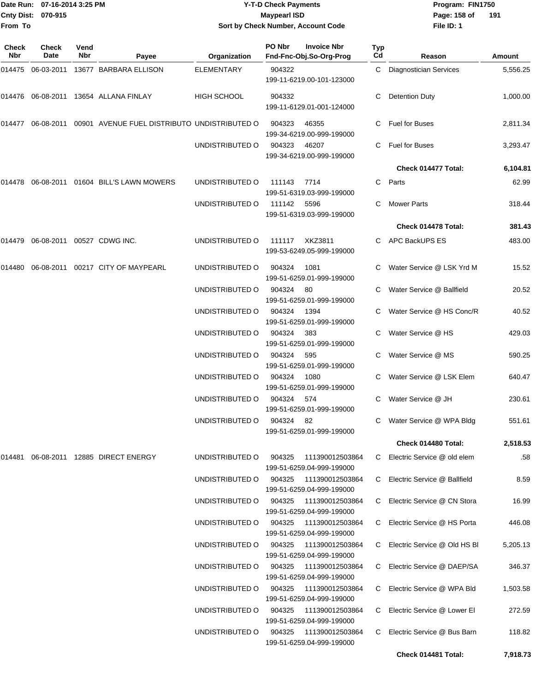### Date Run: 07-16-2014 3:25 PM **Program:** FIN1750 **Y-T-D Check Payments 070-915 Maypearl ISD Sort by Check Number, Account Code**

**File ID: 1** Page: 158 of 191

| Check<br><b>Nbr</b> | Check<br>Date | Vend<br><b>Nbr</b> | Payee                                        | Organization           | PO Nbr | <b>Invoice Nbr</b><br>Fnd-Fnc-Obj.So-Org-Prog | <b>Typ</b><br>Cd | Reason                         | Amount   |
|---------------------|---------------|--------------------|----------------------------------------------|------------------------|--------|-----------------------------------------------|------------------|--------------------------------|----------|
|                     |               |                    | 014475 06-03-2011 13677 BARBARA ELLISON      | <b>ELEMENTARY</b>      | 904322 | 199-11-6219.00-101-123000                     | C.               | <b>Diagnostician Services</b>  | 5,556.25 |
|                     |               |                    | 014476 06-08-2011 13654 ALLANA FINLAY        | <b>HIGH SCHOOL</b>     | 904332 | 199-11-6129.01-001-124000                     |                  | <b>Detention Duty</b>          | 1,000.00 |
| 014477              | 06-08-2011    |                    | 00901 AVENUE FUEL DISTRIBUTO UNDISTRIBUTED O |                        | 904323 | 46355<br>199-34-6219.00-999-199000            |                  | Fuel for Buses                 | 2,811.34 |
|                     |               |                    |                                              | UNDISTRIBUTED O        | 904323 | 46207<br>199-34-6219.00-999-199000            | C.               | Fuel for Buses                 | 3,293.47 |
|                     |               |                    |                                              |                        |        |                                               |                  | Check 014477 Total:            | 6,104.81 |
| 014478              |               |                    | 06-08-2011  01604  BILL'S LAWN MOWERS        | UNDISTRIBUTED O        | 111143 | 7714<br>199-51-6319.03-999-199000             |                  | C Parts                        | 62.99    |
|                     |               |                    |                                              | UNDISTRIBUTED O        | 111142 | 5596<br>199-51-6319.03-999-199000             |                  | <b>Mower Parts</b>             | 318.44   |
|                     |               |                    |                                              |                        |        |                                               |                  | Check 014478 Total:            | 381.43   |
| 014479              |               |                    | 06-08-2011 00527 CDWG INC.                   | UNDISTRIBUTED O        | 111117 | XKZ3811<br>199-53-6249.05-999-199000          |                  | C APC BackUPS ES               | 483.00   |
| 014480              |               |                    | 06-08-2011  00217  CITY OF MAYPEARL          | UNDISTRIBUTED O        | 904324 | 1081<br>199-51-6259.01-999-199000             |                  | Water Service @ LSK Yrd M      | 15.52    |
|                     |               |                    |                                              | UNDISTRIBUTED O        | 904324 | 80<br>199-51-6259.01-999-199000               |                  | Water Service @ Ballfield      | 20.52    |
|                     |               |                    |                                              | UNDISTRIBUTED O        | 904324 | 1394<br>199-51-6259.01-999-199000             |                  | C Water Service @ HS Conc/R    | 40.52    |
|                     |               |                    |                                              | UNDISTRIBUTED O        | 904324 | 383<br>199-51-6259.01-999-199000              |                  | Water Service @ HS             | 429.03   |
|                     |               |                    |                                              | UNDISTRIBUTED O        | 904324 | 595<br>199-51-6259.01-999-199000              | $\mathbf{C}$     | Water Service @ MS             | 590.25   |
|                     |               |                    |                                              | UNDISTRIBUTED O        | 904324 | 1080<br>199-51-6259.01-999-199000             |                  | Water Service @ LSK Elem       | 640.47   |
|                     |               |                    |                                              | UNDISTRIBUTED O        | 904324 | 574<br>199-51-6259.01-999-199000              | C.               | Water Service @ JH             | 230.61   |
|                     |               |                    |                                              | UNDISTRIBUTED O        | 904324 | - 82<br>199-51-6259.01-999-199000             |                  | C Water Service @ WPA Bldg     | 551.61   |
|                     |               |                    |                                              |                        |        |                                               |                  | Check 014480 Total:            | 2,518.53 |
| 014481              |               |                    | 06-08-2011 12885 DIRECT ENERGY               | UNDISTRIBUTED O        | 904325 | 111390012503864<br>199-51-6259.04-999-199000  |                  | C Electric Service @ old elem  | .58      |
|                     |               |                    |                                              | UNDISTRIBUTED O 904325 |        | 111390012503864<br>199-51-6259.04-999-199000  |                  | C Electric Service @ Ballfield | 8.59     |
|                     |               |                    |                                              | UNDISTRIBUTED O        | 904325 | 111390012503864<br>199-51-6259.04-999-199000  | C.               | Electric Service @ CN Stora    | 16.99    |
|                     |               |                    |                                              | UNDISTRIBUTED O        | 904325 | 111390012503864<br>199-51-6259.04-999-199000  | C.               | Electric Service @ HS Porta    | 446.08   |
|                     |               |                    |                                              | UNDISTRIBUTED O        | 904325 | 111390012503864<br>199-51-6259.04-999-199000  | C.               | Electric Service @ Old HS BI   | 5,205.13 |
|                     |               |                    |                                              | UNDISTRIBUTED O        | 904325 | 111390012503864<br>199-51-6259.04-999-199000  | C.               | Electric Service @ DAEP/SA     | 346.37   |
|                     |               |                    |                                              | UNDISTRIBUTED O        | 904325 | 111390012503864<br>199-51-6259.04-999-199000  |                  | C Electric Service @ WPA Bld   | 1,503.58 |
|                     |               |                    |                                              | UNDISTRIBUTED O        | 904325 | 111390012503864<br>199-51-6259.04-999-199000  |                  | C Electric Service @ Lower El  | 272.59   |
|                     |               |                    |                                              | UNDISTRIBUTED O        | 904325 | 111390012503864<br>199-51-6259.04-999-199000  | C.               | Electric Service @ Bus Barn    | 118.82   |
|                     |               |                    |                                              |                        |        |                                               |                  | Check 014481 Total:            | 7,918.73 |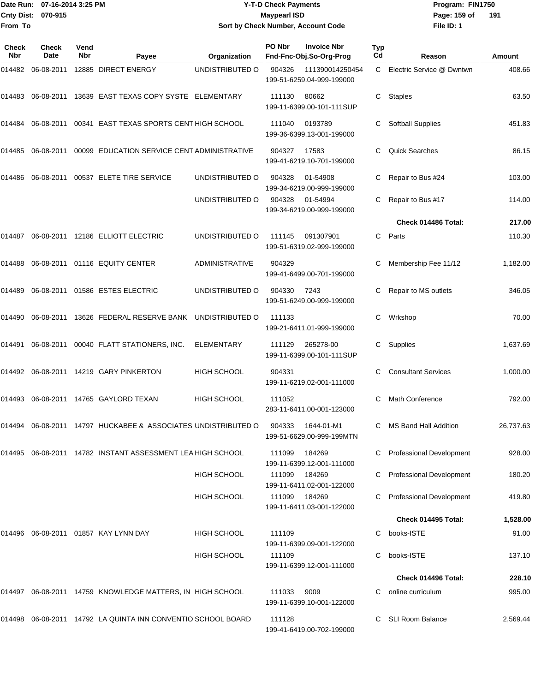### Date Run: 07-16-2014 3:25 PM **Program:** FIN1750 **Y-T-D Check Payments 070-915 Maypearl ISD Sort by Check Number, Account Code**

**File ID: 1** Page: 159 of 191

| Check<br><b>Nbr</b> | Check<br><b>Date</b> | Vend<br><b>Nbr</b> | Payee                                                  | Organization          | PO Nbr | <b>Invoice Nbr</b><br>Fnd-Fnc-Obj.So-Org-Prog | Typ<br>Cd | Reason                          | Amount    |
|---------------------|----------------------|--------------------|--------------------------------------------------------|-----------------------|--------|-----------------------------------------------|-----------|---------------------------------|-----------|
| 014482              | 06-08-2011           |                    | 12885 DIRECT ENERGY                                    | UNDISTRIBUTED O       | 904326 | 111390014250454<br>199-51-6259.04-999-199000  |           | C Electric Service @ Dwntwn     | 408.66    |
| 014483              |                      |                    | 06-08-2011 13639 EAST TEXAS COPY SYSTE ELEMENTARY      |                       | 111130 | 80662<br>199-11-6399.00-101-111SUP            | C         | <b>Staples</b>                  | 63.50     |
| 014484              | 06-08-2011           |                    | 00341 EAST TEXAS SPORTS CENT HIGH SCHOOL               |                       | 111040 | 0193789<br>199-36-6399.13-001-199000          |           | <b>Softball Supplies</b>        | 451.83    |
| 014485              | 06-08-2011           |                    | 00099 EDUCATION SERVICE CENT ADMINISTRATIVE            |                       | 904327 | 17583<br>199-41-6219.10-701-199000            | C         | <b>Quick Searches</b>           | 86.15     |
| 014486              | 06-08-2011           |                    | 00537 ELETE TIRE SERVICE                               | UNDISTRIBUTED O       | 904328 | 01-54908<br>199-34-6219.00-999-199000         | C         | Repair to Bus #24               | 103.00    |
|                     |                      |                    |                                                        | UNDISTRIBUTED O       | 904328 | 01-54994<br>199-34-6219.00-999-199000         |           | Repair to Bus #17               | 114.00    |
|                     |                      |                    |                                                        |                       |        |                                               |           | Check 014486 Total:             | 217.00    |
| 014487              |                      |                    | 06-08-2011 12186 ELLIOTT ELECTRIC                      | UNDISTRIBUTED O       | 111145 | 091307901<br>199-51-6319.02-999-199000        | C         | Parts                           | 110.30    |
| 014488              |                      |                    | 06-08-2011 01116 EQUITY CENTER                         | <b>ADMINISTRATIVE</b> | 904329 | 199-41-6499.00-701-199000                     | C         | Membership Fee 11/12            | 1,182.00  |
| 014489              |                      |                    | 06-08-2011  01586  ESTES ELECTRIC                      | UNDISTRIBUTED O       | 904330 | 7243<br>199-51-6249.00-999-199000             | C         | Repair to MS outlets            | 346.05    |
| 014490              |                      |                    | 06-08-2011  13626  FEDERAL RESERVE BANK                | UNDISTRIBUTED O       | 111133 | 199-21-6411.01-999-199000                     | C         | Wrkshop                         | 70.00     |
| 014491              | 06-08-2011           |                    | 00040 FLATT STATIONERS, INC.                           | <b>ELEMENTARY</b>     | 111129 | 265278-00<br>199-11-6399.00-101-111SUP        | C         | Supplies                        | 1,637.69  |
| 014492              |                      |                    | 06-08-2011  14219  GARY PINKERTON                      | <b>HIGH SCHOOL</b>    | 904331 | 199-11-6219.02-001-111000                     | С         | <b>Consultant Services</b>      | 1,000.00  |
| 014493              |                      |                    | 06-08-2011 14765 GAYLORD TEXAN                         | <b>HIGH SCHOOL</b>    | 111052 | 283-11-6411.00-001-123000                     |           | Math Conference                 | 792.00    |
| 014494              |                      |                    | 06-08-2011 14797 HUCKABEE & ASSOCIATES UNDISTRIBUTED O |                       | 904333 | 1644-01-M1<br>199-51-6629.00-999-199MTN       | C         | MS Band Hall Addition           | 26,737.63 |
| 014495              |                      |                    | 06-08-2011 14782 INSTANT ASSESSMENT LEA HIGH SCHOOL    |                       | 111099 | 184269<br>199-11-6399.12-001-111000           |           | <b>Professional Development</b> | 928.00    |
|                     |                      |                    |                                                        | <b>HIGH SCHOOL</b>    | 111099 | 184269<br>199-11-6411.02-001-122000           |           | <b>Professional Development</b> | 180.20    |
|                     |                      |                    |                                                        | <b>HIGH SCHOOL</b>    | 111099 | 184269<br>199-11-6411.03-001-122000           |           | <b>Professional Development</b> | 419.80    |
|                     |                      |                    |                                                        |                       |        |                                               |           | Check 014495 Total:             | 1,528.00  |
| 014496              |                      |                    | 06-08-2011  01857  KAY LYNN DAY                        | <b>HIGH SCHOOL</b>    | 111109 | 199-11-6399.09-001-122000                     |           | books-ISTE                      | 91.00     |
|                     |                      |                    |                                                        | <b>HIGH SCHOOL</b>    | 111109 | 199-11-6399.12-001-111000                     | C         | books-ISTE                      | 137.10    |
|                     |                      |                    |                                                        |                       |        |                                               |           | Check 014496 Total:             | 228.10    |
| 014497              |                      |                    | 06-08-2011 14759 KNOWLEDGE MATTERS, IN HIGH SCHOOL     |                       | 111033 | 9009<br>199-11-6399.10-001-122000             |           | online curriculum               | 995.00    |
| 014498              |                      |                    | 06-08-2011 14792 LA QUINTA INN CONVENTIO SCHOOL BOARD  |                       | 111128 | 199-41-6419.00-702-199000                     |           | <b>SLI Room Balance</b>         | 2,569.44  |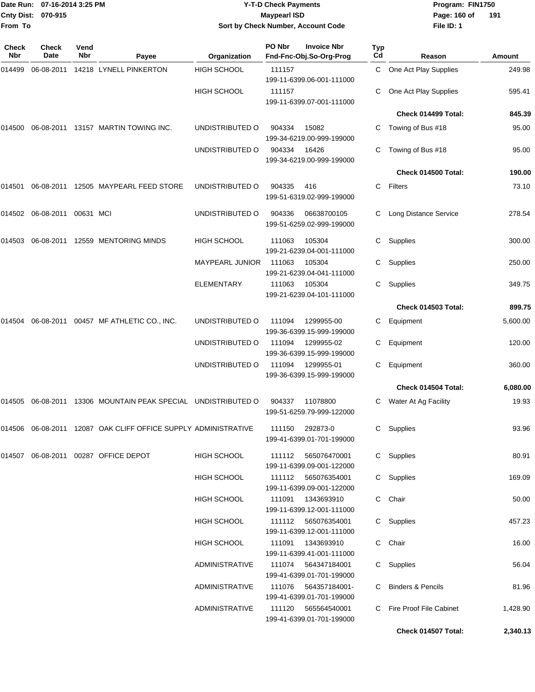| Date Run: 07-16-2014 3:25 PM |                      |                    |                                                                   |                        | <b>Y-T-D Check Payments</b>                                      | Program: FIN1750 |                        |          |
|------------------------------|----------------------|--------------------|-------------------------------------------------------------------|------------------------|------------------------------------------------------------------|------------------|------------------------|----------|
| <b>Cnty Dist:</b>            | 070-915              |                    |                                                                   |                        | <b>Maypearl ISD</b>                                              |                  | Page: 160 of           | 191      |
| From To                      |                      |                    |                                                                   |                        | Sort by Check Number, Account Code                               |                  | File ID: 1             |          |
| Check<br><b>Nbr</b>          | <b>Check</b><br>Date | Vend<br><b>Nbr</b> | Payee                                                             | Organization           | PO Nbr<br><b>Invoice Nbr</b><br>Fnd-Fnc-Obj.So-Org-Prog          | Typ<br>Cd        | Reason                 | Amount   |
| 014499                       | 06-08-2011           |                    | 14218 LYNELL PINKERTON                                            | <b>HIGH SCHOOL</b>     | 111157                                                           | C                | One Act Play Supplies  | 249.98   |
|                              |                      |                    |                                                                   | <b>HIGH SCHOOL</b>     | 199-11-6399.06-001-111000<br>111157<br>199-11-6399.07-001-111000 | C                | One Act Play Supplies  | 595.41   |
|                              |                      |                    |                                                                   |                        |                                                                  |                  | Check 014499 Total:    | 845.39   |
| 014500                       |                      |                    | 06-08-2011 13157 MARTIN TOWING INC.                               | UNDISTRIBUTED O        | 904334<br>15082<br>199-34-6219.00-999-199000                     | C                | Towing of Bus #18      | 95.00    |
|                              |                      |                    |                                                                   | UNDISTRIBUTED O        | 904334<br>16426<br>199-34-6219.00-999-199000                     |                  | Towing of Bus #18      | 95.00    |
|                              |                      |                    |                                                                   |                        |                                                                  |                  | Check 014500 Total:    | 190.00   |
| 014501                       |                      |                    | 06-08-2011 12505 MAYPEARL FEED STORE                              | UNDISTRIBUTED O        | 904335<br>416<br>199-51-6319.02-999-199000                       | C                | Filters                | 73.10    |
| 014502                       | 06-08-2011           | 00631 MCI          |                                                                   | UNDISTRIBUTED O        | 904336<br>06638700105<br>199-51-6259.02-999-199000               |                  | Long Distance Service  | 278.54   |
| 014503                       |                      |                    | 06-08-2011 12559 MENTORING MINDS                                  | <b>HIGH SCHOOL</b>     | 111063<br>105304<br>199-21-6239.04-001-111000                    | C                | Supplies               | 300.00   |
|                              |                      |                    |                                                                   | <b>MAYPEARL JUNIOR</b> | 111063<br>105304<br>199-21-6239.04-041-111000                    | C                | Supplies               | 250.00   |
|                              |                      |                    |                                                                   | ELEMENTARY             | 111063<br>105304<br>199-21-6239.04-101-111000                    | C                | Supplies               | 349.75   |
|                              |                      |                    |                                                                   |                        |                                                                  |                  | Check 014503 Total:    | 899.75   |
| 014504                       |                      |                    | 06-08-2011  00457  MF ATHLETIC CO., INC.                          | UNDISTRIBUTED O        | 111094<br>1299955-00<br>199-36-6399.15-999-199000                | C                | Equipment              | 5,600.00 |
|                              |                      |                    |                                                                   | UNDISTRIBUTED O        | 111094<br>1299955-02<br>199-36-6399.15-999-199000                | C                | Equipment              | 120.00   |
|                              |                      |                    |                                                                   | UNDISTRIBUTED O        | 111094<br>1299955-01<br>199-36-6399.15-999-199000                | C                | Equipment              | 360.00   |
|                              |                      |                    |                                                                   |                        |                                                                  |                  | Check 014504 Total:    | 6,080.00 |
|                              |                      |                    | 014505 06-08-2011 13306 MOUNTAIN PEAK SPECIAL UNDISTRIBUTED O     |                        | 904337<br>11078800<br>199-51-6259.79-999-122000                  |                  | C Water At Ag Facility | 19.93    |
|                              |                      |                    | 014506  06-08-2011  12087  OAK CLIFF OFFICE SUPPLY ADMINISTRATIVE |                        | 111150<br>292873-0<br>199-41-6399.01-701-199000                  |                  | C Supplies             | 93.96    |
|                              |                      |                    | 014507 06-08-2011 00287 OFFICE DEPOT                              | HIGH SCHOOL            | 111112<br>565076470001<br>199-11-6399.09-001-122000              |                  | C Supplies             | 80.91    |
|                              |                      |                    |                                                                   | HIGH SCHOOL            | 111112 565076354001<br>199-11-6399.09-001-122000                 |                  | C Supplies             | 169.09   |
|                              |                      |                    |                                                                   | <b>HIGH SCHOOL</b>     | 111091<br>1343693910<br>199-11-6399.12-001-111000                |                  | C Chair                | 50.00    |
|                              |                      |                    |                                                                   | HIGH SCHOOL            | 111112 565076354001<br>199-11-6399.12-001-111000                 |                  | C Supplies             | 457.23   |
|                              |                      |                    |                                                                   | HIGH SCHOOL            | 111091<br>1343693910<br>199-11-6399.41-001-111000                |                  | C Chair                | 16.00    |
|                              |                      |                    |                                                                   | ADMINISTRATIVE         | 111074 564347184001<br>199-41-6399.01-701-199000                 |                  | C Supplies             | 56.04    |
|                              |                      |                    |                                                                   | ADMINISTRATIVE         | 111076    564357184001-<br>199-41-6399.01-701-199000             |                  | C Binders & Pencils    | 81.96    |

**Check 014507 Total: 2,340.13**

ADMINISTRATIVE 111120 565564540001 C Fire Proof File Cabinet 1,428.90

199-41-6399.01-701-199000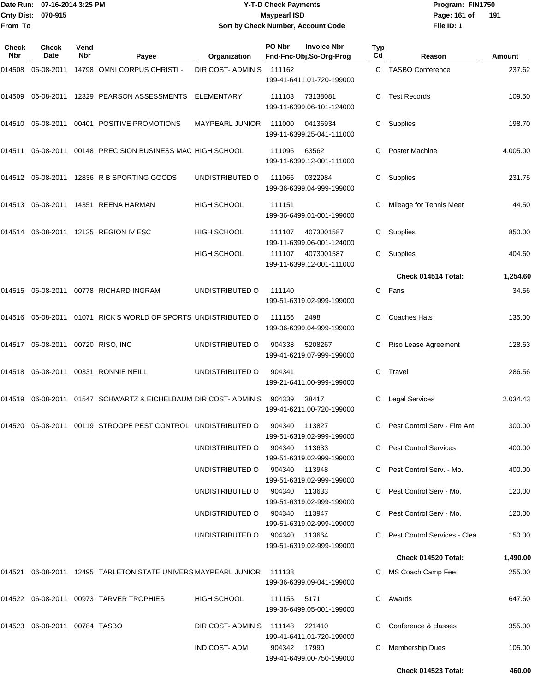### Date Run: 07-16-2014 3:25 PM **Program:** FIN1750 **Y-T-D Check Payments 070-915 Maypearl ISD Sort by Check Number, Account Code**

**File ID: 1** Page: 161 of 191

| Check<br>Nbr | Check<br>Date                 | Vend<br>Nbr | Payee                                                             | Organization       | PO Nbr        | <b>Invoice Nbr</b><br>Fnd-Fnc-Obj.So-Org-Prog | <b>Typ</b><br>Cd | Reason                         | Amount   |
|--------------|-------------------------------|-------------|-------------------------------------------------------------------|--------------------|---------------|-----------------------------------------------|------------------|--------------------------------|----------|
| 014508       | 06-08-2011                    |             | 14798 OMNI CORPUS CHRISTI -                                       | DIR COST- ADMINIS  | 111162        | 199-41-6411.01-720-199000                     |                  | C TASBO Conference             | 237.62   |
| 014509       | 06-08-2011                    |             | 12329 PEARSON ASSESSMENTS                                         | ELEMENTARY         | 111103        | 73138081<br>199-11-6399.06-101-124000         | C                | <b>Test Records</b>            | 109.50   |
|              | 014510 06-08-2011             |             | 00401 POSITIVE PROMOTIONS                                         | MAYPEARL JUNIOR    | 111000        | 04136934<br>199-11-6399.25-041-111000         |                  | Supplies                       | 198.70   |
| 014511       | 06-08-2011                    |             | 00148 PRECISION BUSINESS MAC HIGH SCHOOL                          |                    | 111096        | 63562<br>199-11-6399.12-001-111000            |                  | Poster Machine                 | 4,005.00 |
| 014512       |                               |             | 06-08-2011 12836 R B SPORTING GOODS                               | UNDISTRIBUTED O    | 111066        | 0322984<br>199-36-6399.04-999-199000          | C                | Supplies                       | 231.75   |
|              |                               |             | 014513 06-08-2011 14351 REENA HARMAN                              | <b>HIGH SCHOOL</b> | 111151        | 199-36-6499.01-001-199000                     |                  | Mileage for Tennis Meet        | 44.50    |
| 014514       |                               |             | 06-08-2011 12125 REGION IV ESC                                    | <b>HIGH SCHOOL</b> | 111107        | 4073001587<br>199-11-6399.06-001-124000       | С                | Supplies                       | 850.00   |
|              |                               |             |                                                                   | <b>HIGH SCHOOL</b> | 111107        | 4073001587<br>199-11-6399.12-001-111000       | C.               | Supplies                       | 404.60   |
|              |                               |             |                                                                   |                    |               |                                               |                  | Check 014514 Total:            | 1,254.60 |
|              |                               |             | 014515 06-08-2011 00778 RICHARD INGRAM                            | UNDISTRIBUTED O    | 111140        | 199-51-6319.02-999-199000                     | C                | Fans                           | 34.56    |
|              | 014516 06-08-2011             |             | 01071 RICK'S WORLD OF SPORTS UNDISTRIBUTED O                      |                    | 111156        | 2498<br>199-36-6399.04-999-199000             |                  | <b>Coaches Hats</b>            | 135.00   |
| 014517       | 06-08-2011                    |             | 00720 RISO, INC                                                   | UNDISTRIBUTED O    | 904338        | 5208267<br>199-41-6219.07-999-199000          |                  | Riso Lease Agreement           | 128.63   |
| 014518       |                               |             | 06-08-2011  00331  RONNIE NEILL                                   | UNDISTRIBUTED O    | 904341        | 199-21-6411.00-999-199000                     | C                | Travel                         | 286.56   |
| 014519       | 06-08-2011                    |             | 01547 SCHWARTZ & EICHELBAUM DIR COST- ADMINIS                     |                    | 904339        | 38417<br>199-41-6211.00-720-199000            |                  | <b>Legal Services</b>          | 2,034.43 |
| 014520       | 06-08-2011                    |             | 00119 STROOPE PEST CONTROL UNDISTRIBUTED O                        |                    | 904340        | 113827<br>199-51-6319.02-999-199000           | C                | Pest Control Serv - Fire Ant   | 300.00   |
|              |                               |             |                                                                   | UNDISTRIBUTED O    | 904340        | 113633<br>199-51-6319.02-999-199000           |                  | C Pest Control Services        | 400.00   |
|              |                               |             |                                                                   | UNDISTRIBUTED O    | 904340 113948 | 199-51-6319.02-999-199000                     |                  | C Pest Control Serv. - Mo.     | 400.00   |
|              |                               |             |                                                                   | UNDISTRIBUTED O    | 904340        | 113633<br>199-51-6319.02-999-199000           |                  | C Pest Control Serv - Mo.      | 120.00   |
|              |                               |             |                                                                   | UNDISTRIBUTED O    | 904340        | 113947<br>199-51-6319.02-999-199000           |                  | C Pest Control Serv - Mo.      | 120.00   |
|              |                               |             |                                                                   | UNDISTRIBUTED O    | 904340 113664 | 199-51-6319.02-999-199000                     |                  | C Pest Control Services - Clea | 150.00   |
|              |                               |             |                                                                   |                    |               |                                               |                  | Check 014520 Total:            | 1,490.00 |
|              |                               |             | 014521  06-08-2011  12495  TARLETON STATE UNIVERS MAYPEARL JUNIOR |                    | 111138        | 199-36-6399.09-041-199000                     |                  | C MS Coach Camp Fee            | 255.00   |
|              |                               |             | 014522 06-08-2011 00973 TARVER TROPHIES                           | <b>HIGH SCHOOL</b> | 111155        | 5171<br>199-36-6499.05-001-199000             |                  | C Awards                       | 647.60   |
|              | 014523 06-08-2011 00784 TASBO |             |                                                                   | DIR COST-ADMINIS   | 111148        | 221410<br>199-41-6411.01-720-199000           |                  | C Conference & classes         | 355.00   |
|              |                               |             |                                                                   | IND COST-ADM       | 904342 17990  | 199-41-6499.00-750-199000                     |                  | <b>Membership Dues</b>         | 105.00   |
|              |                               |             |                                                                   |                    |               |                                               |                  | Check 014523 Total:            | 460.00   |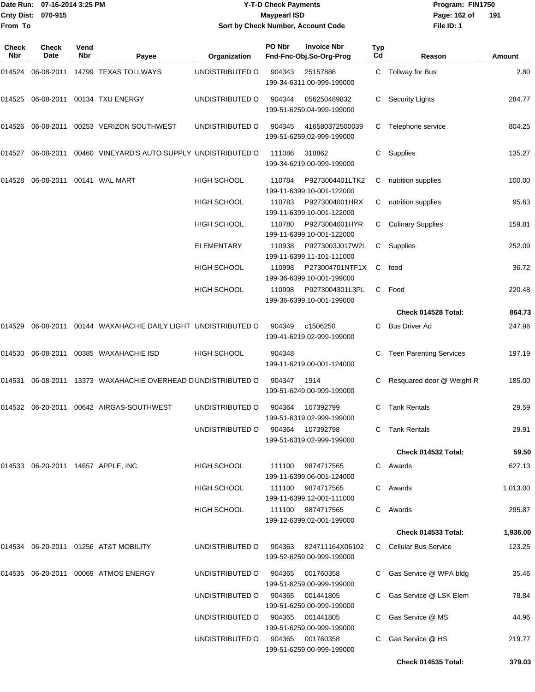| From To      | Date Run: 07-16-2014 3:25 PM<br><b>Cnty Dist:</b><br>070-915 |             |                                                   | <b>Y-T-D Check Payments</b><br><b>Maypearl ISD</b> | Sort by Check Number, Account Code |                                                | Program: FIN1750<br>Page: 162 of<br>File ID: 1 | 191                            |               |
|--------------|--------------------------------------------------------------|-------------|---------------------------------------------------|----------------------------------------------------|------------------------------------|------------------------------------------------|------------------------------------------------|--------------------------------|---------------|
| Check<br>Nbr | Check<br>Date                                                | Vend<br>Nbr | Payee                                             | Organization                                       | PO Nbr                             | <b>Invoice Nbr</b><br>Fnd-Fnc-Obj.So-Org-Prog  | Typ<br>Cd                                      | Reason                         | <b>Amount</b> |
| 014524       | 06-08-2011                                                   |             | 14799 TEXAS TOLLWAYS                              | UNDISTRIBUTED O                                    | 904343                             | 25157886<br>199-34-6311.00-999-199000          | C                                              | <b>Tollway for Bus</b>         | 2.80          |
| 014525       | 06-08-2011                                                   |             | 00134 TXU ENERGY                                  | UNDISTRIBUTED O                                    | 904344                             | 056250489832<br>199-51-6259.04-999-199000      | С                                              | <b>Security Lights</b>         | 284.77        |
| 014526       | 06-08-2011                                                   |             | 00253 VERIZON SOUTHWEST                           | UNDISTRIBUTED O                                    | 904345                             | 416580372500039<br>199-51-6259.02-999-199000   | С                                              | Telephone service              | 804.25        |
| 014527       | 06-08-2011                                                   |             | 00460 VINEYARD'S AUTO SUPPLY UNDISTRIBUTED O      |                                                    | 111086                             | 318862<br>199-34-6219.00-999-199000            | С                                              | Supplies                       | 135.27        |
| 014528       | 06-08-2011                                                   |             | 00141 WAL MART                                    | <b>HIGH SCHOOL</b>                                 | 110784                             | P9273004401LTK2<br>199-11-6399.10-001-122000   | С                                              | nutrition supplies             | 100.00        |
|              |                                                              |             |                                                   | <b>HIGH SCHOOL</b>                                 | 110783                             | P9273004001HRX<br>199-11-6399.10-001-122000    | С                                              | nutrition supplies             | 95.63         |
|              |                                                              |             |                                                   | HIGH SCHOOL                                        | 110780                             | P9273004001HYR<br>199-11-6399.10-001-122000    | С                                              | <b>Culinary Supplies</b>       | 159.81        |
|              |                                                              |             |                                                   | <b>ELEMENTARY</b>                                  | 110938                             | P9273003J017W2L<br>199-11-6399.11-101-111000   | С                                              | Supplies                       | 252.09        |
|              |                                                              |             |                                                   | HIGH SCHOOL                                        | 110998                             | P273004701NTF1X<br>199-36-6399.10-001-199000   | С                                              | food                           | 36.72         |
|              |                                                              |             |                                                   | HIGH SCHOOL                                        | 110998                             | P9273004301L3PL<br>199-36-6399.10-001-199000   | C                                              | Food                           | 220.48        |
|              |                                                              |             |                                                   |                                                    |                                    |                                                |                                                | Check 014528 Total:            | 864.73        |
| 014529       | 06-08-2011                                                   |             | 00144 WAXAHACHIE DAILY LIGHT UNDISTRIBUTED O      |                                                    | 904349                             | c1506250<br>199-41-6219.02-999-199000          | С                                              | <b>Bus Driver Ad</b>           | 247.96        |
| 014530       | 06-08-2011                                                   |             | 00385 WAXAHACHIE ISD                              | <b>HIGH SCHOOL</b>                                 | 904348                             | 199-11-6219.00-001-124000                      | С                                              | <b>Teen Parenting Services</b> | 197.19        |
| 014531       | 06-08-2011                                                   |             | 13373 WAXAHACHIE OVERHEAD DUNDISTRIBUTED O        |                                                    | 904347                             | 1914<br>199-51-6249.00-999-199000              | С                                              | Resquared door @ Weight R      | 185.00        |
|              |                                                              |             | 014532    06-20-2011    00642    AIRGAS-SOUTHWEST | UNDISTRIBUTED O                                    | 904364                             | 107392799<br>199-51-6319.02-999-199000         |                                                | C Tank Rentals                 | 29.59         |
|              |                                                              |             |                                                   | UNDISTRIBUTED O                                    | 904364                             | 107392798<br>199-51-6319.02-999-199000         |                                                | C Tank Rentals                 | 29.91         |
|              |                                                              |             |                                                   |                                                    |                                    |                                                |                                                | <b>Check 014532 Total:</b>     | 59.50         |
|              |                                                              |             | 014533 06-20-2011 14657 APPLE, INC.               | <b>HIGH SCHOOL</b>                                 | 111100                             | 9874717565<br>199-11-6399.06-001-124000        |                                                | C Awards                       | 627.13        |
|              |                                                              |             |                                                   | <b>HIGH SCHOOL</b>                                 | 111100                             | 9874717565<br>199-11-6399.12-001-111000        |                                                | C Awards                       | 1,013.00      |
|              |                                                              |             |                                                   | HIGH SCHOOL                                        |                                    | 111100 9874717565<br>199-12-6399.02-001-199000 |                                                | C Awards                       | 295.87        |
|              |                                                              |             |                                                   |                                                    |                                    |                                                |                                                | <b>Check 014533 Total:</b>     | 1,936.00      |
|              |                                                              |             | 014534 06-20-2011 01256 AT&T MOBILITY             | UNDISTRIBUTED O                                    | 904363                             | 824711164X06102<br>199-52-6259.00-999-199000   |                                                | C Cellular Bus Service         | 123.25        |
|              |                                                              |             | 014535 06-20-2011 00069 ATMOS ENERGY              | UNDISTRIBUTED O                                    | 904365                             | 001760358<br>199-51-6259.00-999-199000         |                                                | C Gas Service @ WPA bldg       | 35.46         |
|              |                                                              |             |                                                   | UNDISTRIBUTED O                                    |                                    | 904365 001441805<br>199-51-6259.00-999-199000  |                                                | C Gas Service @ LSK Elem       | 78.84         |

UNDISTRIBUTED O 904365 001441805 C Gas Service @ MS 44.96

UNDISTRIBUTED O 904365 001760358 C Gas Service @ HS 219.77

**Check 014535 Total: 379.03**

199-51-6259.00-999-199000

199-51-6259.00-999-199000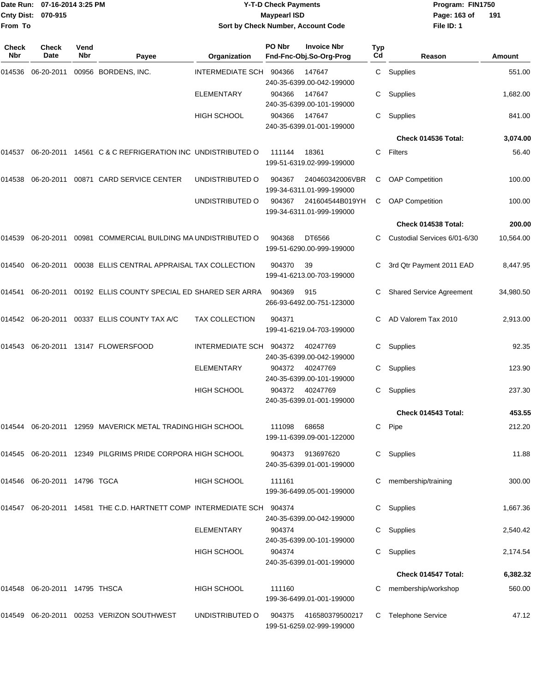| From To      | Date Run: 07-16-2014 3:25 PM<br>Cnty Dist: 070-915 |                    | <b>Y-T-D Check Payments</b><br><b>Maypearl ISD</b><br>Sort by Check Number, Account Code |                         |        |                                               | Program: FIN1750<br>Page: 163 of<br>File ID: 1 | 191                             |           |
|--------------|----------------------------------------------------|--------------------|------------------------------------------------------------------------------------------|-------------------------|--------|-----------------------------------------------|------------------------------------------------|---------------------------------|-----------|
| Check<br>Nbr | Check<br>Date                                      | Vend<br><b>Nbr</b> | Payee                                                                                    | Organization            | PO Nbr | <b>Invoice Nbr</b><br>Fnd-Fnc-Obj.So-Org-Prog | Typ<br>Cd                                      | Reason                          | Amount    |
| 014536       | 06-20-2011                                         |                    | 00956 BORDENS, INC.                                                                      | <b>INTERMEDIATE SCH</b> | 904366 | 147647<br>240-35-6399.00-042-199000           | C                                              | Supplies                        | 551.00    |
|              |                                                    |                    |                                                                                          | <b>ELEMENTARY</b>       | 904366 | 147647<br>240-35-6399.00-101-199000           | С                                              | Supplies                        | 1,682.00  |
|              |                                                    |                    |                                                                                          | <b>HIGH SCHOOL</b>      | 904366 | 147647<br>240-35-6399.01-001-199000           | С                                              | Supplies                        | 841.00    |
|              |                                                    |                    |                                                                                          |                         |        |                                               |                                                | Check 014536 Total:             | 3,074.00  |
| 014537       |                                                    |                    | 06-20-2011 14561 C & C REFRIGERATION INC UNDISTRIBUTED O                                 |                         | 111144 | 18361<br>199-51-6319.02-999-199000            | C                                              | Filters                         | 56.40     |
| 014538       | 06-20-2011                                         |                    | 00871 CARD SERVICE CENTER                                                                | UNDISTRIBUTED O         | 904367 | 240460342006VBR<br>199-34-6311.01-999-199000  | С                                              | <b>OAP Competition</b>          | 100.00    |
|              |                                                    |                    |                                                                                          | UNDISTRIBUTED O         | 904367 | 241604544B019YH<br>199-34-6311.01-999-199000  | С                                              | <b>OAP Competition</b>          | 100.00    |
|              |                                                    |                    |                                                                                          |                         |        |                                               |                                                | Check 014538 Total:             | 200.00    |
| 014539       |                                                    |                    | 06-20-2011 00981 COMMERCIAL BUILDING MA UNDISTRIBUTED O                                  |                         | 904368 | DT6566<br>199-51-6290.00-999-199000           |                                                | Custodial Services 6/01-6/30    | 10,564.00 |
| 014540       | 06-20-2011                                         |                    | 00038 ELLIS CENTRAL APPRAISAL TAX COLLECTION                                             |                         | 904370 | 39<br>199-41-6213.00-703-199000               | С                                              | 3rd Qtr Payment 2011 EAD        | 8,447.95  |
| 014541       | 06-20-2011                                         |                    | 00192 ELLIS COUNTY SPECIAL ED SHARED SER ARRA                                            |                         | 904369 | 915<br>266-93-6492.00-751-123000              | С                                              | <b>Shared Service Agreement</b> | 34,980.50 |
|              |                                                    |                    | 014542 06-20-2011 00337 ELLIS COUNTY TAX A/C                                             | <b>TAX COLLECTION</b>   | 904371 | 199-41-6219.04-703-199000                     | C                                              | AD Valorem Tax 2010             | 2,913.00  |
| 014543       |                                                    |                    | 06-20-2011 13147 FLOWERSFOOD                                                             | <b>INTERMEDIATE SCH</b> | 904372 | 40247769<br>240-35-6399.00-042-199000         | С                                              | Supplies                        | 92.35     |
|              |                                                    |                    |                                                                                          | ELEMENTARY              | 904372 | 40247769<br>240-35-6399.00-101-199000         | С                                              | Supplies                        | 123.90    |
|              |                                                    |                    |                                                                                          | <b>HIGH SCHOOL</b>      | 904372 | 40247769<br>240-35-6399.01-001-199000         | С                                              | Supplies                        | 237.30    |
|              |                                                    |                    |                                                                                          |                         |        |                                               |                                                | Check 014543 Total:             | 453.55    |
|              |                                                    |                    | 014544 06-20-2011 12959 MAVERICK METAL TRADING HIGH SCHOOL                               |                         | 111098 | 68658<br>199-11-6399.09-001-122000            | C                                              | Pipe                            | 212.20    |
|              |                                                    |                    | 014545 06-20-2011 12349 PILGRIMS PRIDE CORPORA HIGH SCHOOL                               |                         | 904373 | 913697620<br>240-35-6399.01-001-199000        |                                                | C Supplies                      | 11.88     |
|              | 014546 06-20-2011 14796 TGCA                       |                    |                                                                                          | HIGH SCHOOL             | 111161 | 199-36-6499.05-001-199000                     | С                                              | membership/training             | 300.00    |
|              |                                                    |                    | 014547 06-20-2011 14581 THE C.D. HARTNETT COMP INTERMEDIATE SCH 904374                   |                         |        | 240-35-6399.00-042-199000                     | C.                                             | Supplies                        | 1,667.36  |
|              |                                                    |                    |                                                                                          | ELEMENTARY              | 904374 | 240-35-6399.00-101-199000                     |                                                | C Supplies                      | 2,540.42  |
|              |                                                    |                    |                                                                                          | <b>HIGH SCHOOL</b>      | 904374 | 240-35-6399.01-001-199000                     |                                                | C Supplies                      | 2,174.54  |
|              |                                                    |                    |                                                                                          |                         |        |                                               |                                                | Check 014547 Total:             | 6,382.32  |
|              | 014548   06-20-2011   14795   THSCA                |                    |                                                                                          | <b>HIGH SCHOOL</b>      | 111160 | 199-36-6499.01-001-199000                     |                                                | membership/workshop             | 560.00    |
|              |                                                    |                    | 014549   06-20-2011   00253   VERIZON SOUTHWEST                                          | UNDISTRIBUTED O         | 904375 | 416580379500217<br>199-51-6259.02-999-199000  |                                                | C Telephone Service             | 47.12     |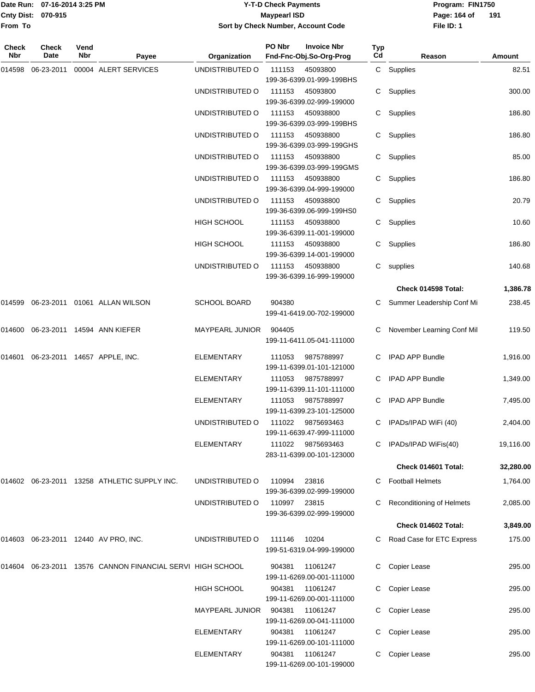### Date Run: 07-16-2014 3:25 PM **Program:** FIN1750 **Y-T-D Check Payments 070-915 Maypearl ISD Sort by Check Number, Account Code**

**File ID: 1** Page: 164 of 191

| Check<br>Nbr | Check<br>Date                | Vend<br>Nbr | Payee                                                      | Organization           | PO Nbr | <b>Invoice Nbr</b><br>Fnd-Fnc-Obj.So-Org-Prog  | Typ<br>Cd | Reason                      | Amount    |
|--------------|------------------------------|-------------|------------------------------------------------------------|------------------------|--------|------------------------------------------------|-----------|-----------------------------|-----------|
|              |                              |             | 00004 ALERT SERVICES                                       | UNDISTRIBUTED O        | 111153 |                                                |           |                             | 82.51     |
| 014598       | 06-23-2011                   |             |                                                            |                        |        | 45093800<br>199-36-6399.01-999-199BHS          |           | C Supplies                  |           |
|              |                              |             |                                                            | UNDISTRIBUTED O        | 111153 | 45093800<br>199-36-6399.02-999-199000          | C.        | Supplies                    | 300.00    |
|              |                              |             |                                                            | UNDISTRIBUTED O        | 111153 | 450938800<br>199-36-6399.03-999-199BHS         | C.        | Supplies                    | 186.80    |
|              |                              |             |                                                            | UNDISTRIBUTED O        | 111153 | 450938800<br>199-36-6399.03-999-199GHS         |           | C Supplies                  | 186.80    |
|              |                              |             |                                                            | UNDISTRIBUTED O        | 111153 | 450938800<br>199-36-6399.03-999-199GMS         |           | C Supplies                  | 85.00     |
|              |                              |             |                                                            | UNDISTRIBUTED O        | 111153 | 450938800<br>199-36-6399.04-999-199000         |           | C Supplies                  | 186.80    |
|              |                              |             |                                                            | UNDISTRIBUTED O        | 111153 | 450938800<br>199-36-6399.06-999-199HS0         |           | C Supplies                  | 20.79     |
|              |                              |             |                                                            | HIGH SCHOOL            | 111153 | 450938800<br>199-36-6399.11-001-199000         | C.        | Supplies                    | 10.60     |
|              |                              |             |                                                            | <b>HIGH SCHOOL</b>     | 111153 | 450938800<br>199-36-6399.14-001-199000         | C.        | Supplies                    | 186.80    |
|              |                              |             |                                                            | UNDISTRIBUTED O        | 111153 | 450938800<br>199-36-6399.16-999-199000         |           | C supplies                  | 140.68    |
|              |                              |             |                                                            |                        |        |                                                |           | Check 014598 Total:         | 1,386.78  |
| 014599       |                              |             | 06-23-2011 01061 ALLAN WILSON                              | <b>SCHOOL BOARD</b>    | 904380 | 199-41-6419.00-702-199000                      |           | Summer Leadership Conf Mi   | 238.45    |
| 014600       |                              |             | 06-23-2011 14594 ANN KIEFER                                | MAYPEARL JUNIOR        | 904405 | 199-11-6411.05-041-111000                      |           | November Learning Conf Mil  | 119.50    |
| 014601       | 06-23-2011 14657 APPLE, INC. |             |                                                            | <b>ELEMENTARY</b>      | 111053 | 9875788997<br>199-11-6399.01-101-121000        | C.        | <b>IPAD APP Bundle</b>      | 1,916.00  |
|              |                              |             |                                                            | <b>ELEMENTARY</b>      | 111053 | 9875788997<br>199-11-6399.11-101-111000        |           | IPAD APP Bundle             | 1,349.00  |
|              |                              |             |                                                            | <b>ELEMENTARY</b>      | 111053 | 9875788997<br>199-11-6399.23-101-125000        |           | IPAD APP Bundle             | 7,495.00  |
|              |                              |             |                                                            | UNDISTRIBUTED O        | 111022 | 9875693463<br>199-11-6639.47-999-111000        | C.        | IPADs/IPAD WiFi (40)        | 2,404.00  |
|              |                              |             |                                                            | ELEMENTARY             |        | 111022 9875693463<br>283-11-6399.00-101-123000 |           | C IPADS/IPAD WiFis(40)      | 19,116.00 |
|              |                              |             |                                                            |                        |        |                                                |           | Check 014601 Total:         | 32,280.00 |
|              |                              |             | 014602 06-23-2011 13258 ATHLETIC SUPPLY INC.               | UNDISTRIBUTED O        | 110994 | 23816<br>199-36-6399.02-999-199000             |           | C Football Helmets          | 1,764.00  |
|              |                              |             |                                                            | UNDISTRIBUTED O        | 110997 | 23815<br>199-36-6399.02-999-199000             |           | C Reconditioning of Helmets | 2,085.00  |
|              |                              |             |                                                            |                        |        |                                                |           | Check 014602 Total:         | 3,849.00  |
|              |                              |             | 014603 06-23-2011 12440 AV PRO, INC.                       | UNDISTRIBUTED O        | 111146 | 10204<br>199-51-6319.04-999-199000             |           | C Road Case for ETC Express | 175.00    |
|              |                              |             | 014604 06-23-2011 13576 CANNON FINANCIAL SERVI HIGH SCHOOL |                        | 904381 | 11061247<br>199-11-6269.00-001-111000          | C         | Copier Lease                | 295.00    |
|              |                              |             |                                                            | HIGH SCHOOL            | 904381 | 11061247<br>199-11-6269.00-001-111000          |           | Copier Lease                | 295.00    |
|              |                              |             |                                                            | <b>MAYPEARL JUNIOR</b> | 904381 | 11061247<br>199-11-6269.00-041-111000          |           | Copier Lease                | 295.00    |
|              |                              |             |                                                            | <b>ELEMENTARY</b>      | 904381 | 11061247<br>199-11-6269.00-101-111000          |           | Copier Lease                | 295.00    |
|              |                              |             |                                                            | <b>ELEMENTARY</b>      | 904381 | 11061247<br>199-11-6269.00-101-199000          | C.        | Copier Lease                | 295.00    |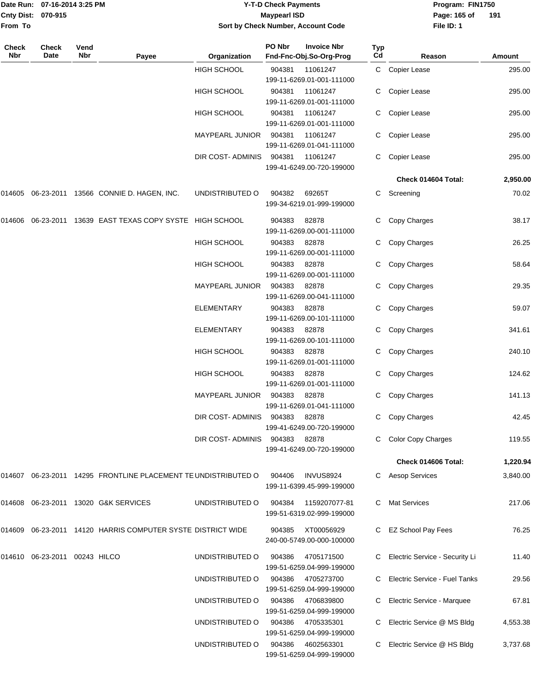|                    | Date Run: 07-16-2014 3:25 PM |
|--------------------|------------------------------|
| Cnty Dist: 070-915 |                              |
| <b>From To</b>     |                              |

# **Date Run: Program: FIN1750 07-16-2014 3:25 PM Y-T-D Check Payments Cnty Dist: Page: 165 of 070-915 Maypearl ISD Sort by Check Number, Account Code**

**File ID: 1** Page: 165 of 191

| Check<br>Nbr | Check<br>Date                 | Vend<br>Nbr | Payee                                                          | Organization           | PO Nbr | <b>Invoice Nbr</b><br>Fnd-Fnc-Obj.So-Org-Prog  | Typ<br>Cd | Reason                         | Amount   |
|--------------|-------------------------------|-------------|----------------------------------------------------------------|------------------------|--------|------------------------------------------------|-----------|--------------------------------|----------|
|              |                               |             |                                                                | <b>HIGH SCHOOL</b>     | 904381 | 11061247<br>199-11-6269.01-001-111000          |           | C Copier Lease                 | 295.00   |
|              |                               |             |                                                                | <b>HIGH SCHOOL</b>     | 904381 | 11061247<br>199-11-6269.01-001-111000          | С         | Copier Lease                   | 295.00   |
|              |                               |             |                                                                | <b>HIGH SCHOOL</b>     | 904381 | 11061247<br>199-11-6269.01-001-111000          | С         | Copier Lease                   | 295.00   |
|              |                               |             |                                                                | <b>MAYPEARL JUNIOR</b> | 904381 | 11061247<br>199-11-6269.01-041-111000          | C.        | Copier Lease                   | 295.00   |
|              |                               |             |                                                                | DIR COST- ADMINIS      | 904381 | 11061247<br>199-41-6249.00-720-199000          | C         | Copier Lease                   | 295.00   |
|              |                               |             |                                                                |                        |        |                                                |           | Check 014604 Total:            | 2,950.00 |
|              |                               |             | 014605 06-23-2011 13566 CONNIE D. HAGEN, INC.                  | UNDISTRIBUTED O        | 904382 | 69265T<br>199-34-6219.01-999-199000            | C         | Screening                      | 70.02    |
| 014606       | 06-23-2011                    |             | 13639 EAST TEXAS COPY SYSTE HIGH SCHOOL                        |                        | 904383 | 82878<br>199-11-6269.00-001-111000             |           | C Copy Charges                 | 38.17    |
|              |                               |             |                                                                | <b>HIGH SCHOOL</b>     | 904383 | 82878<br>199-11-6269.00-001-111000             | C         | Copy Charges                   | 26.25    |
|              |                               |             |                                                                | <b>HIGH SCHOOL</b>     | 904383 | 82878<br>199-11-6269.00-001-111000             | C         | Copy Charges                   | 58.64    |
|              |                               |             |                                                                | <b>MAYPEARL JUNIOR</b> | 904383 | 82878<br>199-11-6269.00-041-111000             | С         | Copy Charges                   | 29.35    |
|              |                               |             |                                                                | <b>ELEMENTARY</b>      | 904383 | 82878<br>199-11-6269.00-101-111000             | С         | Copy Charges                   | 59.07    |
|              |                               |             |                                                                | <b>ELEMENTARY</b>      | 904383 | 82878<br>199-11-6269.00-101-111000             | C.        | Copy Charges                   | 341.61   |
|              |                               |             |                                                                | <b>HIGH SCHOOL</b>     | 904383 | 82878<br>199-11-6269.01-001-111000             | C         | Copy Charges                   | 240.10   |
|              |                               |             |                                                                | <b>HIGH SCHOOL</b>     | 904383 | 82878<br>199-11-6269.01-001-111000             | C         | Copy Charges                   | 124.62   |
|              |                               |             |                                                                | MAYPEARL JUNIOR        | 904383 | 82878<br>199-11-6269.01-041-111000             | C         | Copy Charges                   | 141.13   |
|              |                               |             |                                                                | DIR COST- ADMINIS      | 904383 | 82878<br>199-41-6249.00-720-199000             | C         | Copy Charges                   | 42.45    |
|              |                               |             |                                                                | DIR COST- ADMINIS      | 904383 | 82878<br>199-41-6249.00-720-199000             |           | <b>Color Copy Charges</b>      | 119.55   |
|              |                               |             |                                                                |                        |        |                                                |           | Check 014606 Total:            | 1,220.94 |
|              |                               |             | 014607 06-23-2011 14295 FRONTLINE PLACEMENT TE UNDISTRIBUTED O |                        | 904406 | <b>INVUS8924</b><br>199-11-6399.45-999-199000  | C         | <b>Aesop Services</b>          | 3,840.00 |
|              |                               |             | 014608 06-23-2011 13020 G&K SERVICES                           | UNDISTRIBUTED O        | 904384 | 1159207077-81<br>199-51-6319.02-999-199000     |           | <b>Mat Services</b>            | 217.06   |
|              |                               |             | 014609 06-23-2011 14120 HARRIS COMPUTER SYSTE DISTRICT WIDE    |                        | 904385 | XT00056929<br>240-00-5749.00-000-100000        |           | <b>EZ School Pay Fees</b>      | 76.25    |
|              | 014610 06-23-2011 00243 HILCO |             |                                                                | UNDISTRIBUTED O        | 904386 | 4705171500<br>199-51-6259.04-999-199000        |           | Electric Service - Security Li | 11.40    |
|              |                               |             |                                                                | UNDISTRIBUTED O        |        | 904386 4705273700<br>199-51-6259.04-999-199000 |           | Electric Service - Fuel Tanks  | 29.56    |
|              |                               |             |                                                                | UNDISTRIBUTED O        | 904386 | 4706839800<br>199-51-6259.04-999-199000        |           | Electric Service - Marquee     | 67.81    |
|              |                               |             |                                                                | UNDISTRIBUTED O        | 904386 | 4705335301<br>199-51-6259.04-999-199000        |           | Electric Service @ MS Bldg     | 4,553.38 |
|              |                               |             |                                                                | UNDISTRIBUTED O        | 904386 | 4602563301<br>199-51-6259.04-999-199000        |           | Electric Service @ HS Bldg     | 3,737.68 |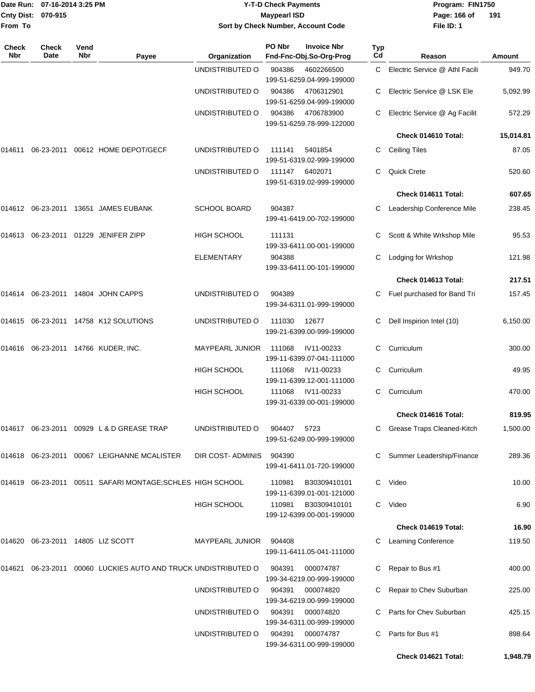|                            | Date Run: 07-16-2014 3:25 PM      |             |                                                                |                                    | <b>Y-T-D Check Payments</b> |                                               |                  | Program: FIN1750                 |               |  |
|----------------------------|-----------------------------------|-------------|----------------------------------------------------------------|------------------------------------|-----------------------------|-----------------------------------------------|------------------|----------------------------------|---------------|--|
|                            | Cnty Dist: 070-915                |             |                                                                |                                    | <b>Maypearl ISD</b>         |                                               |                  | Page: 166 of                     | 191           |  |
| From To                    |                                   |             |                                                                | Sort by Check Number, Account Code |                             |                                               |                  | File ID: 1                       |               |  |
| <b>Check</b><br><b>Nbr</b> | Check<br>Date                     | Vend<br>Nbr | Payee                                                          | Organization                       | PO Nbr                      | <b>Invoice Nbr</b><br>Fnd-Fnc-Obj.So-Org-Prog | <b>Typ</b><br>Cd | Reason                           | <b>Amount</b> |  |
|                            |                                   |             |                                                                | UNDISTRIBUTED O                    | 904386                      | 4602266500<br>199-51-6259.04-999-199000       |                  | C Electric Service @ Athl Facili | 949.70        |  |
|                            |                                   |             |                                                                | UNDISTRIBUTED O                    | 904386                      | 4706312901<br>199-51-6259.04-999-199000       |                  | Electric Service @ LSK Ele       | 5,092.99      |  |
|                            |                                   |             |                                                                | UNDISTRIBUTED O                    | 904386                      | 4706783900<br>199-51-6259.78-999-122000       | C.               | Electric Service @ Ag Facilit    | 572.29        |  |
|                            |                                   |             |                                                                |                                    |                             |                                               |                  | Check 014610 Total:              | 15,014.81     |  |
| 014611                     |                                   |             | 06-23-2011 00612 HOME DEPOT/GECF                               | UNDISTRIBUTED O                    | 111141                      | 5401854<br>199-51-6319.02-999-199000          | C                | <b>Ceiling Tiles</b>             | 87.05         |  |
|                            |                                   |             |                                                                | UNDISTRIBUTED O                    | 111147                      | 6402071<br>199-51-6319.02-999-199000          | C                | <b>Quick Crete</b>               | 520.60        |  |
|                            |                                   |             |                                                                |                                    |                             |                                               |                  | Check 014611 Total:              | 607.65        |  |
|                            |                                   |             | 014612 06-23-2011 13651 JAMES EUBANK                           | <b>SCHOOL BOARD</b>                | 904387                      | 199-41-6419.00-702-199000                     | C                | Leadership Conference Mile       | 238.45        |  |
|                            |                                   |             | 014613 06-23-2011 01229 JENIFER ZIPP                           | <b>HIGH SCHOOL</b>                 | 111131                      | 199-33-6411.00-001-199000                     |                  | Scott & White Wrkshop Mile       | 95.53         |  |
|                            |                                   |             |                                                                | <b>ELEMENTARY</b>                  | 904388                      | 199-33-6411.00-101-199000                     | C                | Lodging for Wrkshop              | 121.98        |  |
|                            |                                   |             |                                                                |                                    |                             |                                               |                  | Check 014613 Total:              | 217.51        |  |
|                            |                                   |             | 014614 06-23-2011 14804 JOHN CAPPS                             | UNDISTRIBUTED O                    | 904389                      | 199-34-6311.01-999-199000                     |                  | C Fuel purchased for Band Tri    | 157.45        |  |
|                            |                                   |             | 014615 06-23-2011 14758 K12 SOLUTIONS                          | UNDISTRIBUTED O                    | 111030                      | 12677<br>199-21-6399.00-999-199000            | С                | Dell Inspirion Intel (10)        | 6,150.00      |  |
|                            |                                   |             | 014616  06-23-2011  14766  KUDER, INC.                         | MAYPEARL JUNIOR                    | 111068                      | IV11-00233<br>199-11-6399.07-041-111000       |                  | Curriculum                       | 300.00        |  |
|                            |                                   |             |                                                                | <b>HIGH SCHOOL</b>                 | 111068                      | IV11-00233<br>199-11-6399.12-001-111000       | C                | Curriculum                       | 49.95         |  |
|                            |                                   |             |                                                                | <b>HIGH SCHOOL</b>                 | 111068                      | IV11-00233<br>199-31-6339.00-001-199000       |                  | C Curriculum                     | 470.00        |  |
|                            |                                   |             |                                                                |                                    |                             |                                               |                  | Check 014616 Total:              | 819.95        |  |
|                            |                                   |             | 014617 06-23-2011 00929 L & D GREASE TRAP                      | UNDISTRIBUTED O                    | 904407                      | 5723<br>199-51-6249.00-999-199000             |                  | C Grease Traps Cleaned-Kitch     | 1,500.00      |  |
|                            |                                   |             | 014618 06-23-2011 00067 LEIGHANNE MCALISTER                    | DIR COST- ADMINIS                  | 904390                      | 199-41-6411.01-720-199000                     |                  | Summer Leadership/Finance        | 289.36        |  |
|                            |                                   |             | 014619 06-23-2011 00511 SAFARI MONTAGE; SCHLES HIGH SCHOOL     |                                    | 110981                      | B30309410101<br>199-11-6399.01-001-121000     |                  | C Video                          | 10.00         |  |
|                            |                                   |             |                                                                | HIGH SCHOOL                        | 110981                      | B30309410101<br>199-12-6399.00-001-199000     | C                | Video                            | 6.90          |  |
|                            |                                   |             |                                                                |                                    |                             |                                               |                  | Check 014619 Total:              | 16.90         |  |
|                            | 014620 06-23-2011 14805 LIZ SCOTT |             |                                                                | MAYPEARL JUNIOR                    | 904408                      | 199-11-6411.05-041-111000                     | C.               | <b>Learning Conference</b>       | 119.50        |  |
|                            |                                   |             | 014621 06-23-2011 00060 LUCKIES AUTO AND TRUCK UNDISTRIBUTED O |                                    | 904391                      | 000074787<br>199-34-6219.00-999-199000        |                  | Repair to Bus #1                 | 400.00        |  |
|                            |                                   |             |                                                                | UNDISTRIBUTED O                    | 904391                      | 000074820<br>199-34-6219.00-999-199000        |                  | C Repair to Chev Suburban        | 225.00        |  |
|                            |                                   |             |                                                                | UNDISTRIBUTED O                    | 904391                      | 000074820<br>199-34-6311.00-999-199000        |                  | C Parts for Chev Suburban        | 425.15        |  |
|                            |                                   |             |                                                                | UNDISTRIBUTED O                    | 904391                      | 000074787<br>199-34-6311.00-999-199000        | C.               | Parts for Bus #1                 | 898.64        |  |

**Check 014621 Total: 1,948.79**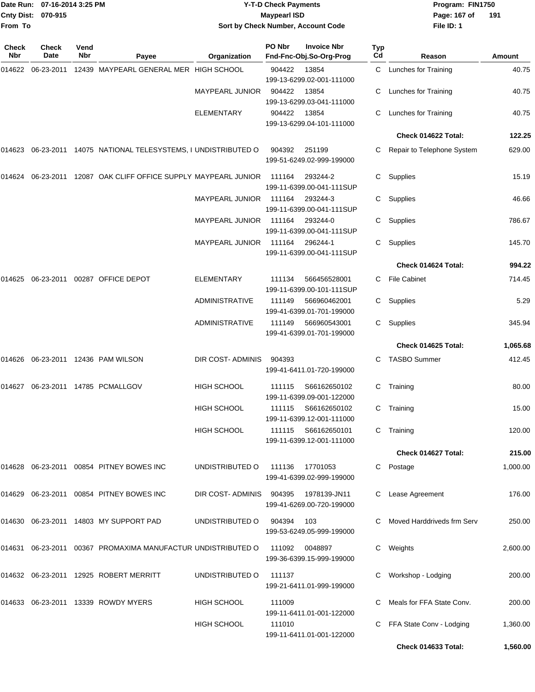| <b>Cnty Dist:</b><br>From To | Date Run: 07-16-2014 3:25 PM<br>070-915 |             |                                                                                | <b>Y-T-D Check Payments</b><br><b>Maypearl ISD</b><br>Sort by Check Number, Account Code |            |                                                  |           | Program: FIN1750<br>Page: 167 of<br>File ID: 1 | 191      |
|------------------------------|-----------------------------------------|-------------|--------------------------------------------------------------------------------|------------------------------------------------------------------------------------------|------------|--------------------------------------------------|-----------|------------------------------------------------|----------|
| <b>Check</b><br>Nbr          | <b>Check</b><br>Date                    | Vend<br>Nbr | Payee                                                                          | Organization                                                                             | PO Nbr     | <b>Invoice Nbr</b><br>Fnd-Fnc-Obj.So-Org-Prog    | Typ<br>Cd | Reason                                         | Amount   |
|                              |                                         |             | 014622 06-23-2011 12439   MAYPEARL GENERAL MER   HIGH SCHOOL                   |                                                                                          | 904422     | 13854<br>199-13-6299.02-001-111000               |           | C Lunches for Training                         | 40.75    |
|                              |                                         |             |                                                                                | <b>MAYPEARL JUNIOR</b>                                                                   | 904422     | 13854<br>199-13-6299.03-041-111000               |           | <b>Lunches for Training</b>                    | 40.75    |
|                              |                                         |             |                                                                                | ELEMENTARY                                                                               | 904422     | 13854<br>199-13-6299.04-101-111000               | С         | <b>Lunches for Training</b>                    | 40.75    |
|                              |                                         |             |                                                                                |                                                                                          |            |                                                  |           | Check 014622 Total:                            | 122.25   |
|                              |                                         |             |                                                                                |                                                                                          | 904392     | 251199<br>199-51-6249.02-999-199000              | С         | Repair to Telephone System                     | 629.00   |
| 014624                       |                                         |             | 06-23-2011 12087 OAK CLIFF OFFICE SUPPLY MAYPEARL JUNIOR                       |                                                                                          | 111164     | 293244-2<br>199-11-6399.00-041-111SUP            | С         | Supplies                                       | 15.19    |
|                              |                                         |             |                                                                                | <b>MAYPEARL JUNIOR</b>                                                                   | 111164     | 293244-3<br>199-11-6399.00-041-111SUP            | С         | Supplies                                       | 46.66    |
|                              |                                         |             |                                                                                | <b>MAYPEARL JUNIOR</b>                                                                   | 111164     | 293244-0<br>199-11-6399.00-041-111SUP            | С         | Supplies                                       | 786.67   |
|                              |                                         |             |                                                                                | <b>MAYPEARL JUNIOR</b>                                                                   | 111164     | 296244-1<br>199-11-6399.00-041-111SUP            | С         | Supplies                                       | 145.70   |
|                              |                                         |             |                                                                                |                                                                                          |            |                                                  |           | Check 014624 Total:                            | 994.22   |
| 014625                       |                                         |             | 06-23-2011 00287 OFFICE DEPOT                                                  | <b>ELEMENTARY</b>                                                                        | 111134     | 566456528001<br>199-11-6399.00-101-111SUP        | C         | <b>File Cabinet</b>                            | 714.45   |
|                              |                                         |             |                                                                                | ADMINISTRATIVE                                                                           | 111149     | 566960462001<br>199-41-6399.01-701-199000        | C.        | Supplies                                       | 5.29     |
|                              |                                         |             |                                                                                | <b>ADMINISTRATIVE</b>                                                                    | 111149     | 566960543001<br>199-41-6399.01-701-199000        | C.        | Supplies                                       | 345.94   |
|                              |                                         |             |                                                                                |                                                                                          |            |                                                  |           | Check 014625 Total:                            | 1,065.68 |
|                              |                                         |             | 014626 06-23-2011 12436 PAM WILSON                                             | <b>DIR COST-ADMINIS</b>                                                                  | 904393     | 199-41-6411.01-720-199000                        | С         | <b>TASBO Summer</b>                            | 412.45   |
|                              |                                         |             | 014627 06-23-2011 14785 PCMALLGOV                                              | <b>HIGH SCHOOL</b>                                                                       | 111115     | S66162650102<br>199-11-6399.09-001-122000        | С         | Training                                       | 80.00    |
|                              |                                         |             |                                                                                | <b>HIGH SCHOOL</b>                                                                       | 111115     | S66162650102<br>199-11-6399.12-001-111000        |           | C Training                                     | 15.00    |
|                              |                                         |             |                                                                                | <b>HIGH SCHOOL</b>                                                                       |            | 111115 S66162650101<br>199-11-6399.12-001-111000 |           | C Training                                     | 120.00   |
|                              |                                         |             |                                                                                |                                                                                          |            |                                                  |           | Check 014627 Total:                            | 215.00   |
|                              |                                         |             | 014628  06-23-2011  00854  PITNEY BOWES INC                                    | UNDISTRIBUTED O                                                                          |            | 111136 17701053<br>199-41-6399.02-999-199000     |           | C Postage                                      | 1,000.00 |
|                              |                                         |             | 014629   06-23-2011   00854   PITNEY BOWES INC                                 | DIR COST-ADMINIS 904395                                                                  |            | 1978139-JN11<br>199-41-6269.00-720-199000        |           | C Lease Agreement                              | 176.00   |
|                              |                                         |             | 014630  06-23-2011  14803  MY SUPPORT PAD                                      | UNDISTRIBUTED O                                                                          | 904394 103 | 199-53-6249.05-999-199000                        |           | C Moved Harddriveds frm Serv                   | 250.00   |
|                              |                                         |             | 014631    06-23-2011    00367    PROMAXIMA    MANUFACTUR    UNDISTRIBUTED    O |                                                                                          | 111092     | 0048897<br>199-36-6399.15-999-199000             |           | C Weights                                      | 2,600.00 |
|                              |                                         |             | 014632    06-23-2011    12925    ROBERT MERRITT                                | UNDISTRIBUTED O                                                                          | 111137     | 199-21-6411.01-999-199000                        |           | Workshop - Lodging                             | 200.00   |
|                              |                                         |             |                                                                                | <b>HIGH SCHOOL</b>                                                                       | 111009     | 199-11-6411.01-001-122000                        |           | Meals for FFA State Conv.                      | 200.00   |
|                              |                                         |             |                                                                                | <b>HIGH SCHOOL</b>                                                                       | 111010     | 199-11-6411.01-001-122000                        |           | C FFA State Conv - Lodging                     | 1,360.00 |

**Check 014633 Total: 1,560.00**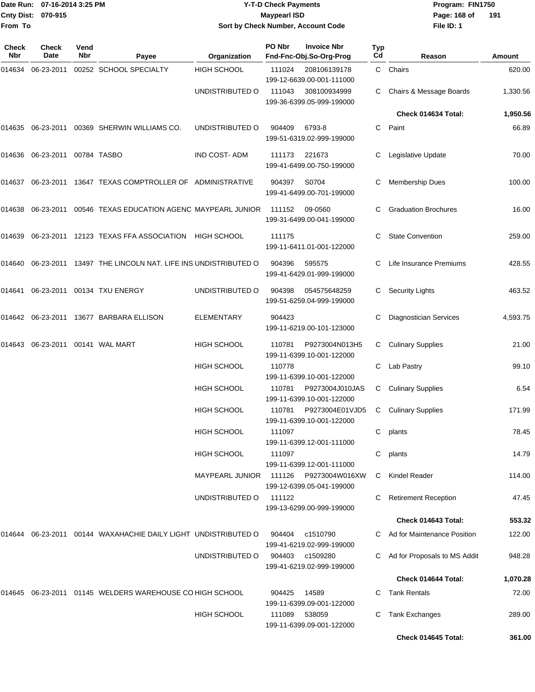|                    | Date Run: 07-16-2014 3:25 PM |
|--------------------|------------------------------|
| Cnty Dist: 070-915 |                              |
| From To            |                              |

## **Date Run: Program: FIN1750 07-16-2014 3:25 PM Y-T-D Check Payments Cnty Dist: Page: 168 of 070-915 Maypearl ISD Sort by Check Number, Account Code**

**File ID: 1 191**

| <b>Check</b><br>Nbr | Check<br>Date          | Vend<br>Nbr | Payee                                                      | Organization           | PO Nbr | <b>Invoice Nbr</b><br>Fnd-Fnc-Obj.So-Org-Prog | Typ<br>Cd | Reason                        | Amount   |
|---------------------|------------------------|-------------|------------------------------------------------------------|------------------------|--------|-----------------------------------------------|-----------|-------------------------------|----------|
| 014634              | 06-23-2011             |             | 00252 SCHOOL SPECIALTY                                     | <b>HIGH SCHOOL</b>     | 111024 | 208106139178<br>199-12-6639.00-001-111000     |           | C Chairs                      | 620.00   |
|                     |                        |             |                                                            | UNDISTRIBUTED O        | 111043 | 308100934999<br>199-36-6399.05-999-199000     |           | Chairs & Message Boards       | 1,330.56 |
|                     |                        |             |                                                            |                        |        |                                               |           | Check 014634 Total:           | 1,950.56 |
| 014635              | 06-23-2011             |             | 00369 SHERWIN WILLIAMS CO.                                 | UNDISTRIBUTED O        | 904409 | 6793-8<br>199-51-6319.02-999-199000           |           | C Paint                       | 66.89    |
| 014636              | 06-23-2011 00784 TASBO |             |                                                            | IND COST-ADM           | 111173 | 221673<br>199-41-6499.00-750-199000           | C         | Legislative Update            | 70.00    |
| 014637              |                        |             | 06-23-2011 13647 TEXAS COMPTROLLER OF ADMINISTRATIVE       |                        | 904397 | S0704<br>199-41-6499.00-701-199000            |           | <b>Membership Dues</b>        | 100.00   |
| 014638              |                        |             | 06-23-2011 00546 TEXAS EDUCATION AGENC MAYPEARL JUNIOR     |                        | 111152 | 09-0560<br>199-31-6499.00-041-199000          |           | <b>Graduation Brochures</b>   | 16.00    |
| 014639              |                        |             | 06-23-2011 12123 TEXAS FFA ASSOCIATION HIGH SCHOOL         |                        | 111175 | 199-11-6411.01-001-122000                     | С         | <b>State Convention</b>       | 259.00   |
| 014640              |                        |             | 06-23-2011 13497 THE LINCOLN NAT. LIFE INS UNDISTRIBUTED O |                        | 904396 | 595575<br>199-41-6429.01-999-199000           | C.        | Life Insurance Premiums       | 428.55   |
| 014641              |                        |             | 06-23-2011 00134 TXU ENERGY                                | UNDISTRIBUTED O        | 904398 | 054575648259<br>199-51-6259.04-999-199000     | C.        | <b>Security Lights</b>        | 463.52   |
| 014642              |                        |             | 06-23-2011 13677 BARBARA ELLISON                           | <b>ELEMENTARY</b>      | 904423 | 199-11-6219.00-101-123000                     |           | Diagnostician Services        | 4,593.75 |
| 014643              |                        |             | 06-23-2011 00141 WAL MART                                  | HIGH SCHOOL            | 110781 | P9273004N013H5<br>199-11-6399.10-001-122000   | C         | <b>Culinary Supplies</b>      | 21.00    |
|                     |                        |             |                                                            | HIGH SCHOOL            | 110778 | 199-11-6399.10-001-122000                     | C         | Lab Pastry                    | 99.10    |
|                     |                        |             |                                                            | <b>HIGH SCHOOL</b>     | 110781 | P9273004J010JAS<br>199-11-6399.10-001-122000  | С         | <b>Culinary Supplies</b>      | 6.54     |
|                     |                        |             |                                                            | <b>HIGH SCHOOL</b>     | 110781 | P9273004E01VJD5<br>199-11-6399.10-001-122000  | C         | <b>Culinary Supplies</b>      | 171.99   |
|                     |                        |             |                                                            | HIGH SCHOOL            | 111097 | 199-11-6399.12-001-111000                     |           | C plants                      | 78.45    |
|                     |                        |             |                                                            | <b>HIGH SCHOOL</b>     | 111097 | 199-11-6399.12-001-111000                     | C.        | plants                        | 14.79    |
|                     |                        |             |                                                            | <b>MAYPEARL JUNIOR</b> | 111126 | P9273004W016XW<br>199-12-6399.05-041-199000   | C.        | Kindel Reader                 | 114.00   |
|                     |                        |             |                                                            | UNDISTRIBUTED O        | 111122 | 199-13-6299.00-999-199000                     | С         | <b>Retirement Reception</b>   | 47.45    |
|                     |                        |             |                                                            |                        |        |                                               |           | Check 014643 Total:           | 553.32   |
| 014644              |                        |             | 06-23-2011  00144  WAXAHACHIE DAILY LIGHT UNDISTRIBUTED O  |                        | 904404 | c1510790<br>199-41-6219.02-999-199000         |           | C Ad for Maintenance Position | 122.00   |
|                     |                        |             |                                                            | UNDISTRIBUTED O        | 904403 | c1509280<br>199-41-6219.02-999-199000         |           | Ad for Proposals to MS Addit  | 948.28   |
|                     |                        |             |                                                            |                        |        |                                               |           | Check 014644 Total:           | 1,070.28 |
| 014645              |                        |             | 06-23-2011 01145 WELDERS WAREHOUSE CO HIGH SCHOOL          |                        | 904425 | 14589<br>199-11-6399.09-001-122000            | C.        | <b>Tank Rentals</b>           | 72.00    |
|                     |                        |             |                                                            | <b>HIGH SCHOOL</b>     | 111089 | 538059<br>199-11-6399.09-001-122000           | C         | Tank Exchanges                | 289.00   |
|                     |                        |             |                                                            |                        |        |                                               |           | Check 014645 Total:           | 361.00   |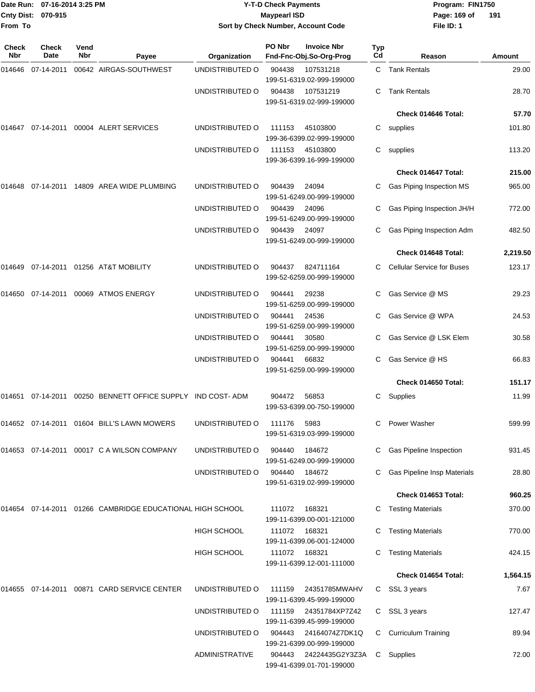| From To      | Date Run: 07-16-2014 3:25 PM<br>Cnty Dist: 070-915 |             |                                                                        |                       | <b>Y-T-D Check Payments</b><br><b>Maypearl ISD</b> | Sort by Check Number, Account Code            |                        | Program: FIN1750<br>Page: 169 of<br>191<br>File ID: 1 |          |  |
|--------------|----------------------------------------------------|-------------|------------------------------------------------------------------------|-----------------------|----------------------------------------------------|-----------------------------------------------|------------------------|-------------------------------------------------------|----------|--|
| Check<br>Nbr | <b>Check</b><br>Date                               | Vend<br>Nbr | Payee                                                                  | Organization          | PO Nbr                                             | <b>Invoice Nbr</b><br>Fnd-Fnc-Obj.So-Org-Prog | Typ<br>Cd              | Reason                                                | Amount   |  |
| 014646       | 07-14-2011                                         |             | 00642 AIRGAS-SOUTHWEST                                                 | UNDISTRIBUTED O       | 904438                                             | 107531218<br>199-51-6319.02-999-199000        |                        | C Tank Rentals                                        | 29.00    |  |
|              |                                                    |             |                                                                        | UNDISTRIBUTED O       | 904438                                             | 107531219<br>199-51-6319.02-999-199000        | С                      | <b>Tank Rentals</b>                                   | 28.70    |  |
|              |                                                    |             |                                                                        |                       |                                                    |                                               |                        | Check 014646 Total:                                   | 57.70    |  |
|              |                                                    |             |                                                                        | UNDISTRIBUTED O       | 111153                                             | 45103800<br>199-36-6399.02-999-199000         | С                      | supplies                                              | 101.80   |  |
|              |                                                    |             |                                                                        | UNDISTRIBUTED O       | 111153                                             | 45103800<br>199-36-6399.16-999-199000         | С                      | supplies                                              | 113.20   |  |
|              |                                                    |             |                                                                        |                       |                                                    |                                               |                        | Check 014647 Total:                                   | 215.00   |  |
|              |                                                    |             |                                                                        | UNDISTRIBUTED O       | 904439                                             | 24094<br>199-51-6249.00-999-199000            |                        | Gas Piping Inspection MS                              | 965.00   |  |
|              |                                                    |             |                                                                        | UNDISTRIBUTED O       | 904439                                             | 24096<br>199-51-6249.00-999-199000            |                        | Gas Piping Inspection JH/H                            | 772.00   |  |
|              |                                                    |             |                                                                        | UNDISTRIBUTED O       | 904439                                             | 24097<br>199-51-6249.00-999-199000            | С                      | Gas Piping Inspection Adm                             | 482.50   |  |
|              |                                                    |             |                                                                        |                       |                                                    |                                               |                        | Check 014648 Total:                                   | 2,219.50 |  |
| 014649       |                                                    |             | 07-14-2011  01256  AT&T MOBILITY                                       | UNDISTRIBUTED O       | 904437                                             | 824711164<br>199-52-6259.00-999-199000        | C.                     | <b>Cellular Service for Buses</b>                     | 123.17   |  |
| 014650       | 07-14-2011 00069 ATMOS ENERGY                      |             |                                                                        | UNDISTRIBUTED O       | 904441                                             | 29238<br>199-51-6259.00-999-199000            |                        | Gas Service @ MS                                      | 29.23    |  |
|              |                                                    |             | UNDISTRIBUTED O                                                        | 904441                | 24536<br>199-51-6259.00-999-199000                 | С                                             | Gas Service @ WPA      | 24.53                                                 |          |  |
|              |                                                    |             | UNDISTRIBUTED O                                                        | 904441                | 30580<br>199-51-6259.00-999-199000                 | C.                                            | Gas Service @ LSK Elem | 30.58                                                 |          |  |
|              |                                                    |             |                                                                        | UNDISTRIBUTED O       | 904441                                             | 66832<br>199-51-6259.00-999-199000            | С                      | Gas Service @ HS                                      | 66.83    |  |
|              |                                                    |             |                                                                        |                       |                                                    |                                               |                        | Check 014650 Total:                                   | 151.17   |  |
|              |                                                    |             | 014651 07-14-2011 00250 BENNETT OFFICE SUPPLY IND COST-ADM             |                       | 904472                                             | 56853<br>199-53-6399.00-750-199000            |                        | C Supplies                                            | 11.99    |  |
|              |                                                    |             | 014652 07-14-2011 01604 BILL'S LAWN MOWERS                             | UNDISTRIBUTED O       | 111176                                             | 5983<br>199-51-6319.03-999-199000             |                        | <b>Power Washer</b>                                   | 599.99   |  |
|              |                                                    |             | 014653 07-14-2011 00017 C A WILSON COMPANY                             | UNDISTRIBUTED O       | 904440                                             | 184672<br>199-51-6249.00-999-199000           | C.                     | Gas Pipeline Inspection                               | 931.45   |  |
|              |                                                    |             |                                                                        | UNDISTRIBUTED O       | 904440                                             | 184672<br>199-51-6319.02-999-199000           |                        | Gas Pipeline Insp Materials                           | 28.80    |  |
|              |                                                    |             |                                                                        |                       |                                                    |                                               |                        | Check 014653 Total:                                   | 960.25   |  |
|              |                                                    |             | 014654   07-14-2011   01266        CAMBRIDGE   EDUCATIONAL HIGH SCHOOL |                       | 111072                                             | 168321<br>199-11-6399.00-001-121000           |                        | C Testing Materials                                   | 370.00   |  |
|              |                                                    |             |                                                                        | <b>HIGH SCHOOL</b>    | 111072                                             | 168321<br>199-11-6399.06-001-124000           |                        | C Testing Materials                                   | 770.00   |  |
|              |                                                    |             |                                                                        | <b>HIGH SCHOOL</b>    | 111072                                             | 168321<br>199-11-6399.12-001-111000           |                        | C Testing Materials                                   | 424.15   |  |
|              |                                                    |             |                                                                        |                       |                                                    |                                               |                        | Check 014654 Total:                                   | 1,564.15 |  |
|              |                                                    |             | 014655  07-14-2011  00871  CARD SERVICE CENTER                         | UNDISTRIBUTED O       | 111159                                             | 24351785MWAHV<br>199-11-6399.45-999-199000    |                        | C SSL 3 years                                         | 7.67     |  |
|              |                                                    |             |                                                                        | UNDISTRIBUTED O       | 111159                                             | 24351784XP7Z42<br>199-11-6399.45-999-199000   |                        | C SSL 3 years                                         | 127.47   |  |
|              |                                                    |             |                                                                        | UNDISTRIBUTED O       | 904443                                             | 24164074Z7DK1Q<br>199-21-6399.00-999-199000   | C.                     | <b>Curriculum Training</b>                            | 89.94    |  |
|              |                                                    |             |                                                                        | <b>ADMINISTRATIVE</b> | 904443                                             | 24224435G2Y3Z3A<br>199-41-6399.01-701-199000  | C                      | Supplies                                              | 72.00    |  |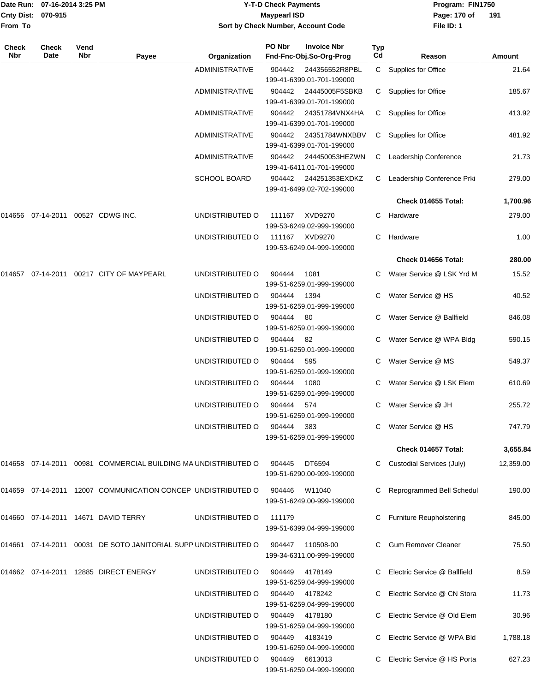|              | Date Run: 07-16-2014 3:25 PM |             |                                                                   | <b>Y-T-D Check Payments</b> |                     |                                                                   |           | Program: FIN1750                |               |  |
|--------------|------------------------------|-------------|-------------------------------------------------------------------|-----------------------------|---------------------|-------------------------------------------------------------------|-----------|---------------------------------|---------------|--|
|              | Cnty Dist: 070-915           |             |                                                                   |                             | <b>Maypearl ISD</b> |                                                                   |           | Page: 170 of                    | 191           |  |
| From To      |                              |             |                                                                   |                             |                     | Sort by Check Number, Account Code                                |           | File ID: 1                      |               |  |
|              |                              |             |                                                                   |                             | PO Nbr              |                                                                   |           |                                 |               |  |
| Check<br>Nbr | Check<br>Date                | Vend<br>Nbr | Payee                                                             | Organization                |                     | <b>Invoice Nbr</b><br>Fnd-Fnc-Obj.So-Org-Prog                     | Typ<br>Cd | Reason                          | <b>Amount</b> |  |
|              |                              |             |                                                                   | <b>ADMINISTRATIVE</b>       | 904442              | 244356552R8PBL                                                    | C.        | Supplies for Office             | 21.64         |  |
|              |                              |             |                                                                   | <b>ADMINISTRATIVE</b>       | 904442              | 199-41-6399.01-701-199000<br>24445005F5SBKB                       | C.        | Supplies for Office             | 185.67        |  |
|              |                              |             |                                                                   | <b>ADMINISTRATIVE</b>       | 904442              | 199-41-6399.01-701-199000<br>24351784VNX4HA                       | C.        | Supplies for Office             | 413.92        |  |
|              |                              |             |                                                                   | <b>ADMINISTRATIVE</b>       | 904442              | 199-41-6399.01-701-199000<br>24351784WNXBBV                       | C.        | Supplies for Office             | 481.92        |  |
|              |                              |             |                                                                   | <b>ADMINISTRATIVE</b>       | 904442              | 199-41-6399.01-701-199000<br>244450053HEZWN                       | C         | Leadership Conference           | 21.73         |  |
|              |                              |             |                                                                   | SCHOOL BOARD                | 904442              | 199-41-6411.01-701-199000<br>244251353EXDKZ                       | C.        | Leadership Conference Prki      | 279.00        |  |
|              |                              |             |                                                                   |                             |                     | 199-41-6499.02-702-199000                                         |           | Check 014655 Total:             | 1,700.96      |  |
|              | 014656 07-14-2011            |             | 00527 CDWG INC.                                                   | UNDISTRIBUTED O             | 111167              | XVD9270                                                           | С         | Hardware                        | 279.00        |  |
|              |                              |             |                                                                   | UNDISTRIBUTED O             | 111167              | 199-53-6249.02-999-199000<br>XVD9270                              | С         | Hardware                        | 1.00          |  |
|              |                              |             |                                                                   |                             |                     | 199-53-6249.04-999-199000                                         |           | Check 014656 Total:             | 280.00        |  |
| 014657       |                              |             | 07-14-2011  00217  CITY OF MAYPEARL                               | UNDISTRIBUTED O             | 904444              | 1081                                                              |           | Water Service @ LSK Yrd M       | 15.52         |  |
|              |                              |             |                                                                   |                             |                     | 199-51-6259.01-999-199000                                         |           |                                 |               |  |
|              |                              |             |                                                                   | UNDISTRIBUTED O             | 904444              | 1394<br>199-51-6259.01-999-199000                                 | С         | Water Service @ HS              | 40.52         |  |
|              |                              |             |                                                                   | UNDISTRIBUTED O             | 904444              | 80<br>199-51-6259.01-999-199000                                   |           | Water Service @ Ballfield       | 846.08        |  |
|              |                              |             |                                                                   | UNDISTRIBUTED O             | 904444              | 82<br>199-51-6259.01-999-199000                                   | С         | Water Service @ WPA Bldg        | 590.15        |  |
|              |                              |             |                                                                   | UNDISTRIBUTED O             | 904444              | 595<br>199-51-6259.01-999-199000                                  | С         | Water Service @ MS              | 549.37        |  |
|              |                              |             |                                                                   | UNDISTRIBUTED O             | 904444              | 1080<br>199-51-6259.01-999-199000                                 | C.        | Water Service @ LSK Elem        | 610.69        |  |
|              |                              |             |                                                                   | UNDISTRIBUTED O             | 904444              | 574<br>199-51-6259.01-999-199000                                  |           | C Water Service @ JH            | 255.72        |  |
|              |                              |             |                                                                   | UNDISTRIBUTED O             | 904444              | 383<br>199-51-6259.01-999-199000                                  |           | Water Service @ HS              | 747.79        |  |
|              |                              |             |                                                                   |                             |                     |                                                                   |           | Check 014657 Total:             | 3,655.84      |  |
|              |                              |             | 014658  07-14-2011  00981  COMMERCIAL BUILDING MA UNDISTRIBUTED O |                             | 904445              | DT6594<br>199-51-6290.00-999-199000                               |           | C Custodial Services (July)     | 12,359.00     |  |
|              |                              |             | 014659 07-14-2011 12007 COMMUNICATION CONCEP UNDISTRIBUTED O      |                             | 904446              | W11040<br>199-51-6249.00-999-199000                               |           | Reprogrammed Bell Schedul       | 190.00        |  |
|              |                              |             | 014660 07-14-2011 14671 DAVID TERRY                               | UNDISTRIBUTED O             | 111179              | 199-51-6399.04-999-199000                                         |           | <b>Furniture Reupholstering</b> | 845.00        |  |
|              |                              |             | 014661 07-14-2011 00031 DE SOTO JANITORIAL SUPP UNDISTRIBUTED O   |                             | 904447              | 110508-00<br>199-34-6311.00-999-199000                            |           | C Gum Remover Cleaner           | 75.50         |  |
|              |                              |             |                                                                   | UNDISTRIBUTED O             | 904449              | 4178149                                                           |           | Electric Service @ Ballfield    | 8.59          |  |
|              |                              |             |                                                                   | UNDISTRIBUTED O             | 904449              | 199-51-6259.04-999-199000<br>4178242                              |           | Electric Service @ CN Stora     | 11.73         |  |
|              |                              |             |                                                                   | UNDISTRIBUTED O             | 904449              | 199-51-6259.04-999-199000<br>4178180                              |           | C Electric Service @ Old Elem   | 30.96         |  |
|              |                              |             |                                                                   | UNDISTRIBUTED O             | 904449              | 199-51-6259.04-999-199000<br>4183419<br>199-51-6259.04-999-199000 | C.        | Electric Service @ WPA Bld      | 1,788.18      |  |

UNDISTRIBUTED O 904449 6613013 C Electric Service @ HS Porta 627.23

199-51-6259.04-999-199000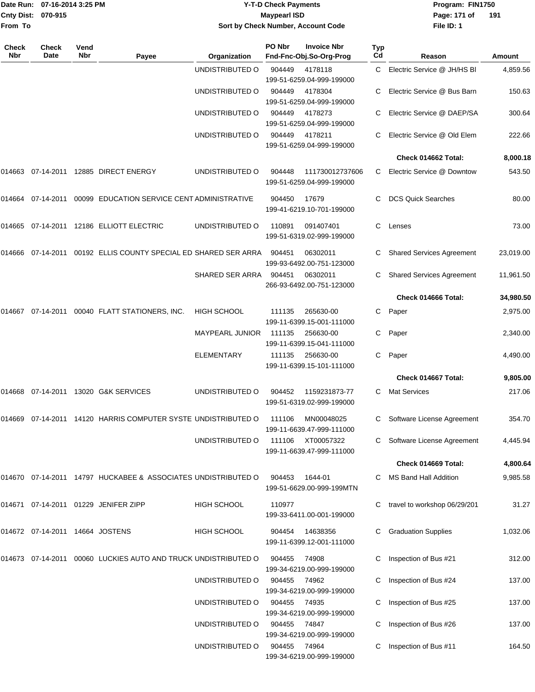|                    | Date Run: 07-16-2014 3:25 PM |
|--------------------|------------------------------|
| Cnty Dist: 070-915 |                              |
| <b>From To</b>     |                              |

# **Date Run: Program: FIN1750 07-16-2014 3:25 PM Y-T-D Check Payments Cnty Dist: Page: 171 of 070-915 Maypearl ISD Sort by Check Number, Account Code**

**File ID: 1** Page: 171 of 191

| Check<br>Nbr | Check<br>Date                   | Vend<br><b>Nbr</b> | Payee                                                          | Organization           | PO Nbr | <b>Invoice Nbr</b><br>Fnd-Fnc-Obj.So-Org-Prog | Typ<br>Cd | Reason                           | Amount    |
|--------------|---------------------------------|--------------------|----------------------------------------------------------------|------------------------|--------|-----------------------------------------------|-----------|----------------------------------|-----------|
|              |                                 |                    |                                                                | UNDISTRIBUTED O        | 904449 | 4178118<br>199-51-6259.04-999-199000          | C         | Electric Service @ JH/HS BI      | 4,859.56  |
|              |                                 |                    |                                                                | UNDISTRIBUTED O        | 904449 | 4178304<br>199-51-6259.04-999-199000          | C         | Electric Service @ Bus Barn      | 150.63    |
|              |                                 |                    |                                                                | UNDISTRIBUTED O        | 904449 | 4178273<br>199-51-6259.04-999-199000          |           | Electric Service @ DAEP/SA       | 300.64    |
|              |                                 |                    |                                                                | UNDISTRIBUTED O        | 904449 | 4178211<br>199-51-6259.04-999-199000          |           | Electric Service @ Old Elem      | 222.66    |
|              |                                 |                    |                                                                |                        |        |                                               |           | Check 014662 Total:              | 8,000.18  |
| 014663       |                                 |                    | 07-14-2011  12885  DIRECT ENERGY                               | UNDISTRIBUTED O        | 904448 | 111730012737606<br>199-51-6259.04-999-199000  | C         | Electric Service @ Downtow       | 543.50    |
| 014664       |                                 |                    | 07-14-2011  00099  EDUCATION SERVICE CENT ADMINISTRATIVE       |                        | 904450 | 17679<br>199-41-6219.10-701-199000            | C.        | <b>DCS Quick Searches</b>        | 80.00     |
|              |                                 |                    | 014665 07-14-2011 12186 ELLIOTT ELECTRIC                       | UNDISTRIBUTED O        | 110891 | 091407401<br>199-51-6319.02-999-199000        | C.        | Lenses                           | 73.00     |
| 014666       |                                 |                    | 07-14-2011  00192  ELLIS COUNTY SPECIAL ED SHARED SER ARRA     |                        | 904451 | 06302011<br>199-93-6492.00-751-123000         | C         | <b>Shared Services Agreement</b> | 23,019.00 |
|              |                                 |                    |                                                                | SHARED SER ARRA        | 904451 | 06302011<br>266-93-6492.00-751-123000         |           | <b>Shared Services Agreement</b> | 11,961.50 |
|              |                                 |                    |                                                                |                        |        |                                               |           | Check 014666 Total:              | 34,980.50 |
| 014667       |                                 |                    | 07-14-2011 00040 FLATT STATIONERS, INC.                        | <b>HIGH SCHOOL</b>     | 111135 | 265630-00<br>199-11-6399.15-001-111000        | С         | Paper                            | 2,975.00  |
|              |                                 |                    |                                                                | <b>MAYPEARL JUNIOR</b> | 111135 | 256630-00<br>199-11-6399.15-041-111000        | С         | Paper                            | 2,340.00  |
|              |                                 |                    |                                                                | <b>ELEMENTARY</b>      | 111135 | 256630-00<br>199-11-6399.15-101-111000        | C         | Paper                            | 4,490.00  |
|              |                                 |                    |                                                                |                        |        |                                               |           | Check 014667 Total:              | 9,805.00  |
| 014668       |                                 |                    | 07-14-2011 13020 G&K SERVICES                                  | UNDISTRIBUTED O        | 904452 | 1159231873-77<br>199-51-6319.02-999-199000    | C         | <b>Mat Services</b>              | 217.06    |
|              |                                 |                    | 014669 07-14-2011 14120 HARRIS COMPUTER SYSTE UNDISTRIBUTED O  |                        | 111106 | MN00048025<br>199-11-6639.47-999-111000       | C         | Software License Agreement       | 354.70    |
|              |                                 |                    |                                                                | UNDISTRIBUTED O        | 111106 | XT00057322<br>199-11-6639.47-999-111000       |           | Software License Agreement       | 4,445.94  |
|              |                                 |                    |                                                                |                        |        |                                               |           | Check 014669 Total:              | 4,800.64  |
|              |                                 |                    | 014670 07-14-2011 14797 HUCKABEE & ASSOCIATES UNDISTRIBUTED O  |                        | 904453 | 1644-01<br>199-51-6629.00-999-199MTN          |           | MS Band Hall Addition            | 9,985.58  |
|              |                                 |                    | 014671 07-14-2011 01229 JENIFER ZIPP                           | <b>HIGH SCHOOL</b>     | 110977 | 199-33-6411.00-001-199000                     |           | travel to workshop 06/29/201     | 31.27     |
|              | 014672 07-14-2011 14664 JOSTENS |                    |                                                                | <b>HIGH SCHOOL</b>     | 904454 | 14638356<br>199-11-6399.12-001-111000         | С         | <b>Graduation Supplies</b>       | 1,032.06  |
|              |                                 |                    | 014673 07-14-2011 00060 LUCKIES AUTO AND TRUCK UNDISTRIBUTED O |                        | 904455 | 74908<br>199-34-6219.00-999-199000            |           | Inspection of Bus #21            | 312.00    |
|              |                                 |                    |                                                                | UNDISTRIBUTED O        | 904455 | 74962<br>199-34-6219.00-999-199000            |           | Inspection of Bus #24            | 137.00    |
|              |                                 |                    |                                                                | UNDISTRIBUTED O        | 904455 | 74935<br>199-34-6219.00-999-199000            |           | Inspection of Bus #25            | 137.00    |
|              |                                 |                    |                                                                | UNDISTRIBUTED O        | 904455 | 74847<br>199-34-6219.00-999-199000            | С         | Inspection of Bus #26            | 137.00    |
|              |                                 |                    |                                                                | UNDISTRIBUTED O        | 904455 | 74964<br>199-34-6219.00-999-199000            |           | Inspection of Bus #11            | 164.50    |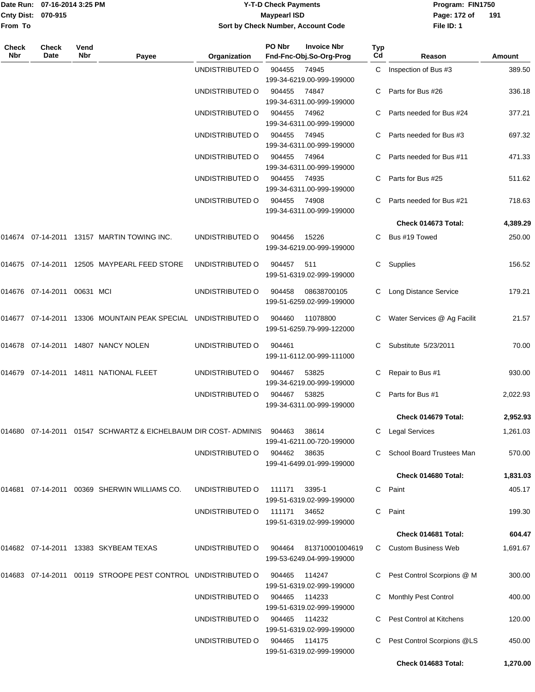|                    | Date Run: 07-16-2014 3:25 PM |
|--------------------|------------------------------|
| Cnty Dist: 070-915 |                              |
| From To            |                              |

### **Date Run: Program: FIN1750 07-16-2014 3:25 PM Y-T-D Check Payments Cnty Dist: Page: 172 of 070-915 Maypearl ISD Sort by Check Number, Account Code**

**File ID: 1** Page: 172 of 191

| <b>Check</b><br><b>Nbr</b> | Check<br>Date               | Vend<br>Nbr | Payee                                                                        | Organization    | PO Nbr        | <b>Invoice Nbr</b><br>Fnd-Fnc-Obj.So-Org-Prog | <b>Typ</b><br>Cd | Reason                        | Amount   |
|----------------------------|-----------------------------|-------------|------------------------------------------------------------------------------|-----------------|---------------|-----------------------------------------------|------------------|-------------------------------|----------|
|                            |                             |             |                                                                              | UNDISTRIBUTED O | 904455        | 74945<br>199-34-6219.00-999-199000            | $\mathbf{C}$     | Inspection of Bus #3          | 389.50   |
|                            |                             |             |                                                                              | UNDISTRIBUTED O | 904455        | 74847<br>199-34-6311.00-999-199000            |                  | Parts for Bus #26             | 336.18   |
|                            |                             |             |                                                                              | UNDISTRIBUTED O | 904455        | 74962<br>199-34-6311.00-999-199000            |                  | C Parts needed for Bus #24    | 377.21   |
|                            |                             |             |                                                                              | UNDISTRIBUTED O | 904455        | 74945<br>199-34-6311.00-999-199000            |                  | C Parts needed for Bus #3     | 697.32   |
|                            |                             |             |                                                                              | UNDISTRIBUTED O | 904455        | 74964<br>199-34-6311.00-999-199000            | C.               | Parts needed for Bus #11      | 471.33   |
|                            |                             |             |                                                                              | UNDISTRIBUTED O | 904455        | 74935<br>199-34-6311.00-999-199000            | C.               | Parts for Bus #25             | 511.62   |
|                            |                             |             |                                                                              | UNDISTRIBUTED O | 904455        | 74908<br>199-34-6311.00-999-199000            | C.               | Parts needed for Bus #21      | 718.63   |
|                            |                             |             |                                                                              |                 |               |                                               |                  | Check 014673 Total:           | 4,389.29 |
|                            |                             |             | 014674 07-14-2011 13157 MARTIN TOWING INC.                                   | UNDISTRIBUTED O | 904456        | 15226<br>199-34-6219.00-999-199000            |                  | C Bus #19 Towed               | 250.00   |
|                            |                             |             | 014675 07-14-2011 12505 MAYPEARL FEED STORE                                  | UNDISTRIBUTED O | 904457        | - 511<br>199-51-6319.02-999-199000            | C                | Supplies                      | 156.52   |
|                            | 014676 07-14-2011 00631 MCI |             |                                                                              | UNDISTRIBUTED O | 904458        | 08638700105<br>199-51-6259.02-999-199000      |                  | C Long Distance Service       | 179.21   |
|                            |                             |             | 014677 07-14-2011 13306 MOUNTAIN PEAK SPECIAL UNDISTRIBUTED O                |                 | 904460        | 11078800<br>199-51-6259.79-999-122000         |                  | C Water Services @ Ag Facilit | 21.57    |
|                            |                             |             | 014678 07-14-2011 14807 NANCY NOLEN                                          | UNDISTRIBUTED O | 904461        | 199-11-6112.00-999-111000                     | C.               | Substitute 5/23/2011          | 70.00    |
|                            |                             |             | 014679  07-14-2011  14811  NATIONAL FLEET                                    | UNDISTRIBUTED O | 904467        | 53825<br>199-34-6219.00-999-199000            | C.               | Repair to Bus #1              | 930.00   |
|                            |                             |             |                                                                              | UNDISTRIBUTED O | 904467        | 53825<br>199-34-6311.00-999-199000            | C                | Parts for Bus #1              | 2,022.93 |
|                            |                             |             |                                                                              |                 |               |                                               |                  | Check 014679 Total:           | 2,952.93 |
|                            |                             |             | 014680 07-14-2011 01547 SCHWARTZ & EICHELBAUM DIR COST- ADMINIS 904463 38614 |                 |               | 199-41-6211.00-720-199000                     |                  | C Legal Services              | 1,261.03 |
|                            |                             |             |                                                                              | UNDISTRIBUTED O | 904462 38635  | 199-41-6499.01-999-199000                     |                  | C School Board Trustees Man   | 570.00   |
|                            |                             |             |                                                                              |                 |               |                                               |                  | Check 014680 Total:           | 1,831.03 |
| 014681                     |                             |             | 07-14-2011  00369  SHERWIN WILLIAMS CO.                                      | UNDISTRIBUTED O | 111171        | 3395-1<br>199-51-6319.02-999-199000           | C                | Paint                         | 405.17   |
|                            |                             |             |                                                                              | UNDISTRIBUTED O | 111171 34652  | 199-51-6319.02-999-199000                     |                  | C Paint                       | 199.30   |
|                            |                             |             |                                                                              |                 |               |                                               |                  | Check 014681 Total:           | 604.47   |
|                            |                             |             | 014682 07-14-2011 13383 SKYBEAM TEXAS                                        | UNDISTRIBUTED O | 904464        | 813710001004619<br>199-53-6249.04-999-199000  |                  | C Custom Business Web         | 1,691.67 |
|                            |                             |             | 014683 07-14-2011 00119 STROOPE PEST CONTROL UNDISTRIBUTED O                 |                 | 904465        | 114247<br>199-51-6319.02-999-199000           |                  | Pest Control Scorpions @ M    | 300.00   |
|                            |                             |             |                                                                              | UNDISTRIBUTED O | 904465        | 114233<br>199-51-6319.02-999-199000           |                  | Monthly Pest Control          | 400.00   |
|                            |                             |             |                                                                              | UNDISTRIBUTED O | 904465        | 114232<br>199-51-6319.02-999-199000           |                  | Pest Control at Kitchens      | 120.00   |
|                            |                             |             |                                                                              | UNDISTRIBUTED O | 904465 114175 | 199-51-6319.02-999-199000                     | C                | Pest Control Scorpions @LS    | 450.00   |
|                            |                             |             |                                                                              |                 |               |                                               |                  | Check 014683 Total:           | 1,270.00 |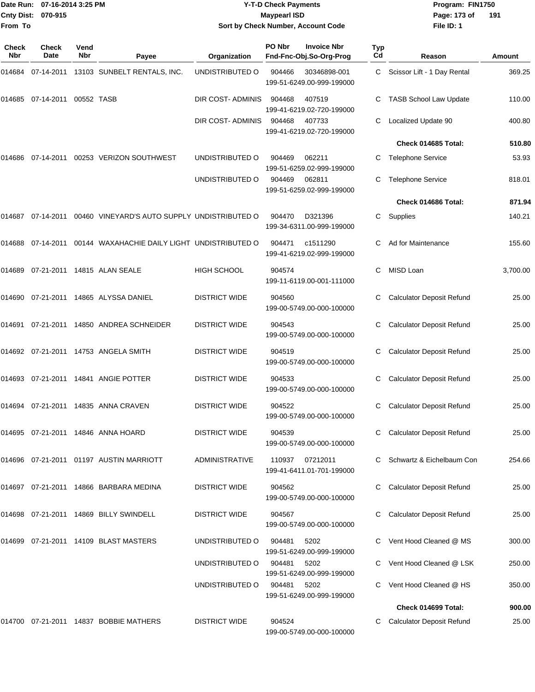| From To             | Date Run: 07-16-2014 3:25 PM<br>Cnty Dist: 070-915 |                    |                                              | <b>Y-T-D Check Payments</b><br><b>Maypearl ISD</b><br>Sort by Check Number, Account Code |        |                                               |           | Program: FIN1750<br>Page: 173 of<br>191<br>File ID: 1 |          |  |
|---------------------|----------------------------------------------------|--------------------|----------------------------------------------|------------------------------------------------------------------------------------------|--------|-----------------------------------------------|-----------|-------------------------------------------------------|----------|--|
| <b>Check</b><br>Nbr | <b>Check</b><br>Date                               | Vend<br><b>Nbr</b> | Payee                                        | Organization                                                                             | PO Nbr | <b>Invoice Nbr</b><br>Fnd-Fnc-Obj.So-Org-Prog | Typ<br>Cd | Reason                                                | Amount   |  |
| 014684              |                                                    |                    | 07-14-2011 13103 SUNBELT RENTALS, INC.       | UNDISTRIBUTED O                                                                          | 904466 | 30346898-001<br>199-51-6249.00-999-199000     | С         | Scissor Lift - 1 Day Rental                           | 369.25   |  |
| 014685              | 07-14-2011 00552 TASB                              |                    |                                              | DIR COST-ADMINIS                                                                         | 904468 | 407519<br>199-41-6219.02-720-199000           | С         | <b>TASB School Law Update</b>                         | 110.00   |  |
|                     |                                                    |                    |                                              | DIR COST-ADMINIS                                                                         | 904468 | 407733<br>199-41-6219.02-720-199000           | С         | Localized Update 90                                   | 400.80   |  |
|                     |                                                    |                    |                                              |                                                                                          |        |                                               |           | Check 014685 Total:                                   | 510.80   |  |
| 014686              | 07-14-2011                                         |                    | 00253 VERIZON SOUTHWEST                      | UNDISTRIBUTED O                                                                          | 904469 | 062211<br>199-51-6259.02-999-199000           | С         | <b>Telephone Service</b>                              | 53.93    |  |
|                     |                                                    |                    |                                              | UNDISTRIBUTED O                                                                          | 904469 | 062811<br>199-51-6259.02-999-199000           | С         | <b>Telephone Service</b>                              | 818.01   |  |
|                     |                                                    |                    |                                              |                                                                                          |        |                                               |           | Check 014686 Total:                                   | 871.94   |  |
| 014687              | 07-14-2011                                         |                    | 00460 VINEYARD'S AUTO SUPPLY UNDISTRIBUTED O |                                                                                          | 904470 | D321396<br>199-34-6311.00-999-199000          | С         | Supplies                                              | 140.21   |  |
| 014688              | 07-14-2011                                         |                    | 00144 WAXAHACHIE DAILY LIGHT UNDISTRIBUTED O |                                                                                          | 904471 | c1511290<br>199-41-6219.02-999-199000         | C         | Ad for Maintenance                                    | 155.60   |  |
| 014689              |                                                    |                    | 07-21-2011  14815  ALAN SEALE                | <b>HIGH SCHOOL</b>                                                                       | 904574 | 199-11-6119.00-001-111000                     | C         | MISD Loan                                             | 3,700.00 |  |
| 014690              |                                                    |                    | 07-21-2011  14865  ALYSSA DANIEL             | <b>DISTRICT WIDE</b>                                                                     | 904560 | 199-00-5749.00-000-100000                     | С         | <b>Calculator Deposit Refund</b>                      | 25.00    |  |
| 014691              |                                                    |                    | 07-21-2011  14850  ANDREA SCHNEIDER          | <b>DISTRICT WIDE</b>                                                                     | 904543 | 199-00-5749.00-000-100000                     | С         | <b>Calculator Deposit Refund</b>                      | 25.00    |  |
|                     |                                                    |                    | 014692 07-21-2011 14753 ANGELA SMITH         | <b>DISTRICT WIDE</b>                                                                     | 904519 | 199-00-5749.00-000-100000                     | С         | <b>Calculator Deposit Refund</b>                      | 25.00    |  |
|                     |                                                    |                    | 014693 07-21-2011 14841 ANGIE POTTER         | <b>DISTRICT WIDE</b>                                                                     | 904533 | 199-00-5749.00-000-100000                     | С         | <b>Calculator Deposit Refund</b>                      | 25.00    |  |
|                     |                                                    |                    | 014694 07-21-2011 14835 ANNA CRAVEN          | <b>DISTRICT WIDE</b>                                                                     | 904522 | 199-00-5749.00-000-100000                     | С         | <b>Calculator Deposit Refund</b>                      | 25.00    |  |
|                     |                                                    |                    | 014695 07-21-2011 14846 ANNA HOARD           | <b>DISTRICT WIDE</b>                                                                     | 904539 | 199-00-5749.00-000-100000                     | С         | <b>Calculator Deposit Refund</b>                      | 25.00    |  |
|                     |                                                    |                    | 014696  07-21-2011  01197  AUSTIN MARRIOTT   | ADMINISTRATIVE                                                                           | 110937 | 07212011<br>199-41-6411.01-701-199000         |           | Schwartz & Eichelbaum Con                             | 254.66   |  |
|                     |                                                    |                    | 014697 07-21-2011 14866 BARBARA MEDINA       | <b>DISTRICT WIDE</b>                                                                     | 904562 | 199-00-5749.00-000-100000                     | С         | <b>Calculator Deposit Refund</b>                      | 25.00    |  |

199-51-6249.00-999-199000

199-00-5749.00-000-100000

199-51-6249.00-999-199000

199-51-6249.00-999-199000

199-00-5749.00-000-100000

014698 07-21-2011 14869 BILLY SWINDELL DISTRICT WIDE 904567 C Calculator Deposit Refund 25.00

014699 07-21-2011 14109 BLAST MASTERS UNDISTRIBUTED O 904481 5202 C Vent Hood Cleaned @ MS 300.00 UNDISTRIBUTED O 904481 5202 C Vent Hood Cleaned @ LSK 250.00 UNDISTRIBUTED O 904481 5202 C Vent Hood Cleaned @ HS 350.00

**Check 014699 Total: 900.00** 014700 07-21-2011 14837 BOBBIE MATHERS DISTRICT WIDE 904524 C Calculator Deposit Refund 25.00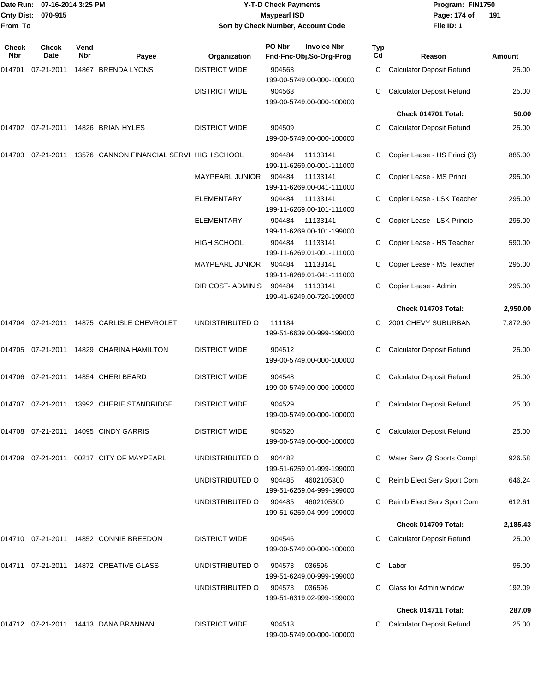|                    | Date Run: 07-16-2014 3:25 PM |
|--------------------|------------------------------|
| Cnty Dist: 070-915 |                              |
| From To            |                              |

## **Date Run: Program: FIN1750 07-16-2014 3:25 PM Y-T-D Check Payments Cnty Dist: Page: 174 of 070-915 Maypearl ISD Sort by Check Number, Account Code**

**File ID: 1 191**

| <b>Check</b><br>Nbr | Check<br>Date | Vend<br><b>Nbr</b> | Payee                                                      | Organization           | PO Nbr        | <b>Invoice Nbr</b><br>Fnd-Fnc-Obj.So-Org-Prog  | Typ<br>Cd | Reason                           | <b>Amount</b> |
|---------------------|---------------|--------------------|------------------------------------------------------------|------------------------|---------------|------------------------------------------------|-----------|----------------------------------|---------------|
| 014701              | 07-21-2011    |                    | 14867 BRENDA LYONS                                         | <b>DISTRICT WIDE</b>   | 904563        | 199-00-5749.00-000-100000                      | C         | <b>Calculator Deposit Refund</b> | 25.00         |
|                     |               |                    |                                                            | <b>DISTRICT WIDE</b>   | 904563        | 199-00-5749.00-000-100000                      | С         | <b>Calculator Deposit Refund</b> | 25.00         |
|                     |               |                    |                                                            |                        |               |                                                |           | Check 014701 Total:              | 50.00         |
|                     |               |                    | 014702 07-21-2011 14826 BRIAN HYLES                        | <b>DISTRICT WIDE</b>   | 904509        | 199-00-5749.00-000-100000                      | С         | <b>Calculator Deposit Refund</b> | 25.00         |
|                     |               |                    | 014703 07-21-2011 13576 CANNON FINANCIAL SERVI HIGH SCHOOL |                        | 904484        | 11133141<br>199-11-6269.00-001-111000          |           | Copier Lease - HS Princi (3)     | 885.00        |
|                     |               |                    |                                                            | <b>MAYPEARL JUNIOR</b> | 904484        | 11133141<br>199-11-6269.00-041-111000          | С         | Copier Lease - MS Princi         | 295.00        |
|                     |               |                    |                                                            | <b>ELEMENTARY</b>      | 904484        | 11133141<br>199-11-6269.00-101-111000          | С         | Copier Lease - LSK Teacher       | 295.00        |
|                     |               |                    |                                                            | <b>ELEMENTARY</b>      | 904484        | 11133141<br>199-11-6269.00-101-199000          |           | Copier Lease - LSK Princip       | 295.00        |
|                     |               |                    |                                                            | HIGH SCHOOL            | 904484        | 11133141<br>199-11-6269.01-001-111000          | С         | Copier Lease - HS Teacher        | 590.00        |
|                     |               |                    |                                                            | <b>MAYPEARL JUNIOR</b> | 904484        | 11133141<br>199-11-6269.01-041-111000          | С         | Copier Lease - MS Teacher        | 295.00        |
|                     |               |                    |                                                            | DIR COST- ADMINIS      | 904484        | 11133141<br>199-41-6249.00-720-199000          |           | Copier Lease - Admin             | 295.00        |
|                     |               |                    |                                                            |                        |               |                                                |           | Check 014703 Total:              | 2,950.00      |
|                     |               |                    | 014704 07-21-2011 14875 CARLISLE CHEVROLET                 | UNDISTRIBUTED O        | 111184        | 199-51-6639.00-999-199000                      |           | 2001 CHEVY SUBURBAN              | 7,872.60      |
|                     |               |                    | 014705 07-21-2011 14829 CHARINA HAMILTON                   | <b>DISTRICT WIDE</b>   | 904512        | 199-00-5749.00-000-100000                      |           | <b>Calculator Deposit Refund</b> | 25.00         |
|                     |               |                    | 014706 07-21-2011 14854 CHERI BEARD                        | <b>DISTRICT WIDE</b>   | 904548        | 199-00-5749.00-000-100000                      | С         | <b>Calculator Deposit Refund</b> | 25.00         |
|                     |               |                    | 014707 07-21-2011 13992 CHERIE STANDRIDGE                  | <b>DISTRICT WIDE</b>   | 904529        | 199-00-5749.00-000-100000                      | С         | <b>Calculator Deposit Refund</b> | 25.00         |
|                     |               |                    | 014708 07-21-2011 14095 CINDY GARRIS                       | <b>DISTRICT WIDE</b>   | 904520        | 199-00-5749.00-000-100000                      |           | C Calculator Deposit Refund      | 25.00         |
| 014709              |               |                    | 07-21-2011  00217  CITY OF MAYPEARL                        | UNDISTRIBUTED O        | 904482        | 199-51-6259.01-999-199000                      |           | Water Serv @ Sports Compl        | 926.58        |
|                     |               |                    |                                                            | UNDISTRIBUTED O        |               | 904485 4602105300<br>199-51-6259.04-999-199000 |           | Reimb Elect Serv Sport Com       | 646.24        |
|                     |               |                    |                                                            | UNDISTRIBUTED O        | 904485        | 4602105300<br>199-51-6259.04-999-199000        |           | Reimb Elect Serv Sport Com       | 612.61        |
|                     |               |                    |                                                            |                        |               |                                                |           | Check 014709 Total:              | 2,185.43      |
|                     |               |                    | 014710 07-21-2011 14852 CONNIE BREEDON                     | <b>DISTRICT WIDE</b>   | 904546        | 199-00-5749.00-000-100000                      |           | <b>Calculator Deposit Refund</b> | 25.00         |
|                     |               |                    | 014711 07-21-2011 14872 CREATIVE GLASS                     | UNDISTRIBUTED O        | 904573        | 036596<br>199-51-6249.00-999-199000            | C.        | Labor                            | 95.00         |
|                     |               |                    |                                                            | UNDISTRIBUTED O        | 904573 036596 | 199-51-6319.02-999-199000                      |           | Glass for Admin window           | 192.09        |
|                     |               |                    |                                                            |                        |               |                                                |           | Check 014711 Total:              | 287.09        |
|                     |               |                    | 014712 07-21-2011 14413 DANA BRANNAN                       | <b>DISTRICT WIDE</b>   | 904513        | 199-00-5749.00-000-100000                      |           | <b>Calculator Deposit Refund</b> | 25.00         |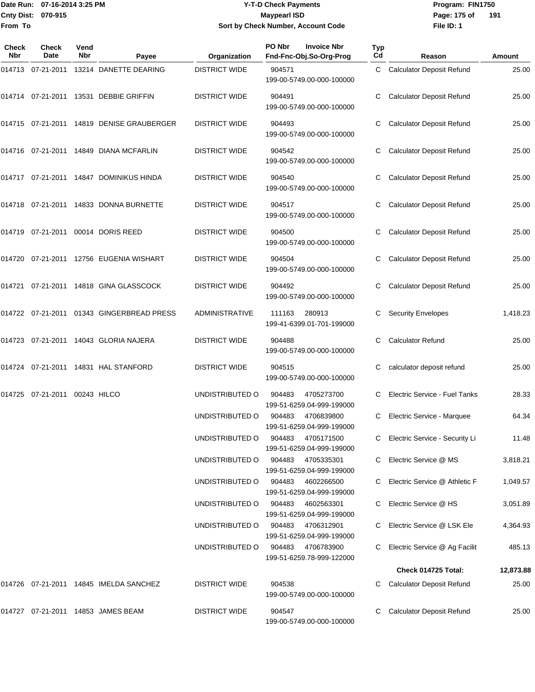### Date Run: 07-16-2014 3:25 PM **Program:** FIN1750 **Y-T-D Check Payments 070-915 Maypearl ISD Sort by Check Number, Account Code**

**File ID: 1** Page: 175 of 191

| Check<br><b>Nbr</b> | <b>Check</b><br>Date   | Vend<br>Nbr | Payee                                     | Organization          | PO Nbr<br><b>Invoice Nbr</b><br>Fnd-Fnc-Obj.So-Org-Prog | <b>Typ</b><br>Cd | Reason                           | Amount    |
|---------------------|------------------------|-------------|-------------------------------------------|-----------------------|---------------------------------------------------------|------------------|----------------------------------|-----------|
|                     |                        |             | 014713 07-21-2011 13214 DANETTE DEARING   | <b>DISTRICT WIDE</b>  | 904571<br>199-00-5749.00-000-100000                     | C                | <b>Calculator Deposit Refund</b> | 25.00     |
|                     |                        |             | 014714 07-21-2011 13531 DEBBIE GRIFFIN    | <b>DISTRICT WIDE</b>  | 904491<br>199-00-5749.00-000-100000                     | С                | <b>Calculator Deposit Refund</b> | 25.00     |
|                     |                        |             | 014715 07-21-2011 14819 DENISE GRAUBERGER | <b>DISTRICT WIDE</b>  | 904493<br>199-00-5749.00-000-100000                     | С                | <b>Calculator Deposit Refund</b> | 25.00     |
|                     |                        |             | 014716 07-21-2011 14849 DIANA MCFARLIN    | <b>DISTRICT WIDE</b>  | 904542<br>199-00-5749.00-000-100000                     | С                | <b>Calculator Deposit Refund</b> | 25.00     |
|                     |                        |             | 014717 07-21-2011 14847 DOMINIKUS HINDA   | <b>DISTRICT WIDE</b>  | 904540<br>199-00-5749.00-000-100000                     | С                | <b>Calculator Deposit Refund</b> | 25.00     |
|                     |                        |             | 014718 07-21-2011 14833 DONNA BURNETTE    | <b>DISTRICT WIDE</b>  | 904517<br>199-00-5749.00-000-100000                     | С                | <b>Calculator Deposit Refund</b> | 25.00     |
|                     |                        |             | 014719 07-21-2011 00014 DORIS REED        | <b>DISTRICT WIDE</b>  | 904500<br>199-00-5749.00-000-100000                     | С                | <b>Calculator Deposit Refund</b> | 25.00     |
|                     |                        |             | 014720 07-21-2011 12756 EUGENIA WISHART   | <b>DISTRICT WIDE</b>  | 904504<br>199-00-5749.00-000-100000                     | С                | <b>Calculator Deposit Refund</b> | 25.00     |
| 014721              |                        |             | 07-21-2011  14818  GINA GLASSCOCK         | <b>DISTRICT WIDE</b>  | 904492<br>199-00-5749.00-000-100000                     |                  | <b>Calculator Deposit Refund</b> | 25.00     |
|                     |                        |             | 014722 07-21-2011 01343 GINGERBREAD PRESS | <b>ADMINISTRATIVE</b> | 280913<br>111163<br>199-41-6399.01-701-199000           | С                | <b>Security Envelopes</b>        | 1,418.23  |
|                     |                        |             | 014723 07-21-2011 14043 GLORIA NAJERA     | <b>DISTRICT WIDE</b>  | 904488<br>199-00-5749.00-000-100000                     | С                | <b>Calculator Refund</b>         | 25.00     |
|                     |                        |             | 014724 07-21-2011 14831 HAL STANFORD      | <b>DISTRICT WIDE</b>  | 904515<br>199-00-5749.00-000-100000                     | С                | calculator deposit refund        | 25.00     |
| 014725              | 07-21-2011 00243 HILCO |             |                                           | UNDISTRIBUTED O       | 904483<br>4705273700<br>199-51-6259.04-999-199000       |                  | Electric Service - Fuel Tanks    | 28.33     |
|                     |                        |             |                                           | UNDISTRIBUTED O       | 904483<br>4706839800<br>199-51-6259.04-999-199000       |                  | Electric Service - Marquee       | 64.34     |
|                     |                        |             |                                           | UNDISTRIBUTED O       | 904483<br>4705171500<br>199-51-6259.04-999-199000       |                  | C Electric Service - Security Li | 11.48     |
|                     |                        |             |                                           | UNDISTRIBUTED O       | 904483<br>4705335301<br>199-51-6259.04-999-199000       |                  | Electric Service @ MS            | 3,818.21  |
|                     |                        |             |                                           | UNDISTRIBUTED O       | 904483<br>4602266500<br>199-51-6259.04-999-199000       |                  | Electric Service @ Athletic F    | 1,049.57  |
|                     |                        |             |                                           | UNDISTRIBUTED O       | 904483<br>4602563301<br>199-51-6259.04-999-199000       |                  | Electric Service @ HS            | 3,051.89  |
|                     |                        |             |                                           | UNDISTRIBUTED O       | 904483 4706312901<br>199-51-6259.04-999-199000          |                  | Electric Service @ LSK Ele       | 4,364.93  |
|                     |                        |             |                                           | UNDISTRIBUTED O       | 904483 4706783900<br>199-51-6259.78-999-122000          |                  | Electric Service @ Ag Facilit    | 485.13    |
|                     |                        |             |                                           |                       |                                                         |                  | Check 014725 Total:              | 12,873.88 |
|                     |                        |             | 014726 07-21-2011 14845 IMELDA SANCHEZ    | <b>DISTRICT WIDE</b>  | 904538<br>199-00-5749.00-000-100000                     |                  | <b>Calculator Deposit Refund</b> | 25.00     |
|                     |                        |             | 014727 07-21-2011 14853 JAMES BEAM        | <b>DISTRICT WIDE</b>  | 904547<br>199-00-5749.00-000-100000                     |                  | <b>Calculator Deposit Refund</b> | 25.00     |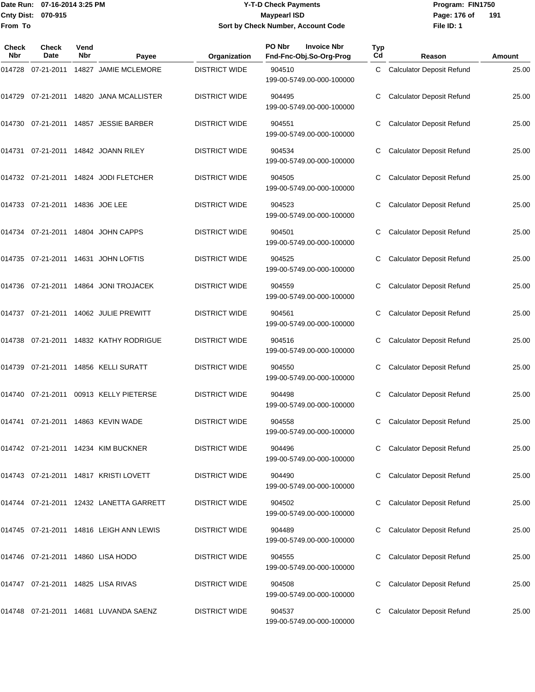### Date Run: 07-16-2014 3:25 PM **Program:** FIN1750 **Y-T-D Check Payments 070-915 Maypearl ISD Sort by Check Number, Account Code**

**File ID: 1** Page: 176 of 191

| Check<br><b>Nbr</b> | <b>Check</b><br>Date               | Vend<br><b>Nbr</b> | Payee                                   | Organization         | PO Nbr<br><b>Invoice Nbr</b><br>Fnd-Fnc-Obj.So-Org-Prog | <b>Typ</b><br>Cd | Reason                           | Amount |
|---------------------|------------------------------------|--------------------|-----------------------------------------|----------------------|---------------------------------------------------------|------------------|----------------------------------|--------|
| 014728              |                                    |                    | 07-21-2011  14827  JAMIE MCLEMORE       | <b>DISTRICT WIDE</b> | 904510<br>199-00-5749.00-000-100000                     | C                | <b>Calculator Deposit Refund</b> | 25.00  |
| 014729              |                                    |                    | 07-21-2011  14820  JANA MCALLISTER      | <b>DISTRICT WIDE</b> | 904495<br>199-00-5749.00-000-100000                     |                  | <b>Calculator Deposit Refund</b> | 25.00  |
| 014730              |                                    |                    | 07-21-2011  14857  JESSIE BARBER        | <b>DISTRICT WIDE</b> | 904551<br>199-00-5749.00-000-100000                     | C                | <b>Calculator Deposit Refund</b> | 25.00  |
|                     |                                    |                    | 014731 07-21-2011 14842 JOANN RILEY     | <b>DISTRICT WIDE</b> | 904534<br>199-00-5749.00-000-100000                     | C                | <b>Calculator Deposit Refund</b> | 25.00  |
|                     |                                    |                    | 014732 07-21-2011 14824 JODI FLETCHER   | <b>DISTRICT WIDE</b> | 904505<br>199-00-5749.00-000-100000                     |                  | <b>Calculator Deposit Refund</b> | 25.00  |
|                     | 014733  07-21-2011  14836  JOE LEE |                    |                                         | <b>DISTRICT WIDE</b> | 904523<br>199-00-5749.00-000-100000                     | С                | <b>Calculator Deposit Refund</b> | 25.00  |
|                     |                                    |                    | 014734  07-21-2011  14804  JOHN CAPPS   | <b>DISTRICT WIDE</b> | 904501<br>199-00-5749.00-000-100000                     | C                | <b>Calculator Deposit Refund</b> | 25.00  |
|                     |                                    |                    | 014735 07-21-2011 14631 JOHN LOFTIS     | <b>DISTRICT WIDE</b> | 904525<br>199-00-5749.00-000-100000                     |                  | <b>Calculator Deposit Refund</b> | 25.00  |
| 014736              |                                    |                    | 07-21-2011  14864  JONI TROJACEK        | <b>DISTRICT WIDE</b> | 904559<br>199-00-5749.00-000-100000                     | С                | <b>Calculator Deposit Refund</b> | 25.00  |
|                     |                                    |                    | 014737 07-21-2011 14062 JULIE PREWITT   | <b>DISTRICT WIDE</b> | 904561<br>199-00-5749.00-000-100000                     | С                | <b>Calculator Deposit Refund</b> | 25.00  |
|                     |                                    |                    | 014738 07-21-2011 14832 KATHY RODRIGUE  | <b>DISTRICT WIDE</b> | 904516<br>199-00-5749.00-000-100000                     |                  | <b>Calculator Deposit Refund</b> | 25.00  |
| 014739              |                                    |                    | 07-21-2011 14856 KELLI SURATT           | <b>DISTRICT WIDE</b> | 904550<br>199-00-5749.00-000-100000                     | С                | <b>Calculator Deposit Refund</b> | 25.00  |
| 014740              |                                    |                    | 07-21-2011 00913 KELLY PIETERSE         | <b>DISTRICT WIDE</b> | 904498<br>199-00-5749.00-000-100000                     | С                | <b>Calculator Deposit Refund</b> | 25.00  |
| 014741              |                                    |                    | 07-21-2011  14863  KEVIN WADE           | <b>DISTRICT WIDE</b> | 904558<br>199-00-5749.00-000-100000                     |                  | <b>Calculator Deposit Refund</b> | 25.00  |
|                     |                                    |                    | 014742 07-21-2011 14234 KIM BUCKNER     | <b>DISTRICT WIDE</b> | 904496<br>199-00-5749.00-000-100000                     |                  | <b>Calculator Deposit Refund</b> | 25.00  |
|                     |                                    |                    | 014743 07-21-2011 14817 KRISTI LOVETT   | <b>DISTRICT WIDE</b> | 904490<br>199-00-5749.00-000-100000                     | C                | <b>Calculator Deposit Refund</b> | 25.00  |
|                     |                                    |                    |                                         | <b>DISTRICT WIDE</b> | 904502<br>199-00-5749.00-000-100000                     |                  | <b>Calculator Deposit Refund</b> | 25.00  |
|                     |                                    |                    | 014745 07-21-2011 14816 LEIGH ANN LEWIS | <b>DISTRICT WIDE</b> | 904489<br>199-00-5749.00-000-100000                     | С                | <b>Calculator Deposit Refund</b> | 25.00  |
|                     |                                    |                    | 014746 07-21-2011 14860 LISA HODO       | <b>DISTRICT WIDE</b> | 904555<br>199-00-5749.00-000-100000                     |                  | <b>Calculator Deposit Refund</b> | 25.00  |
|                     |                                    |                    | 014747 07-21-2011 14825 LISA RIVAS      | <b>DISTRICT WIDE</b> | 904508<br>199-00-5749.00-000-100000                     |                  | <b>Calculator Deposit Refund</b> | 25.00  |
|                     |                                    |                    | 014748 07-21-2011 14681 LUVANDA SAENZ   | <b>DISTRICT WIDE</b> | 904537<br>199-00-5749.00-000-100000                     |                  | <b>Calculator Deposit Refund</b> | 25.00  |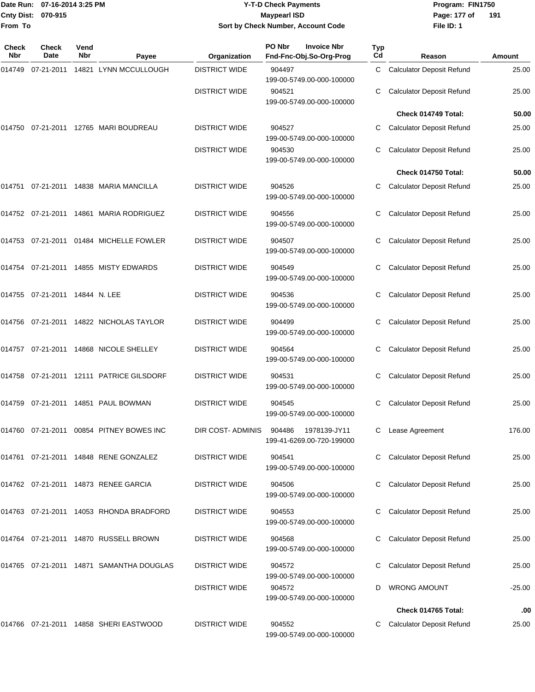### Date Run: 07-16-2014 3:25 PM **Program:** FIN1750 **Y-T-D Check Payments 070-915 Maypearl ISD Sort by Check Number, Account Code**

**File ID: 1** Page: 177 of 191

| Check<br>Nbr | <b>Check</b><br>Date           | Vend<br>Nbr | Payee                                    | Organization         | PO Nbr<br><b>Invoice Nbr</b><br>Fnd-Fnc-Obj.So-Org-Prog | Typ<br>Cd                                            | Reason                           | Amount   |
|--------------|--------------------------------|-------------|------------------------------------------|----------------------|---------------------------------------------------------|------------------------------------------------------|----------------------------------|----------|
| 014749       | 07-21-2011                     |             | 14821 LYNN MCCULLOUGH                    | <b>DISTRICT WIDE</b> | 904497<br>199-00-5749.00-000-100000                     | C.                                                   | <b>Calculator Deposit Refund</b> | 25.00    |
|              |                                |             |                                          | <b>DISTRICT WIDE</b> | 904521<br>199-00-5749.00-000-100000                     | С                                                    | <b>Calculator Deposit Refund</b> | 25.00    |
|              |                                |             |                                          |                      |                                                         |                                                      | Check 014749 Total:              | 50.00    |
| 014750       |                                |             | 07-21-2011 12765 MARI BOUDREAU           | <b>DISTRICT WIDE</b> | 904527<br>199-00-5749.00-000-100000                     | С                                                    | <b>Calculator Deposit Refund</b> | 25.00    |
|              |                                |             |                                          | <b>DISTRICT WIDE</b> | 904530<br>199-00-5749.00-000-100000                     | С                                                    | <b>Calculator Deposit Refund</b> | 25.00    |
|              |                                |             |                                          |                      |                                                         |                                                      | Check 014750 Total:              | 50.00    |
| 014751       |                                |             | 07-21-2011  14838  MARIA MANCILLA        | <b>DISTRICT WIDE</b> | 904526<br>199-00-5749.00-000-100000                     | С                                                    | <b>Calculator Deposit Refund</b> | 25.00    |
|              |                                |             | 014752 07-21-2011 14861 MARIA RODRIGUEZ  | <b>DISTRICT WIDE</b> | 904556<br>199-00-5749.00-000-100000                     | <b>Calculator Deposit Refund</b><br>С<br>С<br>С<br>С |                                  | 25.00    |
|              |                                |             | 014753 07-21-2011 01484 MICHELLE FOWLER  | <b>DISTRICT WIDE</b> | 904507<br>199-00-5749.00-000-100000                     |                                                      | <b>Calculator Deposit Refund</b> | 25.00    |
|              |                                |             | 014754 07-21-2011 14855 MISTY EDWARDS    | <b>DISTRICT WIDE</b> | 904549<br>199-00-5749.00-000-100000                     |                                                      | <b>Calculator Deposit Refund</b> | 25.00    |
|              | 014755 07-21-2011 14844 N. LEE |             |                                          | <b>DISTRICT WIDE</b> | 904536<br>199-00-5749.00-000-100000                     |                                                      | <b>Calculator Deposit Refund</b> | 25.00    |
|              |                                |             | 014756 07-21-2011 14822 NICHOLAS TAYLOR  | <b>DISTRICT WIDE</b> | 904499<br>199-00-5749.00-000-100000                     |                                                      | <b>Calculator Deposit Refund</b> | 25.00    |
|              |                                |             | 014757 07-21-2011 14868 NICOLE SHELLEY   | <b>DISTRICT WIDE</b> | 904564<br>199-00-5749.00-000-100000                     |                                                      | <b>Calculator Deposit Refund</b> | 25.00    |
|              |                                |             | 014758 07-21-2011 12111 PATRICE GILSDORF | <b>DISTRICT WIDE</b> | 904531<br>199-00-5749.00-000-100000                     | С                                                    | <b>Calculator Deposit Refund</b> | 25.00    |
|              |                                |             | 014759 07-21-2011 14851 PAUL BOWMAN      | <b>DISTRICT WIDE</b> | 904545<br>199-00-5749.00-000-100000                     | С                                                    | <b>Calculator Deposit Refund</b> | 25.00    |
|              |                                |             | 014760 07-21-2011 00854 PITNEY BOWES INC | DIR COST-ADMINIS     | 904486 1978139-JY11<br>199-41-6269.00-720-199000        |                                                      | C Lease Agreement                | 176.00   |
|              |                                |             | 014761 07-21-2011 14848 RENE GONZALEZ    | <b>DISTRICT WIDE</b> | 904541<br>199-00-5749.00-000-100000                     |                                                      | <b>Calculator Deposit Refund</b> | 25.00    |
|              |                                |             | 014762 07-21-2011 14873 RENEE GARCIA     | <b>DISTRICT WIDE</b> | 904506<br>199-00-5749.00-000-100000                     |                                                      | <b>Calculator Deposit Refund</b> | 25.00    |
|              |                                |             | 014763 07-21-2011 14053 RHONDA BRADFORD  | <b>DISTRICT WIDE</b> | 904553<br>199-00-5749.00-000-100000                     |                                                      | <b>Calculator Deposit Refund</b> | 25.00    |
|              |                                |             | 014764 07-21-2011 14870 RUSSELL BROWN    | <b>DISTRICT WIDE</b> | 904568<br>199-00-5749.00-000-100000                     |                                                      | <b>Calculator Deposit Refund</b> | 25.00    |
|              |                                |             | 014765 07-21-2011 14871 SAMANTHA DOUGLAS | <b>DISTRICT WIDE</b> | 904572<br>199-00-5749.00-000-100000                     |                                                      | <b>Calculator Deposit Refund</b> | 25.00    |
|              |                                |             |                                          | <b>DISTRICT WIDE</b> | 904572<br>199-00-5749.00-000-100000                     | D                                                    | <b>WRONG AMOUNT</b>              | $-25.00$ |
|              |                                |             |                                          |                      |                                                         |                                                      | Check 014765 Total:              | .00      |
|              |                                |             | 014766 07-21-2011 14858 SHERI EASTWOOD   | <b>DISTRICT WIDE</b> | 904552<br>199-00-5749.00-000-100000                     | С                                                    | <b>Calculator Deposit Refund</b> | 25.00    |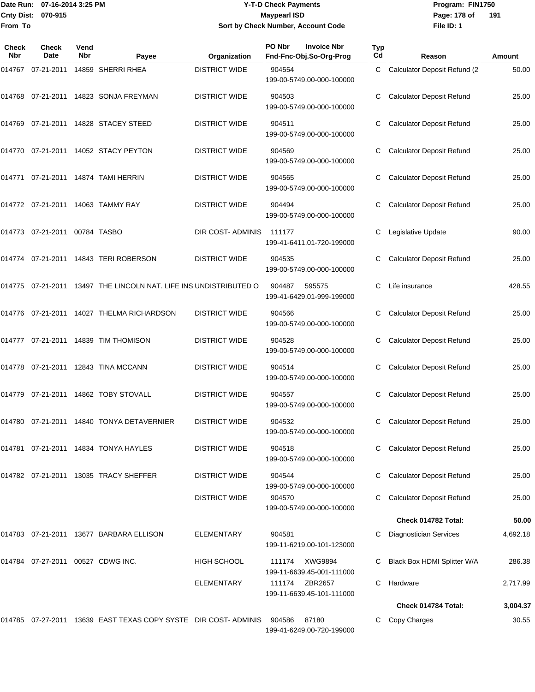### Date Run: 07-16-2014 3:25 PM **Program:** FIN1750 **Y-T-D Check Payments 070-915 Maypearl ISD Sort by Check Number, Account Code**

**File ID: 1** Page: 178 of 191

| Check<br><b>Nbr</b> | <b>Check</b><br>Date              | Vend<br><b>Nbr</b> | Payee                                                             | Organization         | PO Nbr<br><b>Invoice Nbr</b><br>Fnd-Fnc-Obj.So-Org-Prog | Typ<br>Cd | Reason                           | Amount   |
|---------------------|-----------------------------------|--------------------|-------------------------------------------------------------------|----------------------|---------------------------------------------------------|-----------|----------------------------------|----------|
| 014767              | 07-21-2011                        |                    | 14859 SHERRI RHEA                                                 | <b>DISTRICT WIDE</b> | 904554<br>199-00-5749.00-000-100000                     | C         | Calculator Deposit Refund (2     | 50.00    |
| 014768              |                                   |                    | 07-21-2011  14823  SONJA FREYMAN                                  | <b>DISTRICT WIDE</b> | 904503<br>199-00-5749.00-000-100000                     | С         | <b>Calculator Deposit Refund</b> | 25.00    |
|                     |                                   |                    | 014769 07-21-2011 14828 STACEY STEED                              | <b>DISTRICT WIDE</b> | 904511<br>199-00-5749.00-000-100000                     |           | <b>Calculator Deposit Refund</b> | 25.00    |
| 014770              |                                   |                    | 07-21-2011  14052  STACY PEYTON                                   | <b>DISTRICT WIDE</b> | 904569<br>199-00-5749.00-000-100000                     | С         | <b>Calculator Deposit Refund</b> | 25.00    |
| 014771              |                                   |                    | 07-21-2011  14874  TAMI HERRIN                                    | <b>DISTRICT WIDE</b> | 904565<br>199-00-5749.00-000-100000                     | С         | <b>Calculator Deposit Refund</b> | 25.00    |
|                     |                                   |                    |                                                                   | <b>DISTRICT WIDE</b> | 904494<br>199-00-5749.00-000-100000                     |           | <b>Calculator Deposit Refund</b> | 25.00    |
| 014773              | 07-21-2011 00784 TASBO            |                    |                                                                   | DIR COST- ADMINIS    | 111177<br>199-41-6411.01-720-199000                     | С         | Legislative Update               | 90.00    |
|                     |                                   |                    |                                                                   | <b>DISTRICT WIDE</b> | 904535<br>199-00-5749.00-000-100000                     | С         | <b>Calculator Deposit Refund</b> | 25.00    |
|                     |                                   |                    | 014775 07-21-2011 13497 THE LINCOLN NAT. LIFE INS UNDISTRIBUTED O |                      | 904487<br>595575<br>199-41-6429.01-999-199000           |           | Life insurance                   | 428.55   |
| 014776              |                                   |                    | 07-21-2011 14027 THELMA RICHARDSON                                | <b>DISTRICT WIDE</b> | 904566<br>199-00-5749.00-000-100000                     | С         | <b>Calculator Deposit Refund</b> | 25.00    |
|                     |                                   |                    | 014777  07-21-2011  14839  TIM THOMISON                           | <b>DISTRICT WIDE</b> | 904528<br>199-00-5749.00-000-100000                     | С         | <b>Calculator Deposit Refund</b> | 25.00    |
|                     |                                   |                    | 014778 07-21-2011 12843 TINA MCCANN                               | <b>DISTRICT WIDE</b> | 904514<br>199-00-5749.00-000-100000                     |           | <b>Calculator Deposit Refund</b> | 25.00    |
| 014779              |                                   |                    | 07-21-2011  14862  TOBY STOVALL                                   | <b>DISTRICT WIDE</b> | 904557<br>199-00-5749.00-000-100000                     | С         | <b>Calculator Deposit Refund</b> | 25.00    |
| 014780              |                                   |                    | 07-21-2011 14840 TONYA DETAVERNIER                                | <b>DISTRICT WIDE</b> | 904532<br>199-00-5749.00-000-100000                     | C         | <b>Calculator Deposit Refund</b> | 25.00    |
|                     |                                   |                    |                                                                   | <b>DISTRICT WIDE</b> | 904518<br>199-00-5749.00-000-100000                     |           | <b>Calculator Deposit Refund</b> | 25.00    |
|                     |                                   |                    | 014782 07-21-2011 13035 TRACY SHEFFER                             | <b>DISTRICT WIDE</b> | 904544<br>199-00-5749.00-000-100000                     |           | <b>Calculator Deposit Refund</b> | 25.00    |
|                     |                                   |                    |                                                                   | <b>DISTRICT WIDE</b> | 904570<br>199-00-5749.00-000-100000                     | C         | <b>Calculator Deposit Refund</b> | 25.00    |
|                     |                                   |                    |                                                                   |                      |                                                         |           | Check 014782 Total:              | 50.00    |
|                     |                                   |                    | 014783 07-21-2011 13677 BARBARA ELLISON                           | <b>ELEMENTARY</b>    | 904581<br>199-11-6219.00-101-123000                     |           | <b>Diagnostician Services</b>    | 4,692.18 |
|                     | 014784 07-27-2011 00527 CDWG INC. |                    |                                                                   | <b>HIGH SCHOOL</b>   | XWG9894<br>111174<br>199-11-6639.45-001-111000          |           | Black Box HDMI Splitter W/A      | 286.38   |
|                     |                                   |                    |                                                                   | <b>ELEMENTARY</b>    | ZBR2657<br>111174<br>199-11-6639.45-101-111000          | C         | Hardware                         | 2,717.99 |
|                     |                                   |                    |                                                                   |                      |                                                         |           | Check 014784 Total:              | 3,004.37 |
|                     |                                   |                    | 014785 07-27-2011 13639 EAST TEXAS COPY SYSTE DIR COST- ADMINIS   |                      | 87180<br>904586<br>199-41-6249.00-720-199000            |           | Copy Charges                     | 30.55    |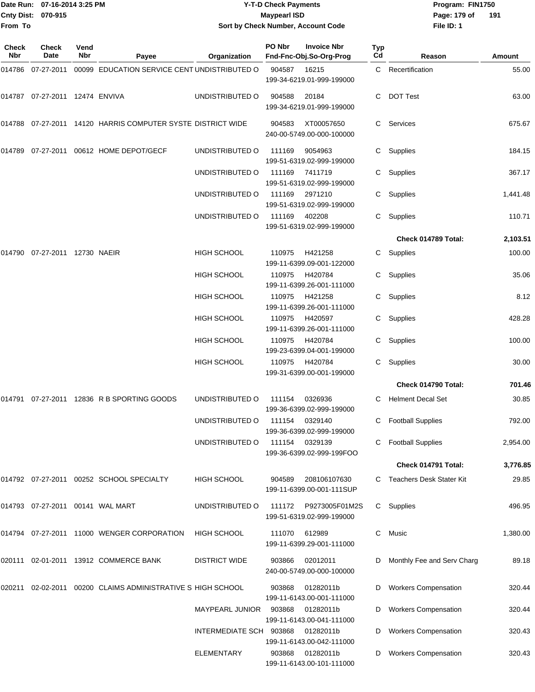| Cnty Dist:<br>From To | Date Run: 07-16-2014 3:25 PM<br>070-915 |             |                                                                   | <b>Y-T-D Check Payments</b><br><b>Maypearl ISD</b><br>Sort by Check Number, Account Code |        |                                               |           | Program: FIN1750<br>Page: 179 of<br>File ID: 1 | 191      |
|-----------------------|-----------------------------------------|-------------|-------------------------------------------------------------------|------------------------------------------------------------------------------------------|--------|-----------------------------------------------|-----------|------------------------------------------------|----------|
| Check<br>Nbr          | <b>Check</b><br>Date                    | Vend<br>Nbr | Payee                                                             | Organization                                                                             | PO Nbr | <b>Invoice Nbr</b><br>Fnd-Fnc-Obj.So-Org-Prog | Typ<br>Cd | Reason                                         | Amount   |
|                       |                                         |             | 014786  07-27-2011  00099  EDUCATION SERVICE CENT UNDISTRIBUTED O |                                                                                          | 904587 | 16215<br>199-34-6219.01-999-199000            |           | C Recertification                              | 55.00    |
|                       | 014787  07-27-2011  12474  ENVIVA       |             |                                                                   | UNDISTRIBUTED O                                                                          | 904588 | 20184<br>199-34-6219.01-999-199000            | С         | <b>DOT Test</b>                                | 63.00    |
|                       |                                         |             | 014788   07-27-2011   14120   HARRIS COMPUTER SYSTE DISTRICT WIDE |                                                                                          | 904583 | XT00057650<br>240-00-5749.00-000-100000       |           | C Services                                     | 675.67   |
|                       |                                         |             | 014789  07-27-2011  00612  HOME DEPOT/GECF                        | UNDISTRIBUTED O                                                                          | 111169 | 9054963<br>199-51-6319.02-999-199000          | C.        | Supplies                                       | 184.15   |
|                       |                                         |             |                                                                   | UNDISTRIBUTED O                                                                          | 111169 | 7411719<br>199-51-6319.02-999-199000          | C.        | Supplies                                       | 367.17   |
|                       |                                         |             |                                                                   | UNDISTRIBUTED O                                                                          | 111169 | 2971210<br>199-51-6319.02-999-199000          | C.        | Supplies                                       | 1,441.48 |
|                       |                                         |             |                                                                   | UNDISTRIBUTED O                                                                          | 111169 | 402208<br>199-51-6319.02-999-199000           | C.        | Supplies                                       | 110.71   |
|                       |                                         |             |                                                                   |                                                                                          |        |                                               |           | Check 014789 Total:                            | 2,103.51 |
|                       | 014790 07-27-2011 12730 NAEIR           |             |                                                                   | <b>HIGH SCHOOL</b>                                                                       | 110975 | H421258<br>199-11-6399.09-001-122000          | C.        | Supplies                                       | 100.00   |
|                       |                                         |             |                                                                   | HIGH SCHOOL                                                                              | 110975 | H420784<br>199-11-6399.26-001-111000          | C.        | Supplies                                       | 35.06    |
|                       |                                         |             |                                                                   | HIGH SCHOOL                                                                              | 110975 | H421258<br>199-11-6399.26-001-111000          | C.        | Supplies                                       | 8.12     |
|                       |                                         |             |                                                                   | HIGH SCHOOL                                                                              | 110975 | H420597<br>199-11-6399.26-001-111000          | C.        | Supplies                                       | 428.28   |
|                       |                                         |             |                                                                   | HIGH SCHOOL                                                                              | 110975 | H420784<br>199-23-6399.04-001-199000          | C.        | Supplies                                       | 100.00   |
|                       |                                         |             |                                                                   | <b>HIGH SCHOOL</b>                                                                       | 110975 | H420784<br>199-31-6399.00-001-199000          | С         | Supplies                                       | 30.00    |
|                       |                                         |             |                                                                   |                                                                                          |        |                                               |           | Check 014790 Total:                            | 701.46   |
|                       |                                         |             | 014791  07-27-2011  12836  R B SPORTING GOODS                     | UNDISTRIBUTED O                                                                          | 111154 | 0326936<br>199-36-6399.02-999-199000          | C.        | <b>Helment Decal Set</b>                       | 30.85    |
|                       |                                         |             |                                                                   | UNDISTRIBUTED O                                                                          | 111154 | 0329140<br>199-36-6399.02-999-199000          |           | <b>Football Supplies</b>                       | 792.00   |
|                       |                                         |             |                                                                   | UNDISTRIBUTED O                                                                          | 111154 | 0329139<br>199-36-6399.02-999-199FOO          |           | <b>Football Supplies</b>                       | 2,954.00 |
|                       |                                         |             |                                                                   |                                                                                          |        |                                               |           | Check 014791 Total:                            | 3,776.85 |
|                       |                                         |             | 014792 07-27-2011 00252 SCHOOL SPECIALTY                          | <b>HIGH SCHOOL</b>                                                                       | 904589 | 208106107630<br>199-11-6399.00-001-111SUP     |           | C Teachers Desk Stater Kit                     | 29.85    |
|                       | 014793 07-27-2011 00141 WAL MART        |             |                                                                   | UNDISTRIBUTED O                                                                          | 111172 | P9273005F01M2S<br>199-51-6319.02-999-199000   |           | C Supplies                                     | 496.95   |
|                       |                                         |             | 014794  07-27-2011  11000  WENGER CORPORATION                     | <b>HIGH SCHOOL</b>                                                                       | 111070 | 612989<br>199-11-6399.29-001-111000           | C.        | Music                                          | 1,380.00 |
|                       |                                         |             | 020111  02-01-2011  13912  COMMERCE BANK                          | <b>DISTRICT WIDE</b>                                                                     | 903866 | 02012011<br>240-00-5749.00-000-100000         | D         | Monthly Fee and Serv Charg                     | 89.18    |
|                       |                                         |             | 020211  02-02-2011  00200  CLAIMS  ADMINISTRATIVE S  HIGH SCHOOL  |                                                                                          | 903868 | 01282011b<br>199-11-6143.00-001-111000        | D         | <b>Workers Compensation</b>                    | 320.44   |
|                       |                                         |             |                                                                   | <b>MAYPEARL JUNIOR</b>                                                                   | 903868 | 01282011b<br>199-11-6143.00-041-111000        |           | <b>Workers Compensation</b>                    | 320.44   |
|                       |                                         |             |                                                                   | INTERMEDIATE SCH 903868                                                                  |        | 01282011b<br>199-11-6143.00-042-111000        | D         | <b>Workers Compensation</b>                    | 320.43   |
|                       |                                         |             |                                                                   | ELEMENTARY                                                                               | 903868 | 01282011b<br>199-11-6143.00-101-111000        |           | D Workers Compensation                         | 320.43   |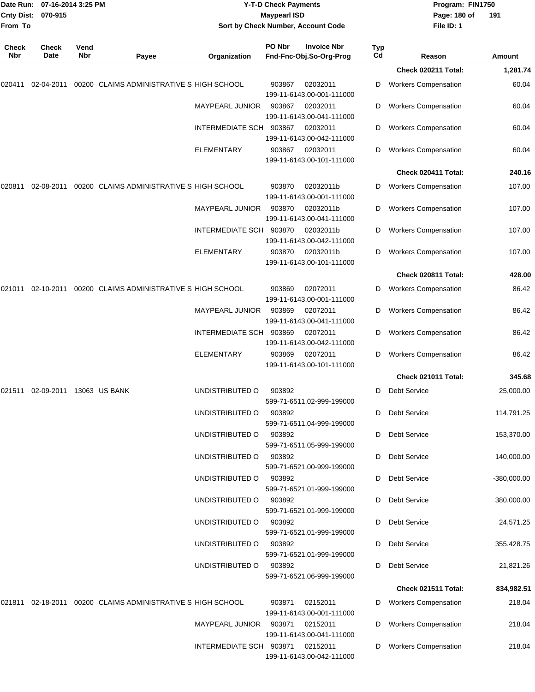|              | Date Run: 07-16-2014 3:25 PM<br>Cnty Dist: 070-915 |             |                                                             | <b>Y-T-D Check Payments</b><br><b>Maypearl ISD</b> |        |                                               |                  | Program: FIN1750<br>Page: 180 of | 191           |
|--------------|----------------------------------------------------|-------------|-------------------------------------------------------------|----------------------------------------------------|--------|-----------------------------------------------|------------------|----------------------------------|---------------|
| From To      |                                                    |             |                                                             |                                                    |        | Sort by Check Number, Account Code            |                  | File ID: 1                       |               |
| Check<br>Nbr | Check<br>Date                                      | Vend<br>Nbr | Payee                                                       | Organization                                       | PO Nbr | <b>Invoice Nbr</b><br>Fnd-Fnc-Obj.So-Org-Prog | <b>Typ</b><br>Cd | Reason                           | Amount        |
|              |                                                    |             |                                                             |                                                    |        |                                               |                  | Check 020211 Total:              | 1,281.74      |
| 020411       | 02-04-2011                                         |             | 00200 CLAIMS ADMINISTRATIVE S HIGH SCHOOL                   |                                                    | 903867 | 02032011<br>199-11-6143.00-001-111000         | D                | <b>Workers Compensation</b>      | 60.04         |
|              |                                                    |             |                                                             | <b>MAYPEARL JUNIOR</b>                             | 903867 | 02032011<br>199-11-6143.00-041-111000         | D                | <b>Workers Compensation</b>      | 60.04         |
|              |                                                    |             |                                                             | <b>INTERMEDIATE SCH</b>                            | 903867 | 02032011<br>199-11-6143.00-042-111000         | D                | <b>Workers Compensation</b>      | 60.04         |
|              |                                                    |             |                                                             | ELEMENTARY                                         | 903867 | 02032011<br>199-11-6143.00-101-111000         | D                | <b>Workers Compensation</b>      | 60.04         |
|              |                                                    |             |                                                             |                                                    |        |                                               |                  | Check 020411 Total:              | 240.16        |
| 020811       | 02-08-2011                                         |             | 00200 CLAIMS ADMINISTRATIVE S HIGH SCHOOL                   |                                                    | 903870 | 02032011b<br>199-11-6143.00-001-111000        | D                | <b>Workers Compensation</b>      | 107.00        |
|              |                                                    |             |                                                             | MAYPEARL JUNIOR                                    | 903870 | 02032011b<br>199-11-6143.00-041-111000        | D                | <b>Workers Compensation</b>      | 107.00        |
|              |                                                    |             |                                                             | INTERMEDIATE SCH                                   | 903870 | 02032011b<br>199-11-6143.00-042-111000        | D                | <b>Workers Compensation</b>      | 107.00        |
|              |                                                    |             |                                                             | <b>ELEMENTARY</b>                                  | 903870 | 02032011b<br>199-11-6143.00-101-111000        | D                | <b>Workers Compensation</b>      | 107.00        |
|              |                                                    |             |                                                             |                                                    |        |                                               |                  | Check 020811 Total:              | 428.00        |
| 021011       | 02-10-2011                                         |             | 00200 CLAIMS ADMINISTRATIVE S HIGH SCHOOL                   |                                                    | 903869 | 02072011<br>199-11-6143.00-001-111000         | D                | <b>Workers Compensation</b>      | 86.42         |
|              |                                                    |             |                                                             | <b>MAYPEARL JUNIOR</b>                             | 903869 | 02072011<br>199-11-6143.00-041-111000         | D                | <b>Workers Compensation</b>      | 86.42         |
|              |                                                    |             |                                                             | INTERMEDIATE SCH                                   | 903869 | 02072011<br>199-11-6143.00-042-111000         | D                | <b>Workers Compensation</b>      | 86.42         |
|              |                                                    |             |                                                             | ELEMENTARY                                         | 903869 | 02072011<br>199-11-6143.00-101-111000         | D                | <b>Workers Compensation</b>      | 86.42         |
|              |                                                    |             |                                                             |                                                    |        |                                               |                  | Check 021011 Total:              | 345.68        |
| 021511       | 02-09-2011 13063 US BANK                           |             |                                                             | UNDISTRIBUTED O                                    | 903892 | 599-71-6511.02-999-199000                     |                  | D Debt Service                   | 25,000.00     |
|              |                                                    |             |                                                             | UNDISTRIBUTED O                                    | 903892 | 599-71-6511.04-999-199000                     |                  | D Debt Service                   | 114,791.25    |
|              |                                                    |             |                                                             | UNDISTRIBUTED O                                    | 903892 | 599-71-6511.05-999-199000                     | D                | <b>Debt Service</b>              | 153,370.00    |
|              |                                                    |             |                                                             | UNDISTRIBUTED O                                    | 903892 | 599-71-6521.00-999-199000                     | D                | <b>Debt Service</b>              | 140,000.00    |
|              |                                                    |             |                                                             | UNDISTRIBUTED O                                    | 903892 | 599-71-6521.01-999-199000                     | D                | <b>Debt Service</b>              | $-380,000.00$ |
|              |                                                    |             |                                                             | UNDISTRIBUTED O                                    | 903892 | 599-71-6521.01-999-199000                     | D                | <b>Debt Service</b>              | 380,000.00    |
|              |                                                    |             |                                                             | UNDISTRIBUTED O                                    | 903892 | 599-71-6521.01-999-199000                     |                  | D Debt Service                   | 24,571.25     |
|              |                                                    |             |                                                             | UNDISTRIBUTED O                                    | 903892 | 599-71-6521.01-999-199000                     | D                | <b>Debt Service</b>              | 355,428.75    |
|              |                                                    |             |                                                             | UNDISTRIBUTED O                                    | 903892 | 599-71-6521.06-999-199000                     |                  | D Debt Service                   | 21,821.26     |
|              |                                                    |             |                                                             |                                                    |        |                                               |                  | Check 021511 Total:              | 834,982.51    |
|              |                                                    |             | 021811 02-18-2011 00200 CLAIMS ADMINISTRATIVE S HIGH SCHOOL |                                                    | 903871 | 02152011<br>199-11-6143.00-001-111000         | D                | <b>Workers Compensation</b>      | 218.04        |
|              |                                                    |             |                                                             | MAYPEARL JUNIOR 903871 02152011                    |        | 199-11-6143.00-041-111000                     | D                | <b>Workers Compensation</b>      | 218.04        |
|              |                                                    |             |                                                             | INTERMEDIATE SCH 903871 02152011                   |        | 199-11-6143.00-042-111000                     | D                | <b>Workers Compensation</b>      | 218.04        |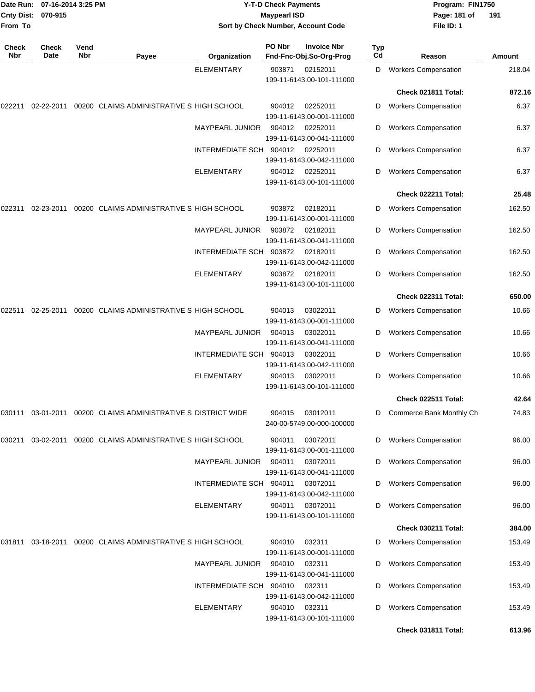|                     | Date Run: 07-16-2014 3:25 PM<br>Cnty Dist: 070-915 |             |                                                                  |                         | <b>Y-T-D Check Payments</b><br><b>Maypearl ISD</b> |                                               |                  | Program: FIN1750<br>Page: 181 of<br>File ID: 1 | 191    |
|---------------------|----------------------------------------------------|-------------|------------------------------------------------------------------|-------------------------|----------------------------------------------------|-----------------------------------------------|------------------|------------------------------------------------|--------|
| From To             |                                                    |             |                                                                  |                         |                                                    | Sort by Check Number, Account Code            |                  |                                                |        |
| <b>Check</b><br>Nbr | Check<br>Date                                      | Vend<br>Nbr | Payee                                                            | Organization            | PO Nbr                                             | <b>Invoice Nbr</b><br>Fnd-Fnc-Obj.So-Org-Prog | <b>Typ</b><br>Cd | Reason                                         | Amount |
|                     |                                                    |             |                                                                  | <b>ELEMENTARY</b>       | 903871                                             | 02152011<br>199-11-6143.00-101-111000         | D                | <b>Workers Compensation</b>                    | 218.04 |
|                     |                                                    |             |                                                                  |                         |                                                    |                                               |                  | Check 021811 Total:                            | 872.16 |
| 022211              | 02-22-2011                                         |             | 00200 CLAIMS ADMINISTRATIVE S HIGH SCHOOL                        |                         | 904012                                             | 02252011<br>199-11-6143.00-001-111000         | D                | <b>Workers Compensation</b>                    | 6.37   |
|                     |                                                    |             |                                                                  | <b>MAYPEARL JUNIOR</b>  | 904012                                             | 02252011<br>199-11-6143.00-041-111000         | D                | <b>Workers Compensation</b>                    | 6.37   |
|                     |                                                    |             |                                                                  | <b>INTERMEDIATE SCH</b> | 904012                                             | 02252011<br>199-11-6143.00-042-111000         | D                | <b>Workers Compensation</b>                    | 6.37   |
|                     |                                                    |             |                                                                  | <b>ELEMENTARY</b>       | 904012                                             | 02252011<br>199-11-6143.00-101-111000         | D                | <b>Workers Compensation</b>                    | 6.37   |
|                     |                                                    |             |                                                                  |                         |                                                    |                                               |                  | Check 022211 Total:                            | 25.48  |
| 022311              | 02-23-2011                                         |             | 00200 CLAIMS ADMINISTRATIVE S HIGH SCHOOL                        |                         | 903872                                             | 02182011<br>199-11-6143.00-001-111000         | D                | <b>Workers Compensation</b>                    | 162.50 |
|                     |                                                    |             |                                                                  | MAYPEARL JUNIOR         | 903872                                             | 02182011<br>199-11-6143.00-041-111000         | D                | <b>Workers Compensation</b>                    | 162.50 |
|                     |                                                    |             |                                                                  | INTERMEDIATE SCH        | 903872                                             | 02182011<br>199-11-6143.00-042-111000         | D                | <b>Workers Compensation</b>                    | 162.50 |
|                     |                                                    |             |                                                                  | <b>ELEMENTARY</b>       | 903872                                             | 02182011<br>199-11-6143.00-101-111000         | D                | <b>Workers Compensation</b>                    | 162.50 |
|                     |                                                    |             |                                                                  |                         |                                                    |                                               |                  | Check 022311 Total:                            | 650.00 |
| 022511              | 02-25-2011                                         |             | 00200 CLAIMS ADMINISTRATIVE S HIGH SCHOOL                        |                         | 904013                                             | 03022011<br>199-11-6143.00-001-111000         | D                | <b>Workers Compensation</b>                    | 10.66  |
|                     |                                                    |             |                                                                  | <b>MAYPEARL JUNIOR</b>  | 904013                                             | 03022011<br>199-11-6143.00-041-111000         | D                | <b>Workers Compensation</b>                    | 10.66  |
|                     |                                                    |             |                                                                  | <b>INTERMEDIATE SCH</b> | 904013                                             | 03022011<br>199-11-6143.00-042-111000         | D                | <b>Workers Compensation</b>                    | 10.66  |
|                     |                                                    |             |                                                                  | <b>ELEMENTARY</b>       | 904013                                             | 03022011<br>199-11-6143.00-101-111000         | D                | <b>Workers Compensation</b>                    | 10.66  |
|                     |                                                    |             |                                                                  |                         |                                                    |                                               |                  | Check 022511 Total:                            | 42.64  |
|                     |                                                    |             | 030111  03-01-2011  00200  CLAIMS ADMINISTRATIVE S DISTRICT WIDE |                         | 904015                                             | 03012011<br>240-00-5749.00-000-100000         | D                | Commerce Bank Monthly Ch                       | 74.83  |
| 030211              | 03-02-2011                                         |             | 00200 CLAIMS ADMINISTRATIVE S HIGH SCHOOL                        |                         | 904011                                             | 03072011<br>199-11-6143.00-001-111000         | D                | <b>Workers Compensation</b>                    | 96.00  |
|                     |                                                    |             |                                                                  | <b>MAYPEARL JUNIOR</b>  | 904011                                             | 03072011<br>199-11-6143.00-041-111000         | D                | <b>Workers Compensation</b>                    | 96.00  |
|                     |                                                    |             |                                                                  | INTERMEDIATE SCH 904011 |                                                    | 03072011<br>199-11-6143.00-042-111000         | D                | <b>Workers Compensation</b>                    | 96.00  |
|                     |                                                    |             |                                                                  | ELEMENTARY              | 904011                                             | 03072011<br>199-11-6143.00-101-111000         | D                | <b>Workers Compensation</b>                    | 96.00  |
|                     |                                                    |             |                                                                  |                         |                                                    |                                               |                  | Check 030211 Total:                            | 384.00 |
| 031811              |                                                    |             | 03-18-2011 00200 CLAIMS ADMINISTRATIVE S HIGH SCHOOL             |                         | 904010                                             | 032311<br>199-11-6143.00-001-111000           | D                | <b>Workers Compensation</b>                    | 153.49 |
|                     |                                                    |             |                                                                  | <b>MAYPEARL JUNIOR</b>  | 904010                                             | 032311<br>199-11-6143.00-041-111000           | D                | <b>Workers Compensation</b>                    | 153.49 |
|                     |                                                    |             |                                                                  | INTERMEDIATE SCH 904010 |                                                    | 032311<br>199-11-6143.00-042-111000           | D                | <b>Workers Compensation</b>                    | 153.49 |
|                     |                                                    |             |                                                                  | <b>ELEMENTARY</b>       | 904010                                             | 032311<br>199-11-6143.00-101-111000           | D                | <b>Workers Compensation</b>                    | 153.49 |
|                     |                                                    |             |                                                                  |                         |                                                    |                                               |                  | Check 031811 Total:                            | 613.96 |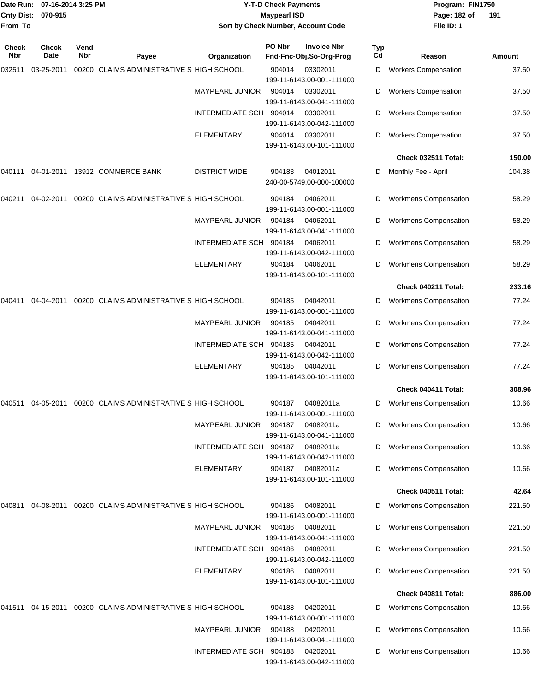| <b>Cnty Dist:</b><br>From To | Date Run: 07-16-2014 3:25 PM<br>070-915 |             |                                                                     |                         | <b>Y-T-D Check Payments</b><br><b>Maypearl ISD</b> | Sort by Check Number, Account Code            |                       | Program: FIN1750<br>Page: 182 of<br>File ID: 1 | 191           |
|------------------------------|-----------------------------------------|-------------|---------------------------------------------------------------------|-------------------------|----------------------------------------------------|-----------------------------------------------|-----------------------|------------------------------------------------|---------------|
| Check<br>Nbr                 | <b>Check</b><br>Date                    | Vend<br>Nbr | Payee                                                               | Organization            | PO Nbr                                             | <b>Invoice Nbr</b><br>Fnd-Fnc-Obj.So-Org-Prog | Typ<br>C <sub>d</sub> | Reason                                         | <b>Amount</b> |
| 032511                       | 03-25-2011                              |             | 00200 CLAIMS ADMINISTRATIVE S HIGH SCHOOL                           |                         | 904014                                             | 03302011                                      | D                     | <b>Workers Compensation</b>                    | 37.50         |
|                              |                                         |             |                                                                     | MAYPEARL JUNIOR         | 904014                                             | 199-11-6143.00-001-111000<br>03302011         | D                     | <b>Workers Compensation</b>                    | 37.50         |
|                              |                                         |             |                                                                     |                         |                                                    | 199-11-6143.00-041-111000                     |                       |                                                |               |
|                              |                                         |             |                                                                     | INTERMEDIATE SCH        | 904014                                             | 03302011<br>199-11-6143.00-042-111000         | D                     | <b>Workers Compensation</b>                    | 37.50         |
|                              |                                         |             |                                                                     | <b>ELEMENTARY</b>       | 904014                                             | 03302011<br>199-11-6143.00-101-111000         | D                     | <b>Workers Compensation</b>                    | 37.50         |
|                              |                                         |             |                                                                     |                         |                                                    |                                               |                       | Check 032511 Total:                            | 150.00        |
| 040111                       | 04-01-2011                              |             | 13912 COMMERCE BANK                                                 | <b>DISTRICT WIDE</b>    | 904183                                             | 04012011<br>240-00-5749.00-000-100000         | D                     | Monthly Fee - April                            | 104.38        |
| 040211                       | 04-02-2011                              |             | 00200 CLAIMS ADMINISTRATIVE S HIGH SCHOOL                           |                         | 904184                                             | 04062011<br>199-11-6143.00-001-111000         | D                     | <b>Workmens Compensation</b>                   | 58.29         |
|                              |                                         |             |                                                                     | MAYPEARL JUNIOR         | 904184                                             | 04062011<br>199-11-6143.00-041-111000         | D                     | <b>Workmens Compensation</b>                   | 58.29         |
|                              |                                         |             |                                                                     | INTERMEDIATE SCH 904184 |                                                    | 04062011<br>199-11-6143.00-042-111000         | D                     | <b>Workmens Compensation</b>                   | 58.29         |
|                              |                                         |             |                                                                     | <b>ELEMENTARY</b>       | 904184                                             | 04062011<br>199-11-6143.00-101-111000         | D                     | <b>Workmens Compensation</b>                   | 58.29         |
|                              |                                         |             |                                                                     |                         |                                                    |                                               |                       | Check 040211 Total:                            | 233.16        |
| 040411                       | 04-04-2011                              |             | 00200 CLAIMS ADMINISTRATIVE S HIGH SCHOOL                           |                         | 904185                                             | 04042011<br>199-11-6143.00-001-111000         | D                     | <b>Workmens Compensation</b>                   | 77.24         |
|                              |                                         |             |                                                                     | <b>MAYPEARL JUNIOR</b>  | 904185                                             | 04042011<br>199-11-6143.00-041-111000         | D                     | <b>Workmens Compensation</b>                   | 77.24         |
|                              |                                         |             |                                                                     | INTERMEDIATE SCH        | 904185                                             | 04042011<br>199-11-6143.00-042-111000         | D                     | <b>Workmens Compensation</b>                   | 77.24         |
|                              |                                         |             |                                                                     | <b>ELEMENTARY</b>       | 904185                                             | 04042011<br>199-11-6143.00-101-111000         | D                     | <b>Workmens Compensation</b>                   | 77.24         |
|                              |                                         |             |                                                                     |                         |                                                    |                                               |                       | Check 040411 Total:                            | 308.96        |
|                              |                                         |             | 040511    04-05-2011    00200   CLAIMS ADMINISTRATIVE S HIGH SCHOOL |                         | 904187                                             | 04082011a<br>199-11-6143.00-001-111000        | D                     | <b>Workmens Compensation</b>                   | 10.66         |
|                              |                                         |             |                                                                     | MAYPEARL JUNIOR         | 904187                                             | 04082011a<br>199-11-6143.00-041-111000        | D                     | <b>Workmens Compensation</b>                   | 10.66         |
|                              |                                         |             |                                                                     | INTERMEDIATE SCH 904187 |                                                    | 04082011a<br>199-11-6143.00-042-111000        | D                     | <b>Workmens Compensation</b>                   | 10.66         |
|                              |                                         |             |                                                                     | ELEMENTARY              | 904187                                             | 04082011a<br>199-11-6143.00-101-111000        | D                     | <b>Workmens Compensation</b>                   | 10.66         |
|                              |                                         |             |                                                                     |                         |                                                    |                                               |                       | Check 040511 Total:                            | 42.64         |
| 040811                       | 04-08-2011                              |             | 00200 CLAIMS ADMINISTRATIVE S HIGH SCHOOL                           |                         | 904186                                             | 04082011<br>199-11-6143.00-001-111000         | D                     | <b>Workmens Compensation</b>                   | 221.50        |
|                              |                                         |             |                                                                     | <b>MAYPEARL JUNIOR</b>  | 904186                                             | 04082011<br>199-11-6143.00-041-111000         | D                     | <b>Workmens Compensation</b>                   | 221.50        |
|                              |                                         |             |                                                                     | INTERMEDIATE SCH 904186 |                                                    | 04082011<br>199-11-6143.00-042-111000         | D                     | <b>Workmens Compensation</b>                   | 221.50        |
|                              |                                         |             |                                                                     | ELEMENTARY              | 904186                                             | 04082011<br>199-11-6143.00-101-111000         | D                     | <b>Workmens Compensation</b>                   | 221.50        |
|                              |                                         |             |                                                                     |                         |                                                    |                                               |                       | Check 040811 Total:                            | 886.00        |
| 041511                       |                                         |             | 04-15-2011  00200  CLAIMS ADMINISTRATIVE S HIGH SCHOOL              |                         | 904188                                             | 04202011<br>199-11-6143.00-001-111000         | D                     | <b>Workmens Compensation</b>                   | 10.66         |
|                              |                                         |             |                                                                     | MAYPEARL JUNIOR         | 904188                                             | 04202011<br>199-11-6143.00-041-111000         | D                     | <b>Workmens Compensation</b>                   | 10.66         |
|                              |                                         |             |                                                                     | INTERMEDIATE SCH 904188 |                                                    | 04202011<br>199-11-6143.00-042-111000         | D                     | <b>Workmens Compensation</b>                   | 10.66         |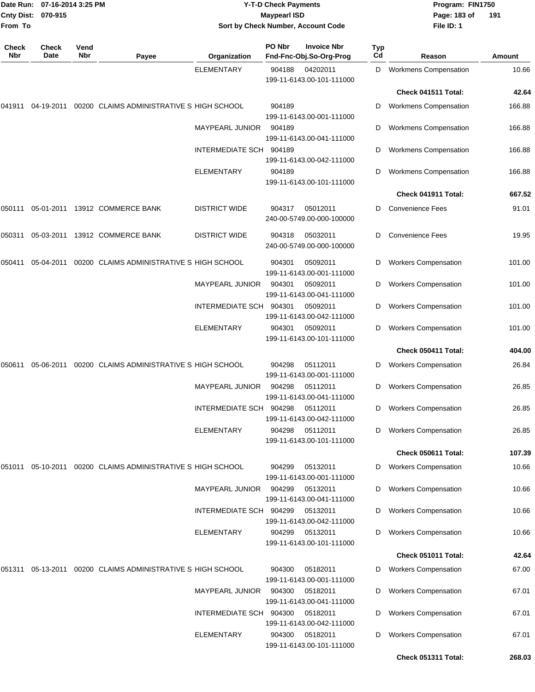| <b>Cnty Dist:</b><br>From To | Date Run: 07-16-2014 3:25 PM<br>070-915 |             |                                                                |                                              | <b>Y-T-D Check Payments</b><br><b>Maypearl ISD</b> | Sort by Check Number, Account Code                |           | Program: FIN1750<br>Page: 183 of<br>File ID: 1             | 191            |
|------------------------------|-----------------------------------------|-------------|----------------------------------------------------------------|----------------------------------------------|----------------------------------------------------|---------------------------------------------------|-----------|------------------------------------------------------------|----------------|
| Check<br>Nbr                 | Check<br>Date                           | Vend<br>Nbr | Payee                                                          | Organization                                 | PO Nbr                                             | <b>Invoice Nbr</b><br>Fnd-Fnc-Obj.So-Org-Prog     | Typ<br>Cd | Reason                                                     | <b>Amount</b>  |
|                              |                                         |             |                                                                | <b>ELEMENTARY</b>                            | 904188                                             | 04202011<br>199-11-6143.00-101-111000             | D         | <b>Workmens Compensation</b>                               | 10.66          |
|                              |                                         |             |                                                                |                                              |                                                    |                                                   |           | Check 041511 Total:                                        | 42.64          |
| 041911                       | 04-19-2011                              |             | 00200 CLAIMS ADMINISTRATIVE S HIGH SCHOOL                      |                                              | 904189                                             | 199-11-6143.00-001-111000                         | D         | <b>Workmens Compensation</b>                               | 166.88         |
|                              |                                         |             |                                                                | <b>MAYPEARL JUNIOR</b>                       | 904189                                             | 199-11-6143.00-041-111000                         | D         | <b>Workmens Compensation</b>                               | 166.88         |
|                              |                                         |             |                                                                | INTERMEDIATE SCH                             | 904189                                             | 199-11-6143.00-042-111000                         | D         | <b>Workmens Compensation</b>                               | 166.88         |
|                              |                                         |             |                                                                | <b>ELEMENTARY</b>                            | 904189                                             | 199-11-6143.00-101-111000                         | D         | <b>Workmens Compensation</b>                               | 166.88         |
|                              |                                         |             |                                                                |                                              |                                                    |                                                   |           | Check 041911 Total:                                        | 667.52         |
| 050111                       |                                         |             | 05-01-2011 13912 COMMERCE BANK                                 | <b>DISTRICT WIDE</b>                         | 904317                                             | 05012011<br>240-00-5749.00-000-100000             | D         | <b>Convenience Fees</b>                                    | 91.01          |
| 050311                       | 05-03-2011                              |             | 13912 COMMERCE BANK                                            | <b>DISTRICT WIDE</b>                         | 904318                                             | 05032011<br>240-00-5749.00-000-100000             | D         | <b>Convenience Fees</b>                                    | 19.95          |
| 050411                       | 05-04-2011                              |             | 00200 CLAIMS ADMINISTRATIVE S HIGH SCHOOL                      |                                              | 904301                                             | 05092011<br>199-11-6143.00-001-111000             | D         | <b>Workers Compensation</b>                                | 101.00         |
|                              |                                         |             |                                                                | MAYPEARL JUNIOR                              | 904301                                             | 05092011<br>199-11-6143.00-041-111000             | D         | <b>Workers Compensation</b>                                | 101.00         |
|                              |                                         |             |                                                                | INTERMEDIATE SCH                             | 904301                                             | 05092011<br>199-11-6143.00-042-111000             | D         | <b>Workers Compensation</b>                                | 101.00         |
|                              |                                         |             |                                                                | ELEMENTARY                                   | 904301                                             | 05092011<br>199-11-6143.00-101-111000             | D         | <b>Workers Compensation</b>                                | 101.00         |
|                              |                                         |             |                                                                |                                              |                                                    |                                                   |           | Check 050411 Total:                                        | 404.00         |
| 050611                       | 05-06-2011                              |             | 00200 CLAIMS ADMINISTRATIVE S HIGH SCHOOL                      |                                              | 904298                                             | 05112011<br>199-11-6143.00-001-111000             | D         | <b>Workers Compensation</b>                                | 26.84          |
|                              |                                         |             |                                                                | <b>MAYPEARL JUNIOR</b>                       | 904298                                             | 05112011<br>199-11-6143.00-041-111000             | D         | <b>Workers Compensation</b>                                | 26.85          |
|                              |                                         |             |                                                                | INTERMEDIATE SCH                             | 904298                                             | 05112011<br>199-11-6143.00-042-111000             | D         | <b>Workers Compensation</b>                                | 26.85          |
|                              |                                         |             |                                                                | ELEMENTARY                                   | 904298                                             | 05112011<br>199-11-6143.00-101-111000             | D         | <b>Workers Compensation</b>                                | 26.85          |
|                              |                                         |             |                                                                |                                              |                                                    |                                                   |           | Check 050611 Total:                                        | 107.39         |
|                              |                                         |             | 051011  05-10-2011  00200  CLAIMS ADMINISTRATIVE S HIGH SCHOOL |                                              | 904299                                             | 05132011<br>199-11-6143.00-001-111000             | D         | <b>Workers Compensation</b>                                | 10.66          |
|                              |                                         |             |                                                                | <b>MAYPEARL JUNIOR</b>                       | 904299                                             | 05132011<br>199-11-6143.00-041-111000             | D         | <b>Workers Compensation</b>                                | 10.66          |
|                              |                                         |             |                                                                | INTERMEDIATE SCH 904299                      |                                                    | 05132011<br>199-11-6143.00-042-111000             | D         | <b>Workers Compensation</b>                                | 10.66          |
|                              |                                         |             |                                                                | ELEMENTARY                                   | 904299                                             | 05132011<br>199-11-6143.00-101-111000             | D         | <b>Workers Compensation</b>                                | 10.66          |
|                              |                                         |             |                                                                |                                              |                                                    |                                                   |           | Check 051011 Total:                                        | 42.64          |
| 051311                       | 05-13-2011                              |             | 00200 CLAIMS ADMINISTRATIVE S HIGH SCHOOL                      |                                              | 904300                                             | 05182011<br>199-11-6143.00-001-111000             | D         | <b>Workers Compensation</b>                                | 67.00          |
|                              |                                         |             |                                                                | <b>MAYPEARL JUNIOR</b>                       | 904300                                             | 05182011<br>199-11-6143.00-041-111000             | D         | <b>Workers Compensation</b>                                | 67.01          |
|                              |                                         |             |                                                                | INTERMEDIATE SCH 904300<br><b>ELEMENTARY</b> | 904300                                             | 05182011<br>199-11-6143.00-042-111000<br>05182011 | D<br>D    | <b>Workers Compensation</b><br><b>Workers Compensation</b> | 67.01<br>67.01 |
|                              |                                         |             |                                                                |                                              |                                                    | 199-11-6143.00-101-111000                         |           | Check 051311 Total:                                        | 268.03         |
|                              |                                         |             |                                                                |                                              |                                                    |                                                   |           |                                                            |                |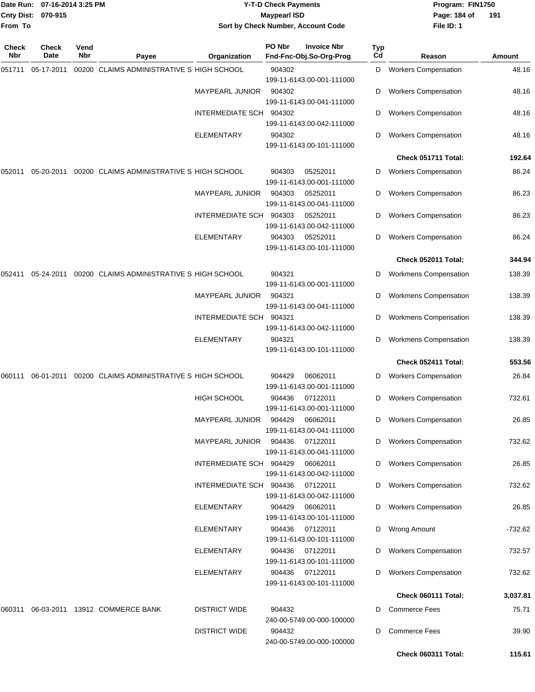| From To      | Date Run: 07-16-2014 3:25 PM<br>Cnty Dist: 070-915 |             |                                           |                                              | <b>Y-T-D Check Payments</b><br><b>Maypearl ISD</b> | Sort by Check Number, Account Code            |           | Program: FIN1750<br>Page: 184 of<br>File ID: 1     | 191            |
|--------------|----------------------------------------------------|-------------|-------------------------------------------|----------------------------------------------|----------------------------------------------------|-----------------------------------------------|-----------|----------------------------------------------------|----------------|
| Check<br>Nbr | Check<br>Date                                      | Vend<br>Nbr | Payee                                     | Organization                                 | PO Nbr                                             | <b>Invoice Nbr</b><br>Fnd-Fnc-Obj.So-Org-Prog | Typ<br>Cd | Reason                                             | <b>Amount</b>  |
| 051711       | 05-17-2011                                         |             | 00200 CLAIMS ADMINISTRATIVE S HIGH SCHOOL |                                              | 904302                                             | 199-11-6143.00-001-111000                     | D         | <b>Workers Compensation</b>                        | 48.16          |
|              |                                                    |             |                                           | <b>MAYPEARL JUNIOR</b>                       | 904302                                             | 199-11-6143.00-041-111000                     | D         | <b>Workers Compensation</b>                        | 48.16          |
|              |                                                    |             |                                           | <b>INTERMEDIATE SCH</b>                      | 904302                                             | 199-11-6143.00-042-111000                     | D         | <b>Workers Compensation</b>                        | 48.16          |
|              |                                                    |             |                                           | <b>ELEMENTARY</b>                            | 904302                                             | 199-11-6143.00-101-111000                     | D         | <b>Workers Compensation</b>                        | 48.16          |
|              |                                                    |             |                                           |                                              |                                                    |                                               |           | Check 051711 Total:                                | 192.64         |
| 052011       | 05-20-2011                                         |             | 00200 CLAIMS ADMINISTRATIVE S HIGH SCHOOL |                                              | 904303                                             | 05252011<br>199-11-6143.00-001-111000         | D         | <b>Workers Compensation</b>                        | 86.24          |
|              |                                                    |             |                                           | MAYPEARL JUNIOR                              | 904303                                             | 05252011<br>199-11-6143.00-041-111000         | D         | <b>Workers Compensation</b>                        | 86.23          |
|              |                                                    |             |                                           | INTERMEDIATE SCH 904303                      |                                                    | 05252011<br>199-11-6143.00-042-111000         | D         | <b>Workers Compensation</b>                        | 86.23          |
|              |                                                    |             |                                           | ELEMENTARY                                   | 904303                                             | 05252011<br>199-11-6143.00-101-111000         | D         | <b>Workers Compensation</b>                        | 86.24          |
|              |                                                    |             |                                           |                                              |                                                    |                                               |           | Check 052011 Total:                                | 344.94         |
| 052411       | 05-24-2011                                         |             | 00200 CLAIMS ADMINISTRATIVE S HIGH SCHOOL |                                              | 904321                                             | 199-11-6143.00-001-111000                     | D         | <b>Workmens Compensation</b>                       | 138.39         |
|              |                                                    |             |                                           | <b>MAYPEARL JUNIOR</b>                       | 904321                                             | 199-11-6143.00-041-111000                     | D         | <b>Workmens Compensation</b>                       | 138.39         |
|              |                                                    |             |                                           | <b>INTERMEDIATE SCH</b>                      | 904321                                             | 199-11-6143.00-042-111000                     | D         | <b>Workmens Compensation</b>                       | 138.39         |
|              |                                                    |             |                                           | <b>ELEMENTARY</b>                            | 904321                                             | 199-11-6143.00-101-111000                     | D         | <b>Workmens Compensation</b>                       | 138.39         |
|              |                                                    |             |                                           |                                              |                                                    |                                               |           | Check 052411 Total:                                | 553.56         |
| 060111       | 06-01-2011                                         |             | 00200 CLAIMS ADMINISTRATIVE S HIGH SCHOOL |                                              | 904429                                             | 06062011<br>199-11-6143.00-001-111000         | D         | <b>Workers Compensation</b>                        | 26.84          |
|              |                                                    |             |                                           | HIGH SCHOOL                                  | 904436                                             | 07122011<br>199-11-6143.00-001-111000         | D         | <b>Workers Compensation</b>                        | 732.61         |
|              |                                                    |             |                                           | <b>MAYPEARL JUNIOR</b>                       | 904429                                             | 06062011<br>199-11-6143.00-041-111000         | D         | <b>Workers Compensation</b>                        | 26.85          |
|              |                                                    |             |                                           | MAYPEARL JUNIOR                              | 904436                                             | 07122011<br>199-11-6143.00-041-111000         | D         | <b>Workers Compensation</b>                        | 732.62         |
|              |                                                    |             |                                           | INTERMEDIATE SCH 904429                      |                                                    | 06062011<br>199-11-6143.00-042-111000         | D         | <b>Workers Compensation</b>                        | 26.85          |
|              |                                                    |             |                                           | INTERMEDIATE SCH 904436                      |                                                    | 07122011<br>199-11-6143.00-042-111000         | D         | <b>Workers Compensation</b>                        | 732.62         |
|              |                                                    |             |                                           | <b>ELEMENTARY</b>                            | 904429                                             | 06062011<br>199-11-6143.00-101-111000         | D         | <b>Workers Compensation</b>                        | 26.85          |
|              |                                                    |             |                                           | ELEMENTARY                                   | 904436                                             | 07122011<br>199-11-6143.00-101-111000         | D         | <b>Wrong Amount</b>                                | -732.62        |
|              |                                                    |             |                                           | <b>ELEMENTARY</b>                            | 904436                                             | 07122011<br>199-11-6143.00-101-111000         | D         | <b>Workers Compensation</b>                        | 732.57         |
|              |                                                    |             |                                           | ELEMENTARY                                   | 904436                                             | 07122011<br>199-11-6143.00-101-111000         | D         | <b>Workers Compensation</b><br>Check 060111 Total: | 732.62         |
|              |                                                    |             |                                           |                                              |                                                    |                                               |           |                                                    | 3,037.81       |
| 060311       |                                                    |             | 06-03-2011 13912 COMMERCE BANK            | <b>DISTRICT WIDE</b><br><b>DISTRICT WIDE</b> | 904432<br>904432                                   | 240-00-5749.00-000-100000                     | D<br>D    | <b>Commerce Fees</b><br><b>Commerce Fees</b>       | 75.71<br>39.90 |
|              |                                                    |             |                                           |                                              |                                                    | 240-00-5749.00-000-100000                     |           | Check 060311 Total:                                | 115.61         |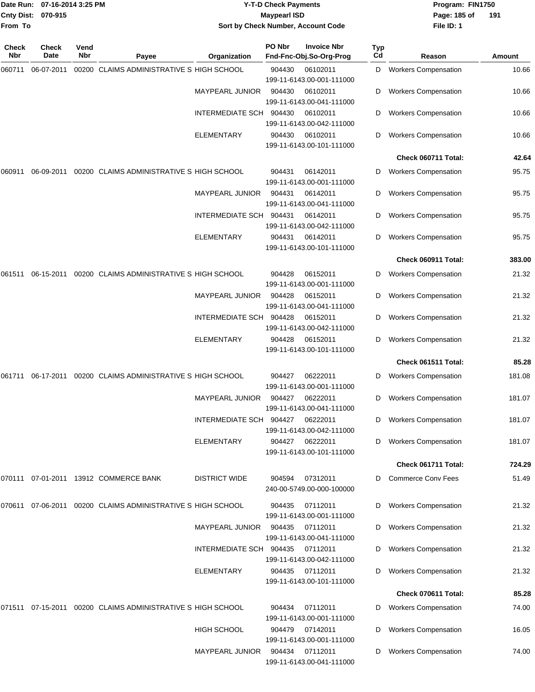|              | Date Run: 07-16-2014 3:25 PM<br>Cnty Dist: 070-915 |             |                                                      | <b>Y-T-D Check Payments</b><br><b>Maypearl ISD</b> |        |                                               |           | Program: FIN1750<br>Page: 185 of<br>191 |        |  |  |
|--------------|----------------------------------------------------|-------------|------------------------------------------------------|----------------------------------------------------|--------|-----------------------------------------------|-----------|-----------------------------------------|--------|--|--|
| From To      |                                                    |             |                                                      |                                                    |        | Sort by Check Number, Account Code            |           | File ID: 1                              |        |  |  |
| Check<br>Nbr | <b>Check</b><br>Date                               | Vend<br>Nbr | Payee                                                | Organization                                       | PO Nbr | <b>Invoice Nbr</b><br>Fnd-Fnc-Obj.So-Org-Prog | Typ<br>Cd | Reason                                  | Amount |  |  |
| 060711       | 06-07-2011                                         |             | 00200 CLAIMS ADMINISTRATIVE S HIGH SCHOOL            |                                                    | 904430 | 06102011<br>199-11-6143.00-001-111000         | D         | <b>Workers Compensation</b>             | 10.66  |  |  |
|              |                                                    |             |                                                      | <b>MAYPEARL JUNIOR</b>                             | 904430 | 06102011<br>199-11-6143.00-041-111000         | D         | <b>Workers Compensation</b>             | 10.66  |  |  |
|              |                                                    |             |                                                      | INTERMEDIATE SCH                                   | 904430 | 06102011<br>199-11-6143.00-042-111000         | D         | <b>Workers Compensation</b>             | 10.66  |  |  |
|              |                                                    |             |                                                      | ELEMENTARY                                         | 904430 | 06102011<br>199-11-6143.00-101-111000         | D         | <b>Workers Compensation</b>             | 10.66  |  |  |
|              |                                                    |             |                                                      |                                                    |        |                                               |           | Check 060711 Total:                     | 42.64  |  |  |
| 060911       | 06-09-2011                                         |             | 00200 CLAIMS ADMINISTRATIVE S HIGH SCHOOL            |                                                    | 904431 | 06142011<br>199-11-6143.00-001-111000         | D         | <b>Workers Compensation</b>             | 95.75  |  |  |
|              |                                                    |             |                                                      | <b>MAYPEARL JUNIOR</b>                             | 904431 | 06142011<br>199-11-6143.00-041-111000         | D         | <b>Workers Compensation</b>             | 95.75  |  |  |
|              |                                                    |             |                                                      | INTERMEDIATE SCH                                   | 904431 | 06142011<br>199-11-6143.00-042-111000         | D         | <b>Workers Compensation</b>             | 95.75  |  |  |
|              |                                                    |             |                                                      | ELEMENTARY                                         | 904431 | 06142011<br>199-11-6143.00-101-111000         | D         | <b>Workers Compensation</b>             | 95.75  |  |  |
|              |                                                    |             |                                                      |                                                    |        |                                               |           | Check 060911 Total:                     | 383.00 |  |  |
| 061511       | 06-15-2011                                         |             | 00200 CLAIMS ADMINISTRATIVE S HIGH SCHOOL            |                                                    | 904428 | 06152011<br>199-11-6143.00-001-111000         | D         | <b>Workers Compensation</b>             | 21.32  |  |  |
|              |                                                    |             |                                                      | <b>MAYPEARL JUNIOR</b>                             | 904428 | 06152011<br>199-11-6143.00-041-111000         | D         | <b>Workers Compensation</b>             | 21.32  |  |  |
|              |                                                    |             |                                                      | <b>INTERMEDIATE SCH</b>                            | 904428 | 06152011<br>199-11-6143.00-042-111000         | D         | <b>Workers Compensation</b>             | 21.32  |  |  |
|              |                                                    |             |                                                      | <b>ELEMENTARY</b>                                  | 904428 | 06152011<br>199-11-6143.00-101-111000         | D         | <b>Workers Compensation</b>             | 21.32  |  |  |
|              |                                                    |             |                                                      |                                                    |        |                                               |           | Check 061511 Total:                     | 85.28  |  |  |
| 061711       | 06-17-2011                                         |             | 00200 CLAIMS ADMINISTRATIVE S HIGH SCHOOL            |                                                    | 904427 | 06222011<br>199-11-6143.00-001-111000         | D         | <b>Workers Compensation</b>             | 181.08 |  |  |
|              |                                                    |             |                                                      | <b>MAYPEARL JUNIOR</b>                             | 904427 | 06222011<br>199-11-6143.00-041-111000         | D         | <b>Workers Compensation</b>             | 181.07 |  |  |
|              |                                                    |             |                                                      | INTERMEDIATE SCH 904427                            |        | 06222011<br>199-11-6143.00-042-111000         | D         | <b>Workers Compensation</b>             | 181.07 |  |  |
|              |                                                    |             |                                                      | <b>ELEMENTARY</b>                                  | 904427 | 06222011<br>199-11-6143.00-101-111000         | D         | <b>Workers Compensation</b>             | 181.07 |  |  |
|              |                                                    |             |                                                      |                                                    |        |                                               |           | Check 061711 Total:                     | 724.29 |  |  |
| 070111       |                                                    |             | 07-01-2011 13912 COMMERCE BANK                       | <b>DISTRICT WIDE</b>                               | 904594 | 07312011<br>240-00-5749.00-000-100000         | D         | <b>Commerce Conv Fees</b>               | 51.49  |  |  |
| 070611       |                                                    |             | 07-06-2011 00200 CLAIMS ADMINISTRATIVE S HIGH SCHOOL |                                                    | 904435 | 07112011<br>199-11-6143.00-001-111000         | D         | <b>Workers Compensation</b>             | 21.32  |  |  |
|              |                                                    |             |                                                      | <b>MAYPEARL JUNIOR</b>                             | 904435 | 07112011<br>199-11-6143.00-041-111000         | D         | <b>Workers Compensation</b>             | 21.32  |  |  |
|              |                                                    |             |                                                      | INTERMEDIATE SCH 904435                            |        | 07112011<br>199-11-6143.00-042-111000         | D         | <b>Workers Compensation</b>             | 21.32  |  |  |
|              |                                                    |             |                                                      | ELEMENTARY                                         | 904435 | 07112011<br>199-11-6143.00-101-111000         | D         | <b>Workers Compensation</b>             | 21.32  |  |  |
|              |                                                    |             |                                                      |                                                    |        |                                               |           | Check 070611 Total:                     | 85.28  |  |  |
| 071511       |                                                    |             | 07-15-2011 00200 CLAIMS ADMINISTRATIVE S HIGH SCHOOL |                                                    | 904434 | 07112011<br>199-11-6143.00-001-111000         | D         | <b>Workers Compensation</b>             | 74.00  |  |  |
|              |                                                    |             |                                                      | <b>HIGH SCHOOL</b>                                 | 904479 | 07142011<br>199-11-6143.00-001-111000         | D         | <b>Workers Compensation</b>             | 16.05  |  |  |
|              |                                                    |             |                                                      | MAYPEARL JUNIOR                                    | 904434 | 07112011<br>199-11-6143.00-041-111000         | D         | <b>Workers Compensation</b>             | 74.00  |  |  |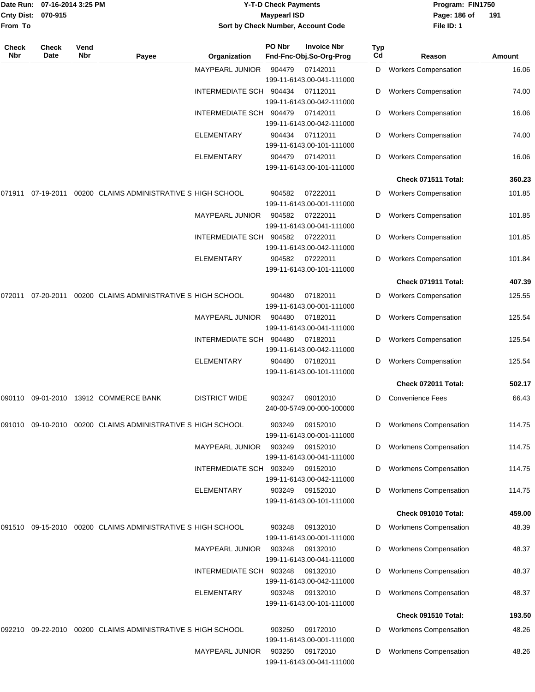| <b>Cnty Dist:</b>       | Date Run: 07-16-2014 3:25 PM<br>070-915 |      |                                                             |                         | <b>Y-T-D Check Payments</b><br><b>Maypearl ISD</b> |                                                          |        | Program: FIN1750<br>Page: 186 of                    | 191             |
|-------------------------|-----------------------------------------|------|-------------------------------------------------------------|-------------------------|----------------------------------------------------|----------------------------------------------------------|--------|-----------------------------------------------------|-----------------|
| From To<br><b>Check</b> | <b>Check</b>                            | Vend |                                                             |                         | PO Nbr                                             | Sort by Check Number, Account Code<br><b>Invoice Nbr</b> | Typ    | File ID: 1                                          |                 |
| Nbr                     | Date                                    | Nbr  | Payee                                                       | Organization            |                                                    | Fnd-Fnc-Obj.So-Org-Prog                                  | Cd     | Reason                                              | Amount          |
|                         |                                         |      |                                                             | <b>MAYPEARL JUNIOR</b>  | 904479                                             | 07142011<br>199-11-6143.00-041-111000                    | D      | <b>Workers Compensation</b>                         | 16.06           |
|                         |                                         |      |                                                             | INTERMEDIATE SCH 904434 |                                                    | 07112011<br>199-11-6143.00-042-111000                    | D      | <b>Workers Compensation</b>                         | 74.00           |
|                         |                                         |      |                                                             | INTERMEDIATE SCH 904479 |                                                    | 07142011<br>199-11-6143.00-042-111000                    | D      | <b>Workers Compensation</b>                         | 16.06           |
|                         |                                         |      |                                                             | ELEMENTARY              | 904434                                             | 07112011<br>199-11-6143.00-101-111000                    | D      | <b>Workers Compensation</b>                         | 74.00           |
|                         |                                         |      |                                                             | ELEMENTARY              | 904479                                             | 07142011<br>199-11-6143.00-101-111000                    | D      | <b>Workers Compensation</b>                         | 16.06           |
|                         |                                         |      |                                                             |                         |                                                    |                                                          |        | Check 071511 Total:                                 | 360.23          |
| 071911                  | 07-19-2011                              |      | 00200 CLAIMS ADMINISTRATIVE S HIGH SCHOOL                   |                         | 904582                                             | 07222011<br>199-11-6143.00-001-111000                    | D      | <b>Workers Compensation</b>                         | 101.85          |
|                         |                                         |      |                                                             | MAYPEARL JUNIOR         | 904582                                             | 07222011<br>199-11-6143.00-041-111000                    | D      | <b>Workers Compensation</b>                         | 101.85          |
|                         |                                         |      |                                                             | INTERMEDIATE SCH 904582 |                                                    | 07222011<br>199-11-6143.00-042-111000                    | D      | <b>Workers Compensation</b>                         | 101.85          |
|                         |                                         |      |                                                             | ELEMENTARY              | 904582                                             | 07222011<br>199-11-6143.00-101-111000                    | D      | <b>Workers Compensation</b>                         | 101.84          |
|                         |                                         |      |                                                             |                         |                                                    |                                                          |        | Check 071911 Total:                                 | 407.39          |
| 072011                  | 07-20-2011                              |      | 00200 CLAIMS ADMINISTRATIVE S HIGH SCHOOL                   |                         | 904480                                             | 07182011<br>199-11-6143.00-001-111000                    | D      | <b>Workers Compensation</b>                         | 125.55          |
|                         |                                         |      |                                                             | MAYPEARL JUNIOR         | 904480                                             | 07182011<br>199-11-6143.00-041-111000                    | D      | <b>Workers Compensation</b>                         | 125.54          |
|                         |                                         |      |                                                             | INTERMEDIATE SCH        | 904480                                             | 07182011<br>199-11-6143.00-042-111000                    | D      | <b>Workers Compensation</b>                         | 125.54          |
|                         |                                         |      |                                                             | <b>ELEMENTARY</b>       | 904480                                             | 07182011<br>199-11-6143.00-101-111000                    | D      | <b>Workers Compensation</b>                         | 125.54          |
|                         |                                         |      |                                                             |                         |                                                    |                                                          |        | Check 072011 Total:                                 | 502.17          |
|                         |                                         |      | 090110 09-01-2010 13912 COMMERCE BANK                       | <b>DISTRICT WIDE</b>    | 903247                                             | 09012010<br>240-00-5749.00-000-100000                    | D      | <b>Convenience Fees</b>                             | 66.43           |
|                         |                                         |      | 091010 09-10-2010 00200 CLAIMS ADMINISTRATIVE S HIGH SCHOOL |                         | 903249                                             | 09152010<br>199-11-6143.00-001-111000                    | D      | <b>Workmens Compensation</b>                        | 114.75          |
|                         |                                         |      |                                                             | MAYPEARL JUNIOR         | 903249                                             | 09152010<br>199-11-6143.00-041-111000                    | D      | <b>Workmens Compensation</b>                        | 114.75          |
|                         |                                         |      |                                                             | INTERMEDIATE SCH 903249 |                                                    | 09152010<br>199-11-6143.00-042-111000                    | D      | <b>Workmens Compensation</b>                        | 114.75          |
|                         |                                         |      |                                                             | ELEMENTARY              | 903249                                             | 09152010<br>199-11-6143.00-101-111000                    | D      | <b>Workmens Compensation</b>                        | 114.75          |
|                         |                                         |      |                                                             |                         |                                                    |                                                          |        | Check 091010 Total:                                 | 459.00          |
| 091510                  |                                         |      | 09-15-2010 00200 CLAIMS ADMINISTRATIVE S HIGH SCHOOL        |                         | 903248                                             | 09132010<br>199-11-6143.00-001-111000                    | D      | <b>Workmens Compensation</b>                        | 48.39           |
|                         |                                         |      |                                                             | <b>MAYPEARL JUNIOR</b>  | 903248                                             | 09132010<br>199-11-6143.00-041-111000                    | D      | <b>Workmens Compensation</b>                        | 48.37           |
|                         |                                         |      |                                                             | INTERMEDIATE SCH 903248 |                                                    | 09132010<br>199-11-6143.00-042-111000                    | D      | <b>Workmens Compensation</b>                        | 48.37           |
|                         |                                         |      |                                                             | ELEMENTARY              | 903248                                             | 09132010<br>199-11-6143.00-101-111000                    | D      | <b>Workmens Compensation</b><br>Check 091510 Total: | 48.37<br>193.50 |
|                         |                                         |      |                                                             |                         |                                                    |                                                          |        |                                                     |                 |
| 092210                  |                                         |      | 09-22-2010 00200 CLAIMS ADMINISTRATIVE S HIGH SCHOOL        | MAYPEARL JUNIOR         | 903250<br>903250                                   | 09172010<br>199-11-6143.00-001-111000<br>09172010        | D<br>D | <b>Workmens Compensation</b>                        | 48.26<br>48.26  |
|                         |                                         |      |                                                             |                         |                                                    | 199-11-6143.00-041-111000                                |        | <b>Workmens Compensation</b>                        |                 |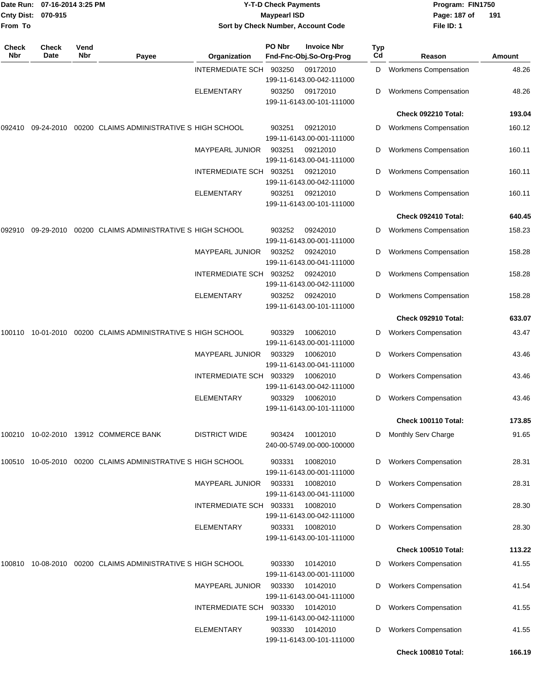| From To             | Date Run: 07-16-2014 3:25 PM<br>Cnty Dist: 070-915 |             |                                                      | <b>Y-T-D Check Payments</b><br><b>Maypearl ISD</b><br>Sort by Check Number, Account Code |        |                                               |           | Program: FIN1750<br>Page: 187 of<br>File ID: 1 | 191    |  |
|---------------------|----------------------------------------------------|-------------|------------------------------------------------------|------------------------------------------------------------------------------------------|--------|-----------------------------------------------|-----------|------------------------------------------------|--------|--|
| <b>Check</b><br>Nbr | <b>Check</b><br>Date                               | Vend<br>Nbr | Payee                                                | Organization                                                                             | PO Nbr | <b>Invoice Nbr</b><br>Fnd-Fnc-Obj.So-Org-Prog | Typ<br>Cd | Reason                                         | Amount |  |
|                     |                                                    |             |                                                      | INTERMEDIATE SCH 903250                                                                  |        | 09172010<br>199-11-6143.00-042-111000         | D         | <b>Workmens Compensation</b>                   | 48.26  |  |
|                     |                                                    |             |                                                      | ELEMENTARY                                                                               | 903250 | 09172010<br>199-11-6143.00-101-111000         | D         | <b>Workmens Compensation</b>                   | 48.26  |  |
|                     |                                                    |             |                                                      |                                                                                          |        |                                               |           | Check 092210 Total:                            | 193.04 |  |
| 092410              | 09-24-2010                                         |             | 00200 CLAIMS ADMINISTRATIVE S HIGH SCHOOL            |                                                                                          | 903251 | 09212010<br>199-11-6143.00-001-111000         | D         | <b>Workmens Compensation</b>                   | 160.12 |  |
|                     |                                                    |             |                                                      | <b>MAYPEARL JUNIOR</b>                                                                   | 903251 | 09212010<br>199-11-6143.00-041-111000         | D         | <b>Workmens Compensation</b>                   | 160.11 |  |
|                     |                                                    |             |                                                      | INTERMEDIATE SCH                                                                         | 903251 | 09212010<br>199-11-6143.00-042-111000         | D         | <b>Workmens Compensation</b>                   | 160.11 |  |
|                     |                                                    |             |                                                      | ELEMENTARY                                                                               | 903251 | 09212010<br>199-11-6143.00-101-111000         | D         | <b>Workmens Compensation</b>                   | 160.11 |  |
|                     |                                                    |             |                                                      |                                                                                          |        |                                               |           | Check 092410 Total:                            | 640.45 |  |
| 092910              |                                                    |             | 09-29-2010 00200 CLAIMS ADMINISTRATIVE S HIGH SCHOOL |                                                                                          | 903252 | 09242010<br>199-11-6143.00-001-111000         | D         | <b>Workmens Compensation</b>                   | 158.23 |  |
|                     |                                                    |             |                                                      | <b>MAYPEARL JUNIOR</b>                                                                   | 903252 | 09242010<br>199-11-6143.00-041-111000         | D         | <b>Workmens Compensation</b>                   | 158.28 |  |
|                     |                                                    |             |                                                      | INTERMEDIATE SCH                                                                         | 903252 | 09242010<br>199-11-6143.00-042-111000         | D         | <b>Workmens Compensation</b>                   | 158.28 |  |
|                     |                                                    |             |                                                      | ELEMENTARY                                                                               | 903252 | 09242010<br>199-11-6143.00-101-111000         | D         | <b>Workmens Compensation</b>                   | 158.28 |  |
|                     |                                                    |             |                                                      |                                                                                          |        |                                               |           | Check 092910 Total:                            | 633.07 |  |
| 100110              |                                                    |             | 10-01-2010 00200 CLAIMS ADMINISTRATIVE S HIGH SCHOOL |                                                                                          | 903329 | 10062010<br>199-11-6143.00-001-111000         | D         | <b>Workers Compensation</b>                    | 43.47  |  |
|                     |                                                    |             |                                                      | <b>MAYPEARL JUNIOR</b>                                                                   | 903329 | 10062010<br>199-11-6143.00-041-111000         | D         | <b>Workers Compensation</b>                    | 43.46  |  |
|                     |                                                    |             |                                                      | INTERMEDIATE SCH                                                                         | 903329 | 10062010<br>199-11-6143.00-042-111000         | D         | <b>Workers Compensation</b>                    | 43.46  |  |
|                     |                                                    |             |                                                      | <b>ELEMENTARY</b>                                                                        | 903329 | 10062010<br>199-11-6143.00-101-111000         | D         | <b>Workers Compensation</b>                    | 43.46  |  |
|                     |                                                    |             |                                                      |                                                                                          |        |                                               |           | Check 100110 Total:                            | 173.85 |  |
|                     |                                                    |             | 100210 10-02-2010 13912 COMMERCE BANK                | <b>DISTRICT WIDE</b>                                                                     | 903424 | 10012010<br>240-00-5749.00-000-100000         | D         | Monthly Serv Charge                            | 91.65  |  |
| 100510              |                                                    |             | 10-05-2010 00200 CLAIMS ADMINISTRATIVE S HIGH SCHOOL |                                                                                          | 903331 | 10082010<br>199-11-6143.00-001-111000         | D         | <b>Workers Compensation</b>                    | 28.31  |  |
|                     |                                                    |             |                                                      | <b>MAYPEARL JUNIOR</b>                                                                   | 903331 | 10082010<br>199-11-6143.00-041-111000         | D         | <b>Workers Compensation</b>                    | 28.31  |  |
|                     |                                                    |             |                                                      | INTERMEDIATE SCH 903331                                                                  |        | 10082010<br>199-11-6143.00-042-111000         | D         | <b>Workers Compensation</b>                    | 28.30  |  |
|                     |                                                    |             |                                                      | ELEMENTARY                                                                               | 903331 | 10082010<br>199-11-6143.00-101-111000         | D         | <b>Workers Compensation</b>                    | 28.30  |  |
|                     |                                                    |             |                                                      |                                                                                          |        |                                               |           | <b>Check 100510 Total:</b>                     | 113.22 |  |
| 100810              |                                                    |             | 10-08-2010 00200 CLAIMS ADMINISTRATIVE S HIGH SCHOOL |                                                                                          | 903330 | 10142010<br>199-11-6143.00-001-111000         | D         | <b>Workers Compensation</b>                    | 41.55  |  |
|                     |                                                    |             |                                                      | <b>MAYPEARL JUNIOR</b>                                                                   | 903330 | 10142010<br>199-11-6143.00-041-111000         | D         | <b>Workers Compensation</b>                    | 41.54  |  |
|                     |                                                    |             |                                                      | INTERMEDIATE SCH 903330                                                                  |        | 10142010<br>199-11-6143.00-042-111000         | D         | <b>Workers Compensation</b>                    | 41.55  |  |
|                     |                                                    |             |                                                      | ELEMENTARY                                                                               | 903330 | 10142010<br>199-11-6143.00-101-111000         | D         | <b>Workers Compensation</b>                    | 41.55  |  |
|                     |                                                    |             |                                                      |                                                                                          |        |                                               |           | Check 100810 Total:                            | 166.19 |  |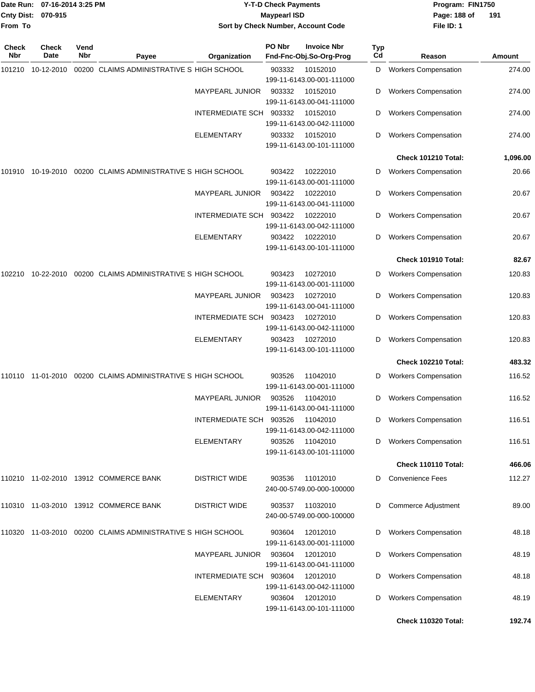| From To      | Date Run: 07-16-2014 3:25 PM<br><b>Cnty Dist:</b><br>070-915 |             |                                                             | <b>Y-T-D Check Payments</b><br><b>Maypearl ISD</b><br>Sort by Check Number, Account Code |        |                                               |                  | Program: FIN1750<br>Page: 188 of<br>File ID: 1 | 191      |
|--------------|--------------------------------------------------------------|-------------|-------------------------------------------------------------|------------------------------------------------------------------------------------------|--------|-----------------------------------------------|------------------|------------------------------------------------|----------|
| Check<br>Nbr | Check<br>Date                                                | Vend<br>Nbr | Payee                                                       | Organization                                                                             | PO Nbr | <b>Invoice Nbr</b><br>Fnd-Fnc-Obj.So-Org-Prog | <b>Typ</b><br>Cd | Reason                                         | Amount   |
| 101210       | 10-12-2010                                                   |             | 00200 CLAIMS ADMINISTRATIVE S HIGH SCHOOL                   |                                                                                          | 903332 | 10152010<br>199-11-6143.00-001-111000         | D                | <b>Workers Compensation</b>                    | 274.00   |
|              |                                                              |             |                                                             | MAYPEARL JUNIOR                                                                          | 903332 | 10152010<br>199-11-6143.00-041-111000         | D                | <b>Workers Compensation</b>                    | 274.00   |
|              |                                                              |             |                                                             | INTERMEDIATE SCH 903332                                                                  |        | 10152010<br>199-11-6143.00-042-111000         | D                | <b>Workers Compensation</b>                    | 274.00   |
|              |                                                              |             |                                                             | <b>ELEMENTARY</b>                                                                        | 903332 | 10152010<br>199-11-6143.00-101-111000         | D                | <b>Workers Compensation</b>                    | 274.00   |
|              |                                                              |             |                                                             |                                                                                          |        |                                               |                  | Check 101210 Total:                            | 1,096.00 |
| 101910       |                                                              |             | 10-19-2010 00200 CLAIMS ADMINISTRATIVE S HIGH SCHOOL        |                                                                                          | 903422 | 10222010<br>199-11-6143.00-001-111000         | D                | <b>Workers Compensation</b>                    | 20.66    |
|              |                                                              |             |                                                             | <b>MAYPEARL JUNIOR</b>                                                                   | 903422 | 10222010<br>199-11-6143.00-041-111000         | D                | <b>Workers Compensation</b>                    | 20.67    |
|              |                                                              |             |                                                             | <b>INTERMEDIATE SCH</b>                                                                  | 903422 | 10222010<br>199-11-6143.00-042-111000         | D                | <b>Workers Compensation</b>                    | 20.67    |
|              |                                                              |             |                                                             | <b>ELEMENTARY</b>                                                                        | 903422 | 10222010<br>199-11-6143.00-101-111000         | D                | <b>Workers Compensation</b>                    | 20.67    |
|              |                                                              |             |                                                             |                                                                                          |        |                                               |                  | Check 101910 Total:                            | 82.67    |
| 102210       |                                                              |             | 10-22-2010 00200 CLAIMS ADMINISTRATIVE S HIGH SCHOOL        |                                                                                          | 903423 | 10272010<br>199-11-6143.00-001-111000         | D                | <b>Workers Compensation</b>                    | 120.83   |
|              |                                                              |             |                                                             | MAYPEARL JUNIOR                                                                          | 903423 | 10272010<br>199-11-6143.00-041-111000         | D                | <b>Workers Compensation</b>                    | 120.83   |
|              |                                                              |             |                                                             | <b>INTERMEDIATE SCH</b>                                                                  | 903423 | 10272010<br>199-11-6143.00-042-111000         | D                | <b>Workers Compensation</b>                    | 120.83   |
|              |                                                              |             |                                                             | <b>ELEMENTARY</b>                                                                        | 903423 | 10272010<br>199-11-6143.00-101-111000         | D                | <b>Workers Compensation</b>                    | 120.83   |
|              |                                                              |             |                                                             |                                                                                          |        |                                               |                  | <b>Check 102210 Total:</b>                     | 483.32   |
|              |                                                              |             | 110110 11-01-2010 00200 CLAIMS ADMINISTRATIVE S HIGH SCHOOL |                                                                                          | 903526 | 11042010<br>199-11-6143.00-001-111000         | D                | <b>Workers Compensation</b>                    | 116.52   |
|              |                                                              |             |                                                             | MAYPEARL JUNIOR                                                                          | 903526 | 11042010<br>199-11-6143.00-041-111000         | D                | <b>Workers Compensation</b>                    | 116.52   |
|              |                                                              |             |                                                             | INTERMEDIATE SCH 903526                                                                  |        | 11042010<br>199-11-6143.00-042-111000         | D                | <b>Workers Compensation</b>                    | 116.51   |
|              |                                                              |             |                                                             | <b>ELEMENTARY</b>                                                                        | 903526 | 11042010<br>199-11-6143.00-101-111000         |                  | <b>Workers Compensation</b>                    | 116.51   |
|              |                                                              |             |                                                             |                                                                                          |        |                                               |                  | Check 110110 Total:                            | 466.06   |
|              |                                                              |             | 110210 11-02-2010 13912 COMMERCE BANK                       | <b>DISTRICT WIDE</b>                                                                     | 903536 | 11012010<br>240-00-5749.00-000-100000         | D                | <b>Convenience Fees</b>                        | 112.27   |
|              |                                                              |             | 110310 11-03-2010 13912 COMMERCE BANK                       | <b>DISTRICT WIDE</b>                                                                     | 903537 | 11032010<br>240-00-5749.00-000-100000         | D                | <b>Commerce Adjustment</b>                     | 89.00    |
|              |                                                              |             | 110320 11-03-2010 00200 CLAIMS ADMINISTRATIVE S HIGH SCHOOL |                                                                                          | 903604 | 12012010<br>199-11-6143.00-001-111000         | D                | <b>Workers Compensation</b>                    | 48.18    |
|              |                                                              |             |                                                             | <b>MAYPEARL JUNIOR</b>                                                                   | 903604 | 12012010<br>199-11-6143.00-041-111000         | D                | <b>Workers Compensation</b>                    | 48.19    |
|              |                                                              |             |                                                             | INTERMEDIATE SCH 903604                                                                  |        | 12012010<br>199-11-6143.00-042-111000         | D                | <b>Workers Compensation</b>                    | 48.18    |
|              |                                                              |             |                                                             | <b>ELEMENTARY</b>                                                                        | 903604 | 12012010<br>199-11-6143.00-101-111000         | D                | <b>Workers Compensation</b>                    | 48.19    |
|              |                                                              |             |                                                             |                                                                                          |        |                                               |                  | <b>Check 110320 Total:</b>                     | 192.74   |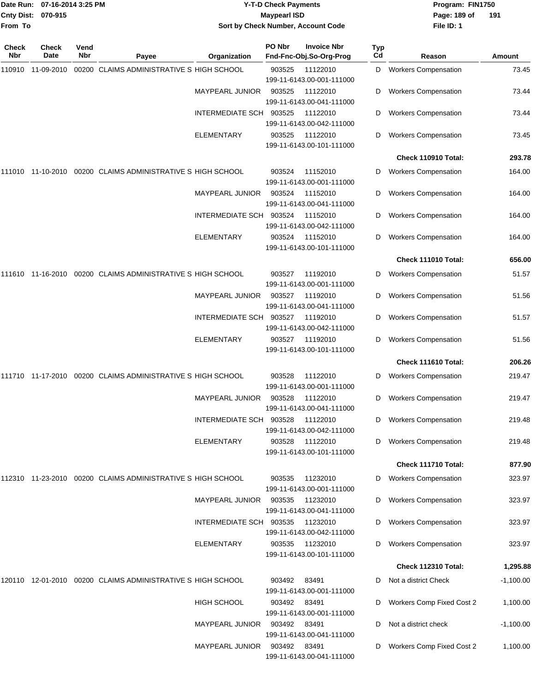| Date Run:<br><b>Cnty Dist:</b><br>From To | 07-16-2014 3:25 PM<br>070-915 |             |                                                                  |                                    | <b>Y-T-D Check Payments</b><br><b>Maypearl ISD</b> | Sort by Check Number, Account Code            |           | Program: FIN1750<br>Page: 189 of<br>File ID: 1            | 191                     |
|-------------------------------------------|-------------------------------|-------------|------------------------------------------------------------------|------------------------------------|----------------------------------------------------|-----------------------------------------------|-----------|-----------------------------------------------------------|-------------------------|
| <b>Check</b><br>Nbr                       | <b>Check</b><br>Date          | Vend<br>Nbr | Payee                                                            | Organization                       | PO Nbr                                             | <b>Invoice Nbr</b><br>Fnd-Fnc-Obj.So-Org-Prog | Typ<br>Cd | Reason                                                    | Amount                  |
|                                           | 110910 11-09-2010             |             | 00200 CLAIMS ADMINISTRATIVE S HIGH SCHOOL                        |                                    | 903525                                             | 11122010<br>199-11-6143.00-001-111000         | D         | <b>Workers Compensation</b>                               | 73.45                   |
|                                           |                               |             |                                                                  | <b>MAYPEARL JUNIOR</b>             | 903525                                             | 11122010<br>199-11-6143.00-041-111000         | D         | <b>Workers Compensation</b>                               | 73.44                   |
|                                           |                               |             |                                                                  | INTERMEDIATE SCH 903525            |                                                    | 11122010<br>199-11-6143.00-042-111000         | D         | <b>Workers Compensation</b>                               | 73.44                   |
|                                           |                               |             |                                                                  | ELEMENTARY                         | 903525                                             | 11122010<br>199-11-6143.00-101-111000         | D         | <b>Workers Compensation</b>                               | 73.45                   |
|                                           |                               |             |                                                                  |                                    |                                                    |                                               |           | Check 110910 Total:                                       | 293.78                  |
|                                           |                               |             | 111010 11-10-2010 00200 CLAIMS ADMINISTRATIVE S HIGH SCHOOL      |                                    | 903524                                             | 11152010<br>199-11-6143.00-001-111000         | D         | <b>Workers Compensation</b>                               | 164.00                  |
|                                           |                               |             |                                                                  | <b>MAYPEARL JUNIOR</b>             | 903524                                             | 11152010<br>199-11-6143.00-041-111000         | D         | <b>Workers Compensation</b>                               | 164.00                  |
|                                           |                               |             |                                                                  | INTERMEDIATE SCH                   | 903524                                             | 11152010<br>199-11-6143.00-042-111000         | D         | <b>Workers Compensation</b>                               | 164.00                  |
|                                           |                               |             |                                                                  | <b>ELEMENTARY</b>                  | 903524                                             | 11152010<br>199-11-6143.00-101-111000         | D         | <b>Workers Compensation</b>                               | 164.00                  |
|                                           |                               |             |                                                                  |                                    |                                                    |                                               |           | <b>Check 111010 Total:</b>                                | 656.00                  |
|                                           |                               |             | 111610  11-16-2010  00200  CLAIMS  ADMINISTRATIVE S  HIGH SCHOOL |                                    | 903527                                             | 11192010<br>199-11-6143.00-001-111000         | D         | <b>Workers Compensation</b>                               | 51.57                   |
|                                           |                               |             |                                                                  | <b>MAYPEARL JUNIOR</b>             | 903527                                             | 11192010<br>199-11-6143.00-041-111000         | D         | <b>Workers Compensation</b>                               | 51.56                   |
|                                           |                               |             |                                                                  | INTERMEDIATE SCH                   | 903527                                             | 11192010<br>199-11-6143.00-042-111000         | D         | <b>Workers Compensation</b>                               | 51.57                   |
|                                           |                               |             |                                                                  | <b>ELEMENTARY</b>                  | 903527                                             | 11192010<br>199-11-6143.00-101-111000         | D         | <b>Workers Compensation</b>                               | 51.56                   |
|                                           |                               |             |                                                                  |                                    |                                                    |                                               |           | Check 111610 Total:                                       | 206.26                  |
|                                           |                               |             | 111710  11-17-2010  00200  CLAIMS ADMINISTRATIVE S HIGH SCHOOL   |                                    | 903528                                             | 11122010<br>199-11-6143.00-001-111000         | D         | <b>Workers Compensation</b>                               | 219.47                  |
|                                           |                               |             |                                                                  | MAYPEARL JUNIOR                    | 903528                                             | 11122010<br>199-11-6143.00-041-111000         | D         | <b>Workers Compensation</b>                               | 219.47                  |
|                                           |                               |             |                                                                  | INTERMEDIATE SCH 903528            |                                                    | 11122010<br>199-11-6143.00-042-111000         | D         | <b>Workers Compensation</b>                               | 219.48                  |
|                                           |                               |             |                                                                  | ELEMENTARY                         | 903528                                             | 11122010<br>199-11-6143.00-101-111000         | D         | <b>Workers Compensation</b>                               | 219.48                  |
|                                           |                               |             |                                                                  |                                    |                                                    |                                               |           | Check 111710 Total:                                       | 877.90                  |
|                                           |                               |             | 112310 11-23-2010 00200 CLAIMS ADMINISTRATIVE S HIGH SCHOOL      |                                    | 903535                                             | 11232010<br>199-11-6143.00-001-111000         | D         | <b>Workers Compensation</b>                               | 323.97                  |
|                                           |                               |             |                                                                  | <b>MAYPEARL JUNIOR</b>             | 903535                                             | 11232010<br>199-11-6143.00-041-111000         | D         | <b>Workers Compensation</b>                               | 323.97                  |
|                                           |                               |             |                                                                  | INTERMEDIATE SCH 903535            |                                                    | 11232010<br>199-11-6143.00-042-111000         | D         | <b>Workers Compensation</b>                               | 323.97                  |
|                                           |                               |             |                                                                  | ELEMENTARY                         | 903535                                             | 11232010<br>199-11-6143.00-101-111000         | D         | <b>Workers Compensation</b><br><b>Check 112310 Total:</b> | 323.97                  |
|                                           |                               |             |                                                                  |                                    |                                                    |                                               |           |                                                           | 1,295.88                |
|                                           |                               |             | 120110  12-01-2010  00200  CLAIMS ADMINISTRATIVE S HIGH SCHOOL   |                                    | 903492                                             | 83491<br>199-11-6143.00-001-111000            | D         | Not a district Check                                      | $-1,100.00$             |
|                                           |                               |             |                                                                  | HIGH SCHOOL                        | 903492<br>903492                                   | 83491<br>199-11-6143.00-001-111000<br>83491   | D         | Workers Comp Fixed Cost 2<br>Not a district check         | 1,100.00<br>$-1,100.00$ |
|                                           |                               |             |                                                                  | MAYPEARL JUNIOR<br>MAYPEARL JUNIOR | 903492 83491                                       | 199-11-6143.00-041-111000                     | D         | <b>Workers Comp Fixed Cost 2</b>                          | 1,100.00                |
|                                           |                               |             |                                                                  |                                    |                                                    | 199-11-6143.00-041-111000                     |           |                                                           |                         |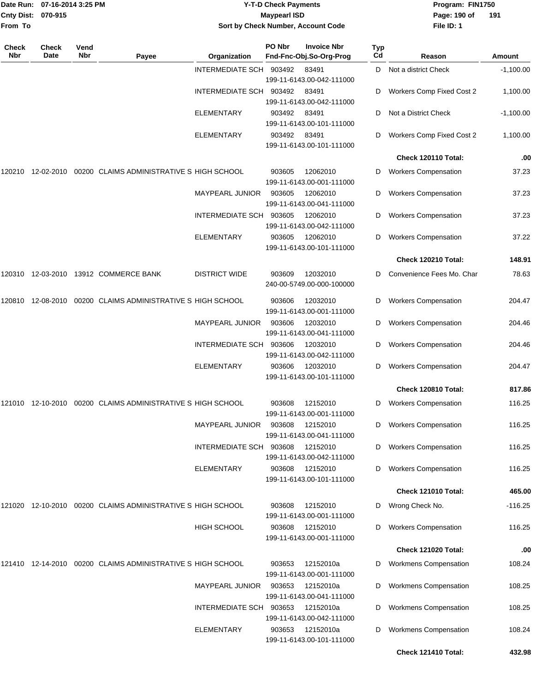| From To      | Date Run: 07-16-2014 3:25 PM<br>Cnty Dist: 070-915 |             |                                                                  |                         | <b>Y-T-D Check Payments</b><br><b>Maypearl ISD</b> | Sort by Check Number, Account Code            |           | Program: FIN1750<br>Page: 190 of<br>File ID: 1 | 191         |
|--------------|----------------------------------------------------|-------------|------------------------------------------------------------------|-------------------------|----------------------------------------------------|-----------------------------------------------|-----------|------------------------------------------------|-------------|
| Check<br>Nbr | Check<br>Date                                      | Vend<br>Nbr | Payee                                                            | Organization            | PO Nbr                                             | <b>Invoice Nbr</b><br>Fnd-Fnc-Obj.So-Org-Prog | Typ<br>Cd | Reason                                         | Amount      |
|              |                                                    |             |                                                                  | INTERMEDIATE SCH 903492 |                                                    | 83491<br>199-11-6143.00-042-111000            | D         | Not a district Check                           | $-1,100.00$ |
|              |                                                    |             |                                                                  | INTERMEDIATE SCH        | 903492                                             | 83491<br>199-11-6143.00-042-111000            | D         | Workers Comp Fixed Cost 2                      | 1,100.00    |
|              |                                                    |             |                                                                  | <b>ELEMENTARY</b>       | 903492                                             | 83491<br>199-11-6143.00-101-111000            | D         | Not a District Check                           | $-1,100.00$ |
|              |                                                    |             |                                                                  | ELEMENTARY              | 903492                                             | 83491<br>199-11-6143.00-101-111000            | D         | Workers Comp Fixed Cost 2                      | 1,100.00    |
|              |                                                    |             |                                                                  |                         |                                                    |                                               |           | Check 120110 Total:                            | .00         |
| 120210       |                                                    |             | 12-02-2010 00200 CLAIMS ADMINISTRATIVE S HIGH SCHOOL             |                         | 903605                                             | 12062010<br>199-11-6143.00-001-111000         | D         | <b>Workers Compensation</b>                    | 37.23       |
|              |                                                    |             |                                                                  | MAYPEARL JUNIOR         | 903605                                             | 12062010<br>199-11-6143.00-041-111000         | D         | <b>Workers Compensation</b>                    | 37.23       |
|              |                                                    |             |                                                                  | INTERMEDIATE SCH 903605 |                                                    | 12062010<br>199-11-6143.00-042-111000         | D         | <b>Workers Compensation</b>                    | 37.23       |
|              |                                                    |             |                                                                  | <b>ELEMENTARY</b>       | 903605                                             | 12062010<br>199-11-6143.00-101-111000         | D         | <b>Workers Compensation</b>                    | 37.22       |
|              |                                                    |             |                                                                  |                         |                                                    |                                               |           | <b>Check 120210 Total:</b>                     | 148.91      |
| 120310       |                                                    |             | 12-03-2010 13912 COMMERCE BANK                                   | <b>DISTRICT WIDE</b>    | 903609                                             | 12032010<br>240-00-5749.00-000-100000         | D         | Convenience Fees Mo. Char                      | 78.63       |
|              |                                                    |             | 120810  12-08-2010  00200  CLAIMS  ADMINISTRATIVE S  HIGH SCHOOL |                         | 903606                                             | 12032010<br>199-11-6143.00-001-111000         | D         | <b>Workers Compensation</b>                    | 204.47      |
|              |                                                    |             |                                                                  | <b>MAYPEARL JUNIOR</b>  | 903606                                             | 12032010<br>199-11-6143.00-041-111000         | D         | <b>Workers Compensation</b>                    | 204.46      |
|              |                                                    |             |                                                                  | INTERMEDIATE SCH        | 903606                                             | 12032010<br>199-11-6143.00-042-111000         | D         | <b>Workers Compensation</b>                    | 204.46      |
|              |                                                    |             |                                                                  | <b>ELEMENTARY</b>       | 903606                                             | 12032010<br>199-11-6143.00-101-111000         | D         | <b>Workers Compensation</b>                    | 204.47      |
|              |                                                    |             |                                                                  |                         |                                                    |                                               |           | <b>Check 120810 Total:</b>                     | 817.86      |
|              |                                                    |             | 121010 12-10-2010 00200 CLAIMS ADMINISTRATIVE S HIGH SCHOOL      |                         | 903608                                             | 12152010<br>199-11-6143.00-001-111000         | D         | <b>Workers Compensation</b>                    | 116.25      |
|              |                                                    |             |                                                                  | <b>MAYPEARL JUNIOR</b>  | 903608                                             | 12152010<br>199-11-6143.00-041-111000         | D         | <b>Workers Compensation</b>                    | 116.25      |
|              |                                                    |             |                                                                  | INTERMEDIATE SCH 903608 |                                                    | 12152010<br>199-11-6143.00-042-111000         | D         | <b>Workers Compensation</b>                    | 116.25      |
|              |                                                    |             |                                                                  | ELEMENTARY              | 903608                                             | 12152010<br>199-11-6143.00-101-111000         | D         | <b>Workers Compensation</b>                    | 116.25      |
|              |                                                    |             |                                                                  |                         |                                                    |                                               |           | Check 121010 Total:                            | 465.00      |
|              |                                                    |             | 121020 12-10-2010 00200 CLAIMS ADMINISTRATIVE S HIGH SCHOOL      |                         | 903608                                             | 12152010<br>199-11-6143.00-001-111000         | D         | Wrong Check No.                                | $-116.25$   |
|              |                                                    |             |                                                                  | HIGH SCHOOL             | 903608                                             | 12152010<br>199-11-6143.00-001-111000         | D         | <b>Workers Compensation</b>                    | 116.25      |
|              |                                                    |             |                                                                  |                         |                                                    |                                               |           | <b>Check 121020 Total:</b>                     | .00         |
|              |                                                    |             | 121410  12-14-2010  00200  CLAIMS ADMINISTRATIVE S HIGH SCHOOL   |                         | 903653                                             | 12152010a<br>199-11-6143.00-001-111000        | D         | <b>Workmens Compensation</b>                   | 108.24      |
|              |                                                    |             |                                                                  | MAYPEARL JUNIOR         | 903653                                             | 12152010a<br>199-11-6143.00-041-111000        | D         | <b>Workmens Compensation</b>                   | 108.25      |
|              |                                                    |             |                                                                  | INTERMEDIATE SCH 903653 |                                                    | 12152010a<br>199-11-6143.00-042-111000        | D         | <b>Workmens Compensation</b>                   | 108.25      |
|              |                                                    |             |                                                                  | ELEMENTARY              | 903653                                             | 12152010a<br>199-11-6143.00-101-111000        | D         | <b>Workmens Compensation</b>                   | 108.24      |
|              |                                                    |             |                                                                  |                         |                                                    |                                               |           | Check 121410 Total:                            | 432.98      |